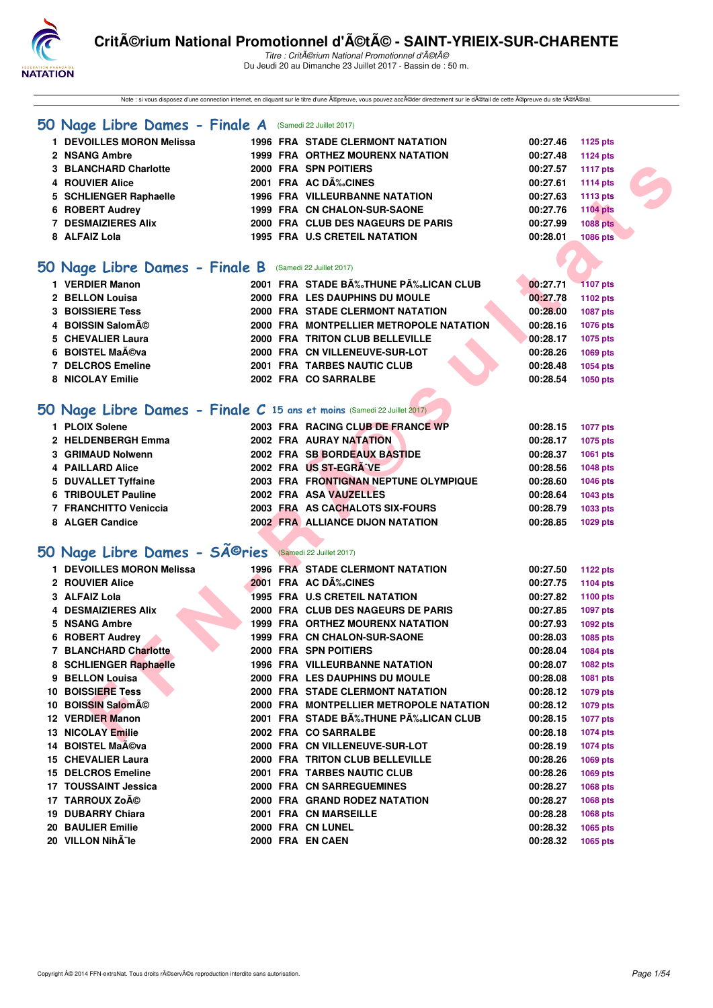

Note : si vous disposez d'une connection internet, en cliquant sur le titre d'une ©preuve, vous pouvez acc©der directement sur le d©tail de cette ©preuve du site f©fral.

#### **[50 Nage Libre Dames - Finale A](http://www.ffnatation.fr/webffn/resultats.php?idact=nat&go=epr&idcpt=47489&idepr=1)** (Samedi 22 Juillet 2017)

| 1 DEVOILLES MORON Melissa | <b>1996 FRA STADE CLERMONT NATATION</b> | 00:27.46          | 1125 pts        |
|---------------------------|-----------------------------------------|-------------------|-----------------|
| 2 NSANG Ambre             | <b>1999 FRA ORTHEZ MOURENX NATATION</b> | 00:27.48          | 1124 pts        |
| 3 BLANCHARD Charlotte     | 2000 FRA SPN POITIERS                   | 00:27.57          | 1117 pts        |
| 4 ROUVIER Alice           | 2001 FRA AC DÉCINES                     | 00:27.61 1114 pts |                 |
| 5 SCHLIENGER Raphaelle    | <b>1996 FRA VILLEURBANNE NATATION</b>   | 00:27.63          | 1113 pts        |
| 6 ROBERT Audrey           | 1999 FRA CN CHALON-SUR-SAONE            | 00:27.76          | <b>1104 pts</b> |
| 7 DESMAIZIERES Alix       | 2000 FRA CLUB DES NAGEURS DE PARIS      | 00:27.99          | <b>1088 pts</b> |
| 8 ALFAIZ Lola             | <b>1995 FRA U.S CRETEIL NATATION</b>    | 00:28.01          | 1086 pts        |

#### **[50 Nage Libre Dames - Finale B](http://www.ffnatation.fr/webffn/resultats.php?idact=nat&go=epr&idcpt=47489&idepr=1)** (Samedi 22 Juillet 2017)

| 1 VERDIER Manon         |  | 2001 FRA STADE BĉTHUNE PĉLICAN CLUB     | 00:27.71 | <b>1107 pts</b> |
|-------------------------|--|-----------------------------------------|----------|-----------------|
| 2 BELLON Louisa         |  | 2000 FRA LES DAUPHINS DU MOULE          | 00:27.78 | 1102 pts        |
| <b>3 BOISSIERE Tess</b> |  | 2000 FRA STADE CLERMONT NATATION        | 00:28.00 | 1087 pts        |
| 4 BOISSIN Salomé        |  | 2000 FRA MONTPELLIER METROPOLE NATATION | 00:28.16 | 1076 pts        |
| 5 CHEVALIER Laura       |  | 2000 FRA TRITON CLUB BELLEVILLE         | 00:28.17 | 1075 pts        |
| 6 BOISTEL Maéva         |  | 2000 FRA CN VILLENEUVE-SUR-LOT          | 00:28.26 | 1069 pts        |
| 7 DELCROS Emeline       |  | 2001 FRA TARBES NAUTIC CLUB             | 00:28.48 | 1054 pts        |
| 8 NICOLAY Emilie        |  | 2002 FRA CO SARRALBE                    | 00:28.54 | 1050 pts        |
|                         |  |                                         |          |                 |

#### **[50 Nage Libre Dames - Finale C](http://www.ffnatation.fr/webffn/resultats.php?idact=nat&go=epr&idcpt=47489&idepr=1) 15 ans et moins** (Samedi 22 Juillet 2017)

| 1 PLOIX Solene        |  | 2003 FRA RACING CLUB DE FRANCE WP       | 00:28.15 | 1077 pts |
|-----------------------|--|-----------------------------------------|----------|----------|
| 2 HELDENBERGH Emma    |  | 2002 FRA AURAY NATATION                 | 00:28.17 | 1075 pts |
| 3 GRIMAUD Nolwenn     |  | 2002 FRA SB BORDEAUX BASTIDE            | 00:28.37 | 1061 pts |
| 4 PAILLARD Alice      |  | 2002 FRA US ST-EGRAVE                   | 00:28.56 | 1048 pts |
| 5 DUVALLET Tyffaine   |  | 2003 FRA FRONTIGNAN NEPTUNE OLYMPIQUE   | 00:28.60 | 1046 pts |
| 6 TRIBOULET Pauline   |  | 2002 FRA ASA VAUZELLES                  | 00:28.64 | 1043 pts |
| 7 FRANCHITTO Veniccia |  | 2003 FRA AS CACHALOTS SIX-FOURS         | 00:28.79 | 1033 pts |
| 8 ALGER Candice       |  | <b>2002 FRA ALLIANCE DIJON NATATION</b> | 00:28.85 | 1029 pts |
|                       |  |                                         |          |          |

# 50 Nage Libre Dames - SÃ<sup>@</sup>ries **Samedi 22 Juillet 2017**

| <b>3 BLANCHARD Charlotte</b>                                           |  | 2000 FRA SPN POITIERS                   | 00:27.57 | <b>1117 pts</b> |
|------------------------------------------------------------------------|--|-----------------------------------------|----------|-----------------|
| 4 ROUVIER Alice                                                        |  | 2001 FRA AC DÉCINES                     | 00:27.61 | 1114 pts        |
| 5 SCHLIENGER Raphaelle                                                 |  | <b>1996 FRA VILLEURBANNE NATATION</b>   | 00:27.63 | 1113 pts        |
| 6 ROBERT Audrey                                                        |  | 1999 FRA CN CHALON-SUR-SAONE            | 00:27.76 | <b>1104 pts</b> |
| <b>7 DESMAIZIERES Alix</b>                                             |  | 2000 FRA CLUB DES NAGEURS DE PARIS      | 00:27.99 | <b>1088 pts</b> |
| 8 ALFAIZ Lola                                                          |  | <b>1995 FRA U.S CRETEIL NATATION</b>    | 00:28.01 | 1086 pts        |
|                                                                        |  |                                         |          |                 |
| O Nage Libre Dames - Finale B (Samedi 22 Juillet 2017)                 |  |                                         |          |                 |
| 1 VERDIER Manon                                                        |  | 2001 FRA STADE BĉTHUNE PĉLICAN CLUB     | 00:27.71 | <b>1107 pts</b> |
| 2 BELLON Louisa                                                        |  | 2000 FRA LES DAUPHINS DU MOULE          | 00:27.78 | 1102 pts        |
| <b>3 BOISSIERE Tess</b>                                                |  | 2000 FRA STADE CLERMONT NATATION        | 00:28.00 | 1087 pts        |
| 4 BOISSIN Salomé                                                       |  | 2000 FRA MONTPELLIER METROPOLE NATATION | 00:28.16 | 1076 pts        |
| 5 CHEVALIER Laura                                                      |  | 2000 FRA TRITON CLUB BELLEVILLE         | 00:28.17 | 1075 pts        |
| 6 BOISTEL Maéva                                                        |  | 2000 FRA CN VILLENEUVE-SUR-LOT          | 00:28.26 | 1069 pts        |
| 7 DELCROS Emeline                                                      |  | 2001 FRA TARBES NAUTIC CLUB             | 00:28.48 | 1054 pts        |
| 8 NICOLAY Emilie                                                       |  | 2002 FRA CO SARRALBE                    | 00:28.54 | 1050 pts        |
|                                                                        |  |                                         |          |                 |
|                                                                        |  |                                         |          |                 |
| O Nage Libre Dames - Finale C 15 ans et moins (Samedi 22 Juillet 2017) |  |                                         |          |                 |
| 1 PLOIX Solene                                                         |  | 2003 FRA RACING CLUB DE FRANCE WP       | 00:28.15 | <b>1077 pts</b> |
| 2 HELDENBERGH Emma                                                     |  | 2002 FRA AURAY NATATION                 | 00:28.17 | 1075 pts        |
| 3 GRIMAUD Nolwenn                                                      |  | 2002 FRA SB BORDEAUX BASTIDE            | 00:28.37 | 1061 pts        |
| <b>4 PAILLARD Alice</b>                                                |  | 2002 FRA US ST-EGRAVE                   | 00:28.56 | 1048 pts        |
| 5 DUVALLET Tyffaine                                                    |  | 2003 FRA FRONTIGNAN NEPTUNE OLYMPIQUE   | 00:28.60 | <b>1046 pts</b> |
| 6 TRIBOULET Pauline                                                    |  | 2002 FRA ASA VAUZELLES                  | 00:28.64 | 1043 pts        |
| 7 FRANCHITTO Veniccia                                                  |  | 2003 FRA AS CACHALOTS SIX-FOURS         | 00:28.79 | 1033 pts        |
| 8 ALGER Candice                                                        |  | 2002 FRA ALLIANCE DIJON NATATION        | 00:28.85 | 1029 pts        |
|                                                                        |  |                                         |          |                 |
| 0 Nage Libre Dames - Sîries                                            |  | (Samedi 22 Juillet 2017)                |          |                 |
|                                                                        |  |                                         |          |                 |
| 1 DEVOILLES MORON Melissa                                              |  | <b>1996 FRA STADE CLERMONT NATATION</b> | 00:27.50 | 1122 pts        |
| 2 ROUVIER Alice                                                        |  | 2001 FRA AC DA% CINES                   | 00:27.75 | <b>1104 pts</b> |
| 3 ALFAIZ Lola                                                          |  | 1995 FRA U.S CRETEIL NATATION           | 00:27.82 | 1100 pts        |
| <b>4 DESMAIZIERES Alix</b>                                             |  | 2000 FRA CLUB DES NAGEURS DE PARIS      | 00:27.85 | 1097 pts        |
| 5 NSANG Ambre                                                          |  | <b>1999 FRA ORTHEZ MOURENX NATATION</b> | 00:27.93 | 1092 pts        |
| 6 ROBERT Audrey                                                        |  | 1999 FRA CN CHALON-SUR-SAONE            | 00:28.03 | 1085 pts        |
| 7 BLANCHARD Charlotte                                                  |  | 2000 FRA SPN POITIERS                   | 00:28.04 | 1084 pts        |
| 8 SCHLIENGER Raphaelle                                                 |  | <b>1996 FRA VILLEURBANNE NATATION</b>   | 00:28.07 | 1082 pts        |
| 9 BELLON Louisa                                                        |  | 2000 FRA LES DAUPHINS DU MOULE          | 00:28.08 | 1081 pts        |
| <b>10 BOISSIERE Tess</b>                                               |  | 2000 FRA STADE CLERMONT NATATION        | 00:28.12 | 1079 pts        |
| 10 BOISSIN Salomé                                                      |  | 2000 FRA MONTPELLIER METROPOLE NATATION | 00:28.12 | <b>1079 pts</b> |
| 12 VERDIER Manon                                                       |  | 2001 FRA STADE B‰THUNE P‰LICAN CLUB     | 00:28.15 | <b>1077 pts</b> |
| 13 NICOLAY Emilie                                                      |  | 2002 FRA CO SARRALBE                    | 00:28.18 | <b>1074 pts</b> |
| 14 BOISTEL MaA©va                                                      |  | 2000 FRA CN VILLENEUVE-SUR-LOT          | 00:28.19 | <b>1074 pts</b> |
| <b>15 CHEVALIER Laura</b>                                              |  | 2000 FRA TRITON CLUB BELLEVILLE         | 00:28.26 | 1069 pts        |
| 15 DELCROS Emeline                                                     |  | <b>2001 FRA TARBES NAUTIC CLUB</b>      | 00:28.26 | 1069 pts        |
| 17 TOUSSAINT Jessica                                                   |  | 2000 FRA CN SARREGUEMINES               | 00:28.27 | 1068 pts        |
| 17 TARROUX Zoé                                                         |  | 2000 FRA GRAND RODEZ NATATION           | 00:28.27 | <b>1068 pts</b> |
| 19 DUBARRY Chiara                                                      |  | 2001 FRA CN MARSEILLE                   | 00:28.28 | <b>1068 pts</b> |
| 20 BAULIER Emilie                                                      |  | 2000 FRA CN LUNEL                       | 00:28.32 | 1065 pts        |
| 20 VILLON Nih¨le                                                       |  | 2000 FRA EN CAEN                        | 00:28.32 | 1065 pts        |
|                                                                        |  |                                         |          |                 |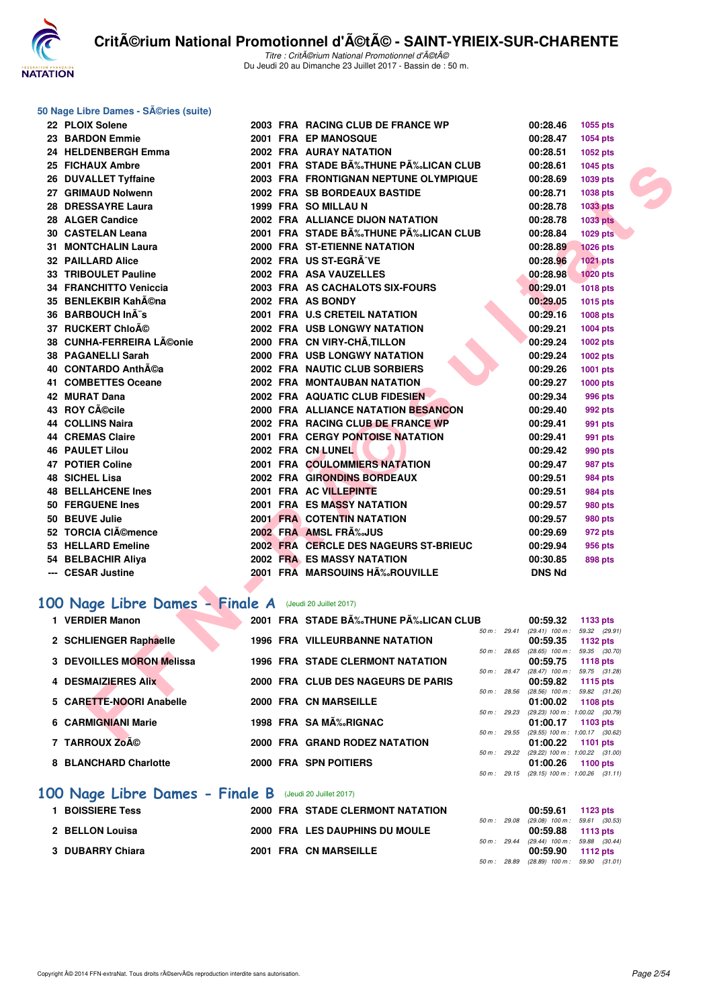

#### **50 Nage Libre Dames - Séries (suite)**

| 22 PLOIX Solene                                        |  | 2003 FRA RACING CLUB DE FRANCE WP                    | 00:28.46                                                     | 1055 pts        |
|--------------------------------------------------------|--|------------------------------------------------------|--------------------------------------------------------------|-----------------|
| 23 BARDON Emmie                                        |  | 2001 FRA EP MANOSQUE                                 | 00:28.47                                                     | 1054 pts        |
| 24 HELDENBERGH Emma                                    |  | 2002 FRA AURAY NATATION                              | 00:28.51                                                     | 1052 pts        |
| 25 FICHAUX Ambre                                       |  | 2001 FRA STADE B‰THUNE P‰LICAN CLUB                  | 00:28.61                                                     | 1045 pts        |
| 26 DUVALLET Tyffaine                                   |  | 2003 FRA FRONTIGNAN NEPTUNE OLYMPIQUE                | 00:28.69                                                     | 1039 pts        |
| 27 GRIMAUD Nolwenn                                     |  | 2002 FRA SB BORDEAUX BASTIDE                         | 00:28.71                                                     | 1038 pts        |
| 28 DRESSAYRE Laura                                     |  | 1999 FRA SO MILLAU N                                 | 00:28.78                                                     | 1033 pts        |
| 28 ALGER Candice                                       |  | 2002 FRA ALLIANCE DIJON NATATION                     | 00:28.78                                                     | <b>1033 pts</b> |
| <b>30 CASTELAN Leana</b>                               |  | 2001 FRA STADE B‰THUNE P‰LICAN CLUB                  | 00:28.84                                                     | 1029 pts        |
| <b>31 MONTCHALIN Laura</b>                             |  | 2000 FRA ST-ETIENNE NATATION                         | 00:28.89                                                     | <b>1026 pts</b> |
| <b>32 PAILLARD Alice</b>                               |  | 2002 FRA US ST-EGRÃ^VE                               | 00:28.96                                                     | 1021 pts        |
| 33 TRIBOULET Pauline                                   |  | 2002 FRA ASA VAUZELLES                               | 00:28.98                                                     | <b>1020 pts</b> |
| 34 FRANCHITTO Veniccia                                 |  | 2003 FRA AS CACHALOTS SIX-FOURS                      | 00:29.01                                                     | 1018 pts        |
| 35 BENLEKBIR Kah©na                                    |  | 2002 FRA AS BONDY                                    | 00:29.05                                                     | <b>1015 pts</b> |
| 36 BARBOUCH Inà s                                      |  | 2001 FRA U.S CRETEIL NATATION                        | 00:29.16                                                     | 1008 pts        |
| 37 RUCKERT Chloé                                       |  | <b>2002 FRA USB LONGWY NATATION</b>                  | 00:29.21                                                     | 1004 pts        |
| 38 CUNHA-FERREIRA Léonie                               |  | 2000 FRA CN VIRY-CHÂ, TILLON                         | 00:29.24                                                     | 1002 pts        |
| 38 PAGANELLI Sarah                                     |  | <b>2000 FRA USB LONGWY NATATION</b>                  | 00:29.24                                                     | 1002 pts        |
| 40 CONTARDO Anth©a                                     |  | 2002 FRA NAUTIC CLUB SORBIERS                        | 00:29.26                                                     | 1001 pts        |
| 41 COMBETTES Oceane                                    |  | 2002 FRA MONTAUBAN NATATION                          | 00:29.27                                                     | 1000 pts        |
| 42 MURAT Dana                                          |  | 2002 FRA AQUATIC CLUB FIDESIEN                       | 00:29.34                                                     | 996 pts         |
| 43 ROY CAOcile                                         |  | <b>2000 FRA ALLIANCE NATATION BESANCON</b>           | 00:29.40                                                     | 992 pts         |
| 44 COLLINS Naira                                       |  | 2002 FRA RACING CLUB DE FRANCE WP                    | 00:29.41                                                     | 991 pts         |
| <b>44 CREMAS Claire</b>                                |  | 2001 FRA CERGY PONTOISE NATATION                     | 00:29.41                                                     | 991 pts         |
| <b>46 PAULET Lilou</b>                                 |  | 2002 FRA CN LUNEL                                    | 00:29.42                                                     | 990 pts         |
| <b>47 POTIER Coline</b>                                |  | 2001 FRA COULOMMIERS NATATION                        | 00:29.47                                                     | <b>987 pts</b>  |
| <b>48 SICHEL Lisa</b>                                  |  | 2002 FRA GIRONDINS BORDEAUX                          | 00:29.51                                                     | <b>984 pts</b>  |
| <b>48 BELLAHCENE Ines</b>                              |  | 2001 FRA AC VILLEPINTE                               | 00:29.51                                                     | 984 pts         |
| 50 FERGUENE Ines                                       |  | <b>2001 FRA ES MASSY NATATION</b>                    | 00:29.57                                                     | <b>980 pts</b>  |
| 50 BEUVE Julie                                         |  | <b>2001 FRA COTENTIN NATATION</b>                    | 00:29.57                                                     | 980 pts         |
| 52 TORCIA CIémence                                     |  | 2002 FRA AMSL FRA%JUS                                | 00:29.69                                                     | 972 pts         |
| 53 HELLARD Emeline                                     |  | 2002 FRA CERCLE DES NAGEURS ST-BRIEUC                | 00:29.94                                                     | 956 pts         |
| 54 BELBACHIR Aliya                                     |  | <b>2002 FRA ES MASSY NATATION</b>                    | 00:30.85                                                     | 898 pts         |
| --- CESAR Justine                                      |  | 2001 FRA MARSOUINS HA‰ROUVILLE                       | <b>DNS Nd</b>                                                |                 |
|                                                        |  |                                                      |                                                              |                 |
| 00 Nage Libre Dames - Finale A (Jeudi 20 Juillet 2017) |  |                                                      |                                                              |                 |
| 1 VERDIER Manon                                        |  | 2001 FRA STADE BÉTHUNE PÉLICAN CLUB                  | 00:59.32                                                     | 1133 pts        |
| 2 SCHLIENGER Raphaelle                                 |  | 50 m: 29.41<br><b>1996 FRA VILLEURBANNE NATATION</b> | $(29.41)$ 100 m : 59.32 $(29.91)$<br>00:59.35                | 1132 pts        |
|                                                        |  | 50 m : 28.65                                         | $(28.65)$ 100 m : 59.35 $(30.70)$                            |                 |
| 3 DEVOILLES MORON Melissa                              |  | <b>1996 FRA STADE CLERMONT NATATION</b>              | 00:59.75                                                     | <b>1118 pts</b> |
| 4 DESMAIZIERES AIIX                                    |  | 50 m : 28.47<br>2000 FRA CLUB DES NAGEURS DE PARIS   | $(28.47)$ 100 m : 59.75 $(31.28)$<br>00:59.82                | <b>1115 pts</b> |
| 5 CARETTE-NOORI Anabelle                               |  | 50 m: 28.56<br>2000 FRA CN MARSEILLE                 | (28.56) 100 m: 59.82 (31.26)<br>01:00.02                     | 1108 pts        |
|                                                        |  | 50 m: 29.23                                          | (29.23) 100 m : 1:00.02 (30.79)                              |                 |
| <b>6 CARMIGNIANI Marie</b>                             |  | 1998 FRA SA MÉRIGNAC                                 | 01:00.17                                                     | 1103 pts        |
| 7.740001147.18                                         |  | 0000 FBA CRAND BOBEZ NATATION                        | 50 m : 29.55 (29.55) 100 m : 1:00.17 (30.62)<br>$0.4 - 0.00$ | -440            |

# [100 Nage Libre Dames - Finale A](http://www.ffnatation.fr/webffn/resultats.php?idact=nat&go=epr&idcpt=47489&idepr=2) (Jeudi 20 Juillet 2017)

| 1 VERDIER Manon                  | 2001 FRA STADE BÉTHUNE PÉLICAN CLUB     |                | 00:59.32                                  | 1133 $pts$                 |
|----------------------------------|-----------------------------------------|----------------|-------------------------------------------|----------------------------|
| 2 SCHLIENGER Raphaelle           | <b>1996 FRA VILLEURBANNE NATATION</b>   | $50 m$ : 29.41 | $(29.41)$ 100 m :<br>00:59.35             | 59.32 (29.91<br>1132 $pts$ |
| <b>3 DEVOILLES MORON Melissa</b> | <b>1996 FRA STADE CLERMONT NATATION</b> | $50 m$ : 28.65 | $(28.65)$ 100 m :<br>00:59.75             | 59.35 (30.70<br>1118 $pts$ |
| 4 DESMAIZIERES Alix              | 2000 FRA CLUB DES NAGEURS DE PARIS      | $50 m$ : 28.47 | $(28.47)$ 100 m :<br>00:59.82             | 59.75 (31.28<br>1115 $pts$ |
| 5 CARETTE-NOORI Anabelle         | 2000 FRA CN MARSEILLE                   | $50 m$ : 28.56 | (28.56) 100 m: 59.82 (31.26<br>01:00.02   | 1108 $pts$                 |
| 6 CARMIGNIANI Marie              | 1998 FRA SA MÉRIGNAC                    | $50 m$ : 29.23 | (29.23) 100 m: 1:00.02 (30.79<br>01:00.17 | 1103 pts                   |
| 7 TARROUX Zoé                    | 2000 FRA GRAND RODEZ NATATION           | $50 m$ : 29.55 | (29.55) 100 m: 1:00.17 (30.62<br>01:00.22 | 1101 $pts$                 |
| 8 BLANCHARD Charlotte            | 2000 FRA SPN POITIERS                   | $50 m$ : 29.22 | (29.22) 100 m: 1:00.22 (31.00<br>01:00.26 | 1100 $pts$                 |
|                                  |                                         | $50 m$ : 29.15 | $(29.15)$ 100 m : 1:00.26 $(31.11)$       |                            |

#### **[100 Nage Libre Dames - Finale B](http://www.ffnatation.fr/webffn/resultats.php?idact=nat&go=epr&idcpt=47489&idepr=2)** (Jeudi 20 Juillet 2017)

| <b>1 BOISSIERE Tess</b> |  | 2000 FRA STADE CLERMONT NATATION |  | 00:59.61 1123 pts                         |  |
|-------------------------|--|----------------------------------|--|-------------------------------------------|--|
|                         |  |                                  |  | 50 m : 29.08 (29.08) 100 m : 59.61 (30.53 |  |
| 2 BELLON Louisa         |  | 2000 FRA LES DAUPHINS DU MOULE   |  | $00:59.88$ 1113 pts                       |  |
|                         |  |                                  |  | 50 m: 29.44 (29.44) 100 m: 59.88 (30.44)  |  |
| 3 DUBARRY Chiara        |  | 2001 FRA CN MARSEILLE            |  | 00:59.90 1112 pts                         |  |
|                         |  |                                  |  | 50 m : 28.89 (28.89) 100 m : 59.90 (31.01 |  |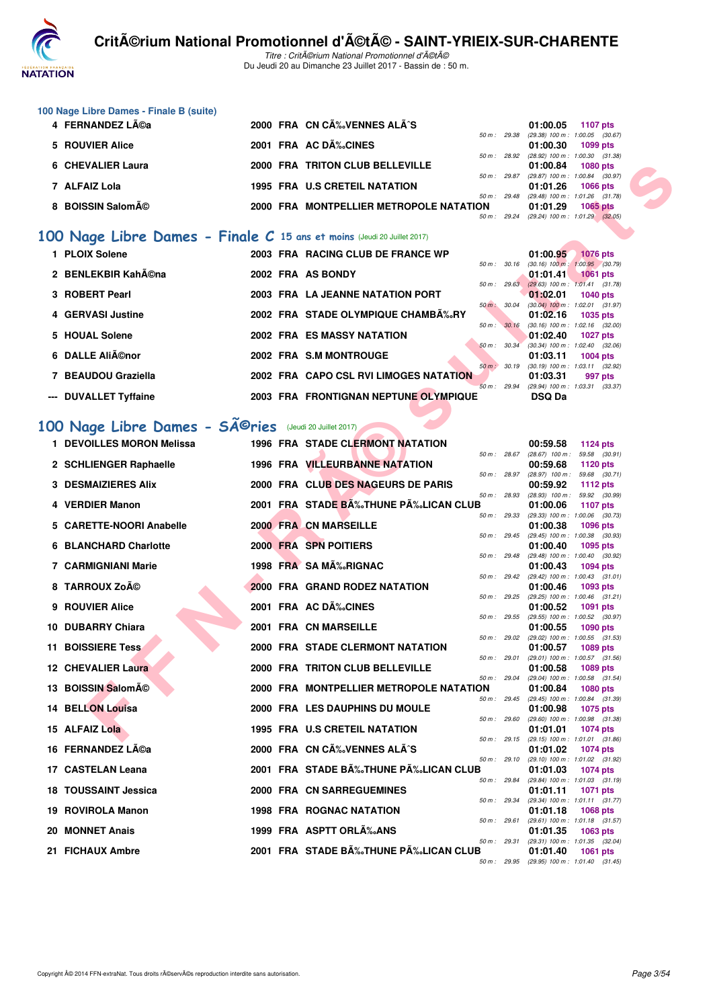

Titre : CritA©rium National Promotionnel d'A©tA© Du Jeudi 20 au Dimanche 23 Juillet 2017 - Bassin de : 50 m.

| 100 Nage Libre Dames - Finale B (suite) |  |
|-----------------------------------------|--|
|                                         |  |

| 4 FERNANDEZ LA©a  |  | 2000 FRA CN CA‰VENNES ALA^S             |  | 01:00.05 1107 pts                            |            |  |
|-------------------|--|-----------------------------------------|--|----------------------------------------------|------------|--|
|                   |  |                                         |  | 50 m: 29.38 (29.38) 100 m: 1:00.05 (30.67)   |            |  |
| 5 ROUVIER Alice   |  | 2001 FRA AC DÉCINES                     |  | 01:00.30 1099 pts                            |            |  |
|                   |  |                                         |  | 50 m: 28.92 (28.92) 100 m: 1:00.30 (31.38)   |            |  |
| 6 CHEVALIER Laura |  | 2000 FRA TRITON CLUB BELLEVILLE         |  | $01:00.84$ 1080 pts                          |            |  |
|                   |  |                                         |  | 50 m : 29.87 (29.87) 100 m : 1:00.84 (30.97) |            |  |
| 7 ALFAIZ Lola     |  | <b>1995 FRA U.S CRETEIL NATATION</b>    |  | $01:01.26$ 1066 pts                          |            |  |
|                   |  |                                         |  | 50 m: 29.48 (29.48) 100 m: 1:01.26 (31.78)   |            |  |
| 8 BOISSIN Salomé  |  | 2000 FRA MONTPELLIER METROPOLE NATATION |  | 01:01.29                                     | $1065$ pts |  |
|                   |  |                                         |  | 50 m : 29.24 (29.24) 100 m : 1:01.29 (32.05) |            |  |

## **[100 Nage Libre Dames - Finale C](http://www.ffnatation.fr/webffn/resultats.php?idact=nat&go=epr&idcpt=47489&idepr=2) 15 ans et moins** (Jeudi 20 Juillet 2017)

| 1 PLOIX Solene        |  | 2003 FRA RACING CLUB DE FRANCE WP      |                        | 01:00.95                            | <b>1076 pts</b> |  |
|-----------------------|--|----------------------------------------|------------------------|-------------------------------------|-----------------|--|
|                       |  |                                        | $50 m$ : $30.16$       | $(30.16)$ 100 m : 1:00.95 $(30.79)$ |                 |  |
| 2 BENLEKBIR Kah©na    |  | 2002 FRA AS BONDY                      |                        | 01:01.41                            | $1061$ pts      |  |
|                       |  |                                        | 50 m: 29.63            | $(29.63)$ 100 m : 1:01.41 $(31.78)$ |                 |  |
| 3 ROBERT Pearl        |  | 2003 FRA LA JEANNE NATATION PORT       |                        | 01:02.01                            | $1040$ pts      |  |
|                       |  |                                        | $50 \text{ m}$ : 30.04 | $(30.04)$ 100 m : 1:02.01 $(31.97)$ |                 |  |
| 4 GERVASI Justine     |  | 2002 FRA STADE OLYMPIQUE CHAMB‰RY      |                        | 01:02.16                            | 1035 pts        |  |
|                       |  |                                        | 50 m: 30.16            | $(30.16)$ 100 m : 1:02.16 $(32.00)$ |                 |  |
| 5 HOUAL Solene        |  | <b>2002 FRA ES MASSY NATATION</b>      |                        | 01:02.40                            | <b>1027 pts</b> |  |
|                       |  |                                        | 50 m: 30.34            | $(30.34)$ 100 m : 1:02.40 $(32.06)$ |                 |  |
| 6 DALLE Aliénor       |  | 2002 FRA S.M MONTROUGE                 |                        | 01:03.11                            | 1004 $pts$      |  |
|                       |  |                                        | 50 m : 30.19           | $(30.19)$ 100 m : 1:03.11 $(32.92)$ |                 |  |
| 7 BEAUDOU Graziella   |  | 2002 FRA CAPO CSL RVI LIMOGES NATATION |                        | 01:03.31                            | 997 pts         |  |
|                       |  |                                        | 50 m: 29.94            | (29.94) 100 m: 1:03.31 (33.37)      |                 |  |
| --- DUVALLET Tyffaine |  | 2003 FRA FRONTIGNAN NEPTUNE OLYMPIQUE  |                        | <b>DSQ Da</b>                       |                 |  |
|                       |  |                                        |                        |                                     |                 |  |

# 100 Nage Libre Dames - SÃ<sup>©</sup>ries (Jeudi 20 Juillet 2017)

| 6 CHEVALIER Laura                                                      |  | 2000 FRA TRITON CLUB BELLEVILLE         |              | 01:00.84                                                          | <b>1080 pts</b>                                        |  |
|------------------------------------------------------------------------|--|-----------------------------------------|--------------|-------------------------------------------------------------------|--------------------------------------------------------|--|
| 7 ALFAIZ Lola                                                          |  | 1995 FRA U.S CRETEIL NATATION           | 50 m : 29.87 | (29.87) 100 m : 1:00.84 (30.97)<br>01:01.26                       | <b>1066 pts</b>                                        |  |
| 8 BOISSIN Salomé                                                       |  | 2000 FRA MONTPELLIER METROPOLE NATATION | 50 m : 29.48 | 01:01.29                                                          | (29.48) 100 m: 1:01.26 (31.78)<br>1065 pts             |  |
|                                                                        |  |                                         | 50 m : 29.24 | $(29.24)$ 100 m : 1:01.29 $(32.05)$                               |                                                        |  |
| 00 Nage Libre Dames - Finale C 15 ans et moins (Jeudi 20 Juillet 2017) |  |                                         |              |                                                                   |                                                        |  |
| 1 PLOIX Solene                                                         |  | 2003 FRA RACING CLUB DE FRANCE WP       |              | 01:00.95                                                          | <b>1076 pts</b>                                        |  |
| 2 BENLEKBIR KahA©na                                                    |  | 2002 FRA AS BONDY                       |              | 50 m : 30.16 (30.16) 100 m : 1:00.95 (30.79)<br>01:01.41          | <b>1061 pts</b>                                        |  |
| 3 ROBERT Pearl                                                         |  | 2003 FRA LA JEANNE NATATION PORT        |              | 50 m: 29.63 (29.63) 100 m: 1:01.41 (31.78)<br>01:02.01            |                                                        |  |
|                                                                        |  |                                         | 50 m : 30.04 |                                                                   | <b>1040 pts</b><br>$(30.04)$ 100 m : 1:02.01 $(31.97)$ |  |
| 4 GERVASI Justine                                                      |  | 2002 FRA STADE OLYMPIQUE CHAMB‰RY       | 50 m : 30.16 | 01:02.16                                                          | <b>1035 pts</b><br>$(30.16)$ 100 m : 1:02.16 $(32.00)$ |  |
| 5 HOUAL Solene                                                         |  | 2002 FRA ES MASSY NATATION              | 50 m : 30.34 | 01:02.40                                                          | <b>1027 pts</b><br>$(30.34)$ 100 m : 1:02.40 $(32.06)$ |  |
| 6 DALLE Aliénor                                                        |  | 2002 FRA S.M MONTROUGE                  |              | 01:03.11                                                          | <b>1004 pts</b>                                        |  |
| 7 BEAUDOU Graziella                                                    |  | 2002 FRA CAPO CSL RVI LIMOGES NATATION  | 50 m : 30.19 | 01:03.31                                                          | $(30.19)$ 100 m : 1:03.11 $(32.92)$<br>997 pts         |  |
| --- DUVALLET Tyffaine                                                  |  | 2003 FRA FRONTIGNAN NEPTUNE OLYMPIQUE   | 50 m: 29.94  | (29.94) 100 m: 1:03.31 (33.37)<br><b>DSQ Da</b>                   |                                                        |  |
|                                                                        |  |                                         |              |                                                                   |                                                        |  |
| 00 Nage Libre Dames - SÃ <sup>@</sup> ries (Jeudi 20 Juillet 2017)     |  |                                         |              |                                                                   |                                                        |  |
| 1 DEVOILLES MORON Melissa                                              |  | <b>1996 FRA STADE CLERMONT NATATION</b> |              | 00:59.58                                                          | <b>1124 pts</b>                                        |  |
| 2 SCHLIENGER Raphaelle                                                 |  | 1996 FRA VILLEURBANNE NATATION          |              | 50 m: 28.67 (28.67) 100 m: 59.58 (30.91)<br>00:59.68              | 1120 pts                                               |  |
|                                                                        |  |                                         | 50 m : 28.97 | $(28.97)$ 100 m : 59.68 $(30.71)$                                 |                                                        |  |
| <b>3 DESMAIZIERES Alix</b>                                             |  | 2000 FRA CLUB DES NAGEURS DE PARIS      | 50 m : 28.93 | 00:59.92<br>(28.93) 100 m : 59.92 (30.99)                         | 1112 pts                                               |  |
| 4 VERDIER Manon                                                        |  | 2001 FRA STADE BA‰THUNE PA‰LICAN CLUB   | 50 m: 29.33  | 01:00.06<br>(29.33) 100 m : 1:00.06 (30.73)                       | <b>1107 pts</b>                                        |  |
| 5 CARETTE-NOORI Anabelle                                               |  | <b>2000 FRA CN MARSEILLE</b>            |              | 01:00.38                                                          | 1096 pts                                               |  |
| <b>6 BLANCHARD Charlotte</b>                                           |  | 2000 FRA SPN POITIERS                   |              | 50 m: 29.45 (29.45) 100 m: 1:00.38 (30.93)<br>01:00.40            | 1095 pts                                               |  |
| 7 CARMIGNIANI Marie                                                    |  | 1998 FRA SA MA‰RIGNAC                   | 50 m : 29.48 | 01:00.43                                                          | (29.48) 100 m : 1:00.40 (30.92)<br><b>1094 pts</b>     |  |
| 8 TARROUX Zoé                                                          |  | 2000 FRA GRAND RODEZ NATATION           | 50 m : 29.42 |                                                                   | (29.42) 100 m: 1:00.43 (31.01)                         |  |
|                                                                        |  |                                         | 50 m: 29.25  | 01:00.46                                                          | 1093 pts<br>(29.25) 100 m: 1:00.46 (31.21)             |  |
| 9 ROUVIER Alice                                                        |  | 2001 FRA AC DÉCINES                     | 50 m : 29.55 | 01:00.52<br>(29.55) 100 m : 1:00.52 (30.97)                       | 1091 pts                                               |  |
| 10 DUBARRY Chiara                                                      |  | 2001 FRA CN MARSEILLE                   |              | 01:00.55                                                          | <b>1090 pts</b>                                        |  |
| <b>11 BOISSIERE Tess</b>                                               |  | 2000 FRA STADE CLERMONT NATATION        | 50 m: 29.02  | 01:00.57                                                          | $(29.02)$ 100 m : 1:00.55 $(31.53)$<br>1089 pts        |  |
| <b>12 CHEVALIER Laura</b>                                              |  | <b>2000 FRA TRITON CLUB BELLEVILLE</b>  | 50 m: 29.01  | 01:00.58                                                          | (29.01) 100 m: 1:00.57 (31.56)<br>1089 pts             |  |
| 13 BOISSIN Salomé                                                      |  | 2000 FRA MONTPELLIER METROPOLE NATATION | 50 m : 29.04 | 01:00.84                                                          | (29.04) 100 m: 1:00.58 (31.54)<br>1080 pts             |  |
|                                                                        |  |                                         |              | 50 m: 29.45 (29.45) 100 m: 1:00.84 (31.39)                        |                                                        |  |
| <b>14 BELLON Louisa</b>                                                |  | 2000 FRA LES DAUPHINS DU MOULE          |              | 01:00.98 1075 pts<br>50 m : 29.60 (29.60) 100 m : 1:00.98 (31.38) |                                                        |  |
| 15 ALFAIZ Lola                                                         |  | <b>1995 FRA U.S CRETEIL NATATION</b>    |              | 01:01.01<br>50 m: 29.15 (29.15) 100 m: 1:01.01 (31.86)            | 1074 pts                                               |  |
| 16 FERNANDEZ Léa                                                       |  | 2000 FRA CN CÉVENNES ALÃ^S              |              | 01:01.02                                                          | 1074 pts                                               |  |
| 17 CASTELAN Leana                                                      |  | 2001 FRA STADE B‰THUNE PÉLICAN CLUB     |              | 50 m: 29.10 (29.10) 100 m: 1:01.02 (31.92)<br>01:01.03            | 1074 pts                                               |  |
| <b>18 TOUSSAINT Jessica</b>                                            |  | 2000 FRA CN SARREGUEMINES               |              | 50 m : 29.84 (29.84) 100 m : 1:01.03 (31.19)<br>01:01.11          | <b>1071 pts</b>                                        |  |
|                                                                        |  |                                         | 50 m : 29.34 | (29.34) 100 m: 1:01.11 (31.77)                                    |                                                        |  |
| 19 ROVIROLA Manon                                                      |  | <b>1998 FRA ROGNAC NATATION</b>         | 50 m : 29.61 | 01:01.18                                                          | 1068 pts<br>(29.61) 100 m: 1:01.18 (31.57)             |  |
| 20 MONNET Anais                                                        |  | 1999 FRA ASPTT ORL‰ANS                  | 50 m : 29.31 | 01:01.35                                                          | 1063 pts<br>(29.31) 100 m: 1:01.35 (32.04)             |  |
| 21 FICHAUX Ambre                                                       |  | 2001 FRA STADE BÉTHUNE PÉLICAN CLUB     |              | 01:01.40                                                          | <b>1061 pts</b>                                        |  |
|                                                                        |  |                                         |              | 50 m: 29.95 (29.95) 100 m: 1:01.40 (31.45)                        |                                                        |  |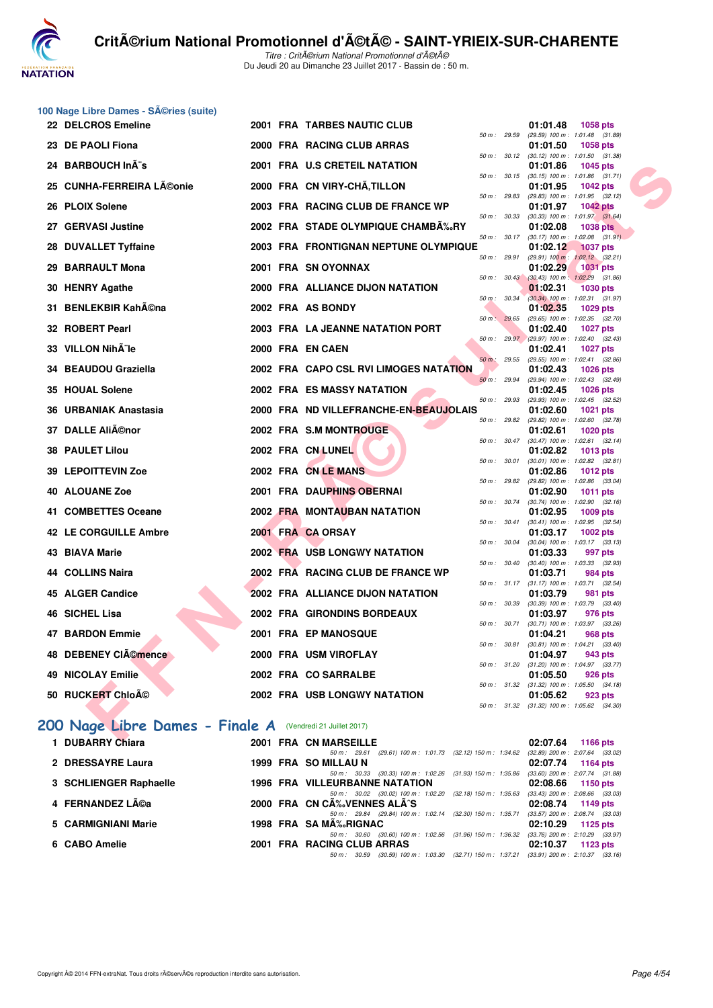

Titre : CritA©rium National Promotionnel d'A©tA© Du Jeudi 20 au Dimanche 23 Juillet 2017 - Bassin de : 50 m.

|     | 100 Nage Libre Dames - SA©ries (suite)<br>22 DELCROS Emeline |  | <b>2001 FRA TARBES NAUTIC CLUB</b>                                                                                         |              |              | 01:01.48<br><b>1058 pts</b>                                                 |
|-----|--------------------------------------------------------------|--|----------------------------------------------------------------------------------------------------------------------------|--------------|--------------|-----------------------------------------------------------------------------|
|     |                                                              |  |                                                                                                                            | 50 m : 29.59 |              | (29.59) 100 m: 1:01.48 (31.89)                                              |
| 23. | <b>DE PAOLI Fiona</b>                                        |  | 2000 FRA RACING CLUB ARRAS                                                                                                 | 50 m: 30.12  |              | 01:01.50<br>1058 pts<br>$(30.12)$ 100 m : 1:01.50 $(31.38)$                 |
|     | 24 BARBOUCH InA"s                                            |  | 2001 FRA U.S CRETEIL NATATION                                                                                              | 50 m : 30.15 |              | 01:01.86<br>1045 pts<br>$(30.15)$ 100 m : 1:01.86 $(31.71)$                 |
| 25  | <b>CUNHA-FERREIRA Léonie</b>                                 |  | 2000 FRA CN VIRY-CHÂ, TILLON                                                                                               | 50 m : 29.83 |              | 01:01.95<br><b>1042 pts</b><br>(29.83) 100 m: 1:01.95 (32.12)               |
| 26  | <b>PLOIX Solene</b>                                          |  | 2003 FRA RACING CLUB DE FRANCE WP                                                                                          |              |              | 01:01.97<br><b>1042 pts</b>                                                 |
|     | 27 GERVASI Justine                                           |  | 2002 FRA STADE OLYMPIQUE CHAMBÉRY                                                                                          | 50 m: 30.33  |              | $(30.33)$ 100 m : 1:01.97 $(31.64)$<br>01:02.08<br><b>1038 pts</b>          |
|     | 28 DUVALLET Tyffaine                                         |  | 2003 FRA FRONTIGNAN NEPTUNE OLYMPIQUE                                                                                      | 50 m: 30.17  |              | $(30.17)$ 100 m : 1:02.08 $(31.91)$<br>01:02.12<br><b>1037 pts</b>          |
|     | 29 BARRAULT Mona                                             |  | 2001 FRA SN OYONNAX                                                                                                        | 50 m: 29.91  |              | $(29.91)$ 100 m : 1:02.12 $(32.21)$<br>01:02.29<br><b>1031 pts</b>          |
|     | 30 HENRY Agathe                                              |  | 2000 FRA ALLIANCE DIJON NATATION                                                                                           |              | 50 m: 30.43  | $(30.43)$ 100 m : 1:02.29 $(31.86)$<br>01:02.31<br>1030 pts                 |
|     |                                                              |  |                                                                                                                            | 50 m : 30.34 |              | $(30.34)$ 100 m : 1:02.31 $(31.97)$                                         |
|     | 31 BENLEKBIR Kah©na                                          |  | 2002 FRA AS BONDY                                                                                                          | 50 m: 29.65  |              | 01:02.35<br>1029 pts<br>(29.65) 100 m: 1:02.35 (32.70)                      |
|     | 32 ROBERT Pearl                                              |  | 2003 FRA LA JEANNE NATATION PORT                                                                                           |              |              | 01:02.40<br>1027 pts                                                        |
| 33  | VILLON Nih le                                                |  | 2000 FRA EN CAEN                                                                                                           |              |              | 50 m : 29.97 (29.97) 100 m : 1:02.40 (32.43)<br>01:02.41<br><b>1027 pts</b> |
|     | 34 BEAUDOU Graziella                                         |  | 2002 FRA CAPO CSL RVI LIMOGES NATATION                                                                                     | 50 m : 29.55 |              | (29.55) 100 m: 1:02.41 (32.86)<br>01:02.43<br><b>1026 pts</b>               |
|     |                                                              |  |                                                                                                                            | 50 m: 29.94  |              | (29.94) 100 m: 1:02.43 (32.49)                                              |
| 35  | <b>HOUAL Solene</b>                                          |  | <b>2002 FRA ES MASSY NATATION</b>                                                                                          | 50 m: 29.93  |              | 01:02.45<br><b>1026 pts</b><br>(29.93) 100 m: 1:02.45 (32.52)               |
|     | <b>URBANIAK Anastasia</b>                                    |  | 2000 FRA ND VILLEFRANCHE-EN-BEAUJOLAIS                                                                                     |              |              | 01:02.60<br>1021 pts                                                        |
| 37. | <b>DALLE Aliénor</b>                                         |  | 2002 FRA S.M MONTROUGE                                                                                                     | 50 m: 29.82  |              | (29.82) 100 m : 1:02.60 (32.78)<br>01:02.61<br><b>1020 pts</b>              |
|     | <b>38 PAULET Lilou</b>                                       |  | 2002 FRA CN LUNEL                                                                                                          |              | 50 m : 30.47 | $(30.47)$ 100 m : 1:02.61 $(32.14)$<br>01:02.82<br>1013 pts                 |
| 39  | <b>LEPOITTEVIN Zoe</b>                                       |  | 2002 FRA CN LE MANS                                                                                                        | 50 m : 30.01 |              | $(30.01)$ 100 m : 1:02.82 $(32.81)$<br>01:02.86<br>1012 pts                 |
|     |                                                              |  |                                                                                                                            | 50 m: 29.82  |              | (29.82) 100 m : 1:02.86 (33.04)                                             |
|     | <b>40 ALOUANE Zoe</b>                                        |  | 2001 FRA DAUPHINS OBERNAI                                                                                                  | 50 m : 30.74 |              | 01:02.90<br>1011 pts<br>$(30.74)$ 100 m : 1:02.90 $(32.16)$                 |
|     | 41 COMBETTES Oceane                                          |  | <b>2002 FRA MONTAUBAN NATATION</b>                                                                                         | 50 m: 30.41  |              | 01:02.95<br>1009 pts<br>$(30.41)$ 100 m : 1:02.95 $(32.54)$                 |
|     | 42 LE CORGUILLE Ambre                                        |  | 2001 FRA CA ORSAY                                                                                                          |              |              | 01:03.17<br>1002 pts                                                        |
|     | 43 BIAVA Marie                                               |  | <b>2002 FRA USB LONGWY NATATION</b>                                                                                        | 50 m : 30.04 |              | $(30.04)$ 100 m : 1:03.17 $(33.13)$<br>01:03.33<br>997 pts                  |
|     |                                                              |  | 2002 FRA RACING CLUB DE FRANCE WP                                                                                          | 50 m : 30.40 |              | $(30.40)$ 100 m : 1:03.33 $(32.93)$<br>01:03.71                             |
| 44  | <b>COLLINS Naira</b>                                         |  |                                                                                                                            |              |              | 984 pts<br>50 m: 31.17 (31.17) 100 m: 1:03.71 (32.54)                       |
|     | 45 ALGER Candice                                             |  | <b>2002 FRA ALLIANCE DIJON NATATION</b>                                                                                    | 50 m : 30.39 |              | 01:03.79<br>981 pts<br>$(30.39)$ 100 m : 1:03.79 $(33.40)$                  |
|     | 46 SICHEL Lisa                                               |  | 2002 FRA GIRONDINS BORDEAUX                                                                                                |              |              | 01:03.97<br>976 pts                                                         |
|     | 47 BARDON Emmie                                              |  | <b>2001 FRA EP MANOSQUE</b>                                                                                                | 50 m : 30.71 |              | $(30.71)$ 100 m : 1:03.97 $(33.26)$<br>01:04.21<br>968 pts                  |
|     |                                                              |  |                                                                                                                            |              |              | 50 m: 30.81 (30.81) 100 m: 1:04.21 (33.40)                                  |
|     | 48 DEBENEY CIémence                                          |  | 2000 FRA USM VIROFLAY                                                                                                      |              |              | 01:04.97<br>943 pts<br>50 m: 31.20 (31.20) 100 m: 1:04.97 (33.77)           |
|     | 49 NICOLAY Emilie                                            |  | 2002 FRA CO SARRALBE                                                                                                       |              |              | 01:05.50<br>926 pts<br>50 m: 31.32 (31.32) 100 m: 1:05.50 (34.18)           |
|     | 50 RUCKERT Chloé                                             |  | <b>2002 FRA USB LONGWY NATATION</b>                                                                                        |              |              | 01:05.62<br>923 pts                                                         |
|     |                                                              |  |                                                                                                                            |              |              | 50 m: 31.32 (31.32) 100 m: 1:05.62 (34.30)                                  |
|     | 200 Nage Libre Dames - Finale A (Vendredi 21 Juillet 2017)   |  |                                                                                                                            |              |              |                                                                             |
|     | 1 DUBARRY Chiara                                             |  | 2001 FRA CN MARSEILLE<br>50 m: 29.61 (29.61) 100 m: 1:01.73 (32.12) 150 m: 1:34.62 (32.89) 200 m: 2:07.64 (33.02)          |              |              | 02:07.64<br><b>1166 pts</b>                                                 |
|     | 2 DRESSAYRE Laura                                            |  | 1999 FRA SO MILLAU N                                                                                                       |              |              | 02:07.74<br>1164 pts                                                        |
|     | 3 SCHI IENGER Ranhaelle                                      |  | 50 m: 30.33 (30.33) 100 m: 1:02.26 (31.93) 150 m: 1:35.86 (33.60) 200 m: 2:07.74 (31.88)<br>1996 FRA VILLEHRRANNE NATATION |              |              | $02.08$ $66$ $1150$ nte                                                     |

| 50 m: 30.33 (30.33) 100 m: 1:02.26 (31.93) 150 m: 1:35.86 (33.60) 200 m: 2:07.74 (31.88)<br>3 SCHLIENGER Raphaelle<br><b>1996 FRA VILLEURBANNE NATATION</b><br>02:08.66 1150 pts<br>50 m: 30.02 (30.02) 100 m: 1:02.20 (32.18) 150 m: 1:35.63 (33.43) 200 m: 2:08.66 (33.03)<br>2000 FRA CN CÉVENNES ALÃ^S<br>4   FERNANDEZ Léa<br>02:08.74 1149 pts<br>50 m: 29.84 (29.84) 100 m: 1.02.14 (32.30) 150 m: 1.35.71 (33.57) 200 m: 2.08.74 (33.03)<br>5 CARMIGNIANI Marie<br>1998 FRA SAMA‰RIGNAC<br>$02:10.29$ 1125 pts<br>50 m : 30.60 (30.60) 100 m : 1:02.56 (31.96) 150 m : 1:36.32 (33.76) 200 m : 2:10.29 (33.97)<br>6 CABO Amelie<br>2001 FRA RACING CLUB ARRAS<br>$02:10.37$ 1123 pts<br>50 m: 30.59 (30.59) 100 m: 1:03.30 (32.71) 150 m: 1:37.21 (33.91) 200 m: 2:10.37 (33.16) | 2 DRESSAYRE Laura |  | 1999 FRA SO MILLAU N |  | 02:07.74 1164 pts |  |
|------------------------------------------------------------------------------------------------------------------------------------------------------------------------------------------------------------------------------------------------------------------------------------------------------------------------------------------------------------------------------------------------------------------------------------------------------------------------------------------------------------------------------------------------------------------------------------------------------------------------------------------------------------------------------------------------------------------------------------------------------------------------------------------|-------------------|--|----------------------|--|-------------------|--|
|                                                                                                                                                                                                                                                                                                                                                                                                                                                                                                                                                                                                                                                                                                                                                                                          |                   |  |                      |  |                   |  |
|                                                                                                                                                                                                                                                                                                                                                                                                                                                                                                                                                                                                                                                                                                                                                                                          |                   |  |                      |  |                   |  |
|                                                                                                                                                                                                                                                                                                                                                                                                                                                                                                                                                                                                                                                                                                                                                                                          |                   |  |                      |  |                   |  |
|                                                                                                                                                                                                                                                                                                                                                                                                                                                                                                                                                                                                                                                                                                                                                                                          |                   |  |                      |  |                   |  |
|                                                                                                                                                                                                                                                                                                                                                                                                                                                                                                                                                                                                                                                                                                                                                                                          |                   |  |                      |  |                   |  |
|                                                                                                                                                                                                                                                                                                                                                                                                                                                                                                                                                                                                                                                                                                                                                                                          |                   |  |                      |  |                   |  |
|                                                                                                                                                                                                                                                                                                                                                                                                                                                                                                                                                                                                                                                                                                                                                                                          |                   |  |                      |  |                   |  |
|                                                                                                                                                                                                                                                                                                                                                                                                                                                                                                                                                                                                                                                                                                                                                                                          |                   |  |                      |  |                   |  |
|                                                                                                                                                                                                                                                                                                                                                                                                                                                                                                                                                                                                                                                                                                                                                                                          |                   |  |                      |  |                   |  |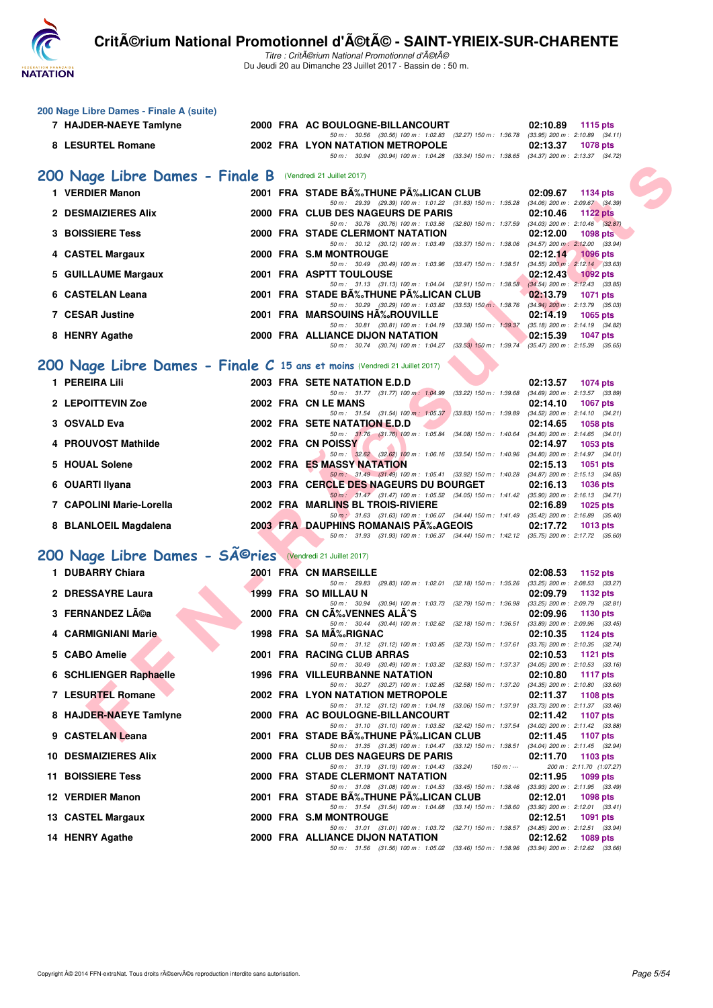

Titre : CritA©rium National Promotionnel d'A©tA© Du Jeudi 20 au Dimanche 23 Juillet 2017 - Bassin de : 50 m.

|     | 200 Nage Libre Dames - Finale A (suite)                                    |  |                                                                                                                                    |                                                                    |
|-----|----------------------------------------------------------------------------|--|------------------------------------------------------------------------------------------------------------------------------------|--------------------------------------------------------------------|
|     | 7 HAJDER-NAEYE Tamlyne                                                     |  | 2000 FRA AC BOULOGNE-BILLANCOURT                                                                                                   | 02:10.89<br>1115 pts                                               |
|     | 8 LESURTEL Romane                                                          |  | 50 m: 30.56 (30.56) 100 m: 1:02.83 (32.27) 150 m: 1:36.78 (33.95) 200 m: 2:10.89 (34.11)<br>2002 FRA LYON NATATION METROPOLE       | 02:13.37<br><b>1078 pts</b>                                        |
|     |                                                                            |  | 50 m: 30.94 (30.94) 100 m: 1:04.28 (33.34) 150 m: 1:38.65 (34.37) 200 m: 2:13.37 (34.72)                                           |                                                                    |
|     | 200 Nage Libre Dames - Finale B (Vendredi 21 Juillet 2017)                 |  |                                                                                                                                    |                                                                    |
|     | 1 VERDIER Manon                                                            |  | 2001 FRA STADE BÉTHUNE PÉLICAN CLUB                                                                                                | 02:09.67<br>1134 pts                                               |
|     | 2 DESMAIZIERES Alix                                                        |  | 50 m: 29.39 (29.39) 100 m: 1:01.22 (31.83) 150 m: 1:35.28 (34.06) 200 m: 2:09.67 (34.39)<br>2000 FRA CLUB DES NAGEURS DE PARIS     | 02:10.46<br><b>1122 pts</b>                                        |
|     | <b>3 BOISSIERE Tess</b>                                                    |  | 50 m: 30.76 (30.76) 100 m: 1:03.56 (32.80) 150 m: 1:37.59 (34.03) 200 m: 2:10.46 (32.87)<br>2000 FRA STADE CLERMONT NATATION       | 02:12.00<br><b>1098 pts</b>                                        |
|     |                                                                            |  | 50 m: 30.12 (30.12) 100 m: 1:03.49 (33.37) 150 m: 1:38.06 (34.57) 200 m: 2:12.00 (33.94)                                           |                                                                    |
|     | 4 CASTEL Margaux                                                           |  | 2000 FRA S.M MONTROUGE<br>50 m: 30.49 (30.49) 100 m: 1:03.96 (33.47) 150 m: 1:38.51 (34.55) 200 m: 2:12.14 (33.63)                 | 02:12.14<br><b>1096 pts</b>                                        |
|     | 5 GUILLAUME Margaux                                                        |  | 2001 FRA ASPTT TOULOUSE<br>50 m: 31.13 (31.13) 100 m: 1:04.04 (32.91) 150 m: 1:38.58 (34.54) 200 m: 2:12.43 (33.85)                | 02:12.43<br>$1092$ pts                                             |
|     | 6 CASTELAN Leana                                                           |  | 2001 FRA STADE B‰THUNE P‰LICAN CLUB                                                                                                | 02:13.79<br><b>1071 pts</b>                                        |
|     | 7 CESAR Justine                                                            |  | 50 m: 30.29 (30.29) 100 m: 1:03.82 (33.53) 150 m: 1:38.76 (34.94) 200 m: 2:13.79 (35.03)<br>2001 FRA MARSOUINS HA%.ROUVILLE        | 02:14.19<br><b>1065 pts</b>                                        |
|     |                                                                            |  | 50 m: 30.81 (30.81) 100 m: 1:04.19 (33.38) 150 m: 1:39.37 (35.18) 200 m: 2:14.19 (34.82)                                           |                                                                    |
|     | 8 HENRY Agathe                                                             |  | 2000 FRA ALLIANCE DIJON NATATION<br>50 m: 30.74 (30.74) 100 m: 1:04.27 (33.53) 150 m: 1:39.74 (35.47) 200 m: 2:15.39 (35.65)       | 02:15.39<br><b>1047 pts</b>                                        |
|     | 200 Nage Libre Dames - Finale C 15 ans et moins (Vendredi 21 Juillet 2017) |  |                                                                                                                                    |                                                                    |
|     | 1 PEREIRA Lili                                                             |  | 2003 FRA SETE NATATION E.D.D                                                                                                       | 02:13.57<br><b>1074 pts</b>                                        |
|     |                                                                            |  | 50 m: 31.77 (31.77) 100 m: 1:04.99 (33.22) 150 m: 1:39.68 (34.69) 200 m: 2:13.57 (33.89)                                           |                                                                    |
|     | 2 LEPOITTEVIN Zoe                                                          |  | 2002 FRA CN LE MANS<br>50 m: 31.54 (31.54) 100 m: 1.05.37 (33.83) 150 m: 1.39.89 (34.52) 200 m: 2.14.10 (34.21)                    | 02:14.10<br><b>1067 pts</b>                                        |
|     | 3 OSVALD Eva                                                               |  | 2002 FRA SETE NATATION E.D.D<br>50 m: 31.76 (31.76) 100 m: 1:05.84 (34.08) 150 m: 1:40.64 (34.80) 200 m: 2:14.65 (34.01)           | 02:14.65<br><b>1058 pts</b>                                        |
|     | 4 PROUVOST Mathilde                                                        |  | 2002 FRA CN POISSY                                                                                                                 | 02:14.97<br>1053 pts                                               |
|     | 5 HOUAL Solene                                                             |  | 50 m: 32.62 (32.62) 100 m: 1:06.16 (33.54) 150 m: 1:40.96 (34.80) 200 m: 2:14.97 (34.01)<br>2002 FRA ES MASSY NATATION             | 02:15.13<br><b>1051 pts</b>                                        |
|     |                                                                            |  | 50 m : 31.49 (31.49) 100 m : 1:05.41 (33.92) 150 m : 1:40.28 (34.87) 200 m : 2:15.13 (34.85)                                       |                                                                    |
|     | 6 OUARTI Ilyana                                                            |  | 2003 FRA CERCLE DES NAGEURS DU BOURGET<br>50 m: 31.47 (31.47) 100 m: 1:05.52 (34.05) 150 m: 1:41.42 (35.90) 200 m: 2:16.13 (34.71) | 02:16.13<br>1036 pts                                               |
|     | 7 CAPOLINI Marie-Lorella                                                   |  | 2002 FRA MARLINS BL TROIS-RIVIERE<br>50 m : 31.63 (31.63) 100 m : 1:06.07 (34.44) 150 m : 1:41.49 (35.42) 200 m : 2:16.89 (35.40)  | 02:16.89<br>1025 pts                                               |
|     | 8 BLANLOEIL Magdalena                                                      |  | <b>2003 FRA DAUPHINS ROMANAIS PA%AGEOIS</b>                                                                                        | 02:17.72<br>1013 pts                                               |
|     |                                                                            |  | 50 m: 31.93 (31.93) 100 m: 1:06.37 (34.44) 150 m: 1:42.12 (35.75) 200 m: 2:17.72 (35.60)                                           |                                                                    |
|     | 200 Nage Libre Dames - SÃ <sup>@</sup> ries (Vendredi 21 Juillet 2017)     |  |                                                                                                                                    |                                                                    |
|     | 1 DUBARRY Chiara                                                           |  | 2001 FRA CN MARSEILLE<br>50 m: 29.83 (29.83) 100 m: 1:02.01 (32.18) 150 m: 1:35.26 (33.25) 200 m: 2:08.53 (33.27)                  | 02:08.53<br>1152 pts                                               |
|     | 2 DRESSAYRE Laura                                                          |  | 1999 FRA SO MILLAU N                                                                                                               | 02:09.79<br>1132 pts                                               |
|     | 3 FERNANDEZ Léa                                                            |  | 50 m: 30.94 (30.94) 100 m: 1:03.73 (32.79) 150 m: 1:36.98 (33.25) 200 m: 2:09.79 (32.81)<br>2000 FRA CN CA‰VENNES ALA^S            | 02:09.96<br>1130 pts                                               |
|     | 4 CARMIGNIANI Marie                                                        |  | 50 m: 30.44 (30.44) 100 m: 1.02.62 (32.18) 150 m: 1.36.51 (33.89) 200 m: 2.09.96 (33.45)<br>1998 FRA SA MA‰RIGNAC                  | 02:10.35<br>1124 pts                                               |
|     |                                                                            |  | 50 m : 31.12 (31.12) 100 m : 1:03.85 (32.73) 150 m : 1:37.61 (33.76) 200 m : 2:10.35 (32.74)                                       |                                                                    |
|     | 5 CABO Amelie                                                              |  | 2001 FRA RACING CLUB ARRAS<br>50 m: 30.49 (30.49) 100 m: 1:03.32 (32.83) 150 m: 1:37.37 (34.05) 200 m: 2:10.53 (33.16)             | 02:10.53<br>1121 pts                                               |
|     | 6 SCHLIENGER Raphaelle                                                     |  | 1996 FRA VILLEURBANNE NATATION<br>50 m: 30.27 (30.27) 100 m: 1:02.85 (32.58) 150 m: 1:37.20                                        | 02:10.80<br><b>1117 pts</b><br>$(34.35)$ 200 m : 2:10.80 $(33.60)$ |
|     | 7 LESURTEL Romane                                                          |  | <b>2002 FRA LYON NATATION METROPOLE</b>                                                                                            | 02:11.37<br><b>1108 pts</b>                                        |
|     | 8 HAJDER-NAEYE Tamlyne                                                     |  | 50 m: 31.12 (31.12) 100 m: 1:04.18 (33.06) 150 m: 1:37.91<br>2000 FRA AC BOULOGNE-BILLANCOURT                                      | $(33.73)$ 200 m : 2:11.37 $(33.46)$<br>02:11.42<br>1107 pts        |
|     | 9 CASTELAN Leana                                                           |  | 50 m: 31.10 (31.10) 100 m: 1:03.52 (32.42) 150 m: 1:37.54 (34.02) 200 m: 2:11.42 (33.88)<br>2001 FRA STADE BĉTHUNE PĉLICAN CLUB    | 02:11.45<br>1107 pts                                               |
|     |                                                                            |  | 50 m : 31.35 (31.35) 100 m : 1:04.47 (33.12) 150 m : 1:38.51 (34.04) 200 m : 2:11.45 (32.94)                                       |                                                                    |
| 10. | <b>DESMAIZIERES Alix</b>                                                   |  | 2000 FRA CLUB DES NAGEURS DE PARIS<br>50 m: 31.19 (31.19) 100 m: 1:04.43 (33.24)<br>$150 m: -$                                     | 02:11.70<br>1103 pts<br>200 m: 2:11.70 (1:07.27)                   |
|     | <b>11 BOISSIERE Tess</b>                                                   |  | 2000 FRA STADE CLERMONT NATATION<br>50 m: 31.08 (31.08) 100 m: 1:04.53 (33.45) 150 m: 1:38.46 (33.93) 200 m: 2:11.95 (33.49)       | 02:11.95<br>1099 pts                                               |
|     | 12 VERDIER Manon                                                           |  | 2001 FRA STADE BĉTHUNE PĉLICAN CLUB                                                                                                | 02:12.01<br>1098 pts                                               |
|     | 13 CASTEL Margaux                                                          |  | 50 m: 31.54 (31.54) 100 m: 1:04.68 (33.14) 150 m: 1:38.60<br>2000 FRA S.M MONTROUGE                                                | $(33.92)$ 200 m : 2:12.01 $(33.41)$<br>02:12.51<br>1091 pts        |
|     |                                                                            |  | 50 m: 31.01 (31.01) 100 m: 1:03.72 (32.71) 150 m: 1:38.57                                                                          | $(34.85)$ 200 m : 2:12.51 $(33.94)$                                |
|     | 14 HENRY Agathe                                                            |  | 2000 FRA ALLIANCE DIJON NATATION<br>50 m: 31.56 (31.56) 100 m: 1:05.02 (33.46) 150 m: 1:38.96 (33.94) 200 m: 2:12.62 (33.66)       | 02:12.62<br>1089 pts                                               |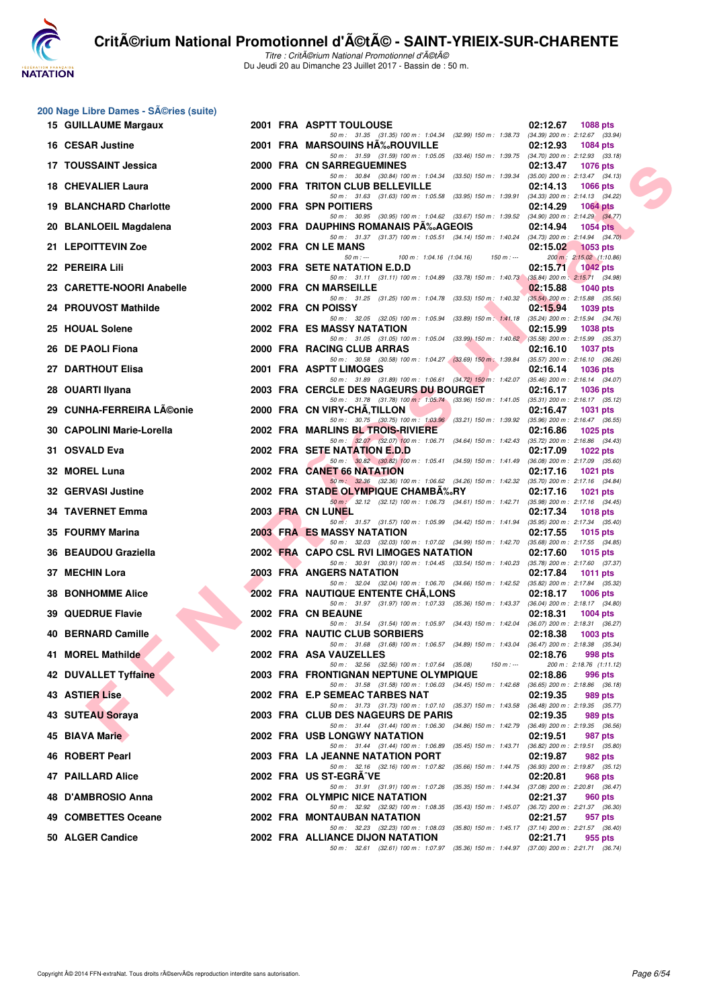

Titre : CritA©rium National Promotionnel d'A©tA© Du Jeudi 20 au Dimanche 23 Juillet 2017 - Bassin de : 50 m.

# **200 Nage Libre Dames - Séries (suite)**<br>15. CUIU LAUME Margaux

| 15 GUILLAUME Margaux      |  | 2001 FRA ASPTT TOULOUSE                                                                                                                | 02:12.67 1088 pts                                          |
|---------------------------|--|----------------------------------------------------------------------------------------------------------------------------------------|------------------------------------------------------------|
| 16 CESAR Justine          |  | 50 m: 31.35 (31.35) 100 m: 1:04.34 (32.99) 150 m: 1:38.73 (34.39) 200 m: 2:12.67 (33.94)<br>2001 FRA MARSOUINS HA%ROUVILLE             | 02:12.93<br>1084 pts                                       |
| 17 TOUSSAINT Jessica      |  | 50 m: 31.59 (31.59) 100 m: 1:05.05 (33.46) 150 m: 1:39.75 (34.70) 200 m: 2:12.93 (33.18)<br>2000 FRA CN SARREGUEMINES                  | 02:13.47<br>1076 pts                                       |
| 18 CHEVALIER Laura        |  | 50 m: 30.84 (30.84) 100 m: 1:04.34 (33.50) 150 m: 1:39.34 (35.00) 200 m: 2:13.47 (34.13)<br>2000 FRA TRITON CLUB BELLEVILLE            | 02:14.13<br>1066 pts                                       |
| 19 BLANCHARD Charlotte    |  | 50 m: 31.63 (31.63) 100 m: 1:05.58 (33.95) 150 m: 1:39.91 (34.33) 200 m: 2:14.13 (34.22)<br>2000 FRA SPN POITIERS                      | 02:14.29<br>1064 pts                                       |
| 20 BLANLOEIL Magdalena    |  | 50 m: 30.95 (30.95) 100 m: 1:04.62 (33.67) 150 m: 1:39.52 (34.90) 200 m: 2:14.29 (34.77)<br>2003 FRA DAUPHINS ROMANAIS PA‰AGEOIS       | 02:14.94<br>1054 pts                                       |
| 21 LEPOITTEVIN Zoe        |  | 50 m: 31.37 (31.37) 100 m: 1:05.51 (34.14) 150 m: 1:40.24 (34.73) 200 m: 2:14.94 (34.70)<br>2002 FRA CN LE MANS                        | 02:15.02<br>$1053$ pts                                     |
| 22 PEREIRA Lili           |  | 100 m : 1:04.16 (1:04.16) 150 m : ---<br>$50 m : -$<br>2003 FRA SETE NATATION E.D.D                                                    | 200 m: 2:15.02 (1:10.86)<br>02:15.71<br><b>1042 pts</b>    |
| 23 CARETTE-NOORI Anabelle |  | 50 m: 31.11 (31.11) 100 m: 1:04.89 (33.78) 150 m: 1:40.73 (35.84) 200 m: 2:15.71 (34.98)<br>2000 FRA CN MARSEILLE                      | 02:15.88<br>1040 pts                                       |
| 24 PROUVOST Mathilde      |  | 50 m: 31.25 (31.25) 100 m: 1:04.78 (33.53) 150 m: 1:40.32 (35.54) 200 m: 2:15.88 (35.56)<br>2002 FRA CN POISSY                         | 02:15.94<br>1039 pts                                       |
| 25 HOUAL Solene           |  | 50 m: 32.05 (32.05) 100 m: 1:05.94 (33.89) 150 m: 1:41.18 (35.24) 200 m: 2:15.94 (34.76)<br>2002 FRA ES MASSY NATATION                 | 02:15.99<br>1038 pts                                       |
| 26 DE PAOLI Fiona         |  | 50 m: 31.05 (31.05) 100 m: 1:05.04 (33.99) 150 m: 1:40.62 (35.58) 200 m: 2:15.99 (35.37)<br>2000 FRA RACING CLUB ARRAS                 | 02:16.10<br>1037 pts                                       |
| 27 DARTHOUT Elisa         |  | 50 m: 30.58 (30.58) 100 m: 1:04.27 (33.69) 150 m: 1:39.84 (35.57) 200 m: 2:16.10 (36.26)<br>2001 FRA ASPTT LIMOGES                     | 02:16.14<br>1036 pts                                       |
| 28 OUARTI Ilyana          |  | 50 m: 31.89 (31.89) 100 m: 1:06.61 (34.72) 150 m: 1:42.07 (35.46) 200 m: 2:16.14 (34.07)<br>2003 FRA CERCLE DES NAGEURS DU BOURGET     | 02:16.17<br>1036 pts                                       |
| 29 CUNHA-FERREIRA Léonie  |  | 50 m: 31.78 (31.78) 100 m: 1:05.74 (33.96) 150 m: 1:41.05 (35.31) 200 m: 2:16.17 (35.12)<br>2000 FRA CN VIRY-CHA, TILLON               | 02:16.47<br><b>1031 pts</b>                                |
| 30 CAPOLINI Marie-Lorella |  | 50 m: 30.75 (30.75) 100 m: 1:03.96 (33.21) 150 m: 1:39.92 (35.96) 200 m: 2:16.47 (36.55)<br>2002 FRA MARLINS BL TROIS-RIVIERE          | 02:16.86<br>1025 pts                                       |
| 31 OSVALD Eva             |  | 50 m: 32.07 (32.07) 100 m: 1:06.71 (34.64) 150 m: 1:42.43 (35.72) 200 m: 2:16.86 (34.43)<br>2002 FRA SETE NATATION E.D.D               | 02:17.09<br>1022 pts                                       |
| 32 MOREL Luna             |  | 50 m: 30.82 (30.82) 100 m: 1:05.41 (34.59) 150 m: 1:41.49 (36.08) 200 m: 2:17.09 (35.60)<br>2002 FRA CANET 66 NATATION                 | 02:17.16 1021 pts                                          |
| 32 GERVASI Justine        |  | 50 m: 32.36 (32.36) 100 m: 1:06.62 (34.26) 150 m: 1:42.32 (35.70) 200 m: 2:17.16 (34.84)<br>2002 FRA STADE OLYMPIQUE CHAMBA‰RY         | 02:17.16<br>1021 pts                                       |
| 34 TAVERNET Emma          |  | 50 m: 32.12 (32.12) 100 m: 1:06.73 (34.61) 150 m: 1:42.71 (35.98) 200 m: 2:17.16 (34.45)<br>2003 FRA CN LUNEL                          | 02:17.34<br>1018 pts                                       |
| 35 FOURMY Marina          |  | 50 m: 31.57 (31.57) 100 m: 1:05.99 (34.42) 150 m: 1:41.94 (35.95) 200 m: 2:17.34 (35.40)<br><b>2003 FRA ES MASSY NATATION</b>          | 02:17.55<br>1015 pts                                       |
| 36 BEAUDOU Graziella      |  | 50 m : 32.03 (32.03) 100 m : 1:07.02 (34.99) 150 m : 1:42.70 (35.68) 200 m : 2:17.55 (34.85)<br>2002 FRA CAPO CSL RVI LIMOGES NATATION | 02:17.60<br>1015 pts                                       |
| 37 MECHIN Lora            |  | 50 m: 30.91 (30.91) 100 m: 1:04.45 (33.54) 150 m: 1:40.23 (35.78) 200 m: 2:17.60 (37.37)<br>2003 FRA ANGERS NATATION                   | 02:17.84<br>1011 pts                                       |
| <b>38 BONHOMME Alice</b>  |  | 50 m: 32.04 (32.04) 100 m: 1:06.70 (34.66) 150 m: 1:42.52 (35.82) 200 m: 2:17.84 (35.32)<br><b>2002 FRA NAUTIQUE ENTENTE CHA,LONS</b>  | $02:18.17$ 1006 pts                                        |
| <b>39 QUEDRUE Flavie</b>  |  | 50 m: 31.97 (31.97) 100 m: 1:07.33 (35.36) 150 m: 1:43.37 (36.04) 200 m: 2:18.17 (34.80)<br>2002 FRA CN BEAUNE                         | 02:18.31<br>1004 pts                                       |
| 40 BERNARD Camille        |  | 50 m: 31.54 (31.54) 100 m: 1:05.97 (34.43) 150 m: 1:42.04 (36.07) 200 m: 2:18.31 (36.27)<br>2002 FRA NAUTIC CLUB SORBIERS              | 02:18.38<br>1003 pts                                       |
| 41 MOREL Mathilde         |  | 50 m: 31.68 (31.68) 100 m: 1:06.57 (34.89) 150 m: 1:43.04 (36.47) 200 m: 2:18.38 (35.34)<br>2002 FRA ASA VAUZELLES                     | 02:18.76<br>998 pts                                        |
| 42 DUVALLET Tyffaine      |  | 50 m: 32.56 (32.56) 100 m: 1:07.64 (35.08)<br>$150 m : -$<br>2003 FRA FRONTIGNAN NEPTUNE OLYMPIQUE                                     | 200 m: 2:18.76 (1:11.12)<br>02:18.86<br>996 pts            |
| 43 ASTIER Lise            |  | 50 m: 31.58 (31.58) 100 m: 1:06.03 (34.45) 150 m: 1:42.68 (36.65) 200 m: 2:18.86 (36.18)<br>2002 FRA E.P SEMEAC TARBES NAT             | 02:19.35<br>989 pts                                        |
| 43 SUTEAU Soraya          |  | 50 m: 31.73 (31.73) 100 m: 1:07.10 (35.37) 150 m: 1:43.58 (36.48) 200 m: 2:19.35 (35.77)<br>2003 FRA CLUB DES NAGEURS DE PARIS         | 02:19.35<br>989 pts                                        |
| 45 BIAVA Marie            |  | 50 m: 31.44 (31.44) 100 m: 1:06.30 (34.86) 150 m: 1:42.79 (36.49) 200 m: 2:19.35 (36.56)<br><b>2002 FRA USB LONGWY NATATION</b>        | 02:19.51<br>987 pts                                        |
| 46 ROBERT Pearl           |  | 50 m: 31.44 (31.44) 100 m: 1:06.89 (35.45) 150 m: 1:43.71<br>2003 FRA LA JEANNE NATATION PORT                                          | $(36.82)$ 200 m : 2:19.51 $(35.80)$<br>02:19.87<br>982 pts |
| 47 PAILLARD Alice         |  | 50 m: 32.16 (32.16) 100 m: 1:07.82 (35.66) 150 m: 1:44.75 (36.93) 200 m: 2:19.87 (35.12)<br>2002 FRA US ST-EGRA^VE                     | 02:20.81<br>968 pts                                        |
| 48 D'AMBROSIO Anna        |  | 50 m: 31.91 (31.91) 100 m: 1:07.26 (35.35) 150 m: 1:44.34 (37.08) 200 m: 2:20.81 (36.47)<br>2002 FRA OLYMPIC NICE NATATION             | 02:21.37<br>960 pts                                        |
| 49 COMBETTES Oceane       |  | 50 m: 32.92 (32.92) 100 m: 1:08.35 (35.43) 150 m: 1:45.07 (36.72) 200 m: 2:21.37 (36.30)<br>2002 FRA MONTAUBAN NATATION                | 02:21.57<br>957 pts                                        |
| 50 ALGER Candice          |  | 50 m: 32.23 (32.23) 100 m: 1:08.03 (35.80) 150 m: 1:45.17 (37.14) 200 m: 2:21.57 (36.40)<br>2002 FRA ALLIANCE DIJON NATATION           | 02:21.71<br>955 pts                                        |
|                           |  | 50 m: 32.61 (32.61) 100 m: 1:07.97 (35.36) 150 m: 1:44.97 (37.00) 200 m: 2:21.71 (36.74)                                               |                                                            |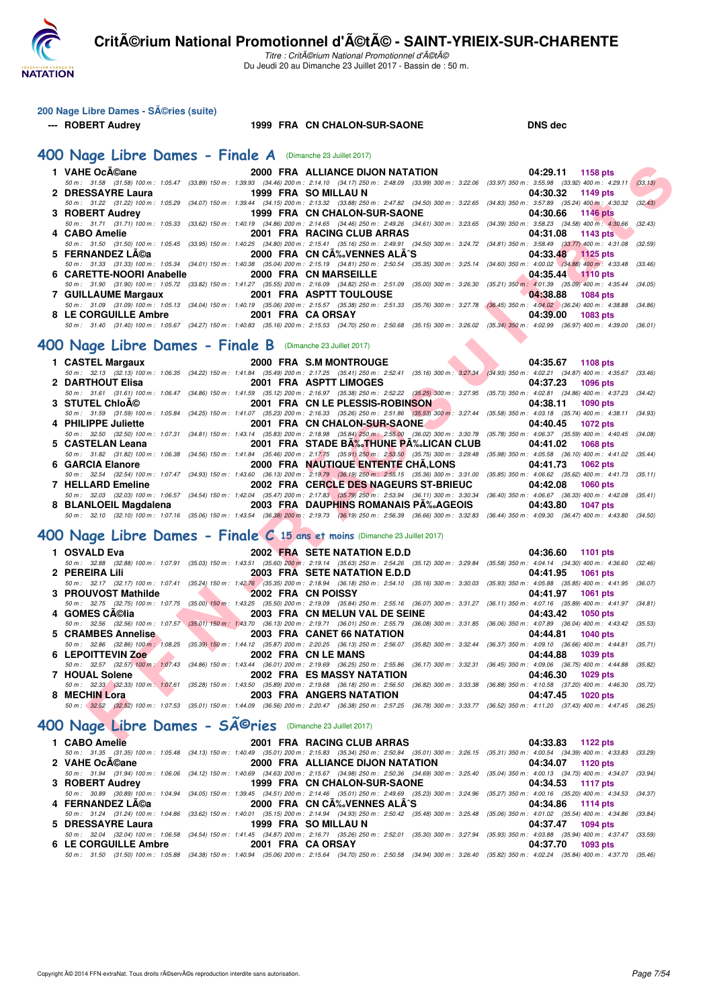

| 200 Nage Libre Dames - Séries (suite) |  |
|---------------------------------------|--|
|                                       |  |

#### **--- ROBERT Audrey 1999 FRA CN CHALON-SUR-SAONE DNS dec**

#### **[400 Nage Libre Dames - Finale A](http://www.ffnatation.fr/webffn/resultats.php?idact=nat&go=epr&idcpt=47489&idepr=4)** (Dimanche 23 Juillet 2017)

|   | 1 VAHE OcA©ane                                                                                                                                                                                                 |                      | 2000 FRA ALLIANCE DIJON NATATION          | 04:29.11 | 1158 pts                  |         |
|---|----------------------------------------------------------------------------------------------------------------------------------------------------------------------------------------------------------------|----------------------|-------------------------------------------|----------|---------------------------|---------|
|   | 50 m : 31.58 (31.58) 100 m : 1:05.47 (33.89) 150 m : 1:39.93 (34.46) 200 m : 2:14.10 (34.17) 250 m : 2:48.09 (33.99) 300 m : 3:22.06 (33.97) 350 m : 3:55.98 (33.92) 400 m : 4:29.11                           |                      |                                           |          |                           | (33.13) |
|   | 2 DRESSAYRE Laura<br>50 m : 31.22 (31.22) 100 m : 1:05.29 (34.07) 150 m : 1:39.44 (34.15) 200 m : 2:13.32 (33.88) 250 m : 2:47.82 (34.50) 300 m : 3:22.65 (34.83) 350 m : 3:57.89 (35.24) 400 m : 4:30.32      | 1999 FRA SO MILLAU N |                                           | 04:30.32 | 1149 pts                  | (32.43) |
|   | 3 ROBERT Audrey                                                                                                                                                                                                |                      | 1999 FRA CN CHALON-SUR-SAONE              | 04:30.66 | 1146 pts                  |         |
|   | 50 m: 31.71 (31.71) 100 m: 1:05.33 (33.62) 150 m: 1:40.19 (34.86) 200 m: 2:14.65 (34.46) 250 m: 2:49.26 (34.61) 300 m: 3:23.65 (34.39) 350 m: 3:58.23 (34.58) 400 m: 4:30.66                                   |                      |                                           |          |                           | (32.43) |
|   | 4 CABO Amelie                                                                                                                                                                                                  |                      | 2001 FRA RACING CLUB ARRAS                | 04:31.08 | 1143 pts                  |         |
|   | 50 m: 31.50 (31.50) 100 m: 1:05.45 (33.95) 150 m: 1:40.25 (34.80) 200 m: 2:15.41 (35.16) 250 m: 2:49.91 (34.50) 300 m: 3:24.72 (34.81) 350 m: 3:58.49 (33.77) 400 m: 4:31.08 (32.59)                           |                      |                                           |          |                           |         |
|   | 5 FERNANDEZ LA©a                                                                                                                                                                                               |                      | 2000 FRA CN CA‰VENNES ALA^S               | 04:33.48 | <b>1125 pts</b>           |         |
|   | 50 m: 31.33 (31.33) 100 m: 1:05.34 (34.01) 150 m: 1:40.38 (35.04) 200 m: 2:15.19 (34.81) 250 m: 2:50.54 (35.35) 300 m: 3:25.14 (34.60) 350 m: 4:00.02 (34.88) 400 m: 4:33.48 (33.46)                           |                      |                                           |          |                           |         |
|   | 6 CARETTE-NOORI Anabelle<br>50 m: 31.90 (31.90) 100 m: 1:05.72 (33.82) 150 m: 1:41.27 (35.55) 200 m: 2:16.09 (34.82) 250 m: 2:51.09 (35.00) 300 m: 3:26.30 (35.21) 350 m: 4:01.39 (35.09) 400 m: 4:35.44       |                      | 2000 FRA CN MARSEILLE                     | 04:35.44 | $1110$ pts                |         |
|   | 7 GUILLAUME Margaux                                                                                                                                                                                            |                      | 2001 FRA ASPTT TOULOUSE                   | 04:38.88 | <b>1084 pts</b>           | (34.05) |
|   | 50 m: 31.09 (31.09) 100 m: 1:05.13 (34.04) 150 m: 1:40.19 (35.06) 200 m: 2:15.57 (35.38) 250 m: 2:51.33 (35.76) 300 m: 3:27.78 (36.45) 350 m: 4:04.02 (36.24) 400 m: 4:38.88 (34.86)                           |                      |                                           |          |                           |         |
|   | 8 LE CORGUILLE Ambre                                                                                                                                                                                           | 2001 FRA CA ORSAY    |                                           | 04:39.00 | 1083 pts                  |         |
|   | 50 m: 31.40 (31.40) 100 m: 1:05.67 (34.27) 150 m: 1:40.83 (35.16) 200 m: 2:15.53 (34.70) 250 m: 2:50.68 (35.15) 300 m: 3:26.02 (35.34) 350 m: 4:02.99 (36.97) 400 m: 4:39.00 (36.01)                           |                      |                                           |          |                           |         |
|   |                                                                                                                                                                                                                |                      |                                           |          |                           |         |
|   | 00 Nage Libre Dames - Finale B (Dimanche 23 Juillet 2017)                                                                                                                                                      |                      |                                           |          |                           |         |
|   | 1 CASTEL Margaux                                                                                                                                                                                               |                      | 2000 FRA S.M MONTROUGE                    | 04:35.67 | 1108 pts                  |         |
|   | 50 m: 32.13 (32.13) 100 m: 1:06.35 (34.22) 150 m: 1:41.84 (35.49) 200 m: 2:17.25 (35.41) 250 m: 2:52.41 (35.16) 300 m: 327.34 (34.93) 350 m: 4:02.21 (34.87) 400 m: 4:35.67 (33.46)                            |                      |                                           |          |                           |         |
|   | 2 DARTHOUT Elisa                                                                                                                                                                                               |                      | 2001 FRA ASPTT LIMOGES                    | 04:37.23 | <b>1096 pts</b>           |         |
|   | 50 m: 31.61 (31.61) 100 m: 1:06.47 (34.86) 150 m: 1:41.59 (35.12) 200 m: 2:16.97 (35.38) 250 m: 2:52.22 (35.25) 300 m: 3:27.95 (35.73) 350 m: 4:02.81 (34.86) 400 m: 4:37.23 (34.42)                           |                      |                                           |          |                           |         |
|   | 3 STUTEL ChloA©                                                                                                                                                                                                |                      | 2001 FRA CN LE PLESSIS-ROBINSON           | 04:38.11 | <b>1090 pts</b>           |         |
|   | 50 m: 31.59 (31.59) 100 m: 1:05.84 (34.25) 150 m: 1:41.07 (35.23) 200 m: 2:16.33 (35.26) 250 m: 2:51.86 (35.53) 300 m: 3:27.44 (35.58) 350 m: 4:03.18 (35.74) 400 m: 4:38.11 (34.93)                           |                      | 2001 FRA CN CHALON-SUR-SAONE              | 04:40.45 | 1072 pts                  |         |
|   | 4 PHILIPPE Juliette<br>50 m: 32.50 (32.50) 100 m: 1:07.31 (34.81) 150 m: 1:43.14 (35.83) 200 m: 2:18.98 (35.84) 250 m: 2:55.00 (36.02) 300 m: 3:30.78 (35.78) 350 m: 4:06.37 (35.59) 400 m: 4:40.45 (34.08)    |                      |                                           |          |                           |         |
|   | 5 CASTELAN Leana                                                                                                                                                                                               |                      | 2001 FRA STADE BA‰THUNE PA‰LICAN CLUB     | 04:41.02 | <b>1068 pts</b>           |         |
|   | 50 m : 31.82 (31.82) 100 m : 1:06.38 (34.56) 150 m : 1:41.84 (35.46) 200 m : 2:17.75 (35.91) 250 m : 2:53.50 (35.75) 300 m : 3:29.48 (35.98) 350 m : 4:05.58 (36.10) 400 m : 4:41.02 (35.44)                   |                      |                                           |          |                           |         |
|   | 6 GARCIA Elanore                                                                                                                                                                                               |                      | <b>2000 FRA NAUTIQUE ENTENTE CHA,LONS</b> | 04:41.73 | <b>1062 pts</b>           |         |
|   | 50 m: 32.54 (32.54) 100 m: 1:07.47 (34.93) 150 m: 1:43.60 (36.13) 200 m: 2:19.79 (36.19) 250 m: 2:55.15 (35.36) 300 m: 3:31.00 (35.85) 350 m: 4:06.62 (35.62) 400 m: 4:41.73 (35.11)                           |                      |                                           |          |                           |         |
|   | 7 HELLARD Emeline                                                                                                                                                                                              |                      | 2002 FRA CERCLE DES NAGEURS ST-BRIEUC     | 04:42.08 | <b>1060 pts</b>           |         |
|   | 50 m: 32.03 (32.03) 100 m: 1:06.57 (34.54) 150 m: 1:42.04 (35.47) 200 m: 2:17.83 (35.79) 250 m: 2:53.94 (36.11) 300 m: 3:30.34 (36.40) 350 m: 4:06.67 (36.33) 400 m: 4:42.08 (35.41)                           |                      |                                           |          |                           |         |
|   | 8 BLANLOEIL Magdalena<br>50 m: 32.10 (32.10) 100 m: 1:07.16 (35.06) 150 m: 1:43.54 (36.38) 200 m: 2:19.73 (36.19) 250 m: 2:56.39 (36.66) 300 m: 3:32.83 (36.44) 350 m: 4:09.30 (36.47) 400 m: 4:43.80 (34.50)  |                      | 2003 FRA DAUPHINS ROMANAIS PA‰AGEOIS      | 04:43.80 | <b>1047 pts</b>           |         |
|   |                                                                                                                                                                                                                |                      |                                           |          |                           |         |
|   | 00 Nage Libre Dames - Finale C 15 ans et moins (Dimanche 23 Juillet 2017)                                                                                                                                      |                      |                                           |          |                           |         |
|   |                                                                                                                                                                                                                |                      |                                           |          |                           |         |
|   | 1 OSVALD Eva<br>50 m: 32.88 (32.88) 100 m: 1:07.91 (35.03) 150 m: 1:43.51 (35.60) 200 m: 2:19.14 (35.63) 250 m: 2:54.26 (35.12) 300 m: 3:29.84 (35.58) 350 m: 4:04.14 (34.30) 400 m: 4:36.60 (32.46)           |                      | 2002 FRA SETE NATATION E.D.D              | 04:36.60 | 1101 pts                  |         |
|   | 2 PEREIRA Lili                                                                                                                                                                                                 |                      | 2003 FRA SETE NATATION E.D.D              | 04:41.95 | 1061 pts                  |         |
|   | 50 m: 32.17 (32.17) 100 m: 1:07.41 (35.24) 150 m: 1:42.76 (35.35) 200 m: 2:18.94 (36.18) 250 m: 2:54.10 (35.16) 300 m: 3:30.03 (35.93) 350 m: 4:05.88 (35.85) 400 m: 4:41.95 (36.07)                           |                      |                                           |          |                           |         |
|   | 3 PROUVOST Mathilde                                                                                                                                                                                            | 2002 FRA CN POISSY   |                                           | 04:41.97 | 1061 pts                  |         |
|   | 50 m: 32.75 (32.75) 100 m: 1:07.75 (35.00) 150 m: 1:43.25 (35.50) 200 m: 2:19.09 (35.84) 250 m: 2:55.16 (36.07) 300 m: 3:31.27 (36.11) 350 m: 4:07.16 (35.89) 400 m: 4:41.97 (34.81)                           |                      |                                           |          |                           |         |
|   | 4 GOMES CA©lia                                                                                                                                                                                                 |                      | 2003 FRA CN MELUN VAL DE SEINE            | 04:43.42 | <b>1050 pts</b>           |         |
|   | 50 m: 32.56 (32.56) 100 m: 1:07.57 (35.01) 150 m: 1:43.70 (36.13) 200 m: 2:19.71 (36.01) 250 m: 2:55.79 (36.08) 300 m: 3:31.85 (36.06) 350 m: 4:07.89 (36.04) 400 m: 4:43.42 (35.53)                           |                      |                                           |          |                           |         |
|   | 5 CRAMBES Annelise                                                                                                                                                                                             |                      | 2003 FRA CANET 66 NATATION                | 04:44.81 | <b>1040 pts</b>           |         |
|   | 50 m : 32.86 (32.86) 100 m : 1:08.25 (35.39) 150 m : 1:44.12 (35.87) 200 m : 2:20.25 (36.13) 250 m : 2:56.07 (35.82) 300 m : 3:32.44 (36.37) 350 m : 4:09.10 (36.66) 400 m : 4:44.81 (35.71)                   |                      |                                           |          |                           |         |
| 6 | <b>LEPOITTEVIN Zoe</b><br>50 m: 32.57 (32.57) 100 m: 1:07.43 (34.86) 150 m: 1:43.44 (36.01) 200 m: 2:19.69 (36.25) 250 m: 2:55.86 (36.17) 300 m: 3:32.31 (36.45) 350 m: 4:09.06 (36.75) 400 m: 4:44.88 (35.82) | 2002 FRA CN LE MANS  |                                           | 04:44.88 | 1039 pts                  |         |
|   | 7 HOUAL Solene                                                                                                                                                                                                 |                      | 2002 FRA ES MASSY NATATION                | 04:46.30 | 1029 pts                  |         |
|   | 50 m: 32.33 (32.33) 100 m: 1:07.61 (35.28) 150 m: 1:43.50 (35.89) 200 m: 2:19.68 (36.18) 250 m: 2:56.50 (36.82) 300 m: 3:33.38 (36.88) 350 m: 4:10.58 (37.20) 400 m: 4:46.30 (35.72)                           |                      |                                           |          |                           |         |
|   | 8 MECHIN Lora                                                                                                                                                                                                  |                      | 2003 FRA ANGERS NATATION                  | 04:47.45 | 1020 pts                  |         |
|   | 50 m: 32.52 (32.52) 100 m: 1:07.53 (35.01) 150 m: 1:44.09 (36.56) 200 m: 2:20.47 (36.38) 250 m: 2:57.25 (36.78) 300 m: 3:33.77 (36.52) 350 m: 4:11.20 (37.43) 400 m: 4:47.45 (36.25)                           |                      |                                           |          |                           |         |
|   |                                                                                                                                                                                                                |                      |                                           |          |                           |         |
|   | 00 Nage Libre Dames - SÃ <sup>©</sup> ries (Dimanche 23 Juillet 2017)                                                                                                                                          |                      |                                           |          |                           |         |
|   | $\overline{A}$ $\overline{A}$ $\overline{B}$ $\overline{A}$ $\overline{B}$ $\overline{A}$ $\overline{B}$ $\overline{B}$ $\overline{B}$                                                                         |                      | 0004 FBA BAOING OLUB ABBAC                |          | $0.4.00.00 - 4400 \ldots$ |         |

#### **[400 Nage Libre Dames - Finale B](http://www.ffnatation.fr/webffn/resultats.php?idact=nat&go=epr&idcpt=47489&idepr=4)** (Dimanche 23 Juillet 2017)

|                     | 1 CASTEL Margaux 2000 FRA S.M MONTROUGE                                                                                              | 04:35.67 1108 pts                                                                                                                                                                    |
|---------------------|--------------------------------------------------------------------------------------------------------------------------------------|--------------------------------------------------------------------------------------------------------------------------------------------------------------------------------------|
|                     |                                                                                                                                      | 50 m: 32.13 (32.13) 100 m: 1:06.35 (34.22) 150 m: 1:41.84 (35.49) 200 m: 2:17.25 (35.41) 250 m: 2:52.41 (35.16) 300 m: 3:27.34 (34.93) 350 m: 4:02.21 (34.87) 400 m: 4:35.67 (33.46) |
| 2 DARTHOUT Elisa    | <b>2001 FRA ASPTT LIMOGES</b>                                                                                                        | 04:37.23 1096 pts                                                                                                                                                                    |
|                     |                                                                                                                                      | 50 m: 31.61 (31.61) 100 m: 1:06.47 (34.86) 150 m: 1:41.59 (35.12) 200 m: 2:16.97 (35.38) 250 m: 2:52.22 (36.25) 300 m: 3:27.95 (35.73) 350 m: 4:02.81 (34.86) 400 m: 4:37.23 (34.42) |
| 3 STUTEL ChloA©     | 2001 FRA CN LE PLESSIS-ROBINSON 04:38.11 1090 pts                                                                                    |                                                                                                                                                                                      |
|                     |                                                                                                                                      | 50 m: 31.59 (31.59) 100 m: 1:05.84 (34.25) 150 m: 1:41.07 (35.23) 200 m: 2:16.33 (35.26) 250 m: 2:51.86 (35.58) 300 m: 3:27.44 (35.58) 350 m: 4:03.18 (35.74) 400 m: 4:38.11 (34.93) |
| 4 PHILIPPE Juliette | 2001 FRA CN CHALON-SUR-SAONE 2001 04:40.45 1072 pts                                                                                  |                                                                                                                                                                                      |
|                     |                                                                                                                                      | 50 m: 32.50 (32.50) 100 m: 1:07.31 (34.81) 150 m: 1:43.14 (35.83) 200 m: 2:18.98 (35.84) 250 m: 2:55.00 (36.02) 300 m: 3:30.78 (35.78) 350 m: 4:06.37 (35.59) 400 m: 4:40.45 (34.08) |
| 5 CASTELAN Leana    | 2001 FRA STADE BA%, THUNE PA%, LICAN CLUB 04:41.02 1068 pts                                                                          |                                                                                                                                                                                      |
|                     | 50 m: 31.82 (31.82) 100 m: 1:06.38 (34.56) 150 m: 1:41.84 (35.46) 200 m: 2:17.75 (35.91) 250 m: 2:53.50 (35.75) 300 m: 3:29.48       | $(35.98)$ 350 m : 4:05.58 $(36.10)$ 400 m : 4:41.02 $(35.44)$                                                                                                                        |
| 6 GARCIA Elanore    | 2000 FRA NAUTIQUE ENTENTE CHÃ,LONS 04:41.73 1062 pts                                                                                 |                                                                                                                                                                                      |
|                     | 50 m: 32.54 (32.54) 100 m: 1:07.47 (34.93) 150 m: 1:43.60 (36.13) 200 m: 2:19.79 (36.19) 250 m: 2:55.15 (35.36) 300 m: 3:31.00       | $(35.85)$ 350 m : 4:06.62 $(35.62)$ 400 m : 4:41.73 $(35.11)$                                                                                                                        |
|                     |                                                                                                                                      |                                                                                                                                                                                      |
| 7 HELLARD Emeline   | 2002 FRA CERCLE DES NAGEURS ST-BRIEUC                                                                                                | 04:42.08 1060 pts                                                                                                                                                                    |
|                     | 50 m: 32.03 (32.03) 100 m: 1:06.57 (34.54) 150 m: 1:42.04 (35.47) 200 m: 2:17.83 (35.79) 250 m: 2:53.94 (36.11) 300 m: 3:30.34       | $(36.40)$ 350 m : 4:06.67 $(36.33)$ 400 m : 4:42.08 $(35.41)$                                                                                                                        |
|                     |                                                                                                                                      | 04:43.80 1047 pts                                                                                                                                                                    |
|                     | 50 m : 32.10 (32.10) 100 m : 1:07.16 (35.06) 150 m : 1:43.54 (36.38) 200 m : 2:19.73 (36.19) 250 m : 2:56.39 (36.66) 300 m : 3:32.83 | $(36.44)$ 350 m : 4:09.30 $(36.47)$ 400 m : 4:43.80 $(34.50)$                                                                                                                        |

## **[400 Nage Libre Dames - Finale C](http://www.ffnatation.fr/webffn/resultats.php?idact=nat&go=epr&idcpt=47489&idepr=4) 15 ans et moins** (Dimanche 23 Juillet 2017)

| 1 OSVALD Eva        | 2002 FRA SETE NATATION E.D.D                                                                                                                                                                 | 04:36.60 1101 pts |
|---------------------|----------------------------------------------------------------------------------------------------------------------------------------------------------------------------------------------|-------------------|
|                     | 50 m : 32.88 (32.88) 100 m : 1:07.91 (35.03) 150 m : 1:43.51 (35.60) 200 m : 2:19.14 (35.63) 250 m : 2:54.26 (35.12) 300 m : 3:29.84 (35.58) 350 m : 4:04.14 (34.30) 400 m : 4:36.60 (32.46) |                   |
| 2 PEREIRA Lili      | 2003 FRA SETE NATATION E.D.D                                                                                                                                                                 | 04:41.95 1061 pts |
|                     | 50 m: 32.17 (32.17) 100 m: 1:07.41 (35.24) 150 m: 1:42.76 (35.35) 200 m: 2:18.94 (36.18) 250 m: 2:54.10 (35.16) 300 m: 3:30.03 (35.93) 350 m: 4:05.88 (35.85) 400 m: 4:41.95 (36.07)         |                   |
| 3 PROUVOST Mathilde | 2002 FRA CN POISSY                                                                                                                                                                           | 04:41.97 1061 pts |
|                     | 50 m: 32.75 (32.75) 100 m: 1:07.75 (35.00) 150 m: 1:43.25 (35.50) 200 m: 2:19.09 (35.84) 250 m: 2:55.16 (36.07) 300 m: 3:31.27 (36.11) 350 m: 4:07.16 (35.89) 400 m: 4:41.97 (34.81)         |                   |
| 4 GOMES CA©lia      | 2003 FRA CN MELUN VAL DE SEINE 64:43.42 1050 pts                                                                                                                                             |                   |
|                     | 50 m: 32.56 (32.56) 100 m: 1:07.57 (35.01) 150 m: 1:43.70 (36.13) 200 m: 2:19.71 (36.01) 250 m: 2:55.79 (36.08) 300 m: 3:31.85 (36.06) 350 m: 4:07.89 (36.04) 400 m: 4:43.42 (35.53)         |                   |
| 5 CRAMBES Annelise  | 2003 FRA CANET 66 NATATION                                                                                                                                                                   | 04:44.81 1040 pts |
|                     | 50 m : 32.86 (32.86) 100 m : 1:08.25 (35.39) 150 m : 1:44.12 (35.87) 200 m : 2:20.25 (36.13) 250 m : 2:56.07 (35.82) 300 m : 3:32.44 (36.37) 350 m : 4:09.10 (36.66) 400 m : 4:44.81 (35.71) |                   |
|                     |                                                                                                                                                                                              |                   |
| 6 LEPOITTEVIN Zoe   | 2002 FRA CN LE MANS                                                                                                                                                                          | 04:44.88 1039 pts |
|                     | 50 m: 32.57 (32.57) 100 m; 1:07.43 (34.86) 150 m: 1:43.44 (36.01) 200 m: 2:19.69 (36.25) 250 m: 2:55.86 (36.17) 300 m: 3:32.31 (36.45) 350 m: 4:09.06 (36.75) 400 m: 4:44.88 (35.82)         |                   |
| 7 HOUAL Solene      | 2002 FRA ES MASSY NATATION                                                                                                                                                                   | 04:46.30 1029 pts |
|                     | 50 m : 32.33 (32.33) 100 m : 1:07.61 (35.28) 150 m : 1:43.50 (35.89) 200 m : 2:19.68 (36.18) 250 m : 2:56.50 (36.82) 300 m : 3:33.38 (36.88) 350 m : 4:10.58 (37.20) 400 m : 4:46.30 (35.72) |                   |
| 8 MECHIN Lora       | 2003 FRA ANGERS NATATION                                                                                                                                                                     | 04:47.45 1020 pts |

# 400 Nage Libre Dames - SÃ<sup>@</sup>ries (Dimanche 23 Juillet 2017)

| 1 CABO Amelie     | 2001 FRA RACING CLUB ARRAS       | 04:33.83 1122 pts                                                                                                                                                                            |
|-------------------|----------------------------------|----------------------------------------------------------------------------------------------------------------------------------------------------------------------------------------------|
|                   |                                  | 50 m: 31.35 (31.35) 100 m: 1:05.48 (34.13) 150 m: 1:40.49 (35.01) 200 m: 2:15.83 (35.34) 250 m: 2:50.84 (35.01) 300 m: 3:26.15 (35.31) 350 m: 4:00.54 (34.39) 400 m: 4:33.83 (33.29)         |
| 2 VAHE OcA©ane    | 2000 FRA ALLIANCE DIJON NATATION | 04:34.07 1120 pts                                                                                                                                                                            |
|                   |                                  | 50 m: 31.94 (31.94) 100 m: 1:06.06 (34.12) 150 m: 1:40.69 (34.63) 200 m: 2:15.67 (34.98) 250 m: 2:50.36 (34.69) 300 m: 3:25.40 (35.04) 350 m: 4:00.13 (34.73) 400 m: 4:34.07 (33.94)         |
| 3 ROBERT Audrey   | 1999 FRA CN CHALON-SUR-SAONE     | 04:34.53 1117 pts                                                                                                                                                                            |
|                   |                                  | 50 m: 30.89 (30.89) 100 m: 1:04.94 (34.05) 150 m: 1:39.45 (34.51) 200 m: 2:14.46 (35.01) 250 m: 2:49.69 (35.23) 300 m: 3:24.96 (35.27) 350 m: 4:00.16 (35.20) 400 m: 4:34.53 (34.37)         |
| 4 FERNANDEZ Lĩa   | 2000 FRA  CN CÉVENNES ALÃ^S      | 04:34.86 1114 pts                                                                                                                                                                            |
|                   |                                  | 50 m: 31.24 (31.24) 100 m: 1:04.86 (33.62) 150 m: 1:40.01 (35.15) 200 m: 2:14.94 (34.93) 250 m: 2:50.42 (35.48) 300 m: 3:25.48 (35.06) 350 m: 4:01.02 (35.54) 400 m: 4:04.86 (33.84)         |
| 5 DRESSAYRE Laura | 1999 FRA SO MILLAU N             | 04:37.47 1094 pts                                                                                                                                                                            |
|                   |                                  | 50 m : 32.04 (32.04) 100 m : 1:06.58 (34.54) 150 m : 1:41.45 (34.87) 200 m : 2:16.71 (35.26) 250 m : 2:52.01 (35.30) 300 m : 3:27.94 (35.93) 350 m : 4:03.88 (35.94) 400 m : 4:37.47 (33.59) |
|                   |                                  | 04:37.70 1093 pts                                                                                                                                                                            |
|                   |                                  | 50 m : 31.50 (31.50) 100 m : 1:05.88 (34.38) 150 m : 1:40.94 (35.06) 200 m : 2:15.64 (34.70) 250 m : 2:50.58 (34.94) 300 m : 3:26.40 (35.82) 350 m : 4:02.24 (35.84) 400 m : 4:37.70 (35.46) |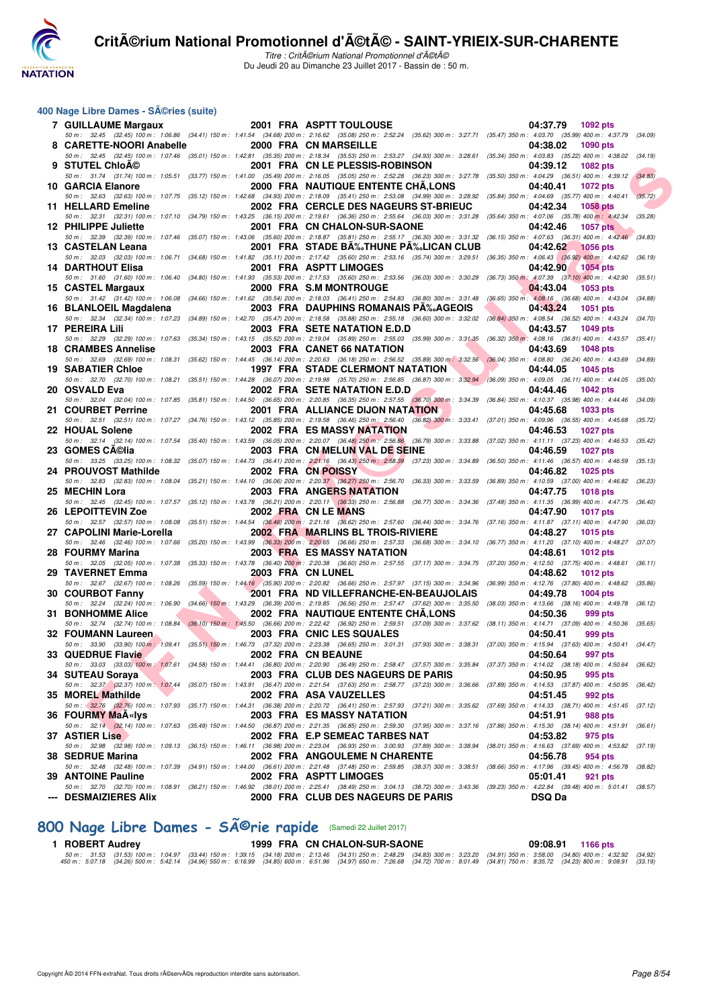

Titre : Critérium National Promotionnel d'été Du Jeudi 20 au Dimanche 23 Juillet 2017 - Bassin de : 50 m.

#### **400 Nage Libre Dames - Séries (suite)**

| <b>7 GUILLAUME Margaux</b>                                      |                           | 2001 FRA ASPTT TOULOUSE                                                                                                                                                                                                        | 04:37.79<br>1092 pts                                                                             |         |
|-----------------------------------------------------------------|---------------------------|--------------------------------------------------------------------------------------------------------------------------------------------------------------------------------------------------------------------------------|--------------------------------------------------------------------------------------------------|---------|
| 8 CARETTE-NOORI Anabelle                                        |                           | 50 m: 32.45 (32.45) 100 m: 1:06.86 (34.41) 150 m: 1:41.54 (34.68) 200 m: 2:16.62 (35.08) 250 m: 2:52.24 (35.62) 300 m: 3:27.71 (35.47) 350 m: 4:03.70 (35.99) 400 m: 4:37.79 (34.09)<br>2000 FRA CN MARSEILLE                  | 04:38.02<br>1090 pts                                                                             |         |
| 9 STUTEL ChloA©                                                 |                           | 50 m: 32.45 (32.45) 100 m: 1:07.46 (35.01) 150 m: 1:42.81 (35.35) 200 m: 2:18.34 (35.53) 250 m: 2:53.27 (34.93) 300 m: 3:28.61 (35.34) 350 m: 4:03.83 (35.22) 400 m: 4:38.02 (34.19)<br>2001 FRA CN LE PLESSIS-ROBINSON        | 04:39.12<br>1082 pts                                                                             |         |
| 10 GARCIA Elanore                                               |                           | 50 m: 31.74 (31.74) 100 m: 1:05.51 (33.77) 150 m: 1:41.00 (35.49) 200 m: 2:16.05 (35.05) 250 m: 2:52.28 (36.23) 300 m: 3:27.78 (35.50) 350 m: 4:04.29 (36.51) 400 m: 4:39.12<br>2000 FRA NAUTIQUE ENTENTE CHA.LONS             | 04:40.41<br><b>1072 pts</b>                                                                      | (34.83) |
| 11 HELLARD Emeline                                              |                           | 50 m : 32.63 (32.63) 100 m : 1:07.75 (35.12) 150 m : 1:42.68 (34.93) 200 m : 2:18.09 (35.41) 250 m : 2:53.08 (34.99) 300 m : 3:28.92 (35.84) 350 m : 4:04.69 (35.77) 400 m : 4:40.41<br>2002 FRA CERCLE DES NAGEURS ST-BRIEUC  | 04:42.34<br>1058 pts                                                                             | (35.72) |
|                                                                 |                           | 50 m: 32.31 (32.31) 100 m: 1:07.10 (34.79) 150 m: 1:43.25 (36.15) 200 m: 2:19.61 (36.36) 250 m: 2:55.64 (36.03) 300 m: 3:31.28 (35.64) 350 m: 4:07.06 (35.78) 400 m: 4:42.34                                                   |                                                                                                  | (35.28) |
| 12 PHILIPPE Juliette                                            |                           | 2001 FRA CN CHALON-SUR-SAONE<br>50 m : 32.39 (32.39) 100 m : 1:07.46 (35.07) 150 m : 1:43.06 (35.60) 200 m : 2:18.87 (35.81) 250 m : 2:55.17 (36.30) 300 m : 3:31.32 (36.15) 350 m : 4:07.63 (36.31) 400 m : 4:42.46 (34.83)   | 04:42.46<br><b>1057 pts</b>                                                                      |         |
| 13 CASTELAN Leana                                               |                           | 2001 FRA STADE BA‰THUNE PA‰LICAN CLUB<br>50 m: 32.03 (32.03) 100 m: 1:06.71 (34.68) 150 m: 1:41.82 (35.11) 200 m: 2:17.42 (35.60) 250 m: 2:53.16 (35.74) 300 m: 3:29.51 (36.35) 350 m: 4:06.43 (36.92) 400 m: 4:42.62 (36.19)  | 04:42.62<br><b>1056 pts</b>                                                                      |         |
| <b>14 DARTHOUT Elisa</b>                                        |                           | 2001 FRA ASPTT LIMOGES                                                                                                                                                                                                         | 04:42.90<br><b>1054 pts</b>                                                                      |         |
| 15 CASTEL Margaux                                               |                           | 50 m: 31.60 (31.60) 100 m: 1:06.40 (34.80) 150 m: 1:41.93 (35.53) 200 m: 2:17.53 (35.60) 250 m: 2:53.56 (36.03) 300 m: 3:30.29<br>2000 FRA S.M MONTROUGE                                                                       | $(36.73)$ 350 m $\div$ 4:07.39 $(37.10)$ 400 m $\div$ 4:42.90 $(35.51)$<br>04:43.04<br>1053 pts  |         |
| 16 BLANLOEIL Magdalena                                          |                           | 50 m: 31.42 (31.42) 100 m: 1:06.08 (34.66) 150 m: 1:41.62 (35.54) 200 m: 2:18.03 (36.41) 250 m: 2:54.83 (36.80) 300 m: 3:31.48<br>2003 FRA DAUPHINS ROMANAIS PA‰AGEOIS                                                         | $(36.65)$ 350 m : $4.08.16$ $(36.68)$ 400 m : $4.43.04$ $(34.88)$<br>04:43.24<br><b>1051 pts</b> |         |
|                                                                 |                           | 50 m : 32.34 (32.34) 100 m : 1:07.23 (34.89) 150 m : 1:42.70 (35.47) 200 m : 2:18.58 (35.88) 250 m : 2:55.18 (36.60) 300 m : 3:32.02                                                                                           | $(36.84)$ 350 m : 4:08.54 $(36.52)$ 400 m : 4:43.24 $(34.70)$                                    |         |
| 17 PEREIRA Lili<br>50 m : 32.29 (32.29) 100 m : 1:07.63         |                           | 2003 FRA SETE NATATION E.D.D<br>(35.34) 150 m: 1:43.15 (35.52) 200 m: 2:19.04 (35.89) 250 m: 2:55.03 (35.99) 300 m: 3:31.35                                                                                                    | 04:43.57<br>1049 pts<br>$(36.32)$ 350 m : 4:08.16 $(36.81)$ 400 m : 4:43.57 $(35.41)$            |         |
| <b>18 CRAMBES Annelise</b>                                      |                           | 2003 FRA CANET 66 NATATION<br>50 m : 32.69 (32.69) 100 m : 1:08.31 (35.62) 150 m : 1:44.45 (36.14) 200 m : 2:20.63 (36.18) 250 m : 2:56.52 (35.89) 300 m : 3:32.56 (36.04) 350 m : 4:08.80 (36.24) 400 m : 4:43.69             | 04:43.69<br>1048 pts                                                                             | (34.89) |
| <b>19 SABATIER Chloe</b>                                        |                           | 1997 FRA STADE CLERMONT NATATION                                                                                                                                                                                               | 04:44.05<br>1045 pts                                                                             |         |
| 20 OSVALD Eva                                                   |                           | 50 m : 32.70 (32.70) 100 m : 1:08.21 (35.51) 150 m : 1:44.28 (36.07) 200 m : 2:19.98 (35.70) 250 m : 2:56.85 (36.87) 300 m : 3:32.94 (36.09) 350 m : 4:09.05 (36.11) 400 m : 4:44.05 (35.00)<br>2002 FRA SETE NATATION E.D.D   | 04:44.46<br><b>1042 pts</b>                                                                      |         |
| 21 COURBET Perrine                                              |                           | 50 m: 32.04 (32.04) 100 m: 1:07.85 (35.81) 150 m: 1:44.50 (36.65) 200 m: 2:20.85 (36.35) 250 m: 2:57.55 (36.70) 300 m: 3:34.39 (36.84) 350 m: 4:10.37 (35.98) 400 m: 4:44.46 (34.09)<br>2001 FRA ALLIANCE DIJON NATATION       | 04:45.68<br>1033 pts                                                                             |         |
| 22 HOUAL Solene                                                 |                           | 50 m: 32.51 (32.51) 100 m: 1:07.27 (34.76) 150 m: 1:43.12 (35.85) 200 m: 2:19.58 (36.46) 250 m: 2:56.40 (36.82) 300 m: 3:33.41 (37.01) 350 m: 4:09.96 (36.55) 400 m: 4:45.68 (35.72)<br>2002 FRA ES MASSY NATATION             | 04:46.53<br><b>1027 pts</b>                                                                      |         |
|                                                                 |                           | 50 m: 32.14 (32.14) 100 m: 1:07.54 (35.40) 150 m: 1:43.59 (36.05) 200 m: 2:20.07 (36.48) 250 m: 2:56.86 (36.79) 300 m: 3:33.88 (37.02) 350 m: 4:11.11 (37.23) 400 m: 4:46.53 (35.42)                                           |                                                                                                  |         |
| 23 GOMES CA©lia                                                 |                           | 2003 FRA CN MELUN VAL DE SEINE<br>50 m: 33.25 (33.25) 100 m: 1:08.32 (35.07) 150 m: 1:44.73 (36.41) 200 m: 2:21.16 (36.43) 250 m: 2:58.39 (37.23) 300 m: 3:34.89 (36.50) 350 m: 4:11.46 (36.57) 400 m: 4:46.59                 | 04:46.59<br><b>1027 pts</b>                                                                      | (35.13) |
| 24 PROUVOST Mathilde<br>50 m : 32.83 (32.83) 100 m : 1:08.04    |                           | 2002 FRA CN POISSY<br>(35.21) 150 m : 1:44.10 (36.06) 200 m : 2:20.37 (36.27) 250 m : 2:56.70 (36.33) 300 m : 3:33.59 (36.89) 350 m : 4:10.59 (37.00) 400 m : 4:46.82 (36.23)                                                  | 04:46.82<br>1025 pts                                                                             |         |
| 25 MECHIN Lora                                                  |                           | 2003 FRA ANGERS NATATION                                                                                                                                                                                                       | 04:47.75<br><b>1018 pts</b>                                                                      |         |
| 26 LEPOITTEVIN Zoe                                              |                           | 50 m : 32.45 (32.45) 100 m : 1:07.57 (35.12) 150 m : 1:43.78 (36.21) 200 m : 2:20.11 (36.33) 250 m : 2:56.88 (36.77) 300 m : 3:34.36 (37.48) 350 m : 4:11.35 (36.99) 400 m : 4:47.75 (36.40)<br>2002 FRA CN LE MANS            | 04:47.90<br>1017 pts                                                                             |         |
| 27 CAPOLINI Marie-Lorella                                       |                           | 50 m: 32.57 (32.57) 100 m: 1:08.08 (35.51) 150 m: 1:44.54 (36.46) 200 m: 2:21.16 (36.62) 250 m: 2:57.60 (36.44) 300 m: 3:34.76 (37.16) 350 m: 4:11.87 (37.11) 400 m: 4:47.90 (36.03)<br>2002 FRA MARLINS BL TROIS-RIVIERE      | 04:48.27<br><b>1015 pts</b>                                                                      |         |
|                                                                 |                           | 50 m: 32.46 (32.46) 100 m: 1:07.66 (35.20) 150 m: 1:43.99 (36.33) 200 m: 2:20.65 (36.66) 250 m: 2:57.33 (36.68) 300 m: 3:34.10 (36.77) 350 m: 4:11.20 (37.10) 400 m: 4:48.27 (37.07)                                           |                                                                                                  |         |
| 28 FOURMY Marina                                                |                           | 2003 FRA ES MASSY NATATION<br>50 m: 32.05 (32.05) 100 m: 1:07.38 (35.33) 150 m: 1:43.78 (36.40) 200 m: 2:20.38 (36.60) 250 m: 2:57.55 (37.17) 300 m: 3:34.75 (37.20) 350 m: 4:12.50 (37.75) 400 m: 4:48.61 (36.11)             | 04:48.61<br><b>1012 pts</b>                                                                      |         |
| 29 TAVERNET Emma                                                | 2003 FRA CN LUNEL         | 50 m : 32.67 (32.67) 100 m : 1:08.26 (35.59) 150 m : 1:44.16 (35.90) 200 m : 2:20.82 (36.66) 250 m : 2:57.97 (37.15) 300 m : 3:34.96 (36.99) 350 m : 4:12.76 (37.80) 400 m : 4:48.62 (35.86)                                   | 04:48.62<br><b>1012 pts</b>                                                                      |         |
| 30 COURBOT Fanny                                                |                           | 2001 FRA ND VILLEFRANCHE-EN-BEAUJOLAIS<br>50 m: 32.24 (32.24) 100 m: 1:06.90 (34.66) 150 m: 1:43.29 (36.39) 200 m: 2:19.85 (36.56) 250 m: 2:57.47 (37.62) 300 m: 3:35.50 (38.03) 350 m: 4:13.66 (38.16) 400 m: 4:49.78 (36.12) | 04:49.78<br><b>1004 pts</b>                                                                      |         |
| 31 BONHOMME Alice                                               |                           | 2002 FRA NAUTIQUE ENTENTE CHA, LONS                                                                                                                                                                                            | 04:50.36<br>999 pts                                                                              |         |
| 32 FOUMANN Laureen                                              |                           | 50 m: 32.74 (32.74) 100 m: 1:08.84 (36.10) 150 m: 1:45.50 (36.66) 200 m: 2:22.42 (36.92) 250 m: 2:59.51 (37.09) 300 m: 3:37.62 (38.11) 350 m: 4:14.71 (37.09) 400 m: 4:50.36 (35.65)<br>2003 FRA CNIC LES SQUALES              | 04:50.41<br>999 pts                                                                              |         |
| 33 QUEDRUE Flavie<br><b>Contract Contract Contract Contract</b> | <b>2002 FRA CN BEAUNE</b> | 50 m: 33.90 (33.90) 100 m: 1:09.41 (35.51) 150 m: 1:46.73 (37.32) 200 m: 2:23.38 (36.65) 250 m: 3:01.31 (37.93) 300 m: 3:38.31 (37.00) 350 m: 4:15.94 (37.63) 400 m: 4:50.41 (34.47)                                           | 04:50.64 997 pts                                                                                 |         |
|                                                                 |                           | 50 m : 33.03 (33.03) 100 m : 1:07.61 (34.58) 150 m : 1:44.41 (36.80) 200 m : 2:20.90 (36.49) 250 m : 2:58.47 (37.57) 300 m : 3:35.84 (37.37) 350 m : 4:14.02 (38.18) 400 m : 4:50.64 (36.62)                                   |                                                                                                  |         |
| 34 SUTEAU Soraya                                                |                           | 2003 FRA CLUB DES NAGEURS DE PARIS<br>50 m: 32.37 (32.37) 100 m: 1:07.44 (35.07) 150 m: 1:43.91 (36.47) 200 m: 2:21.54 (37.63) 250 m: 2:58.77 (37.23) 300 m: 3:36.66 (37.89) 350 m: 4:14.53 (37.87) 400 m: 4:50.95 (36.42)     | 04:50.95<br>995 pts                                                                              |         |
| 35 MOREL Mathilde                                               |                           | 2002 FRA ASA VAUZELLES<br>50 m: 32.76 (32.76) 100 m: 1:07.93 (35.17) 150 m: 1:44.31 (36.38) 200 m: 2:20.72 (36.41) 250 m: 2:57.93 (37.21) 300 m: 3:35.62 (37.69) 350 m: 4:14.33 (38.71) 400 m: 4:51.45 (37.12)                 | 04:51.45<br>992 pts                                                                              |         |
| 36 FOURMY MaA«lys                                               |                           | <b>2003 FRA ES MASSY NATATION</b>                                                                                                                                                                                              | 04:51.91<br>988 pts                                                                              |         |
| <b>37 ASTIER Lise</b>                                           |                           | 50 m: 32.14 (32.14) 100 m: 1:07.63 (35.49) 150 m: 1:44.50 (36.87) 200 m: 2:21.35 (36.85) 250 m: 2:59.30 (37.95) 300 m: 3:37.16 (37.86) 350 m: 4:15.30 (38.14) 400 m: 4:51.91 (36.61)<br>2002 FRA E.P SEMEAC TARBES NAT         | 04:53.82<br>975 pts                                                                              |         |
| 38 SEDRUE Marina                                                |                           | 50 m: 32.98 (32.98) 100 m: 1:09.13 (36.15) 150 m: 1:46.11 (36.98) 200 m: 2:23.04 (36.93) 250 m: 3:00.93 (37.89) 300 m: 3:38.94 (38.01) 350 m: 4:16.63 (37.69) 400 m: 4:53.82 (37.19)<br>2002 FRA ANGOULEME N CHARENTE          | 04:56.78<br>954 pts                                                                              |         |
|                                                                 |                           | 50 m: 32.48 (32.48) 100 m: 1:07.39 (34.91) 150 m: 1:44.00 (36.61) 200 m: 2:21.48 (37.48) 250 m: 2:59.85 (38.37) 300 m: 3:38.51 (38.66) 350 m: 4:17.96 (39.45) 400 m: 4:56.78 (38.82)                                           |                                                                                                  |         |
| 39 ANTOINE Pauline                                              |                           | 2002 FRA ASPTT LIMOGES<br>50 m : 32.70 (32.70) 100 m : 1:08.91 (36.21) 150 m : 1:46.92 (38.01) 200 m : 2:25.41 (38.49) 250 m : 3:04.13 (38.72) 300 m : 3:43.36 (39.23) 350 m : 4:22.84 (39.48) 400 m : 5:01.41 (38.57)         | 05:01.41<br>921 pts                                                                              |         |
| --- DESMAIZIERES Alix                                           |                           | 2000 FRA CLUB DES NAGEURS DE PARIS                                                                                                                                                                                             | <b>DSQ Da</b>                                                                                    |         |

# 800 Nage Libre Dames - SÃ<sup>©</sup>rie rapide (Samedi 22 Juillet 2017)<br>1 ROBERT Audrey 1999 FRA CN CHALON-SUR-SAC

**1999 FRA CN CHALON-SUR-SAONE 09:08.91 1166 pts** 

50 m : 31.53 (31.53) 100 m : 1:04.97 (33.44) 150 m : 1:39.15 (34.18) 200 m : 2:13.46 (34.31) 250 m : 2:48.29 (34.83) 300 m : 3:23.20 (34.91) 350 m : 3:58.00 (34.80) 400 m : 4:32.92 (34.92)<br>450 m :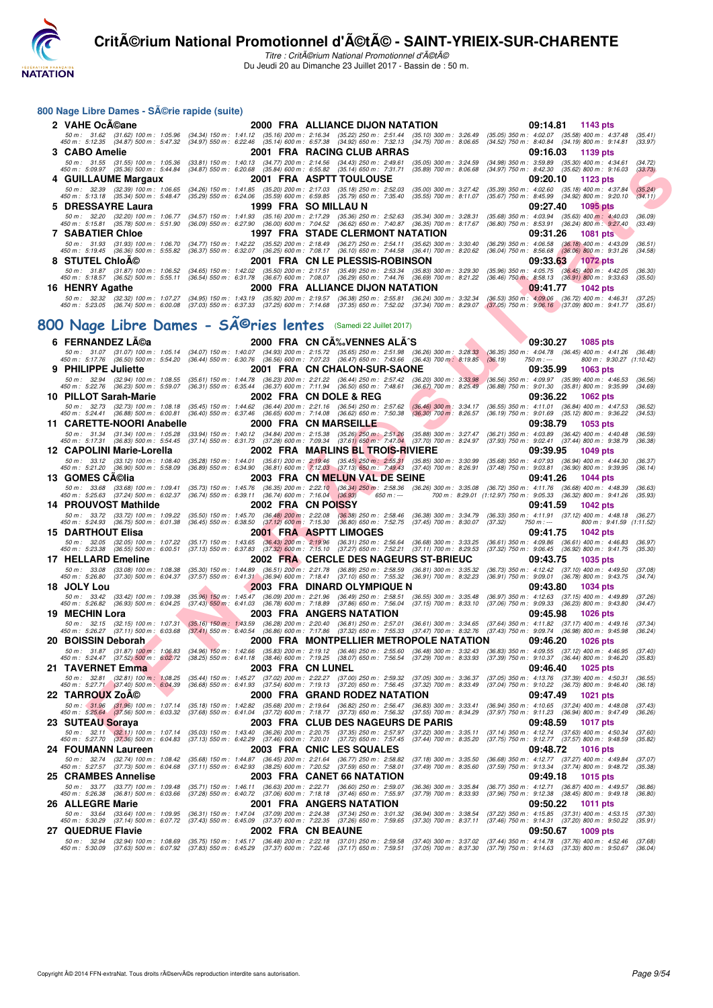

Titre : CritA©rium National Promotionnel d'A©tA© Du Jeudi 20 au Dimanche 23 Juillet 2017 - Bassin de : 50 m.

#### 800 Nage Libre Dames - Série rapide (suite)

| 2 VAHE OcA©ane                                                                                                  |                      | 2000 FRA ALLIANCE DIJON NATATION                                                                                                                                                                                                                                                                                                                                                | 09:14.81 1143 pts                                                                                                                                      |
|-----------------------------------------------------------------------------------------------------------------|----------------------|---------------------------------------------------------------------------------------------------------------------------------------------------------------------------------------------------------------------------------------------------------------------------------------------------------------------------------------------------------------------------------|--------------------------------------------------------------------------------------------------------------------------------------------------------|
| $50 \text{ m}$ : $31.62$                                                                                        |                      | (31.62) 100 m : 1:05.96 (34.34) 150 m : 1:41.12 (35.16) 200 m : 2:16.34 (35.22) 250 m : 2:51.44 (35.10) 300 m : 3:26.49 (35.05) 350 m : 4:02.07 (35.58) 400 m : 4:37.48<br>450 m : 5:12.35 (34.87) 500 m : 5:47.32 (34.97) 550 m : 6:22.46 (35.14) 600 m : 6:57.38 (34.92) 650 m : 7:32.13 (34.75) 700 m : 8:06.65 (34.52) 750 m : 8:40.84 (34.19) 800 m : 9:14.81              | (35.41)<br>(33.97)                                                                                                                                     |
| 3 CABO Amelie                                                                                                   |                      | <b>2001 FRA RACING CLUB ARRAS</b>                                                                                                                                                                                                                                                                                                                                               | 09:16.03 1139 pts                                                                                                                                      |
| 450 m : 5:09.97 (35.36) 500 m : 5:44.84 (34.87) 550 m : 6:20.68 (35.84) 600 m : 6:55.82 (35.14) 650 m : 7:31.71 |                      | 50 m : 31.55 (31.55) 100 m : 1:05.36 (33.81) 150 m : 1:40.13 (34.77) 200 m : 2:14.56 (34.43) 250 m : 2:49.61 (35.05) 300 m : 3:24.59 (34.98) 350 m : 3:59.89 (35.30) 400 m : 4:34.61<br>(35.89) 700 m : 8:06.68                                                                                                                                                                 | (34.72)<br>(34.97) 750 m : 8:42.30 (35.62) 800 m : 9:16.03<br>(33.73)                                                                                  |
| 4 GUILLAUME Margaux 2001 FRA ASPTT TOULOUSE                                                                     |                      |                                                                                                                                                                                                                                                                                                                                                                                 | 09:20.10 1123 pts                                                                                                                                      |
| 50 m : 32.39 (32.39) 100 m : 1:06.65 (34.26) 150 m : 1:41.85 (35.20) 200 m : 2:17.03 (35.18) 250 m : 2:52.03    |                      | 450 m : 5:13.18 (35.34) 500 m : 5:48.47 (35.29) 550 m : 6:24.06 (35.59) 600 m : 6:59.85 (35.79) 650 m : 7:35.40 (35.55) 700 m : 8:11.07                                                                                                                                                                                                                                         | $(35.00)$ 300 m : 3:27.42 $(35.39)$ 350 m : 4:02.60 $(35.18)$ 400 m : 4:37.84<br>(35.24)<br>(35.67) 750 m : 8:45.99 (34.92) 800 m : 9:20.10<br>(34.11) |
| 5 DRESSAYRE Laura                                                                                               | 1999 FRA SO MILLAU N |                                                                                                                                                                                                                                                                                                                                                                                 | 09:27.40 1095 pts                                                                                                                                      |
| $50 \text{ m}$ : 32.20                                                                                          |                      | (32.20) 100 m : 1:06.77 (34.57) 150 m : 1:41.93 (35.16) 200 m : 2:17.29 (35.36) 250 m : 2:52.63 (35.34) 300 m : 3:28.31 (35.68) 350 m : 4:03.94 (35.63) 400 m : 4:40.03<br>450 m : 5:15.81 (35.78) 500 m : 5:51.90 (36.09) 550 m : 6:27.90 (36.00) 600 m : 7:04.52 (36.62) 650 m : 7:40.87 (36.35) 700 m : 8:17.67                                                              | (36.09)<br>$(36.80)$ 750 m : 8:53.91 $(36.24)$ 800 m : 9:27.40<br>(33.49)                                                                              |
| <b>7 SABATIER Chloe</b>                                                                                         |                      | 1997 FRA STADE CLERMONT NATATION         09:31.26  1081 pts                                                                                                                                                                                                                                                                                                                     |                                                                                                                                                        |
| $450 \text{ m}$ : 5:19.45                                                                                       |                      | 50 m: 31.93 (31.93) 100 m: 1:06.70 (34.77) 150 m: 1:42.22 (35.52) 200 m: 2:18.49 (36.27) 250 m: 2:54.11 (35.62) 300 m: 3:30.40 (36.29) 350 m: 4:06.58 (36.18) 400 m: 4:43.09<br>(36.36) 500 m: 5:55.82  (36.37) 550 m: 6:32.07  (36.25) 600 m: 7:08.17  (36.10) 650 m: 7:44.58  (36.41) 700 m: 8:20.62                                                                          | (36.51)<br>$(36.04)$ 750 m : $8.56.68$<br>$(36.06)$ 800 m : 9:31.26<br>(34.58)                                                                         |
| 8 STUTEL ChloA©                                                                                                 |                      | <b>2001 FRA CN LE PLESSIS-ROBINSON</b>                                                                                                                                                                                                                                                                                                                                          | 09:33.63 1072 pts                                                                                                                                      |
| $50 \text{ m}$ : 31.87<br>450 m : 5:18.57                                                                       |                      | (31.87) 100 m : 1:06.52 (34.65) 150 m : 1:42.02 (35.50) 200 m : 2:17.51 (35.49) 250 m : 2:53.34 (35.83) 300 m : 3:29.30 (35.96) 350 m : 4:05.75 (36.45) 400 m : 4:42.05<br>(36.52) 500 m : 5:55.11 (36.54) 550 m : 6:31.78 (36.67) 600 m : 7:08.07 (36.29) 650 m : 7:44.76 (36.69) 700 m : 8:21.22                                                                              | (36.30)<br>$(36.46)$ 750 m : 8:58.13 $(36.91)$ 800 m : 9:33.63<br>(35.50)                                                                              |
| 16 HENRY Agathe                                                                                                 |                      | 2000 FRA ALLIANCE DIJON NATATION 2009:41.77                                                                                                                                                                                                                                                                                                                                     | 1042 pts                                                                                                                                               |
|                                                                                                                 |                      | 50 m : 32.32 (32.32) 100 m : 1:07.27 (34.95) 150 m : 1:43.19 (35.92) 200 m : 2:19.57 (36.38) 250 m : 2:55.81 (36.24) 300 m : 3:32.34 (36.53) 350 m : 4:09.06 (36.72) 400 m : 4:46.31<br>450 m : 5:23.05 (36.74) 500 m : 6:00.08 (37.03) 550 m : 6:37.33 (37.25) 600 m : 7:14.68 (37.35) 650 m : 7:52.02 (37.34) 700 m : 8:29.07 (37.05) 750 m : 9:06.16 (37.09) 800 m : 9:41.77 | (37.25)<br>(35.61)                                                                                                                                     |

# 800 Nage Libre Dames - SÃ<sup>©</sup>ries lentes (Samedi 22 Juillet 2017)

|   | 50 m : 31.55                       | (31.55) 100 m : 1:05.36                                                     |                           | (33.81) 150 m: 1:40.13  (34.77) 200 m: 2:14.56  (34.43) 250 m: 2:49.61  (35.05) 300 m: 3:24.59<br>450 m : 5:09.97 (35.36) 500 m : 5:44.84 (34.87) 550 m : 6:20.68 (35.84) 600 m : 6:55.82 (35.14) 650 m : 7:31.71 (35.89) 700 m : 8:06.68                                                                                                                                       |                                                                         |                                                          | (34.98) 350 m : 3:59.89 (35.30) 400 m : 4:34.61<br>$(34.97)$ 750 m : 8:42.30 $(35.62)$ 800 m : 9:16.03         |                                                        |                          | (34.72)<br>(33.73) |
|---|------------------------------------|-----------------------------------------------------------------------------|---------------------------|---------------------------------------------------------------------------------------------------------------------------------------------------------------------------------------------------------------------------------------------------------------------------------------------------------------------------------------------------------------------------------|-------------------------------------------------------------------------|----------------------------------------------------------|----------------------------------------------------------------------------------------------------------------|--------------------------------------------------------|--------------------------|--------------------|
|   |                                    | 4 GUILLAUME Margaux                                                         |                           |                                                                                                                                                                                                                                                                                                                                                                                 | 2001 FRA ASPTT TOULOUSE                                                 |                                                          |                                                                                                                | 09:20.10<br>1123 pts                                   |                          |                    |
|   |                                    | 450 m: 5:13.18 (35.34) 500 m: 5:48.47                                       |                           | 50 m: 32.39 (32.39) 100 m: 1:06.65 (34.26) 150 m: 1:41.85 (35.20) 200 m: 2:17.03 (35.18) 250 m: 2:52.03 (35.00) 300 m: 3:27.42<br>(35.29) 550 m : 6:24.06 (35.59) 600 m : 6:59.85 (35.79) 650 m : 7:35.40                                                                                                                                                                       |                                                                         | $(35.55)$ 700 m : 8:11.07                                | (35.39) 350 m : 4:02.60 (35.18) 400 m : 4:37.84<br>(35.67) 750 m : 8:45.99 (34.92) 800 m : 9:20.10             |                                                        |                          | (35.24)<br>(34.11) |
| 5 | <b>DRESSAYRE Laura</b>             |                                                                             |                           | 1999 FRA SO MILLAU N                                                                                                                                                                                                                                                                                                                                                            |                                                                         |                                                          |                                                                                                                | 09:27.40                                               | 1095 pts                 |                    |
|   | 50 m : 32.20                       | (32.20) 100 m : 1:06.77                                                     |                           | (34.57) 150 m: 1:41.93 (35.16) 200 m: 2:17.29 (35.36) 250 m: 2:52.63 (35.34) 300 m: 3:28.31                                                                                                                                                                                                                                                                                     |                                                                         |                                                          | $(35.68)$ 350 m : 4:03.94 $(35.63)$ 400 m : 4:40.03                                                            |                                                        |                          | (36.09)            |
|   |                                    | 450 m : 5:15.81 (35.78) 500 m : 5:51.90                                     |                           | (36.09) 550 m : 6:27.90 (36.00) 600 m : 7:04.52 (36.62) 650 m : 7:40.87 (36.35) 700 m : 8:17.67                                                                                                                                                                                                                                                                                 | <b>1997 FRA STADE CLERMONT NATATION</b>                                 |                                                          | (36.80) 750 m : 8:53.91 (36.24) 800 m : 9:27.40                                                                |                                                        |                          | (33.49)            |
|   | <b>7 SABATIER Chioe</b>            | 50 m: 31.93 (31.93) 100 m: 1:06.70                                          | $(34.77)$ 150 m : 1:42.22 |                                                                                                                                                                                                                                                                                                                                                                                 | (35.52) 200 m : 2:18.49 (36.27) 250 m : 2:54.11 (35.62) 300 m : 3:30.40 |                                                          | 09:31.26<br>$(36.29)$ 350 m : 4:06.58                                                                          | $(36.18)$ 400 m : 4:43.09                              | <b>1081 pts</b>          | (36.51)            |
|   |                                    | 450 m : 5:19.45 (36.36) 500 m : 5:55.82                                     |                           | (36.37) 550 m : 6:32.07 (36.25) 600 m : 7:08.17 (36.10) 650 m : 7:44.58 (36.41) 700 m : 8:20.62                                                                                                                                                                                                                                                                                 |                                                                         |                                                          | (36.04) 750 m : 8:56.68 (36.06) 800 m : 9:31.26                                                                |                                                        |                          | (34.58)            |
|   | 8 STUTEL ChloA©                    |                                                                             |                           |                                                                                                                                                                                                                                                                                                                                                                                 | 2001 FRA CN LE PLESSIS-ROBINSON                                         |                                                          | 09:33.63                                                                                                       | $-1072$ pts                                            |                          |                    |
|   |                                    | 50 m: 31.87 (31.87) 100 m: 1:06.52<br>450 m: 5:18.57 (36.52) 500 m: 5:55.11 |                           | (34.65) 150 m : 1:42.02 (35.50) 200 m : 2:17.51 (35.49) 250 m : 2:53.34 (35.83) 300 m : 3:29.30<br>(36.54) 550 m : 6:31.78 (36.67) 600 m : 7:08.07 (36.29) 650 m : 7:44.76 (36.69) 700 m : 8:21.22                                                                                                                                                                              |                                                                         |                                                          | $(35.96)$ 350 m : 4:05.75<br>$(36.46)$ 750 m : $8:58.13$                                                       | $(36.45)$ 400 m : 4:42.05<br>$(36.91)$ 800 m : 9:33.63 |                          | (36.30)<br>(35.50) |
|   | 16 HENRY Agathe                    |                                                                             |                           |                                                                                                                                                                                                                                                                                                                                                                                 | 2000 FRA ALLIANCE DIJON NATATION                                        |                                                          |                                                                                                                | 09:41.77                                               | <b>1042 pts</b>          |                    |
|   |                                    |                                                                             |                           | 50 m : 32.32 (32.32) 100 m : 1:07.27 (34.95) 150 m : 1:43.19 (35.92) 200 m : 2:19.57 (36.38) 250 m : 2:55.81 (36.24) 300 m : 3:32.34 (36.53) 350 m : 4:09.06 (36.72) 400 m : 4:46.31<br>450 m : 5:23.05 (36.74) 500 m : 6:00.08 (37.03) 550 m : 6:37.33 (37.25) 600 m : 7:14.68 (37.35) 650 m : 7:52.02 (37.34) 700 m : 8:29.07 (37.05) 750 m : 9:06.16 (37.09) 800 m : 9:41.77 |                                                                         |                                                          |                                                                                                                |                                                        |                          | (37.25)<br>(35.61) |
|   |                                    |                                                                             |                           |                                                                                                                                                                                                                                                                                                                                                                                 |                                                                         |                                                          |                                                                                                                |                                                        |                          |                    |
|   |                                    |                                                                             |                           | 00 Nage Libre Dames - SA©ries lentes                                                                                                                                                                                                                                                                                                                                            | (Samedi 22 Juillet 2017)                                                |                                                          |                                                                                                                |                                                        |                          |                    |
|   | 6 FERNANDEZ LA©a                   |                                                                             |                           |                                                                                                                                                                                                                                                                                                                                                                                 | 2000 FRA CN CA‰VENNES ALA^S                                             |                                                          | 09:30.27                                                                                                       |                                                        | <b>1085 pts</b>          |                    |
|   |                                    |                                                                             |                           | 50 m : 31.07 (31.07) 100 m : 1:05.14 (34.07) 150 m : 1:40.07 (34.93) 200 m : 2:15.72 (35.65) 250 m : 2:51.98 (36.26) 300 m : 3:28.33 (36.35) 350 m : 4:04.78 (36.45) 400 m : 4:41.26 (36.48)                                                                                                                                                                                    |                                                                         |                                                          |                                                                                                                |                                                        |                          |                    |
|   |                                    |                                                                             |                           | 450 m : 5:17.76 (36.50) 500 m : 5:54.20 (36.44) 550 m : 6:30.76 (36.56) 600 m : 7:07.23 (36.47) 650 m : 7:43.66 (36.43) 700 m : 8:19.85 (36.19)                                                                                                                                                                                                                                 |                                                                         |                                                          | 750 m : ---                                                                                                    |                                                        | 800 m: 9:30.27 (1:10.42) |                    |
| 9 | <b>PHILIPPE Juliette</b>           | 50 m : 32.94 (32.94) 100 m : 1:08.55                                        |                           | (35.61) 150 m : 1:44.78 (36.23) 200 m : 2:21.22 (36.44) 250 m : 2:57.42 (36.20) 300 m : 3:33.98                                                                                                                                                                                                                                                                                 | 2001 FRA CN CHALON-SUR-SAONE                                            |                                                          | 09:35.99<br>$(36.56)$ 350 m : 4:09.97 $(35.99)$ 400 m : 4:46.53                                                |                                                        | <b>1063 pts</b>          | (36.56)            |
|   |                                    | 450 m : 5:22.76 (36.23) 500 m : 5:59.07                                     |                           | $(36.31)$ 550 m $: 6.35.44$ $(36.37)$ 600 m $: 7.11.94$ $(36.50)$ 650 m $: 7.48.61$                                                                                                                                                                                                                                                                                             |                                                                         | (36.67) 700 m : 8:25.49                                  | (36.88) 750 m : 9:01.30 (35.81) 800 m : 9:35.99                                                                |                                                        |                          | (34.69)            |
|   | 10 PILLOT Sarah-Marie              |                                                                             |                           | 2002 FRA CN DOLE & REG                                                                                                                                                                                                                                                                                                                                                          |                                                                         |                                                          | 09:36.22                                                                                                       |                                                        | <b>1062 pts</b>          |                    |
|   |                                    |                                                                             |                           | 50 m : 32.73 (32.73) 100 m : 1:08.18 (35.45) 150 m : 1:44.62 (36.44) 200 m : 2:21.16 (36.54) 250 m : 2:57.62 (36.46) 300 m : 3:34.17<br>450 m :  5:24.41    (36.88) 500 m :  6:00.81    (36.40) 550 m :  6:37.46    (36.65) 600 m :  7:14.08    (36.62) 650 m :  7:50.38                                                                                                        |                                                                         | $(36.30)$ 700 m : 8:26.57                                | $(36.55)$ 350 m : 4:11.01 $(36.84)$ 400 m : 4:47.53<br>$(36.19)$ 750 m : $9:01.69$                             | (35.12) 800 m : 9:36.22                                |                          | (36.52)<br>(34.53) |
|   |                                    | 11 CARETTE-NOORI Anabelle                                                   |                           | 2000 FRA CN MARSEILLE                                                                                                                                                                                                                                                                                                                                                           |                                                                         |                                                          | 09:38.79                                                                                                       |                                                        | 1053 pts                 |                    |
|   | 450 m : 5:17.31                    | 50 m: 31.34 (31.34) 100 m: 1:05.28<br>$(36.83)$ 500 m : 5:54.45             |                           | $\begin{array}{cccc} (33.94) \ 150 \ m \colon \ 1.40.12 \quad \ (34.84) \ 200 \ m \colon \ 2.15.38 \quad \ (35.26) \ 250 \ m \colon \ 2.51.26 \quad \ (35.88) \ 300 \ m \colon \ 3.27.47 \\ (37.14) \ 550 \ m \colon \ 6.31.73 \quad \ (37.28) \ 600 \ m \colon \ 7.09.34 \quad \ (37.61) \ 650 \ m \colon \ 7.47.04 \quad \ (37.70) \ 700 \ m \colon \ 8$                      |                                                                         |                                                          | (36.21) 350 m: 4:03.89 (36.42) 400 m: 4:40.48<br>(37.93) 750 m : 9:02.41                                       | (37.44) 800 m : 9:38.79                                |                          | (36.59)<br>(36.38) |
|   |                                    | 12 CAPOLINI Marie-Lorella                                                   |                           |                                                                                                                                                                                                                                                                                                                                                                                 | 2002 FRA MARLINS BL TROIS-RIVIERE                                       |                                                          |                                                                                                                | 09:39.95                                               | 1049 pts                 |                    |
|   |                                    | 50 m: 33.12 (33.12) 100 m: 1:08.40                                          |                           | (35.28) 150 m: 1:44.01 (35.61) 200 m: 2:19.46 (35.45) 250 m: 2:55.31 (35.85) 300 m: 3:30.99                                                                                                                                                                                                                                                                                     |                                                                         |                                                          | (35.68) 350 m : 4:07.93 (36.94) 400 m : 4:44.30                                                                |                                                        |                          | (36.37)            |
|   | 450 m : 5:21.20<br>13 GOMES CA©lia | $(36.90)$ 500 m : 5:58.09                                                   |                           | (36.89) 550 m : 6:34.90 (36.81) 600 m : 7:12.03 (37.13) 650 m : 7:49.43 (37.40) 700 m : 8:26.91                                                                                                                                                                                                                                                                                 | 2003 FRA CN MELUN VAL DE SEINE                                          |                                                          | $(37.48)$ 750 m : $9:03.81$ $(36.90)$ 800 m : $9:39.95$<br>09:41.26                                            |                                                        | 1044 pts                 | (36.14)            |
|   |                                    | 50 m: 33.68 (33.68) 100 m: 1:09.41                                          |                           | (35.73) 150 m : 1:45.76 (36.35) 200 m : 2:22.10 (36.34) 250 m : 2:58.36 (36.26) 300 m : 3:35.08 (36.73) 350 m : 4:11.76 (36.68) 400 m : 4:48.39                                                                                                                                                                                                                                 |                                                                         |                                                          |                                                                                                                |                                                        |                          | (36.63)            |
|   |                                    | 450 m : 5:25.63 (37.24) 500 m : 6:02.37                                     |                           | $(36.74)$ 550 m : 6:39.11 $(36.74)$ 600 m : 7:16.04 $(36.93)$                                                                                                                                                                                                                                                                                                                   | $650 m: -$                                                              |                                                          | 700 m: 8:29.01 (1:12.97) 750 m: 9:05.33 (36.32) 800 m: 9:41.26                                                 |                                                        |                          | (35.93)            |
|   | 14 PROUVOST Mathilde               | 50 m: 33.72 (33.72) 100 m: 1:09.22                                          |                           | 2002 FRA CN POISSY<br>(35.50) 150 m : 1:45.70 (36.48) 200 m : 2:22.08 (36.38) 250 m : 2:58.46 (36.38) 300 m : 3:34.79                                                                                                                                                                                                                                                           |                                                                         |                                                          | 09:41.59<br>(36.33) 350 m: 4:11.91 (37.12) 400 m: 4:48.18 (36.27)                                              |                                                        | <b>1042 pts</b>          |                    |
|   |                                    | 450 m : 5:24.93 (36.75) 500 m : 6:01.38                                     |                           | (36.45) 550 m : 6:38.50 (37.12) 600 m : 7:15.30 (36.80) 650 m : 7:52.75 (37.45) 700 m : 8:30.07                                                                                                                                                                                                                                                                                 |                                                                         |                                                          | (37.32)<br>750 m : ---                                                                                         |                                                        | 800 m: 9:41.59 (1:11.52) |                    |
|   | 15 DARTHOUT Elisa                  |                                                                             |                           | <b>2001 FRA ASPTT LIMOGES</b>                                                                                                                                                                                                                                                                                                                                                   |                                                                         |                                                          | 09:41.75                                                                                                       |                                                        | <b>1042 pts</b>          |                    |
|   | 50 m: 32.05<br>450 m : 5:23.38     | (32.05) 100 m : 1:07.22<br>$(36.55)$ 500 m : 6:00.51                        |                           | (35.17) 150 m : 1:43.65 (36.43) 200 m : 2:19.96 (36.31) 250 m : 2:56.64 (36.68) 300 m : 3:33.25<br>$(37.13)$ 550 m $: 6.37.83$ $(37.32)$ 600 m $: 7.15.10$ $(37.27)$ 650 m $: 7.52.21$ $(37.11)$ 700 m $: 8.29.53$                                                                                                                                                              |                                                                         |                                                          | $(36.61)$ 350 m : 4:09.86<br>$(37.32)$ 750 m : 9:06.45                                                         | $(36.61)$ 400 m : 4:46.83<br>$(36.92)$ 800 m : 9:41.75 |                          | (36.97)<br>(35.30) |
|   | 17 HELLARD Emeline                 |                                                                             |                           |                                                                                                                                                                                                                                                                                                                                                                                 | 2002 FRA  CERCLE DES NAGEURS ST-BRIEUC                                  |                                                          | 09:43.75                                                                                                       | 1035 pts                                               |                          |                    |
|   | 450 m : 5:26.80                    | 50 m: 33.08 (33.08) 100 m: 1:08.38<br>$(37.30)$ 500 m : 6:04.37             |                           | (35.30) 150 m : 1:44.89 (36.51) 200 m : 2:21.78 (36.89) 250 m : 2:58.59 (36.81) 300 m : 3:35.32<br>(37.57) 550 m : 6:41.31 (36.94) 600 m : 7:18.41 (37.10) 650 m : 7:55.32                                                                                                                                                                                                      |                                                                         | (36.91) 700 m : 8:32.23                                  | (36.73) 350 m : 4:12.42 (37.10) 400 m : 4:49.50<br>$(36.91)$ 750 m : $9:09.01$                                 | $(36.78)$ 800 m : 9:43.75                              |                          | (37.08)<br>(34.74) |
|   | 18 JOLY Lou                        |                                                                             |                           |                                                                                                                                                                                                                                                                                                                                                                                 | 2003 FRA DINARD OLYMPIQUE N                                             |                                                          | 09:43.80                                                                                                       |                                                        | <b>1034 pts</b>          |                    |
|   | 50 m : 33.42                       | (33.42) 100 m : 1:09.38                                                     |                           | (35.96) 150 m: 1:45.47 (36.09) 200 m: 2:21.96 (36.49) 250 m: 2:58.51                                                                                                                                                                                                                                                                                                            |                                                                         | $(36.55)$ 300 m : 3:35.48                                | $(36.97)$ 350 m : 4:12.63 $(37.15)$ 400 m : 4:49.89                                                            |                                                        |                          | (37.26)            |
|   | 450 m : 5:26.82<br>19 MECHIN Lora  | (36.93) 500 m : 6:04.25                                                     |                           | (37.43) 550 m : 6:41.03 (36.78) 600 m : 7:18.89 (37.86) 650 m : 7:56.04                                                                                                                                                                                                                                                                                                         | 2003 FRA ANGERS NATATION                                                | $(37.15)$ 700 m : 8:33.10                                | $(37.06)$ 750 m : $9.09.33$<br>09:45.98                                                                        | $(36.23)$ 800 m : 9:43.80                              |                          | (34.47)            |
|   | 50 m : 32.15                       |                                                                             |                           | (32.15) 100 m: 1:07.31 (35.16) 150 m: 1:43.59 (36.28) 200 m: 2:20.40 (36.81) 250 m: 2:57.01 (36.61) 300 m: 3:34.65                                                                                                                                                                                                                                                              |                                                                         |                                                          | $(37.64)$ 350 m : 4:11.82 $(37.17)$ 400 m : 4:49.16                                                            |                                                        | <b>1026 pts</b>          | (37.34)            |
|   |                                    | 450 m: 5:26.27 (37.11) 500 m: 6:03.68                                       |                           | (37.41) 550 m : 6:40.54 (36.86) 600 m : 7:17.86 (37.32) 650 m : 7:55.33                                                                                                                                                                                                                                                                                                         |                                                                         | (37.47) 700 m : 8:32.76                                  | $(37.43)$ 750 m : $9.09.74$ $(36.98)$ 800 m : $9.45.98$                                                        |                                                        |                          | (36.24)            |
|   | 20 BOISSIN Deborah                 | 50 m: 31.87 (31.87) 100 m: 1:06.83                                          |                           | (34.96) 150 m : 1:42.66 (35.83) 200 m : 2:19.12 (36.46) 250 m : 2:55.60                                                                                                                                                                                                                                                                                                         | 2000 FRA MONTPELLIER METROPOLE NATATION                                 | (36.48) 300 m : 3:32.43                                  | 09:46.20<br>(36.83) 350 m: 4:09.55 (37.12) 400 m: 4:46.95                                                      |                                                        | <b>1026 pts</b>          | (37.40)            |
|   |                                    | 450 m : 5:24.47 (37.52) 500 m : 6:02.72                                     |                           | (38.25) 550 m : 6:41.18 (38.46) 600 m : 7:19.25 (38.07) 650 m : 7:56.54                                                                                                                                                                                                                                                                                                         |                                                                         | (37.29) 700 m : 8:33.93                                  | $(37.39)$ 750 m : $9.10.37$ $(36.44)$ 800 m : $9.46.20$                                                        |                                                        |                          | (35.83)            |
|   | 21 TAVERNET Emma                   |                                                                             |                           | 2003 FRA CN LUNEL                                                                                                                                                                                                                                                                                                                                                               |                                                                         |                                                          |                                                                                                                | 09:46.40                                               | 1025 pts                 |                    |
|   |                                    | 450 m : 5:27.71 (37.40) 500 m : 6:04.39                                     |                           | 50 m : 32.81 (32.81) 100 m : 1:08.25 (35.44) 150 m : 1:45.27 (37.02) 200 m : 2:22.27 (37.00) 250 m : 2:59.32 (37.05) 300 m : 3:36.37<br>(36.68) 550 m : 6:41.93 (37.54) 600 m : 7:19.13 (37.20) 650 m : 7:56.45 (37.32) 700 m : 8:33.49 (37.04) 750 m : 9:10.22 (36.73) 800 m : 9:46.40                                                                                         |                                                                         |                                                          | (37.05) 350 m : 4:13.76 (37.39) 400 m : 4:50.31                                                                |                                                        |                          | (36.55)<br>(36.18) |
|   | 22 TARROUX ZoA©                    |                                                                             |                           |                                                                                                                                                                                                                                                                                                                                                                                 | 2000 FRA GRAND RODEZ NATATION                                           |                                                          |                                                                                                                | 09:47.49                                               | <b>1021 pts</b>          |                    |
|   | 50 m: 31.96                        | $(31.96)$ 100 m : 1:07.14<br>450 m : 5:25.64 (37.56) 500 m : 6:03.32        |                           | (35.18) 150 m : 1:42.82 (35.68) 200 m : 2:19.64<br>(37.68) 550 m : 6:41.04 (37.72) 600 m : 7:18.77 (37.73) 650 m : 7:56.32                                                                                                                                                                                                                                                      | $(36.82)$ 250 m : 2:56.47                                               | $(36.83)$ 300 m : 3:33.41<br>(37.55) 700 m : 8:34.29     | (36.94) 350 m: 4:10.65 (37.24) 400 m: 4:48.08<br>(37.97) 750 m : 9:11.23 (36.94) 800 m : 9:47.49               |                                                        |                          | (37.43)<br>(36.26) |
|   | 23 SUTEAU Sorava                   |                                                                             |                           |                                                                                                                                                                                                                                                                                                                                                                                 | 2003 FRA CLUB DES NAGEURS DE PARIS                                      |                                                          | 09:48.59                                                                                                       |                                                        | 1017 pts                 |                    |
|   |                                    | 50 m: 32.11 (32.11) 100 m: 1:07.14                                          |                           | (35.03) 150 m : 1:43.40 (36.26) 200 m : 2:20.75 (37.35) 250 m : 2:57.97 (37.22) 300 m : 3:35.11                                                                                                                                                                                                                                                                                 |                                                                         |                                                          | (37.14) 350 m: 4:12.74 (37.63) 400 m: 4:50.34                                                                  |                                                        |                          | (37.60)            |
|   | 24 FOUMANN Laureen                 | 450 m : 5:27.70 (37.36) 500 m : 6:04.83                                     |                           | (37.13) 550 m : 6:42.29 (37.46) 600 m : 7:20.01 (37.72) 650 m : 7:57.45                                                                                                                                                                                                                                                                                                         | 2003 FRA CNIC LES SQUALES                                               | (37.44) 700 m : 8:35.20                                  | (37.75) 750 m: 9:12.77 (37.57) 800 m: 9:48.59                                                                  | 09:48.72                                               | 1016 pts                 | (35.82)            |
|   |                                    | 50 m: 32.74 (32.74) 100 m: 1:08.42                                          |                           | (35.68) 150 m : 1:44.87 (36.45) 200 m : 2:21.64 (36.77) 250 m : 2:58.82                                                                                                                                                                                                                                                                                                         |                                                                         | $(37.18)$ 300 m : 3:35.50                                | (36.68) 350 m: 4:12.77 (37.27) 400 m: 4:49.84                                                                  |                                                        |                          | (37.07)            |
|   |                                    | 450 m : 5:27.57 (37.73) 500 m : 6:04.68                                     |                           | (37.11) 550 m: 6:42.93 (38.25) 600 m: 7:20.52                                                                                                                                                                                                                                                                                                                                   | (37.59) 650 m : 7:58.01                                                 | $(37.49)$ 700 m : 8:35.60                                | (37.59) 750 m : 9:13.34 (37.74) 800 m : 9:48.72                                                                |                                                        |                          | (35.38)            |
|   | <b>25 CRAMBES Annelise</b>         | 50 m: 33.77 (33.77) 100 m: 1:09.48                                          |                           | (35.71) 150 m: 1:46.11 (36.63) 200 m: 2:22.71 (36.60) 250 m: 2:59.07                                                                                                                                                                                                                                                                                                            | 2003 FRA CANET 66 NATATION                                              | $(36.36)$ 300 m : 3:35.84                                | 09:49.18<br>(36.77) 350 m : 4:12.71 (36.87) 400 m : 4:49.57                                                    |                                                        | 1015 pts                 | (36.86)            |
|   |                                    | 450 m : 5:26.38 (36.81) 500 m : 6:03.66                                     |                           | (37.28) 550 m : 6:40.72 (37.06) 600 m : 7:18.18 (37.46) 650 m : 7:55.97                                                                                                                                                                                                                                                                                                         |                                                                         | $(37.79)$ 700 m : 8:33.93                                | (37.96) 750 m : 9:12.38 (38.45) 800 m : 9:49.18                                                                |                                                        |                          | (36.80)            |
|   | 26 ALLEGRE Marie                   |                                                                             |                           |                                                                                                                                                                                                                                                                                                                                                                                 | 2001 FRA ANGERS NATATION                                                |                                                          | 09:50.22                                                                                                       |                                                        | <b>1011 pts</b>          |                    |
|   | 450 m : 5:30.29                    | 50 m: 33.64 (33.64) 100 m: 1:09.95<br>(37.14) 500 m : 6:07.72               |                           | (36.31) 150 m: 1:47.04 (37.09) 200 m: 2:24.38 (37.34) 250 m: 3:01.32<br>(37.43) 550 m : 6:45.09 (37.37) 600 m : 7:22.35 (37.26) 650 m : 7:59.65                                                                                                                                                                                                                                 |                                                                         | $(36.94)$ 300 m : 3:38.54<br>$(37.30)$ 700 m : $8.37.11$ | (37.22) 350 m: 4:15.85 (37.31) 400 m: 4:53.15<br>(37.46) 750 m : 9:14.31 (37.20) 800 m : 9:50.22               |                                                        |                          | (37.30)<br>(35.91) |
|   | 27 QUEDRUE Flavie                  |                                                                             |                           | 2002 FRA CNBEAUNE                                                                                                                                                                                                                                                                                                                                                               |                                                                         |                                                          |                                                                                                                | 09:50.67                                               | 1009 pts                 |                    |
|   | 50 m : 32.94<br>450 m : 5:30.09    | $(32.94)$ 100 m : 1:08.69<br>$(37.63)$ 500 m : 6:07.92                      |                           | (35.75) 150 m: 1:45.17 (36.48) 200 m: 2:22.18 (37.01) 250 m: 2:59.58<br>(37.83) 550 m : 6:45.29 (37.37) 600 m : 7:22.46 (37.17) 650 m : 7:59.51                                                                                                                                                                                                                                 |                                                                         | $(37.40)$ 300 m : 3:37.02<br>$(37.05)$ 700 m : $8.37.30$ | $(37.44)$ 350 m : 4:14.78 $(37.76)$ 400 m : 4:52.46<br>$(37.79)$ 750 m : $9.14.63$ $(37.33)$ 800 m : $9.50.67$ |                                                        |                          | (37.68)<br>(36.04) |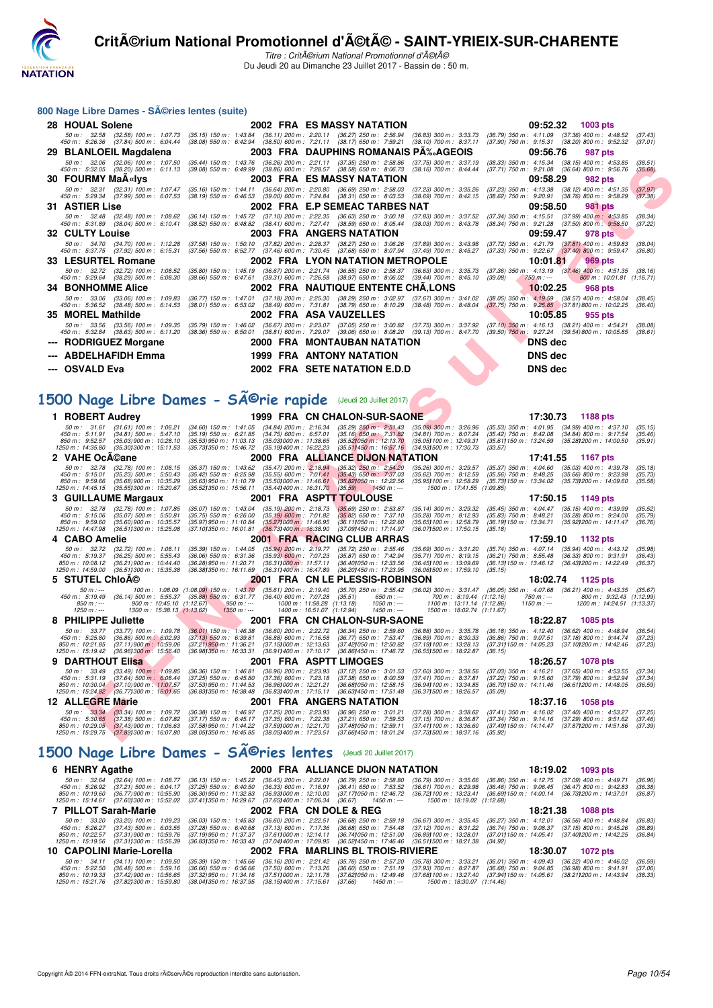

Titre : CritA©rium National Promotionnel d'A©tA© Du Jeudi 20 au Dimanche 23 Juillet 2017 - Bassin de : 50 m.

#### **800 Nage Libre Dames - Séries lentes (suite)**

| 28 HOUAL Solene                                         | 2002 FRA ES MASSY NATATION                                                                                                                                                                                                                                                                                                                                                       | 09:52.32 1003 pts                                                                                                                    |
|---------------------------------------------------------|----------------------------------------------------------------------------------------------------------------------------------------------------------------------------------------------------------------------------------------------------------------------------------------------------------------------------------------------------------------------------------|--------------------------------------------------------------------------------------------------------------------------------------|
| 50 m : 32.58<br>450 m : 5:26.36 (37.84) 500 m : 6:04.44 | (32.58) 100 m : 1:07.73 (35.15) 150 m : 1:43.84 (36.11) 200 m : 2:20.11 (36.27) 250 m : 2:56.94 (36.83) 300 m : 3:33.73<br>(38.08) 550 m: 6:42.94 (38.50) 600 m: 7:21.11 (38.17) 650 m: 7:59.21 (38.10) 700 m: 8:37.11                                                                                                                                                           | $(36.79)$ 350 m : 4:11.09 $(37.36)$ 400 m : 4:48.52<br>(37.43)<br>$(37.90)$ 750 m : $9.15.31$ $(38.20)$ 800 m : $9.52.32$<br>(37.01) |
| 29 BLANLOEIL Magdalena                                  | 2003 FRA DAUPHINS ROMANAIS PA‰AGEOIS                                                                                                                                                                                                                                                                                                                                             | 09:56.76<br>987 pts                                                                                                                  |
|                                                         | 50 m: 32.06 (32.06) 100 m: 1:07.50 (35.44) 150 m: 1:43.76 (36.26) 200 m: 2:21.11 (37.35) 250 m: 2:58.86 (37.75) 300 m: 3:37.19<br>450 m : 5:32.05 (38.20) 500 m : 6:11.13 (39.08) 550 m : 6:49.99 (38.86) 600 m : 7:28.57 (38.58) 650 m : 8:06.73 (38.16) 700 m : 8:44.44                                                                                                        | $(38.33)$ 350 m : 4:15.34 $(38.15)$ 400 m : 4:53.85<br>(38.51)<br>$(37.71)$ 750 m : $9:21.08$ $(36.64)$ 800 m : $9:56.76$<br>(35.68) |
| <b>30 FOURMY MaA«Ivs</b>                                | 2003 FRA ES MASSY NATATION                                                                                                                                                                                                                                                                                                                                                       | 09:58.29<br>982 pts                                                                                                                  |
|                                                         | 50 m: 32.31 (32.31) 100 m: 1:07.47 (35.16) 150 m: 1:44.11 (36.64) 200 m: 2:20.80 (36.69) 250 m: 2:58.03 (37.23) 300 m: 3:35.26<br>450 m : 5:29.34 (37.99) 500 m : 6:07.53 (38.19) 550 m : 6:46.53 (39.00) 600 m : 7:24.84 (38.31) 650 m : 8:03.53 (38.69) 700 m : 8:42.15                                                                                                        | $(37.23)$ 350 m : 4:13.38 $(38.12)$ 400 m : 4:51.35<br>(37.97)<br>$(38.62)$ 750 m : $9.20.91$ $(38.76)$ 800 m : $9.58.29$<br>(37.38) |
| <b>31 ASTIER Lise</b>                                   | 2002 FRA E.P SEMEAC TARBES NAT                                                                                                                                                                                                                                                                                                                                                   | 09:58.50<br><b>981 pts</b>                                                                                                           |
|                                                         | 50 m: 32.48 (32.48) 100 m: 1:08.62 (36.14) 150 m: 1:45.72 (37.10) 200 m: 2:22.35 (36.63) 250 m: 3:00.18 (37.83) 300 m: 3:37.52 (37.34) 350 m: 4:15.51 (37.99) 400 m: 4:53.85<br>450 m: 5:31.89 (38.04) 500 m: 6:10.41 (38.52) 550 m: 6:48.82 (38.41) 600 m: 7:27.41 (38.59) 650 m: 8:05.44 (38.03) 700 m: 8:43.78 (38.34) 750 m: 9:21.28 (37.50) 800 m: 9:58.50                  | (38.34)<br>(37.22)                                                                                                                   |
| 32 CULTY Louise                                         | 2003 FRA ANGERS NATATION                                                                                                                                                                                                                                                                                                                                                         | 09:59.47<br>978 pts                                                                                                                  |
|                                                         | 50 m: 34.70 (34.70) 100 m: 1:12.28 (37.58) 150 m: 1:50.10 (37.82) 200 m: 2:28.37 (38.27) 250 m: 3:06.26 (37.89) 300 m: 3:43.98 (37.72) 350 m: 4:21.79 (37.81) 400 m: 4:59.83<br>450 m : 5:37.75 (37.92) 500 m : 6:15.31 (37.56) 550 m : 6:52.77 (37.46) 600 m : 7:30.45 (37.68) 650 m : 8:07.94 (37.49) 700 m : 8:45.27 (37.33) 750 m : 9:22.67 (37.40) 800 m : 9:59.47          | (38.04)<br>(36.80)                                                                                                                   |
| 33 LESURTEL Romane                                      | <b>2002 FRA LYON NATATION METROPOLE</b>                                                                                                                                                                                                                                                                                                                                          | 10:01.81<br>969 pts                                                                                                                  |
|                                                         | 50 m: 32.72 (32.72) 100 m: 1:08.52 (35.80) 150 m: 1:45.19 (36.67) 200 m: 2:21.74 (36.55) 250 m: 2:58.37 (36.63) 300 m: 3:35.73 (37.36) 350 m: 4:13.19 (37.46) 400 m: 4:51.35<br>450 m : 5:29.64 (38.29) 500 m : 6:08.30 (38.66) 550 m : 6:47.61 (39.31) 600 m : 7:26.58 (38.97) 650 m : 8:06.02 (39.44) 700 m : 8:45.10                                                          | (38.16)<br>(39.08)<br>$750 m : -$<br>800 m : 10:01.81 (1:16.71)                                                                      |
| <b>34 BONHOMME Alice</b>                                | 2002 FRA NAUTIQUE ENTENTE CHA.LONS                                                                                                                                                                                                                                                                                                                                               | 10:02.25<br>968 pts                                                                                                                  |
|                                                         | 50 m : 33.06 (33.06) 100 m : 1:09.83 (36.77) 150 m : 1:47.01 (37.18) 200 m : 2:25.30 (38.29) 250 m : 3:02.97 (37.67) 300 m : 3:41.02 (38.05) 350 m : 4:19.59 (38.57) 400 m : 4:58.04<br>450 m : 5:36.52 (38.48) 500 m : 6:14.53 (38.01) 550 m : 6:53.02 (38.49) 600 m : 7:31.81 (38.79) 650 m : 8:10.29 (38.48) 700 m : 8:48.04 (37.75) 750 m : 9:25.85 (37.81) 800 m : 10:02.25 | (38.45)<br>(36.40)                                                                                                                   |
| 35 MOREL Mathilde                                       | 2002 FRA ASA VAUZELLES                                                                                                                                                                                                                                                                                                                                                           | 10:05.85<br>955 pts                                                                                                                  |
|                                                         | 50 m: 33.56 (33.56) 100 m: 1:09.35 (35.79) 150 m: 1:46.02 (36.67) 200 m: 2:23.07 (37.05) 250 m: 3:00.82 (37.75) 300 m: 3:37.92 (37.10) 350 m: 4:16.13 (38.21) 400 m: 4:54.21<br>450 m : 5:32.84 (38.63) 500 m : 6:11.20 (38.36) 550 m : 6:50.01 (38.81) 600 m : 7:29.07 (39.06) 650 m : 8:08.20 (39.13) 700 m : 8:47.70 (39.50) 750 m : 9:27.24 (39.54) 800 m : 10:05.85         | (38.08)<br>(38.61)                                                                                                                   |
| --- RODRIGUEZ Morgane                                   | 2000 FRA MONTAUBAN NATATION                                                                                                                                                                                                                                                                                                                                                      | <b>DNS</b> dec                                                                                                                       |
| --- ABDELHAFIDH Emma                                    | <b>1999 FRA ANTONY NATATION</b>                                                                                                                                                                                                                                                                                                                                                  | DNS dec                                                                                                                              |
| --- OSVALD Eva                                          | 2002 FRA SETE NATATION E.D.D                                                                                                                                                                                                                                                                                                                                                     | <b>DNS</b> dec                                                                                                                       |
|                                                         |                                                                                                                                                                                                                                                                                                                                                                                  |                                                                                                                                      |

# 1500 Nage Libre Dames - SÃ<sup>@</sup>rie rapide (Jeudi 20 Juillet 2017)

| 50 m : 32.06                                            | (32.06) 100 m : 1:07.50                                                                                                   | (35.44) 150 m : 1:43.76<br>$(39.08)$ 550 m : 6:49.99                                                                                                                                                                                                                                                                                                                                                                                                                                                                                                                                                                                                                                                                                                                                                                                                                                                                                                                                                                                                                                                                                                                                                                                                  | (36.26) 200 m : 2:21.11                                                            |                                                                                                                                                                                                                                                                                                                                                                                                                                                                                                                                                                                                                                                                  | (37.35) 250 m: 2:58.86 (37.75) 300 m: 3:37.19                                                                                                                                                                                                                                                                                                                                                                                                                                                                                                                                                                                    | (38.33) 350 m : 4:15.34 (38.15) 400 m : 4:53.85                                                                                                                                                                                                                                                                                                                                                                                                                                                                                                                                                                                                                                                                                                                                                                                                                                                                                                                                                                                                                                                                                                                                                                                                                                                                                                                                                                                                                                                                                                                                                                                                                                                                                                                                                                                                                                                                                                                                                                                                                                                                                                                                                                                                                                                                                           |                                                                                                                                                                                                                                                                                                                                                              | (38.51)<br>(35.68)                                                                                                                                                                                                                                                                                                                                                                                                                                                                                                                                                                                                                                                                                                                                                                                                                                                                                                                                                                                                                                                                                                                                                                                                                                                                                                                                    |
|---------------------------------------------------------|---------------------------------------------------------------------------------------------------------------------------|-------------------------------------------------------------------------------------------------------------------------------------------------------------------------------------------------------------------------------------------------------------------------------------------------------------------------------------------------------------------------------------------------------------------------------------------------------------------------------------------------------------------------------------------------------------------------------------------------------------------------------------------------------------------------------------------------------------------------------------------------------------------------------------------------------------------------------------------------------------------------------------------------------------------------------------------------------------------------------------------------------------------------------------------------------------------------------------------------------------------------------------------------------------------------------------------------------------------------------------------------------|------------------------------------------------------------------------------------|------------------------------------------------------------------------------------------------------------------------------------------------------------------------------------------------------------------------------------------------------------------------------------------------------------------------------------------------------------------------------------------------------------------------------------------------------------------------------------------------------------------------------------------------------------------------------------------------------------------------------------------------------------------|----------------------------------------------------------------------------------------------------------------------------------------------------------------------------------------------------------------------------------------------------------------------------------------------------------------------------------------------------------------------------------------------------------------------------------------------------------------------------------------------------------------------------------------------------------------------------------------------------------------------------------|-------------------------------------------------------------------------------------------------------------------------------------------------------------------------------------------------------------------------------------------------------------------------------------------------------------------------------------------------------------------------------------------------------------------------------------------------------------------------------------------------------------------------------------------------------------------------------------------------------------------------------------------------------------------------------------------------------------------------------------------------------------------------------------------------------------------------------------------------------------------------------------------------------------------------------------------------------------------------------------------------------------------------------------------------------------------------------------------------------------------------------------------------------------------------------------------------------------------------------------------------------------------------------------------------------------------------------------------------------------------------------------------------------------------------------------------------------------------------------------------------------------------------------------------------------------------------------------------------------------------------------------------------------------------------------------------------------------------------------------------------------------------------------------------------------------------------------------------------------------------------------------------------------------------------------------------------------------------------------------------------------------------------------------------------------------------------------------------------------------------------------------------------------------------------------------------------------------------------------------------------------------------------------------------------------------------------------------------|--------------------------------------------------------------------------------------------------------------------------------------------------------------------------------------------------------------------------------------------------------------------------------------------------------------------------------------------------------------|-------------------------------------------------------------------------------------------------------------------------------------------------------------------------------------------------------------------------------------------------------------------------------------------------------------------------------------------------------------------------------------------------------------------------------------------------------------------------------------------------------------------------------------------------------------------------------------------------------------------------------------------------------------------------------------------------------------------------------------------------------------------------------------------------------------------------------------------------------------------------------------------------------------------------------------------------------------------------------------------------------------------------------------------------------------------------------------------------------------------------------------------------------------------------------------------------------------------------------------------------------------------------------------------------------------------------------------------------------|
|                                                         |                                                                                                                           |                                                                                                                                                                                                                                                                                                                                                                                                                                                                                                                                                                                                                                                                                                                                                                                                                                                                                                                                                                                                                                                                                                                                                                                                                                                       |                                                                                    |                                                                                                                                                                                                                                                                                                                                                                                                                                                                                                                                                                                                                                                                  |                                                                                                                                                                                                                                                                                                                                                                                                                                                                                                                                                                                                                                  |                                                                                                                                                                                                                                                                                                                                                                                                                                                                                                                                                                                                                                                                                                                                                                                                                                                                                                                                                                                                                                                                                                                                                                                                                                                                                                                                                                                                                                                                                                                                                                                                                                                                                                                                                                                                                                                                                                                                                                                                                                                                                                                                                                                                                                                                                                                                           | 982 pts                                                                                                                                                                                                                                                                                                                                                      |                                                                                                                                                                                                                                                                                                                                                                                                                                                                                                                                                                                                                                                                                                                                                                                                                                                                                                                                                                                                                                                                                                                                                                                                                                                                                                                                                       |
| 50 m : 32.31                                            |                                                                                                                           |                                                                                                                                                                                                                                                                                                                                                                                                                                                                                                                                                                                                                                                                                                                                                                                                                                                                                                                                                                                                                                                                                                                                                                                                                                                       |                                                                                    |                                                                                                                                                                                                                                                                                                                                                                                                                                                                                                                                                                                                                                                                  |                                                                                                                                                                                                                                                                                                                                                                                                                                                                                                                                                                                                                                  |                                                                                                                                                                                                                                                                                                                                                                                                                                                                                                                                                                                                                                                                                                                                                                                                                                                                                                                                                                                                                                                                                                                                                                                                                                                                                                                                                                                                                                                                                                                                                                                                                                                                                                                                                                                                                                                                                                                                                                                                                                                                                                                                                                                                                                                                                                                                           |                                                                                                                                                                                                                                                                                                                                                              | (37.97)<br>(37.38)                                                                                                                                                                                                                                                                                                                                                                                                                                                                                                                                                                                                                                                                                                                                                                                                                                                                                                                                                                                                                                                                                                                                                                                                                                                                                                                                    |
|                                                         |                                                                                                                           |                                                                                                                                                                                                                                                                                                                                                                                                                                                                                                                                                                                                                                                                                                                                                                                                                                                                                                                                                                                                                                                                                                                                                                                                                                                       |                                                                                    |                                                                                                                                                                                                                                                                                                                                                                                                                                                                                                                                                                                                                                                                  |                                                                                                                                                                                                                                                                                                                                                                                                                                                                                                                                                                                                                                  |                                                                                                                                                                                                                                                                                                                                                                                                                                                                                                                                                                                                                                                                                                                                                                                                                                                                                                                                                                                                                                                                                                                                                                                                                                                                                                                                                                                                                                                                                                                                                                                                                                                                                                                                                                                                                                                                                                                                                                                                                                                                                                                                                                                                                                                                                                                                           | 981 pts                                                                                                                                                                                                                                                                                                                                                      |                                                                                                                                                                                                                                                                                                                                                                                                                                                                                                                                                                                                                                                                                                                                                                                                                                                                                                                                                                                                                                                                                                                                                                                                                                                                                                                                                       |
|                                                         |                                                                                                                           |                                                                                                                                                                                                                                                                                                                                                                                                                                                                                                                                                                                                                                                                                                                                                                                                                                                                                                                                                                                                                                                                                                                                                                                                                                                       |                                                                                    |                                                                                                                                                                                                                                                                                                                                                                                                                                                                                                                                                                                                                                                                  |                                                                                                                                                                                                                                                                                                                                                                                                                                                                                                                                                                                                                                  |                                                                                                                                                                                                                                                                                                                                                                                                                                                                                                                                                                                                                                                                                                                                                                                                                                                                                                                                                                                                                                                                                                                                                                                                                                                                                                                                                                                                                                                                                                                                                                                                                                                                                                                                                                                                                                                                                                                                                                                                                                                                                                                                                                                                                                                                                                                                           | $(37.99)$ 400 m : 4:53.85                                                                                                                                                                                                                                                                                                                                    | (38.34)                                                                                                                                                                                                                                                                                                                                                                                                                                                                                                                                                                                                                                                                                                                                                                                                                                                                                                                                                                                                                                                                                                                                                                                                                                                                                                                                               |
|                                                         |                                                                                                                           |                                                                                                                                                                                                                                                                                                                                                                                                                                                                                                                                                                                                                                                                                                                                                                                                                                                                                                                                                                                                                                                                                                                                                                                                                                                       |                                                                                    |                                                                                                                                                                                                                                                                                                                                                                                                                                                                                                                                                                                                                                                                  |                                                                                                                                                                                                                                                                                                                                                                                                                                                                                                                                                                                                                                  |                                                                                                                                                                                                                                                                                                                                                                                                                                                                                                                                                                                                                                                                                                                                                                                                                                                                                                                                                                                                                                                                                                                                                                                                                                                                                                                                                                                                                                                                                                                                                                                                                                                                                                                                                                                                                                                                                                                                                                                                                                                                                                                                                                                                                                                                                                                                           |                                                                                                                                                                                                                                                                                                                                                              | (37.22)                                                                                                                                                                                                                                                                                                                                                                                                                                                                                                                                                                                                                                                                                                                                                                                                                                                                                                                                                                                                                                                                                                                                                                                                                                                                                                                                               |
|                                                         |                                                                                                                           |                                                                                                                                                                                                                                                                                                                                                                                                                                                                                                                                                                                                                                                                                                                                                                                                                                                                                                                                                                                                                                                                                                                                                                                                                                                       |                                                                                    |                                                                                                                                                                                                                                                                                                                                                                                                                                                                                                                                                                                                                                                                  |                                                                                                                                                                                                                                                                                                                                                                                                                                                                                                                                                                                                                                  |                                                                                                                                                                                                                                                                                                                                                                                                                                                                                                                                                                                                                                                                                                                                                                                                                                                                                                                                                                                                                                                                                                                                                                                                                                                                                                                                                                                                                                                                                                                                                                                                                                                                                                                                                                                                                                                                                                                                                                                                                                                                                                                                                                                                                                                                                                                                           |                                                                                                                                                                                                                                                                                                                                                              | (38.04)                                                                                                                                                                                                                                                                                                                                                                                                                                                                                                                                                                                                                                                                                                                                                                                                                                                                                                                                                                                                                                                                                                                                                                                                                                                                                                                                               |
|                                                         |                                                                                                                           |                                                                                                                                                                                                                                                                                                                                                                                                                                                                                                                                                                                                                                                                                                                                                                                                                                                                                                                                                                                                                                                                                                                                                                                                                                                       |                                                                                    |                                                                                                                                                                                                                                                                                                                                                                                                                                                                                                                                                                                                                                                                  | $(37.49)$ 700 m : 8:45.27                                                                                                                                                                                                                                                                                                                                                                                                                                                                                                                                                                                                        |                                                                                                                                                                                                                                                                                                                                                                                                                                                                                                                                                                                                                                                                                                                                                                                                                                                                                                                                                                                                                                                                                                                                                                                                                                                                                                                                                                                                                                                                                                                                                                                                                                                                                                                                                                                                                                                                                                                                                                                                                                                                                                                                                                                                                                                                                                                                           |                                                                                                                                                                                                                                                                                                                                                              | (36.80)                                                                                                                                                                                                                                                                                                                                                                                                                                                                                                                                                                                                                                                                                                                                                                                                                                                                                                                                                                                                                                                                                                                                                                                                                                                                                                                                               |
|                                                         |                                                                                                                           |                                                                                                                                                                                                                                                                                                                                                                                                                                                                                                                                                                                                                                                                                                                                                                                                                                                                                                                                                                                                                                                                                                                                                                                                                                                       |                                                                                    |                                                                                                                                                                                                                                                                                                                                                                                                                                                                                                                                                                                                                                                                  |                                                                                                                                                                                                                                                                                                                                                                                                                                                                                                                                                                                                                                  |                                                                                                                                                                                                                                                                                                                                                                                                                                                                                                                                                                                                                                                                                                                                                                                                                                                                                                                                                                                                                                                                                                                                                                                                                                                                                                                                                                                                                                                                                                                                                                                                                                                                                                                                                                                                                                                                                                                                                                                                                                                                                                                                                                                                                                                                                                                                           | 969 pts                                                                                                                                                                                                                                                                                                                                                      |                                                                                                                                                                                                                                                                                                                                                                                                                                                                                                                                                                                                                                                                                                                                                                                                                                                                                                                                                                                                                                                                                                                                                                                                                                                                                                                                                       |
|                                                         |                                                                                                                           |                                                                                                                                                                                                                                                                                                                                                                                                                                                                                                                                                                                                                                                                                                                                                                                                                                                                                                                                                                                                                                                                                                                                                                                                                                                       |                                                                                    |                                                                                                                                                                                                                                                                                                                                                                                                                                                                                                                                                                                                                                                                  |                                                                                                                                                                                                                                                                                                                                                                                                                                                                                                                                                                                                                                  | (39.08)<br>$750 m: -$                                                                                                                                                                                                                                                                                                                                                                                                                                                                                                                                                                                                                                                                                                                                                                                                                                                                                                                                                                                                                                                                                                                                                                                                                                                                                                                                                                                                                                                                                                                                                                                                                                                                                                                                                                                                                                                                                                                                                                                                                                                                                                                                                                                                                                                                                                                     | 800 m: 10:01.81 (1:16.71)                                                                                                                                                                                                                                                                                                                                    | (38.16)                                                                                                                                                                                                                                                                                                                                                                                                                                                                                                                                                                                                                                                                                                                                                                                                                                                                                                                                                                                                                                                                                                                                                                                                                                                                                                                                               |
|                                                         |                                                                                                                           |                                                                                                                                                                                                                                                                                                                                                                                                                                                                                                                                                                                                                                                                                                                                                                                                                                                                                                                                                                                                                                                                                                                                                                                                                                                       |                                                                                    |                                                                                                                                                                                                                                                                                                                                                                                                                                                                                                                                                                                                                                                                  |                                                                                                                                                                                                                                                                                                                                                                                                                                                                                                                                                                                                                                  |                                                                                                                                                                                                                                                                                                                                                                                                                                                                                                                                                                                                                                                                                                                                                                                                                                                                                                                                                                                                                                                                                                                                                                                                                                                                                                                                                                                                                                                                                                                                                                                                                                                                                                                                                                                                                                                                                                                                                                                                                                                                                                                                                                                                                                                                                                                                           | 968 pts                                                                                                                                                                                                                                                                                                                                                      |                                                                                                                                                                                                                                                                                                                                                                                                                                                                                                                                                                                                                                                                                                                                                                                                                                                                                                                                                                                                                                                                                                                                                                                                                                                                                                                                                       |
|                                                         |                                                                                                                           |                                                                                                                                                                                                                                                                                                                                                                                                                                                                                                                                                                                                                                                                                                                                                                                                                                                                                                                                                                                                                                                                                                                                                                                                                                                       |                                                                                    |                                                                                                                                                                                                                                                                                                                                                                                                                                                                                                                                                                                                                                                                  |                                                                                                                                                                                                                                                                                                                                                                                                                                                                                                                                                                                                                                  |                                                                                                                                                                                                                                                                                                                                                                                                                                                                                                                                                                                                                                                                                                                                                                                                                                                                                                                                                                                                                                                                                                                                                                                                                                                                                                                                                                                                                                                                                                                                                                                                                                                                                                                                                                                                                                                                                                                                                                                                                                                                                                                                                                                                                                                                                                                                           |                                                                                                                                                                                                                                                                                                                                                              | (38.45)                                                                                                                                                                                                                                                                                                                                                                                                                                                                                                                                                                                                                                                                                                                                                                                                                                                                                                                                                                                                                                                                                                                                                                                                                                                                                                                                               |
|                                                         |                                                                                                                           |                                                                                                                                                                                                                                                                                                                                                                                                                                                                                                                                                                                                                                                                                                                                                                                                                                                                                                                                                                                                                                                                                                                                                                                                                                                       |                                                                                    |                                                                                                                                                                                                                                                                                                                                                                                                                                                                                                                                                                                                                                                                  |                                                                                                                                                                                                                                                                                                                                                                                                                                                                                                                                                                                                                                  |                                                                                                                                                                                                                                                                                                                                                                                                                                                                                                                                                                                                                                                                                                                                                                                                                                                                                                                                                                                                                                                                                                                                                                                                                                                                                                                                                                                                                                                                                                                                                                                                                                                                                                                                                                                                                                                                                                                                                                                                                                                                                                                                                                                                                                                                                                                                           |                                                                                                                                                                                                                                                                                                                                                              | (36.40)                                                                                                                                                                                                                                                                                                                                                                                                                                                                                                                                                                                                                                                                                                                                                                                                                                                                                                                                                                                                                                                                                                                                                                                                                                                                                                                                               |
|                                                         |                                                                                                                           |                                                                                                                                                                                                                                                                                                                                                                                                                                                                                                                                                                                                                                                                                                                                                                                                                                                                                                                                                                                                                                                                                                                                                                                                                                                       |                                                                                    |                                                                                                                                                                                                                                                                                                                                                                                                                                                                                                                                                                                                                                                                  |                                                                                                                                                                                                                                                                                                                                                                                                                                                                                                                                                                                                                                  |                                                                                                                                                                                                                                                                                                                                                                                                                                                                                                                                                                                                                                                                                                                                                                                                                                                                                                                                                                                                                                                                                                                                                                                                                                                                                                                                                                                                                                                                                                                                                                                                                                                                                                                                                                                                                                                                                                                                                                                                                                                                                                                                                                                                                                                                                                                                           |                                                                                                                                                                                                                                                                                                                                                              | (38.08)                                                                                                                                                                                                                                                                                                                                                                                                                                                                                                                                                                                                                                                                                                                                                                                                                                                                                                                                                                                                                                                                                                                                                                                                                                                                                                                                               |
|                                                         |                                                                                                                           |                                                                                                                                                                                                                                                                                                                                                                                                                                                                                                                                                                                                                                                                                                                                                                                                                                                                                                                                                                                                                                                                                                                                                                                                                                                       |                                                                                    |                                                                                                                                                                                                                                                                                                                                                                                                                                                                                                                                                                                                                                                                  |                                                                                                                                                                                                                                                                                                                                                                                                                                                                                                                                                                                                                                  |                                                                                                                                                                                                                                                                                                                                                                                                                                                                                                                                                                                                                                                                                                                                                                                                                                                                                                                                                                                                                                                                                                                                                                                                                                                                                                                                                                                                                                                                                                                                                                                                                                                                                                                                                                                                                                                                                                                                                                                                                                                                                                                                                                                                                                                                                                                                           |                                                                                                                                                                                                                                                                                                                                                              | (38.61)                                                                                                                                                                                                                                                                                                                                                                                                                                                                                                                                                                                                                                                                                                                                                                                                                                                                                                                                                                                                                                                                                                                                                                                                                                                                                                                                               |
|                                                         |                                                                                                                           |                                                                                                                                                                                                                                                                                                                                                                                                                                                                                                                                                                                                                                                                                                                                                                                                                                                                                                                                                                                                                                                                                                                                                                                                                                                       |                                                                                    |                                                                                                                                                                                                                                                                                                                                                                                                                                                                                                                                                                                                                                                                  |                                                                                                                                                                                                                                                                                                                                                                                                                                                                                                                                                                                                                                  |                                                                                                                                                                                                                                                                                                                                                                                                                                                                                                                                                                                                                                                                                                                                                                                                                                                                                                                                                                                                                                                                                                                                                                                                                                                                                                                                                                                                                                                                                                                                                                                                                                                                                                                                                                                                                                                                                                                                                                                                                                                                                                                                                                                                                                                                                                                                           |                                                                                                                                                                                                                                                                                                                                                              |                                                                                                                                                                                                                                                                                                                                                                                                                                                                                                                                                                                                                                                                                                                                                                                                                                                                                                                                                                                                                                                                                                                                                                                                                                                                                                                                                       |
|                                                         |                                                                                                                           |                                                                                                                                                                                                                                                                                                                                                                                                                                                                                                                                                                                                                                                                                                                                                                                                                                                                                                                                                                                                                                                                                                                                                                                                                                                       |                                                                                    |                                                                                                                                                                                                                                                                                                                                                                                                                                                                                                                                                                                                                                                                  |                                                                                                                                                                                                                                                                                                                                                                                                                                                                                                                                                                                                                                  |                                                                                                                                                                                                                                                                                                                                                                                                                                                                                                                                                                                                                                                                                                                                                                                                                                                                                                                                                                                                                                                                                                                                                                                                                                                                                                                                                                                                                                                                                                                                                                                                                                                                                                                                                                                                                                                                                                                                                                                                                                                                                                                                                                                                                                                                                                                                           |                                                                                                                                                                                                                                                                                                                                                              |                                                                                                                                                                                                                                                                                                                                                                                                                                                                                                                                                                                                                                                                                                                                                                                                                                                                                                                                                                                                                                                                                                                                                                                                                                                                                                                                                       |
|                                                         |                                                                                                                           |                                                                                                                                                                                                                                                                                                                                                                                                                                                                                                                                                                                                                                                                                                                                                                                                                                                                                                                                                                                                                                                                                                                                                                                                                                                       |                                                                                    |                                                                                                                                                                                                                                                                                                                                                                                                                                                                                                                                                                                                                                                                  |                                                                                                                                                                                                                                                                                                                                                                                                                                                                                                                                                                                                                                  |                                                                                                                                                                                                                                                                                                                                                                                                                                                                                                                                                                                                                                                                                                                                                                                                                                                                                                                                                                                                                                                                                                                                                                                                                                                                                                                                                                                                                                                                                                                                                                                                                                                                                                                                                                                                                                                                                                                                                                                                                                                                                                                                                                                                                                                                                                                                           |                                                                                                                                                                                                                                                                                                                                                              |                                                                                                                                                                                                                                                                                                                                                                                                                                                                                                                                                                                                                                                                                                                                                                                                                                                                                                                                                                                                                                                                                                                                                                                                                                                                                                                                                       |
|                                                         |                                                                                                                           |                                                                                                                                                                                                                                                                                                                                                                                                                                                                                                                                                                                                                                                                                                                                                                                                                                                                                                                                                                                                                                                                                                                                                                                                                                                       |                                                                                    |                                                                                                                                                                                                                                                                                                                                                                                                                                                                                                                                                                                                                                                                  |                                                                                                                                                                                                                                                                                                                                                                                                                                                                                                                                                                                                                                  |                                                                                                                                                                                                                                                                                                                                                                                                                                                                                                                                                                                                                                                                                                                                                                                                                                                                                                                                                                                                                                                                                                                                                                                                                                                                                                                                                                                                                                                                                                                                                                                                                                                                                                                                                                                                                                                                                                                                                                                                                                                                                                                                                                                                                                                                                                                                           | 1188 pts                                                                                                                                                                                                                                                                                                                                                     |                                                                                                                                                                                                                                                                                                                                                                                                                                                                                                                                                                                                                                                                                                                                                                                                                                                                                                                                                                                                                                                                                                                                                                                                                                                                                                                                                       |
| 50 m : 31.61                                            |                                                                                                                           |                                                                                                                                                                                                                                                                                                                                                                                                                                                                                                                                                                                                                                                                                                                                                                                                                                                                                                                                                                                                                                                                                                                                                                                                                                                       |                                                                                    |                                                                                                                                                                                                                                                                                                                                                                                                                                                                                                                                                                                                                                                                  | $(35.09)$ 300 m : 3:26.96                                                                                                                                                                                                                                                                                                                                                                                                                                                                                                                                                                                                        |                                                                                                                                                                                                                                                                                                                                                                                                                                                                                                                                                                                                                                                                                                                                                                                                                                                                                                                                                                                                                                                                                                                                                                                                                                                                                                                                                                                                                                                                                                                                                                                                                                                                                                                                                                                                                                                                                                                                                                                                                                                                                                                                                                                                                                                                                                                                           |                                                                                                                                                                                                                                                                                                                                                              | (35.15)<br>(35.46)                                                                                                                                                                                                                                                                                                                                                                                                                                                                                                                                                                                                                                                                                                                                                                                                                                                                                                                                                                                                                                                                                                                                                                                                                                                                                                                                    |
| 850 m: 9:52.57                                          |                                                                                                                           |                                                                                                                                                                                                                                                                                                                                                                                                                                                                                                                                                                                                                                                                                                                                                                                                                                                                                                                                                                                                                                                                                                                                                                                                                                                       |                                                                                    |                                                                                                                                                                                                                                                                                                                                                                                                                                                                                                                                                                                                                                                                  | (35.05) 100 m : 12:49.31                                                                                                                                                                                                                                                                                                                                                                                                                                                                                                                                                                                                         | $(35.611150 \text{ m} : 13.24.59)$                                                                                                                                                                                                                                                                                                                                                                                                                                                                                                                                                                                                                                                                                                                                                                                                                                                                                                                                                                                                                                                                                                                                                                                                                                                                                                                                                                                                                                                                                                                                                                                                                                                                                                                                                                                                                                                                                                                                                                                                                                                                                                                                                                                                                                                                                                        | (35.28) 200 m : 14:00.50                                                                                                                                                                                                                                                                                                                                     | (35.91)                                                                                                                                                                                                                                                                                                                                                                                                                                                                                                                                                                                                                                                                                                                                                                                                                                                                                                                                                                                                                                                                                                                                                                                                                                                                                                                                               |
|                                                         |                                                                                                                           |                                                                                                                                                                                                                                                                                                                                                                                                                                                                                                                                                                                                                                                                                                                                                                                                                                                                                                                                                                                                                                                                                                                                                                                                                                                       |                                                                                    |                                                                                                                                                                                                                                                                                                                                                                                                                                                                                                                                                                                                                                                                  |                                                                                                                                                                                                                                                                                                                                                                                                                                                                                                                                                                                                                                  |                                                                                                                                                                                                                                                                                                                                                                                                                                                                                                                                                                                                                                                                                                                                                                                                                                                                                                                                                                                                                                                                                                                                                                                                                                                                                                                                                                                                                                                                                                                                                                                                                                                                                                                                                                                                                                                                                                                                                                                                                                                                                                                                                                                                                                                                                                                                           |                                                                                                                                                                                                                                                                                                                                                              |                                                                                                                                                                                                                                                                                                                                                                                                                                                                                                                                                                                                                                                                                                                                                                                                                                                                                                                                                                                                                                                                                                                                                                                                                                                                                                                                                       |
| 50 m : 32.78                                            |                                                                                                                           |                                                                                                                                                                                                                                                                                                                                                                                                                                                                                                                                                                                                                                                                                                                                                                                                                                                                                                                                                                                                                                                                                                                                                                                                                                                       |                                                                                    |                                                                                                                                                                                                                                                                                                                                                                                                                                                                                                                                                                                                                                                                  |                                                                                                                                                                                                                                                                                                                                                                                                                                                                                                                                                                                                                                  |                                                                                                                                                                                                                                                                                                                                                                                                                                                                                                                                                                                                                                                                                                                                                                                                                                                                                                                                                                                                                                                                                                                                                                                                                                                                                                                                                                                                                                                                                                                                                                                                                                                                                                                                                                                                                                                                                                                                                                                                                                                                                                                                                                                                                                                                                                                                           |                                                                                                                                                                                                                                                                                                                                                              | (35.18)                                                                                                                                                                                                                                                                                                                                                                                                                                                                                                                                                                                                                                                                                                                                                                                                                                                                                                                                                                                                                                                                                                                                                                                                                                                                                                                                               |
| 450 m : 5:15.01                                         |                                                                                                                           |                                                                                                                                                                                                                                                                                                                                                                                                                                                                                                                                                                                                                                                                                                                                                                                                                                                                                                                                                                                                                                                                                                                                                                                                                                                       |                                                                                    |                                                                                                                                                                                                                                                                                                                                                                                                                                                                                                                                                                                                                                                                  | $(35.62)$ 700 m : 8:12.59                                                                                                                                                                                                                                                                                                                                                                                                                                                                                                                                                                                                        | $(35.56)$ 750 m : 8:48.25                                                                                                                                                                                                                                                                                                                                                                                                                                                                                                                                                                                                                                                                                                                                                                                                                                                                                                                                                                                                                                                                                                                                                                                                                                                                                                                                                                                                                                                                                                                                                                                                                                                                                                                                                                                                                                                                                                                                                                                                                                                                                                                                                                                                                                                                                                                 | $(35.66)$ 800 m : 9:23.98                                                                                                                                                                                                                                                                                                                                    | (35.73)<br>(35.58)                                                                                                                                                                                                                                                                                                                                                                                                                                                                                                                                                                                                                                                                                                                                                                                                                                                                                                                                                                                                                                                                                                                                                                                                                                                                                                                                    |
| 1250 m: 14:45.15                                        |                                                                                                                           |                                                                                                                                                                                                                                                                                                                                                                                                                                                                                                                                                                                                                                                                                                                                                                                                                                                                                                                                                                                                                                                                                                                                                                                                                                                       |                                                                                    | (35.59)                                                                                                                                                                                                                                                                                                                                                                                                                                                                                                                                                                                                                                                          |                                                                                                                                                                                                                                                                                                                                                                                                                                                                                                                                                                                                                                  |                                                                                                                                                                                                                                                                                                                                                                                                                                                                                                                                                                                                                                                                                                                                                                                                                                                                                                                                                                                                                                                                                                                                                                                                                                                                                                                                                                                                                                                                                                                                                                                                                                                                                                                                                                                                                                                                                                                                                                                                                                                                                                                                                                                                                                                                                                                                           |                                                                                                                                                                                                                                                                                                                                                              |                                                                                                                                                                                                                                                                                                                                                                                                                                                                                                                                                                                                                                                                                                                                                                                                                                                                                                                                                                                                                                                                                                                                                                                                                                                                                                                                                       |
|                                                         |                                                                                                                           |                                                                                                                                                                                                                                                                                                                                                                                                                                                                                                                                                                                                                                                                                                                                                                                                                                                                                                                                                                                                                                                                                                                                                                                                                                                       |                                                                                    |                                                                                                                                                                                                                                                                                                                                                                                                                                                                                                                                                                                                                                                                  |                                                                                                                                                                                                                                                                                                                                                                                                                                                                                                                                                                                                                                  |                                                                                                                                                                                                                                                                                                                                                                                                                                                                                                                                                                                                                                                                                                                                                                                                                                                                                                                                                                                                                                                                                                                                                                                                                                                                                                                                                                                                                                                                                                                                                                                                                                                                                                                                                                                                                                                                                                                                                                                                                                                                                                                                                                                                                                                                                                                                           | 1149 pts                                                                                                                                                                                                                                                                                                                                                     |                                                                                                                                                                                                                                                                                                                                                                                                                                                                                                                                                                                                                                                                                                                                                                                                                                                                                                                                                                                                                                                                                                                                                                                                                                                                                                                                                       |
| 450 m : 5:15.06                                         |                                                                                                                           |                                                                                                                                                                                                                                                                                                                                                                                                                                                                                                                                                                                                                                                                                                                                                                                                                                                                                                                                                                                                                                                                                                                                                                                                                                                       |                                                                                    |                                                                                                                                                                                                                                                                                                                                                                                                                                                                                                                                                                                                                                                                  | $(35.28)$ 700 m : 8:12.93                                                                                                                                                                                                                                                                                                                                                                                                                                                                                                                                                                                                        |                                                                                                                                                                                                                                                                                                                                                                                                                                                                                                                                                                                                                                                                                                                                                                                                                                                                                                                                                                                                                                                                                                                                                                                                                                                                                                                                                                                                                                                                                                                                                                                                                                                                                                                                                                                                                                                                                                                                                                                                                                                                                                                                                                                                                                                                                                                                           |                                                                                                                                                                                                                                                                                                                                                              | (35.52)<br>(35.79)                                                                                                                                                                                                                                                                                                                                                                                                                                                                                                                                                                                                                                                                                                                                                                                                                                                                                                                                                                                                                                                                                                                                                                                                                                                                                                                                    |
| 850 m: 9:59.60                                          |                                                                                                                           |                                                                                                                                                                                                                                                                                                                                                                                                                                                                                                                                                                                                                                                                                                                                                                                                                                                                                                                                                                                                                                                                                                                                                                                                                                                       |                                                                                    |                                                                                                                                                                                                                                                                                                                                                                                                                                                                                                                                                                                                                                                                  | (35.65) 100 m : 12:58.79                                                                                                                                                                                                                                                                                                                                                                                                                                                                                                                                                                                                         |                                                                                                                                                                                                                                                                                                                                                                                                                                                                                                                                                                                                                                                                                                                                                                                                                                                                                                                                                                                                                                                                                                                                                                                                                                                                                                                                                                                                                                                                                                                                                                                                                                                                                                                                                                                                                                                                                                                                                                                                                                                                                                                                                                                                                                                                                                                                           |                                                                                                                                                                                                                                                                                                                                                              | (36.76)                                                                                                                                                                                                                                                                                                                                                                                                                                                                                                                                                                                                                                                                                                                                                                                                                                                                                                                                                                                                                                                                                                                                                                                                                                                                                                                                               |
|                                                         |                                                                                                                           |                                                                                                                                                                                                                                                                                                                                                                                                                                                                                                                                                                                                                                                                                                                                                                                                                                                                                                                                                                                                                                                                                                                                                                                                                                                       |                                                                                    |                                                                                                                                                                                                                                                                                                                                                                                                                                                                                                                                                                                                                                                                  |                                                                                                                                                                                                                                                                                                                                                                                                                                                                                                                                                                                                                                  |                                                                                                                                                                                                                                                                                                                                                                                                                                                                                                                                                                                                                                                                                                                                                                                                                                                                                                                                                                                                                                                                                                                                                                                                                                                                                                                                                                                                                                                                                                                                                                                                                                                                                                                                                                                                                                                                                                                                                                                                                                                                                                                                                                                                                                                                                                                                           |                                                                                                                                                                                                                                                                                                                                                              |                                                                                                                                                                                                                                                                                                                                                                                                                                                                                                                                                                                                                                                                                                                                                                                                                                                                                                                                                                                                                                                                                                                                                                                                                                                                                                                                                       |
| $50 m$ : $32.72$                                        |                                                                                                                           |                                                                                                                                                                                                                                                                                                                                                                                                                                                                                                                                                                                                                                                                                                                                                                                                                                                                                                                                                                                                                                                                                                                                                                                                                                                       |                                                                                    |                                                                                                                                                                                                                                                                                                                                                                                                                                                                                                                                                                                                                                                                  | (35.69) 300 m : 3:31.20                                                                                                                                                                                                                                                                                                                                                                                                                                                                                                                                                                                                          |                                                                                                                                                                                                                                                                                                                                                                                                                                                                                                                                                                                                                                                                                                                                                                                                                                                                                                                                                                                                                                                                                                                                                                                                                                                                                                                                                                                                                                                                                                                                                                                                                                                                                                                                                                                                                                                                                                                                                                                                                                                                                                                                                                                                                                                                                                                                           |                                                                                                                                                                                                                                                                                                                                                              | (35.98)                                                                                                                                                                                                                                                                                                                                                                                                                                                                                                                                                                                                                                                                                                                                                                                                                                                                                                                                                                                                                                                                                                                                                                                                                                                                                                                                               |
| 850 m: 10:08.12                                         |                                                                                                                           |                                                                                                                                                                                                                                                                                                                                                                                                                                                                                                                                                                                                                                                                                                                                                                                                                                                                                                                                                                                                                                                                                                                                                                                                                                                       |                                                                                    |                                                                                                                                                                                                                                                                                                                                                                                                                                                                                                                                                                                                                                                                  | (36.451100 m: 13:09.69)                                                                                                                                                                                                                                                                                                                                                                                                                                                                                                                                                                                                          |                                                                                                                                                                                                                                                                                                                                                                                                                                                                                                                                                                                                                                                                                                                                                                                                                                                                                                                                                                                                                                                                                                                                                                                                                                                                                                                                                                                                                                                                                                                                                                                                                                                                                                                                                                                                                                                                                                                                                                                                                                                                                                                                                                                                                                                                                                                                           |                                                                                                                                                                                                                                                                                                                                                              | (36.43)<br>(36.37)                                                                                                                                                                                                                                                                                                                                                                                                                                                                                                                                                                                                                                                                                                                                                                                                                                                                                                                                                                                                                                                                                                                                                                                                                                                                                                                                    |
| 1250 m : 14:59.00                                       |                                                                                                                           |                                                                                                                                                                                                                                                                                                                                                                                                                                                                                                                                                                                                                                                                                                                                                                                                                                                                                                                                                                                                                                                                                                                                                                                                                                                       |                                                                                    |                                                                                                                                                                                                                                                                                                                                                                                                                                                                                                                                                                                                                                                                  | (36.061500 m : 17:59.10                                                                                                                                                                                                                                                                                                                                                                                                                                                                                                                                                                                                          | (35.15)                                                                                                                                                                                                                                                                                                                                                                                                                                                                                                                                                                                                                                                                                                                                                                                                                                                                                                                                                                                                                                                                                                                                                                                                                                                                                                                                                                                                                                                                                                                                                                                                                                                                                                                                                                                                                                                                                                                                                                                                                                                                                                                                                                                                                                                                                                                                   |                                                                                                                                                                                                                                                                                                                                                              |                                                                                                                                                                                                                                                                                                                                                                                                                                                                                                                                                                                                                                                                                                                                                                                                                                                                                                                                                                                                                                                                                                                                                                                                                                                                                                                                                       |
|                                                         |                                                                                                                           |                                                                                                                                                                                                                                                                                                                                                                                                                                                                                                                                                                                                                                                                                                                                                                                                                                                                                                                                                                                                                                                                                                                                                                                                                                                       |                                                                                    |                                                                                                                                                                                                                                                                                                                                                                                                                                                                                                                                                                                                                                                                  |                                                                                                                                                                                                                                                                                                                                                                                                                                                                                                                                                                                                                                  |                                                                                                                                                                                                                                                                                                                                                                                                                                                                                                                                                                                                                                                                                                                                                                                                                                                                                                                                                                                                                                                                                                                                                                                                                                                                                                                                                                                                                                                                                                                                                                                                                                                                                                                                                                                                                                                                                                                                                                                                                                                                                                                                                                                                                                                                                                                                           |                                                                                                                                                                                                                                                                                                                                                              |                                                                                                                                                                                                                                                                                                                                                                                                                                                                                                                                                                                                                                                                                                                                                                                                                                                                                                                                                                                                                                                                                                                                                                                                                                                                                                                                                       |
| 450 m : 5:19.49<br>$850 m$ : ---<br>$1250 m : -$        | 900 m: 10:45.10 (1:12.67)<br>1300 m: 15:38.13 (1:13.62)                                                                   | $950 m: -$<br>$1350 m$ : ---                                                                                                                                                                                                                                                                                                                                                                                                                                                                                                                                                                                                                                                                                                                                                                                                                                                                                                                                                                                                                                                                                                                                                                                                                          |                                                                                    | (35.51)<br>1000 m: 11:58.28 (1:13.18)<br>$1050 m$ : ---<br>1400 m: 16:51.07 (1:12.94)<br>$1450 m: -$                                                                                                                                                                                                                                                                                                                                                                                                                                                                                                                                                             | 1100 m: 13:11.14 (1:12.86)<br>1500 m: 18:02.74 (1:11.67)                                                                                                                                                                                                                                                                                                                                                                                                                                                                                                                                                                         | $750 m: -$<br>$1150 m: -$                                                                                                                                                                                                                                                                                                                                                                                                                                                                                                                                                                                                                                                                                                                                                                                                                                                                                                                                                                                                                                                                                                                                                                                                                                                                                                                                                                                                                                                                                                                                                                                                                                                                                                                                                                                                                                                                                                                                                                                                                                                                                                                                                                                                                                                                                                                 | 800 m: 9:32.43 (1:12.99)<br>1200 m: 14:24.51 (1:13.37)                                                                                                                                                                                                                                                                                                       |                                                                                                                                                                                                                                                                                                                                                                                                                                                                                                                                                                                                                                                                                                                                                                                                                                                                                                                                                                                                                                                                                                                                                                                                                                                                                                                                                       |
|                                                         |                                                                                                                           |                                                                                                                                                                                                                                                                                                                                                                                                                                                                                                                                                                                                                                                                                                                                                                                                                                                                                                                                                                                                                                                                                                                                                                                                                                                       |                                                                                    |                                                                                                                                                                                                                                                                                                                                                                                                                                                                                                                                                                                                                                                                  |                                                                                                                                                                                                                                                                                                                                                                                                                                                                                                                                                                                                                                  |                                                                                                                                                                                                                                                                                                                                                                                                                                                                                                                                                                                                                                                                                                                                                                                                                                                                                                                                                                                                                                                                                                                                                                                                                                                                                                                                                                                                                                                                                                                                                                                                                                                                                                                                                                                                                                                                                                                                                                                                                                                                                                                                                                                                                                                                                                                                           | 1085 pts                                                                                                                                                                                                                                                                                                                                                     |                                                                                                                                                                                                                                                                                                                                                                                                                                                                                                                                                                                                                                                                                                                                                                                                                                                                                                                                                                                                                                                                                                                                                                                                                                                                                                                                                       |
| 8 PHILIPPE Juliette                                     |                                                                                                                           |                                                                                                                                                                                                                                                                                                                                                                                                                                                                                                                                                                                                                                                                                                                                                                                                                                                                                                                                                                                                                                                                                                                                                                                                                                                       |                                                                                    | 2001 FRA CN CHALON-SUR-SAONE                                                                                                                                                                                                                                                                                                                                                                                                                                                                                                                                                                                                                                     |                                                                                                                                                                                                                                                                                                                                                                                                                                                                                                                                                                                                                                  | 18:22.87                                                                                                                                                                                                                                                                                                                                                                                                                                                                                                                                                                                                                                                                                                                                                                                                                                                                                                                                                                                                                                                                                                                                                                                                                                                                                                                                                                                                                                                                                                                                                                                                                                                                                                                                                                                                                                                                                                                                                                                                                                                                                                                                                                                                                                                                                                                                  |                                                                                                                                                                                                                                                                                                                                                              |                                                                                                                                                                                                                                                                                                                                                                                                                                                                                                                                                                                                                                                                                                                                                                                                                                                                                                                                                                                                                                                                                                                                                                                                                                                                                                                                                       |
| 50 m: 33.77                                             | $(33.77)$ 100 m : 1:09.78                                                                                                 | $(36.01)$ 150 m : 1:46.38                                                                                                                                                                                                                                                                                                                                                                                                                                                                                                                                                                                                                                                                                                                                                                                                                                                                                                                                                                                                                                                                                                                                                                                                                             | $(36.60)$ 200 m : 2:22.72                                                          | $(36.34)$ 250 m : 2:59.60                                                                                                                                                                                                                                                                                                                                                                                                                                                                                                                                                                                                                                        | (36.88) 300 m : 3:35.78                                                                                                                                                                                                                                                                                                                                                                                                                                                                                                                                                                                                          | $(36.18)$ 350 m : 4:12.40                                                                                                                                                                                                                                                                                                                                                                                                                                                                                                                                                                                                                                                                                                                                                                                                                                                                                                                                                                                                                                                                                                                                                                                                                                                                                                                                                                                                                                                                                                                                                                                                                                                                                                                                                                                                                                                                                                                                                                                                                                                                                                                                                                                                                                                                                                                 | $(36.62)$ 400 m : 4:48.94                                                                                                                                                                                                                                                                                                                                    | (36.54)                                                                                                                                                                                                                                                                                                                                                                                                                                                                                                                                                                                                                                                                                                                                                                                                                                                                                                                                                                                                                                                                                                                                                                                                                                                                                                                                               |
| 450 m : 5:25.80<br>850 m: 10:21.85                      | $(36.86)$ 500 m : 6:02.93<br>$(37.11)900 \text{ m}$ : 10:59.06                                                            | $(37.13)$ 550 m : 6:39.81<br>(37.21) 950 m : 11:36.21                                                                                                                                                                                                                                                                                                                                                                                                                                                                                                                                                                                                                                                                                                                                                                                                                                                                                                                                                                                                                                                                                                                                                                                                 | $(36.88)$ 600 m : 7:16.58<br>(37.15) 000 m: 12:13.63                               | (36.77) 650 m : 7:53.47<br>(37.42) 050 m: 12:50.82                                                                                                                                                                                                                                                                                                                                                                                                                                                                                                                                                                                                               | $(36.89)$ 700 m : 8:30.33<br>(37.19) 100 m : 13:28.13                                                                                                                                                                                                                                                                                                                                                                                                                                                                                                                                                                            | $(36.86)$ 750 m : $9.07.51$<br>(37.31)150 m : 14.05.23                                                                                                                                                                                                                                                                                                                                                                                                                                                                                                                                                                                                                                                                                                                                                                                                                                                                                                                                                                                                                                                                                                                                                                                                                                                                                                                                                                                                                                                                                                                                                                                                                                                                                                                                                                                                                                                                                                                                                                                                                                                                                                                                                                                                                                                                                    | $(37.18)$ 800 m : 9:44.74<br>(37.10) 200 m : 14:42.46                                                                                                                                                                                                                                                                                                        | (37.23)<br>(37.23)                                                                                                                                                                                                                                                                                                                                                                                                                                                                                                                                                                                                                                                                                                                                                                                                                                                                                                                                                                                                                                                                                                                                                                                                                                                                                                                                    |
| 1250 m: 15:19.42                                        | (36.96) 300 m / 15:56.40                                                                                                  | (36.98) 350 m : 16:33.31                                                                                                                                                                                                                                                                                                                                                                                                                                                                                                                                                                                                                                                                                                                                                                                                                                                                                                                                                                                                                                                                                                                                                                                                                              | (36.911400 m: 17:10.17)                                                            | (36.86) 450 m : 17:46.72                                                                                                                                                                                                                                                                                                                                                                                                                                                                                                                                                                                                                                         | (36.551500 m: 18:22.87                                                                                                                                                                                                                                                                                                                                                                                                                                                                                                                                                                                                           | (36.15)                                                                                                                                                                                                                                                                                                                                                                                                                                                                                                                                                                                                                                                                                                                                                                                                                                                                                                                                                                                                                                                                                                                                                                                                                                                                                                                                                                                                                                                                                                                                                                                                                                                                                                                                                                                                                                                                                                                                                                                                                                                                                                                                                                                                                                                                                                                                   |                                                                                                                                                                                                                                                                                                                                                              |                                                                                                                                                                                                                                                                                                                                                                                                                                                                                                                                                                                                                                                                                                                                                                                                                                                                                                                                                                                                                                                                                                                                                                                                                                                                                                                                                       |
| 9 DARTHOUT Elisa                                        |                                                                                                                           |                                                                                                                                                                                                                                                                                                                                                                                                                                                                                                                                                                                                                                                                                                                                                                                                                                                                                                                                                                                                                                                                                                                                                                                                                                                       |                                                                                    | 2001 FRA ASPTT LIMOGES                                                                                                                                                                                                                                                                                                                                                                                                                                                                                                                                                                                                                                           |                                                                                                                                                                                                                                                                                                                                                                                                                                                                                                                                                                                                                                  | 18:26.57                                                                                                                                                                                                                                                                                                                                                                                                                                                                                                                                                                                                                                                                                                                                                                                                                                                                                                                                                                                                                                                                                                                                                                                                                                                                                                                                                                                                                                                                                                                                                                                                                                                                                                                                                                                                                                                                                                                                                                                                                                                                                                                                                                                                                                                                                                                                  | 1078 pts                                                                                                                                                                                                                                                                                                                                                     |                                                                                                                                                                                                                                                                                                                                                                                                                                                                                                                                                                                                                                                                                                                                                                                                                                                                                                                                                                                                                                                                                                                                                                                                                                                                                                                                                       |
| 50 m: 33.49<br>450 m: 5:31.19                           | $(33.49)$ 100 m : 1:09.85<br>$(37.64)$ 500 m : 6:08.44                                                                    | $(36.36)$ 150 m : 1:46.81<br>$(37.25)$ 550 m : 6:45.80                                                                                                                                                                                                                                                                                                                                                                                                                                                                                                                                                                                                                                                                                                                                                                                                                                                                                                                                                                                                                                                                                                                                                                                                | $(36.96)$ 200 m : 2:23.93<br>$(37.36)$ 600 m : 7:23.18                             | $(37.12)$ 250 m : 3:01.53<br>$(37.38)$ 650 m : 8:00.59                                                                                                                                                                                                                                                                                                                                                                                                                                                                                                                                                                                                           | $(37.60)$ 300 m : 3:38.56<br>$(37.41)$ 700 m : 8:37.81                                                                                                                                                                                                                                                                                                                                                                                                                                                                                                                                                                           | $(37.22)$ 750 m : 9:15.60                                                                                                                                                                                                                                                                                                                                                                                                                                                                                                                                                                                                                                                                                                                                                                                                                                                                                                                                                                                                                                                                                                                                                                                                                                                                                                                                                                                                                                                                                                                                                                                                                                                                                                                                                                                                                                                                                                                                                                                                                                                                                                                                                                                                                                                                                                                 | $(37.03)$ 350 m : 4:16.21 $(37.65)$ 400 m : 4:53.55<br>(37.79) 800 m : 9:52.94                                                                                                                                                                                                                                                                               | (37.34)<br>(37.34)                                                                                                                                                                                                                                                                                                                                                                                                                                                                                                                                                                                                                                                                                                                                                                                                                                                                                                                                                                                                                                                                                                                                                                                                                                                                                                                                    |
| 850 m : 10:30.04<br>1250 m: 15:24.82                    | $(37.10)900 \text{ m}$ : 11:07.57<br>(36.77) 300 m : 16:01.65                                                             | (37.53) 950 m : 11:44.53<br>(36.831350 m : 16:38.48)                                                                                                                                                                                                                                                                                                                                                                                                                                                                                                                                                                                                                                                                                                                                                                                                                                                                                                                                                                                                                                                                                                                                                                                                  | (36.96) 000 m: 12:21.21<br>(36.83) 400 m : 17:15.11                                | (36.68) 050 m: 12:58.15<br>(36.63) 450 m : 17:51.48                                                                                                                                                                                                                                                                                                                                                                                                                                                                                                                                                                                                              | (36.94) 100 m : 13:34.85<br>(36.371500 m: 18:26.57                                                                                                                                                                                                                                                                                                                                                                                                                                                                                                                                                                               | (35.09)                                                                                                                                                                                                                                                                                                                                                                                                                                                                                                                                                                                                                                                                                                                                                                                                                                                                                                                                                                                                                                                                                                                                                                                                                                                                                                                                                                                                                                                                                                                                                                                                                                                                                                                                                                                                                                                                                                                                                                                                                                                                                                                                                                                                                                                                                                                                   | (36.70) 150 m : 14:11.46 (36.61) 200 m : 14:48.05                                                                                                                                                                                                                                                                                                            | (36.59)                                                                                                                                                                                                                                                                                                                                                                                                                                                                                                                                                                                                                                                                                                                                                                                                                                                                                                                                                                                                                                                                                                                                                                                                                                                                                                                                               |
| 12 ALLEGRE Marie                                        |                                                                                                                           |                                                                                                                                                                                                                                                                                                                                                                                                                                                                                                                                                                                                                                                                                                                                                                                                                                                                                                                                                                                                                                                                                                                                                                                                                                                       |                                                                                    | <b>2001 FRA ANGERS NATATION</b>                                                                                                                                                                                                                                                                                                                                                                                                                                                                                                                                                                                                                                  |                                                                                                                                                                                                                                                                                                                                                                                                                                                                                                                                                                                                                                  | 18:37.16                                                                                                                                                                                                                                                                                                                                                                                                                                                                                                                                                                                                                                                                                                                                                                                                                                                                                                                                                                                                                                                                                                                                                                                                                                                                                                                                                                                                                                                                                                                                                                                                                                                                                                                                                                                                                                                                                                                                                                                                                                                                                                                                                                                                                                                                                                                                  | 1058 pts                                                                                                                                                                                                                                                                                                                                                     |                                                                                                                                                                                                                                                                                                                                                                                                                                                                                                                                                                                                                                                                                                                                                                                                                                                                                                                                                                                                                                                                                                                                                                                                                                                                                                                                                       |
| 50 m : 33.34                                            | $(33.34)$ 100 m : 1:09.72                                                                                                 | (36.38) 150 m : 1:46.97                                                                                                                                                                                                                                                                                                                                                                                                                                                                                                                                                                                                                                                                                                                                                                                                                                                                                                                                                                                                                                                                                                                                                                                                                               | (37.25) 200 m : 2:23.93                                                            | $(36.96)$ 250 m : 3:01.21                                                                                                                                                                                                                                                                                                                                                                                                                                                                                                                                                                                                                                        | $(37.28)$ 300 m : 3:38.62                                                                                                                                                                                                                                                                                                                                                                                                                                                                                                                                                                                                        | $(37.41)$ 350 m : 4:16.02                                                                                                                                                                                                                                                                                                                                                                                                                                                                                                                                                                                                                                                                                                                                                                                                                                                                                                                                                                                                                                                                                                                                                                                                                                                                                                                                                                                                                                                                                                                                                                                                                                                                                                                                                                                                                                                                                                                                                                                                                                                                                                                                                                                                                                                                                                                 | $(37.40)$ 400 m : 4:53.27                                                                                                                                                                                                                                                                                                                                    | (37.25)                                                                                                                                                                                                                                                                                                                                                                                                                                                                                                                                                                                                                                                                                                                                                                                                                                                                                                                                                                                                                                                                                                                                                                                                                                                                                                                                               |
| 450 m : 5:30.65<br>850 m : 10:29.05<br>1250 m: 15:29.75 | (37.38) 500 m : 6.07.82<br>$(37.43)$ 900 m : 11:06.63<br>(37.891300 m : 16:07.80                                          | (37.17) 550 m : 6:45.17<br>(37.58) 950 m : 11:44.22<br>(38.051350 m : 16:45.85                                                                                                                                                                                                                                                                                                                                                                                                                                                                                                                                                                                                                                                                                                                                                                                                                                                                                                                                                                                                                                                                                                                                                                        | $(37.35)$ 600 m : 7:22.38<br>(37.59) 000 m: 12:21.70<br>(38.05) 400 m : 17:23.51   | $(37.21)$ 650 m : 7:59.53<br>(37.48) 050 m: 12:59.11<br>(37.661450 m : 18:01.24                                                                                                                                                                                                                                                                                                                                                                                                                                                                                                                                                                                  | (37.15) 700 m : 8:36.87<br>(37.411100 m: 13:36.60<br>(37.731500 m: 18:37.16                                                                                                                                                                                                                                                                                                                                                                                                                                                                                                                                                      | $(37.34)$ 750 m : $9.14.16$<br>(35.92)                                                                                                                                                                                                                                                                                                                                                                                                                                                                                                                                                                                                                                                                                                                                                                                                                                                                                                                                                                                                                                                                                                                                                                                                                                                                                                                                                                                                                                                                                                                                                                                                                                                                                                                                                                                                                                                                                                                                                                                                                                                                                                                                                                                                                                                                                                    | $(37.29)$ 800 m : 9:51.62<br>(37.49) 150 m : 14:14.47 (37.87) 200 m : 14:51.86                                                                                                                                                                                                                                                                               | (37.46)<br>(37.39)                                                                                                                                                                                                                                                                                                                                                                                                                                                                                                                                                                                                                                                                                                                                                                                                                                                                                                                                                                                                                                                                                                                                                                                                                                                                                                                                    |
|                                                         | 450 m: 5:11.91<br>1250 m : 14:35.80<br>850 m: 9:59.66<br>50 m: 32.78<br>1250 m: 14:47.98<br>450 m : 5:19.37<br>$50 m : -$ | 30 FOURMY MaA«Ivs<br>31   ASTIER Lise<br>50 m: 32.48 (32.48) 100 m: 1:08.62<br>450 m : 5:31.89 (38.04) 500 m : 6:10.41<br><b>32 CULTY Louise</b><br>50 m: 34.70 (34.70) 100 m: 1:12.28<br>450 m : 5:37.75 (37.92) 500 m : 6:15.31<br>33 LESURTEL Romane<br>50 m: 32.72 (32.72) 100 m: 1:08.52<br>450 m : 5:29.64 (38.29) 500 m : 6:08.30<br><b>34 BONHOMME Alice</b><br>50 m: 33.06 (33.06) 100 m: 1:09.83<br>450 m: 5:36.52 (38.48) 500 m: 6:14.53<br>35 MOREL Mathilde<br>50 m: 33.56 (33.56) 100 m: 1:09.35<br>450 m : 5:32.84 (38.63) 500 m : 6:11.20<br>--- RODRIGUEZ Morgane<br>--- ABDELHAFIDH Emma<br>---   OSVALD Eva<br>1 ROBERT Audrey<br>$(31.61)$ 100 m : 1:06.21<br>$(34.81)$ 500 m : 5:47.10<br>$(35.03)$ 900 m : 10:28.10<br>$(35.30)300 \text{ m}$ : 15:11.53<br>2 VAHE OcA©ane<br>$(32.78)$ 100 m : 1:08.15<br>$(35.23)$ 500 m : 5:50.43<br>$(35.68)$ 900 m : 10:35.29<br>(35.55) 300 m : 15:20.67<br>3 GUILLAUME Margaux<br>$(32.78)$ 100 m : 1:07.85<br>$(35.07)$ 500 m : 5.50.81<br>$(35.60)$ 900 m : 10:35.57<br>(36.511300 m: 15:25.08<br>4 CABO Amelie<br>$(32.72)$ 100 m : 1:08.11<br>$(36.25)$ 500 m : 5:55.43<br>$(36.21)900 \text{ m}$ : 10:44.40<br>(36.511300 m: 15:35.38<br>5 STUTEL ChloA©<br>(36.14) 500 m : 5:55.37 | 450 m : 5:32.05 (38.20) 500 m : 6:11.13<br>450 m : 5:29.34 (37.99) 500 m : 6:07.53 | $(36.14)$ 150 m : 1:45.72<br>$(38.52)$ 550 m : 6:48.82<br>(35.79) 150 m : 1:46.02<br>$(38.36)$ 550 m : 6:50.01<br>$(34.60)$ 150 m : 1:41.05<br>$(35.19)$ 550 m : 6:21.85<br>$(35.53)$ 950 m : 11:03.13<br>(35.731350 m : 15:46.72)<br>$(35.37)$ 150 m : 1:43.62<br>$(35.42)$ 550 m : 6:25.98<br>$(35.63)$ 950 m : 11:10.79<br>(35.521350 m : 15:56.11<br>$(35.07)$ 150 m : 1:43.04<br>$(35.75)$ 550 m : 6:26.00<br>(35.97) 950 m: 11:10.84<br>(37.101350 m: 16:01.81<br>$(35.39)$ 150 m : 1:44.05<br>$(36.06)$ 550 m : 6:31.36<br>(36.28) 950 m : 11:20.71<br>(36.381350 m : 16.11.69)<br>100 m : 1:08.09 (1:08.09) 150 m : 1:43.70<br>$(35.88)$ 550 m : 6:31.77 | $(37.56)$ 550 m : 6:52.77 $(37.46)$ 600 m : 7:30.45<br>2002 FRA ASA VAUZELLES<br>$(38.81)$ 600 m : 7:29.07<br>$(34.75)$ 600 m : 6:57.01<br>$(35.03)000 \text{ m}$ : 11:38.65<br>(35.19) 400 m : 16:22.23<br>$(35.55)$ 600 m : 7:01.41<br>(35.50) 000 m: 11:46.61<br>(35.44) 400 m : 16:31.70<br><b>2001 FRA ASPTT TOULOUSE</b><br>$(35.19)$ 200 m : 2:18.73<br>$(35.19)$ 600 m : 7:01.82<br>(35.271000 m: 11:46.95<br>(36.73) 400 m : 16:38.90<br>(35.94) 200 m : 2:19.77<br>$(35.93)$ 600 m : 7:07.23<br>(36.311000 m: 11.57.11<br>$(36.311400 \text{ m} : 16.47.89)$<br>$(35.61)$ 200 m : 2:19.40<br>$(36.40)$ 600 m : 7:07.28 | (38.86) 600 m : 7:28.57 (38.58) 650 m : 8:06.73 (38.16) 700 m : 8:44.44<br><b>2003 FRA ES MASSY NATATION</b><br>(32.31) 100 m : 1:07.47 (35.16) 150 m : 1:44.11 (36.64) 200 m : 2:20.80 (36.69) 250 m : 2:58.03 (37.23) 300 m : 3:35.26<br>(38.19) 550 m : 6:46.53 (39.00) 600 m : 7:24.84 (38.31) 650 m : 8:03.53<br>$(38.69)$ 700 m : 8:42.15<br>2002 FRA E.P SEMEAC TARBES NAT<br>(37.10) 200 m : 2:22.35 (36.63) 250 m : 3:00.18 (37.83) 300 m : 3:37.52<br>$(38.41)$ 600 m : 7:27.41 $(38.59)$ 650 m : 8:05.44<br>$(38.03)$ 700 m : 8:43.78<br>2003 FRA ANGERS NATATION<br>(37.58) 150 m : 1:50.10 (37.82) 200 m : 2:28.37 (38.27) 250 m : 3:06.26 (37.89) 300 m : 3:43.98<br>$(37.68)$ 650 m : 8:07.94<br>2002 FRA LYON NATATION METROPOLE<br>$(35.80)$ 150 m : 1:45.19 $(36.67)$ 200 m : 2:21.74 $(36.55)$ 250 m : 2:58.37 $(36.63)$ 300 m : 3:35.73<br>(38.66) 550 m : 6:47.61 (39.31) 600 m : 7:26.58 (38.97) 650 m : 8:06.02 (39.44) 700 m : 8:45.10<br><b>2002 FRA NAUTIQUE ENTENTE CHA,LONS</b><br>(38.01) 550 m: 6:53.02 (38.49) 600 m: 7:31.81 (38.79) 650 m: 8:10.29 (38.48) 700 m: 8:48.04<br>(36.67) 200 m : 2:23.07 (37.05) 250 m : 3:00.82 (37.75) 300 m : 3:37.92<br>$(39.06)$ 650 m : 8:08.20 $(39.13)$ 700 m : 8:47.70<br>2000 FRA MONTAUBAN NATATION<br><b>1999 FRA ANTONY NATATION</b><br>2002 FRA SETE NATATION E.D.D<br>500 Nage Libre Dames - S $\widetilde{A}^{\bigcirc}$ rie rapide (Jeudi 20 Juillet 2017)<br>1999 FRA CN CHALON-SUR-SAONE<br>(34.84) 200 m: 2:16.34 (35.29) 250 m: 2:51.43<br>$(35.16)$ 650 m : 7:31.82<br>$(34.81)$ 700 m : 8:07.24<br>(35.52) 050 m : 12:13.70<br>$(35.51)450 \text{ m}$ : 16:57.16<br>(34.931500 m: 17:30.73)<br>2000 FRA ALLIANCE DIJON NATATION<br>(35.47) 200 m : 2:18.94 (35.32) 250 m : 2:54.20<br>(35.26) 300 m : 3:29.57<br>$(35.43)$ 650 m : 7:37.03<br>(35.82) 050 m : 12:22.56<br>(35.95) 100 m : 12:58.29<br>$1450 m: -$<br>$(35.69)$ 250 m : 2:53.87<br>(35.14) 300 m : 3:29.32<br>$(35.82)$ 650 m : 7:37.10<br>(36.11) 050 m : 12:22.60<br>(37.09) 450 m : 17:14.97<br>(36.071500 m: 17:50.15)<br>2001 FRA RACING CLUB ARRAS<br>$(35.72)$ 250 m : 2:55.46<br>(35.87) 650 m : 7:42.94<br>(35.71) 700 m : 8:19.15<br>(36.401050 m: 12:33.56)<br>(36.201450 m: 17:23.95)<br><b>2001 FRA CN LE PLESSIS-ROBINSON</b><br>$(35.70)$ 250 m : 2:55.42<br>$650 m: -$ | $(38.34)$ 750 m : 9:21.28<br>$(37.72)$ 350 m : 4:21.79<br>(36.77) 150 m : 1:47.01 (37.18) 200 m : 2:25.30 (38.29) 250 m : 3:02.97 (37.67) 300 m : 3:41.02<br>(33.57)<br>$(35.37)$ 350 m : 4:04.60<br>(35.73) 150 m : 13:34.02<br>1500 m: 17:41.55 (1:09.85)<br>(35.18)<br>$(36.21)$ 750 m : 8:55.48<br>$(36.02)$ 300 m : 3:31.47<br>700 m: 8:19.44 (1:12.16) | (37.71) 750 m : 9:21.08 (36.64) 800 m : 9:56.76<br>09:58.29<br>(37.23) 350 m : 4:13.38 (38.12) 400 m : 4:51.35<br>(38.62) 750 m : 9:20.91 (38.76) 800 m : 9:58.29<br>09:58.50<br>$(37.34)$ 350 m : 4:15.51<br>$(37.50)$ 800 m : $9.58.50$<br>09:59.47<br>978 pts<br>$(37.81)$ 400 m : 4:59.83<br>(37.33) 750 m : 9:22.67 (37.40) 800 m : 9:59.47<br>10:01.81<br>$(37.36)$ 350 m : 4:13.19 $(37.46)$ 400 m : 4:51.35<br>10:02.25<br>(38.05) 350 m : 4:19.59 (38.57) 400 m : 4:58.04<br>$(37.75)$ 750 m : $9:25.85$ $(37.81)800$ m : 10:02.25<br>10:05.85<br>955 pts<br>$(37.10)$ 350 m : 4:16.13 $(38.21)$ 400 m : 4:54.21<br>(39.50) 750 m : 9:27.24 (39.54) 800 m : 10:05.85<br><b>DNS</b> dec<br><b>DNS</b> dec<br><b>DNS dec</b><br>17:30.73<br>(35.53) 350 m: 4:01.95 (34.99) 400 m: 4:37.10<br>(35.42) 750 m : 8:42.08 (34.84) 800 m : 9:17.54<br>17:41.55<br>1167 pts<br>$(35.03)$ 400 m : 4:39.78<br>(35.73) 200 m : 14:09.60<br>17:50.15<br>(35.45) 350 m: 4:04.47 (35.15) 400 m: 4:39.99<br>(35.83) 750 m : 8:48.21 (35.28) 800 m : 9:24.00<br>(36.19) 150 m: 13:34.71 (35.92) 200 m: 14:11.47<br>17:59.10<br>1132 pts<br>(35.74) 350 m : 4:07.14 (35.94) 400 m : 4:43.12<br>$(36.33)$ 800 m : 9:31.91<br>(36.13) 150 m : 13:46.12 (36.43) 200 m : 14:22.49<br>18:02.74<br>1125 pts<br>(36.05) 350 m: 4:07.68 (36.21) 400 m: 4:43.35 (35.67) |

## 1500 Nage Libre Dames - SÃ<sup>@</sup>ries lentes (Jeudi 20 Juillet 2017)

| 6 HENRY Agathe    |                                                              |                             |                                    | 2000 FRA ALLIANCE DIJON NATATION  |                                                  | 18:19.02                                            | 1093 pts                  |         |
|-------------------|--------------------------------------------------------------|-----------------------------|------------------------------------|-----------------------------------|--------------------------------------------------|-----------------------------------------------------|---------------------------|---------|
| 50 m : 32.64      | (32.64) 100 m : 1:08.77                                      | (36.13) 150 m : 1:45.22     | $(36.45)$ 200 m : 2:22.01          | $(36.79)$ 250 m : 2:58.80         | $(36.79)$ 300 m : 3:35.66                        | $(36.86)$ 350 m : 4:12.75 $(37.09)$ 400 m : 4:49.71 |                           | (36.96) |
| 450 m : 5:26.92   | (37.21) 500 m : 6:04.17                                      | (37.25) 550 m : 6:40.50     | $(36.33)$ 600 m : 7:16.91          | $(36.41)$ 650 m : 7:53.52         | $(36.61)$ 700 m : 8:29.98                        | (36.46) 750 m : 9:06.45 (36.47) 800 m : 9:42.83     |                           | (36.38) |
| 850 m : 10:19.60  | (36.77) 900 m : 10.55.90                                     | (36.30) 950 m : 11:32.83    | $(36.931000 \text{ m} : 12.10.00)$ | (37.171050 m : 12:46.72           | (36.721100 m : 13:23.41                          | (36.691150 m : 14:00.14 (36.731200 m : 14:37.01)    |                           | (36.87) |
| 1250 m : 15:14.61 | (37.601300 m : 15:52.02                                      | (37.411350 m : 16:29.67     | (37.651400 m : 17:06.34)           | $(36.67)$ $1450 \text{ m}$ : ---  | 1500 m : 18:19.02 (1:12.68)                      |                                                     |                           |         |
|                   | 7 PILLOT Sarah-Marie                                         |                             | 2002 FRA CN DOLE & REG             |                                   |                                                  | 18:21.38                                            | 1088 pts                  |         |
|                   | 50 m : 33.20 (33.20) 100 m : 1:09.23 (36.03) 150 m : 1:45.83 |                             | $(36.60)$ 200 m : 2:22.51          | $(36.68)$ 250 m : 2:59.18         | (36.67) 300 m : 3:35.45                          | $(36.27)$ 350 m : 4:12.01                           | $(36.56)$ 400 m : 4:48.84 | (36.83) |
| 450 m : 5:26.27   | (37.43) 500 m : 6:03.55                                      | $(37.28)$ 550 m : 6:40.68   | $(37.13)$ 600 m : 7:17.36          | $(36.68)$ 650 m : 7:54.48         | (37.12) 700 m : 8:31.22                          | (36.74) 750 m : 9:08.37                             | (37.15) 800 m : 9:45.26   | (36.89) |
| 850 m : 10:22.57  | (37.31) 900 m : 10:59.76                                     | (37.19) 950 m : 11:37.37    | $(37.611000 \text{ m} : 12.14.11)$ | (36.741050 m : 12:51.00           | (36.891100 m : 13:28.01                          | (37.011150 m : 14:05.41                             | (37.401200 m : 14:42.25   | (36.84) |
| 1250 m : 15:19.56 | (37.311300 m : 15:56.39                                      | (36.831350 m : 16:33.43     | (37.041400 m : 17:09.95)           | (36.521450 m : 17:46.46)          | (36.511500 m : 18:21.38                          | (34.92)                                             |                           |         |
|                   | 10 CAPOLINI Marie-Lorella                                    |                             |                                    | 2002 FRA MARLINS BL TROIS-RIVIERE |                                                  | 18:30.07                                            | <b>1072 pts</b>           |         |
| 50 m : 34.11      | (34.11) 100 m : 1.09.50                                      | (35.39) 150 m : 1:45.66     | $(36.16)$ 200 m : 2:21.42          | $(35.76)$ 250 m : 2:57.20         | $(35.78)$ 300 m : 3:33.21                        | (36.01) 350 m : 4:09.43                             | $(36.22)$ 400 m : 4:46.02 | (36.59) |
| 450 m : 5:22.50   | $(36.48)$ 500 m : 5:59.16                                    | $(36.66)$ 550 m : $6:36.66$ | $(37.50)$ 600 m : 7:13.26          | $(36.60)$ 650 m : 7:51.19         | (37.93) 700 m : 8:27.87                          | (36.68) 750 m : 9:04.85                             | $(36.98)$ 800 m : 9:41.91 | (37.06) |
| 850 m : 10:19.33  | (37.42) 900 m : 10:56.65                                     | (37.32) 950 m : 11:34.16    | (37.511000 m : 12:11.78)           |                                   | (37.621050 m : 12:49.46 (37.681100 m : 13:27.40) | (37.941150 m : 14.05.61                             | (38.211200 m : 14:43.94   | (38.33) |
| 1250 m : 15:21.76 | (37.821300 m : 15.59.80                                      | (38.041350 m : 16:37.95     | $(38.151400 \text{ m} : 17.15.61)$ | $(37.66)$ $1450 \text{ m}$ : ---  | 1500 m : 18:30.07 (1:14.46)                      |                                                     |                           |         |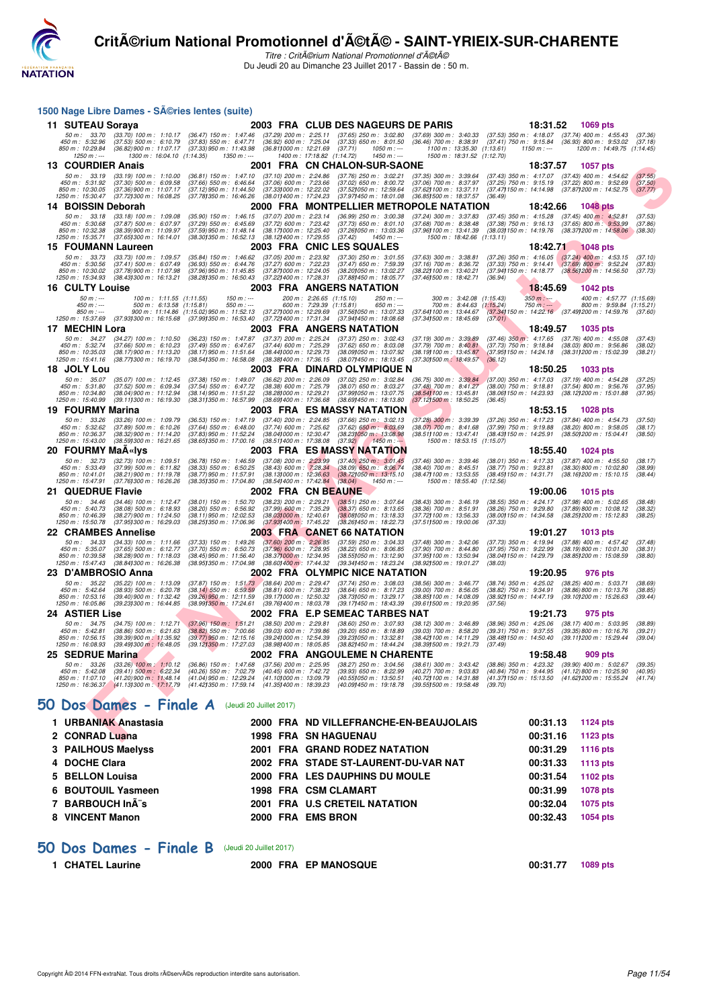

Titre : CritA©rium National Promotionnel d'A©tA© Du Jeudi 20 au Dimanche 23 Juillet 2017 - Bassin de : 50 m.

|                                                                         | 1500 Nage Libre Dames - SA©ries lentes (suite)                                                                                 |                                                                                                                                                        |                                                                                                                         |                                                      |                                                                                                                                                                                                                                                                                 |                                                                                                                                                      |                                                                                             |                           |                                                                                                                                                                     |                               |
|-------------------------------------------------------------------------|--------------------------------------------------------------------------------------------------------------------------------|--------------------------------------------------------------------------------------------------------------------------------------------------------|-------------------------------------------------------------------------------------------------------------------------|------------------------------------------------------|---------------------------------------------------------------------------------------------------------------------------------------------------------------------------------------------------------------------------------------------------------------------------------|------------------------------------------------------------------------------------------------------------------------------------------------------|---------------------------------------------------------------------------------------------|---------------------------|---------------------------------------------------------------------------------------------------------------------------------------------------------------------|-------------------------------|
| 11 SUTEAU Soraya                                                        |                                                                                                                                |                                                                                                                                                        |                                                                                                                         |                                                      | 2003 FRA CLUB DES NAGEURS DE PARIS                                                                                                                                                                                                                                              |                                                                                                                                                      |                                                                                             | 18:31.52                  | 1069 pts                                                                                                                                                            |                               |
| 450 m : 5:32.96<br>850 m: 10:29.84<br>$1250 m : -$                      | $(37.53)$ 500 m : 6:10.79<br>(36.82) 900 m : 11:07.17<br>1300 m: 16:04.10 (1:14.35)                                            | (37.83) 550 m : 6:47.71<br>(37.33) 950 m : 11:43.98<br>1350 m : ---                                                                                    | $(36.92)$ 600 m : 7:25.04<br>(36.811000 m: 12:21.69                                                                     | 1400 m: 17:18.82 (1:14.72)                           | 50 m: 33.70 (33.70) 100 m: 1:10.17 (36.47) 150 m: 1:47.46 (37.29) 200 m: 2:25.11 (37.65) 250 m: 3:02.80<br>(37.33) 650 m : 8:01.50<br>(37.71)<br>$1050 m : -$<br>$1450 m$ : ---                                                                                                 | (37.69) 300 m : 3:40.33 (37.53) 350 m : 4:18.07<br>$(36.46)$ 700 m : 8:38.91<br>1100 m: 13:35.30 (1:13.61)<br>1500 m: 18:31.52 (1:12.70)             | $(37.41)$ 750 m : $9:15.84$                                                                 | $1150 m : -$              | $(37.74)$ 400 m : 4:55.43<br>$(36.93)$ 800 m : 9:53.02<br>1200 m: 14:49.75 (1:14.45)                                                                                | (37.36)<br>(37.18)            |
| 13 COURDIER Anais                                                       |                                                                                                                                |                                                                                                                                                        |                                                                                                                         |                                                      | 2001 FRA CN CHALON-SUR-SAONE                                                                                                                                                                                                                                                    |                                                                                                                                                      |                                                                                             | 18:37.57                  | 1057 pts                                                                                                                                                            |                               |
| 50 m : 33.19<br>450 m: 5:31.92<br>850 m : 10:30.05<br>1250 m : 15:30.47 | $(33.19)$ 100 m : 1:10.00<br>$(37.30)$ 500 m : 6:09.58<br>(37.36) 900 m : 11:07.17<br>(37.721300 m : 16:08.25                  | $(36.81)$ 150 m : 1:47.10<br>$(37.66)$ 550 m : 6:46.64<br>$(37.12)$ 950 m : 11:44.50<br>(37.781350 m : 16:46.26                                        | $(37.10)$ 200 m : 2:24.86<br>$(37.06)$ 600 m : 7:23.66                                                                  |                                                      | $(37.76)$ 250 m : 3:02.21<br>$(37.02)$ 650 m : 8:00.72<br>(37.33) 000 m: 12:22.02 (37.52) 050 m: 12:59.64<br>(38.011400 m: 17:24.23 (37.971450 m: 18:01.08)                                                                                                                     | (37.35) 300 m : 3:39.64<br>$(37.06)$ 700 m : 8:37.97<br>(37.62) 100 m : 13:37.11 (37.47) 150 m : 14:14.98<br>(36.85) 500 m: 18:37.57 (36.49)         | $(37.43)$ 350 m : 4:17.07<br>$(37.25)$ 750 m : 9:15.19                                      |                           | $(37.43)$ 400 m : 4:54.62<br>$(37.22)$ 800 m : 9:52.69<br>(37.87) 200 m : 14:52.75                                                                                  | (37.55)<br>(37.50)<br>(37.77) |
| 14 BOISSIN Deborah                                                      |                                                                                                                                |                                                                                                                                                        |                                                                                                                         |                                                      | 2000 FRA MONTPELLIER METROPOLE NATATION                                                                                                                                                                                                                                         |                                                                                                                                                      |                                                                                             | 18:42.66                  | <b>1048 pts</b>                                                                                                                                                     |                               |
| 50 m: 33.18<br>450 m : 5:30.68<br>850 m: 10:32.38<br>1250 m : 15:35.71  | $(33.18)$ 100 m : 1:09.08<br>$(37.87)$ 500 m : 6:07.97<br>(38.39) 900 m : 11:09.97<br>(37.651300 m : 16:14.01                  | $(35.90)$ 150 m : 1:46.15<br>$(37.29)$ 550 m : 6:45.69<br>(37.59) 950 m : 11:48.14<br>(38.30) 350 m : 16:52.13                                         | $(37.07)$ 200 m : 2:23.14<br>(37.72) 600 m : 7:23.42<br>(38.17) 000 m : 12:25.40<br>(38.12) 400 m : 17:29.55            |                                                      | $(36.99)$ 250 m : 3:00.38<br>$(37.73)$ 650 m : 8:01.10<br>(37.261050 m: 13:03.36<br>(37.42)<br>1450 m : ---                                                                                                                                                                     | (37.24) 300 m : 3:37.83<br>$(37.68)$ 700 m : $8.38.48$<br>(37.961100 m: 13:41.39)<br>1500 m: 18:42.66 (1:13.11)                                      | $(37.45)$ 350 m : 4:15.28                                                                   |                           | $(37.45)$ 400 m : 4:52.81<br>$(37.38)$ 750 m : $9.16.13$ $(37.65)$ 800 m : $9.53.99$<br>(38.03) 150 m : 14:19.76 (38.37) 200 m : 14:58.06                           | (37.53)<br>(37.86)<br>(38.30) |
| 15 FOUMANN Laureen                                                      |                                                                                                                                |                                                                                                                                                        |                                                                                                                         |                                                      | 2003 FRA CNIC LES SQUALES                                                                                                                                                                                                                                                       |                                                                                                                                                      |                                                                                             | 18:42.71                  | <b>1048 pts</b>                                                                                                                                                     |                               |
| 50 m: 33.73<br>450 m : 5:30.56<br>850 m: 10:30.02<br>1250 m : 15:34.93  | $(33.73)$ 100 m : 1.09.57<br>$(37.41)$ 500 m : 6:07.49<br>(37.78) 900 m : 11:07.98<br>(38.43) 300 m : 16:13.21                 | $(35.84)$ 150 m : 1:46.62<br>$(36.93)$ 550 m : 6:44.76<br>(37.96) 950 m : 11:45.85<br>(38.281350 m : 16:50.43                                          | $(37.05)$ 200 m : 2:23.92<br>$(37.27)$ 600 m : 7:22.23<br>(37.87) 000 m : 12:24.05<br>(37.22) 400 m : 17:28.31          |                                                      | $(37.30)$ 250 m : 3:01.55<br>$(37.47)$ 650 m : 7:59.39<br>(38.201050 m: 13:02.27<br>(37.88) 450 m : 18:05.77                                                                                                                                                                    | $(37.63)$ 300 m : 3:38.81<br>$(37.16)$ 700 m : $8.36.72$<br>(38.22) 100 m : 13:40.21<br>(37.46) 500 m : 18:42.71                                     | (36.94)                                                                                     |                           | $(37.26)$ 350 m : 4:16.05 $(37.24)$ 400 m : 4:53.15<br>$(37.33)$ 750 m : $9.14.41$ $(37.69)$ 800 m : $9.52.24$<br>(37.94) 150 m : 14:18.77 (38.56) 200 m : 14:56.50 | (37.10)<br>(37.83)<br>(37.73) |
| <b>16 CULTY Louise</b>                                                  |                                                                                                                                |                                                                                                                                                        |                                                                                                                         |                                                      | 2003 FRA ANGERS NATATION                                                                                                                                                                                                                                                        |                                                                                                                                                      |                                                                                             | 18:45.69                  | 1042 pts                                                                                                                                                            |                               |
| $50 m: -$<br>$450 m : -$<br>$850 m : -$<br>1250 m : 15:37.69            | 100 m: 1:11.55 (1:11.55)<br>500 m: 6:13.58 (1:15.81)                                                                           | $150 m : -$<br>$550 m: -$<br>900 m : 11:14.86 (1:15.02) 950 m : 11:52.13<br>(37.93) 300 m : 16:15.68 (37.99) 350 m : 16:53.40 (37.72) 400 m : 17:31.34 |                                                                                                                         | 200 m: 2:26.65 (1:15.10)<br>600 m: 7:29.39 (1:15.81) | $250 m: -$<br>650 m : ---<br>(37.27) 000 m: 12:29.69 (37.56) 050 m: 13:07.33<br>(37.941450 m : 18.08.68                                                                                                                                                                         | 300 m: 3:42.08 (1:15.43)<br>700 m: 8:44.63 (1:15.24)<br>(37.64) 100 m : 13:44.67<br>(37.341500 m : 18:45.69                                          | (37.01)                                                                                     | $350 m : -$<br>$750 m: -$ | 400 m: 4:57.77 (1:15.69)<br>800 m: 9:59.84 (1:15.21)<br>(37.34) 150 m : 14:22.16 (37.49) 200 m : 14:59.76 (37.60)                                                   |                               |
| 17 MECHIN Lora                                                          |                                                                                                                                |                                                                                                                                                        |                                                                                                                         |                                                      | 2003 FRA ANGERS NATATION                                                                                                                                                                                                                                                        |                                                                                                                                                      |                                                                                             | 18:49.57                  | <b>1035 pts</b>                                                                                                                                                     |                               |
| 50 m: 34.27<br>450 m : 5:32.74<br>850 m: 10:35.03<br>1250 m: 15:41.16   | $(34.27)$ 100 m : 1:10.50<br>$(37.66)$ 500 m : 6:10.23<br>(38.17) 900 m : 11:13.20<br>(38.77) 300 m : 16:19.70                 | $(36.23)$ 150 m : 1:47.87<br>(37.49) 550 m : 6:47.67<br>(38.17) 950 m : 11:51.64<br>(38.541350 m : 16:58.08                                            | (37.37) 200 m : 2:25.24<br>$(37.44)$ 600 m : 7:25.29<br>(38.441000 m : 12:29.73<br>(38.381400 m : 17:36.15)             |                                                      | $(37.37)$ 250 m : 3:02.43<br>$(37.62)$ 650 m : 8:03.08<br>(38.091050 m: 13:07.92)<br>(38.07) 450 m : 18:13.45                                                                                                                                                                   | $(37.19)$ 300 m : 3:39.89<br>$(37.79)$ 700 m : $8:40.81$<br>(38.19) 100 m : 13:45.87<br>(37.301500 m : 18:49.57                                      | $(37.46)$ 350 m : 4:17.65<br>$(37.73)$ 750 m : 9:18.84<br>(36.12)                           |                           | $(37.76)$ 400 m : 4:55.08<br>$(38.03)$ 800 m : 9:56.86<br>(37.95) 150 m : 14:24.18 (38.31) 200 m : 15:02.39                                                         | (37.43)<br>(38.02)<br>(38.21) |
| 18 JOLY Lou                                                             |                                                                                                                                |                                                                                                                                                        |                                                                                                                         |                                                      | 2003 FRA DINARD OLYMPIQUE N                                                                                                                                                                                                                                                     |                                                                                                                                                      |                                                                                             | 18:50.25                  | 1033 pts                                                                                                                                                            |                               |
| 50 m : 35.07<br>450 m : 5:31.80<br>850 m: 10:34.80<br>1250 m : 15:40.99 | $(35.07)$ 100 m : 1:12.45<br>$(37.52)$ 500 m : 6:09.34<br>(38.04) 900 m : 11:12.94<br>(39.111300 m: 16:19.30                   | $(37.38)$ 150 m : 1:49.07<br>(37.54) 550 m : 6:47.72<br>(38.14) 950 m : 11:51.22<br>(38.311350 m: 16.57.99)                                            | $(36.62)$ 200 m : 2:26.09<br>(38.38) 600 m : 7:25.79<br>(38.28) 000 m: 12:29.21<br>(38.69) 400 m : 17:36.68             |                                                      | $(37.02)$ 250 m : 3:02.84<br>$(38.07)$ 650 m : 8:03.27<br>(37.99) 050 m : 13:07.75<br>(38.69) 450 m : 18:13.80                                                                                                                                                                  | $(36.75)$ 300 m : $3:39.84$ $(37.00)$ 350 m : 4:17.03<br>$(37.48)$ 700 m : $8:41.27$<br>(38.541100 m: 13:45.81)<br>$(37.12)500 \text{ m}$ : 18:50.25 | $(38.00)$ 750 m : $9:18.81$<br>(36.45)                                                      |                           | $(37.19)$ 400 m : 4:54.28<br>$(37.54)$ 800 m : 9:56.76<br>(38.06) 150 m : 14:23.93 (38.12) 200 m : 15:01.88                                                         | (37.25)<br>(37.95)<br>(37.95) |
| 19 FOURMY Marina                                                        |                                                                                                                                |                                                                                                                                                        |                                                                                                                         |                                                      | 2003 FRA ES MASSY NATATION                                                                                                                                                                                                                                                      |                                                                                                                                                      |                                                                                             | 18:53.15                  | <b>1028 pts</b>                                                                                                                                                     |                               |
| 50 m: 33.26<br>450 m: 5:32.62<br>850 m: 10:36.37<br>1250 m: 15:43.00    | $(33.26)$ 100 m : 1:09.79<br>$(37.89)$ 500 m : 6:10.26<br>(38.32) 900 m : 11:14.20<br>(38.591300 m: 16:21.65                   | $(36.53)$ 150 m : 1:47.19<br>$(37.64)$ 550 m : 6:48.00<br>(37.83) 950 m : 11:52.24<br>(38.651350 m : 17:00.16                                          | $(37.40)$ 200 m : 2:24.85<br>$(37.74)$ 600 m : 7:25.62<br>(38.041000 m: 12:30.47<br>(38.511400 m: 17:38.08              |                                                      | $(37.66)$ 250 m : 3:02.13<br>$(37.62)$ 650 m : 8:03.69<br>(38.231050 m : 13:08.98<br>(37.92)<br>$1450 m: -$                                                                                                                                                                     | $(37.28)$ 300 m : 3:39.39<br>$(38.07)$ 700 m : $8:41.68$<br>(38.511100 m: 13:47.41)<br>1500 m: 18:53.15 (1:15.07)                                    | (37.26) 350 m : 4:17.23<br>$(37.99)$ 750 m : 9:19.88<br>(38.43) 150 m : 14:25.91            |                           | $(37.84)$ 400 m : 4:54.73<br>$(38.20)$ 800 m : 9:58.05<br>(38.50) 200 m : 15:04.41                                                                                  | (37.50)<br>(38.17)<br>(38.50) |
| 20 FOURMY MaA«Iys                                                       |                                                                                                                                |                                                                                                                                                        |                                                                                                                         |                                                      | 2003 FRA ES MASSY NATATION                                                                                                                                                                                                                                                      |                                                                                                                                                      |                                                                                             | 18:55.40                  | <b>1024 pts</b>                                                                                                                                                     |                               |
| 50 m: 32.73<br>450 m : 5:33.49<br>850 m: 10:41.01<br>1250 m : 15:47.91  | $(32.73)$ 100 m : 1:09.51<br>$(37.99)$ 500 m : 6:11.82<br>$(38.21)$ 900 m : 11:19.78<br>(37.761300 m : 16:26.26                | $(36.78)$ 150 m : 1:46.59<br>$(38.33)$ 550 m : 6:50.25<br>(38.77) 950 m : 11:57.91<br>(38.35) 350 m : 17:04.80                                         | $(38.131000 \text{ m} : 12.36.63)$<br>(38.541400 m : 17:42.84)                                                          |                                                      | (37.08) 200 m : 2:23.99 (37.40) 250 m : 3:01.45<br>(38.43) 600 m : 7:28.34 (38.09) 650 m : 8:06.74<br>(38.72) 050 m : 13:15.10<br>(38.04)<br>$1450 m$ : ---                                                                                                                     | $(37.46)$ 300 m : 3:39.46<br>$(38.40)$ 700 m : $8:45.51$<br>(38.47) 100 m : 13:53.55<br>1500 m: 18:55.40 (1:12.56)                                   | (38.77) 750 m : 9:23.81                                                                     |                           | (38.01) 350 m: 4:17.33 (37.87) 400 m: 4:55.50<br>(38.30) 800 m : 10:02.80<br>(38.45) 150 m: 14:31.71 (38.16) 200 m: 15:10.15                                        | (38.17)<br>(38.99)<br>(38.44) |
| 21 QUEDRUE Flavie                                                       |                                                                                                                                |                                                                                                                                                        | 2002 FRA CNBEAUNE                                                                                                       |                                                      |                                                                                                                                                                                                                                                                                 |                                                                                                                                                      |                                                                                             | 19:00.06                  | <b>1015 pts</b>                                                                                                                                                     |                               |
| 50 m: 34.46<br>450 m : 5:40.73<br>850 m: 10:46.39<br>1250 m : 15:50.78  | $(34.46)$ 100 m : 1:12.47<br>$(38.08)$ 500 m : 6:18.93<br>(38.27) 900 m : 11:24.50<br>(37.95) 300 m : 16:29.03                 | $(38.01)$ 150 m : 1:50.70<br>$(38.20)$ 550 m : 6:56.92<br>$(38.11)$ 950 m : 12:02.53<br>(38.25) 350 m : 17:06.96                                       | $(38.23)$ 200 m : 2:29.21<br>$(37.99)$ 600 m : 7:35.29<br>$(38.03)000 \text{ m}$ : 12:40.61<br>(37.93) 400 m : 17:45.22 |                                                      | $(38.51)$ 250 m : 3:07.64<br>$(38.37)$ 650 m : 8:13.65<br>(38.08) 050 m: 13:18.33<br>(38.26) 450 m : 18:22.73                                                                                                                                                                   | $(38.43)$ 300 m : 3:46.19<br>$(38.36)$ 700 m : $8.51.91$<br>(37.72) 100 m : 13:56.33<br>(37.511500 m: 19:00.06                                       | $(38.55)$ 350 m : 4:24.17<br>$(38.26)$ 750 m : 9:29.80<br>(37.33)                           |                           | $(37.98)$ 400 m : 5:02.65<br>(37.89) 800 m : 10:08.12<br>(38.00) 150 m: 14:34.58 (38.25) 200 m: 15:12.83                                                            | (38.48)<br>(38.32)<br>(38.25) |
| 22 CRAMBES Annelise                                                     |                                                                                                                                |                                                                                                                                                        |                                                                                                                         |                                                      | 2003 FRA CANET 66 NATATION                                                                                                                                                                                                                                                      |                                                                                                                                                      |                                                                                             | 19:01.27                  | 1013 pts                                                                                                                                                            |                               |
| 50 m: 34.33<br>450 m : 5:35.07<br>850 m: 10:39.58<br>1250 m: 15:47.43   | $(34.33)$ 100 m : 1:11.66<br>$(37.65)$ 500 m : 6:12.77<br>$(38.28)$ 900 m : 11:18.03<br>(38.84) 300 m : 16:26.38               | $(37.33)$ 150 m : 1:49.26<br>$(37.70)$ 550 m : 6:50.73<br>$(38.45)$ 950 m : 11:56.40<br>(38.951350 m : 17:04.98                                        | $(37.60)$ 200 m : 2:26.85<br>$(37.96)$ 600 m : 7:28.95<br>(38.371000 m : 12:34.95<br>(38.601400 m: 17:44.32)            |                                                      | $(37.59)$ 250 m : 3:04.33<br>$(38.22)$ 650 m : 8:06.85<br>(38.55) 050 m : 13:12.90<br>(39.341450 m : 18:23.24                                                                                                                                                                   | $(37.48)$ 300 m : 3:42.06<br>(37.90) 700 m : 8:44.80<br>(37.95) 100 m : 13:50.94<br>(38.92) 500 m : 19:01.27                                         | (37.73) 350 m : 4:19.94<br>$(37.95)$ 750 m : 9:22.99<br>(38.04) 150 m : 14:29.79<br>(38.03) |                           | $(37.88)$ 400 m : 4:57.42<br>$(38.19)800 \text{ m}$ : 10:01.30<br>(38.85) 200 m : 15:08.59                                                                          | (37.48)<br>(38.31)<br>(38.80) |
| 23 D'AMBROSIO Anna                                                      |                                                                                                                                |                                                                                                                                                        |                                                                                                                         |                                                      | 2002 FRA OLYMPIC NICE NATATION                                                                                                                                                                                                                                                  |                                                                                                                                                      |                                                                                             | 19:20.95                  | 976 pts                                                                                                                                                             |                               |
| 50 m : 35.22<br>450 m : 5:42.64<br>850 m: 10:53.16<br>1250 m : 16:05.86 | $(35.22)$ 100 m : 1:13.09<br>$(38.93)$ 500 m : 6:20.78<br>(39.40) 900 m : 11:32.42<br>(39.23) 300 m : 16:44.85                 | $(37.87)$ 150 m : 1:51.73<br>$(38.14)$ 550 m : 6:59.59<br>(39.26) 950 m : 12:11.59<br>$(38.99)350 \text{ m}$ : 17:24.61                                | $(38.64)$ 200 m : 2:29.47<br>$(38.81)$ 600 m : 7:38.23<br>(39.17) 000 m: 12:50.32<br>(39.761400 m : 18:03.78            |                                                      | $(37.74)$ 250 m : 3:08.03<br>$(38.64)$ 650 m : 8:17.23<br>(38.731050 m: 13:29.17<br>(39.17) 450 m : 18:43.39                                                                                                                                                                    | (38.56) 300 m : 3:46.77<br>$(39.00)$ 700 m : $8:56.05$<br>(38.85) 100 m : 14.08.09<br>(39.611500 m: 19:20.95                                         | (38.74) 350 m : 4:25.02<br>$(38.82)$ 750 m : 9:34.91<br>(38.92) 150 m : 14:47.19<br>(37.56) |                           | $(38.25)$ 400 m : 5:03.71<br>$(38.86)800$ m : 10:13.76<br>(39.101200 m : 15:26.63                                                                                   | (38.69)<br>(38.85)<br>(39.44) |
| 24   ASTIER Lise                                                        |                                                                                                                                |                                                                                                                                                        |                                                                                                                         |                                                      | 2002 FRA E.P SEMEAC TARBES NAT                                                                                                                                                                                                                                                  |                                                                                                                                                      |                                                                                             | 19:21.73                  | 975 pts                                                                                                                                                             |                               |
| 450 m : 5:42.81<br>850 m : 10:56.15                                     |                                                                                                                                | $(38.86)$ 500 m : 6:21.63 $(38.82)$ 550 m : 7:00.66<br>(39.39) 900 m; 11:35.92 (39.77) 950 m; 12:15.16 (39.241000 m; 12:54.39 (39.231050 m; 13:32.81   | $(39.03)$ 600 m : 7:39.86                                                                                               |                                                      | 50 m: 34.75 (34.75) 100 m: 1:12.71 (37.96) 150 m: 1:51.21 (38.50) 200 m: 2:29.81 (38.60) 250 m: 3:07.93<br>(39.20) 650 m : 8:18.89<br>1250 m : 16:08.93 (39.491300 m : 16:48.05 (39.121350 m : 17:27.03 (38.981400 m : 18:05.85 (38.821450 m : 18:44.24 (38.391500 m : 19:21.73 | (38.12) 300 m : 3:46.89<br>(39.03) 700 m : 8:58.20<br>(38.42) 100 m : 14:11.29 (38.48) 150 m : 14:50.40 (39.11) 200 m : 15:29.44                     | (37.49)                                                                                     |                           | (38.96) 350 m: 4:25.06 (38.17) 400 m: 5:03.95 (38.89)<br>(39.31) 750 m: 9:37.55 (39.35) 800 m: 10:16.76                                                             | (39.21)<br>(39.04)            |
| 25 SEDRUE Marina                                                        |                                                                                                                                |                                                                                                                                                        |                                                                                                                         |                                                      | 2002 FRA ANGOULEME N CHARENTE                                                                                                                                                                                                                                                   |                                                                                                                                                      |                                                                                             | 19:58.48                  | 909 pts                                                                                                                                                             |                               |
| 50 m: 33.26<br>450 m: 5:42.08<br>850 m : 11:07.10                       | $(33.26)$ 100 m : 1:10.12<br>$(39.41)$ 500 m : 6:22.34<br>(41.20) 900 m : 11:48.14<br>1250 m: 16:36.37 (41.13) 300 m: 17:17.79 | $(36.86)$ 150 m : 1:47.68<br>(40.26) 550 m : 7:02.79<br>(41.04) 950 m : 12:29.24<br>(41.42) 350 m : 17:59.14                                           | $(37.56)$ 200 m : 2:25.95<br>$(40.45)$ 600 m : 7:42.72<br>(41.10) 000 m: 13:09.79<br>(41.351400 m: 18:39.23)            |                                                      | $(38.27)$ 250 m : 3:04.56<br>$(39.93)$ 650 m : 8:22.99<br>(40.55) 050 m: 13:50.51<br>(40.09) 450 m : 19:18.78                                                                                                                                                                   | (38.61) 300 m : 3:43.42<br>$(40.27)$ 700 m : 9:03.83<br>(40.72) 100 m: 14:31.88<br>(39.55) 500 m : 19:58.48                                          | $(38.86)$ 350 m : 4:23.32<br>(40.84) 750 m : 9:44.95<br>(41.371150 m : 15:13.50<br>(39.70)  |                           | $(39.90)$ 400 m : 5:02.67<br>$(41.12)800 \text{ m}$ : 10:25.90<br>(41.62) 200 m : 15:55.24                                                                          | (39.35)<br>(40.95)<br>(41.74) |
|                                                                         | 50 Dos Dames - Finale A                                                                                                        |                                                                                                                                                        | (Jeudi 20 Juillet 2017)                                                                                                 |                                                      |                                                                                                                                                                                                                                                                                 |                                                                                                                                                      |                                                                                             |                           |                                                                                                                                                                     |                               |
| 1 URBANIAK Anastasia                                                    |                                                                                                                                |                                                                                                                                                        |                                                                                                                         |                                                      | 2000 FRA ND VILLEFRANCHE-EN-BEAUJOLAIS                                                                                                                                                                                                                                          |                                                                                                                                                      |                                                                                             | 00:31.13                  | 1124 pts                                                                                                                                                            |                               |
| 2 CONRAD Luana                                                          |                                                                                                                                |                                                                                                                                                        |                                                                                                                         |                                                      | <b>1998 FRA SN HAGUENAU</b>                                                                                                                                                                                                                                                     |                                                                                                                                                      |                                                                                             | 00:31.16                  | 1123 pts                                                                                                                                                            |                               |

## **[50 Dos Dames - Finale A](http://www.ffnatation.fr/webffn/resultats.php?idact=nat&go=epr&idcpt=47489&idepr=11)** (Jeudi 20 Juillet 2017)

| 1 URBANIAK Anastasia |  | 2000 FRA ND VILLEFRANCHE-EN-BEAUJOLAIS | 00:31.13 | 1124 $pts$ |
|----------------------|--|----------------------------------------|----------|------------|
| 2 CONRAD Luana       |  | <b>1998 FRA SN HAGUENAU</b>            | 00:31.16 | 1123 pts   |
| 3 PAILHOUS Maelyss   |  | 2001 FRA GRAND RODEZ NATATION          | 00:31.29 | 1116 pts   |
| 4 DOCHE Clara        |  | 2002 FRA STADE ST-LAURENT-DU-VAR NAT   | 00:31.33 | 1113 pts   |
| 5 BELLON Louisa      |  | 2000 FRA LES DAUPHINS DU MOULE         | 00:31.54 | 1102 pts   |
| 6 BOUTOUIL Yasmeen   |  | <b>1998 FRA CSM CLAMART</b>            | 00:31.99 | 1078 pts   |
| 7 BARBOUCH Inà s     |  | 2001 FRA U.S CRETEIL NATATION          | 00:32.04 | 1075 pts   |
| 8 VINCENT Manon      |  | 2000 FRA EMS BRON                      | 00:32.43 | 1054 pts   |
|                      |  |                                        |          |            |

#### **[50 Dos Dames - Finale B](http://www.ffnatation.fr/webffn/resultats.php?idact=nat&go=epr&idcpt=47489&idepr=11)** (Jeudi 20 Juillet 2017)

| 1 CHATEL Laurine | 2000 FRA EP MANOSQUE | 00:31.77 1089 pts |  |
|------------------|----------------------|-------------------|--|
|                  |                      |                   |  |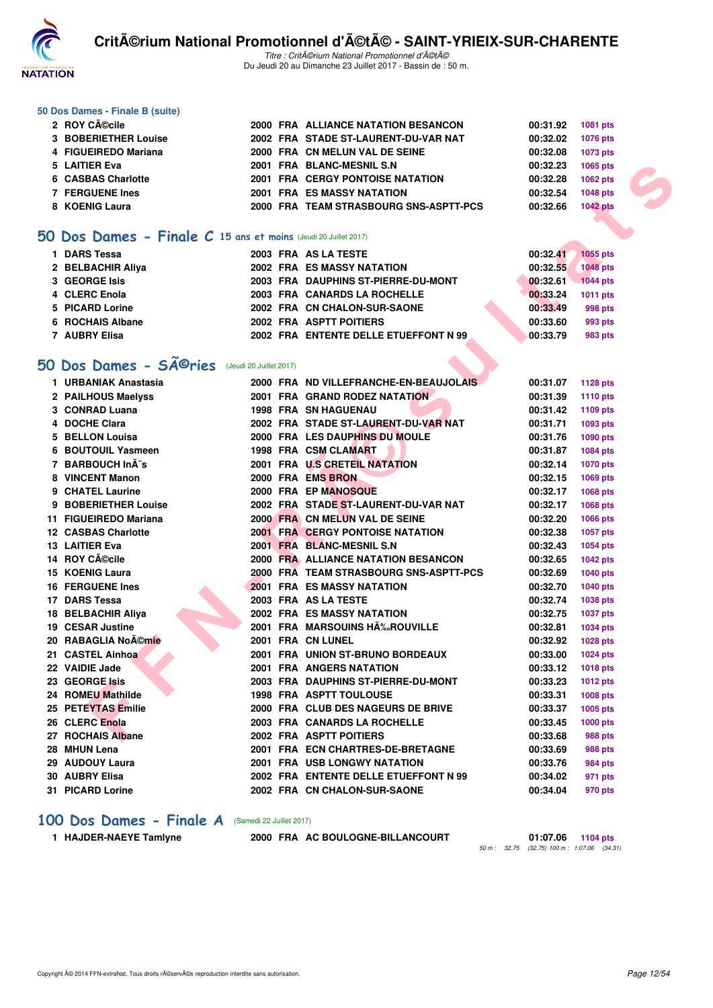

Titre : Critérium National Promotionnel d'été Du Jeudi 20 au Dimanche 23 Juillet 2017 - Bassin de : 50 m.

#### **50 Dos Dames - Finale B (suite)**

| 2 ROY CA©cile          |  | 2000 FRA ALLIANCE NATATION BESANCON     | 00:31.92 | 1081 pts        |
|------------------------|--|-----------------------------------------|----------|-----------------|
| 3 BOBERIETHER Louise   |  | 2002 FRA STADE ST-LAURENT-DU-VAR NAT    | 00:32.02 | 1076 pts        |
| 4 FIGUEIREDO Mariana   |  | 2000 FRA CN MELUN VAL DE SEINE          | 00:32.08 | 1073 pts        |
| 5 LAITIER Eva          |  | 2001 FRA BLANC-MESNIL S.N.              | 00:32.23 | 1065 pts        |
| 6 CASBAS Charlotte     |  | <b>2001 FRA CERGY PONTOISE NATATION</b> | 00:32.28 | 1062 pts        |
| <b>7 FERGUENE Ines</b> |  | <b>2001 FRA ES MASSY NATATION</b>       | 00:32.54 | <b>1048 pts</b> |
| 8 KOENIG Laura         |  | 2000 FRA TEAM STRASBOURG SNS-ASPTT-PCS  | 00:32.66 | <b>1042 pts</b> |

#### **[50 Dos Dames - Finale C](http://www.ffnatation.fr/webffn/resultats.php?idact=nat&go=epr&idcpt=47489&idepr=11) 15 ans et moins** (Jeudi 20 Juillet 2017)

| 1 DARS Tessa      | 2003 FRA AS LA TESTE                  | 00:32.41 | 1055 pts        |
|-------------------|---------------------------------------|----------|-----------------|
| 2 BELBACHIR Aliya | 2002 FRA ES MASSY NATATION            | 00:32.55 | <b>1048 pts</b> |
| 3 GEORGE Isis     | 2003 FRA DAUPHINS ST-PIERRE-DU-MONT   | 00:32.61 | 1044 pts        |
| 4 CLERC Enola     | 2003 FRA CANARDS LA ROCHELLE          | 00:33.24 | 1011 pts        |
| 5 PICARD Lorine   | 2002 FRA CN CHALON-SUR-SAONE          | 00:33.49 | 998 pts         |
| 6 ROCHAIS Albane  | 2002 FRA ASPTT POITIERS               | 00:33.60 | 993 pts         |
| 7 AUBRY Elisa     | 2002 FRA ENTENTE DELLE ETUEFFONT N 99 | 00:33.79 | 983 pts         |
|                   |                                       |          |                 |

## **50 Dos Dames - SÃ<sup>©</sup>ries** (Jeudi 20 Juillet 2017)

| 5 LAITIER Eva                                                             |  | 2001 FRA BLANC-MESNIL S.N               | 00:32.23 | 1065 pts        |
|---------------------------------------------------------------------------|--|-----------------------------------------|----------|-----------------|
| 6 CASBAS Charlotte                                                        |  | <b>2001 FRA CERGY PONTOISE NATATION</b> | 00:32.28 | 1062 pts        |
| <b>7 FERGUENE Ines</b>                                                    |  | <b>2001 FRA ES MASSY NATATION</b>       | 00:32.54 | <b>1048 pts</b> |
| 8 KOENIG Laura                                                            |  | 2000 FRA TEAM STRASBOURG SNS-ASPTT-PCS  | 00:32.66 | <b>1042 pts</b> |
|                                                                           |  |                                         |          |                 |
| 50 Dos Dames - Finale C 15 ans et moins (Jeudi 20 Juillet 2017)           |  |                                         |          |                 |
| 1 DARS Tessa                                                              |  | 2003 FRA AS LA TESTE                    | 00:32.41 | 1055 pts        |
| 2 BELBACHIR Aliya                                                         |  | 2002 FRA ES MASSY NATATION              | 00:32.55 | <b>1048 pts</b> |
| 3 GEORGE Isis                                                             |  | 2003 FRA DAUPHINS ST-PIERRE-DU-MONT     | 00:32.61 | <b>1044 pts</b> |
| 4 CLERC Enola                                                             |  | 2003 FRA CANARDS LA ROCHELLE            | 00:33.24 | 1011 pts        |
| 5 PICARD Lorine                                                           |  | 2002 FRA CN CHALON-SUR-SAONE            | 00:33.49 | 998 pts         |
| 6 ROCHAIS Albane                                                          |  | 2002 FRA ASPTT POITIERS                 | 00:33.60 | 993 pts         |
| 7 AUBRY Elisa                                                             |  | 2002 FRA ENTENTE DELLE ETUEFFONT N 99   | 00:33.79 | 983 pts         |
| $50$ Dos Dames - $S\widetilde{A}^{\bigcirc}$ ries (Jeudi 20 Juillet 2017) |  |                                         |          |                 |
| 1 URBANIAK Anastasia                                                      |  | 2000 FRA ND VILLEFRANCHE-EN-BEAUJOLAIS  | 00:31.07 | 1128 pts        |
| 2 PAILHOUS Maelyss                                                        |  | <b>2001 FRA GRAND RODEZ NATATION</b>    | 00:31.39 | 1110 pts        |
| 3 CONRAD Luana                                                            |  | <b>1998 FRA SN HAGUENAU</b>             | 00:31.42 | 1109 pts        |
| 4 DOCHE Clara                                                             |  | 2002 FRA STADE ST-LAURENT-DU-VAR NAT    | 00:31.71 | 1093 pts        |
| 5 BELLON Louisa                                                           |  | <b>2000 FRA LES DAUPHINS DU MOULE</b>   | 00:31.76 | 1090 pts        |
| 6 BOUTOUIL Yasmeen                                                        |  | 1998 FRA CSM CLAMART                    | 00:31.87 | <b>1084 pts</b> |
| 7 BARBOUCH InÂ"s                                                          |  | 2001 FRA U.S CRETEIL NATATION           | 00:32.14 | <b>1070 pts</b> |
| 8 VINCENT Manon                                                           |  | 2000 FRA EMS BRON                       | 00:32.15 | 1069 pts        |
| 9 CHATEL Laurine                                                          |  | 2000 FRA EP MANOSQUE                    | 00:32.17 | 1068 pts        |
| 9 BOBERIETHER Louise                                                      |  | 2002 FRA STADE ST-LAURENT-DU-VAR NAT    | 00:32.17 | 1068 pts        |
| 11 FIGUEIREDO Mariana                                                     |  | 2000 FRA CN MELUN VAL DE SEINE          | 00:32.20 | <b>1066 pts</b> |
| <b>12 CASBAS Charlotte</b>                                                |  | <b>2001 FRA CERGY PONTOISE NATATION</b> | 00:32.38 | <b>1057 pts</b> |
| 13 LAITIER Eva                                                            |  | 2001 FRA BLANC-MESNIL S.N               | 00:32.43 | <b>1054 pts</b> |
| 14 ROY CAOcile                                                            |  | 2000 FRA ALLIANCE NATATION BESANCON     | 00:32.65 | <b>1042 pts</b> |
| 15 KOENIG Laura                                                           |  | 2000 FRA TEAM STRASBOURG SNS-ASPTT-PCS  | 00:32.69 | <b>1040 pts</b> |
| <b>16 FERGUENE Ines</b>                                                   |  | <b>2001 FRA ES MASSY NATATION</b>       | 00:32.70 | <b>1040 pts</b> |
| 17 DARS Tessa                                                             |  | 2003 FRA AS LA TESTE                    | 00:32.74 | 1038 pts        |
| 18 BELBACHIR Aliya                                                        |  | <b>2002 FRA ES MASSY NATATION</b>       | 00:32.75 | <b>1037 pts</b> |
| 19 CESAR Justine                                                          |  | 2001 FRA MARSOUINS HÉROUVILLE           | 00:32.81 | <b>1034 pts</b> |
| 20 RABAGLIA NoAOmie                                                       |  | 2001 FRA CN LUNEL                       | 00:32.92 | <b>1028 pts</b> |
| 21 CASTEL Ainhoa                                                          |  | 2001 FRA UNION ST-BRUNO BORDEAUX        | 00:33.00 | <b>1024 pts</b> |
| 22 VAIDIE Jade                                                            |  | <b>2001 FRA ANGERS NATATION</b>         | 00:33.12 | <b>1018 pts</b> |
| 23 GEORGE Isis                                                            |  | 2003 FRA DAUPHINS ST-PIERRE-DU-MONT     | 00:33.23 | 1012 pts        |
| 24 ROMEU Mathilde                                                         |  | 1998 FRA ASPTT TOULOUSE                 | 00:33.31 | 1008 pts        |
| 25 PETEYTAS Emilie                                                        |  | 2000 FRA CLUB DES NAGEURS DE BRIVE      | 00:33.37 | 1005 pts        |
| 26 CLERC Enola                                                            |  | 2003 FRA CANARDS LA ROCHELLE            | 00:33.45 | <b>1000 pts</b> |
| 27 ROCHAIS Albane                                                         |  | 2002 FRA ASPTT POITIERS                 | 00:33.68 | 988 pts         |
| 28 MHUN Lena                                                              |  | 2001 FRA ECN CHARTRES-DE-BRETAGNE       | 00:33.69 | 988 pts         |
| 29 AUDOUY Laura                                                           |  | 2001 FRA USB LONGWY NATATION            | 00:33.76 | 984 pts         |
| 30 AUBRY Elisa                                                            |  | 2002 FRA ENTENTE DELLE ETUEFFONT N 99   | 00:34.02 | 971 pts         |
| 31 PICARD Lorine                                                          |  | 2002 FRA CN CHALON-SUR-SAONE            | 00:34.04 | 970 pts         |
|                                                                           |  |                                         |          |                 |

#### [100 Dos Dames - Finale A](http://www.ffnatation.fr/webffn/resultats.php?idact=nat&go=epr&idcpt=47489&idepr=12) (Samedi 22 Juillet 2017)

1 HAJDER-NAEYE Tamlyne 2000 FRA AC BOULOGNE-BILLANCOURT

**01:07.06** 1104 pts<br>50 m : 32.75 (32.75) 100 m : 1:07.06 (34.31)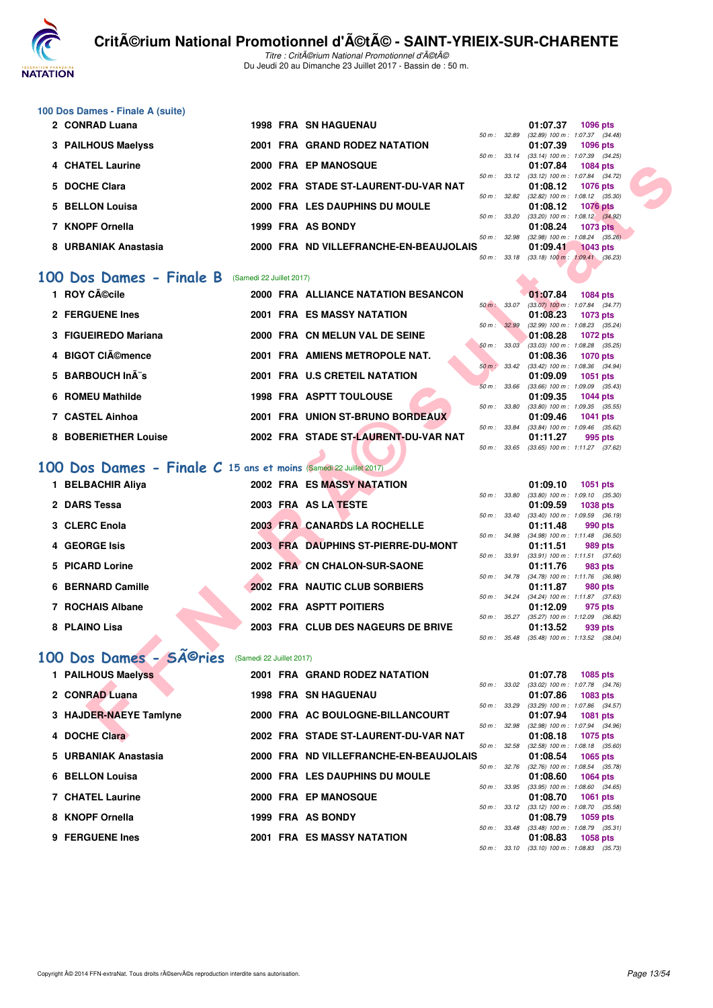

Titre : Critérium National Promotionnel d'été Du Jeudi 20 au Dimanche 23 Juillet 2017 - Bassin de : 50 m.

## **100 Dos Dames - Finale A (suite)**

| 2 CONRAD Luana       |  | <b>1998 FRA SN HAGUENAU</b>            |                          | 01:07.37                                      | 1096 pts        |  |
|----------------------|--|----------------------------------------|--------------------------|-----------------------------------------------|-----------------|--|
|                      |  |                                        | $50 \text{ m}$ : 32.89   | $(32.89)$ 100 m : 1:07.37 $(34.48)$           |                 |  |
| 3 PAILHOUS Maelyss   |  | 2001 FRA GRAND RODEZ NATATION          |                          | 01:07.39                                      | 1096 pts        |  |
|                      |  |                                        | 50 m: 33.14              | $(33.14)$ 100 m : 1:07.39 $(34.25)$           |                 |  |
| 4 CHATEL Laurine     |  | 2000 FRA EP MANOSQUE                   |                          | 01:07.84                                      | 1084 pts        |  |
|                      |  |                                        | $50 m$ : $33.12$         | $(33.12)$ 100 m : 1:07.84 $(34.72)$           |                 |  |
| 5 DOCHE Clara        |  | 2002 FRA STADE ST-LAURENT-DU-VAR NAT   |                          | 01:08.12                                      | <b>1076 pts</b> |  |
|                      |  |                                        | $50 \text{ m}$ : $32.82$ | $(32.82)$ 100 m : 1:08.12 $(35.30)$           |                 |  |
| 5 BELLON Louisa      |  | 2000 FRA LES DAUPHINS DU MOULE         |                          | 01:08.12                                      | 1076 pts        |  |
|                      |  |                                        | 50 m: 33.20              | $(33.20)$ 100 m : 1:08.12 $(34.92)$           |                 |  |
| 7 KNOPF Ornella      |  | 1999 FRA AS BONDY                      |                          | 01:08.24                                      | <b>1073 pts</b> |  |
|                      |  |                                        | 50 m: 32.98              | $(32.98)$ 100 m : 1.08.24 $(35.26)$           |                 |  |
| 8 URBANIAK Anastasia |  | 2000 FRA ND VILLEFRANCHE-EN-BEAUJOLAIS |                          | 01:09.41                                      | <b>1043 pts</b> |  |
|                      |  |                                        | $50 \text{ m}$ : 33.18   | $(33.18) 100 \text{ m}$ : $1.09.41$ $(36.23)$ |                 |  |
|                      |  |                                        |                          |                                               |                 |  |

#### **[100 Dos Dames - Finale B](http://www.ffnatation.fr/webffn/resultats.php?idact=nat&go=epr&idcpt=47489&idepr=12)** (Samedi 22 Juillet 2017)

| 4 CHATEL Laurine                                                 |                          | 2000 FRA EP MANOSQUE                   |              | 01:07.84<br>1084 pts                                                        |
|------------------------------------------------------------------|--------------------------|----------------------------------------|--------------|-----------------------------------------------------------------------------|
| 5 DOCHE Clara                                                    |                          | 2002 FRA STADE ST-LAURENT-DU-VAR NAT   | 50 m: 33.12  | (33.12) 100 m: 1:07.84 (34.72)<br>01:08.12<br><b>1076 pts</b>               |
| 5 BELLON Louisa                                                  |                          | 2000 FRA LES DAUPHINS DU MOULE         |              | 50 m: 32.82 (32.82) 100 m: 1:08.12 (35.30)<br>01:08.12<br><b>1076 pts</b>   |
|                                                                  |                          |                                        | 50 m : 33.20 | $(33.20)$ 100 m : 1:08.12 $(34.92)$                                         |
| 7 KNOPF Ornella                                                  |                          | 1999 FRA AS BONDY                      |              | 01:08.24<br><b>1073 pts</b>                                                 |
|                                                                  |                          |                                        | 50 m: 32.98  | $(32.98)$ 100 m : 1:08.24 $(35.26)$                                         |
| 8 URBANIAK Anastasia                                             |                          | 2000 FRA ND VILLEFRANCHE-EN-BEAUJOLAIS |              | 01:09.41<br><b>1043 pts</b><br>50 m : 33.18 (33.18) 100 m : 1:09.41 (36.23) |
| <b>00 Dos Dames - Finale B</b> (Samedi 22 Juillet 2017)          |                          |                                        |              |                                                                             |
| 1 ROY Cécile                                                     |                          | 2000 FRA ALLIANCE NATATION BESANCON    |              | 01:07.84<br><b>1084 pts</b>                                                 |
|                                                                  |                          |                                        | 50 m : 33.07 | $(33.07)$ 100 m : 1:07.84 $(34.77)$                                         |
| 2 FERGUENE Ines                                                  |                          | 2001 FRA ES MASSY NATATION             |              | 01:08.23<br>1073 pts                                                        |
| 3 FIGUEIREDO Mariana                                             |                          | 2000 FRA CN MELUN VAL DE SEINE         | 50 m : 32.99 | (32.99) 100 m: 1:08.23 (35.24)                                              |
|                                                                  |                          |                                        | 50 m: 33.03  | 01:08.28<br>1072 pts<br>(33.03) 100 m: 1:08.28 (35.25)                      |
| 4 BIGOT CIémence                                                 |                          | 2001 FRA AMIENS METROPOLE NAT.         |              | 01:08.36<br><b>1070 pts</b>                                                 |
|                                                                  |                          |                                        | 50 m : 33.42 | $(33.42)$ 100 m : 1:08.36 $(34.94)$                                         |
| 5 BARBOUCH InÂ"s                                                 |                          | 2001 FRA U.S CRETEIL NATATION          |              | 01:09.09<br>1051 pts                                                        |
|                                                                  |                          |                                        | 50 m : 33.66 | $(33.66)$ 100 m : 1:09.09 $(35.43)$                                         |
| 6 ROMEU Mathilde                                                 |                          | <b>1998 FRA ASPTT TOULOUSE</b>         |              | 01:09.35<br><b>1044 pts</b>                                                 |
| 7 CASTEL Ainhoa                                                  |                          | 2001 FRA UNION ST-BRUNO BORDEAUX       | 50 m : 33.80 | $(33.80)$ 100 m : 1:09.35 $(35.55)$                                         |
|                                                                  |                          |                                        | 50 m : 33.84 | 01:09.46<br><b>1041 pts</b><br>$(33.84)$ 100 m : 1:09.46 $(35.62)$          |
| 8 BOBERIETHER Louise                                             |                          | 2002 FRA STADE ST-LAURENT-DU-VAR NAT   |              | 01:11.27<br>995 pts                                                         |
|                                                                  |                          |                                        | 50 m : 33.65 | $(33.65)$ 100 m : 1:11.27 $(37.62)$                                         |
| 00 Dos Dames - Finale C 15 ans et moins (Samedi 22 Juillet 2017) |                          |                                        |              |                                                                             |
| 1 BELBACHIR Aliya                                                |                          | 2002 FRA ES MASSY NATATION             |              | 01:09.10                                                                    |
|                                                                  |                          |                                        | 50 m : 33.80 | <b>1051 pts</b><br>$(33.80)$ 100 m : 1:09.10 $(35.30)$                      |
| 2 DARS Tessa                                                     |                          | 2003 FRA AS LA TESTE                   |              | 01:09.59<br><b>1038 pts</b>                                                 |
|                                                                  |                          |                                        | 50 m: 33.40  | $(33.40)$ 100 m : 1:09.59 $(36.19)$                                         |
| 3 CLERC Enola                                                    |                          | 2003 FRA CANARDS LA ROCHELLE           |              | 01:11.48<br>990 pts                                                         |
|                                                                  |                          |                                        | 50 m : 34.98 | $(34.98)$ 100 m : 1:11.48 $(36.50)$                                         |
| 4 GEORGE Isis                                                    |                          | 2003 FRA DAUPHINS ST-PIERRE-DU-MONT    |              | 01:11.51<br>989 pts                                                         |
| 5 PICARD Lorine                                                  |                          | 2002 FRA CN CHALON-SUR-SAONE           | 50 m : 33.91 | $(33.91)$ 100 m : 1:11.51 $(37.60)$<br>01:11.76<br>983 pts                  |
|                                                                  |                          |                                        |              | 50 m: 34.78 (34.78) 100 m: 1:11.76 (36.98)                                  |
| 6 BERNARD Camille                                                |                          | <b>2002 FRA NAUTIC CLUB SORBIERS</b>   |              | 01:11.87<br>980 pts                                                         |
|                                                                  |                          |                                        |              | 50 m: 34.24 (34.24) 100 m: 1:11.87 (37.63)                                  |
| 7 ROCHAIS Albane                                                 |                          | 2002 FRA ASPTT POITIERS                |              | 01:12.09<br>975 pts                                                         |
|                                                                  |                          |                                        | 50 m : 35.27 | (35.27) 100 m: 1:12.09 (36.82)                                              |
| 8 PLAINO Lisa                                                    |                          | 2003 FRA CLUB DES NAGEURS DE BRIVE     |              | 01:13.52<br>939 pts                                                         |
|                                                                  |                          |                                        |              | 50 m: 35.48 (35.48) 100 m: 1:13.52 (38.04)                                  |
| 00 Dos Dames - SÃ <sup>©</sup> ries                              | (Samedi 22 Juillet 2017) |                                        |              |                                                                             |
| 1 PAILHOUS Maelyss                                               |                          | 2001 FRA GRAND RODEZ NATATION          |              | 01:07.78<br>1085 pts<br>50 m : 33.02 (33.02) 100 m : 1:07.78 (34.76)        |
| 2 CONRAD Luana                                                   |                          | <b>1998 FRA SN HAGUENAU</b>            |              | 01:07.86<br>1083 pts                                                        |
|                                                                  |                          |                                        | 50 m : 33.29 | $(33.29)$ 100 m : 1:07.86 $(34.57)$                                         |
| 3 HAJDER-NAEYE Tamlyne                                           |                          | 2000 FRA AC BOULOGNE-BILLANCOURT       |              | 01:07.94<br>1081 pts                                                        |
|                                                                  |                          |                                        | 50 m : 32.98 | (32.98) 100 m: 1:07.94 (34.96)                                              |
| 4 DOCHE Clara                                                    |                          | 2002 FRA STADE ST-LAURENT-DU-VAR NAT   |              | 01:08.18<br>1075 pts                                                        |

# **[100 Dos Dames - Finale C](http://www.ffnatation.fr/webffn/resultats.php?idact=nat&go=epr&idcpt=47489&idepr=12) 15 ans et moins** (Samedi 22 Juillet 2017)

| 1 BELBACHIR Aliya |  | 2002 FRA ES MASSY NATATION          |                  | 01:09.10                         | 1051 pts        |  |
|-------------------|--|-------------------------------------|------------------|----------------------------------|-----------------|--|
|                   |  |                                     | 50 m: 33.80      | $(33.80)$ 100 m : 1:09.10 (35.   |                 |  |
| 2 DARS Tessa      |  | 2003 FRA AS LA TESTE                |                  | 01:09.59                         | <b>1038 pts</b> |  |
|                   |  |                                     | 50 m : 33.40     | $(33.40)$ 100 m : 1:09.59 (36.   |                 |  |
| 3 CLERC Enola     |  | 2003 FRA CANARDS LA ROCHELLE        |                  | 01:11.48                         | 990 pts         |  |
|                   |  |                                     | 50 m : 34.98     | $(34.98)$ 100 m : 1:11.48 (36.   |                 |  |
| 4 GEORGE Isis     |  | 2003 FRA DAUPHINS ST-PIERRE-DU-MONT |                  | 01:11.51                         | 989 pts         |  |
|                   |  |                                     | 50 m : 33.91     | $(33.91)$ 100 m : 1:11.51 (37.   |                 |  |
| 5 PICARD Lorine   |  | 2002 FRA CN CHALON-SUR-SAONE        |                  | 01:11.76                         | 983 pts         |  |
|                   |  |                                     | 50 m: 34.78      | $(34.78)$ 100 m : 1:11.76 (36.   |                 |  |
| 6 BERNARD Camille |  | 2002 FRA NAUTIC CLUB SORBIERS       |                  | 01:11.87                         | 980 pts         |  |
|                   |  |                                     | 50 m: 34.24      | $(34.24)$ 100 m : 1:11.87 $(37.$ |                 |  |
| 7 ROCHAIS Albane  |  | 2002 FRA ASPTT POITIERS             |                  | 01:12.09                         | 975 pts         |  |
|                   |  |                                     | $50 m$ : $35.27$ | $(35.27)$ 100 m : 1:12.09 (36.   |                 |  |
| 8 PLAINO Lisa     |  | 2003 FRA CLUB DES NAGEURS DE BRIVE  |                  | 01:13.52                         | 939 pts         |  |

# 100 Dos Dames - SÃ<sup>@</sup>ries (Samedi 22 Juillet 2017)

| 1 PAILHOUS Maelyss      | 2001 FRA GRAND RODEZ NATATION          |                          |              | 01:07.78                                     | 1085 pts        |  |
|-------------------------|----------------------------------------|--------------------------|--------------|----------------------------------------------|-----------------|--|
|                         |                                        |                          | 50 m : 33.02 | $(33.02)$ 100 m : 1:07.78 $(34.$             |                 |  |
| 2 CONRAD Luana          | <b>1998 FRA SN HAGUENAU</b>            |                          |              | 01:07.86                                     | 1083 pts        |  |
| 3 HAJDER-NAEYE Tamlyne  | 2000 FRA AC BOULOGNE-BILLANCOURT       | $50 m$ : $33.29$         |              | $(33.29)$ 100 m : 1.07.86 $(34.$<br>01:07.94 | <b>1081 pts</b> |  |
|                         |                                        |                          | 50 m: 32.98  | (32.98) 100 m : 1:07.94 (34.                 |                 |  |
| 4 DOCHE Clara           | 2002 FRA STADE ST-LAURENT-DU-VAR NAT   |                          |              | 01:08.18                                     | 1075 pts        |  |
|                         |                                        | $50 \text{ m}$ : $32.58$ |              | $(32.58)$ 100 m : 1:08.18 (35.               |                 |  |
| 5 URBANIAK Anastasia    | 2000 FRA ND VILLEFRANCHE-EN-BEAUJOLAIS |                          |              | 01:08.54                                     | 1065 pts        |  |
|                         |                                        | $50 m$ :                 | 32.76        | $(32.76)$ 100 m : 1:08.54 (35.               |                 |  |
| 6 BELLON Louisa         | 2000 FRA LES DAUPHINS DU MOULE         |                          |              | 01:08.60                                     | 1064 pts        |  |
|                         |                                        | 50 m :                   | 33.95        | $(33.95)$ 100 m : 1:08.60 $(34.$             |                 |  |
| <b>7 CHATEL Laurine</b> | 2000 FRA EP MANOSQUE                   |                          |              | 01:08.70                                     | 1061 pts        |  |
|                         |                                        |                          | 50 m: 33.12  | $(33.12)$ 100 m : 1:08.70 $(35.$             |                 |  |
| 8 KNOPF Ornella         | 1999 FRA AS BONDY                      |                          |              | 01:08.79                                     | <b>1059 pts</b> |  |
| 9 FERGUENE Ines         | <b>2001 FRA ES MASSY NATATION</b>      | 50 m: 33.48              |              | $(33.48)$ 100 m : 1:08.79 $(35.$<br>01:08.83 | 1058 pts        |  |
|                         |                                        |                          |              |                                              |                 |  |
|                         |                                        |                          | 50 m : 33.10 | $(33.10)$ 100 m : 1:08.83 (35.               |                 |  |

|                  |       | 01:09.10                       | <b>1051 pts</b>     |  |
|------------------|-------|--------------------------------|---------------------|--|
| 50 m : 33.80     |       | $(33.80)$ 100 m :              | $1:09.10$ $(35.30)$ |  |
|                  |       | 01:09.59                       | 1038 pts            |  |
| 50 m: 33.40      |       | $(33.40)$ 100 m :              | 1:09.59 (36.19)     |  |
|                  |       | 01:11.48                       | 990 pts             |  |
| 50 m : 34.98     |       | $(34.98) 100 m$ :              | $1:11.48$ (36.50)   |  |
|                  |       | 01:11.51 989 pts               |                     |  |
| 50 m :           | 33.91 | $(33.91)$ 100 m :              | $1:11.51$ (37.60)   |  |
|                  |       | 01:11.76 983 pts               |                     |  |
| 50 m: 34.78      |       | $(34.78) 100 m$ :              | 1:11.76 (36.98)     |  |
|                  |       | 01:11.87 980 pts               |                     |  |
| $50 m$ : 34.24   |       | $(34.24)$ 100 m :              | $1:11.87$ (37.63)   |  |
|                  |       | 01:12.09                       | 975 pts             |  |
| $50 m$ : $35.27$ |       | (35.27) 100 m: 1:12.09 (36.82) |                     |  |
|                  |       | 01:13.52 939 pts               |                     |  |
| $50 m$ :         | 35.48 | $(35.48) 100 m$ :              | $1:13.52$ $(38.04)$ |  |

|              | 01:07.78          | 1085 pts                                                                                                                                                      |
|--------------|-------------------|---------------------------------------------------------------------------------------------------------------------------------------------------------------|
| 50 m: 33.02  | $(33.02)$ 100 m : | 1:07.78 (34.76)                                                                                                                                               |
|              | 01:07.86          | 1083 pts                                                                                                                                                      |
| 50 m : 33.29 |                   | 1:07.86 (34.57)                                                                                                                                               |
|              | 01:07.94          | 1081 pts                                                                                                                                                      |
| 50 m : 32.98 | $(32.98)$ 100 m : | 1:07.94 (34.96)                                                                                                                                               |
|              | 01:08.18          | 1075 pts                                                                                                                                                      |
| 50 m: 32.58  | $(32.58)$ 100 m : | 1:08.18 (35.60)                                                                                                                                               |
|              | 01:08.54          | 1065 pts                                                                                                                                                      |
| 50 m : 32.76 | $(32.76)$ 100 m : | 1:08.54 (35.78)                                                                                                                                               |
|              | 01:08.60          | 1064 pts                                                                                                                                                      |
|              | $(33.95)$ 100 m : | 1:08.60 (34.65)                                                                                                                                               |
|              | 01:08.70          | <b>1061 pts</b>                                                                                                                                               |
|              |                   | 1:08.70 (35.58)                                                                                                                                               |
|              | 01:08.79          | 1059 pts                                                                                                                                                      |
|              |                   | 1:08.79 (35.31)                                                                                                                                               |
|              |                   | 1058 pts                                                                                                                                                      |
|              |                   | $1:08.83$ $(35.73)$                                                                                                                                           |
|              |                   | $(33.29)$ 100 m :<br>50 m : 33.95<br>$(33.12)$ 100 m :<br>50 m : 33.12<br>$(33.48) 100 m$ :<br>50 m : 33.48<br>01:08.83<br>$50 m$ : $33.10$ $(33.10) 100 m$ : |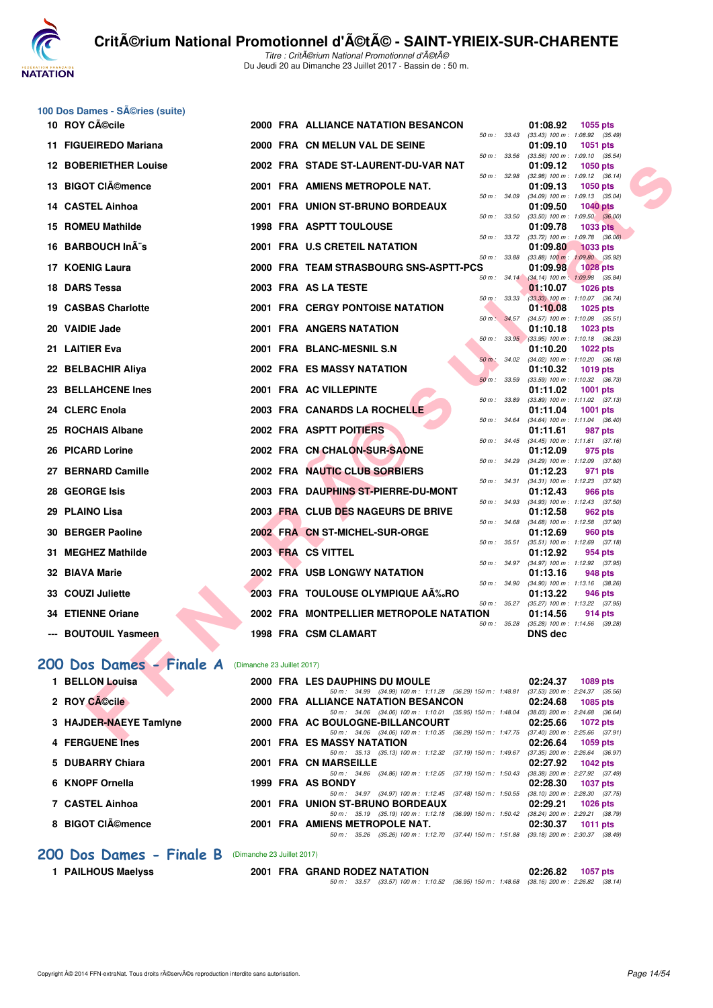

|     | 100 Dos Dames - Séries (suite) |                            |                                                                                                                                 |                                                                             |
|-----|--------------------------------|----------------------------|---------------------------------------------------------------------------------------------------------------------------------|-----------------------------------------------------------------------------|
|     | 10 ROY Cécile                  |                            | 2000 FRA ALLIANCE NATATION BESANCON<br>50 m: 33.43                                                                              | 01:08.92<br>1055 pts<br>$(33.43)$ 100 m : 1:08.92 $(35.49)$                 |
|     | 11 FIGUEIREDO Mariana          |                            | 2000 FRA CN MELUN VAL DE SEINE<br>50 m : 33.56                                                                                  | 01:09.10<br>1051 pts<br>$(33.56)$ 100 m : 1:09.10 $(35.54)$                 |
|     | <b>12 BOBERIETHER Louise</b>   |                            | 2002 FRA STADE ST-LAURENT-DU-VAR NAT<br>50 m : 32.98                                                                            | 01:09.12<br>1050 pts<br>$(32.98)$ 100 m : 1:09.12 $(36.14)$                 |
|     | 13 BIGOT CIémence              |                            | 2001 FRA AMIENS METROPOLE NAT.                                                                                                  | 01:09.13<br>1050 $pts$                                                      |
|     | 14 CASTEL Ainhoa               |                            | 50 m : 34.09<br>2001 FRA UNION ST-BRUNO BORDEAUX                                                                                | $(34.09)$ 100 m : 1:09.13 $(35.04)$<br>01:09.50<br><b>1040 pts</b>          |
|     | 15 ROMEU Mathilde              |                            | 50 m: 33.50<br><b>1998 FRA ASPTT TOULOUSE</b>                                                                                   | $(33.50)$ 100 m : 1:09.50 $(36.00)$<br>01:09.78<br><b>1033 pts</b>          |
| 16. | <b>BARBOUCH In A s</b>         |                            | 50 m : 33.72<br>2001 FRA U.S CRETEIL NATATION                                                                                   | $(33.72)$ 100 m : 1:09.78 $(36.06)$<br>01:09.80<br><b>1033 pts</b>          |
|     | 17 KOENIG Laura                |                            | 50 m : 33.88<br>2000 FRA TEAM STRASBOURG SNS-ASPTT-PCS                                                                          | $(33.88)$ 100 m : 1:09.80 $(35.92)$<br>01:09.98<br><b>1028 pts</b>          |
| 18  | <b>DARS Tessa</b>              |                            | 2003 FRA AS LA TESTE                                                                                                            | 50 m : 34.14 (34.14) 100 m : 1:09.98 (35.84)<br>01:10.07<br><b>1026 pts</b> |
|     | 19 CASBAS Charlotte            |                            | 50 m : 33.33<br><b>2001 FRA CERGY PONTOISE NATATION</b>                                                                         | $(33.33)$ 100 m : 1:10.07 $(36.74)$<br>01:10.08<br>1025 pts                 |
|     | 20 VAIDIE Jade                 |                            | 50 m: 34.57<br><b>2001 FRA ANGERS NATATION</b>                                                                                  | $(34.57)$ 100 m : 1:10.08 $(35.51)$<br>01:10.18<br>1023 pts                 |
| 21. | <b>LAITIER Eva</b>             |                            | 2001 FRA BLANC-MESNIL S.N                                                                                                       | 50 m : 33.95 (33.95) 100 m : 1:10.18 (36.23)<br>01:10.20<br><b>1022 pts</b> |
|     | 22 BELBACHIR Aliya             |                            | 50 m : 34.02<br>2002 FRA ES MASSY NATATION                                                                                      | $(34.02)$ 100 m : 1:10.20 $(36.18)$<br>01:10.32<br>1019 pts                 |
| 23. | <b>BELLAHCENE Ines</b>         |                            | 50 m : 33.59<br>2001 FRA AC VILLEPINTE                                                                                          | (33.59) 100 m: 1:10.32 (36.73)<br>01:11.02<br>1001 pts                      |
|     | 24 CLERC Enola                 |                            | 50 m : 33.89<br>2003 FRA CANARDS LA ROCHELLE                                                                                    | $(33.89)$ 100 m : 1:11.02 $(37.13)$<br>01:11.04<br><b>1001 pts</b>          |
| 25  | <b>ROCHAIS Albane</b>          |                            | 50 m : 34.64<br>2002 FRA ASPTT POITIERS                                                                                         | (34.64) 100 m: 1:11.04 (36.40)<br>01:11.61<br>987 pts                       |
|     | 26 PICARD Lorine               |                            | 50 m : 34.45<br>2002 FRA CN CHALON-SUR-SAONE                                                                                    | $(34.45)$ 100 m : 1:11.61 $(37.16)$<br>01:12.09<br>975 pts                  |
|     | 27 BERNARD Camille             |                            | 50 m : 34.29<br>2002 FRA NAUTIC CLUB SORBIERS                                                                                   | $(34.29)$ 100 m : 1:12.09 $(37.80)$<br>01:12.23<br>971 pts                  |
| 28  | <b>GEORGE Isis</b>             |                            | 50 m : 34.31<br>2003 FRA DAUPHINS ST-PIERRE-DU-MONT                                                                             | (34.31) 100 m: 1:12.23 (37.92)<br>01:12.43<br>966 pts                       |
|     | 29 PLAINO Lisa                 |                            | 50 m : 34.93<br>2003 FRA CLUB DES NAGEURS DE BRIVE                                                                              | (34.93) 100 m: 1:12.43 (37.50)<br>01:12.58<br>962 pts                       |
| 30  | <b>BERGER Paoline</b>          |                            | 50 m : 34.68<br>2002 FRA CN ST-MICHEL-SUR-ORGE                                                                                  | (34.68) 100 m: 1:12.58 (37.90)<br>01:12.69<br>960 pts                       |
|     | 31 MEGHEZ Mathilde             |                            | 50 m : 35.51<br>2003 FRA CS VITTEL                                                                                              | $(35.51)$ 100 m : 1:12.69 $(37.18)$<br>01:12.92<br>954 pts                  |
|     | 32 BIAVA Marie                 |                            | 50 m : 34.97<br><b>2002 FRA USB LONGWY NATATION</b>                                                                             | (34.97) 100 m : 1:12.92 (37.95)<br>01:13.16<br>948 pts                      |
|     | 33 COUZI Juliette              |                            | 50 m : 34.90<br>2003 FRA TOULOUSE OLYMPIQUE AÉRO                                                                                | $(34.90)$ 100 m : 1:13.16 $(38.26)$<br>01:13.22<br>946 pts                  |
|     | 34 ETIENNE Oriane              |                            | 50 m : 35.27<br>2002 FRA MONTPELLIER METROPOLE NATATION                                                                         | (35.27) 100 m: 1:13.22 (37.95)<br>01:14.56<br>914 pts                       |
|     | <b>BOUTOUIL Yasmeen</b>        |                            | 50 m : 35.28<br>1998 FRA CSM CLAMART                                                                                            | $(35.28)$ 100 m : 1:14.56 $(39.28)$<br>DNS dec                              |
|     |                                |                            |                                                                                                                                 |                                                                             |
|     | 200 Dos Dames - Finale A       | (Dimanche 23 Juillet 2017) |                                                                                                                                 |                                                                             |
|     | 1 BELLON Louisa                |                            | 2000 FRA LES DAUPHINS DU MOULE<br>50 m: 34.99 (34.99) 100 m: 1:11.28 (36.29) 150 m: 1:48.81 (37.53) 200 m: 2:24.37 (35.56)      | 02:24.37<br>1089 pts                                                        |
|     | 2 ROY CACcile                  |                            | 2000 FRA ALLIANCE NATATION BESANCON<br>50 m: 34.06 (34.06) 100 m: 1:10.01 (35.95) 150 m: 1:48.04 (38.03) 200 m: 2:24.68 (36.64) | 02:24.68<br>1085 pts                                                        |
|     | 3 HAJDER-NAEYE Tamlyne         |                            | 2000 FRA AC BOULOGNE-BILLANCOURT                                                                                                | 02:25.66<br><b>1072 pts</b>                                                 |
|     | 4 FERGUENE Ines                |                            | 50 m: 34.06 (34.06) 100 m: 1:10.35 (36.29) 150 m: 1:47.75<br>2001 FRA ES MASSY NATATION                                         | $(37.40)$ 200 m : 2:25.66 $(37.91)$<br>02:26.64<br>1059 pts                 |
|     | 5 DUBARRY Chiara               |                            | 50 m: 35.13 (35.13) 100 m: 1:12.32 (37.19) 150 m: 1:49.67<br>2001 FRA CN MARSEILLE                                              | (37.35) 200 m : 2:26.64 (36.97)<br>02:27.92<br>1042 pts                     |
|     | 6 KNOPF Ornella                |                            | 50 m: 34.86 (34.86) 100 m: 1:12.05 (37.19) 150 m: 1:50.43<br>1999 FRA AS BONDY                                                  | (38.38) 200 m : 2:27.92 (37.49)<br>02:28.30<br><b>1037 pts</b>              |
|     | 7 CASTEL Ainhoa                |                            | 50 m : 34.97 (34.97) 100 m : 1:12.45 (37.48) 150 m : 1:50.55<br>2001 FRA UNION ST-BRUNO BORDEAUX                                | $(38.10)$ 200 m : 2:28.30 $(37.75)$<br>02:29.21<br><b>1026 pts</b>          |
|     |                                |                            | 50 m: 35.19 (35.19) 100 m: 1:12.18 (36.99) 150 m: 1:50.42 (38.24) 200 m: 2:29.21 (38.79)                                        |                                                                             |

#### **[200 Dos Dames - Finale B](http://www.ffnatation.fr/webffn/resultats.php?idact=nat&go=epr&idcpt=47489&idepr=13)** (Dimanche 23 Juillet 2017)

| 1 PAILHOUS Maelyss |  |
|--------------------|--|
|--------------------|--|

**8 BIGOT Clémence 2001 FRA AMIENS METROPOLE NAT. 02:30.37 1011 pts**

**2001 FRA GRAND RODEZ NATATION 02:26.82 1057 pts** 50 m : 33.57 (33.57) 100 m : 1:10.52 (36.95) 150 m : 1:48.68 (38.16) 200 m : 2:26.82 (38.14)

50 m : 35.26 (35.26) 100 m : 1:12.70 (37.44) 150 m : 1:51.88 (39.18) 200 m : 2:30.37 (38.49)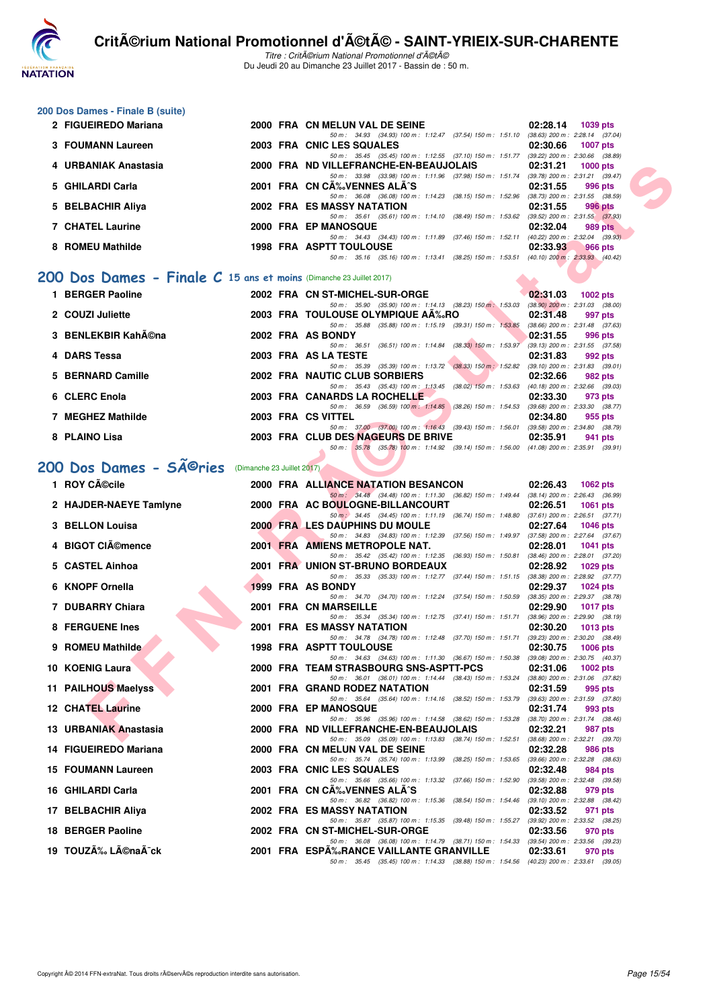

Titre : CritA©rium National Promotionnel d'A©tA© Du Jeudi 20 au Dimanche 23 Juillet 2017 - Bassin de : 50 m.

#### **200 Dos Dames - Finale B (suite)**

| 2 FIGUEIREDO Mariana                                                  |  | 2000 FRA CN MELUN VAL DE SEINE                                  | 02:28.14 | 1039 pts                            |
|-----------------------------------------------------------------------|--|-----------------------------------------------------------------|----------|-------------------------------------|
|                                                                       |  | 50 m: 34.93 (34.93) 100 m: 1:12.47 (37.54) 150 m: 1:51.10       |          | $(38.63)$ 200 m : 2:28.14 $(37.04)$ |
| 3 FOUMANN Laureen                                                     |  | 2003 FRA CNIC LES SQUALES                                       | 02:30.66 | <b>1007 pts</b>                     |
|                                                                       |  | 50 m: 35.45 (35.45) 100 m: 1:12.55 (37.10) 150 m: 1:51.77       |          | $(39.22)$ 200 m : 2:30.66 $(38.89)$ |
| 4 URBANIAK Anastasia                                                  |  | 2000 FRA ND VILLEFRANCHE-EN-BEAUJOLAIS                          | 02:31.21 | $1000$ pts                          |
|                                                                       |  | 50 m : 33.98 (33.98) 100 m : 1:11.96 (37.98) 150 m : 1:51.74    |          | $(39.78)$ 200 m : 2:31.21 $(39.47)$ |
| 5 GHILARDI Carla                                                      |  | 2001 FRA CN CA% VENNES ALA^S                                    | 02:31.55 | 996 pts                             |
|                                                                       |  | 50 m: 36.08 (36.08) 100 m: 1:14.23 (38.15) 150 m: 1:52.96       |          | $(38.73)$ 200 m : 2:31.55 $(38.59)$ |
| 5 BELBACHIR Aliya                                                     |  | <b>2002 FRA ES MASSY NATATION</b>                               | 02:31.55 | 996 pts                             |
|                                                                       |  | 50 m: 35.61 (35.61) 100 m: 1:14.10 (38.49) 150 m: 1:53.62       |          | $(39.52)$ 200 m : 2:31.55 $(37.93)$ |
| <b>7 CHATEL Laurine</b>                                               |  | 2000 FRA EP MANOSQUE                                            | 02:32.04 | 989 pts                             |
|                                                                       |  | 50 m: 34.43 (34.43) 100 m: 1:11.89 (37.46) 150 m: 1:52.11       |          | $(40.22)$ 200 m : 2:32.04 $(39.93)$ |
| 8 ROMEU Mathilde                                                      |  | <b>1998 FRA ASPTT TOULOUSE</b>                                  | 02:33.93 | 966 pts                             |
|                                                                       |  | (35.16) 100 m : 1:13.41 (38.25) 150 m : 1:53.51<br>50 m : 35.16 |          | $(40.10)$ 200 m : 2:33.93 $(40.42)$ |
|                                                                       |  |                                                                 |          |                                     |
| 200 Dos Dames - Finale $C$ 15 ans et moins (Dimanche 23 Juillet 2017) |  |                                                                 |          |                                     |
| 1 BERGER Paoline                                                      |  | 2002 FRA CN ST-MICHEL-SUR-ORGE                                  | 02:31.03 | 1002 pts                            |
|                                                                       |  |                                                                 |          |                                     |

|                    |  |                                    |  | 50 m: 35.90 (35.90) 100 m: 1:14.13 (38.23) 150 m: 1:53.03 (38.90) 200 m: 2:31.03 (38.00) |                                     |         |
|--------------------|--|------------------------------------|--|------------------------------------------------------------------------------------------|-------------------------------------|---------|
| 2 COUZI Juliette   |  | 2003 FRA TOULOUSE OLYMPIQUE AA%-RO |  |                                                                                          | 02:31.48                            | 997 pts |
|                    |  | 50 m: 35.88                        |  | $(35.88)$ 100 m : 1:15.19 $(39.31)$ 150 m : 1:53.85                                      | $(38.66)$ 200 m : 2:31.48 $(37.63)$ |         |
| 3 BENLEKBIR Kah©na |  | 2002 FRA AS BONDY                  |  |                                                                                          | 02:31.55                            | 996 pts |
|                    |  | $50 m$ : $36.51$                   |  | $(36.51)$ 100 m: 1:14.84 $(38.33)$ 150 m: 1:53.97 $(39.13)$ 200 m: 2:31.55 $(37.58)$     |                                     |         |
| 4 DARS Tessa       |  | 2003 FRA AS LA TESTE               |  |                                                                                          | 02:31.83                            | 992 pts |
|                    |  | 50 m : 35.39                       |  | $(35.39)$ 100 m : 1:13.72 $(38.33)$ 150 m : 1:52.82                                      | $(39.10)$ 200 m : 2:31.83 $(39.01)$ |         |
| 5 BERNARD Camille  |  | 2002 FRA NAUTIC CLUB SORBIERS      |  |                                                                                          | 02:32.66                            | 982 pts |
|                    |  |                                    |  | 50 m: 35.43 (35.43) 100 m: 1:13.45 (38.02) 150 m: 1:53.63                                | $(40.18)$ 200 m : 2:32.66 $(39.03)$ |         |
| 6 CLERC Enola      |  | 2003 FRA CANARDS LA ROCHELLE       |  |                                                                                          | 02:33.30                            | 973 pts |
|                    |  | 50 m : 36.59                       |  | $(36.59)$ 100 m : 1:14.85 $(38.26)$ 150 m : 1:54.53                                      | $(39.68)$ 200 m : 2:33.30 $(38.77)$ |         |
| 7 MEGHEZ Mathilde  |  | 2003 FRA CS VITTEL                 |  |                                                                                          | 02:34.80                            | 955 pts |
|                    |  |                                    |  | 50 m: 37.00 (37.00) 100 m: 1:16.43 (39.43) 150 m: 1:56.01 (39.58) 200 m: 2:34.80 (38.79) |                                     |         |
| 8 PLAINO Lisa      |  | 2003 FRA CLUB DES NAGEURS DE BRIVE |  |                                                                                          | 02:35.91                            | 941 pts |
|                    |  |                                    |  | 50 m: 35.78 (35.78) 100 m: 1:14.92 (39.14) 150 m: 1:56.00 (41.08) 200 m: 2:35.91 (39.91) |                                     |         |

## 200 Dos Dames - SÃ<sup>©</sup>ries (Dimanche 23 Juillet 2017)

| 4 URBANIAK Anastasia                                                       |  | 2000 FRA ND VILLEFRANCHE-EN-BEAUJOLAIS                                                                                                | 02:31.21 | <b>1000 pts</b>   |
|----------------------------------------------------------------------------|--|---------------------------------------------------------------------------------------------------------------------------------------|----------|-------------------|
| 5 GHILARDI Carla                                                           |  | 50 m: 33.98 (33.98) 100 m: 1:11.96 (37.98) 150 m: 1:51.74 (39.78) 200 m: 2:31.21 (39.47)<br>2001 FRA CN CA‰VENNES ALA^S               | 02:31.55 | 996 pts           |
| 5 BELBACHIR Aliya                                                          |  | 50 m: 36.08 (36.08) 100 m: 1:14.23 (38.15) 150 m: 1:52.96 (38.73) 200 m: 2:31.55 (38.59)<br>2002 FRA ES MASSY NATATION                | 02:31.55 | 996 pts           |
| <b>7 CHATEL Laurine</b>                                                    |  | 50 m: 35.61 (35.61) 100 m: 1:14.10 (38.49) 150 m: 1:53.62 (39.52) 200 m: 2:31.55 (37.93)<br>2000 FRA EP MANOSQUE                      | 02:32.04 | 989 pts           |
|                                                                            |  | 50 m: 34.43 (34.43) 100 m: 1:11.89 (37.46) 150 m: 1:52.11 (40.22) 200 m: 2:32.04 (39.93)                                              |          |                   |
| 8 ROMEU Mathilde                                                           |  | <b>1998 FRA ASPTT TOULOUSE</b><br>50 m: 35.16 (35.16) 100 m: 1:13.41 (38.25) 150 m: 1:53.51 (40.10) 200 m: 2:33.93 (40.42)            | 02:33.93 | 966 pts           |
|                                                                            |  |                                                                                                                                       |          |                   |
| 00 Dos Dames - Finale $C$ 15 ans et moins (Dimanche 23 Juillet 2017)       |  |                                                                                                                                       |          |                   |
| 1 BERGER Paoline                                                           |  | 2002 FRA CN ST-MICHEL-SUR-ORGE<br>50 m: 35.90 (35.90) 100 m: 1:14.13 (38.23) 150 m: 1:53.03 (38.90) 200 m: 2:31.03 (38.00)            | 02:31.03 | $1002$ pts        |
| 2 COUZI Juliette                                                           |  | 2003 FRA TOULOUSE OLYMPIQUE AA‰RO<br>50 m: 35.88 (35.88) 100 m: 1:15.19 (39.31) 150 m: 1:53.85 (38.66) 200 m: 2:31.48 (37.63)         | 02:31.48 | 997 pts           |
| 3 BENLEKBIR Kah©na                                                         |  | 2002 FRA AS BONDY                                                                                                                     | 02:31.55 | 996 pts           |
| 4 DARS Tessa                                                               |  | 50 m: 36.51 (36.51) 100 m: 1:14.84 (38.33) 150 m: 1:53.97 (39.13) 200 m: 2:31.55 (37.58)<br>2003 FRA AS LA TESTE                      | 02:31.83 | 992 pts           |
| 5 BERNARD Camille                                                          |  | 50 m: 35.39 (35.39) 100 m: 1:13.72 (38.33) 150 m: 1:52.82 (39.10) 200 m: 2:31.83 (39.01)<br>2002 FRA NAUTIC CLUB SORBIERS             | 02:32.66 | 982 pts           |
|                                                                            |  | 50 m: 35.43 (35.43) 100 m: 1:13.45 (38.02) 150 m: 1:53.63 (40.18) 200 m: 2:32.66 (39.03)                                              |          |                   |
| 6 CLERC Enola                                                              |  | 2003 FRA CANARDS LA ROCHELLE<br>50 m: 36.59 (36.59) 100 m: 1:14.85 (38.26) 150 m: 1:54.53 (39.68) 200 m: 2:33.30 (38.77)              | 02:33.30 | 973 pts           |
| 7 MEGHEZ Mathilde                                                          |  | 2003 FRA CS VITTEL                                                                                                                    | 02:34.80 | 955 pts           |
|                                                                            |  | 50 m: 37.00 (37.00) 100 m: 1:16.43 (39.43) 150 m: 1:56.01 (39.58) 200 m: 2:34.80 (38.79)                                              |          |                   |
| 8 PLAINO Lisa                                                              |  | 2003 FRA CLUB DES NAGEURS DE BRIVE<br>50 m: 35.78 (35.78) 100 m: 1:14.92 (39.14) 150 m: 1:56.00 (41.08) 200 m: 2:35.91 (39.91)        | 02:35.91 | 941 pts           |
| 00 Dos Dames - $S\widetilde{A}^{\bigcirc}$ ries (Dimanche 23 Juillet 2017) |  |                                                                                                                                       |          |                   |
| 1 ROY Cécile                                                               |  | 2000 FRA ALLIANCE NATATION BESANCON                                                                                                   |          |                   |
|                                                                            |  | 50 m: 34.48 (34.48) 100 m: 1:11.30 (36.82) 150 m: 1:49.44 (38.14) 200 m: 2:26.43 (36.99)                                              |          | 02:26.43 1062 pts |
| 2 HAJDER-NAEYE Tamlyne                                                     |  | 2000 FRA AC BOULOGNE-BILLANCOURT                                                                                                      | 02:26.51 | 1061 pts          |
| 3 BELLON Louisa                                                            |  | 50 m : 34.45 (34.45) 100 m : 1:11.19 (36.74) 150 m : 1:48.80 (37.61) 200 m : 2:26.51 (37.71)<br><b>2000 FRA LES DAUPHINS DU MOULE</b> | 02:27.64 | 1046 pts          |
| 4 BIGOT CIémence                                                           |  | 50 m: 34.83 (34.83) 100 m: 1:12.39 (37.56) 150 m: 1:49.97 (37.58) 200 m: 2:27.64 (37.67)<br>2001 FRA AMIENS METROPOLE NAT.            | 02:28.01 | <b>1041 pts</b>   |
|                                                                            |  | 50 m: 35.42 (35.42) 100 m: 1:12.35 (36.93) 150 m: 1:50.81 (38.46) 200 m: 2:28.01 (37.20)                                              |          |                   |
| 5 CASTEL Ainhoa                                                            |  | 2001 FRA UNION ST-BRUNO BORDEAUX<br>50 m: 35.33 (35.33) 100 m: 1:12.77 (37.44) 150 m: 1:51.15 (38.38) 200 m: 2:28.92 (37.77)          | 02:28.92 | 1029 pts          |
| 6 KNOPF Ornella                                                            |  | 1999 FRA AS BONDY<br>50 m: 34.70 (34.70) 100 m: 1:12.24 (37.54) 150 m: 1:50.59 (38.35) 200 m: 2:29.37 (38.78)                         | 02:29.37 | <b>1024 pts</b>   |
| 7 DUBARRY Chiara                                                           |  | 2001 FRA CN MARSEILLE                                                                                                                 | 02:29.90 | 1017 pts          |
| 8 FERGUENE Ines                                                            |  | 50 m: 35.34 (35.34) 100 m: 1:12.75 (37.41) 150 m: 1:51.71 (38.96) 200 m: 2:29.90 (38.19)<br><b>2001 FRA ES MASSY NATATION</b>         | 02:30.20 | 1013 pts          |
|                                                                            |  | 50 m: 34.78 (34.78) 100 m: 1:12.48 (37.70) 150 m: 1:51.71 (39.23) 200 m: 2:30.20 (38.49)                                              |          |                   |
| 9 ROMEU Mathilde                                                           |  | <b>1998 FRA ASPTT TOULOUSE</b><br>50 m: 34.63 (34.63) 100 m: 1:11.30 (36.67) 150 m: 1:50.38 (39.08) 200 m: 2:30.75 (40.37)            | 02:30.75 | 1006 pts          |
| 10 KOENIG Laura                                                            |  | 2000 FRA TEAM STRASBOURG SNS-ASPTT-PCS                                                                                                | 02:31.06 | 1002 pts          |
| 11 PAILHOUS Maelyss                                                        |  | 50 m: 36.01 (36.01) 100 m: 1:14.44 (38.43) 150 m: 1:53.24 (38.80) 200 m: 2:31.06 (37.82)<br>2001 FRA GRAND RODEZ NATATION             | 02:31.59 | 995 pts           |
| <b>12 CHATEL Laurine</b>                                                   |  | 50 m: 35.64 (35.64) 100 m: 1:14.16 (38.52) 150 m: 1:53.79 (39.63) 200 m: 2:31.59 (37.80)<br>2000 FRA EP MANOSQUE                      | 02:31.74 | 993 pts           |
|                                                                            |  | 50 m: 35.96 (35.96) 100 m: 1:14.58 (38.62) 150 m: 1:53.28 (38.70) 200 m: 2:31.74 (38.46)                                              |          |                   |
| 13 URBANIAK Anastasia                                                      |  | 2000 FRA ND VILLEFRANCHE-EN-BEAUJOLAIS<br>50 m: 35.09 (35.09) 100 m: 1:13.83 (38.74) 150 m: 1:52.51 (38.68) 200 m: 2:32.21 (39.70)    | 02:32.21 | 987 pts           |
| 14 FIGUEIREDO Mariana                                                      |  | 2000 FRA CN MELUN VAL DE SEINE                                                                                                        | 02:32.28 | 986 pts           |
| 15 FOUMANN Laureen                                                         |  | 50 m: 35.74 (35.74) 100 m: 1:13.99 (38.25) 150 m: 1:53.65 (39.66) 200 m: 2:32.28 (38.63)<br>2003 FRA CNIC LES SQUALES                 | 02:32.48 | 984 pts           |
| 16 GHILARDI Carla                                                          |  | 50 m: 35.66 (35.66) 100 m: 1:13.32 (37.66) 150 m: 1:52.90 (39.58) 200 m: 2:32.48 (39.58)<br>2001 FRA CN CA‰VENNES ALA^S               | 02:32.88 | 979 pts           |
|                                                                            |  | 50 m: 36.82 (36.82) 100 m: 1:15.36 (38.54) 150 m: 1:54.46 (39.10) 200 m: 2:32.88 (38.42)                                              |          |                   |
| 17 BELBACHIR Aliya                                                         |  | 2002 FRA ES MASSY NATATION<br>50 m: 35.87 (35.87) 100 m: 1:15.35 (39.48) 150 m: 1:55.27 (39.92) 200 m: 2:33.52 (38.25)                | 02:33.52 | 971 pts           |
| 18 BERGER Paoline                                                          |  | 2002 FRA CN ST-MICHEL-SUR-ORGE                                                                                                        | 02:33.56 | 970 pts           |
| 19 TOUZÉ LénaÃ <sup>-</sup> ck                                             |  | 50 m: 36.08 (36.08) 100 m: 1:14.79 (38.71) 150 m: 1:54.33 (39.54) 200 m: 2:33.56 (39.23)<br>2001 FRA ESPA‰RANCE VAILLANTE GRANVILLE   | 02:33.61 | 970 pts           |
|                                                                            |  | 50 m: 35.45 (35.45) 100 m: 1:14.33 (38.88) 150 m: 1:54.56 (40.23) 200 m: 2:33.61 (39.05)                                              |          |                   |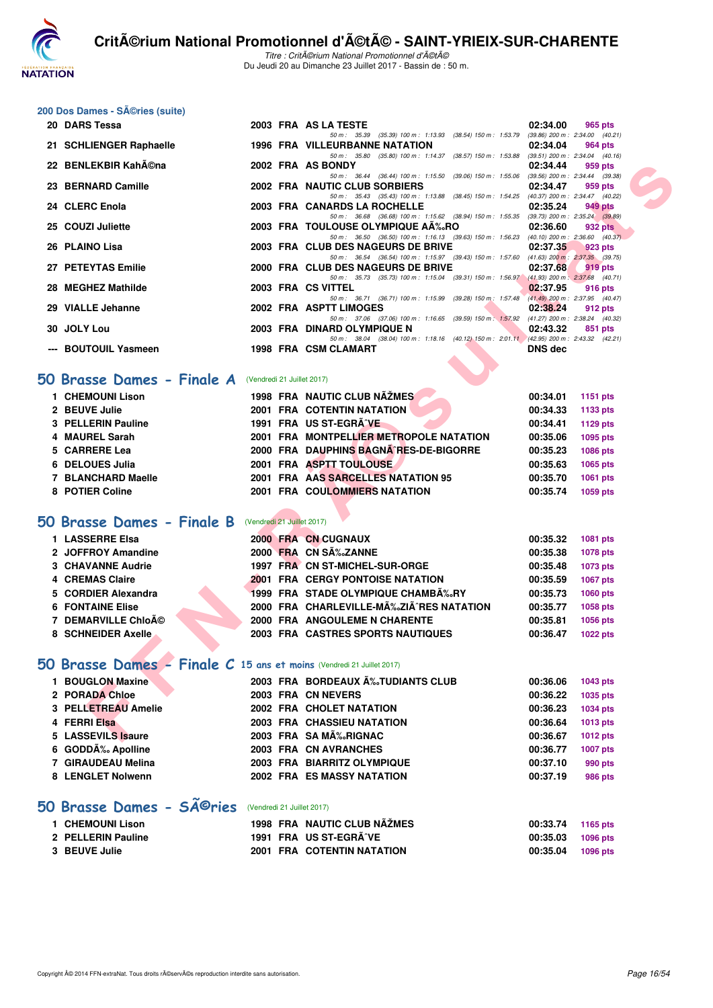

Titre : Critérium National Promotionnel d'été Du Jeudi 20 au Dimanche 23 Juillet 2017 - Bassin de : 50 m.

#### 200 Dos Dames - Séries (suite)

|   | 20 DARS Tessa                                                         |                            | 2003 FRA AS LA TESTE                                                                                                           | 02:34.00 | 965 pts                                        |
|---|-----------------------------------------------------------------------|----------------------------|--------------------------------------------------------------------------------------------------------------------------------|----------|------------------------------------------------|
|   | 21 SCHLIENGER Raphaelle                                               |                            | 50 m: 35.39 (35.39) 100 m: 1:13.93 (38.54) 150 m: 1:53.79<br><b>1996 FRA VILLEURBANNE NATATION</b>                             | 02:34.04 | $(39.86)$ 200 m : 2:34.00 $(40.21)$<br>964 pts |
|   | 22 BENLEKBIR Kah©na                                                   |                            | 50 m: 35.80 (35.80) 100 m: 1:14.37 (38.57) 150 m: 1:53.88                                                                      |          | $(39.51)$ 200 m : 2:34.04 $(40.16)$            |
|   |                                                                       |                            | 2002 FRA AS BONDY<br>50 m: 36.44 (36.44) 100 m: 1:15.50 (39.06) 150 m: 1:55.06 (39.56) 200 m: 2:34.44 (39.38)                  | 02:34.44 | 959 pts                                        |
|   | 23 BERNARD Camille                                                    |                            | 2002 FRA NAUTIC CLUB SORBIERS                                                                                                  | 02:34.47 | 959 pts<br>(40.37) 200 m : 2:34.47 (40.22)     |
|   | 24 CLERC Enola                                                        |                            | 50 m: 35.43 (35.43) 100 m: 1:13.88 (38.45) 150 m: 1:54.25<br>2003 FRA CANARDS LA ROCHELLE                                      | 02:35.24 | 949 pts                                        |
|   | 25 COUZI Juliette                                                     |                            | 50 m: 36.68 (36.68) 100 m: 1:15.62 (38.94) 150 m: 1:55.35 (39.73) 200 m: 2:35.24 (39.89)<br>2003 FRA TOULOUSE OLYMPIQUE AA‰RO  | 02:36.60 | 932 pts                                        |
|   | 26 PLAINO Lisa                                                        |                            | 50 m: 36.50 (36.50) 100 m: 1:16.13 (39.63) 150 m: 1:56.23<br>2003 FRA CLUB DES NAGEURS DE BRIVE                                | 02:37.35 | $(40.10)$ 200 m : 2:36.60 $(40.37)$<br>923 pts |
|   | 27 PETEYTAS Emilie                                                    |                            | 50 m: 36.54 (36.54) 100 m: 1:15.97 (39.43) 150 m: 1:57.60 (41.63) 200 m: 2:37.35 (39.75)<br>2000 FRA CLUB DES NAGEURS DE BRIVE | 02:37.68 | 919 pts                                        |
|   |                                                                       |                            | 50 m: 35.73 (35.73) 100 m: 1:15.04 (39.31) 150 m: 1:56.97                                                                      |          | $(41.93)$ 200 m : 2:37.68 $(40.71)$            |
|   | 28 MEGHEZ Mathilde                                                    |                            | 2003 FRA CS VITTEL<br>50 m : 36.71 (36.71) 100 m : 1:15.99 (39.28) 150 m : 1:57.48                                             | 02:37.95 | 916 pts<br>$(41.49)$ 200 m : 2:37.95 $(40.47)$ |
|   | 29 VIALLE Jehanne                                                     |                            | 2002 FRA ASPTT LIMOGES<br>50 m: 37.06 (37.06) 100 m: 1:16.65 (39.59) 150 m: 1:57.92                                            | 02:38.24 | 912 pts<br>(41.27) 200 m : 2:38.24 (40.32)     |
|   | 30 JOLY Lou                                                           |                            | 2003 FRA DINARD OLYMPIQUE N                                                                                                    | 02:43.32 | 851 pts                                        |
|   | --- BOUTOUIL Yasmeen                                                  |                            | 50 m: 38.04 (38.04) 100 m: 1:18.16 (40.12) 150 m: 2:01.11 (42.95) 200 m: 2:43.32 (42.21)<br>1998 FRA CSM CLAMART               | DNS dec  |                                                |
|   |                                                                       |                            |                                                                                                                                |          |                                                |
| O | Brasse Dames - Finale A                                               | (Vendredi 21 Juillet 2017) |                                                                                                                                |          |                                                |
|   | 1 CHEMOUNI Lison                                                      |                            | 1998 FRA NAUTIC CLUB NAZMES                                                                                                    | 00:34.01 | 1151 pts                                       |
|   | 2 BEUVE Julie                                                         |                            | 2001 FRA COTENTIN NATATION                                                                                                     | 00:34.33 | 1133 pts                                       |
|   | 3 PELLERIN Pauline                                                    |                            | 1991 FRA US ST-EGRANE                                                                                                          | 00:34.41 | 1129 pts                                       |
|   | 4 MAUREL Sarah                                                        |                            | 2001 FRA MONTPELLIER METROPOLE NATATION                                                                                        | 00:35.06 | 1095 pts                                       |
|   | 5 CARRERE Lea                                                         |                            | 2000 FRA DAUPHINS BAGNA RES-DE-BIGORRE                                                                                         | 00:35.23 | <b>1086 pts</b>                                |
|   | 6 DELOUES Julia                                                       |                            | 2001 FRA ASPTT TOULOUSE                                                                                                        | 00:35.63 | 1065 pts                                       |
|   | 7 BLANCHARD Maelle                                                    |                            | 2001 FRA AAS SARCELLES NATATION 95                                                                                             | 00:35.70 | 1061 pts                                       |
|   | 8 POTIER Coline                                                       |                            | 2001 FRA COULOMMIERS NATATION                                                                                                  | 00:35.74 | 1059 pts                                       |
|   |                                                                       |                            |                                                                                                                                |          |                                                |
|   | <b>O Brasse Dames - Finale B</b>                                      | (Vendredi 21 Juillet 2017) |                                                                                                                                |          |                                                |
|   | 1 LASSERRE Elsa                                                       |                            | 2000 FRA CN CUGNAUX                                                                                                            | 00:35.32 | 1081 pts                                       |
|   | 2 JOFFROY Amandine                                                    |                            | 2000 FRA CN SÉZANNE                                                                                                            | 00:35.38 | 1078 pts                                       |
|   | <b>3 CHAVANNE Audrie</b>                                              |                            | 1997 FRA CN ST-MICHEL-SUR-ORGE                                                                                                 | 00:35.48 | <b>1073 pts</b>                                |
|   | 4 CREMAS Claire                                                       |                            | <b>2001 FRA CERGY PONTOISE NATATION</b>                                                                                        | 00:35.59 | <b>1067 pts</b>                                |
|   | 5 CORDIER Alexandra                                                   |                            | 1999 FRA STADE OLYMPIQUE CHAMBA%RY                                                                                             | 00:35.73 | <b>1060 pts</b>                                |
|   | <b>6 FONTAINE Elise</b>                                               |                            | 2000 FRA CHARLEVILLE-MĉZIÄ^RES NATATION                                                                                        | 00:35.77 | 1058 pts                                       |
|   | <b>7 DEMARVILLE ChioA©</b>                                            |                            | <b>2000 FRA ANGOULEME N CHARENTE</b>                                                                                           | 00:35.81 | 1056 pts                                       |
|   | <b>8 SCHNEIDER Axelle</b>                                             |                            | 2003 FRA CASTRES SPORTS NAUTIQUES                                                                                              | 00:36.47 | <b>1022 pts</b>                                |
|   | 10 Brasse Dames - Finale C 15 ans et moins (Vendredi 21 Juillet 2017) |                            |                                                                                                                                |          |                                                |
|   | 1 BOUGLON Maxine                                                      |                            |                                                                                                                                |          |                                                |
|   |                                                                       |                            | 2003 FRA BORDEAUX A%TUDIANTS CLUB                                                                                              | 00:36.06 | 1043 pts                                       |
|   | 2 PORADA Chloe                                                        |                            | 2003 FRA CN NEVERS                                                                                                             | 00:36.22 | 1035 pts                                       |
|   | 3 PELLETREAU Amelie                                                   |                            | 2002 FRA CHOLET NATATION                                                                                                       | 00:36.23 | <b>1034 pts</b>                                |
|   | 4 FERRI Elsa                                                          |                            | 2003 FRA CHASSIEU NATATION                                                                                                     | 00:36.64 | <b>1013 pts</b>                                |
|   | 5 LASSEVILS Isaure                                                    |                            | 2003 FRA SA MA‰RIGNAC                                                                                                          | 00:36.67 | 1012 pts                                       |

#### **[50 Brasse Dames - Finale A](http://www.ffnatation.fr/webffn/resultats.php?idact=nat&go=epr&idcpt=47489&idepr=21)** (Vendredi 21 Juillet 2017)

| 1 CHEMOUNI Lison   | 1998 FRA NAUTIC CLUB NÃŽMES             | 00:34.01<br>1151 pts |
|--------------------|-----------------------------------------|----------------------|
| 2 BEUVE Julie      | <b>2001 FRA COTENTIN NATATION</b>       | 00:34.33<br>1133 pts |
| 3 PELLERIN Pauline | 1991 FRA US ST-EGRÃ VE                  | 00:34.41<br>1129 pts |
| 4 MAUREL Sarah     | 2001 FRA MONTPELLIER METROPOLE NATATION | 00:35.06<br>1095 pts |
| 5 CARRERE Lea      | 2000 FRA DAUPHINS BAGNA RES-DE-BIGORRE  | 00:35.23<br>1086 pts |
| 6 DELOUES Julia    | 2001 FRA ASPTT TOULOUSE                 | 00:35.63<br>1065 pts |
| 7 BLANCHARD Maelle | 2001 FRA AAS SARCELLES NATATION 95      | 00:35.70<br>1061 pts |
| 8 POTIER Coline    | <b>FRA COULOMMIERS NATATION</b><br>2001 | 00:35.74<br>1059 pts |
|                    |                                         |                      |

## **[50 Brasse Dames - Finale B](http://www.ffnatation.fr/webffn/resultats.php?idact=nat&go=epr&idcpt=47489&idepr=21)** (Vendredi 21 Juillet 2017)

| 1 LASSERRE Elsa          |  |  | <b>2000 FRA CN CUGNAUX</b>              | 00:35.32 | <b>1081 pts</b> |
|--------------------------|--|--|-----------------------------------------|----------|-----------------|
| 2 JOFFROY Amandine       |  |  | 2000 FRA CN SÉZANNE                     | 00:35.38 | 1078 pts        |
| <b>3 CHAVANNE Audrie</b> |  |  | 1997 FRA CN ST-MICHEL-SUR-ORGE          | 00:35.48 | 1073 pts        |
| 4 CREMAS Claire          |  |  | <b>2001 FRA CERGY PONTOISE NATATION</b> | 00:35.59 | <b>1067 pts</b> |
| 5 CORDIER Alexandra      |  |  | 1999 FRA STADE OLYMPIQUE CHAMBÉRY       | 00:35.73 | 1060 pts        |
| <b>6 FONTAINE Elise</b>  |  |  | 2000 FRA CHARLEVILLE-MÉZIÃ^RES NATATION | 00:35.77 | 1058 pts        |
| 7 DEMARVILLE Chloé       |  |  | 2000 FRA ANGOULEME N CHARENTE           | 00:35.81 | 1056 pts        |
| 8 SCHNEIDER Axelle       |  |  | 2003 FRA CASTRES SPORTS NAUTIQUES       | 00:36.47 | <b>1022 pts</b> |

#### **[50 Brasse Dames - Finale C](http://www.ffnatation.fr/webffn/resultats.php?idact=nat&go=epr&idcpt=47489&idepr=21) 15 ans et moins** (Vendredi 21 Juillet 2017)

| 1 BOUGLON Maxine    |  | 2003 FRA BORDEAUX A%TUDIANTS CLUB | 00:36.06 | 1043 pts        |
|---------------------|--|-----------------------------------|----------|-----------------|
| 2 PORADA Chloe      |  | 2003 FRA CN NEVERS                | 00:36.22 | 1035 pts        |
| 3 PELLETREAU Amelie |  | 2002 FRA CHOLET NATATION          | 00:36.23 | 1034 pts        |
| 4 FERRI Elsa        |  | <b>2003 FRA CHASSIEU NATATION</b> | 00:36.64 | 1013 pts        |
| 5 LASSEVILS Isaure  |  | 2003 FRA SA MÉRIGNAC              | 00:36.67 | 1012 pts        |
| 6 GODDÉ Apolline    |  | 2003 FRA CN AVRANCHES             | 00:36.77 | <b>1007 pts</b> |
| 7 GIRAUDEAU Melina  |  | 2003 FRA BIARRITZ OLYMPIQUE       | 00:37.10 | 990 pts         |
| 8 LENGLET Nolwenn   |  | 2002 FRA ES MASSY NATATION        | 00:37.19 | 986 pts         |
|                     |  |                                   |          |                 |

# 50 Brasse Dames - SÃ<sup>©</sup>ries (Vendredi 21 Juillet 2017)

| 1 CHEMOUNI Lison   | 1998 FRA NAUTIC CLUB NAŽMES       | 00:33.74 1165 pts |          |
|--------------------|-----------------------------------|-------------------|----------|
| 2 PELLERIN Pauline | 1991 FRA US ST-EGRÃ^VE            | 00:35.03          | 1096 pts |
| 3 BEUVE Julie      | <b>2001 FRA COTENTIN NATATION</b> | 00:35.04          | 1096 pts |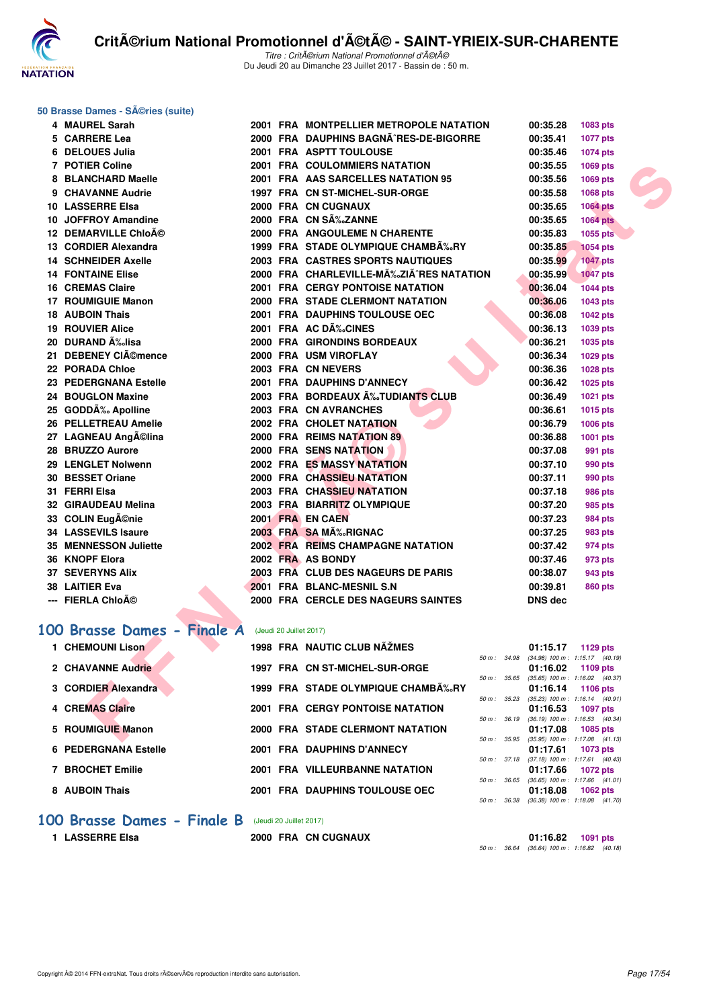

#### **50 Brasse Dames - Séries (suite)**

| 4 MAUREL Sarah             |                         | 2001 FRA MONTPELLIER METROPOLE NATATION  |                  | 00:35.28       | 1083 pts                                               |  |
|----------------------------|-------------------------|------------------------------------------|------------------|----------------|--------------------------------------------------------|--|
| 5 CARRERE Lea              |                         | 2000 FRA DAUPHINS BAGNA RES-DE-BIGORRE   |                  | 00:35.41       | <b>1077 pts</b>                                        |  |
| 6 DELOUES Julia            |                         | 2001 FRA ASPTT TOULOUSE                  |                  | 00:35.46       | 1074 pts                                               |  |
| 7 POTIER Coline            |                         | <b>2001 FRA COULOMMIERS NATATION</b>     |                  | 00:35.55       | 1069 pts                                               |  |
| 8 BLANCHARD Maelle         |                         | 2001 FRA AAS SARCELLES NATATION 95       |                  | 00:35.56       | 1069 pts                                               |  |
| 9 CHAVANNE Audrie          |                         | 1997 FRA CN ST-MICHEL-SUR-ORGE           |                  | 00:35.58       | 1068 pts                                               |  |
| 10 LASSERRE Elsa           |                         | 2000 FRA CN CUGNAUX                      |                  | 00:35.65       | <b>1064 pts</b>                                        |  |
| 10 JOFFROY Amandine        |                         | 2000 FRA CN SÉZANNE                      |                  | 00:35.65       | <b>1064 pts</b>                                        |  |
| 12 DEMARVILLE Chloé        |                         | 2000 FRA ANGOULEME N CHARENTE            |                  | 00:35.83       | 1055 pts                                               |  |
| 13 CORDIER Alexandra       |                         | 1999 FRA STADE OLYMPIQUE CHAMBA‰RY       |                  | 00:35.85       | <b>1054 pts</b>                                        |  |
| <b>14 SCHNEIDER Axelle</b> |                         | <b>2003 FRA CASTRES SPORTS NAUTIQUES</b> |                  | 00:35.99       | <b>1047 pts</b>                                        |  |
| <b>14 FONTAINE Elise</b>   |                         | 2000 FRA CHARLEVILLE-MÉZIÃ^RES NATATION  |                  | 00:35.99       | <b>1047 pts</b>                                        |  |
| <b>16 CREMAS Claire</b>    |                         | 2001 FRA CERGY PONTOISE NATATION         |                  | 00:36.04       | 1044 pts                                               |  |
| 17 ROUMIGUIE Manon         |                         | 2000 FRA STADE CLERMONT NATATION         |                  | 00:36.06       | 1043 pts                                               |  |
| <b>18 AUBOIN Thais</b>     |                         | 2001 FRA DAUPHINS TOULOUSE OEC           |                  | 00:36.08       | 1042 pts                                               |  |
| <b>19 ROUVIER Alice</b>    |                         | 2001 FRA AC DÉCINES                      |                  | 00:36.13       | 1039 pts                                               |  |
| 20   DURAND ĉlisa          |                         | 2000 FRA GIRONDINS BORDEAUX              |                  | 00:36.21       | 1035 pts                                               |  |
| 21 DEBENEY CIémence        |                         | 2000 FRA USM VIROFLAY                    |                  | 00:36.34       | 1029 pts                                               |  |
| 22 PORADA Chloe            |                         | 2003 FRA CN NEVERS                       |                  | 00:36.36       | 1028 pts                                               |  |
| 23 PEDERGNANA Estelle      |                         | 2001 FRA DAUPHINS D'ANNECY               |                  | 00:36.42       | 1025 pts                                               |  |
| 24 BOUGLON Maxine          |                         | 2003 FRA BORDEAUX A‰TUDIANTS CLUB        |                  | 00:36.49       | 1021 pts                                               |  |
| 25 GODDÉ Apolline          |                         | 2003 FRA CN AVRANCHES                    |                  | 00:36.61       | 1015 pts                                               |  |
| 26 PELLETREAU Amelie       |                         | 2002 FRA CHOLET NATATION                 |                  | 00:36.79       | 1006 pts                                               |  |
| 27 LAGNEAU Angĩlina        |                         | 2000 FRA REIMS NATATION 89               |                  | 00:36.88       | 1001 pts                                               |  |
| 28 BRUZZO Aurore           |                         | 2000 FRA SENS NATATION                   |                  | 00:37.08       | 991 pts                                                |  |
| 29 LENGLET Nolwenn         |                         | <b>2002 FRA ES MASSY NATATION</b>        |                  | 00:37.10       | <b>990 pts</b>                                         |  |
| 30 BESSET Oriane           |                         | <b>2000 FRA CHASSIEU NATATION</b>        |                  | 00:37.11       | 990 pts                                                |  |
| 31 FERRI Elsa              |                         | 2003 FRA CHASSIEU NATATION               |                  | 00:37.18       | <b>986 pts</b>                                         |  |
| 32 GIRAUDEAU Melina        |                         | 2003 FRA BIARRITZ OLYMPIQUE              |                  | 00:37.20       | 985 pts                                                |  |
| 33 COLIN Eugĩnie           |                         | 2001 FRA EN CAEN                         |                  | 00:37.23       | <b>984 pts</b>                                         |  |
| <b>34 LASSEVILS Isaure</b> |                         | 2003 FRA SA MÉRIGNAC                     |                  | 00:37.25       | 983 pts                                                |  |
| 35 MENNESSON Juliette      |                         | 2002 FRA REIMS CHAMPAGNE NATATION        |                  | 00:37.42       | 974 pts                                                |  |
| 36 KNOPF Elora             |                         | 2002 FRA AS BONDY                        |                  | 00:37.46       | 973 pts                                                |  |
| <b>37 SEVERYNS Alix</b>    |                         | 2003 FRA CLUB DES NAGEURS DE PARIS       |                  | 00:38.07       | 943 pts                                                |  |
| 38 LAITIER Eva             |                         | 2001 FRA BLANC-MESNIL S.N                |                  | 00:39.81       | 860 pts                                                |  |
| --- FIERLA Chloĩ           |                         | 2000 FRA CERCLE DES NAGEURS SAINTES      |                  | <b>DNS dec</b> |                                                        |  |
|                            |                         |                                          |                  |                |                                                        |  |
| 00 Brasse Dames - Finale A | (Jeudi 20 Juillet 2017) |                                          |                  |                |                                                        |  |
| 1 CHEMOUNI Lison           |                         | 1998 FRA NAUTIC CLUB NAŽMES              |                  | 01:15.17       | 1129 pts                                               |  |
| 2 CHAVANNE Audrie          |                         |                                          | 50 m: 34.98      |                | (34.98) 100 m: 1:15.17 (40.19)                         |  |
|                            |                         | 1997 FRA CN ST-MICHEL-SUR-ORGE           | $50 m$ : $35.65$ | 01:16.02       | 1109 pts<br>$(35.65)$ 100 m : 1:16.02 $(40.37)$        |  |
| 3 CORDIER Alexandra        |                         | 1999 FRA STADE OLYMPIQUE CHAMB‰RY        |                  | 01:16.14       | <b>1106 pts</b>                                        |  |
| <b>4 CREMAS Claire</b>     |                         | <b>2001 FRA CERGY PONTOISE NATATION</b>  | 50 m: 35.23      |                | $(35.23)$ 100 m : 1:16.14 $(40.91)$                    |  |
|                            |                         |                                          | 50 m : 36.19     | 01:16.53       | <b>1097 pts</b><br>$(36.19)$ 100 m : 1:16.53 $(40.34)$ |  |
| 5 ROUMIGUIE Manon          |                         | <b>2000 FRA STADE CLERMONT NATATION</b>  |                  | 01:17.08       | 1085 pts                                               |  |
|                            |                         |                                          |                  |                | 50 m : 35.95 (35.95) 100 m : 1:17.08 (41.13)           |  |

## [100 Brasse Dames - Finale A](http://www.ffnatation.fr/webffn/resultats.php?idact=nat&go=epr&idcpt=47489&idepr=22) (Jeudi 20 Juillet 2017)

| <b>CHEMOUNI Lison</b>       |      | <b>1998 FRA NAUTIC CLUB NAZMES</b>      |                  | 01:15.17                                        | $1129$ pts                          |  |
|-----------------------------|------|-----------------------------------------|------------------|-------------------------------------------------|-------------------------------------|--|
|                             |      |                                         | 50 m: 34.98      | $(34.98)$ 100 m : 1:15.17 $(40.19)$             |                                     |  |
| 2 CHAVANNE Audrie           |      | 1997 FRA CN ST-MICHEL-SUR-ORGE          |                  | 01:16.02                                        | $1109$ pts                          |  |
|                             |      |                                         | 50 m: 35.65      |                                                 | $(35.65)$ 100 m : 1:16.02 $(40.37)$ |  |
| 3 CORDIER Alexandra         |      | 1999 FRA STADE OLYMPIQUE CHAMB‰RY       |                  | 01:16.14                                        | 1106 pts                            |  |
|                             |      |                                         | $50 m$ : $35.23$ | $(35.23)$ 100 m : 1:16.14 $(40.91)$             |                                     |  |
| 4 CREMAS Claire             |      | <b>2001 FRA CERGY PONTOISE NATATION</b> |                  | 01:16.53                                        | 1097 pts                            |  |
| 5 ROUMIGUIE Manon           |      | 2000 FRA STADE CLERMONT NATATION        | $50 m$ : $36.19$ | $(36.19)$ 100 m : 1:16.53 $(40.34)$<br>01:17.08 | 1085 pts                            |  |
|                             |      |                                         | $50 m$ : $35.95$ | $(35.95)$ 100 m : 1:17.08 $(41.13)$             |                                     |  |
| <b>6 PEDERGNANA Estelle</b> |      | 2001 FRA DAUPHINS D'ANNECY              |                  | 01:17.61                                        | 1073 pts                            |  |
|                             |      |                                         | 50 m: 37.18      | $(37.18)$ 100 m : 1:17.61 $(40.43)$             |                                     |  |
| 7 BROCHET Emilie            |      | 2001 FRA VILLEURBANNE NATATION          |                  | 01:17.66                                        | 1072 pts                            |  |
|                             |      |                                         | $50 m$ : $36.65$ |                                                 | $(36.65)$ 100 m : 1:17.66 $(41.01)$ |  |
| 8 AUBOIN Thais              | 2001 | <b>FRA DAUPHINS TOULOUSE OEC</b>        |                  | 01:18.08                                        | $1062$ pts                          |  |
|                             |      |                                         | 50 m : 36.38     | $(36.38)$ 100 m : 1:18.08 $(41.70)$             |                                     |  |

#### **[100 Brasse Dames - Finale B](http://www.ffnatation.fr/webffn/resultats.php?idact=nat&go=epr&idcpt=47489&idepr=22)** (Jeudi 20 Juillet 2017)

**1 LASSERRE Elsa 2000 FRA CN CUGNAUX 01:16.82 1091 pts** 50 m : 36.64 (36.64) 100 m : 1:16.82 (40.18)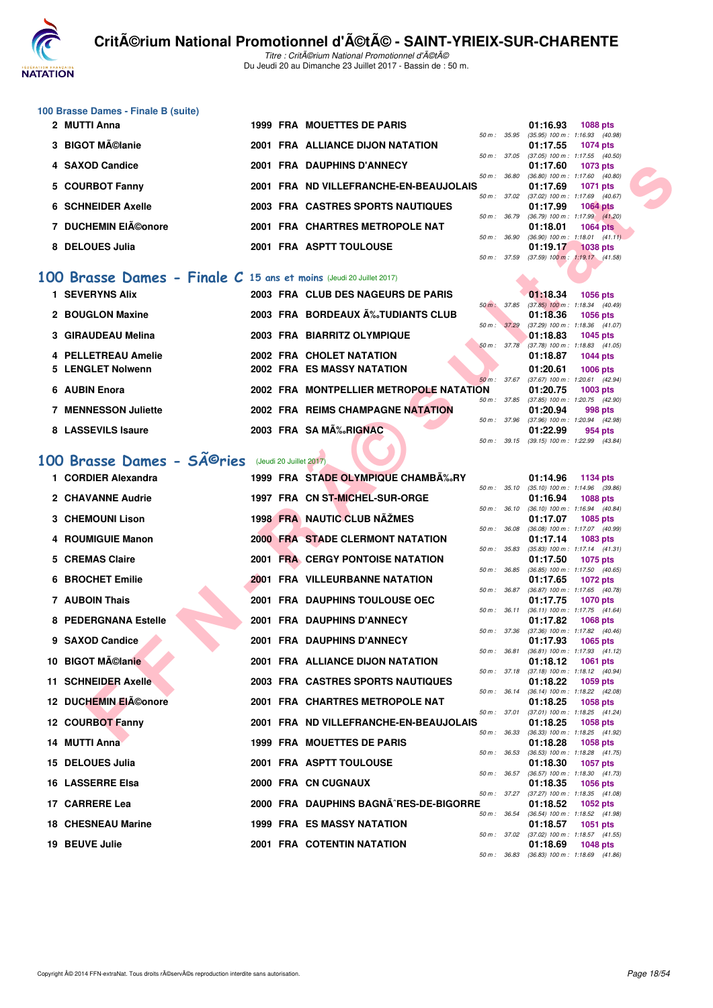

#### **100 Brasse Dames - Finale B (suite)**

| 2 MUTTI Anna        |  | <b>1999 FRA MOUETTES DE PARIS</b>      |                  | 01:16.93                            | <b>1088 pts</b> |  |
|---------------------|--|----------------------------------------|------------------|-------------------------------------|-----------------|--|
|                     |  |                                        | $50 m$ : $35.95$ | $(35.95)$ 100 m : 1:16.93 $(40.98)$ |                 |  |
| 3 BIGOT Mélanie     |  | 2001 FRA ALLIANCE DIJON NATATION       |                  | 01:17.55                            | <b>1074 pts</b> |  |
|                     |  |                                        | 50 m: 37.05      | $(37.05)$ 100 m : 1:17.55 $(40.50)$ |                 |  |
| 4 SAXOD Candice     |  | 2001 FRA DAUPHINS D'ANNECY             |                  | $01:17.60$ 1073 pts                 |                 |  |
|                     |  |                                        | $50 m$ : $36.80$ | $(36.80)$ 100 m : 1:17.60 $(40.80)$ |                 |  |
| 5 COURBOT Fanny     |  | 2001 FRA ND VILLEFRANCHE-EN-BEAUJOLAIS |                  | 01:17.69                            | <b>1071 pts</b> |  |
|                     |  |                                        | 50 m: 37.02      | $(37.02)$ 100 m : 1:17.69 $(40.67)$ |                 |  |
| 6 SCHNEIDER Axelle  |  | 2003 FRA CASTRES SPORTS NAUTIQUES      |                  | 01:17.99 1064 pts                   |                 |  |
|                     |  |                                        | $50 m$ : $36.79$ | $(36.79)$ 100 m : 1:17.99 $(41.20)$ |                 |  |
| 7 DUCHEMIN EIéonore |  | 2001 FRA CHARTRES METROPOLE NAT        |                  | 01:18.01                            | $1064$ pts      |  |
|                     |  |                                        | 50 m: 36.90      | $(36.90)$ 100 m : 1:18.01 $(41.11)$ |                 |  |
| 8 DELOUES Julia     |  | 2001 FRA ASPTT TOULOUSE                |                  | 01:19.17                            | <b>1038 pts</b> |  |
|                     |  |                                        | 50 m: 37.59      | $(37.59)$ 100 m : 1:19.17 $(41.58)$ |                 |  |

#### **[100 Brasse Dames - Finale C](http://www.ffnatation.fr/webffn/resultats.php?idact=nat&go=epr&idcpt=47489&idepr=22) 15 ans et moins** (Jeudi 20 Juillet 2017)

| <b>1 SEVERYNS Alix</b>      |  | 2003 FRA CLUB DES NAGEURS DE PARIS      |                        | 01:18.34                                        | <b>1056 pts</b> |  |
|-----------------------------|--|-----------------------------------------|------------------------|-------------------------------------------------|-----------------|--|
|                             |  |                                         | $50 \text{ m}$ : 37.85 | $(37.85)$ 100 m : 1:18.34 $(40.49)$             |                 |  |
| 2 BOUGLON Maxine            |  | 2003 FRA BORDEAUX A‰TUDIANTS CLUB       |                        | 01:18.36                                        | 1056 pts        |  |
|                             |  |                                         | $50 \text{ m}$ : 37.29 | $(37.29)$ 100 m : 1:18.36 $(41.07)$             |                 |  |
| 3 GIRAUDEAU Melina          |  | 2003 FRA BIARRITZ OLYMPIQUE             | 50 m : 37.78           | 01:18.83<br>$(37.78)$ 100 m : 1:18.83 $(41.05)$ | 1045 pts        |  |
| 4 PELLETREAU Amelie         |  | 2002 FRA CHOLET NATATION                |                        | 01:18.87                                        | <b>1044 pts</b> |  |
| 5 LENGLET Nolwenn           |  | 2002 FRA ES MASSY NATATION              |                        | 01:20.61                                        | <b>1006 pts</b> |  |
|                             |  |                                         | $50 m$ : 37.67         | $(37.67)$ 100 m : 1:20.61 $(42.94)$             |                 |  |
| 6 AUBIN Enora               |  | 2002 FRA MONTPELLIER METROPOLE NATATION |                        | 01:20.75                                        | <b>1003 pts</b> |  |
| <b>7 MENNESSON Juliette</b> |  | 2002 FRA REIMS CHAMPAGNE NATATION       | 50 m: 37.85            | $(37.85)$ 100 m : 1:20.75 $(42.90)$<br>01:20.94 |                 |  |
|                             |  |                                         | 50 m: 37.96            | $(37.96)$ 100 m : 1:20.94 $(42.98)$             | 998 pts         |  |
| 8 LASSEVILS Isaure          |  | 2003 FRA SAMA %RIGNAC                   |                        | 01:22.99                                        | 954 pts         |  |
|                             |  |                                         | 50 m : 39.15           | $(39.15)$ 100 m : 1:22.99 $(43.84)$             |                 |  |

# 100 Brasse Dames - SÃ<sup>©</sup>ries (Jeudi 20 Juillet 2017)

| 4 SAXOD Candice                                                           |  | 2001 FRA DAUPHINS D'ANNECY              |              | 01:17.60<br>1073 pts                                                      |
|---------------------------------------------------------------------------|--|-----------------------------------------|--------------|---------------------------------------------------------------------------|
| 5 COURBOT Fanny                                                           |  | 2001 FRA ND VILLEFRANCHE-EN-BEAUJOLAIS  | 50 m : 36.80 | $(36.80)$ 100 m : 1:17.60 $(40.80)$<br>01:17.69<br><b>1071 pts</b>        |
| <b>6 SCHNEIDER Axelle</b>                                                 |  | 2003 FRA CASTRES SPORTS NAUTIQUES       | 50 m : 37.02 | $(37.02)$ 100 m : 1:17.69 $(40.67)$<br>01:17.99<br><b>1064 pts</b>        |
|                                                                           |  |                                         | 50 m : 36.79 | $(36.79)$ 100 m : 1:17.99 $(41.20)$                                       |
| 7 DUCHEMIN EIĩonore                                                       |  | 2001 FRA CHARTRES METROPOLE NAT         | 50 m : 36.90 | 01:18.01<br><b>1064 pts</b><br>$(36.90)$ 100 m : 1:18.01 $(41.11)$        |
| 8 DELOUES Julia                                                           |  | 2001 FRA ASPTT TOULOUSE                 |              | 01:19.17<br><b>1038 pts</b>                                               |
|                                                                           |  |                                         | 50 m : 37.59 | $(37.59)$ 100 m : 1:19.17 $(41.58)$                                       |
| <b>00 Brasse Dames - Finale C 15 ans et moins (Jeudi 20 Juillet 2017)</b> |  |                                         |              |                                                                           |
| 1 SEVERYNS Alix                                                           |  | 2003 FRA CLUB DES NAGEURS DE PARIS      |              | 01:18.34<br><b>1056 pts</b>                                               |
| 2 BOUGLON Maxine                                                          |  | 2003 FRA BORDEAUX A%TUDIANTS CLUB       | 50 m : 37.85 | $(37.85)$ 100 m : 1:18.34 $(40.49)$<br>01:18.36<br><b>1056 pts</b>        |
| 3 GIRAUDEAU Melina                                                        |  | 2003 FRA BIARRITZ OLYMPIQUE             | 50 m : 37.29 | $(37.29)$ 100 m : 1:18.36 $(41.07)$<br>01:18.83<br>1045 pts               |
| 4 PELLETREAU Amelie                                                       |  | 2002 FRA CHOLET NATATION                | 50 m: 37.78  | $(37.78)$ 100 m : 1:18.83 $(41.05)$<br>01:18.87<br>1044 pts               |
| 5 LENGLET Nolwenn                                                         |  | 2002 FRA ES MASSY NATATION              |              | 01:20.61<br><b>1006 pts</b>                                               |
| 6 AUBIN Enora                                                             |  | 2002 FRA MONTPELLIER METROPOLE NATATION | 50 m: 37.67  | $(37.67)$ 100 m : 1:20.61 $(42.94)$<br>01:20.75<br>$1003$ pts             |
|                                                                           |  |                                         |              | 50 m: 37.85 (37.85) 100 m: 1:20.75 (42.90)                                |
| <b>7 MENNESSON Juliette</b>                                               |  | 2002 FRA REIMS CHAMPAGNE NATATION       | 50 m : 37.96 | 01:20.94<br>998 pts<br>(37.96) 100 m : 1:20.94 (42.98)                    |
| 8 LASSEVILS Isaure                                                        |  | 2003 FRA SA MÉRIGNAC                    |              | 01:22.99<br>954 pts                                                       |
|                                                                           |  |                                         |              | 50 m: 39.15 (39.15) 100 m: 1:22.99 (43.84)                                |
| 00 Brasse Dames - SÃ <sup>@</sup> ries (Jeudi 20 Juillet 2017)            |  |                                         |              |                                                                           |
| 1 CORDIER Alexandra                                                       |  | 1999 FRA STADE OLYMPIQUE CHAMBA%RY      |              | 01:14.96<br>1134 pts                                                      |
| 2 CHAVANNE Audrie                                                         |  | 1997 FRA CN ST-MICHEL-SUR-ORGE          |              | 50 m: 35.10 (35.10) 100 m: 1:14.96 (39.86)<br>01:16.94<br><b>1088 pts</b> |
| 3 CHEMOUNI Lison                                                          |  | 1998 FRA NAUTIC CLUB NAŽMES             | 50 m : 36.10 | $(36.10)$ 100 m : 1:16.94 $(40.84)$<br>01:17.07<br>1085 pts               |
|                                                                           |  |                                         | 50 m : 36.08 | (36.08) 100 m: 1:17.07 (40.99)                                            |
| 4 ROUMIGUIE Manon                                                         |  | <b>2000 FRA STADE CLERMONT NATATION</b> | 50 m : 35.83 | 01:17.14<br><b>1083 pts</b><br>$(35.83)$ 100 m : 1:17.14 $(41.31)$        |
| 5 CREMAS Claire                                                           |  | <b>2001 FRA CERGY PONTOISE NATATION</b> |              | 01:17.50<br>1075 pts                                                      |
| <b>6 BROCHET Emilie</b>                                                   |  | 2001 FRA VILLEURBANNE NATATION          | 50 m : 36.85 | $(36.85)$ 100 m : 1:17.50 $(40.65)$<br>01:17.65<br><b>1072 pts</b>        |
| 7 AUBOIN Thais                                                            |  | <b>2001 FRA DAUPHINS TOULOUSE OEC</b>   | 50 m : 36.87 | (36.87) 100 m: 1:17.65 (40.78)<br>01:17.75<br>1070 pts                    |
| 8 PEDERGNANA Estelle                                                      |  | 2001 FRA DAUPHINS D'ANNECY              | 50 m : 36.11 | $(36.11)$ 100 m : 1:17.75 $(41.64)$<br>01:17.82<br><b>1068 pts</b>        |
|                                                                           |  |                                         | 50 m : 37.36 | (37.36) 100 m : 1:17.82 (40.46)                                           |
| 9 SAXOD Candice                                                           |  | 2001 FRA DAUPHINS D'ANNECY              | 50 m : 36.81 | 01:17.93<br>1065 pts<br>(36.81) 100 m: 1:17.93 (41.12)                    |
| 10 BIGOT MA©lanie                                                         |  | 2001 FRA ALLIANCE DIJON NATATION        |              | 01:18.12<br>1061 pts                                                      |
| 11 SCHNEIDER Axelle                                                       |  | 2003 FRA CASTRES SPORTS NAUTIQUES       | 50 m : 37.18 | (37.18) 100 m : 1:18.12 (40.94)<br>01:18.22<br>1059 pts                   |
| 12 DUCHEMIN EIéonore                                                      |  | 2001 FRA CHARTRES METROPOLE NAT         |              | 50 m: 36.14 (36.14) 100 m: 1:18.22 (42.08)<br>01:18.25<br>1058 pts        |
|                                                                           |  |                                         | 50 m : 37.01 | $(37.01)$ 100 m : 1:18.25 $(41.24)$                                       |
| 12 COURBOT Fanny                                                          |  | 2001 FRA ND VILLEFRANCHE-EN-BEAUJOLAIS  | 50 m : 36.33 | 01:18.25<br>1058 pts<br>(36.33) 100 m: 1:18.25 (41.92)                    |
| 14 MUTTI Anna                                                             |  | 1999 FRA MOUETTES DE PARIS              |              | 01:18.28<br>1058 pts                                                      |
| 15 DELOUES Julia                                                          |  | 2001 FRA ASPTT TOULOUSE                 | 50 m : 36.53 | (36.53) 100 m: 1:18.28 (41.75)<br>01:18.30<br><b>1057 pts</b>             |
| 16 LASSERRE Elsa                                                          |  | 2000 FRA CN CUGNAUX                     |              | 50 m: 36.57 (36.57) 100 m: 1:18.30 (41.73)<br>01:18.35<br><b>1056 pts</b> |
| 17 CARRERE Lea                                                            |  | 2000 FRA DAUPHINS BAGNA RES-DE-BIGORRE  | 50 m: 37.27  | $(37.27)$ 100 m : 1:18.35 $(41.08)$<br>01:18.52<br>1052 pts               |
| <b>18 CHESNEAU Marine</b>                                                 |  | <b>1999 FRA ES MASSY NATATION</b>       | 50 m : 36.54 | (36.54) 100 m: 1:18.52 (41.98)<br>01:18.57<br>1051 pts                    |
|                                                                           |  |                                         |              | 50 m: 37.02 (37.02) 100 m: 1:18.57 (41.55)                                |
| 19 BEUVE Julie                                                            |  | 2001 FRA COTENTIN NATATION              |              | 01:18.69<br>1048 pts<br>50 m: 36.83 (36.83) 100 m: 1:18.69 (41.86)        |
|                                                                           |  |                                         |              |                                                                           |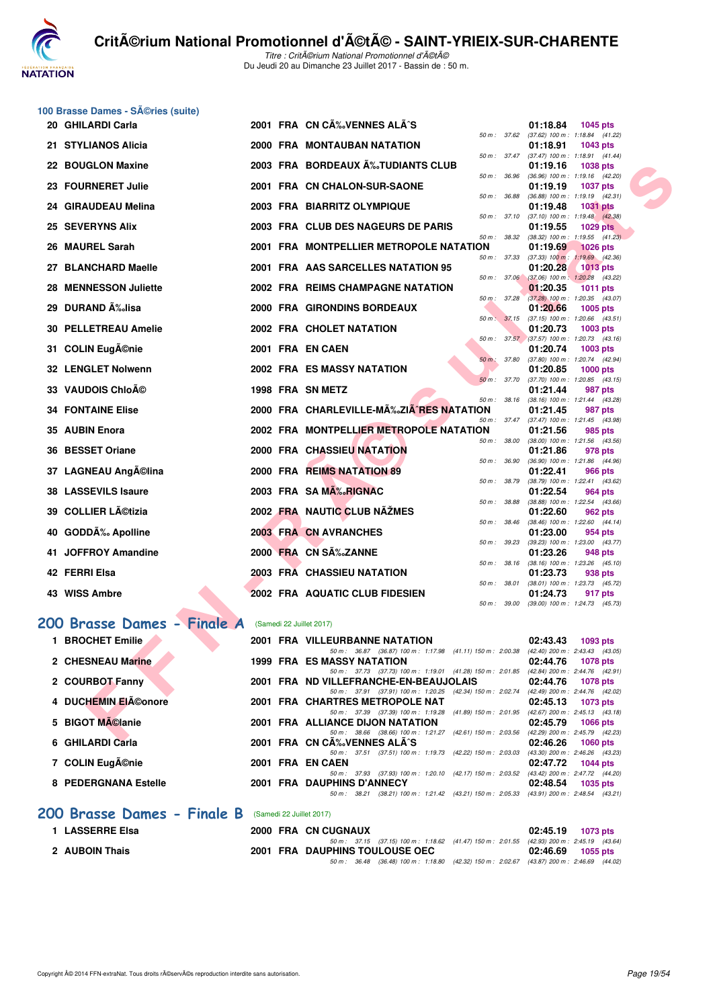

#### **100 Brasse Dames - Séries (suite)**

| 20  | <b>GHILARDI Carla</b>             |  | 2001 FRA CN CA% VENNES ALA^S                                                                                                         | 01:18.84<br>1045 pts                                               |
|-----|-----------------------------------|--|--------------------------------------------------------------------------------------------------------------------------------------|--------------------------------------------------------------------|
|     | 21 STYLIANOS Alicia               |  | $50 \text{ m}$ : 37.62<br><b>2000 FRA MONTAUBAN NATATION</b>                                                                         | (37.62) 100 m: 1:18.84 (41.22)<br>01:18.91<br>1043 pts             |
|     |                                   |  | 50 m : 37.47                                                                                                                         | $(37.47)$ 100 m : 1:18.91 $(41.44)$                                |
| 22. | <b>BOUGLON Maxine</b>             |  | 2003 FRA BORDEAUX A‰TUDIANTS CLUB<br>50 m: 36.96                                                                                     | 01:19.16<br><b>1038 pts</b><br>(36.96) 100 m: 1:19.16 (42.20)      |
| 23  | <b>FOURNERET Julie</b>            |  | 2001 FRA CN CHALON-SUR-SAONE                                                                                                         | 01:19.19<br><b>1037 pts</b>                                        |
| 24  | <b>GIRAUDEAU Melina</b>           |  | 50 m : 36.88<br>2003 FRA BIARRITZ OLYMPIQUE                                                                                          | $(36.88)$ 100 m : 1:19.19 $(42.31)$<br>01:19.48<br><b>1031 pts</b> |
|     |                                   |  | 50 m: 37.10                                                                                                                          | $(37.10)$ 100 m : 1:19.48 $(42.38)$                                |
| 25  | <b>SEVERYNS Alix</b>              |  | 2003 FRA CLUB DES NAGEURS DE PARIS<br>50 m: 38.32                                                                                    | 01:19.55<br><b>1029 pts</b><br>$(38.32)$ 100 m : 1:19.55 $(41.23)$ |
| 26  | <b>MAUREL Sarah</b>               |  | 2001 FRA MONTPELLIER METROPOLE NATATION                                                                                              | 01:19.69<br><b>1026 pts</b>                                        |
| 27  | <b>BLANCHARD Maelle</b>           |  | 50 m : 37.33<br>2001 FRA AAS SARCELLES NATATION 95                                                                                   | $(37.33)$ 100 m : 1:19.69 $(42.36)$<br>01:20.28<br>$1013$ pts      |
|     |                                   |  | 50 m: 37.06                                                                                                                          | $(37.06)$ 100 m : 1:20.28 $(43.22)$                                |
| 28  | <b>MENNESSON Juliette</b>         |  | 2002 FRA REIMS CHAMPAGNE NATATION                                                                                                    | 01:20.35<br>1011 pts                                               |
|     | 29 DURAND A‰lisa                  |  | 50 m: 37.28<br>2000 FRA GIRONDINS BORDEAUX                                                                                           | (37.28) 100 m : 1:20.35 (43.07)<br>01:20.66<br>1005 pts            |
|     |                                   |  | 50 m: 37.15                                                                                                                          | $(37.15)$ 100 m : 1:20.66 $(43.51)$                                |
| 30  | <b>PELLETREAU Amelie</b>          |  | 2002 FRA CHOLET NATATION                                                                                                             | 01:20.73<br>1003 pts<br>50 m: 37.57 (37.57) 100 m: 1:20.73 (43.16) |
|     | 31 COLIN Eugénie                  |  | 2001 FRA EN CAEN                                                                                                                     | 01:20.74<br><b>1003 pts</b>                                        |
|     | <b>32 LENGLET Nolwenn</b>         |  | 50 m : 37.80<br><b>2002 FRA ES MASSY NATATION</b>                                                                                    | $(37.80)$ 100 m : 1:20.74 $(42.94)$<br>01:20.85<br>$1000$ pts      |
|     |                                   |  | 50 m: 37.70                                                                                                                          | $(37.70)$ 100 m : 1:20.85 $(43.15)$                                |
|     | 33 VAUDOIS Chloé                  |  | 1998 FRA SN METZ<br>50 m: 38.16                                                                                                      | 01:21.44<br>987 pts<br>(38.16) 100 m: 1:21.44 (43.28)              |
|     | <b>34 FONTAINE Elise</b>          |  | 2000 FRA CHARLEVILLE-MA‰ZIA^RES NATATION                                                                                             | 01:21.45<br>987 pts                                                |
|     |                                   |  | 50 m: 37.47                                                                                                                          | $(37.47)$ 100 m : 1:21.45 $(43.98)$                                |
| 35  | <b>AUBIN Enora</b>                |  | 2002 FRA MONTPELLIER METROPOLE NATATION<br>50 m : 38.00                                                                              | 01:21.56<br>985 pts<br>$(38.00)$ 100 m : 1:21.56 $(43.56)$         |
| 36  | <b>BESSET Oriane</b>              |  | 2000 FRA CHASSIEU NATATION                                                                                                           | 01:21.86<br>978 pts                                                |
| 37  | <b>LAGNEAU Angĩlina</b>           |  | 50 m : 36.90<br>2000 FRA REIMS NATATION 89                                                                                           | (36.90) 100 m: 1:21.86 (44.96)<br>01:22.41<br>966 pts              |
|     |                                   |  | 50 m : 38.79                                                                                                                         | $(38.79)$ 100 m : 1:22.41 $(43.62)$                                |
|     | 38 LASSEVILS Isaure               |  | 2003 FRA SA MA‰RIGNAC<br>50 m : 38.88                                                                                                | 01:22.54<br>964 pts<br>(38.88) 100 m : 1:22.54 (43.66)             |
| 39. | <b>COLLIER Létizia</b>            |  | 2002 FRA NAUTIC CLUB NAZMES                                                                                                          | 01:22.60<br>962 pts                                                |
| 40  | <b>GODDA</b> % Apolline           |  | 50 m : 38.46<br>2003 FRA CN AVRANCHES                                                                                                | $(38.46)$ 100 m : 1:22.60 $(44.14)$<br>01:23.00<br>954 pts         |
|     |                                   |  | 50 m : 39.23                                                                                                                         | (39.23) 100 m: 1:23.00 (43.77)                                     |
| 41  | <b>JOFFROY Amandine</b>           |  | 2000 FRA CN SÉZANNE<br>50 m : 38.16                                                                                                  | 01:23.26<br>948 pts<br>$(38.16)$ 100 m : 1:23.26 $(45.10)$         |
|     | 42 FERRI Elsa                     |  | <b>2003 FRA CHASSIEU NATATION</b>                                                                                                    | 01:23.73<br>938 pts                                                |
|     | 43 WISS Ambre                     |  | 50 m: 38.01<br>2002 FRA AQUATIC CLUB FIDESIEN                                                                                        | $(38.01)$ 100 m : 1:23.73 $(45.72)$<br>01:24.73<br>917 pts         |
|     |                                   |  | 50 m : 39.00                                                                                                                         | $(39.00)$ 100 m : 1:24.73 $(45.73)$                                |
|     | 200 Brasse Dames - Finale A       |  | (Samedi 22 Juillet 2017)                                                                                                             |                                                                    |
|     |                                   |  |                                                                                                                                      |                                                                    |
|     | 1 BROCHET Emilie                  |  | <b>2001 FRA VILLEURBANNE NATATION</b><br>50 m: 36.87 (36.87) 100 m: 1:17.98 (41.11) 150 m: 2:00.38                                   | 02:43.43<br>1093 pts<br>$(42.40)$ 200 m : 2:43.43 $(43.05)$        |
|     | 2 CHESNEAU Marine                 |  | 1999 FRA ES MASSY NATATION                                                                                                           | 02:44.76<br><b>1078 pts</b>                                        |
|     | 2 COURBOT Fanny                   |  | 50 m: 37.73 (37.73) 100 m: 1:19.01 (41.28) 150 m: 2:01.85 (42.84) 200 m: 2:44.76 (42.91)<br>2001 FRA ND VILLEFRANCHE-EN-BEAUJOLAIS   | 02:44.76<br>1078 pts                                               |
|     |                                   |  | 50 m: 37.91 (37.91) 100 m: 1:20.25 (42.34) 150 m: 2:02.74                                                                            | (42.49) 200 m : 2:44.76 (42.02)                                    |
|     | <b>DUCHEMIN EIéonore</b>          |  | 2001 FRA CHARTRES METROPOLE NAT<br>50 m: 37.39 (37.39) 100 m: 1:19.28 (41.89) 150 m: 2:01.95 (42.67) 200 m: 2:45.13 (43.18)          | 02:45.13<br>1073 pts                                               |
|     | 5 BIGOT MA©lanie                  |  | 2001 FRA ALLIANCE DIJON NATATION                                                                                                     | 02:45.79<br><b>1066 pts</b>                                        |
|     | $Q(III)$ ADDI $Q_2$ <sub>H-</sub> |  | 50 m: 38.66 (38.66) 100 m: 1:21.27 (42.61) 150 m: 2:03.56 (42.29) 200 m: 2:45.79 (42.23)<br>$0.004$ FBA ON $0.88$ verifies at $8.00$ | 00.400<br>$\sim$ 0.00 $\sim$                                       |
|     |                                   |  |                                                                                                                                      |                                                                    |

|                             |                          | 50 m : 36.87 (36.87) 100 m : 1:17.98 (41.11) 150 m : 2:00.38  |                                                 | $(42.40)$ 200 m : 2:43.43 $(43.05)$ |
|-----------------------------|--------------------------|---------------------------------------------------------------|-------------------------------------------------|-------------------------------------|
| 2 CHESNEAU Marine           |                          | <b>1999 FRA ES MASSY NATATION</b>                             |                                                 | 02:44.76<br><b>1078 pts</b>         |
|                             |                          | 50 m: 37.73 (37.73) 100 m: 1:19.01 (41.28) 150 m: 2:01.85     |                                                 | $(42.84)$ 200 m : 2:44.76 $(42.91)$ |
| 2 COURBOT Fanny             |                          | 2001 FRA ND VILLEFRANCHE-EN-BEAUJOLAIS                        |                                                 | 02:44.76<br><b>1078 pts</b>         |
|                             |                          | 50 m: 37.91 (37.91) 100 m: 1:20.25                            | (42.34) 150 m : 2:02.74                         | (42.49) 200 m : 2:44.76 (42.02)     |
| 4 DUCHEMIN EIéonore         |                          | 2001 FRA CHARTRES METROPOLE NAT                               |                                                 | 02:45.13<br>1073 pts                |
|                             |                          | 50 m: 37.39 (37.39) 100 m: 1:19.28 (41.89) 150 m: 2:01.95     |                                                 | $(42.67)$ 200 m : 2:45.13 $(43.18)$ |
| 5 BIGOT MAClanie            |                          | <b>2001 FRA ALLIANCE DIJON NATATION</b>                       |                                                 | 02:45.79<br>1066 pts                |
|                             |                          | 50 m: 38.66 (38.66) 100 m: 1:21.27 (42.61) 150 m: 2:03.56     |                                                 | (42.29) 200 m : 2:45.79 (42.23)     |
| 6 GHILARDI Carla            |                          | 2001 FRA CN CA% VENNES ALA^S                                  |                                                 | 02:46.26<br>$1060$ pts              |
|                             |                          | (37.51) 100 m: 1:19.73 (42.22) 150 m: 2:03.03<br>50 m : 37.51 |                                                 | (43.30) 200 m : 2:46.26 (43.23)     |
| 7 COLIN Eugénie             |                          | 2001 FRA EN CAEN                                              |                                                 | 02:47.72<br>1044 pts                |
|                             |                          | 50 m: 37.93 (37.93) 100 m: 1:20.10 (42.17) 150 m: 2:03.52     |                                                 | (43.42) 200 m : 2:47.72 (44.20)     |
| 8 PEDERGNANA Estelle        |                          | 2001 FRA DAUPHINS D'ANNECY                                    |                                                 | 02:48.54<br>1035 pts                |
|                             |                          | 38.21<br>50 m :                                               | (38.21) 100 m : 1:21.42 (43.21) 150 m : 2:05.33 | (43.91) 200 m : 2:48.54 (43.21)     |
|                             |                          |                                                               |                                                 |                                     |
| 200 Brasse Dames - Finale B | (Samedi 22 Juillet 2017) |                                                               |                                                 |                                     |
|                             |                          |                                                               |                                                 |                                     |

| <b>LASSERRE Elsa</b> |  | 2000 FRA CN CUGNAUX                                                                          | $02:45.19$ 1073 pts |
|----------------------|--|----------------------------------------------------------------------------------------------|---------------------|
|                      |  | 50 m : 37.15 (37.15) 100 m : 1:18.62 (41.47) 150 m : 2:01.55 (42.93) 200 m : 2:45.19 (43.64) |                     |
| 2 AUBOIN Thais       |  | 2001 FRA DAUPHINS TOULOUSE OEC                                                               | 02:46.69 1055 pts   |
|                      |  | 50 m : 36.48 (36.48) 100 m : 1:18.80 (42.32) 150 m : 2:02.67 (43.87) 200 m : 2:46.69 (44.02) |                     |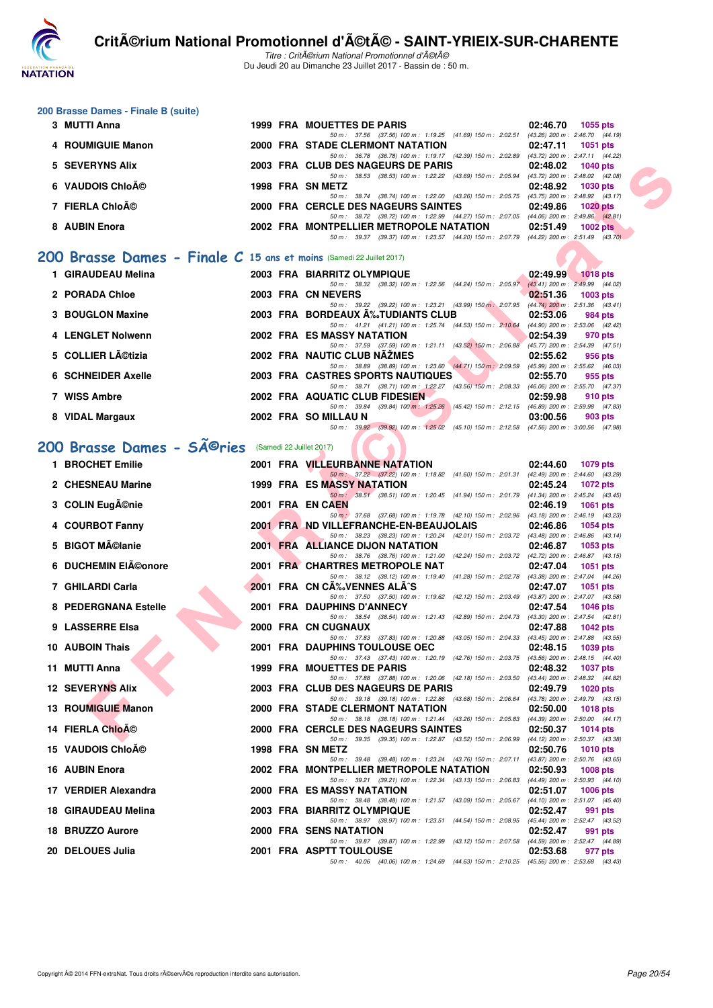

Titre : Critérium National Promotionnel d'été Du Jeudi 20 au Dimanche 23 Juillet 2017 - Bassin de : 50 m.

#### **200 Brasse Dames - Finale B (suite)**

| 3 MUTTI Anna      |  | 1999 FRA MOUETTES DE PARIS              |  |                                                                                          | 02:46.70                        | $1055$ pts |            |
|-------------------|--|-----------------------------------------|--|------------------------------------------------------------------------------------------|---------------------------------|------------|------------|
|                   |  |                                         |  | 50 m: 37.56 (37.56) 100 m: 1:19.25 (41.69) 150 m: 2:02.51 (43.26) 200 m: 2:46.70 (44.19) |                                 |            |            |
| 4 ROUMIGUIE Manon |  | 2000 FRA STADE CLERMONT NATATION        |  |                                                                                          | 02:47.11                        | 1051 pts   |            |
|                   |  |                                         |  | 50 m: 36.78 (36.78) 100 m: 1:19.17 (42.39) 150 m: 2:02.89 (43.72) 200 m: 2:47.11 (44.22) |                                 |            |            |
| 5 SEVERYNS Alix   |  | 2003 FRA CLUB DES NAGEURS DE PARIS      |  |                                                                                          | 02:48.02 1040 pts               |            |            |
|                   |  |                                         |  | 50 m: 38.53 (38.53) 100 m: 1:22.22 (43.69) 150 m: 2:05.94                                | (43.72) 200 m : 2:48.02 (42.08) |            |            |
| 6 VAUDOIS Chloé   |  | 1998 FRA SN METZ                        |  |                                                                                          | 02:48.92 1030 pts               |            |            |
|                   |  |                                         |  | 50 m: 38.74 (38.74) 100 m: 1:22.00 (43.26) 150 m: 2:05.75 (43.75) 200 m: 2:48.92 (43.17) |                                 |            |            |
| 7 FIERLA Chloé    |  | 2000 FRA CERCLE DES NAGEURS SAINTES     |  |                                                                                          | 02:49.86                        |            | 1020 $pts$ |
|                   |  |                                         |  | 50 m: 38.72 (38.72) 100 m: 1:22.99 (44.27) 150 m: 2:07.05 (44.06) 200 m: 2:49.86 (42.81) |                                 |            |            |
| 8 AUBIN Enora     |  | 2002 FRA MONTPELLIER METROPOLE NATATION |  |                                                                                          | 02:51.49                        |            | $1002$ pts |
|                   |  | 50 m : 39.37                            |  | $(39.37)$ 100 m: 1:23.57 $(44.20)$ 150 m: 2:07.79 $(44.22)$ 200 m: 2:51.49 $(43.70)$     |                                 |            |            |
|                   |  |                                         |  |                                                                                          |                                 |            |            |

#### **[200 Brasse Dames - Finale C](http://www.ffnatation.fr/webffn/resultats.php?idact=nat&go=epr&idcpt=47489&idepr=23) 15 ans et moins** (Samedi 22 Juillet 2017)

| 1 GIRAUDEAU Melina |  | 2003 FRA BIARRITZ OLYMPIQUE                                                             | 02:49.99 | $1018$ pts                          |
|--------------------|--|-----------------------------------------------------------------------------------------|----------|-------------------------------------|
|                    |  | 50 m: 38.32 (38.32) 100 m: 1:22.56 (44.24) 150 m: 2:05.97                               |          | $(43.41)$ 200 m : 2:49.99 $(44.02)$ |
| 2 PORADA Chloe     |  | 2003 FRA CN NEVERS                                                                      | 02:51.36 | $1003$ pts                          |
|                    |  | 50 m : 39.22 (39.22) 100 m : 1:23.21 (43.99) 150 m : 2:07.95                            |          | (44.74) 200 m : 2:51.36 (43.41)     |
| 3 BOUGLON Maxine   |  | 2003 FRA BORDEAUX A‰TUDIANTS CLUB                                                       | 02:53.06 | 984 pts                             |
|                    |  | 50 m: 41.21 (41.21) 100 m: 1:25.74 (44.53) 150 m: 2:10.64                               |          | (44.90) 200 m : 2:53.06 (42.42)     |
| 4 LENGLET Nolwenn  |  | 2002 FRA ES MASSY NATATION                                                              | 02:54.39 | 970 pts                             |
|                    |  | 50 m: 37.59 (37.59) 100 m: 1:21.11 (43.52) 150 m: 2:06.88                               |          | (45.77) 200 m : 2:54.39 (47.51)     |
| 5 COLLIER Létizia  |  | 2002 FRA NAUTIC CLUB NAZMES                                                             | 02:55.62 | 956 pts                             |
|                    |  | 50 m: 38.89 (38.89) 100 m: 1:23.60 (44.71) 150 m: 2:09.59                               |          | (45.99) 200 m : 2:55.62 (46.03)     |
| 6 SCHNEIDER Axelle |  | 2003 FRA CASTRES SPORTS NAUTIQUES                                                       | 02:55.70 | 955 pts                             |
|                    |  | 50 m: 38.71 (38.71) 100 m: 1:22.27 (43.56) 150 m: 2:08.33                               |          | (46.06) 200 m : 2:55.70 (47.37)     |
| 7 WISS Ambre       |  | 2002 FRA AQUATIC CLUB FIDESIEN                                                          | 02:59.98 | 910 pts                             |
|                    |  | 50 m: 39.84 (39.84) 100 m: 1:25.26 (45.42) 150 m: 2:12.15                               |          | (46.89) 200 m : 2:59.98 (47.83)     |
| 8 VIDAL Margaux    |  | 2002 FRA SO MILLAU N                                                                    | 03:00.56 | 903 pts                             |
|                    |  | 50 m: 39.92 (39.92) 100 m: 1:25.02 (45.10) 150 m: 2:12.58 (47.56) 200 m: 3:00.56 (47.98 |          |                                     |

## 200 Brasse Dames - SÃ<sup>@</sup>ries (Samedi 22 Juillet 2017)

| 5 SEVERYNS Alix                                                             |  | 2003 FRA CLUB DES NAGEURS DE PARIS                                                                                                                         | 02:48.02 | 1040 pts          |
|-----------------------------------------------------------------------------|--|------------------------------------------------------------------------------------------------------------------------------------------------------------|----------|-------------------|
| 6 VAUDOIS ChloAO                                                            |  | 50 m: 38.53 (38.53) 100 m: 1:22.22 (43.69) 150 m: 2:05.94 (43.72) 200 m: 2:48.02 (42.08)<br>1998 FRA SN METZ                                               | 02:48.92 | <b>1030 pts</b>   |
| 7 FIERLA Chloé                                                              |  | 50 m: 38.74 (38.74) 100 m: 1:22.00 (43.26) 150 m: 2:05.75 (43.75) 200 m: 2:48.92 (43.17)<br>2000 FRA CERCLE DES NAGEURS SAINTES                            | 02:49.86 | 1020 pts          |
|                                                                             |  | 50 m: 38.72 (38.72) 100 m: 1:22.99 (44.27) 150 m: 2:07.05 (44.06) 200 m: 2:49.86 (42.81)                                                                   |          |                   |
| 8 AUBIN Enora                                                               |  | 2002 FRA MONTPELLIER METROPOLE NATATION<br>50 m: 39.37 (39.37) 100 m: 1:23.57 (44.20) 150 m: 2:07.79 (44.22) 200 m: 2:51.49 (43.70)                        | 02:51.49 | 1002 $pts$        |
|                                                                             |  |                                                                                                                                                            |          |                   |
| <b>100 Brasse Dames - Finale C 15 ans et moins</b> (Samedi 22 Juillet 2017) |  |                                                                                                                                                            |          |                   |
| 1 GIRAUDEAU Melina                                                          |  | 2003 FRA BIARRITZ OLYMPIQUE<br>50 m: 38.32 (38.32) 100 m: 1:22.56 (44.24) 150 m: 2:05.97 (43.41) 200 m: 2:49.99 (44.02)                                    |          | 02:49.99 1018 pts |
| 2 PORADA Chloe                                                              |  | 2003 FRA CN NEVERS                                                                                                                                         | 02:51.36 | 1003 pts          |
| 3 BOUGLON Maxine                                                            |  | 50 m: 39.22 (39.22) 100 m: 1:23.21 (43.99) 150 m: 2:07.95 (44.74) 200 m: 2:51.36 (43.41)<br>2003 FRA BORDEAUX A%JUDIANTS CLUB<br><b>The Second Service</b> | 02:53.06 | 984 pts           |
|                                                                             |  | 50 m: 41.21 (41.21) 100 m: 1:25.74 (44.53) 150 m: 2:10.64 (44.90) 200 m: 2:53.06 (42.42)                                                                   |          |                   |
| 4 LENGLET Nolwenn                                                           |  | <b>2002 FRA ES MASSY NATATION</b><br>50 m: 37.59 (37.59) 100 m: 1:21.11 (43.52) 150 m: 2:06.88 (45.77) 200 m: 2:54.39 (47.51)                              | 02:54.39 | 970 pts           |
| 5 COLLIER Létizia                                                           |  | 2002 FRA NAUTIC CLUB NAZMES<br>50 m : 38.89 (38.89) 100 m : 1:23.60 (44.71) 150 m : 2:09.59 (45.99) 200 m : 2:55.62 (46.03)                                | 02:55.62 | 956 pts           |
| <b>6 SCHNEIDER Axelle</b>                                                   |  | <b>2003 FRA CASTRES SPORTS NAUTIQUES</b>                                                                                                                   | 02:55.70 | 955 pts           |
| 7 WISS Ambre                                                                |  | 50 m: 38.71 (38.71) 100 m: 1:22.27 (43.56) 150 m: 2:08.33 (46.06) 200 m: 2:55.70 (47.37)<br>2002 FRA AQUATIC CLUB FIDESIEN                                 | 02:59.98 | 910 pts           |
|                                                                             |  | 50 m: 39.84 (39.84) 100 m: 1:25.26 (45.42) 150 m: 2:12.15 (46.89) 200 m: 2:59.98 (47.83)                                                                   |          |                   |
| 8 VIDAL Margaux                                                             |  | 2002 FRA SO MILLAU N<br>50 m: 39.92 (39.92) 100 m: 1:25.02 (45.10) 150 m: 2:12.58 (47.56) 200 m: 3:00.56 (47.98)                                           | 03:00.56 | 903 pts           |
|                                                                             |  |                                                                                                                                                            |          |                   |
| <b>00 Brasse Dames - SAO ries</b> (Samedi 22 Juillet 2017)                  |  |                                                                                                                                                            |          |                   |
| 1 BROCHET Emilie                                                            |  | <b>2001 FRA VILLEURBANNE NATATION</b><br>50 m: 37.22 (37.22) 100 m: 1:18.82 (41.60) 150 m: 2:01.31 (42.49) 200 m: 2:44.60 (43.29)                          | 02:44.60 | <b>1079 pts</b>   |
| 2 CHESNEAU Marine                                                           |  | 1999 FRA ES MASSY NATATION                                                                                                                                 | 02:45.24 | 1072 pts          |
| 3 COLIN Eugénie                                                             |  | 50 m: 38.51 (38.51) 100 m: 1:20.45 (41.94) 150 m: 2:01.79 (41.34) 200 m: 2:45.24 (43.45)<br>2001 FRA EN CAEN                                               | 02:46.19 | 1061 pts          |
|                                                                             |  | 50 m : 37.68 (37.68) 100 m : 1:19.78 (42.10) 150 m : 2:02.96 (43.18) 200 m : 2:46.19 (43.23)                                                               |          |                   |
| 4 COURBOT Fanny                                                             |  | 2001 FRAMD VILLEFRANCHE-EN-BEAUJOLAIS<br>50 m: 38.23 (38.23) 100 m: 1:20.24 (42.01) 150 m: 2:03.72 (43.48) 200 m: 2:46.86 (43.14)                          | 02:46.86 | 1054 pts          |
| 5 BIGOT Mélanie                                                             |  | 2001 FRA ALLIANCE DIJON NATATION<br>50 m: 38.76 (38.76) 100 m: 1:21.00 (42.24) 150 m: 2:03.72 (42.72) 200 m: 2:46.87 (43.15)                               | 02:46.87 | 1053 pts          |
| 6 DUCHEMIN EIéonore                                                         |  | 2001 FRA CHARTRES METROPOLE NAT                                                                                                                            | 02:47.04 | 1051 pts          |
| 7 GHILARDI Carla                                                            |  | 50 m: 38.12 (38.12) 100 m: 1:19.40 (41.28) 150 m: 2:02.78 (43.38) 200 m: 2:47.04 (44.26)<br>2001 FRA CN CA‰VENNES ALA^S                                    | 02:47.07 | <b>1051 pts</b>   |
|                                                                             |  | 50 m: 37.50 (37.50) 100 m: 1:19.62 (42.12) 150 m: 2:03.49 (43.87) 200 m: 2:47.07 (43.58)                                                                   |          |                   |
| 8 PEDERGNANA Estelle                                                        |  | 2001 FRA DAUPHINS D'ANNECY<br>50 m: 38.54 (38.54) 100 m: 1:21.43 (42.89) 150 m: 2:04.73 (43.30) 200 m: 2:47.54 (42.81)                                     | 02:47.54 | 1046 pts          |
| 9 LASSERRE Elsa                                                             |  | 2000 FRA CN CUGNAUX                                                                                                                                        | 02:47.88 | <b>1042 pts</b>   |
| <b>10 AUBOIN Thais</b>                                                      |  | 50 m: 37.83 (37.83) 100 m: 1:20.88 (43.05) 150 m: 2:04.33 (43.45) 200 m: 2:47.88 (43.55)<br><b>2001 FRA DAUPHINS TOULOUSE OEC</b>                          | 02:48.15 | 1039 pts          |
| 11 MUTTI Anna                                                               |  | 50 m: 37.43 (37.43) 100 m: 1:20.19 (42.76) 150 m: 2:03.75 (43.56) 200 m: 2:48.15 (44.40)<br>1999 FRA MOUETTES DE PARIS                                     | 02:48.32 | 1037 pts          |
|                                                                             |  | 50 m: 37.88 (37.88) 100 m: 1:20.06 (42.18) 150 m: 2:03.50 (43.44) 200 m: 2:48.32 (44.82)                                                                   |          |                   |
| <b>12 SEVERYNS Alix</b>                                                     |  | 2003 FRA CLUB DES NAGEURS DE PARIS<br>50 m: 39.18 (39.18) 100 m: 1:22.86 (43.68) 150 m: 2:06.64 (43.78) 200 m: 2:49.79 (43.15)                             | 02:49.79 | 1020 pts          |
| 13 ROUMIGUIE Manon                                                          |  | 2000 FRA STADE CLERMONT NATATION                                                                                                                           |          | 02:50.00 1018 pts |
| <b>14 FIERLA ChloA©</b>                                                     |  | 50 m: 38.18 (38.18) 100 m: 1:21.44 (43.26) 150 m: 2:05.83 (44.39) 200 m: 2:50.00 (44.17)<br>2000 FRA CERCLE DES NAGEURS SAINTES                            | 02:50.37 | 1014 pts          |
| 15 VAUDOIS ChloAO                                                           |  | 50 m: 39.35 (39.35) 100 m: 1:22.87 (43.52) 150 m: 2:06.99 (44.12) 200 m: 2:50.37 (43.38)                                                                   |          |                   |
|                                                                             |  | 1998 FRA SN METZ<br>50 m : 39.48 (39.48) 100 m : 1:23.24 (43.76) 150 m : 2:07.11 (43.87) 200 m : 2:50.76 (43.65)                                           | 02:50.76 | 1010 pts          |
| 16 AUBIN Enora                                                              |  | 2002 FRA MONTPELLIER METROPOLE NATATION<br>50 m: 39.21 (39.21) 100 m: 1:22.34 (43.13) 150 m: 2:06.83 (44.49) 200 m: 2:50.93 (44.10)                        | 02:50.93 | 1008 pts          |
| 17 VERDIER Alexandra                                                        |  | 2000 FRA ES MASSY NATATION                                                                                                                                 | 02:51.07 | 1006 pts          |
| 18 GIRAUDEAU Melina                                                         |  | 50 m: 38.48 (38.48) 100 m: 1:21.57 (43.09) 150 m: 2:05.67 (44.10) 200 m: 2:51.07 (45.40)<br>2003 FRA BIARRITZ OLYMPIQUE                                    | 02:52.47 | 991 pts           |
| 18 BRUZZO Aurore                                                            |  | 50 m: 38.97 (38.97) 100 m: 1:23.51 (44.54) 150 m: 2:08.95 (45.44) 200 m: 2:52.47 (43.52)                                                                   | 02:52.47 |                   |
|                                                                             |  | 2000 FRA SENS NATATION<br>50 m: 39.87 (39.87) 100 m: 1:22.99 (43.12) 150 m: 2:07.58 (44.59) 200 m: 2:52.47 (44.89)                                         |          | 991 pts           |
| 20 DELOUES Julia                                                            |  | <b>2001 FRA ASPTT TOULOUSE</b><br>50 m; 40.06 (40.06) 100 m; 1:24.69 (44.63) 150 m; 2:10.25 (45.56) 200 m; 2:53.68 (43.43)                                 | 02:53.68 | 977 pts           |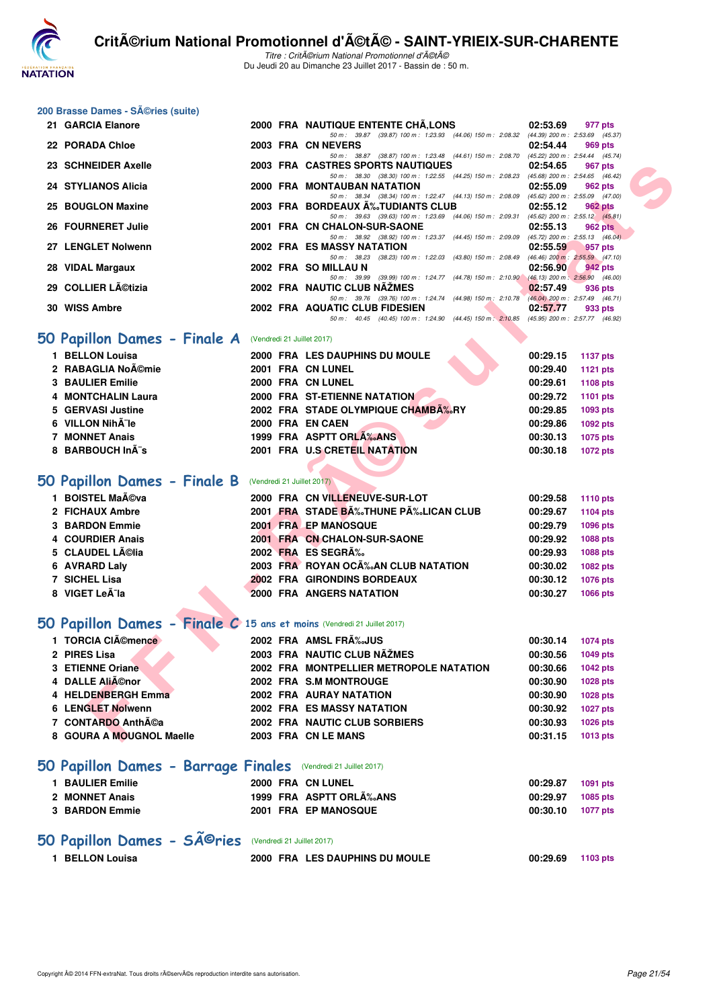

Titre : Critérium National Promotionnel d'été Du Jeudi 20 au Dimanche 23 Juillet 2017 - Bassin de : 50 m.

#### **200 Brasse Dames - Séries (suite)**

| 21 GARCIA Elanore                                                       |  | 2000 FRA NAUTIQUE ENTENTE CHÂ, LONS                                                                                           | 02:53.69 | 977 pts         |
|-------------------------------------------------------------------------|--|-------------------------------------------------------------------------------------------------------------------------------|----------|-----------------|
| 22 PORADA Chloe                                                         |  | 50 m: 39.87 (39.87) 100 m: 1:23.93 (44.06) 150 m: 2:08.32 (44.39) 200 m: 2:53.69 (45.37)<br>2003 FRA CN NEVERS                | 02:54.44 | 969 pts         |
|                                                                         |  | 50 m: 38.87 (38.87) 100 m: 1:23.48 (44.61) 150 m: 2:08.70 (45.22) 200 m: 2:54.44 (45.74)                                      |          |                 |
| 23 SCHNEIDER Axelle                                                     |  | 2003 FRA CASTRES SPORTS NAUTIQUES<br>50 m: 38.30 (38.30) 100 m: 1:22.55 (44.25) 150 m: 2:08.23 (45.68) 200 m: 2:54.65 (46.42) | 02:54.65 | 967 pts         |
| 24 STYLIANOS Alicia                                                     |  | 2000 FRA MONTAUBAN NATATION                                                                                                   | 02:55.09 | 962 pts         |
| 25 BOUGLON Maxine                                                       |  | 50 m: 38.34 (38.34) 100 m: 1:22.47 (44.13) 150 m: 2:08.09 (45.62) 200 m: 2:55.09 (47.00)<br>2003 FRA BORDEAUX A%TUDIANTS CLUB | 02:55.12 | <b>962 pts</b>  |
|                                                                         |  | 50 m: 39.63 (39.63) 100 m: 1:23.69 (44.06) 150 m: 2:09.31 (45.62) 200 m: 2:55.12 (45.81)                                      |          |                 |
| 26 FOURNERET Julie                                                      |  | 2001 FRA CN CHALON-SUR-SAONE<br>50 m: 38.92 (38.92) 100 m: 1:23.37 (44.45) 150 m: 2:09.09 (45.72) 200 m: 2:55.13 (46.04)      | 02:55.13 | 962 pts         |
| 27 LENGLET Nolwenn                                                      |  | <b>2002 FRA ES MASSY NATATION</b>                                                                                             | 02:55.59 | 957 pts         |
| 28 VIDAL Margaux                                                        |  | 50 m: 38.23 (38.23) 100 m: 1:22.03 (43.80) 150 m: 2:08.49 (46.46) 200 m: 2:55.59 (47.10)<br>2002 FRA SO MILLAU N              | 02:56.90 | 942 pts         |
|                                                                         |  | 50 m: 39.99 (39.99) 100 m: 1:24.77 (44.78) 150 m: 2:10.90 (46.13) 200 m: 2:56.90 (46.00)                                      |          |                 |
| 29 COLLIER Létizia                                                      |  | 2002 FRA NAUTIC CLUB NAZMES                                                                                                   | 02:57.49 | 936 pts         |
| 30 WISS Ambre                                                           |  | 50 m: 39.76 (39.76) 100 m: 1:24.74 (44.98) 150 m: 2:10.78 (46.04) 200 m: 2:57.49 (46.71)<br>2002 FRA AQUATIC CLUB FIDESIEN    | 02:57.77 | 933 pts         |
|                                                                         |  | 50 m: 40.45 (40.45) 100 m: 1:24.90 (44.45) 150 m: 2:10.85 (45.95) 200 m: 2:57.77 (46.92)                                      |          |                 |
| 50 Papillon Dames - Finale A (Vendredi 21 Juillet 2017)                 |  |                                                                                                                               |          |                 |
| 1 BELLON Louisa                                                         |  | 2000 FRA LES DAUPHINS DU MOULE                                                                                                | 00:29.15 | 1137 pts        |
| 2 RABAGLIA Noémie                                                       |  | 2001 FRA CN LUNEL                                                                                                             | 00:29.40 | <b>1121 pts</b> |
| <b>3 BAULIER Emilie</b>                                                 |  | 2000 FRA CN LUNEL                                                                                                             | 00:29.61 | <b>1108 pts</b> |
| 4 MONTCHALIN Laura                                                      |  | 2000 FRA ST-ETIENNE NATATION                                                                                                  | 00:29.72 | 1101 pts        |
| 5 GERVASI Justine                                                       |  | 2002 FRA STADE OLYMPIQUE CHAMBA%RY                                                                                            | 00:29.85 | 1093 pts        |
| 6 VILLON Nih le                                                         |  | 2000 FRA EN CAEN                                                                                                              | 00:29.86 | 1092 pts        |
| 7 MONNET Anais                                                          |  | 1999 FRA ASPTT ORLA‰ANS                                                                                                       | 00:30.13 | 1075 pts        |
| 8 BARBOUCH In A s                                                       |  | 2001 FRA U.S CRETEIL NATATION                                                                                                 | 00:30.18 | <b>1072 pts</b> |
|                                                                         |  |                                                                                                                               |          |                 |
| 50 Papillon Dames - Finale B (Vendredi 21 Juillet 2017)                 |  |                                                                                                                               |          |                 |
| 1 BOISTEL Maéva                                                         |  | 2000 FRA CN VILLENEUVE-SUR-LOT                                                                                                | 00:29.58 | 1110 pts        |
| 2 FICHAUX Ambre                                                         |  | 2001 FRA STADE B‰THUNE PÉLICAN CLUB                                                                                           | 00:29.67 | <b>1104 pts</b> |
| 3 BARDON Emmie                                                          |  | <b>2001 FRA EP MANOSQUE</b>                                                                                                   | 00:29.79 | 1096 pts        |
| 4 COURDIER Anais                                                        |  | 2001 FRA CN CHALON-SUR-SAONE                                                                                                  | 00:29.92 | 1088 pts        |
| 5 CLAUDEL Lélia                                                         |  | 2002 FRA ES SEGRÉ                                                                                                             | 00:29.93 | 1088 pts        |
| 6 AVRARD Laly                                                           |  | 2003 FRA ROYAN OC‰AN CLUB NATATION                                                                                            | 00:30.02 | 1082 pts        |
| 7 SICHEL Lisa                                                           |  | <b>2002 FRA GIRONDINS BORDEAUX</b>                                                                                            | 00:30.12 | <b>1076 pts</b> |
| 8 VIGET Leà la                                                          |  | <b>2000 FRA ANGERS NATATION</b>                                                                                               | 00:30.27 | <b>1066 pts</b> |
| 50 Papillon Dames - Finale C 15 ans et moins (Vendredi 21 Juillet 2017) |  |                                                                                                                               |          |                 |
| 1 TORCIA CIémence                                                       |  | 2002 FRA AMSL FRA%JUS                                                                                                         | 00:30.14 | 1074 pts        |
| 2 PIRES Lisa                                                            |  | 2003 FRA NAUTIC CLUB NÃŽMES                                                                                                   | 00:30.56 | 1049 pts        |
| 3 ETIENNE Oriane                                                        |  | 2002 FRA MONTPELLIER METROPOLE NATATION                                                                                       | 00:30.66 | <b>1042 pts</b> |
| 4 DALLE Aliénor                                                         |  | 2002 FRA S.M MONTROUGE                                                                                                        | 00:30.90 | 1028 pts        |
| 4 HELDENBERGH Emma                                                      |  | 2002 FRA AURAY NATATION                                                                                                       | 00:30.90 | <b>1028 pts</b> |
| <b>6 LENGLET Nolwenn</b>                                                |  | <b>2002 FRA ES MASSY NATATION</b>                                                                                             | 00:30.92 | <b>1027 pts</b> |
| 7 CONTARDO Anthéa                                                       |  | 2002 FRA NAUTIC CLUB SORBIERS                                                                                                 | 00:30.93 | <b>1026 pts</b> |
| 8 GOURA A MOUGNOL Maelle                                                |  | 2003 FRA CN LE MANS                                                                                                           | 00:31.15 | 1013 pts        |

# **[50 Papillon Dames - Finale A](http://www.ffnatation.fr/webffn/resultats.php?idact=nat&go=epr&idcpt=47489&idepr=31)** (Vendredi 21 Juillet 2017)

| <b>BELLON Louisa</b>    | 2000 FRA LES DAUPHINS DU MOULE     | 00:29.15 | <b>1137 pts</b> |
|-------------------------|------------------------------------|----------|-----------------|
| 2 RABAGLIA Noémie       | 2001 FRA CN LUNEL                  | 00:29.40 | 1121 pts        |
| <b>3 BAULIER Emilie</b> | 2000 FRA CN LUNEL                  | 00:29.61 | 1108 pts        |
| 4 MONTCHALIN Laura      | 2000 FRA ST-ETIENNE NATATION       | 00:29.72 | 1101 pts        |
| 5 GERVASI Justine       | 2002 FRA STADE OLYMPIQUE CHAMBA%RY | 00:29.85 | 1093 pts        |
| 6 VILLON Nih le         | 2000 FRA EN CAEN                   | 00:29.86 | 1092 pts        |
| 7 MONNET Anais          | 1999 FRA ASPTT ORLA %ANS           | 00:30.13 | 1075 pts        |
| 8 BARBOUCH Inà s        | 2001 FRA U.S CRETEIL NATATION      | 00:30.18 | 1072 pts        |

#### **50 Papillon Dames - Finale B** (Vendredi 21 Juillet 2017)

| 1 BOISTEL Maéva  |  | 2000 FRA CN VILLENEUVE-SUR-LOT      | 00:29.58 | <b>1110 pts</b> |
|------------------|--|-------------------------------------|----------|-----------------|
| 2 FICHAUX Ambre  |  | 2001 FRA STADE B‰THUNE P‰LICAN CLUB | 00:29.67 | 1104 pts        |
| 3 BARDON Emmie   |  | 2001 FRA EP MANOSQUE                | 00:29.79 | 1096 pts        |
| 4 COURDIER Anais |  | 2001 FRA CN CHALON-SUR-SAONE        | 00:29.92 | 1088 pts        |
| 5 CLAUDEL Lélia  |  | 2002 FRA ES SEGRÉ                   | 00:29.93 | 1088 pts        |
| 6 AVRARD Laly    |  | 2003 FRA ROYAN OCÉAN CLUB NATATION  | 00:30.02 | 1082 pts        |
| 7 SICHEL Lisa    |  | <b>2002 FRA GIRONDINS BORDEAUX</b>  | 00:30.12 | 1076 pts        |
| 8 VIGET LeÃ-la   |  | <b>2000 FRA ANGERS NATATION</b>     | 00:30.27 | 1066 pts        |

#### **[50 Papillon Dames - Finale C](http://www.ffnatation.fr/webffn/resultats.php?idact=nat&go=epr&idcpt=47489&idepr=31) 15 ans et moins** (Vendredi 21 Juillet 2017)

| 1 TORCIA CIémence        | 2002 FRA AMSL FRA‰JUS                   | 00:30.14 | 1074 pts |
|--------------------------|-----------------------------------------|----------|----------|
| 2 PIRES Lisa             | 2003 FRA NAUTIC CLUB NÃŽMES             | 00:30.56 | 1049 pts |
| 3 ETIENNE Oriane         | 2002 FRA MONTPELLIER METROPOLE NATATION | 00:30.66 | 1042 pts |
| 4 DALLE Aliénor          | 2002 FRA S.M MONTROUGE                  | 00:30.90 | 1028 pts |
| 4 HELDENBERGH Emma       | <b>2002 FRA AURAY NATATION</b>          | 00:30.90 | 1028 pts |
| 6 LENGLET Nolwenn        | 2002 FRA ES MASSY NATATION              | 00:30.92 | 1027 pts |
| 7 CONTARDO Anthéa        | 2002 FRA NAUTIC CLUB SORBIERS           | 00:30.93 | 1026 pts |
| 8 GOURA A MOUGNOL Maelle | 2003 FRA CN LE MANS                     | 00:31.15 | 1013 pts |
|                          |                                         |          |          |

#### **[50 Papillon Dames - Barrage Finales](http://www.ffnatation.fr/webffn/resultats.php?idact=nat&go=epr&idcpt=47489&idepr=31)** (Vendredi 21 Juillet 2017)

| 1 BAULIER Emilie | 2000 FRA CN LUNEL      | 00:29.87 1091 pts |  |
|------------------|------------------------|-------------------|--|
| 2 MONNET Anais   | 1999 FRA ASPTT ORL‰ANS | 00:29.97 1085 pts |  |
| 3 BARDON Emmie   | 2001 FRA EP MANOSQUE   | 00:30.10 1077 pts |  |
|                  |                        |                   |  |

**50 Papillon Dames - Séries** (Vendredi 21 Juillet 2017)<br>1 BELLON Louisa 2000 FRA LES D. **1 BELLON Louisa 2000 FRA LES DAUPHINS DU MOULE 00:29.69 1103 pts**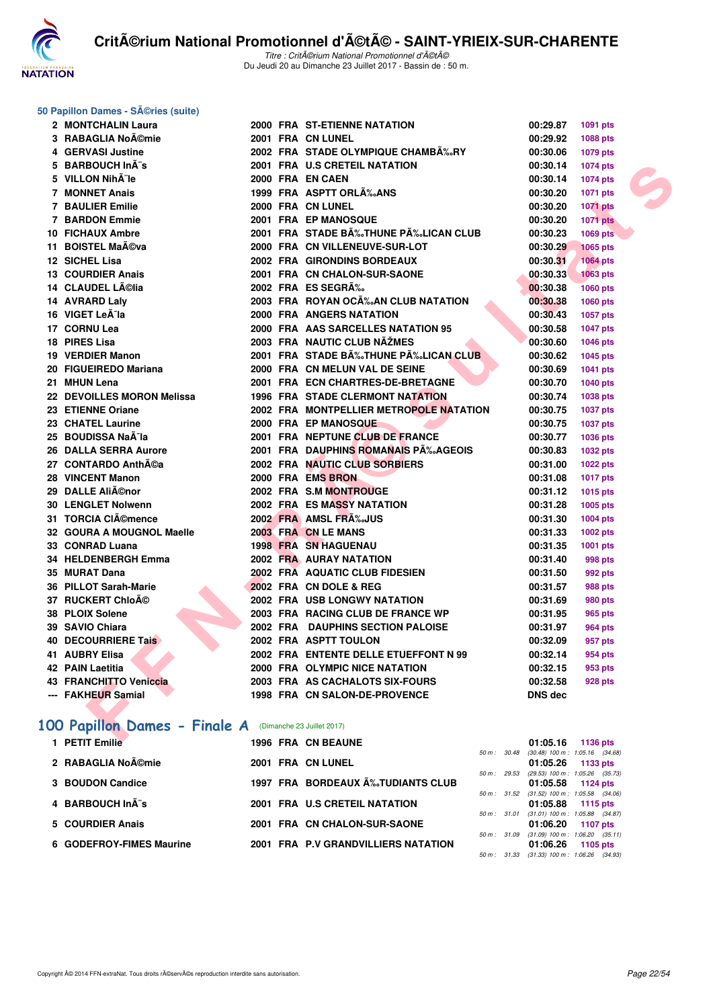

## **50 Papillon Dames - Séries (suite)**

| 2 MONTCHALIN Laura                                       |  | 2000 FRA ST-ETIENNE NATATION                   | 00:29.87       | 1091 pts        |  |
|----------------------------------------------------------|--|------------------------------------------------|----------------|-----------------|--|
| 3 RABAGLIA Noĩmie                                        |  | 2001 FRA CN LUNEL                              | 00:29.92       | 1088 pts        |  |
| 4 GERVASI Justine                                        |  | 2002 FRA STADE OLYMPIQUE CHAMBÉRY              | 00:30.06       | 1079 pts        |  |
| 5 BARBOUCH InÂ"s                                         |  | 2001 FRA U.S CRETEIL NATATION                  | 00:30.14       | 1074 pts        |  |
| 5 VILLON NihÄ"le                                         |  | 2000 FRA EN CAEN                               | 00:30.14       | 1074 pts        |  |
| 7 MONNET Anais                                           |  | 1999 FRA ASPTT ORLA% ANS                       | 00:30.20       | 1071 pts        |  |
| 7 BAULIER Emilie                                         |  | 2000 FRA CN LUNEL                              | 00:30.20       | <b>1071 pts</b> |  |
| <b>7 BARDON Emmie</b>                                    |  | 2001 FRA EP MANOSQUE                           | 00:30.20       | <b>1071 pts</b> |  |
| <b>10 FICHAUX Ambre</b>                                  |  | 2001 FRA STADE B‰THUNE P‰LICAN CLUB            | 00:30.23       | <b>1069 pts</b> |  |
| 11 BOISTEL Maéva                                         |  | 2000 FRA CN VILLENEUVE-SUR-LOT                 | 00:30.29       | <b>1065 pts</b> |  |
| 12 SICHEL Lisa                                           |  | 2002 FRA GIRONDINS BORDEAUX                    | 00:30.31       | <b>1064 pts</b> |  |
| <b>13 COURDIER Anais</b>                                 |  | 2001 FRA CN CHALON-SUR-SAONE                   | 00:30.33       | <b>1063 pts</b> |  |
| 14 CLAUDEL Lélia                                         |  | 2002 FRA ES SEGRÉ                              | 00:30.38       | 1060 pts        |  |
| 14 AVRARD Laly                                           |  | 2003 FRA ROYAN OC‰AN CLUB NATATION             | 00:30.38       | 1060 pts        |  |
| 16 VIGET Leà la                                          |  | <b>2000 FRA ANGERS NATATION</b>                | 00:30.43       | 1057 pts        |  |
| 17 CORNU Lea                                             |  | 2000 FRA AAS SARCELLES NATATION 95             | 00:30.58       | 1047 pts        |  |
| 18 PIRES Lisa                                            |  | 2003 FRA NAUTIC CLUB NAŽMES                    | 00:30.60       | 1046 pts        |  |
| 19 VERDIER Manon                                         |  | 2001 FRA STADE BÉTHUNE PÉLICAN CLUB            | 00:30.62       | 1045 pts        |  |
| 20 FIGUEIREDO Mariana                                    |  | 2000 FRA CN MELUN VAL DE SEINE                 | 00:30.69       | 1041 pts        |  |
| 21 MHUN Lena                                             |  | 2001 FRA ECN CHARTRES-DE-BRETAGNE              | 00:30.70       | 1040 pts        |  |
| 22 DEVOILLES MORON Melissa                               |  | <b>1996 FRA STADE CLERMONT NATATION</b>        | 00:30.74       | 1038 pts        |  |
| 23 ETIENNE Oriane                                        |  | <b>2002 FRA MONTPELLIER METROPOLE NATATION</b> | 00:30.75       | 1037 pts        |  |
| 23 CHATEL Laurine                                        |  | 2000 FRA EP MANOSQUE                           | 00:30.75       | 1037 pts        |  |
| 25 BOUDISSA NaÃ-la                                       |  | 2001 FRA NEPTUNE CLUB DE FRANCE                | 00:30.77       | 1036 pts        |  |
| 26 DALLA SERRA Aurore                                    |  | 2001 FRA DAUPHINS ROMANAIS PA‰AGEOIS           | 00:30.83       | 1032 pts        |  |
| 27 CONTARDO Anth©a                                       |  | 2002 FRA NAUTIC CLUB SORBIERS                  | 00:31.00       | 1022 pts        |  |
| 28 VINCENT Manon                                         |  | 2000 FRA EMS BRON                              | 00:31.08       | <b>1017 pts</b> |  |
| 29 DALLE Aliénor                                         |  | 2002 FRA S.M MONTROUGE                         | 00:31.12       | 1015 pts        |  |
| <b>30 LENGLET Nolwenn</b>                                |  | <b>2002 FRA ES MASSY NATATION</b>              | 00:31.28       | 1005 pts        |  |
| 31 TORCIA CIémence                                       |  | 2002 FRA AMSL FRA%JUS                          | 00:31.30       | 1004 pts        |  |
| 32 GOURA A MOUGNOL Maelle                                |  | 2003 FRA CN LE MANS                            | 00:31.33       | 1002 pts        |  |
| 33 CONRAD Luana                                          |  | <b>1998 FRA SN HAGUENAU</b>                    | 00:31.35       | 1001 pts        |  |
| 34 HELDENBERGH Emma                                      |  | 2002 FRA AURAY NATATION                        | 00:31.40       | <b>998 pts</b>  |  |
| 35 MURAT Dana                                            |  | 2002 FRA AQUATIC CLUB FIDESIEN                 | 00:31.50       | 992 pts         |  |
| 36 PILLOT Sarah-Marie                                    |  | 2002 FRA CN DOLE & REG                         | 00:31.57       | 988 pts         |  |
| 37 RUCKERT ChloAO                                        |  | 2002 FRA USB LONGWY NATATION                   | 00:31.69       | <b>980 pts</b>  |  |
| 38 PLOIX Solene                                          |  | 2003 FRA RACING CLUB DE FRANCE WP              | 00:31.95       | 965 pts         |  |
| 39 SAVIO Chiara                                          |  | 2002 FRA DAUPHINS SECTION PALOISE              | 00:31.97       | <b>964 pts</b>  |  |
| <b>40 DECOURRIERE Tais</b>                               |  | 2002 FRA ASPTT TOULON                          | 00:32.09       | 957 pts         |  |
| 41 AUBRY Elisa                                           |  | 2002 FRA ENTENTE DELLE ETUEFFONT N 99          | 00:32.14       | 954 pts         |  |
| <b>42 PAIN Laetitia</b>                                  |  | 2000 FRA OLYMPIC NICE NATATION                 | 00:32.15       | 953 pts         |  |
| 43 FRANCHITTO Veniccia                                   |  | 2003 FRA AS CACHALOTS SIX-FOURS                | 00:32.58       | <b>928 pts</b>  |  |
| --- FAKHEUR Samial                                       |  | 1998 FRA CN SALON-DE-PROVENCE                  | <b>DNS dec</b> |                 |  |
|                                                          |  |                                                |                |                 |  |
| 100 Papillon Dames - Finale A (Dimanche 23 Juillet 2017) |  |                                                |                |                 |  |
| $\blacksquare$ . DETER FAMILY                            |  | <b>1000 FBA ON BEAUNE</b>                      | 04.05.40       | $1100 - 11$     |  |

## 100 Papillon Dames - Finale

| А | (Dimanche 23 Juillet 2017) |
|---|----------------------------|
|---|----------------------------|

|  | 1 PETIT Emilie           |  | <b>1996 FRA CN BEAUNE</b>           |                          | 01:05.16 1136 pts                   |                 |  |
|--|--------------------------|--|-------------------------------------|--------------------------|-------------------------------------|-----------------|--|
|  |                          |  |                                     | $50 \text{ m}$ : $30.48$ | $(30.48)$ 100 m : 1:05.16 $(34.68)$ |                 |  |
|  | 2 RABAGLIA Noémie        |  | 2001 FRA CN LUNEL                   |                          | $01:05.26$ 1133 pts                 |                 |  |
|  |                          |  |                                     | $50 m$ : 29.53           | $(29.53)$ 100 m : 1:05.26 $(35.73)$ |                 |  |
|  | 3 BOUDON Candice         |  | 1997 FRA BORDEAUX A‰TUDIANTS CLUB   |                          | 01:05.58 1124 pts                   |                 |  |
|  |                          |  |                                     | 50 m: 31.52              | $(31.52)$ 100 m : 1:05.58 $(34.06)$ |                 |  |
|  | 4 BARBOUCH Inà s         |  | 2001 FRA U.S CRETEIL NATATION       |                          | $01:05.88$ 1115 pts                 |                 |  |
|  |                          |  |                                     | 50 m: 31.01              | $(31.01)$ 100 m : 1:05.88 $(34.87)$ |                 |  |
|  | 5 COURDIER Anais         |  | 2001 FRA CN CHALON-SUR-SAONE        |                          | 01:06.20                            | <b>1107 pts</b> |  |
|  |                          |  |                                     | 50 m: 31.09              | $(31.09)$ 100 m : 1:06.20 $(35.11)$ |                 |  |
|  | 6 GODEFROY-FIMES Maurine |  | 2001 FRA P.V GRANDVILLIERS NATATION |                          | 01:06.26                            | 1105 pts        |  |
|  |                          |  |                                     | $50 \text{ m}$ : 31.33   | $(31.33)$ 100 m : 1:06.26 $(34.93)$ |                 |  |
|  |                          |  |                                     |                          |                                     |                 |  |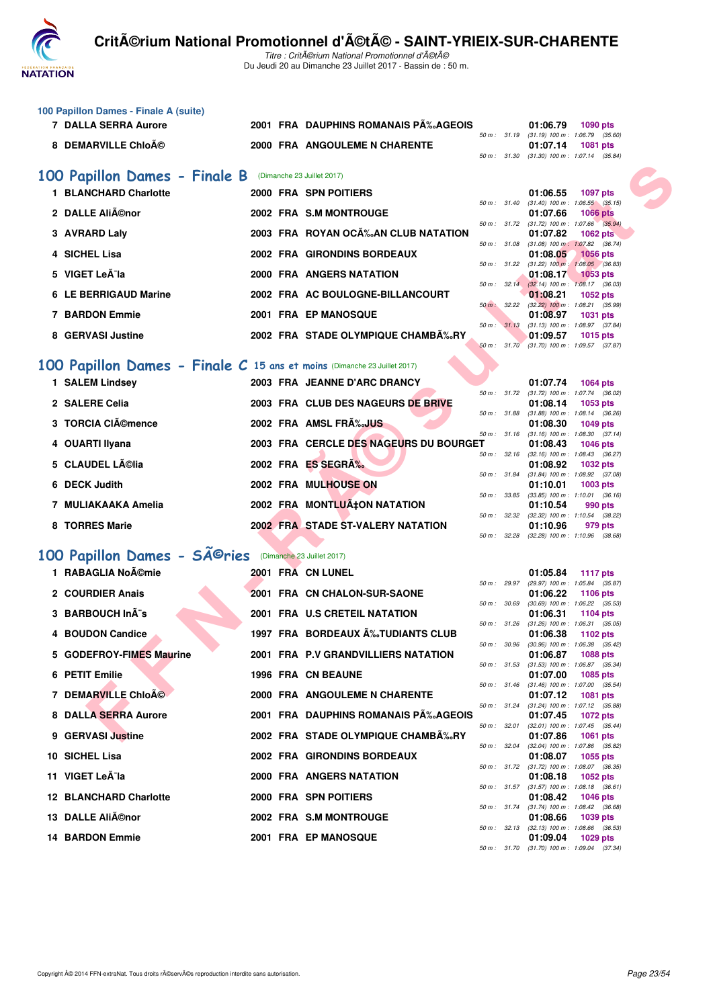

Titre : CritA©rium National Promotionnel d'A©tA© Du Jeudi 20 au Dimanche 23 Juillet 2017 - Bassin de : 50 m.

| 100 Papillon Dames - Finale A (suite)                                    |  |                                        |              |                                                                             |
|--------------------------------------------------------------------------|--|----------------------------------------|--------------|-----------------------------------------------------------------------------|
| <b>7 DALLA SERRA Aurore</b>                                              |  | 2001 FRA DAUPHINS ROMANAIS P‰AGEOIS    |              | 01:06.79<br><b>1090 pts</b><br>50 m: 31.19 (31.19) 100 m: 1:06.79 (35.60)   |
| 8 DEMARVILLE Chloé                                                       |  | 2000 FRA ANGOULEME N CHARENTE          |              | 01:07.14<br><b>1081 pts</b><br>50 m: 31.30 (31.30) 100 m: 1:07.14 (35.84)   |
|                                                                          |  |                                        |              |                                                                             |
| 100 Papillon Dames - Finale B                                            |  | (Dimanche 23 Juillet 2017)             |              |                                                                             |
| 1 BLANCHARD Charlotte                                                    |  | 2000 FRA SPN POITIERS                  |              | 01:06.55<br><b>1097 pts</b><br>50 m: 31.40 (31.40) 100 m: 1:06.55 (35.15)   |
| 2 DALLE Aliénor                                                          |  | 2002 FRA S.M MONTROUGE                 |              | 01:07.66<br><b>1066 pts</b>                                                 |
| 3 AVRARD Laly                                                            |  | 2003 FRA ROYAN OCÉAN CLUB NATATION     |              | 50 m : 31.72 (31.72) 100 m : 1:07.66 (35.94)<br>01:07.82<br>1062 $pts$      |
| 4 SICHEL Lisa                                                            |  | <b>2002 FRA GIRONDINS BORDEAUX</b>     |              | 50 m: 31.08 (31.08) 100 m: 1:07.82 (36.74)<br>01:08.05<br><b>1056 pts</b>   |
| 5 VIGET Leà la                                                           |  | 2000 FRA ANGERS NATATION               | 50 m: 31.22  | $(31.22)$ 100 m : 1:08.05 $(36.83)$<br>01:08.17<br>$1053$ pts               |
| 6 LE BERRIGAUD Marine                                                    |  | 2002 FRA AC BOULOGNE-BILLANCOURT       |              | 50 m : 32.14 (32.14) 100 m : 1:08.17 (36.03)<br>01:08.21<br><b>1052 pts</b> |
| 7 BARDON Emmie                                                           |  | 2001 FRA EP MANOSQUE                   |              | 50 m : 32.22 (32.22) 100 m : 1:08.21 (35.99)<br>01:08.97<br>1031 pts        |
| 8 GERVASI Justine                                                        |  | 2002 FRA STADE OLYMPIQUE CHAMBA‰RY     |              | 50 m : 31.13 (31.13) 100 m : 1:08.97 (37.84)<br>01:09.57<br>1015 pts        |
|                                                                          |  |                                        |              | 50 m: 31.70 (31.70) 100 m: 1:09.57 (37.87)                                  |
| 100 Papillon Dames - Finale C 15 ans et moins (Dimanche 23 Juillet 2017) |  |                                        |              |                                                                             |
| 1 SALEM Lindsey                                                          |  | 2003 FRA JEANNE D'ARC DRANCY           |              | 01:07.74<br><b>1064 pts</b>                                                 |
| 2 SALERE Celia                                                           |  | 2003 FRA CLUB DES NAGEURS DE BRIVE     | 50 m: 31.72  | $(31.72)$ 100 m : 1:07.74 $(36.02)$<br>01:08.14<br>1053 pts                 |
| 3 TORCIA CIémence                                                        |  | 2002 FRA AMSL FRA%JUS                  | 50 m: 31.88  | $(31.88)$ 100 m : 1:08.14 $(36.26)$<br>01:08.30<br>1049 pts                 |
| 4 OUARTI Ilyana                                                          |  | 2003 FRA CERCLE DES NAGEURS DU BOURGET |              | 50 m: 31.16 (31.16) 100 m: 1:08.30 (37.14)<br>01:08.43<br><b>1046 pts</b>   |
| 5 CLAUDEL Lélia                                                          |  | 2002 FRA ES SEGRÉ                      |              | 50 m : 32.16 (32.16) 100 m : 1:08.43 (36.27)                                |
|                                                                          |  |                                        |              | 01:08.92<br><b>1032 pts</b><br>50 m: 31.84 (31.84) 100 m: 1:08.92 (37.08)   |
| 6 DECK Judith                                                            |  | 2002 FRA MULHOUSE ON                   | 50 m : 33.85 | 01:10.01<br>1003 pts<br>$(33.85)$ 100 m : 1:10.01 $(36.16)$                 |
| 7 MULIAKAAKA Amelia                                                      |  | 2002 FRA MONTLUÇON NATATION            | 50 m : 32.32 | 01:10.54<br>990 pts<br>(32.32) 100 m: 1:10.54 (38.22)                       |
| 8 TORRES Marie                                                           |  | 2002 FRA STADE ST-VALERY NATATION      |              | 01:10.96<br>979 pts                                                         |
|                                                                          |  |                                        | 50 m: 32.28  | $(32.28)$ 100 m : 1:10.96 $(38.68)$                                         |
| 100 Papillon Dames - Sîries                                              |  | (Dimanche 23 Juillet 2017)             |              |                                                                             |
| 1 RABAGLIA Noémie                                                        |  | 2001 FRA CN LUNEL                      | 50 m : 29.97 | 01:05.84<br><b>1117 pts</b><br>(29.97) 100 m : 1:05.84 (35.87)              |
| 2 COURDIER Anais                                                         |  | 2001 FRA CN CHALON-SUR-SAONE           |              | 01:06.22<br><b>1106 pts</b>                                                 |
| 3 BARBOUCH InÂ"s                                                         |  | 2001 FRA U.S CRETEIL NATATION          | 50 m : 30.69 | $(30.69)$ 100 m : 1:06.22 $(35.53)$<br>01:06.31<br>1104 pts                 |
| 4 BOUDON Candice                                                         |  | 1997 FRA BORDEAUX A%JUDIANTS CLUB      |              | 50 m: 31.26 (31.26) 100 m: 1:06.31 (35.05)<br>01:06.38<br>1102 pts          |
| 5 GODEFROY-FIMES Maurine                                                 |  | 2001 FRA P.V GRANDVILLIERS NATATION    |              | 50 m : 30.96 (30.96) 100 m : 1:06.38 (35.42)                                |
|                                                                          |  |                                        |              | 01:06.87<br>1088 pts<br>50 m: 31.53 (31.53) 100 m: 1:06.87 (35.34)          |
| 6 PETIT Emilie                                                           |  | 1996 FRA CN BEAUNE                     |              | 01:07.00<br><b>1085 pts</b><br>50 m: 31.46 (31.46) 100 m: 1:07.00 (35.54)   |
| 7 DEMARVILLE Chloé                                                       |  | 2000 FRA ANGOULEME N CHARENTE          |              | 01:07.12<br>1081 pts<br>50 m : 31.24 (31.24) 100 m : 1:07.12 (35.88)        |
| 8 DALLA SERRA Aurore                                                     |  | 2001 FRA DAUPHINS ROMANAIS P‰AGEOIS    |              | 01:07.45<br><b>1072 pts</b>                                                 |
| 9 GERVASI Justine                                                        |  | 2002 FRA STADE OLYMPIQUE CHAMBA‰RY     | 50 m : 32.01 | $(32.01)$ 100 m : 1:07.45 $(35.44)$<br>01:07.86<br><b>1061 pts</b>          |
| 10 SICHEL Lisa                                                           |  | 2002 FRA GIRONDINS BORDEAUX            | 50 m : 32.04 | $(32.04)$ 100 m : 1:07.86 $(35.82)$<br>01:08.07<br>1055 pts                 |
| 11 VIGET Leà la                                                          |  | 2000 FRA ANGERS NATATION               |              | 50 m: 31.72 (31.72) 100 m: 1:08.07 (36.35)<br>01:08.18<br>1052 pts          |
| <b>12 BLANCHARD Charlotte</b>                                            |  | 2000 FRA SPN POITIERS                  |              | 50 m: 31.57 (31.57) 100 m: 1:08.18 (36.61)<br>01:08.42<br><b>1046 pts</b>   |
| 13 DALLE AliA©nor                                                        |  | 2002 FRA S.M MONTROUGE                 |              | 50 m: 31.74 (31.74) 100 m: 1:08.42 (36.68)<br>01:08.66<br>1039 pts          |
|                                                                          |  |                                        |              | 50 m: 32.13 (32.13) 100 m: 1:08.66 (36.53)                                  |
| <b>14 BARDON Emmie</b>                                                   |  | <b>2001 FRA EP MANOSQUE</b>            |              | 01:09.04<br>1029 pts<br>50 m: 31.70 (31.70) 100 m: 1:09.04 (37.34)          |
|                                                                          |  |                                        |              |                                                                             |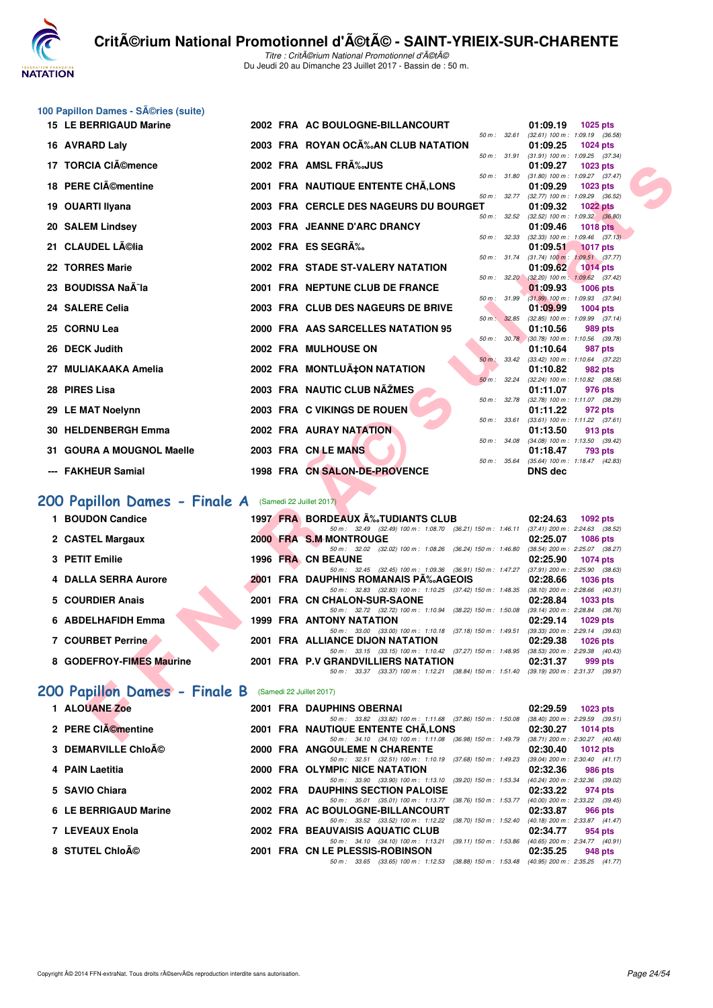

|     | 100 Papillon Dames - Séries (suite)                    |  |  |                                                                                                                                  |                                                                             |  |  |  |  |  |  |
|-----|--------------------------------------------------------|--|--|----------------------------------------------------------------------------------------------------------------------------------|-----------------------------------------------------------------------------|--|--|--|--|--|--|
|     | <b>15 LE BERRIGAUD Marine</b>                          |  |  | 2002 FRA AC BOULOGNE-BILLANCOURT                                                                                                 | 01:09.19<br><b>1025 pts</b>                                                 |  |  |  |  |  |  |
|     | 16 AVRARD Laly                                         |  |  | 50 m : 32.61<br>2003 FRA ROYAN OCÉAN CLUB NATATION                                                                               | $(32.61)$ 100 m : 1:09.19 $(36.58)$<br>01:09.25<br><b>1024 pts</b>          |  |  |  |  |  |  |
|     |                                                        |  |  | 50 m : 31.91                                                                                                                     | $(31.91)$ 100 m : 1:09.25 $(37.34)$                                         |  |  |  |  |  |  |
|     | 17 TORCIA CIémence                                     |  |  | 2002 FRA AMSL FRA%JUS<br>50 m : 31.80                                                                                            | 01:09.27<br><b>1023 pts</b><br>$(31.80)$ 100 m : 1:09.27 $(37.47)$          |  |  |  |  |  |  |
|     | 18 PERE CIémentine                                     |  |  | 2001 FRA NAUTIQUE ENTENTE CHÂ, LONS                                                                                              | 01:09.29<br><b>1023 pts</b>                                                 |  |  |  |  |  |  |
|     | 19 OUARTI Ilyana                                       |  |  | 50 m : 32.77<br>2003 FRA CERCLE DES NAGEURS DU BOURGET                                                                           | $(32.77)$ 100 m : 1:09.29 $(36.52)$<br>01:09.32<br><b>1022 pts</b>          |  |  |  |  |  |  |
|     |                                                        |  |  | 50 m: 32.52                                                                                                                      | $(32.52)$ 100 m : 1:09.32 $(36.80)$                                         |  |  |  |  |  |  |
|     | 20 SALEM Lindsey                                       |  |  | 2003 FRA JEANNE D'ARC DRANCY<br>50 m : 32.33                                                                                     | 01:09.46<br><b>1018 pts</b><br>$(32.33)$ 100 m : 1:09.46 $(37.13)$          |  |  |  |  |  |  |
|     | 21 CLAUDEL Lélia                                       |  |  | 2002 FRA ES SEGRÉ                                                                                                                | 01:09.51<br><b>1017 pts</b>                                                 |  |  |  |  |  |  |
|     | 22 TORRES Marie                                        |  |  |                                                                                                                                  | 50 m: 31.74 (31.74) 100 m: 1:09.51 (37.77)                                  |  |  |  |  |  |  |
|     |                                                        |  |  | 2002 FRA STADE ST-VALERY NATATION                                                                                                | 01:09.62<br><b>1014 pts</b><br>50 m : 32.20 (32.20) 100 m : 1:09.62 (37.42) |  |  |  |  |  |  |
|     | 23 BOUDISSA Naà la                                     |  |  | 2001 FRA NEPTUNE CLUB DE FRANCE                                                                                                  | 01:09.93<br><b>1006 pts</b>                                                 |  |  |  |  |  |  |
|     | 24 SALERE Celia                                        |  |  | 50 m : 31.99<br>2003 FRA CLUB DES NAGEURS DE BRIVE                                                                               | $(31.99)$ 100 m : 1:09.93 $(37.94)$<br>01:09.99<br><b>1004 pts</b>          |  |  |  |  |  |  |
|     |                                                        |  |  | 50 m: 32.85                                                                                                                      | $(32.85)$ 100 m : 1:09.99 $(37.14)$                                         |  |  |  |  |  |  |
|     | 25 CORNU Lea                                           |  |  | 2000 FRA AAS SARCELLES NATATION 95                                                                                               | 01:10.56<br>989 pts<br>50 m : 30.78 (30.78) 100 m : 1:10.56 (39.78)         |  |  |  |  |  |  |
|     | <b>DECK Judith</b>                                     |  |  | 2002 FRA MULHOUSE ON                                                                                                             | 01:10.64<br>987 pts                                                         |  |  |  |  |  |  |
| 27. | <b>MULIAKAAKA Amelia</b>                               |  |  | 50 m: 33.42<br>2002 FRA MONTLUÇON NATATION                                                                                       | $(33.42)$ 100 m : 1:10.64 $(37.22)$<br>01:10.82<br>982 pts                  |  |  |  |  |  |  |
|     |                                                        |  |  | 50 m: 32.24                                                                                                                      | (32.24) 100 m: 1:10.82 (38.58)                                              |  |  |  |  |  |  |
| 28  | <b>PIRES Lisa</b>                                      |  |  | 2003 FRA NAUTIC CLUB NÃŽMES<br>50 m : 32.78                                                                                      | 01:11.07<br>976 pts<br>(32.78) 100 m : 1:11.07 (38.29)                      |  |  |  |  |  |  |
|     | 29 LE MAT Noelynn                                      |  |  | 2003 FRA C VIKINGS DE ROUEN                                                                                                      | 01:11.22<br>972 pts                                                         |  |  |  |  |  |  |
|     |                                                        |  |  | 50 m : 33.61<br><b>2002 FRA AURAY NATATION</b>                                                                                   | $(33.61)$ 100 m : 1:11.22 $(37.61)$                                         |  |  |  |  |  |  |
|     | 30 HELDENBERGH Emma                                    |  |  | 50 m: 34.08                                                                                                                      | 01:13.50<br>913 pts<br>$(34.08)$ 100 m : 1:13.50 $(39.42)$                  |  |  |  |  |  |  |
|     | 31 GOURA A MOUGNOL Maelle                              |  |  | 2003 FRA CN LE MANS                                                                                                              | 01:18.47<br>793 pts                                                         |  |  |  |  |  |  |
|     | <b>FAKHEUR Samial</b>                                  |  |  | 50 m: 35.64<br>1998 FRA CN SALON-DE-PROVENCE                                                                                     | (35.64) 100 m: 1:18.47 (42.83)<br>DNS dec                                   |  |  |  |  |  |  |
|     |                                                        |  |  |                                                                                                                                  |                                                                             |  |  |  |  |  |  |
|     | 200 Papillon Dames - Finale A (Samedi 22 Juillet 2017) |  |  |                                                                                                                                  |                                                                             |  |  |  |  |  |  |
|     | 1 BOUDON Candice                                       |  |  | 1997 FRA BORDEAUX A%TUDIANTS CLUB                                                                                                | 02:24.63<br><b>1092 pts</b>                                                 |  |  |  |  |  |  |
|     |                                                        |  |  | 50 m: 32.49 (32.49) 100 m: 1:08.70 (36.21) 150 m: 1:46.11 (37.41) 200 m: 2:24.63 (38.52)                                         |                                                                             |  |  |  |  |  |  |
|     | 2 CASTEL Margaux                                       |  |  | 2000 FRA S.M MONTROUGE<br>50 m: 32.02 (32.02) 100 m: 1:08.26 (36.24) 150 m: 1:46.80                                              | 02:25.07<br><b>1086 pts</b><br>(38.54) 200 m : 2:25.07 (38.27)              |  |  |  |  |  |  |
|     | 3 PETIT Emilie                                         |  |  | 1996 FRA CN BEAUNE                                                                                                               | 02:25.90<br><b>1074 pts</b>                                                 |  |  |  |  |  |  |
|     | 4 DALLA SERRA Aurore                                   |  |  | 50 m: 32.45 (32.45) 100 m: 1:09.36 (36.91) 150 m: 1:47.27 (37.91) 200 m: 2:25.90 (38.63)<br>2001 FRA DAUPHINS ROMANAIS PA‰AGEOIS | 02:28.66<br><b>1036 pts</b>                                                 |  |  |  |  |  |  |
|     |                                                        |  |  | 50 m: 32.83 (32.83) 100 m: 1:10.25 (37.42) 150 m: 1:48.35 (38.10) 200 m: 2:28.66 (40.31)                                         |                                                                             |  |  |  |  |  |  |
|     | 5 COURDIER Anais                                       |  |  | 2001 FRA CN CHALON-SUR-SAONE                                                                                                     | 02:28.84<br>1033 pts                                                        |  |  |  |  |  |  |
|     | 6 ABDELHAFIDH Emma                                     |  |  | 50 m: 32.72 (32.72) 100 m: 1:10.94 (38.22) 150 m: 1:50.08 (39.14) 200 m: 2:28.84 (38.76)<br><b>1999 FRA ANTONY NATATION</b>      | 02:29.14<br>1029 pts                                                        |  |  |  |  |  |  |
|     |                                                        |  |  | 50 m: 33.00 (33.00) 100 m: 1:10.18 (37.18) 150 m: 1:49.51 (39.33) 200 m: 2:29.14 (39.63)                                         |                                                                             |  |  |  |  |  |  |
|     | 7 COURBET Perrine                                      |  |  | 2001 FRA ALLIANCE DIJON NATATION<br>50 m: 33.15 (33.15) 100 m: 1:10.42 (37.27) 150 m: 1:48.95 (38.53) 200 m: 2:29.38 (40.43)     | 02:29.38 1026 pts                                                           |  |  |  |  |  |  |
|     | 8 GODEFROY-FIMES Maurine                               |  |  | 2001 FRA P.V GRANDVILLIERS NATATION                                                                                              | 02:31.37<br>999 pts                                                         |  |  |  |  |  |  |
|     |                                                        |  |  | 50 m: 33.37 (33.37) 100 m: 1:12.21 (38.84) 150 m: 1:51.40 (39.19) 200 m: 2:31.37 (39.97)                                         |                                                                             |  |  |  |  |  |  |
|     | 200 Papillon Dames - Finale B (Samedi 22 Juillet 2017) |  |  |                                                                                                                                  |                                                                             |  |  |  |  |  |  |
|     | 1 ALOUANE Zoe                                          |  |  | 2001 FRA DAUPHINS OBERNAI                                                                                                        | 02:29.59<br>1023 pts                                                        |  |  |  |  |  |  |
|     | 2 PERE CIACmentine                                     |  |  | 50 m: 33.82 (33.82) 100 m: 1:11.68 (37.86) 150 m: 1:50.08 (38.40) 200 m: 2:29.59 (39.51)<br>2001 FRA NAUTIQUE ENTENTE CHA, LONS  | 02:30.27<br>1014 pts                                                        |  |  |  |  |  |  |
|     |                                                        |  |  | 50 m: 34.10 (34.10) 100 m: 1:11.08 (36.98) 150 m: 1:49.79 (38.71) 200 m: 2:30.27 (40.48)                                         |                                                                             |  |  |  |  |  |  |

|  |  | 5 COURDIER Anais |
|--|--|------------------|
|  |  |                  |

- 50 m : 32.72 (32.72) 100 m : 1:10.94 (38.22) 150 m : 1:50.08 (39.14) 200 m : 2:28.84 (38.76) **6 ABDELHAFIDH Emma 1999 FRA ANTONY NATATION 02:29.14 1029 pts**
- **7 COURBET Perrine 2001 FRA ALLIANCE DIJON NATATION 02:29.38 1026 pts**
- **8 GODEFROY-FIMES Maurine 2001 FRA P.V GRANDVILLIERS NATATION 02:31.37 999 pts**

#### **[200 Papillon Dames - Finale B](http://www.ffnatation.fr/webffn/resultats.php?idact=nat&go=epr&idcpt=47489&idepr=33)** (Samedi 22 Juillet 2017)

|                                                           | 02:29.59<br>$1023$ pts                                                                                                                                                                                                                                                                                                                                                        |
|-----------------------------------------------------------|-------------------------------------------------------------------------------------------------------------------------------------------------------------------------------------------------------------------------------------------------------------------------------------------------------------------------------------------------------------------------------|
| 50 m: 33.82 (33.82) 100 m: 1:11.68 (37.86) 150 m: 1:50.08 | $(38.40)$ 200 m : 2:29.59 $(39.51)$                                                                                                                                                                                                                                                                                                                                           |
|                                                           | 02:30.27<br>1014 pts                                                                                                                                                                                                                                                                                                                                                          |
| 50 m: 34.10 (34.10) 100 m: 1:11.08 (36.98) 150 m: 1:49.79 | (38.71) 200 m : 2:30.27 (40.48)                                                                                                                                                                                                                                                                                                                                               |
|                                                           | 02:30.40<br>1012 $pts$                                                                                                                                                                                                                                                                                                                                                        |
| 50 m: 32.51 (32.51) 100 m: 1:10.19 (37.68) 150 m: 1:49.23 | (39.04) 200 m : 2:30.40 (41.17)                                                                                                                                                                                                                                                                                                                                               |
|                                                           | 02:32.36<br>986 pts                                                                                                                                                                                                                                                                                                                                                           |
| 50 m: 33.90 (33.90) 100 m: 1:13.10 (39.20) 150 m: 1:53.34 | (40.24) 200 m : 2:32.36 (39.02)                                                                                                                                                                                                                                                                                                                                               |
|                                                           | 02:33.22<br>974 pts                                                                                                                                                                                                                                                                                                                                                           |
| 50 m: 35.01 (35.01) 100 m: 1:13.77 (38.76) 150 m: 1:53.77 | (40.00) 200 m : 2:33.22 (39.45)                                                                                                                                                                                                                                                                                                                                               |
|                                                           | 02:33.87<br>966 pts                                                                                                                                                                                                                                                                                                                                                           |
| 50 m: 33.52 (33.52) 100 m: 1:12.22 (38.70) 150 m: 1:52.40 | (40.18) 200 m : 2:33.87 (41.47)                                                                                                                                                                                                                                                                                                                                               |
|                                                           | 02:34.77<br>954 pts                                                                                                                                                                                                                                                                                                                                                           |
| 50 m: 34.10 (34.10) 100 m: 1:13.21 (39.11) 150 m: 1:53.86 | (40.65) 200 m : 2:34.77 (40.91)                                                                                                                                                                                                                                                                                                                                               |
|                                                           | 02:35.25<br>948 pts                                                                                                                                                                                                                                                                                                                                                           |
|                                                           |                                                                                                                                                                                                                                                                                                                                                                               |
|                                                           | 2001 FRA DAUPHINS OBERNAI<br>2001 FRA NAUTIQUE ENTENTE CHÂ.LONS<br>2000 FRA ANGOULEME N CHARENTE<br>2000 FRA OLYMPIC NICE NATATION<br>2002 FRA DAUPHINS SECTION PALOISE<br>2002 FRA AC BOULOGNE-BILLANCOURT<br>2002 FRA BEAUVAISIS AQUATIC CLUB<br>2001 FRA CN LE PLESSIS-ROBINSON<br>50 m: 33.65 (33.65) 100 m: 1:12.53 (38.88) 150 m: 1:53.48 (40.95) 200 m: 2:35.25 (41.77 |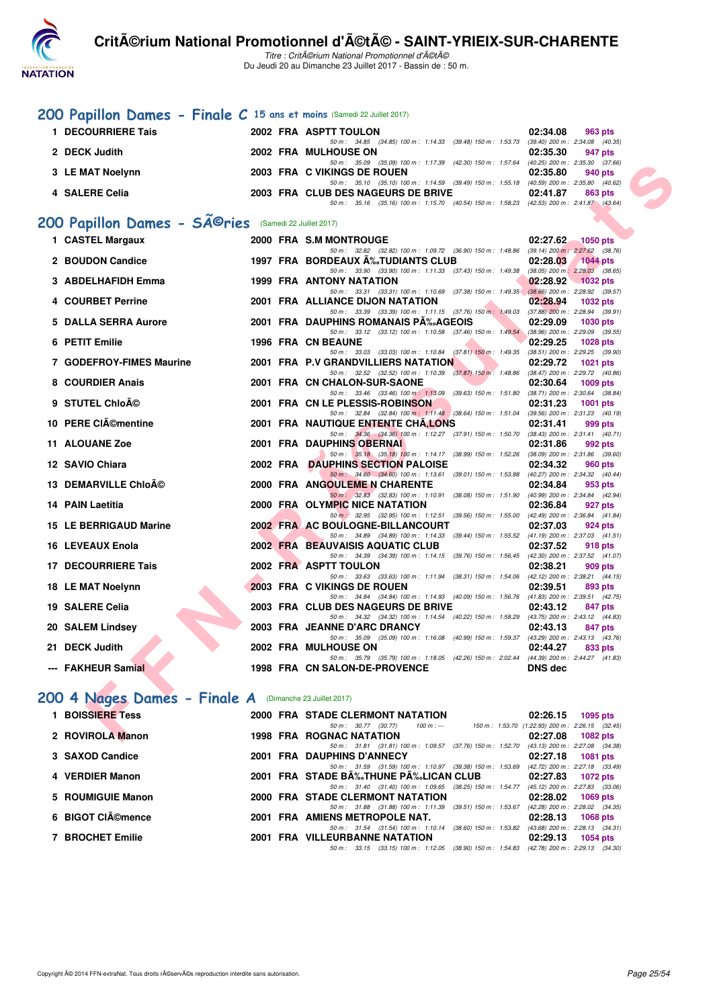

Titre : CritA©rium National Promotionnel d'A©tA© Du Jeudi 20 au Dimanche 23 Juillet 2017 - Bassin de : 50 m.

## **[200 Papillon Dames - Finale C](http://www.ffnatation.fr/webffn/resultats.php?idact=nat&go=epr&idcpt=47489&idepr=33) 15 ans et moins** (Samedi 22 Juillet 2017)

| 1 DECOURRIERE Tais | 2002 FRA ASPTT TOULON                                                                                                  | 02:34.08<br>963 pts |
|--------------------|------------------------------------------------------------------------------------------------------------------------|---------------------|
| 2 DECK Judith      | 50 m : 34.85 (34.85) 100 m : 1:14.33 (39.48) 150 m : 1:53.73 (39.40) 200 m : 2:34.08 (40.35<br>2002 FRA MULHOUSE ON    | 02:35.30<br>947 pts |
|                    | 50 m: 35.09 (35.09) 100 m: 1:17.39 (42.30) 150 m: 1:57.64 (40.25) 200 m: 2:35.30 (37.66                                |                     |
| 3 LE MAT Noelynn   | 2003 FRA C VIKINGS DE ROUEN<br>50 m: 35.10 (35.10) 100 m: 1:14.59 (39.49) 150 m: 1:55.18 (40.59) 200 m: 2:35.80 (40.62 | 02:35.80<br>940 pts |
| 4 SALERE Celia     | 2003 FRA CLUB DES NAGEURS DE BRIVE                                                                                     | 02:41.87<br>863 pts |
|                    | 50 m: 35.16 (35.16) 100 m: 1:15.70 (40.54) 150 m: 1:58.23 (42.53) 200 m: 2:41.87 (43.64                                |                     |

# 200 Papillon Dames - SÃ<sup>@</sup>ries (Samedi 22 Juillet 2017)

|                                                                   |  | 50 m : 35.09 (35.09) 100 m : 1:17.39 (42.30) 150 m : 1:57.64 (40.25) 200 m : 2:35.30 (37.66)                                      |                |                   |
|-------------------------------------------------------------------|--|-----------------------------------------------------------------------------------------------------------------------------------|----------------|-------------------|
| 3 LE MAT Noelynn                                                  |  | 2003 FRA C VIKINGS DE ROUEN                                                                                                       | 02:35.80       | 940 pts           |
| 4 SALERE Celia                                                    |  | 50 m: 35.10 (35.10) 100 m: 1:14.59 (39.49) 150 m: 1:55.18 (40.59) 200 m: 2:35.80 (40.62)<br>2003 FRA CLUB DES NAGEURS DE BRIVE    | 02:41.87       |                   |
|                                                                   |  | 50 m: 35.16 (35.16) 100 m: 1:15.70 (40.54) 150 m: 1:58.23 (42.53) 200 m: 2:41.87 (43.64)                                          |                | 863 pts           |
|                                                                   |  |                                                                                                                                   |                |                   |
| 00 Papillon Dames - SÃ <sup>©</sup> ries (Samedi 22 Juillet 2017) |  |                                                                                                                                   |                |                   |
| 1 CASTEL Margaux                                                  |  | 2000 FRA S.M MONTROUGE                                                                                                            |                | 02:27.62 1050 pts |
|                                                                   |  | 50 m: 32.82 (32.82) 100 m: 1:09.72 (36.90) 150 m: 1:48.86 (39.14) 200 m: 2:27.62 (38.76)                                          |                |                   |
| 2 BOUDON Candice                                                  |  | 1997 FRA BORDEAUX A%TUDIANTS CLUB<br>50 m: 33.90 (33.90) 100 m: 1:11.33 (37.43) 150 m: 1:49.38 (38.05) 200 m: 2:28.03 (38.65)     | 02:28.03       | $1044$ pts        |
| 3 ABDELHAFIDH Emma                                                |  | 1999 FRA ANTONY NATATION                                                                                                          |                | 02:28.92 1032 pts |
|                                                                   |  | 50 m: 33.31 (33.31) 100 m: 1:10.69 (37.38) 150 m: 1:49.35 (38.66) 200 m: 2:28.92 (39.57)                                          |                |                   |
| 4 COURBET Perrine                                                 |  | 2001 FRA ALLIANCE DIJON NATATION                                                                                                  | 02:28.94       | 1032 pts          |
| 5 DALLA SERRA Aurore                                              |  | 50 m: 33.39 (33.39) 100 m: 1:11.15 (37.76) 150 m: 1:49.03 (37.88) 200 m: 2:28.94 (39.91)<br>2001 FRA DAUPHINS ROMANAIS PA‰AGEOIS  | 02:29.09       | 1030 pts          |
|                                                                   |  | 50 m: 33.12 (33.12) 100 m: 1:10.58 (37.46) 150 m: 1:49.54 (38.96) 200 m: 2:29.09 (39.55)                                          |                |                   |
| 6 PETIT Emilie                                                    |  | 1996 FRA CN BEAUNE                                                                                                                | 02:29.25       | <b>1028 pts</b>   |
|                                                                   |  | 50 m: 33.03 (33.03) 100 m: 1:10.84 (37.81) 150 m: 1:49.35 (38.51) 200 m: 2:29.25 (39.90)                                          |                |                   |
| 7 GODEFROY-FIMES Maurine                                          |  | 2001 FRA P.V GRANDVILLIERS NATATION<br>50 m: 32.52 (32.52) 100 m: 1:10.39 (37.87) 150 m: 1:48.86 (38.47) 200 m: 2:29.72 (40.86)   | 02:29.72       | 1021 pts          |
| 8 COURDIER Anais                                                  |  | 2001 FRA CN CHALON-SUR-SAONE                                                                                                      | 02:30.64       | $1009$ pts        |
|                                                                   |  | 50 m: 33.46 (33.46) 100 m: 1:13.09 (39.63) 150 m: 1:51.80 (38.71) 200 m: 2:30.64 (38.84)                                          |                |                   |
| 9 STUTEL ChloAO                                                   |  | 2001 FRA CN LE PLESSIS-ROBINSON                                                                                                   | 02:31.23       | <b>1001 pts</b>   |
| 10 PERE CIémentine                                                |  | 50 m: 32.84 (32.84) 100 m: 1:11.48 (38.64) 150 m: 1:51.04 (39.56) 200 m: 2:31.23 (40.19)<br>2001 FRA NAUTIQUE ENTENTE CHA, LONS   | 02:31.41       | 999 pts           |
|                                                                   |  | 50 m: 34.36 (34.36) 100 m: 1:12.27 (37.91) 150 m: 1:50.70 (38.43) 200 m: 2:31.41 (40.71)                                          |                |                   |
| <b>11 ALOUANE Zoe</b>                                             |  | <b>2001 FRA DAUPHINS OBERNAL</b>                                                                                                  | 02:31.86       | 992 pts           |
|                                                                   |  | 50 m: 35.18 (35.18) 100 m: 1:14.17 (38.99) 150 m: 1:52.26 (38.09) 200 m: 2:31.86 (39.60)                                          |                |                   |
| 12 SAVIO Chiara                                                   |  | 2002 FRA DAUPHINS SECTION PALOISE<br>50 m : 34.60 (34.60) 100 m : 1:13.61 (39.01) 150 m : 1:53.88 (40.27) 200 m : 2:34.32 (40.44) | 02:34.32       | 960 pts           |
| 13 DEMARVILLE Chlo©                                               |  | 2000 FRA ANGOULEME N CHARENTE                                                                                                     | 02:34.84       | 953 pts           |
|                                                                   |  | 50 m: 32.83 (32.83) 100 m: 1:10.91 (38.08) 150 m: 1:51.90 (40.99) 200 m: 2:34.84 (42.94)                                          |                |                   |
| 14 PAIN Laetitia                                                  |  | 2000 FRA OLYMPIC NICE NATATION                                                                                                    | 02:36.84       | 927 pts           |
| 15 LE BERRIGAUD Marine                                            |  | 50 m : 32.95 (32.95) 100 m : 1:12.51 (39.56) 150 m : 1:55.00 (42.49) 200 m : 2:36.84 (41.84)<br>2002 FRA AC BOULOGNE-BILLANCOURT  | 02:37.03       | 924 pts           |
|                                                                   |  | 50 m: 34.89 (34.89) 100 m: 1:14.33 (39.44) 150 m: 1:55.52 (41.19) 200 m: 2:37.03 (41.51)                                          |                |                   |
| 16 LEVEAUX Enola                                                  |  | 2002 FRA BEAUVAISIS AQUATIC CLUB                                                                                                  | 02:37.52       | 918 pts           |
| 17 DECOURRIERE Tais                                               |  | 50 m: 34.39 (34.39) 100 m: 1:14.15 (39.76) 150 m: 1:56.45 (42.30) 200 m: 2:37.52 (41.07)<br>2002 FRA ASPTT TOULON                 | 02:38.21       | 909 pts           |
|                                                                   |  | 50 m: 33.63 (33.63) 100 m: 1:11.94 (38.31) 150 m: 1:54.06 (42.12) 200 m: 2:38.21 (44.15)                                          |                |                   |
| 18 LE MAT Noelynn                                                 |  | 2003 FRA C VIKINGS DE ROUEN                                                                                                       | 02:39.51       | 893 pts           |
|                                                                   |  | 50 m: 34.84 (34.84) 100 m: 1:14.93 (40.09) 150 m: 1:56.76 (41.83) 200 m: 2:39.51 (42.75)                                          |                |                   |
| 19 SALERE Celia                                                   |  | 2003 FRA CLUB DES NAGEURS DE BRIVE<br>50 m: 34.32 (34.32) 100 m: 1:14.54 (40.22) 150 m: 1:58.29 (43.75) 200 m: 2:43.12 (44.83)    | 02:43.12       | 847 pts           |
| 20 SALEM Lindsey                                                  |  | 2003 FRA JEANNE D'ARC DRANCY                                                                                                      | 02:43.13       | 847 pts           |
|                                                                   |  | 50 m: 35.09 (35.09) 100 m: 1:16.08 (40.99) 150 m: 1:59.37 (43.29) 200 m: 2:43.13 (43.76)                                          |                |                   |
| 21 DECK Judith                                                    |  | 2002 FRA MULHOUSE ON                                                                                                              | 02:44.27       | 833 pts           |
| --- FAKHEUR Samial                                                |  | 50 m: 35.79 (35.79) 100 m: 1:18.05 (42.26) 150 m: 2:02.44 (44.39) 200 m: 2:44.27 (41.83)<br>1998 FRA CN SALON-DE-PROVENCE         | <b>DNS dec</b> |                   |
|                                                                   |  |                                                                                                                                   |                |                   |
|                                                                   |  |                                                                                                                                   |                |                   |
| 00 4 Nages Dames - Finale A (Dimanche 23 Juillet 2017)            |  |                                                                                                                                   |                |                   |
| 1 BOISSIERE Tess                                                  |  | 2000 FRA STADE CLERMONT NATATION                                                                                                  | 02:26.15       | 1095 pts          |
|                                                                   |  | 50 m : 30.77 (30.77)<br>$100 m: -$<br>150 m: 1:53.70 (1:22.93) 200 m: 2:26.15 (32.45)                                             |                |                   |
| 2 ROVIROLA Manon                                                  |  | <b>1998 FRA ROGNAC NATATION</b>                                                                                                   | 02:27.08       | 1082 pts          |

#### [200 4 Nages Dames - Finale A](http://www.ffnatation.fr/webffn/resultats.php?idact=nat&go=epr&idcpt=47489&idepr=41) (Dimanche 23 Juillet 2017)

| 1 BOISSIERE Tess  | 2000 FRA STADE CLERMONT NATATION                                                                                                                  |                                                 | 02:26.15 | $1095$ pts                                           |
|-------------------|---------------------------------------------------------------------------------------------------------------------------------------------------|-------------------------------------------------|----------|------------------------------------------------------|
|                   | 50 m : 30.77 (30.77)<br>100 m : ---                                                                                                               | 150 m: 1:53.70 (1:22.93) 200 m: 2:26.15 (32.45) |          |                                                      |
| 2 ROVIROLA Manon  | <b>1998 FRA ROGNAC NATATION</b>                                                                                                                   |                                                 | 02:27.08 | 1082 pts                                             |
| 3 SAXOD Candice   | 50 m: 31.81 (31.81) 100 m: 1:09.57 (37.76) 150 m: 1:52.70<br>2001 FRA DAUPHINS D'ANNECY                                                           |                                                 | 02:27.18 | (43.13) 200 m : 2:27.08 (34.38)<br>1081 pts          |
| 4 VERDIER Manon   | 50 m: 31.59 (31.59) 100 m: 1:10.97 (39.38) 150 m: 1:53.69 (42.72) 200 m: 2:27.18 (33.49,<br>2001 FRA STADE B‰THUNE P‰LICAN CLUB 02:27.83 1072 pts |                                                 |          |                                                      |
| 5 ROUMIGUIE Manon | 50 m: 31.40 (31.40) 100 m: 1:09.65 (38.25) 150 m: 1:54.77<br>2000 FRA STADE CLERMONT NATATION                                                     |                                                 |          | (45.12) 200 m : 2:27.83 (33.06)<br>02:28.02 1069 pts |
| 6 BIGOT CIémence  | 50 m: 31.88 (31.88) 100 m: 1:11.39 (39.51) 150 m: 1:53.67<br>2001 FRA AMIENS METROPOLE NAT.                                                       |                                                 | 02:28.13 | (42.28) 200 m : 2:28.02 (34.35)<br>1068 pts          |
|                   | 50 m: 31.54 (31.54) 100 m: 1:10.14                                                                                                                | $(38.60)$ 150 m : 1:53.82                       |          | $(43.68)$ 200 m : 2:28.13 $(34.31)$                  |
| 7 BROCHET Emilie  | <b>2001 FRA VILLEURBANNE NATATION</b><br>50 m: 33.15 (33.15) 100 m: 1:12.05 (38.90) 150 m: 1:54.83 (42.78) 200 m: 2:29.13 (34.30)                 |                                                 | 02:29.13 | 1054 pts                                             |
|                   |                                                                                                                                                   |                                                 |          |                                                      |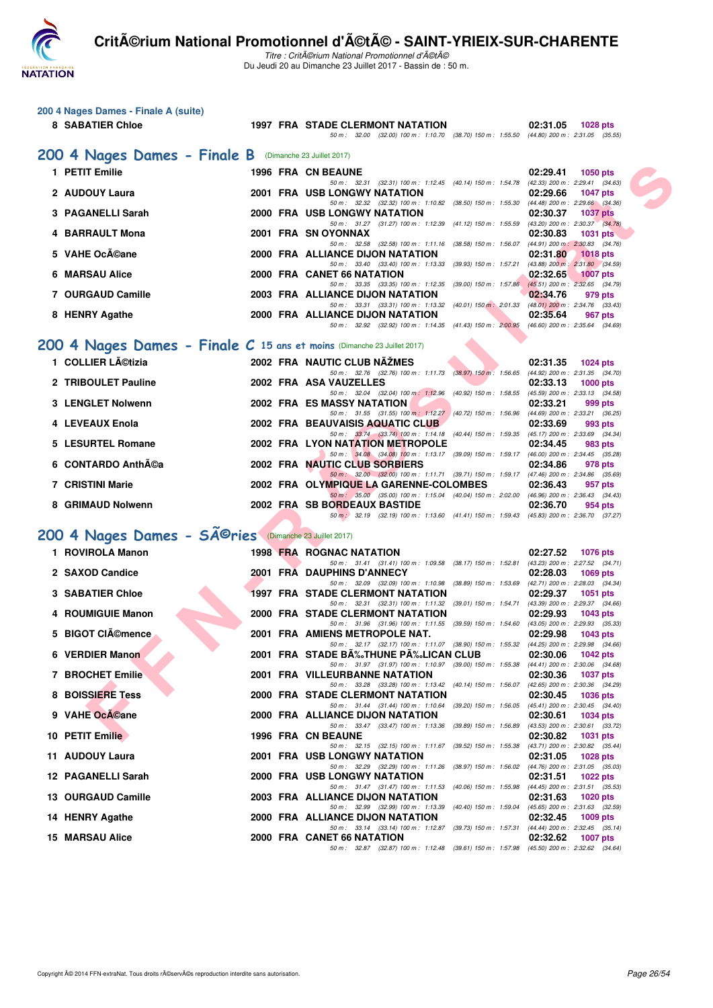

**200 4 Nages Dames - Finale A (suite)**

## **Critérium National Promotionnel d'été - SAINT-YRIEIX-SUR-CHARENTE**

Titre : Critérium National Promotionnel d'été Du Jeudi 20 au Dimanche 23 Juillet 2017 - Bassin de : 50 m.

| 8 SABATIER Chloe                                                          | <b>1997 FRA STADE CLERMONT NATATION</b>                                                                                            | 02:31.05<br>1028 pts                                               |
|---------------------------------------------------------------------------|------------------------------------------------------------------------------------------------------------------------------------|--------------------------------------------------------------------|
|                                                                           | 50 m: 32.00 (32.00) 100 m: 1:10.70 (38.70) 150 m: 1:55.50 (44.80) 200 m: 2:31.05 (35.55)                                           |                                                                    |
| 200 4 Nages Dames - Finale B (Dimanche 23 Juillet 2017)                   |                                                                                                                                    |                                                                    |
| 1 PETIT Emilie                                                            | 1996 FRA CN BEAUNE<br>50 m: 32.31 (32.31) 100 m: 1:12.45 (40.14) 150 m: 1:54.78                                                    | 02:29.41<br>1050 pts<br>(42.33) 200 m : 2:29.41 (34.63)            |
| 2 AUDOUY Laura                                                            | <b>2001 FRA USB LONGWY NATATION</b>                                                                                                | 02:29.66<br><b>1047 pts</b>                                        |
| <b>PAGANELLI Sarah</b>                                                    | 50 m: 32.32 (32.32) 100 m: 1:10.82 (38.50) 150 m: 1:55.30 (44.48) 200 m: 2:29.66 (34.36)<br><b>2000 FRA USB LONGWY NATATION</b>    | 02:30.37<br><b>1037 pts</b>                                        |
| <b>BARRAULT Mona</b>                                                      | 50 m: 31.27 (31.27) 100 m: 1:12.39 (41.12) 150 m: 1:55.59<br>2001 FRA SN OYONNAX                                                   | $(43.20)$ 200 m : 2:30.37 $(34.78)$<br>02:30.83<br>1031 pts        |
| <b>VAHE Océane</b>                                                        | 50 m: 32.58 (32.58) 100 m: 1:11.16 (38.58) 150 m: 1:56.07<br>2000 FRA ALLIANCE DIJON NATATION                                      | $(44.91)$ 200 m : 2:30.83 $(34.76)$<br>02:31.80<br><b>1018 pts</b> |
|                                                                           | 50 m: 33.40 (33.40) 100 m: 1:13.33 (39.93) 150 m: 1:57.21                                                                          | $(43.88)$ 200 m : 2:31.80 $(34.59)$                                |
| <b>MARSAU Alice</b><br>6                                                  | 2000 FRA CANET 66 NATATION<br>50 m: 33.35 (33.35) 100 m: 1:12.35 (39.00) 150 m: 1:57.86                                            | 02:32.65<br><b>1007 pts</b><br>$(45.51)$ 200 m : 2:32.65 $(34.79)$ |
| <b>OURGAUD Camille</b>                                                    | 2003 FRA ALLIANCE DIJON NATATION                                                                                                   | 02:34.76<br>979 pts                                                |
| 8 HENRY Agathe                                                            | 50 m: 33.31 (33.31) 100 m: 1:13.32 (40.01) 150 m: 2:01.33<br>2000 FRA ALLIANCE DIJON NATATION                                      | $(48.01)$ 200 m : 2:34.76 $(33.43)$<br>02:35.64<br>967 pts         |
|                                                                           | 50 m: 32.92 (32.92) 100 m: 1:14.35 (41.43) 150 m: 2:00.95 (46.60) 200 m: 2:35.64 (34.69)                                           |                                                                    |
| 200 4 Nages Dames - Finale $C$ 15 ans et moins (Dimanche 23 Juillet 2017) |                                                                                                                                    |                                                                    |
| 1 COLLIER Létizia                                                         | 2002 FRA NAUTIC CLUB NAZMES                                                                                                        | 02:31.35<br><b>1024 pts</b>                                        |
| 2 TRIBOULET Pauline                                                       | 50 m : 32.76 (32.76) 100 m : 1:11.73 (38.97) 150 m : 1:56.65<br>2002 FRA ASA VAUZELLES                                             | $(44.92)$ 200 m : 2:31.35 $(34.70)$<br>02:33.13<br>$1000$ pts      |
|                                                                           | 50 m: 32.04 (32.04) 100 m: 1:12.96<br>$(40.92)$ 150 m : 1:58.55                                                                    | (45.59) 200 m : 2:33.13 (34.58)                                    |
| <b>LENGLET Nolwenn</b>                                                    | <b>2002 FRA ES MASSY NATATION</b><br>50 m: 31.55 (31.55) 100 m: 1:12.27 (40.72) 150 m: 1:56.96                                     | 02:33.21<br>999 pts<br>$(44.69)$ 200 m : 2:33.21 $(36.25)$         |
| <b>LEVEAUX Enola</b>                                                      | 2002 FRA BEAUVAISIS AQUATIC CLUB<br>50 m: 33.74 (33.74) 100 m: 1:14.18 (40.44) 150 m: 1:59.35                                      | 02:33.69<br>993 pts<br>(45.17) 200 m : 2:33.69 (34.34)             |
| <b>LESURTEL Romane</b><br>5                                               | 2002 FRA LYON NATATION METROPOLE                                                                                                   | 02:34.45<br>983 pts                                                |
| <b>CONTARDO AnthA©a</b>                                                   | 50 m: 34.08 (34.08) 100 m: 1:13.17 (39.09) 150 m: 1:59.17 (46.00) 200 m: 2:34.45 (35.28)<br>2002 FRA NAUTIC CLUB SORBIERS          | 02:34.86<br>978 pts                                                |
|                                                                           | 50 m : 32.00 (32.00) 100 m : 1:11.71 (39.71) 150 m : 1:59.17 (47.46) 200 m : 2:34.86 (35.69)                                       |                                                                    |
| 7 CRISTINI Marie                                                          | 2002 FRA OLYMPIQUE LA GARENNE-COLOMBES<br>50 m: 35.00 (35.00) 100 m: 1:15.04 (40.04) 150 m: 2:02.00 (46.96) 200 m: 2:36.43 (34.43) | 02:36.43<br>957 pts                                                |
| 8 GRIMAUD Nolwenn                                                         | 2002 FRA SB BORDEAUX BASTIDE<br>50 m . 32.19 (32.19) 100 m . 1:13.60 (41.41) 150 m . 1:59.43 (45.83) 200 m . 2:36.70 (37.27)       | 02:36.70<br>954 pts                                                |
|                                                                           |                                                                                                                                    |                                                                    |
| 200 4 Nages Dames - SÃ <sup>©</sup> ries (Dimanche 23 Juillet 2017)       |                                                                                                                                    |                                                                    |
| 1 ROVIROLA Manon                                                          | <b>1998 FRA ROGNAC NATATION</b><br>50 m: 31.41 (31.41) 100 m: 1:09.58 (38.17) 150 m: 1:52.81                                       | 02:27.52<br><b>1076 pts</b><br>(43.23) 200 m : 2:27.52 (34.71)     |
| 2 SAXOD Candice                                                           | 2001 FRA DAUPHINS D'ANNECY                                                                                                         | 02:28.03<br>1069 pts                                               |
| <b>SABATIER Chloe</b><br>З.                                               | 50 m: 32.09 (32.09) 100 m: 1:10.98<br>$(38.89)$ 150 m : 1:53.69<br><b>1997 FRA STADE CLERMONT NATATION</b>                         | (42.71) 200 m : 2:28.03 (34.34)<br>02:29.37<br><b>1051 pts</b>     |
|                                                                           | 50 m: 32.31 (32.31) 100 m: 1:11.32 (39.01) 150 m: 1:54.71                                                                          | (43.39) 200 m : 2:29.37 (34.66)                                    |
| <b>ROUMIGUIE Manon</b>                                                    | 2000 FRA STADE CLERMONT NATATION<br>50 m: 31.96 (31.96) 100 m: 1:11.55 (39.59) 150 m: 1:54.60                                      | 02:29.93<br><b>1043 pts</b><br>$(43.05)$ 200 m : 2:29.93 $(35.33)$ |
| <b>BIGOT CIémence</b>                                                     | 2001 FRA AMIENS METROPOLE NAT.                                                                                                     | 02:29.98<br>1043 pts                                               |
| <b>VERDIER Manon</b><br>6                                                 | 50 m: 32.17 (32.17) 100 m: 1:11.07 (38.90) 150 m: 1:55.32<br>2001 FRA STADE BĉTHUNE PĉLICAN CLUB                                   | $(44.25)$ 200 m : 2:29.98 $(34.66)$<br>02:30.06<br><b>1042 pts</b> |
| <b>7 BROCHET Emilie</b>                                                   | 50 m: 31.97 (31.97) 100 m: 1:10.97 (39.00) 150 m: 1:55.38 (44.41) 200 m: 2:30.06 (34.68)<br>2001 FRA VILLEURBANNE NATATION         | 02:30.36<br><b>1037 pts</b>                                        |
|                                                                           | 50 m: 33.28 (33.28) 100 m: 1:13.42 (40.14) 150 m: 1:56.07                                                                          | (42.65) 200 m : 2:30.36 (34.29)                                    |
| <b>BOISSIERE Tess</b>                                                     | <b>2000 FRA STADE CLERMONT NATATION</b><br>50 m: 31.44 (31.44) 100 m: 1:10.64 (39.20) 150 m: 1:56.05                               | 02:30.45<br><b>1036 pts</b><br>$(45.41)$ 200 m : 2:30.45 $(34.40)$ |
| <b>VAHE OcA©ane</b><br>9                                                  | 2000 FRA ALLIANCE DIJON NATATION                                                                                                   | 02:30.61<br><b>1034 pts</b>                                        |
| 10 PETIT Emilie                                                           | 50 m: 33.47 (33.47) 100 m: 1:13.36 (39.89) 150 m: 1:56.89<br>1996 FRA CN BEAUNE                                                    | $(43.53)$ 200 m : 2:30.61 $(33.72)$<br>02:30.82<br><b>1031 pts</b> |
|                                                                           |                                                                                                                                    |                                                                    |

**10 PETIT Emilie 1996 FRA CN BEAUNE 1996 1996 FRA CN BEAUNE 1996 1996 1996 1996 1996 1996 1996 1996 1996 1996 1996 1996 1996 1031 1031 1031 1031 1031 1031 1031 1031 1031** 

**11 AUDOUY Laura** 2001 FRA USB LONGWY NATATION

**12 PAGANELLI Sarah 2000 FRA USB LONGWY NATATION 02:31.51 1022 pts**

**13 OURGAUD Camille 2003 FRA ALLIANCE DIJON NATATION 02:31.63 1020 pts**

**14 HENRY Agathe 2000 FRA ALLIANCE DIJON NATATION 02:32.45 1009 pts** 50 m : 33.14 (33.14) 100 m : 1:12.87 (39.73) 150 m : 1:57.31 (44.44) 200 m : 2:32.45 (35.14) **15 MARSAU Alice 2000 FRA CANET 66 NATATION 02:32.62 1007 pts**

50 m : 32.87 (32.87) 100 m : 1:12.48 (39.61) 150 m : 1:57.98 (45.50) 200 m : 2:32.62 (34.64)

50 m : 32.99 (32.99) 100 m : 1:13.39 (40.40) 150 m : 1:59.04 (45.65) 200 m : 2:31.63 (32.59)<br>2000 FRA ALLIANCE DIJON NATATION 02:32.45 1009 pts

 $50.32.15$  (32.15) 100 m: 1:11.67 (39.52) 150 m : 1:55.38 (43.71) 200 m : 2:30.82 (35.4<br> **GWY NATATION** 02:31.05 1028 pts

50 m : 32.29 (32.29) 100 m : 1:11.26 (38.97) 150 m : 1:56.02 (44.76) 200 m : 2:31.05 (35.03)

50 m : 31.47 (31.47) 100 m : 1:11.53 (40.06) 150 m : 1:55.98 (44.45) 200 m : 2:31.51 (35.53)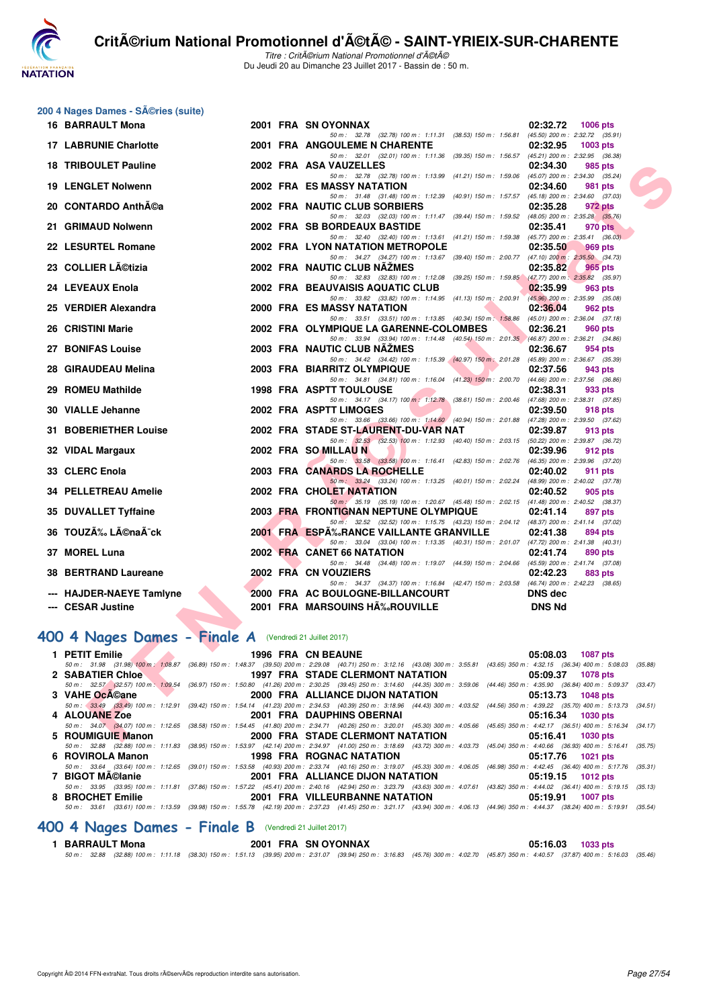

## **200 4 Nages Dames - Séries (suite)**

| 16 BARRAULT Mona                                              |  | 2001 FRA SN OYONNAX                                                                                                                                                                                                             | 02:32.72<br>1006 pts                                               |
|---------------------------------------------------------------|--|---------------------------------------------------------------------------------------------------------------------------------------------------------------------------------------------------------------------------------|--------------------------------------------------------------------|
| <b>17 LABRUNIE Charlotte</b>                                  |  | 50 m: 32.78 (32.78) 100 m: 1:11.31 (38.53) 150 m: 1:56.81<br><b>2001 FRA ANGOULEME N CHARENTE</b>                                                                                                                               | $(45.50)$ 200 m : 2:32.72 $(35.91)$<br>02:32.95<br><b>1003 pts</b> |
| <b>18 TRIBOULET Pauline</b>                                   |  | 50 m: 32.01 (32.01) 100 m: 1:11.36 (39.35) 150 m: 1:56.57 (45.21) 200 m: 2:32.95 (36.38)<br>2002 FRA ASA VAUZELLES                                                                                                              | 02:34.30<br>985 pts                                                |
| <b>19 LENGLET Nolwenn</b>                                     |  | 50 m: 32.78 (32.78) 100 m: 1:13.99 (41.21) 150 m: 1:59.06 (45.07) 200 m: 2:34.30 (35.24)<br>2002 FRA ES MASSY NATATION                                                                                                          | 02:34.60<br>981 pts                                                |
| 20 CONTARDO Anth©a                                            |  | 50 m: 31.48 (31.48) 100 m: 1:12.39 (40.91) 150 m: 1:57.57 (45.18) 200 m: 2:34.60 (37.03)<br>2002 FRA NAUTIC CLUB SORBIERS                                                                                                       | 02:35.28<br>972 pts                                                |
| 21 GRIMAUD Nolwenn                                            |  | 50 m: 32.03 (32.03) 100 m: 1:11.47 (39.44) 150 m: 1:59.52 (48.05) 200 m: 2:35.28 (35.76)<br>2002 FRA SB BORDEAUX BASTIDE                                                                                                        | 02:35.41<br>970 pts                                                |
| 22 LESURTEL Romane                                            |  | 50 m: 32.40 (32.40) 100 m: 1:13.61 (41.21) 150 m: 1:59.38<br><b>2002 FRA LYON NATATION METROPOLE</b>                                                                                                                            | $(45.77)$ 200 m : 2:35.41 $(36.03)$<br>02:35.50<br>969 pts         |
| 23 COLLIER Létizia                                            |  | 50 m: 34.27 (34.27) 100 m: 1:13.67 (39.40) 150 m: 2:00.77 (47.10) 200 m: 2:35.50 (34.73)<br>2002 FRA NAUTIC CLUB NAZMES                                                                                                         |                                                                    |
|                                                               |  | 50 m: 32.83 (32.83) 100 m: 1:12.08 (39.25) 150 m: 1:59.85                                                                                                                                                                       | 02:35.82<br>965 pts<br>$(47.77)$ 200 m : 2:35.82 $(35.97)$         |
| 24 LEVEAUX Enola                                              |  | 2002 FRA BEAUVAISIS AQUATIC CLUB<br>50 m: 33.82 (33.82) 100 m: 1:14.95 (41.13) 150 m: 2:00.91                                                                                                                                   | 02:35.99<br>963 pts<br>(45.96) 200 m : 2:35.99 (35.08)             |
| 25 VERDIER Alexandra                                          |  | 2000 FRA ES MASSY NATATION                                                                                                                                                                                                      | 02:36.04<br>962 pts                                                |
| 26 CRISTINI Marie                                             |  | 50 m: 33.51 (33.51) 100 m: 1:13.85 (40.34) 150 m: 1:58.86<br>2002 FRA OLYMPIQUE LA GARENNE-COLOMBES                                                                                                                             | $(45.01)$ 200 m : 2:36.04 $(37.18)$<br>02:36.21<br>960 pts         |
| 27 BONIFAS Louise                                             |  | 50 m: 33.94 (33.94) 100 m: 1:14.48 (40.54) 150 m: 2:01.35 (46.87) 200 m: 2:36.21 (34.86)<br>2003 FRA NAUTIC CLUB NAZMES                                                                                                         | 02:36.67<br>954 pts                                                |
|                                                               |  | 50 m: 34.42 (34.42) 100 m: 1:15.39 (40.97) 150 m: 2:01.28                                                                                                                                                                       | (45.89) 200 m : 2:36.67 (35.39)                                    |
| 28 GIRAUDEAU Melina                                           |  | 2003 FRA BIARRITZ OLYMPIQUE                                                                                                                                                                                                     | 02:37.56<br>943 pts                                                |
| 29 ROMEU Mathilde                                             |  | 50 m: 34.81 (34.81) 100 m: 1:16.04 (41.23) 150 m: 2:00.70<br><b>1998 FRA ASPTT TOULOUSE</b>                                                                                                                                     | $(44.66)$ 200 m : 2:37.56 $(36.86)$<br>02:38.31<br>933 pts         |
| 30 VIALLE Jehanne                                             |  | 50 m: 34.17 (34.17) 100 m: 1:12.78 (38.61) 150 m: 2:00.46 (47.68) 200 m: 2:38.31 (37.85)<br>2002 FRA ASPTT LIMOGES                                                                                                              | 02:39.50<br>918 pts                                                |
|                                                               |  | 50 m: 33.66 (33.66) 100 m: 1:14.60 (40.94) 150 m: 2:01.88                                                                                                                                                                       | (47.28) 200 m : 2:39.50 (37.62)                                    |
| <b>31 BOBERIETHER Louise</b>                                  |  | 2002 FRA STADE ST-LAURENT-DU-VAR NAT                                                                                                                                                                                            | 02:39.87<br>913 pts                                                |
| 32 VIDAL Margaux                                              |  | 50 m: 32.53 (32.53) 100 m: 1:12.93 (40.40) 150 m: 2:03.15 (50.22) 200 m: 2:39.87 (36.72)<br>2002 FRA SO MILLAU N                                                                                                                | 02:39.96<br>912 pts                                                |
| 33 CLERC Enola                                                |  | 50 m: 33.58 (33.58) 100 m: 1:16.41 (42.83) 150 m: 2:02.76<br>2003 FRA CANARDS LA ROCHELLE                                                                                                                                       | (46.35) 200 m : 2:39.96 (37.20)<br>02:40.02<br>911 pts             |
|                                                               |  | 50 m: 33.24 (33.24) 100 m: 1:13.25 (40.01) 150 m: 2:02.24 (48.99) 200 m: 2:40.02 (37.78)                                                                                                                                        |                                                                    |
| <b>34 PELLETREAU Amelie</b>                                   |  | 2002 FRA CHOLET NATATION                                                                                                                                                                                                        | 02:40.52<br>905 pts                                                |
| 35 DUVALLET Tyffaine                                          |  | 50 m: 35.19 (35.19) 100 m: 1:20.67 (45.48) 150 m: 2:02.15 (41.48) 200 m: 2:40.52 (38.37)<br>2003 FRA FRONTIGNAN NEPTUNE OLYMPIQUE                                                                                               | 02:41.14<br>897 pts                                                |
| 36 TOUZÉ LénaÃ <sup>-</sup> ck                                |  | 50 m: 32.52 (32.52) 100 m: 1:15.75 (43.23) 150 m: 2:04.12 (48.37) 200 m: 2:41.14 (37.02)                                                                                                                                        |                                                                    |
|                                                               |  | 2001 FRA ESPĉRANCE VAILLANTE GRANVILLE<br>50 m: 33.04 (33.04) 100 m: 1:13.35 (40.31) 150 m: 2:01.07                                                                                                                             | 02:41.38<br>894 pts<br>(47.72) 200 m : 2:41.38 (40.31)             |
| 37 MOREL Luna                                                 |  | 2002 FRA CANET 66 NATATION                                                                                                                                                                                                      | 02:41.74<br>890 pts                                                |
| 38 BERTRAND Laureane                                          |  | 50 m: 34.48 (34.48) 100 m: 1:19.07 (44.59) 150 m: 2:04.66 (45.59) 200 m: 2:41.74 (37.08)<br>2002 FRA CN VOUZIERS                                                                                                                | 02:42.23<br>883 pts                                                |
|                                                               |  | 50 m: 34.37 (34.37) 100 m: 1:16.84 (42.47) 150 m: 2:03.58 (46.74) 200 m: 2:42.23 (38.65)                                                                                                                                        |                                                                    |
| --- HAJDER-NAEYE Tamlyne                                      |  | 2000 FRA AC BOULOGNE-BILLANCOURT                                                                                                                                                                                                | DNS dec                                                            |
| --- CESAR Justine                                             |  | 2001 FRA MARSOUINS HA‰ROUVILLE                                                                                                                                                                                                  | <b>DNS Nd</b>                                                      |
|                                                               |  |                                                                                                                                                                                                                                 |                                                                    |
| <b>00 4 Nages Dames - Finale A</b> (Vendredi 21 Juillet 2017) |  |                                                                                                                                                                                                                                 |                                                                    |
| 1 PETIT Emilie                                                |  | 1996 FRA CN BEAUNE                                                                                                                                                                                                              | 05:08.03<br><b>1087 pts</b>                                        |
| 2 SABATIER Chloe                                              |  | 50 m: 31.98 (31.98) 100 m: 1:08.87 (36.89) 150 m: 1:48.37 (39.50) 200 m: 2:29.08 (40.71) 250 m: 3:12.16 (43.08) 300 m: 3:55.81 (43.65) 350 m: 4:32.15 (36.34) 400 m: 5:08.03 (35.88)<br><b>1997 FRA STADE CLERMONT NATATION</b> | 05:09.37<br>1078 pts                                               |
|                                                               |  | 50 m: 32.57 (32.57) 100 m: 1:09.54 (36.97) 150 m: 1:50.80 (41.26) 200 m: 2:30.25 (39.45) 250 m: 3:14.60 (44.35) 300 m: 3:59.06 (44.46) 350 m: 4:35.90 (36.84) 400 m: 5:09.37                                                    | (33.47)                                                            |
| 3 VAHE OcA©ane                                                |  | 2000 FRA ALLIANCE DIJON NATATION                                                                                                                                                                                                | 05:13.73<br><b>1048 pts</b>                                        |
| <b>ALOUANE Zoe</b>                                            |  | 50 m: 33.49 (33.49) 100 m: 1:12.91 (39.42) 150 m: 1:54.14 (41.23) 200 m: 2:34.53 (40.39) 250 m: 3:18.96 (44.43) 300 m: 4:03.52 (44.56) 350 m: 4:39.22 (35.70) 400 m: 5:13.73 (34.51)<br>2001 FRA DAUPHINS OBERNAI               | 05:16.34<br><b>1030 pts</b>                                        |
|                                                               |  | 50 m: 34.07 (34.07) 100 m: 1:12.65 (38.58) 150 m: 1:54.45 (41.80) 200 m: 2:34.71 (40.26) 250 m: 3:20.01 (45.30) 300 m: 4:05.66 (45.65) 350 m: 4:42.17 (36.51) 400 m: 5:16.34 (34.17)                                            |                                                                    |
| 5 ROUMIGUIE Manon                                             |  | <b>2000 FRA STADE CLERMONT NATATION</b>                                                                                                                                                                                         | 05:16.41<br>1030 pts                                               |

## **[400 4 Nages Dames - Finale A](http://www.ffnatation.fr/webffn/resultats.php?idact=nat&go=epr&idcpt=47489&idepr=42)** (Vendredi 21 Juillet 2017)

| 1 PETIT Emilie    | 1996 FRA CN BEAUNE                                                                                                                                                                   | 05:08.03 1087 pts    |
|-------------------|--------------------------------------------------------------------------------------------------------------------------------------------------------------------------------------|----------------------|
|                   | 50 m: 31.98 (31.98) 100 m: 1:08.87 (36.89) 150 m: 1:48.37 (39.50) 200 m: 2:29.08 (40.71) 250 m: 3:12.16 (43.08) 300 m: 3:55.81 (43.65) 350 m: 4:32.15 (36.34) 400 m: 5:08.03 (35.88) |                      |
| 2 SABATIER Chloe  | 1997 FRA STADE CLERMONT NATATION                                                                                                                                                     | 05:09.37 1078 pts    |
|                   | 50 m: 32.57 (32.57) 100 m: 1:09.54 (36.97) 150 m: 1:50.80 (41.26) 200 m: 2:30.25 (39.45) 250 m: 3:14.60 (44.35) 300 m: 3:59.06 (44.46) 350 m: 4:35.90 (36.84) 400 m: 5:09.37 (33.47) |                      |
| 3 VAHE OcA©ane    | 2000 FRA ALLIANCE DIJON NATATION                                                                                                                                                     | 05:13.73 1048 pts    |
|                   | 50 m: 33.49 (33.49) 100 m: 1:12.91 (39.42) 150 m: 1:54.14 (41.23) 200 m: 2:34.53 (40.39) 250 m: 3:18.96 (44.43) 300 m: 4:03.52 (44.56) 350 m: 4:39.22 (35.70) 400 m: 5:13.73 (34.51) |                      |
| 4 ALOUANE Zoe     | 2001 FRA DAUPHINS OBERNAI                                                                                                                                                            | 05:16.34 1030 pts    |
|                   | 50 m: 34.07 (34.07) 100 m: 1:12.65 (38.58) 150 m: 1:54.45 (41.80) 200 m: 2:34.71 (40.26) 250 m: 3:20.01 (45.30) 300 m: 4:05.66 (45.65) 350 m: 4:42.17 (36.51) 400 m: 5:16.34 (34.17) |                      |
|                   |                                                                                                                                                                                      |                      |
| 5 ROUMIGUIE Manon | 2000 FRA STADE CLERMONT NATATION                                                                                                                                                     | 05:16.41 1030 pts    |
|                   | 50 m: 32.88 (32.88) 100 m: 1:11.83 (38.95) 150 m: 1:53.97 (42.14) 200 m: 2:34.97 (41.00) 250 m: 3:18.69 (43.72) 300 m: 4:03.73 (45.04) 350 m: 4:40.66 (36.93) 400 m: 5:16.41 (35.75) |                      |
| 6 ROVIROLA Manon  | 1998 FRA ROGNAC NATATION                                                                                                                                                             | 05:17.76 1021 pts    |
|                   | 50 m: 33.64 (33.64) 100 m: 1:12.65 (39.01) 150 m: 1:53.58 (40.93) 200 m: 2:33.74 (40.16) 250 m: 3:19.07 (45.33) 300 m: 4:06.05 (46.98) 350 m: 4:42.45 (36.40) 400 m: 5:17.76 (35.31) |                      |
| 7 BIGOT MA©lanie  | 2001 FRA ALLIANCE DIJON NATATION                                                                                                                                                     | 05:19.15 1012 pts    |
|                   | 50 m: 33.95 (33.95) 100 m: 1:11.81 (37.86) 150 m: 1:57.22 (45.41) 200 m: 2:40.16 (42.94) 250 m: 3:23.79 (43.63) 300 m: 4:07.61 (43.82) 350 m: 4:44.02 (36.41) 400 m: 5:19.15 (35.13) |                      |
| 8 BROCHET Emilie  | 2001 FRA VILLEURBANNE NATATION                                                                                                                                                       | 05:19.91<br>1007 pts |

#### **[400 4 Nages Dames - Finale B](http://www.ffnatation.fr/webffn/resultats.php?idact=nat&go=epr&idcpt=47489&idepr=42)** (Vendredi 21 Juillet 2017)

**1 BARRAULT Mona 2001 FRA SN OYONNAX 05:16.03 1033 pts**

50 m : 32.88 (32.88) 100 m : 1:11.18 (38.30) 150 m : 1:51.13 (39.95) 200 m : 2:31.07 (39.94) 250 m : 3:16.83 (45.76) 300 m : 4:02.70 (45.87) 350 m : 4:40.57 (37.87) 400 m : 5:16.03 (35.46)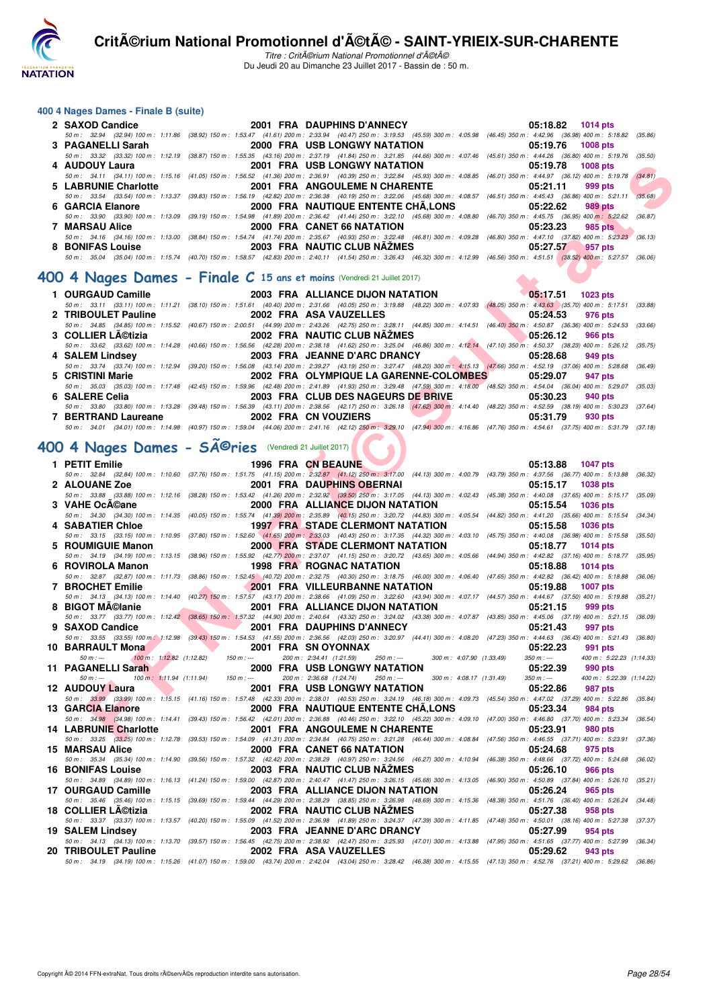

Titre : CritA©rium National Promotionnel d'A©tA© Du Jeudi 20 au Dimanche 23 Juillet 2017 - Bassin de : 50 m.

#### **400 4 Nages Dames - Finale B (suite)**

| 2 SAXOD Candice                      |                                                                         | 2001 FRA DAUPHINS D'ANNECY   | 05:18.82 1014 pts                                                                                                                                                                            |
|--------------------------------------|-------------------------------------------------------------------------|------------------------------|----------------------------------------------------------------------------------------------------------------------------------------------------------------------------------------------|
|                                      |                                                                         |                              | 50 m : 32.94 (32.94) 100 m : 1:11.86 (38.92) 150 m : 1:53.47 (41.61) 200 m : 2:33.94 (40.47) 250 m : 3:19.53 (45.59) 300 m : 4:05.98 (46.45) 350 m : 4:42.96 (36.98) 400 m : 5:18.82 (35.98) |
|                                      |                                                                         |                              | 05:19.76<br>1008 pts                                                                                                                                                                         |
|                                      |                                                                         |                              | 50 m: 33.32 (33.32) 100 m: 1:12.19 (38.87) 150 m: 1:55.35 (43.16) 200 m: 2:37.19 (41.84) 250 m: 3:21.85 (44.66) 300 m: 4:07.46 (45.61) 350 m: 4:44.26 (36.80) 400 m: 5:19.76 (35.50)         |
| 4 AUDOUY Laura                       |                                                                         | 2001 FRA USB LONGWY NATATION | 05:19.78<br>1008 pts                                                                                                                                                                         |
|                                      |                                                                         |                              | 50 m: 34.11 (34.11) 100 m: 1:15.16 (41.05) 150 m: 1:56.52 (41.36) 200 m: 2:36.91 (40.39) 250 m: 3:22.84 (45.93) 300 m: 4:08.85 (46.01) 350 m: 4:44.97 (36.12) 400 m: 5:19.78 (34.81)         |
|                                      |                                                                         |                              | 05:21.11<br>999 pts                                                                                                                                                                          |
|                                      |                                                                         |                              | 50 m: 33.54 (33.54) 100 m: 1:13.37 (39.83) 150 m: 1:56.19 (42.82) 200 m: 2:36.38 (40.19) 250 m: 3:22.06 (45.68) 300 m: 4:08.57 (46.51) 350 m: 4:45.43 (36.86) 400 m: 5:21.11<br>(35.68)      |
| 6 GARCIA Elanore                     |                                                                         |                              | 989 pts                                                                                                                                                                                      |
| 50 m : 33.90 (33.90) 100 m : 1:13.09 |                                                                         |                              | (39.19) 150 m : 1:54.98 (41.89) 200 m : 2:36.42 (41.44) 250 m : 3:22.10 (45.68) 300 m : 4:08.80 (46.70) 350 m : 4:45.75 (36.95) 400 m : 5:22.62<br>(36.87)                                   |
| <b>7 MARSAU Alice</b>                |                                                                         | 2000 FRA CANET 66 NATATION   | 05:23.23<br>985 pts                                                                                                                                                                          |
|                                      |                                                                         |                              | 50 m: 34.16 (34.16) 100 m: 1:13.00 (38.84) 150 m: 1:54.74 (41.74) 200 m: 2:35.67 (40.93) 250 m: 3:22.48 (46.81) 300 m: 4:09.28 (46.80) 350 m: 4:47.10 (37.82) 400 m: 5:23.23 (36.13)         |
| 8 BONIFAS Louise                     |                                                                         | 2003 FRA NAUTIC CLUB NAZMES  | 05:27.57<br>1957 pts                                                                                                                                                                         |
|                                      |                                                                         |                              | 50 m: 35.04 (35.04) 100 m: 1:15.74 (40.70) 150 m: 1:58.57 (42.83) 200 m: 2:40.11 (41.54) 250 m: 3:26.43 (46.32) 300 m: 4:12.99 (46.56) 350 m: 4:51.51 (38.52) 400 m: 5:27.57<br>(36.06)      |
|                                      |                                                                         |                              |                                                                                                                                                                                              |
|                                      | 400 4 Nages Dames - Finale C 15 ans et moins (Vendredi 21 Juillet 2017) |                              |                                                                                                                                                                                              |

| 1 OURGAUD Camille   | 2003 FRA ALLIANCE DIJON NATATION                                                                                                                                                             | $05:17.51$ 1023 pts         |
|---------------------|----------------------------------------------------------------------------------------------------------------------------------------------------------------------------------------------|-----------------------------|
|                     | 50 m: 33.11 (33.11) 100 m: 1:11.21 (38.10) 150 m: 1:51.61 (40.40) 200 m: 2:31.66 (40.05) 250 m: 3:19.88 (48.22) 300 m: 4:07.93 (48.05) 350 m: 4:43.63 (35.70) 400 m: 5:17.51 (33.88)         |                             |
| 2 TRIBOULET Pauline | 2002 FRA ASA VAUZELLES                                                                                                                                                                       | 05:24.53 976 pts            |
|                     | 50 m: 34.85 (34.85) 100 m: 1:15.52 (40.67) 150 m: 2:00.51 (44.99) 200 m: 2:43.26 (42.75) 250 m: 3:28.11 (44.85) 300 m: 4:14.51 (46.40) 350 m: 4:50.87 (36.36) 400 m: 5:24.53 (33.66)         |                             |
| 3 COLLIER LA©tizia  | 2002 FRA NAUTIC CLUB NAZMES                                                                                                                                                                  | $\bigcirc$ 05:26.12 966 pts |
|                     | 50 m: 33.62 (33.62) 100 m: 1:14.28 (40.66) 150 m: 1:56.56 (42.28) 200 m: 2:38.18 (41.62) 250 m: 3:25.04 (46.86) 300 m: 4:12.14 (47.10) 350 m: 4:50.37 (38.23) 400 m: 5:26.12 (35.75)         |                             |
| 4 SALEM Lindsey     | 2003 FRA JEANNE D'ARC DRANCY                                                                                                                                                                 | 05:28.68 949 pts            |
|                     | 50 m: 33.74 (33.74) 100 m: 1:12.94 (39.20) 150 m: 1:56.08 (43.14) 200 m: 2:39.27 (43.19) 250 m: 3:27.47 (48.20) 300 m: 4:15.13 (47.66) 350 m: 4:52.19 (37.06) 400 m: 5:28.68 (36.49)         |                             |
| 5 CRISTINI Marie    | 2002 FRA OLYMPIQUE LA GARENNE-COLOMBES 05:29.07 947 pts                                                                                                                                      |                             |
|                     | 50 m : 35.03 (35.03) 100 m : 1:17.48 (42.45) 150 m : 1:59.96 (42.48) 200 m : 2:41.89 (41.93) 250 m : 3:29.48 (47.59) 300 m : 4:18.00 (48.52) 350 m : 4:54.04 (36.04) 400 m : 5:29.07 (35.03) |                             |
| 6 SALERE Celia      | 2003 FRA CLUB DES NAGEURS DE BRIVE                                                                                                                                                           | 05:30.23 940 pts            |
|                     | 50 m: 33.80 (33.80) 100 m: 1:13.28 (39.48) 150 m: 1:56.39 (43.11) 200 m: 2:38.56 (42.17) 250 m: 3:26.18 (47.62) 300 m: 4:14.40 (48.22) 350 m: 4:52.59 (38.19) 400 m: 5:30.23 (37.64)         |                             |
|                     | 7 BERTRAND Laureane 2002 FRA CN VOUZIERS                                                                                                                                                     | 05:31.79<br>930 pts         |
|                     | 50 m: 34.01 (34.01) 100 m: 1:14.98 (40.97) 150 m: 1:59.04 (44.06) 200 m: 2:41.16 (42.12) 250 m: 3:29.10 (47.94) 300 m: 4:16.86 (47.76) 350 m: 4:54.61 (37.75) 400 m: 5:31.79 (37.18)         |                             |

# 400 4 Nages Dames - SÃ<sup>©</sup>ries (Vendredi 21 Juillet 2017)

| 4 AUDOUY Laura                                                     |                                                                                                                                                                                                                                                                                                                                                                                           | 2001 FRA USB LONGWY NATATION                                                                                                                                                                                                         | 05:19.78<br>1008 pts                                           |         |
|--------------------------------------------------------------------|-------------------------------------------------------------------------------------------------------------------------------------------------------------------------------------------------------------------------------------------------------------------------------------------------------------------------------------------------------------------------------------------|--------------------------------------------------------------------------------------------------------------------------------------------------------------------------------------------------------------------------------------|----------------------------------------------------------------|---------|
| 5 LABRUNIE Charlotte                                               |                                                                                                                                                                                                                                                                                                                                                                                           | 50 m: 34.11 (34.11) 100 m: 1:15.16 (41.05) 150 m: 1:56.52 (41.36) 200 m: 2:36.91 (40.39) 250 m: 3:22.84 (45.93) 300 m: 4:08.85 (46.01) 350 m: 4:44.97 (36.12) 400 m: 5:19.78<br>2001 FRA ANGOULEME N CHARENTE                        | 05:21.11<br>999 pts                                            | (34.81) |
|                                                                    |                                                                                                                                                                                                                                                                                                                                                                                           | 50 m: 33.54 (33.54) 100 m: 1:13.37 (39.83) 150 m: 1:56.19 (42.82) 200 m: 2:36.38 (40.19) 250 m: 3:22.06 (45.68) 300 m: 4:08.57 (46.51) 350 m: 4:45.43 (36.86) 400 m: 5:21.11                                                         |                                                                | (35.68) |
| 6 GARCIA Elanore                                                   |                                                                                                                                                                                                                                                                                                                                                                                           | 2000 FRA NAUTIQUE ENTENTE CHA,LONS<br>50 m : 33.90 (33.90) 100 m : 1:13.09 (39.19) 150 m : 1:54.98 (41.89) 200 m : 2:36.42 (41.44) 250 m : 3:22.10 (45.68) 300 m : 4:08.80 (46.70) 350 m : 4:45.75 (36.95) 400 m : 5:22.62 (36.87)   | 05:22.62<br>989 pts                                            |         |
| 7 MARSAU Alice                                                     |                                                                                                                                                                                                                                                                                                                                                                                           | 2000 FRA CANET 66 NATATION                                                                                                                                                                                                           | 05:23.23<br>985 pts                                            |         |
|                                                                    |                                                                                                                                                                                                                                                                                                                                                                                           | 50 m: 34.16 (34.16) 100 m: 1:13.00 (38.84) 150 m: 1:54.74 (41.74) 200 m: 2:35.67 (40.93) 250 m: 3:22.48 (46.81) 300 m: 4:09.28 (46.80) 350 m: 4:47.10 (37.82) 400 m: 5:23.23 (36.13)                                                 |                                                                |         |
| 8 BONIFAS Louise <b>BILES</b>                                      |                                                                                                                                                                                                                                                                                                                                                                                           | 2003 FRA NAUTIC CLUB NAZMES<br>50 m: 35.04 (35.04) 100 m: 1:15.74 (40.70) 150 m: 1:58.57 (42.83) 200 m: 2:40.11 (41.54) 250 m: 3:26.43 (46.32) 300 m: 4:12.99 (46.56) 350 m: 4:51.51 (38.52) 400 m: 5:27.57 (36.06)                  | 05:27.57<br>957 pts                                            |         |
|                                                                    |                                                                                                                                                                                                                                                                                                                                                                                           |                                                                                                                                                                                                                                      |                                                                |         |
|                                                                    |                                                                                                                                                                                                                                                                                                                                                                                           | 00 4 Nages Dames - Finale C 15 ans et moins (Vendredi 21 Juillet 2017)                                                                                                                                                               |                                                                |         |
| 1 OURGAUD Camille                                                  |                                                                                                                                                                                                                                                                                                                                                                                           | 2003 FRA ALLIANCE DIJON NATATION                                                                                                                                                                                                     | 05:17.51<br><b>1023 pts</b>                                    |         |
|                                                                    |                                                                                                                                                                                                                                                                                                                                                                                           | 50 m: 33.11 (33.11) 100 m: 1:11.21 (38.10) 150 m: 1:51.61 (40.40) 200 m: 2:31.66 (40.05) 250 m: 3:19.88 (48.22) 300 m: 4:07.93 (48.05) 350 m: 4:43.63 (35.70) 400 m: 5:17.51 (33.88)                                                 | 976 pts                                                        |         |
| 2 TRIBOULET Pauline                                                |                                                                                                                                                                                                                                                                                                                                                                                           | 2002 FRA ASA VAUZELLES<br>50 m: 34.85 (34.85) 100 m: 1:15.52 (40.67) 150 m: 2:00.51 (44.99) 200 m: 2:43.26 (42.75) 250 m: 3:28.11 (44.85) 300 m: 4:14.51 (46.40) 350 m: 4:50.87 (36.36) 400 m: 5:24.53 (33.66)                       | 05:24.53                                                       |         |
| 3 COLLIER LA©tizia                                                 |                                                                                                                                                                                                                                                                                                                                                                                           | 2002 FRA NAUTIC CLUB NÃŽMES                                                                                                                                                                                                          | 05:26.12<br>966 pts                                            |         |
|                                                                    |                                                                                                                                                                                                                                                                                                                                                                                           | 50 m: 33.62 (33.62) 100 m: 1:14.28 (40.66) 150 m: 1:56.56 (42.28) 200 m: 2:38.18 (41.62) 250 m: 3:25.04 (46.86) 300 m: 4:12.14 (47.10) 350 m: 4:50.37 (38.23) 400 m: 5:26.12 (35.75)                                                 |                                                                |         |
| 4 SALEM Lindsey                                                    |                                                                                                                                                                                                                                                                                                                                                                                           | 2003 FRA JEANNE D'ARC DRANCY<br>50 m: 33.74 (33.74) 100 m: 1:12.94 (39.20) 150 m: 1:56.08 (43.14) 200 m: 2:39.27 (43.19) 250 m: 327.47 (48.20) 300 m: 4:15.13 (47.66) 350 m: 4:52.19 (37.06) 400 m: 5:28.68 (36.49)                  | 05:28.68<br>949 pts                                            |         |
| 5 CRISTINI Marie                                                   |                                                                                                                                                                                                                                                                                                                                                                                           | 2002 FRA OLYMPIQUE LA GARENNE-COLOMBES                                                                                                                                                                                               | 05:29.07<br>947 pts                                            |         |
|                                                                    |                                                                                                                                                                                                                                                                                                                                                                                           | 50 m : 35.03 (35.03) 100 m : 1:17.48 (42.45) 150 m : 1:59.96 (42.48) 200 m : 2:41.89 (41.93) 250 m : 329.48 (47.59) 300 m : 4:18.00 (48.52) 350 m : 4:54.04 (36.04) 400 m : 5:29.07 (35.03)<br>2003 FRA CLUB DES NAGEURS DE BRIVE    | 05:30.23<br>940 pts                                            |         |
| 6 SALERE Celia                                                     |                                                                                                                                                                                                                                                                                                                                                                                           | 50 m : 33.80 (33.80) 100 m : 1:13.28 (39.48) 150 m : 1:56.39 (43.11) 200 m : 2:38.56 (42.17) 250 m : 3:26.18 (47.62) 300 m : 4:14.40 (48.22) 350 m : 4:52.59 (38.19) 400 m : 5:30.23 (37.64)                                         |                                                                |         |
| 7 BERTRAND Laureane                                                |                                                                                                                                                                                                                                                                                                                                                                                           | 2002 FRA CN VOUZIERS                                                                                                                                                                                                                 | 05:31.79<br>930 pts                                            |         |
|                                                                    |                                                                                                                                                                                                                                                                                                                                                                                           | 50 m: 34.01 (34.01) 100 m: 1:14.98 (40.97) 150 m: 1:59.04 (44.06) 200 m: 2:41.16 (42.12) 250 m: 3:29.10 (47.94) 300 m: 4:16.86 (47.76) 350 m: 4:54.61 (37.75) 400 m: 5:31.79 (37.18)                                                 |                                                                |         |
| 00 4 Nages Dames - SÃ <sup>©</sup> ries (Vendredi 21 Juillet 2017) |                                                                                                                                                                                                                                                                                                                                                                                           |                                                                                                                                                                                                                                      |                                                                |         |
| 1 PETIT Emilie                                                     |                                                                                                                                                                                                                                                                                                                                                                                           | 1996 FRA CN BEAUNE                                                                                                                                                                                                                   | 05:13.88 1047 pts                                              |         |
|                                                                    |                                                                                                                                                                                                                                                                                                                                                                                           | 50 m: 32.84 (32.84) 100 m: 1:10.60 (37.76) 150 m: 1:51.75 (41.15) 200 m: 2:32.87 (41.12) 250 m: 3:17.00 (44.13) 300 m: 4:00.79 (43.79) 350 m: 4:37.56 (36.77) 400 m: 5:13.88 (36.32)                                                 |                                                                |         |
| <b>2 ALOUANE Zoe</b>                                               |                                                                                                                                                                                                                                                                                                                                                                                           | 2001 FRA DAUPHINS OBERNAI                                                                                                                                                                                                            | 05:15.17 1038 pts                                              |         |
| 3 VAHE OcA©ane                                                     |                                                                                                                                                                                                                                                                                                                                                                                           | 50 m: 33.88 (33.88) 100 m: 1:12.16 (38.28) 150 m: 1:53.42 (41.26) 200 m: 2:32.92 (39.50) 250 m: 3:17.05 (44.13) 300 m: 4:02.43 (45.38) 350 m: 4:40.08 (37.65) 400 m: 5:15.17 (35.09)<br>2000 FRA ALLIANCE DIJON NATATION             | 05:15.54<br>1036 pts                                           |         |
|                                                                    |                                                                                                                                                                                                                                                                                                                                                                                           | 50 m: 34.30 (34.30) 100 m: 1:14.35 (40.05) 150 m: 1:55.74 (41.39) 200 m: 2:35.89 (40.15) 250 m: 3:20.72 (44.83) 300 m: 4:05.54 (44.82) 350 m: 4:41.20 (35.66) 400 m: 5:15.54 (34.34)                                                 |                                                                |         |
| <b>4 SABATIER Chloe</b>                                            |                                                                                                                                                                                                                                                                                                                                                                                           | <b>1997 FRA STADE CLERMONT NATATION</b>                                                                                                                                                                                              | 05:15.58<br>1036 pts                                           |         |
| 5 ROUMIGUIE Manon                                                  |                                                                                                                                                                                                                                                                                                                                                                                           | 50 m: 33.15 (33.15) 100 m: 1:10.95 (37.80) 150 m: 1:52.60 (41.65) 200 m: 2:33.03 (40.43) 250 m: 3:17.35 (44.32) 300 m: 4:03.10 (45.75) 350 m: 4:40.08 (36.98) 400 m: 5:15.58 (35.50)<br><b>2000 FRA STADE CLERMONT NATATION</b>      | 05:18.77<br><b>1014 pts</b>                                    |         |
|                                                                    |                                                                                                                                                                                                                                                                                                                                                                                           | 50 m: 34.19 (34.19) 100 m: 1:13.15 (38.96) 150 m: 1:55.92 (42.77) 200 m: 2:37.07 (41.15) 250 m: 3:20.72 (43.65) 300 m: 4:05.66 (44.94) 350 m: 4:42.82 (37.16) 400 m: 5:18.77 (35.95)                                                 |                                                                |         |
| 6 ROVIROLA Manon                                                   |                                                                                                                                                                                                                                                                                                                                                                                           | <b>1998 FRA ROGNAC NATATION</b>                                                                                                                                                                                                      | 05:18.88<br><b>1014 pts</b>                                    |         |
| 7 BROCHET Emilie                                                   |                                                                                                                                                                                                                                                                                                                                                                                           | 50 m : 32.87 (32.87) 100 m : 1:11.73 (38.86) 150 m : 1:52.45 (40.72) 200 m : 2:32.75 (40.30) 250 m : 318.75 (46.00) 300 m : 4:06.40 (47.65) 350 m : 4:42.82 (36.42) 400 m : 5:18.88 (36.06)<br><b>2001 FRA VILLEURBANNE NATATION</b> | 05:19.88<br><b>1007 pts</b>                                    |         |
|                                                                    |                                                                                                                                                                                                                                                                                                                                                                                           | 50 m: 34.13 (34.13) 100 m: 1:14.40 (40.27) 150 m: 1:57.57 (43.17) 200 m: 2:38.66 (41.09) 250 m: 3:22.60 (43.94) 300 m: 4:07.17 (44.57) 350 m: 4:44.67 (37.50) 400 m: 5:19.88 (35.21)                                                 |                                                                |         |
| 8 BIGOT MA©lanie                                                   | <b>The Second Service</b><br>$\label{eq:2.1} \frac{1}{2} \sum_{i=1}^n \frac{1}{2} \sum_{j=1}^n \frac{1}{2} \sum_{j=1}^n \frac{1}{2} \sum_{j=1}^n \frac{1}{2} \sum_{j=1}^n \frac{1}{2} \sum_{j=1}^n \frac{1}{2} \sum_{j=1}^n \frac{1}{2} \sum_{j=1}^n \frac{1}{2} \sum_{j=1}^n \frac{1}{2} \sum_{j=1}^n \frac{1}{2} \sum_{j=1}^n \frac{1}{2} \sum_{j=1}^n \frac{1}{2} \sum_{j=1}^n \frac{$ | 2001 FRA ALLIANCE DIJON NATATION                                                                                                                                                                                                     | 05:21.15<br>999 pts                                            |         |
| 9 SAXOD Candice                                                    | <u>the contract of the contract of the contract of the contract of the contract of the contract of the contract of the contract of the contract of the contract of the contract of the contract of the contract of the contract </u>                                                                                                                                                      | 50 m : 33.77 (33.77) 100 m : 1:12.42 (38.65) 150 m : 1:57.32 (44.90) 200 m : 2:40.64 (43.32) 250 m : 3:24.02 (43.38) 300 m : 4:07.87 (43.85) 350 m : 4:45.06 (37.19) 400 m : 5:21.15 (36.09)<br>2001 FRA DAUPHINS D'ANNECY           | 05:21.43<br>997 pts                                            |         |
|                                                                    |                                                                                                                                                                                                                                                                                                                                                                                           | 50 m: 33.55 (33.55) 100 m: 1:12.98 (39.43) 150 m: 1:54.53 (41.55) 200 m: 2:36.56 (42.03) 250 m: 3:20.97 (44.41) 300 m: 4:08.20 (47.23) 350 m: 4:44.63 (36.43) 400 m: 5:21.43 (36.80)                                                 |                                                                |         |
| 10 BARRAULT Mona                                                   |                                                                                                                                                                                                                                                                                                                                                                                           | 2001 FRA SN OYONNAX                                                                                                                                                                                                                  | 05:22.23<br>991 pts                                            |         |
| $50 m: -$<br>11 PAGANELLI Sarah                                    | $100 \text{ m}$ : 1:12.82 (1:12.82) 150 m :--                                                                                                                                                                                                                                                                                                                                             | 200 m: 2:34.41 (1:21.59)<br>$250 m : -$<br>300 m: 4:07.90 (1:33.49)<br>2000 FRA USB LONGWY NATATION                                                                                                                                  | $350 m : -$<br>400 m: 5:22.23 (1:14.33)<br>05:22.39<br>990 pts |         |
| $50 m : -$                                                         | 100 m: 1:11.94 (1:11.94) 150 m: --- 200 m: 2:36.68 (1:24.74) 250 m: ---                                                                                                                                                                                                                                                                                                                   | 300 m : 4:08.17 (1:31.49)                                                                                                                                                                                                            | $350 m : -$<br>400 m: 5:22.39 (1:14.22)                        |         |
| 12 AUDOUY Laura                                                    |                                                                                                                                                                                                                                                                                                                                                                                           | 2001 FRA USB LONGWY NATATION                                                                                                                                                                                                         | 05:22.86<br>987 pts                                            |         |
| 13 GARCIA Elanore                                                  |                                                                                                                                                                                                                                                                                                                                                                                           | 50 m : 33.99 (33.99) 100 m : 1:15.15 (41.16) 150 m : 1:57.48 (42.33) 200 m : 2:38.01 (40.53) 250 m : 3:24.19 (46.18) 300 m : 4:09.73 (45.54) 350 m : 4:47.02 (37.29) 400 m : 5:22.86 (35.84)<br>2000 FRA NAUTIQUE ENTENTE CHÂ.LONS   | 05:23.34<br>984 pts                                            |         |
|                                                                    |                                                                                                                                                                                                                                                                                                                                                                                           | 50 m: 34.98 (34.98) 100 m: 1:14.41 (39.43) 150 m: 1:56.42 (42.01) 200 m: 2:36.88 (40.46) 250 m: 3:22.10 (45.22) 300 m: 4:09.10 (47.00) 350 m: 4:46.80 (37.70) 400 m: 5:23.34 (36.54)                                                 |                                                                |         |
| 14 LABRUNIE Charlotte                                              |                                                                                                                                                                                                                                                                                                                                                                                           | 2001 FRA ANGOULEME N CHARENTE                                                                                                                                                                                                        | 05:23.91<br><b>980 pts</b>                                     |         |
| 15 MARSAU Alice                                                    |                                                                                                                                                                                                                                                                                                                                                                                           | 50 m: 33.25 (33,25) 100 m: 1:12.78 (39.53) 150 m: 1:54.09 (41.31) 200 m: 2:34.84 (40.75) 250 m: 3:21.28 (46.44) 300 m: 4:08.84 (47.56) 350 m: 4:46.55 (37.71) 400 m: 5:23.91 (37.36)<br>2000 FRA CANET 66 NATATION                   | 05:24.68<br>975 pts                                            |         |
|                                                                    |                                                                                                                                                                                                                                                                                                                                                                                           | 50 m: 35.34 (35.34) 100 m: 1:14.90 (39.56) 150 m: 1:57.32 (42.42) 200 m: 2:38.29 (40.97) 250 m: 3:24.56 (46.27) 300 m: 4:10.94 (46.38) 350 m: 4:48.66 (37.72) 400 m: 5:24.68 (36.02)                                                 |                                                                |         |
| <b>16 BONIFAS Louise</b>                                           |                                                                                                                                                                                                                                                                                                                                                                                           | 2003 FRA NAUTIC CLUB NAZMES                                                                                                                                                                                                          | 05:26.10<br>966 pts                                            |         |
| 17 OURGAUD Camille                                                 |                                                                                                                                                                                                                                                                                                                                                                                           | 50 m: 34.89 (34.89) 100 m: 1:16.13 (41.24) 150 m: 1:59.00 (42.87) 200 m: 2:40.47 (41.47) 250 m: 326.15 (45.68) 300 m: 4:13.05 (46.90) 350 m: 4:50.89 (37.84) 400 m: 5:26.10 (35.21)<br>2003 FRA ALLIANCE DIJON NATATION              | 05:26.24<br>965 pts                                            |         |
|                                                                    |                                                                                                                                                                                                                                                                                                                                                                                           | 50 m: 35.46 (35.46) 100 m: 1:15.15 (39.69) 150 m: 1:59.44 (44.29) 200 m: 2:38.29 (38.85) 250 m: 3:26.98 (48.69) 300 m: 4:15.36 (48.38) 350 m: 4:51.76 (36.40) 400 m: 5:26.24 (34.48)                                                 |                                                                |         |
| 18 COLLIER LA©tizia                                                |                                                                                                                                                                                                                                                                                                                                                                                           | 2002 FRA NAUTIC CLUB NAZMES                                                                                                                                                                                                          | 05:27.38<br>958 pts                                            |         |
| <b>19 SALEM Lindsev</b>                                            |                                                                                                                                                                                                                                                                                                                                                                                           | 50 m: 33.37 (33.37) 100 m: 1:13.57 (40.20) 150 m: 1:55.09 (41.52) 200 m: 2:36.98 (41.89) 250 m: 3:24.37 (47.39) 300 m: 4:11.85 (47.48) 350 m: 4:50.01 (38.16) 400 m: 5:27.38<br>2003 FRA JEANNE D'ARC DRANCY                         | 05:27.99<br>954 pts                                            | (37.37) |
|                                                                    |                                                                                                                                                                                                                                                                                                                                                                                           | 50 m: 34.13 (34.13) 100 m: 1:13.70 (39.57) 150 m: 1:56.45 (42.75) 200 m: 2:38.92 (42.47) 250 m: 3:25.93 (47.01) 300 m: 4:13.88 (47.95) 350 m: 4:51.65 (37.77) 400 m: 5:27.99                                                         |                                                                | (36.34) |
| 20 TRIBOULET Pauline                                               |                                                                                                                                                                                                                                                                                                                                                                                           | 2002 FRA ASA VAUZELLES                                                                                                                                                                                                               | 05:29.62<br>943 pts                                            |         |
|                                                                    |                                                                                                                                                                                                                                                                                                                                                                                           | 50 m: 34.19 (34.19) 100 m: 1:15.26 (41.07) 150 m: 1:59.00 (43.74) 200 m: 2:42.04 (43.04) 250 m: 3:28.42 (46.38) 300 m: 4:15.55 (47.13) 350 m: 4:52.76 (37.21) 400 m: 5:29.62 (36.86)                                                 |                                                                |         |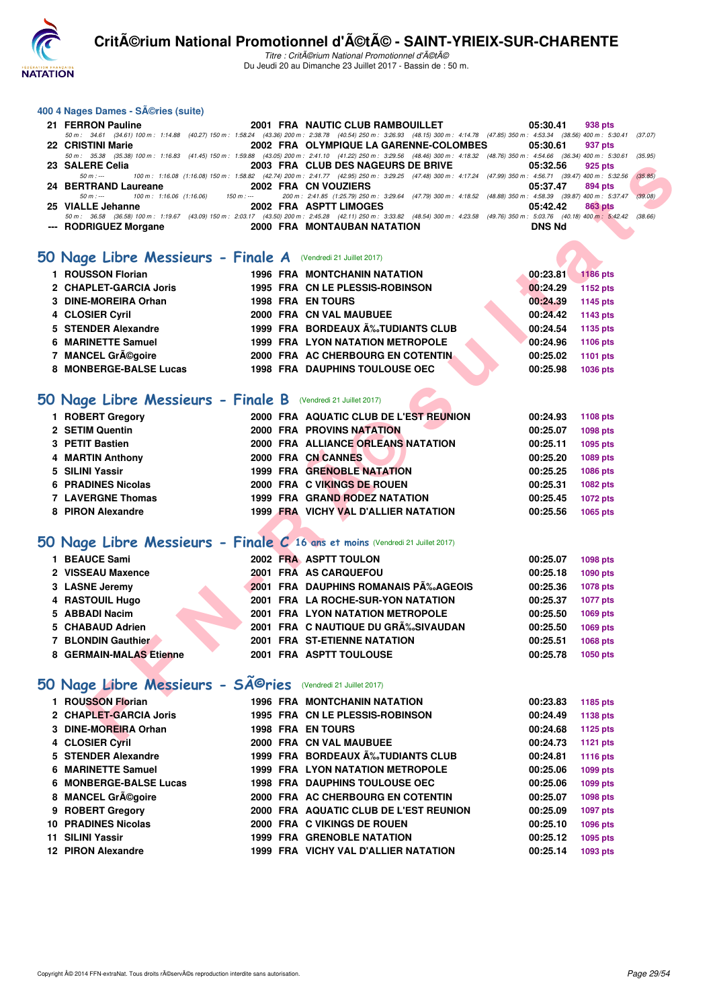

#### **400 4 Nages Dames - Séries (suite)**

| 21 FERRON Pauline                         | 2001 FRA NAUTIC CLUB RAMBOUILLET                                                                                                                                                     | 05:30.41<br>938 pts |
|-------------------------------------------|--------------------------------------------------------------------------------------------------------------------------------------------------------------------------------------|---------------------|
|                                           | 50 m : 34.61 (34.61) 100 m : 1:14.88 (40.27) 150 m : 1:58.24 (43.36) 200 m : 2:38.78 (40.54) 250 m : 3:26.93 (48.15) 300 m : 4:14.78 (47.85) 350 m : 4:53.34 (38.56) 400 m : 5:30.41 | (37.07)             |
| 22 CRISTINI Marie                         | 2002 FRA OLYMPIQUE LA GARENNE-COLOMBES                                                                                                                                               | 05:30.61<br>937 pts |
|                                           | 50 m: 35.38 (35.38) 100 m: 1:16.83 (41.45) 150 m: 1:59.88 (43.05) 200 m: 2:41.10 (41.22) 250 m: 3:29.56 (48.46) 300 m: 4:18.32 (48.76) 350 m: 4:54.66 (36.34) 400 m: 5:30.61         | (35.95)             |
| 23 SALERE Celia                           | 2003 FRA CLUB DES NAGEURS DE BRIVE                                                                                                                                                   | 05:32.56<br>925 pts |
| 50 m : ---                                | , 100 m: 1:16.08 (1:16.08) 150 m: 1:58.82 (42.74) 200 m: 2:41.77 (42.95) 250 m: 3:29.25 (47.48) 300 m: 4:17.24 (47.99) 350 m: 4:56.71 (39.47) 400 m: 5:32.56                         | (35.85)             |
| 24 BERTRAND Laureane 2002 FRA CN VOUZIERS |                                                                                                                                                                                      | 05:37.47<br>894 pts |
| 100 m : 1:16.06 (1:16.06)<br>50 m : ---   |                                                                                                                                                                                      | (39.08)             |
| 25 VIALLE Jehanne                         | 2002 FRA ASPTT LIMOGES                                                                                                                                                               | 05:42.42<br>863 pts |
| 50 m : 36.58 (36.58) 100 m : 1:19.67      | (43.09) 150 m : 2:03.17 (43.50) 200 m : 2:45.28 (42.11) 250 m : 3:33.82 (48.54) 300 m : 4:23.58 (49.76) 350 m : 5:03.76 (40.18) 400 m : 5:42.42                                      | (38.66)             |
| --- RODRIGUEZ Morgane                     | 2000 FRA MONTAUBAN NATATION                                                                                                                                                          | <b>DNS Nd</b>       |

#### **50 Nage Libre Messieurs - Finale A** (Vendredi 21 Juillet 2017)

| 1 ROUSSON Florian      |  | <b>1996 FRA MONTCHANIN NATATION</b>     |  | 00:23.81 | 1186 pts |
|------------------------|--|-----------------------------------------|--|----------|----------|
| 2 CHAPLET-GARCIA Joris |  | 1995 FRA CN LE PLESSIS-ROBINSON         |  | 00:24.29 | 1152 pts |
| 3 DINE-MOREIRA Orhan   |  | <b>1998 FRA EN TOURS</b>                |  | 00:24.39 | 1145 pts |
| 4 CLOSIER Cyril        |  | 2000 FRA CN VAL MAUBUEE                 |  | 00:24.42 | 1143 pts |
| 5 STENDER Alexandre    |  | 1999 FRA BORDEAUX A‰TUDIANTS CLUB       |  | 00:24.54 | 1135 pts |
| 6 MARINETTE Samuel     |  | <b>1999 FRA LYON NATATION METROPOLE</b> |  | 00:24.96 | 1106 pts |
| 7 MANCEL Grégoire      |  | 2000 FRA AC CHERBOURG EN COTENTIN       |  | 00:25.02 | 1101 pts |
| 8 MONBERGE-BALSE Lucas |  | <b>1998 FRA DAUPHINS TOULOUSE OEC</b>   |  | 00:25.98 | 1036 pts |

#### **[50 Nage Libre Messieurs - Finale B](http://www.ffnatation.fr/webffn/resultats.php?idact=nat&go=epr&idcpt=47489&idepr=51)** (Vendredi 21 Juillet 2017)

| 23 SALERE Celia                                                               |  | 2003 FRA CLUB DES NAGEURS DE BRIVE                                                                                                                                                                                         | 05:32.56      | 925 pts           |         |
|-------------------------------------------------------------------------------|--|----------------------------------------------------------------------------------------------------------------------------------------------------------------------------------------------------------------------------|---------------|-------------------|---------|
| $50 m : -$<br>24 BERTRAND Laureane                                            |  | 100 m: 1:16.08 (1:16.08) 150 m: 1:58.82 (42.74) 200 m: 2:41.77 (42.95) 250 m: 3:29.25 (47.48) 300 m: 4:17.24 (47.99) 350 m: 4:56.71 (39.47) 400 m: 5:32.56<br>2002 FRA CN VOUZIERS                                         | 05:37.47      | <b>894 pts</b>    | (35.85) |
| $50 m: -$<br>$100 \text{ m}$ : 1:16.06 (1:16.06) $150 \text{ m}$ :---         |  | 200 m: 2:41.85 (1:25.79) 250 m: 3:29.64 (47.79) 300 m: 4:18.52 (48.88) 350 m: 4:58.39 (39.87) 400 m: 5:37.47                                                                                                               |               |                   | (39.08) |
| 25 VIALLE Jehanne                                                             |  | 2002 FRA ASPTT LIMOGES                                                                                                                                                                                                     | 05:42.42      | <b>863 pts</b>    |         |
| --- RODRIGUEZ Morgane                                                         |  | 50 m: 36.58 (36.58) 100 m: 1:19.67 (43.09) 150 m: 2:03.17 (43.50) 200 m: 2:45.28 (42.11) 250 m: 3:33.82 (48.54) 300 m: 4:23.58 (49.76) 350 m: 5:03.76 (40.18) 400 m: 5:42.42 (38.66)<br><b>2000 FRA MONTAUBAN NATATION</b> | <b>DNS Nd</b> |                   |         |
|                                                                               |  |                                                                                                                                                                                                                            |               |                   |         |
| 50 Nage Libre Messieurs - Finale A (Vendredi 21 Juillet 2017)                 |  |                                                                                                                                                                                                                            |               |                   |         |
| 1 ROUSSON Florian                                                             |  | <b>1996 FRA MONTCHANIN NATATION</b>                                                                                                                                                                                        | 00:23.81      | <b>1186 pts</b>   |         |
| 2 CHAPLET-GARCIA Joris                                                        |  | 1995 FRA CN LE PLESSIS-ROBINSON                                                                                                                                                                                            | 00:24.29      | 1152 pts          |         |
| 3 DINE-MOREIRA Orhan                                                          |  | <b>1998 FRA EN TOURS</b>                                                                                                                                                                                                   | 00:24.39      | 1145 pts          |         |
| 4 CLOSIER Cyril                                                               |  | 2000 FRA CN VAL MAUBUEE                                                                                                                                                                                                    | 00:24.42      | 1143 pts          |         |
| 5 STENDER Alexandre                                                           |  | 1999 FRA BORDEAUX A%TUDIANTS CLUB                                                                                                                                                                                          | 00:24.54      | 1135 pts          |         |
| 6 MARINETTE Samuel                                                            |  | 1999 FRA LYON NATATION METROPOLE                                                                                                                                                                                           | 00:24.96      | 1106 pts          |         |
| 7 MANCEL GrA©goire                                                            |  | 2000 FRA AC CHERBOURG EN COTENTIN                                                                                                                                                                                          | 00:25.02      | 1101 pts          |         |
| 8 MONBERGE-BALSE Lucas                                                        |  | <b>1998 FRA DAUPHINS TOULOUSE OEC</b>                                                                                                                                                                                      | 00:25.98      | 1036 pts          |         |
|                                                                               |  |                                                                                                                                                                                                                            |               |                   |         |
| 50 Nage Libre Messieurs - Finale B (Vendredi 21 Juillet 2017)                 |  |                                                                                                                                                                                                                            |               |                   |         |
| 1 ROBERT Gregory                                                              |  | 2000 FRA AQUATIC CLUB DE L'EST REUNION                                                                                                                                                                                     | 00:24.93      | 1108 pts          |         |
| 2 SETIM Quentin                                                               |  | 2000 FRA PROVINS NATATION                                                                                                                                                                                                  | 00:25.07      | 1098 pts          |         |
| 3 PETIT Bastien                                                               |  | <b>2000 FRA ALLIANCE ORLEANS NATATION</b>                                                                                                                                                                                  | 00:25.11      | 1095 pts          |         |
| 4 MARTIN Anthony                                                              |  | 2000 FRA CN CANNES                                                                                                                                                                                                         | 00:25.20      | 1089 pts          |         |
| 5 SILINI Yassir                                                               |  | <b>1999 FRA GRENOBLE NATATION</b>                                                                                                                                                                                          | 00:25.25      | 1086 pts          |         |
| <b>6 PRADINES Nicolas</b>                                                     |  | 2000 FRA C VIKINGS DE ROUEN                                                                                                                                                                                                | 00:25.31      | 1082 pts          |         |
| <b>7 LAVERGNE Thomas</b>                                                      |  | 1999 FRA GRAND RODEZ NATATION                                                                                                                                                                                              | 00:25.45      | <b>1072 pts</b>   |         |
| 8 PIRON Alexandre                                                             |  | 1999 FRA VICHY VAL D'ALLIER NATATION                                                                                                                                                                                       | 00:25.56      | 1065 pts          |         |
|                                                                               |  |                                                                                                                                                                                                                            |               |                   |         |
| 50 Nage Libre Messieurs - Finale C 16 ans et moins (Vendredi 21 Juillet 2017) |  |                                                                                                                                                                                                                            |               |                   |         |
| 1 BEAUCE Sami                                                                 |  | 2002 FRA ASPTT TOULON                                                                                                                                                                                                      | 00:25.07      | 1098 pts          |         |
| 2 VISSEAU Maxence                                                             |  | 2001 FRA AS CARQUEFOU                                                                                                                                                                                                      | 00:25.18      | 1090 pts          |         |
| 3 LASNE Jeremy                                                                |  | 2001 FRA DAUPHINS ROMANAIS P‰AGEOIS                                                                                                                                                                                        | 00:25.36      | 1078 pts          |         |
| 4 RASTOUIL Hugo                                                               |  | 2001 FRA LA ROCHE-SUR-YON NATATION                                                                                                                                                                                         | 00:25.37      | <b>1077 pts</b>   |         |
| 5 ABBADI Nacim                                                                |  | 2001 FRA LYON NATATION METROPOLE                                                                                                                                                                                           | 00:25.50      | 1069 pts          |         |
| 5 CHABAUD Adrien                                                              |  | 2001 FRA C NAUTIQUE DU GRA‰SIVAUDAN                                                                                                                                                                                        | 00:25.50      | 1069 pts          |         |
| <b>7 BLONDIN Gauthier</b>                                                     |  | 2001 FRA ST-ETIENNE NATATION                                                                                                                                                                                               | 00:25.51      | 1068 pts          |         |
| 8 GERMAIN-MALAS Etienne                                                       |  | 2001 FRA ASPTT TOULOUSE                                                                                                                                                                                                    | 00:25.78      | 1050 pts          |         |
|                                                                               |  |                                                                                                                                                                                                                            |               |                   |         |
| 50 Nage Libre Messieurs - Séries                                              |  | (Vendredi 21 Juillet 2017)                                                                                                                                                                                                 |               |                   |         |
| 1 ROUSSON Florian                                                             |  | <b>1996 FRA MONTCHANIN NATATION</b>                                                                                                                                                                                        | 00:23.83      | 1185 pts          |         |
| 2 CHAPLET-GARCIA Joris                                                        |  | 1995 FRA CN LE PLESSIS-ROBINSON                                                                                                                                                                                            | 00:24.49      | 1138 pts          |         |
| 3 DINE-MOREIRA Orhan                                                          |  | <b>1998 FRA EN TOURS</b>                                                                                                                                                                                                   | 00:24.68      | 1125 pts          |         |
| $\triangle$ OLOGIED O                                                         |  | 0000 FBA ON VALUATIOUEE                                                                                                                                                                                                    | 00.0170       | <b>CONTRACTOR</b> |         |

#### **[50 Nage Libre Messieurs - Finale C](http://www.ffnatation.fr/webffn/resultats.php?idact=nat&go=epr&idcpt=47489&idepr=51) 16 ans et moins** (Vendredi 21 Juillet 2017)

| 1 BEAUCE Sami           |  | 2002 FRA ASPTT TOULON               | 00:25.07 | 1098 pts |
|-------------------------|--|-------------------------------------|----------|----------|
| 2 VISSEAU Maxence       |  | 2001 FRA AS CARQUEFOU               | 00:25.18 | 1090 pts |
| 3 LASNE Jeremy          |  | 2001 FRA DAUPHINS ROMANAIS PÉAGEOIS | 00:25.36 | 1078 pts |
| 4 RASTOUIL Hugo         |  | 2001 FRA LA ROCHE-SUR-YON NATATION  | 00:25.37 | 1077 pts |
| 5 ABBADI Nacim          |  | 2001 FRA LYON NATATION METROPOLE    | 00:25.50 | 1069 pts |
| 5 CHABAUD Adrien        |  | 2001 FRA C NAUTIQUE DU GRÉSIVAUDAN  | 00:25.50 | 1069 pts |
| 7 BLONDIN Gauthier      |  | 2001 FRA ST-ETIENNE NATATION        | 00:25.51 | 1068 pts |
| 8 GERMAIN-MALAS Etienne |  | 2001 FRA ASPTT TOULOUSE             | 00:25.78 | 1050 pts |

## 50 Nage Libre Messieurs - SÃ<sup>@</sup>ries (Vendredi 21 Juillet 2017)

| 1 ROUSSON Florian          |  | <b>1996 FRA MONTCHANIN NATATION</b>     | 00:23.83 | 1185 pts        |
|----------------------------|--|-----------------------------------------|----------|-----------------|
| 2 CHAPLET-GARCIA Joris     |  | 1995 FRA CN LE PLESSIS-ROBINSON         | 00:24.49 | 1138 pts        |
| 3 DINE-MOREIRA Orhan       |  | <b>1998 FRA EN TOURS</b>                | 00:24.68 | 1125 pts        |
| 4 CLOSIER Cyril            |  | 2000 FRA CN VAL MAUBUEE                 | 00:24.73 | <b>1121 pts</b> |
| 5 STENDER Alexandre        |  | 1999 FRA BORDEAUX A‰TUDIANTS CLUB       | 00:24.81 | 1116 pts        |
| 6 MARINETTE Samuel         |  | <b>1999 FRA LYON NATATION METROPOLE</b> | 00:25.06 | 1099 pts        |
| 6 MONBERGE-BALSE Lucas     |  | <b>1998 FRA DAUPHINS TOULOUSE OEC</b>   | 00:25.06 | 1099 pts        |
| 8 MANCEL Grégoire          |  | 2000 FRA AC CHERBOURG EN COTENTIN       | 00:25.07 | 1098 pts        |
| 9 ROBERT Gregory           |  | 2000 FRA AQUATIC CLUB DE L'EST REUNION  | 00:25.09 | 1097 pts        |
| <b>10 PRADINES Nicolas</b> |  | 2000 FRA C VIKINGS DE ROUEN             | 00:25.10 | 1096 pts        |
| 11 SILINI Yassir           |  | <b>1999 FRA GRENOBLE NATATION</b>       | 00:25.12 | 1095 pts        |
| 12 PIRON Alexandre         |  | 1999 FRA VICHY VAL D'ALLIER NATATION    | 00:25.14 | 1093 pts        |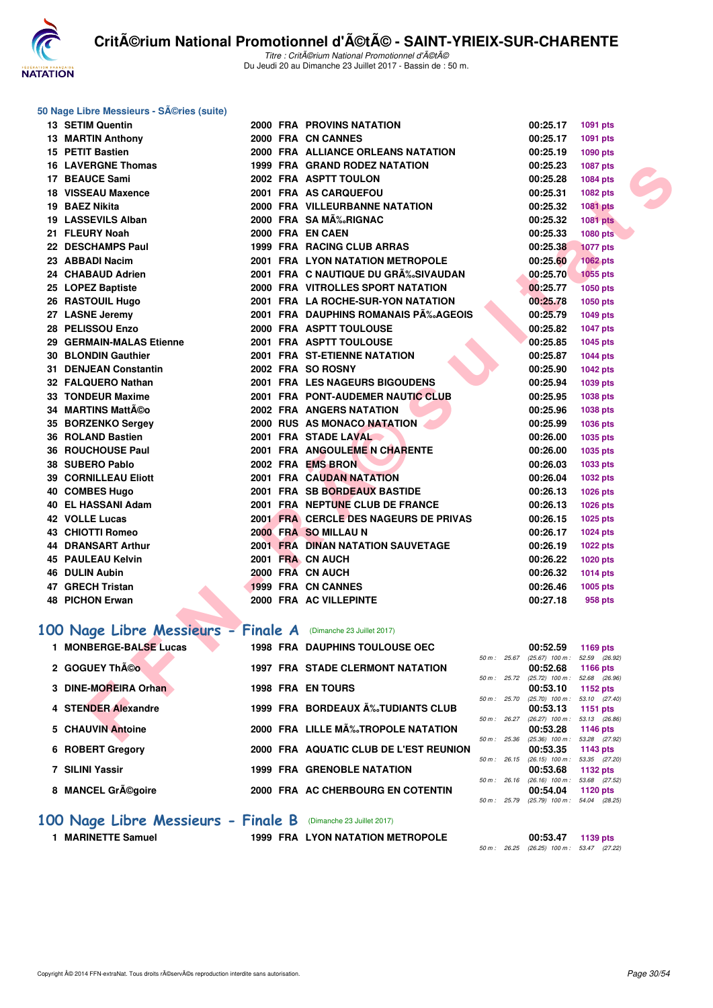

#### **50 Nage Libre Messieurs - Séries (suite)**

| 13 SETIM Quentin                                              |  | <b>2000 FRA PROVINS NATATION</b>         |              | 00:25.17                                      | 1091 pts        |  |
|---------------------------------------------------------------|--|------------------------------------------|--------------|-----------------------------------------------|-----------------|--|
| <b>13 MARTIN Anthony</b>                                      |  | 2000 FRA CN CANNES                       |              | 00:25.17                                      | 1091 pts        |  |
| 15 PETIT Bastien                                              |  | 2000 FRA ALLIANCE ORLEANS NATATION       |              | 00:25.19                                      | 1090 pts        |  |
| <b>16 LAVERGNE Thomas</b>                                     |  | 1999 FRA GRAND RODEZ NATATION            |              | 00:25.23                                      | <b>1087 pts</b> |  |
| 17 BEAUCE Sami                                                |  | 2002 FRA ASPTT TOULON                    |              | 00:25.28                                      | 1084 pts        |  |
| <b>18 VISSEAU Maxence</b>                                     |  | 2001 FRA AS CARQUEFOU                    |              | 00:25.31                                      | 1082 pts        |  |
| 19 BAEZ Nikita                                                |  | 2000 FRA VILLEURBANNE NATATION           |              | 00:25.32                                      | 1081 pts        |  |
| <b>19 LASSEVILS Alban</b>                                     |  | 2000 FRA SA MÉRIGNAC                     |              | 00:25.32                                      | <b>1081 pts</b> |  |
| 21 FLEURY Noah                                                |  | 2000 FRA EN CAEN                         |              | 00:25.33                                      | <b>1080 pts</b> |  |
| 22 DESCHAMPS Paul                                             |  | 1999 FRA RACING CLUB ARRAS               |              | 00:25.38                                      | <b>1077 pts</b> |  |
| 23 ABBADI Nacim                                               |  | 2001 FRA LYON NATATION METROPOLE         |              | 00:25.60                                      | <b>1062 pts</b> |  |
| 24 CHABAUD Adrien                                             |  | 2001 FRA C NAUTIQUE DU GR‰SIVAUDAN       |              | 00:25.70                                      | 1055 pts        |  |
| 25 LOPEZ Baptiste                                             |  | <b>2000 FRA VITROLLES SPORT NATATION</b> |              | 00:25.77                                      | 1050 pts        |  |
| 26 RASTOUIL Hugo                                              |  | 2001 FRA LA ROCHE-SUR-YON NATATION       |              | 00:25.78                                      | 1050 pts        |  |
| 27 LASNE Jeremy                                               |  | 2001 FRA DAUPHINS ROMANAIS P‰AGEOIS      |              | 00:25.79                                      | 1049 pts        |  |
| 28 PELISSOU Enzo                                              |  | 2000 FRA ASPTT TOULOUSE                  |              | 00:25.82                                      | <b>1047 pts</b> |  |
| 29 GERMAIN-MALAS Etienne                                      |  | 2001 FRA ASPTT TOULOUSE                  |              | 00:25.85                                      | 1045 pts        |  |
| 30 BLONDIN Gauthier                                           |  | 2001 FRA ST-ETIENNE NATATION             |              | 00:25.87                                      | <b>1044 pts</b> |  |
| 31 DENJEAN Constantin                                         |  | 2002 FRA SO ROSNY                        |              | 00:25.90                                      | <b>1042 pts</b> |  |
| 32 FALQUERO Nathan                                            |  | <b>2001 FRA LES NAGEURS BIGOUDENS</b>    |              | 00:25.94                                      | 1039 pts        |  |
| 33 TONDEUR Maxime                                             |  | 2001 FRA PONT-AUDEMER NAUTIC CLUB        |              | 00:25.95                                      | <b>1038 pts</b> |  |
| 34 MARTINS Mattéo                                             |  | <b>2002 FRA ANGERS NATATION</b>          |              | 00:25.96                                      | 1038 pts        |  |
| 35 BORZENKO Sergey                                            |  | 2000 RUS AS MONACO NATATION              |              | 00:25.99                                      | 1036 pts        |  |
| 36 ROLAND Bastien                                             |  | 2001 FRA STADE LAVAL                     |              | 00:26.00                                      | 1035 pts        |  |
| 36 ROUCHOUSE Paul                                             |  | 2001 FRA ANGOULEME N CHARENTE            |              | 00:26.00                                      | 1035 pts        |  |
| 38 SUBERO Pablo                                               |  | 2002 FRA EMS BRON                        |              | 00:26.03                                      | 1033 pts        |  |
| <b>39 CORNILLEAU Eliott</b>                                   |  | <b>2001 FRA CAUDAN NATATION</b>          |              | 00:26.04                                      | <b>1032 pts</b> |  |
| 40 COMBES Hugo                                                |  | 2001 FRA SB BORDEAUX BASTIDE             |              | 00:26.13                                      | <b>1026 pts</b> |  |
| 40 EL HASSANI Adam                                            |  | 2001 FRA NEPTUNE CLUB DE FRANCE          |              | 00:26.13                                      | 1026 pts        |  |
| 42 VOLLE Lucas                                                |  | 2001 FRA CERCLE DES NAGEURS DE PRIVAS    |              | 00:26.15                                      | 1025 pts        |  |
| <b>43 CHIOTTI Romeo</b>                                       |  | 2000 FRA SO MILLAU N                     |              | 00:26.17                                      | <b>1024 pts</b> |  |
| <b>44 DRANSART Arthur</b>                                     |  | <b>2001 FRA DINAN NATATION SAUVETAGE</b> |              | 00:26.19                                      | <b>1022 pts</b> |  |
| 45 PAULEAU Kelvin                                             |  | 2001 FRA CN AUCH                         |              | 00:26.22                                      | <b>1020 pts</b> |  |
| 46 DULIN Aubin                                                |  | 2000 FRA CN AUCH                         |              | 00:26.32                                      | <b>1014 pts</b> |  |
| 47 GRECH Tristan                                              |  | 1999 FRA CN CANNES                       |              | 00:26.46                                      | 1005 pts        |  |
| <b>48 PICHON Erwan</b>                                        |  | 2000 FRA AC VILLEPINTE                   |              | 00:27.18                                      | 958 pts         |  |
|                                                               |  |                                          |              |                                               |                 |  |
| 00 Nage Libre Messieurs - Finale A (Dimanche 23 Juillet 2017) |  |                                          |              |                                               |                 |  |
| 1 MONBERGE-BALSE Lucas                                        |  | <b>1998 FRA DAUPHINS TOULOUSE OEC</b>    |              | 00:52.59                                      | 1169 pts        |  |
| 2 GOGUEY Théo                                                 |  | <b>1997 FRA STADE CLERMONT NATATION</b>  | 50 m: 25.67  | (25.67) 100 m: 52.59 (26.92)                  |                 |  |
|                                                               |  |                                          | 50 m: 25.72  | 00:52.68<br>$(25.72)$ 100 m : 52.68 $(26.96)$ | <b>1166 pts</b> |  |
| 3 DINE-MOREIRA Orhan                                          |  | <b>1998 FRA EN TOURS</b>                 |              | 00:53.10                                      | 1152 pts        |  |
| 4 STENDER Alexandre                                           |  | 1999 FRA BORDEAUX A‰TUDIANTS CLUB        | 50 m: 25.70  | $(25.70)$ 100 m : 53.10 $(27.40)$<br>00:53.13 |                 |  |
|                                                               |  |                                          | 50 m : 26.27 | $(26.27)$ 100 m : 53.13 $(26.86)$             | 1151 pts        |  |
| 5 CHAUVIN Antoine                                             |  | 2000 FRA LILLE MÉTROPOLE NATATION        |              | 00:53.28                                      | 1146 pts        |  |
|                                                               |  |                                          | 50 m : 25.36 | $(25.36)$ 100 m : 53.28 $(27.92)$             |                 |  |

## [100 Nage Libre Messieurs - Finale A](http://www.ffnatation.fr/webffn/resultats.php?idact=nat&go=epr&idcpt=47489&idepr=52) (Dimanche 23 Juillet 2017)

| 1 MONBERGE-BALSE Lucas              |  | <b>1998 FRA DAUPHINS TOULOUSE OEC</b>   |                | 00:52.59          | 1169 $pts$      |
|-------------------------------------|--|-----------------------------------------|----------------|-------------------|-----------------|
|                                     |  |                                         | $50 m$ : 25.67 | $(25.67)$ 100 m : | 52.59 (26.92)   |
| 2 GOGUEY Théo                       |  | <b>1997 FRA STADE CLERMONT NATATION</b> |                | 00:52.68          | <b>1166 pts</b> |
|                                     |  |                                         | $50 m$ : 25.72 | $(25.72)$ 100 m : | 52.68 (26.96    |
| 3 DINE-MOREIRA Orhan                |  | <b>1998 FRA ENTOURS</b>                 |                | 00:53.10          | 1152 $pts$      |
|                                     |  |                                         | 50 m: 25.70    | $(25.70)$ 100 m : | 53.10 (27.40    |
| 4 STENDER Alexandre                 |  | 1999 FRA BORDEAUX Aٌ‰TUDIANTS CLUB      |                | 00:53.13          | 1151 $pts$      |
|                                     |  |                                         | $50 m$ : 26.27 | $(26.27)$ 100 m : | 53.13 (26.86)   |
| 5 CHAUVIN Antoine                   |  | 2000 FRA LILLE MÉTROPOLE NATATION       |                | 00:53.28          | 1146 $pts$      |
|                                     |  |                                         | 50 m: 25.36    | $(25.36)$ 100 m : | 53.28 (27.92    |
| 6 ROBERT Gregory                    |  | 2000 FRA AQUATIC CLUB DE L'EST REUNION  |                | 00:53.35          | 1143 $pts$      |
|                                     |  |                                         | $50 m$ : 26.15 | $(26.15)$ 100 m : | 53.35 (27.20    |
| 7 SILINI Yassir                     |  | <b>1999 FRA GRENOBLE NATATION</b>       |                | 00:53.68          | 1132 $pts$      |
|                                     |  |                                         | 50 m: 26.16    | $(26.16)$ 100 m : | 53.68 (27.52)   |
| 8 MANCEL Grégoire                   |  | 2000 FRA AC CHERBOURG EN COTENTIN       |                | 00:54.04          | 1120 $pts$      |
|                                     |  |                                         | 50 m : 25.79   | $(25.79)$ 100 m : | 54.04 (28.25)   |
|                                     |  |                                         |                |                   |                 |
| 100 Nage Libre Messieurs - Finale B |  | (Dimanche 23 Juillet 2017)              |                |                   |                 |

1 MARINETTE Samuel 1999 FRA LYON NATATION METROPOLE

**00:53.47** 1139 pts<br>50 m : 26.25 (26.25) 100 m : 53.47 (27.22)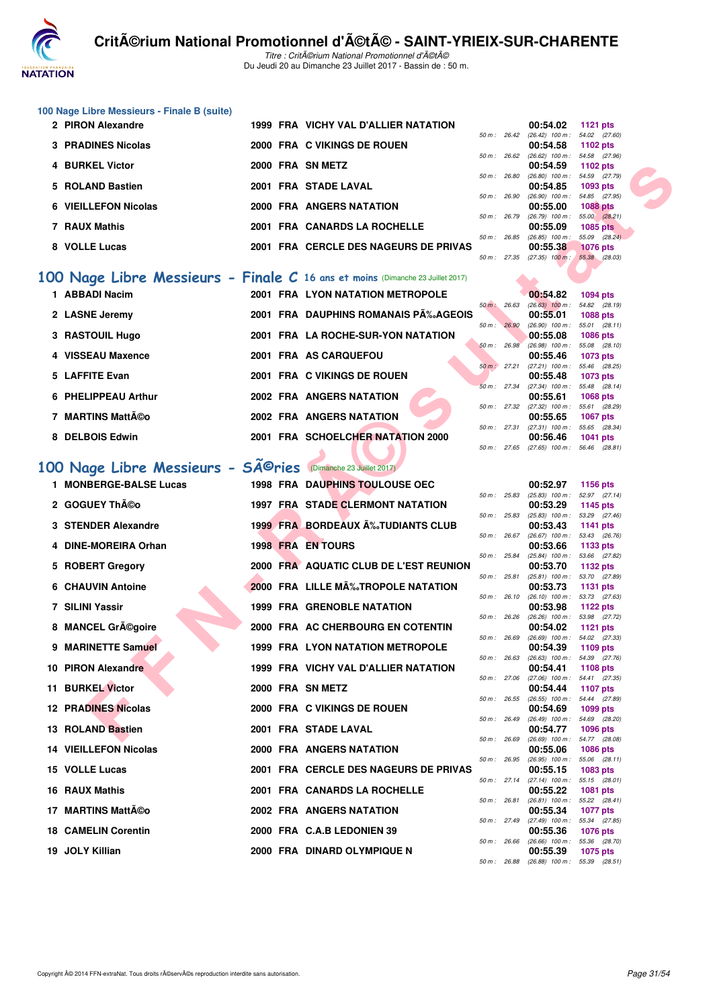

Titre : CritA©rium National Promotionnel d'A©tA© Du Jeudi 20 au Dimanche 23 Juillet 2017 - Bassin de : 50 m.

## **100 Nage Libre Messieurs - Finale B (suite)**

| 2 PIRON Alexandre    |  | 1999 FRA VICHY VAL D'ALLIER NATATION  |        |              | 00:54.02                                                 | 1121 $pts$      |
|----------------------|--|---------------------------------------|--------|--------------|----------------------------------------------------------|-----------------|
| 3 PRADINES Nicolas   |  | 2000 FRA C VIKINGS DE ROUEN           |        | 50 m : 26.42 | $(26.42)$ 100 m : 54.02 $(27.60)$<br>00:54.58 1102 pts   |                 |
|                      |  |                                       | 50 m : | 26.62        | $(26.62)$ 100 m : 54.58 $(27.96)$                        |                 |
| 4 BURKEL Victor      |  | 2000 FRA SN METZ                      |        |              | 00:54.59                                                 | 1102 pts        |
|                      |  | 2001 FRA STADE LAVAL                  |        | 50 m : 26.80 | $(26.80)$ 100 m : 54.59 $(27.79)$                        |                 |
| 5 ROLAND Bastien     |  |                                       |        | 50 m : 26.90 | $00:54.85$ 1093 pts<br>$(26.90)$ 100 m : 54.85 $(27.95)$ |                 |
| 6 VIEILLEFON Nicolas |  | 2000 FRA ANGERS NATATION              |        |              | 00:55.00                                                 | <b>1088 pts</b> |
|                      |  |                                       | 50 m : | 26.79        | $(26.79)$ 100 m : 55.00 $(28.21)$                        |                 |
| 7 RAUX Mathis        |  | 2001 FRA CANARDS LA ROCHELLE          | 50 m : | 26.85        | 00:55.09<br>$(26.85)$ 100 m : 55.09 $(28.24)$            | <b>1085 pts</b> |
| 8 VOLLE Lucas        |  | 2001 FRA CERCLE DES NAGEURS DE PRIVAS |        |              | 00:55.38                                                 | <b>1076 pts</b> |
|                      |  |                                       |        | 50 m: 27.35  | $(27.35)$ 100 m : 55.38 $(28.03)$                        |                 |

## **[100 Nage Libre Messieurs - Finale C](http://www.ffnatation.fr/webffn/resultats.php?idact=nat&go=epr&idcpt=47489&idepr=52) 16 ans et moins** (Dimanche 23 Juillet 2017)

| 1 ABBADI Nacim      |  | <b>2001 FRA LYON NATATION METROPOLE</b> |             |       | 00:54.82                      | 1094 pts               |  |
|---------------------|--|-----------------------------------------|-------------|-------|-------------------------------|------------------------|--|
|                     |  | 2001 FRA DAUPHINS ROMANAIS P‰AGEOIS     | $50 m$ :    | 26.63 | $(26.63)$ 100 m :<br>00:55.01 | 54.82 (28.             |  |
| 2 LASNE Jeremy      |  |                                         | $50 m$ :    | 26.90 | $(26.90)$ 100 m :             | 1088 pts<br>55.01 (28. |  |
| 3 RASTOUIL Hugo     |  | 2001 FRA LA ROCHE-SUR-YON NATATION      |             |       | 00:55.08                      | <b>1086 pts</b>        |  |
|                     |  |                                         | $50 m$ :    | 26.98 | $(26.98)$ 100 m :             | 55.08 (28.             |  |
| 4 VISSEAU Maxence   |  | 2001 FRA AS CARQUEFOU                   |             |       | 00:55.46                      | 1073 pts               |  |
| 5 LAFFITE Evan      |  | 2001 FRA C VIKINGS DE ROUEN             | $50 m$ :    | 27.21 | $(27.21)$ 100 m :<br>00:55.48 | 55.46 (28.<br>1073 pts |  |
|                     |  |                                         | $50 m$ :    | 27.34 | $(27.34)$ 100 m :             | 55.48 (28.             |  |
| 6 PHELIPPEAU Arthur |  | <b>2002 FRA ANGERS NATATION</b>         |             |       | 00:55.61                      | 1068 pts               |  |
|                     |  |                                         | 50 m: 27.32 |       | $(27.32)$ 100 m :             | 55.61 (28.             |  |
| 7 MARTINS Mattéo    |  | 2002 FRA ANGERS NATATION                |             |       | 00:55.65                      | 1067 pts               |  |
| 8 DELBOIS Edwin     |  | 2001 FRA SCHOELCHER NATATION 2000       | 50 m: 27.31 |       | $(27.31)$ 100 m :<br>00:56.46 | 55.65 (28.<br>1041 pts |  |
|                     |  |                                         |             |       |                               |                        |  |

# 100 Nage Libre Messieurs - SÃ<sup>©</sup>ries <sup>(Dimanche 23 Juillet 2017)</sup>

| 4 BURKEL Victor                                                               |  | 2000 FRA SN METZ                         |              |                     | 00:54.59                                               | 1102 pts                         |  |
|-------------------------------------------------------------------------------|--|------------------------------------------|--------------|---------------------|--------------------------------------------------------|----------------------------------|--|
| 5 ROLAND Bastien                                                              |  | 2001 FRA STADE LAVAL                     | 50 m: 26.80  |                     | $(26.80)$ 100 m : 54.59 $(27.79)$<br>00:54.85          | 1093 pts                         |  |
| 6 VIEILLEFON Nicolas                                                          |  | 2000 FRA ANGERS NATATION                 | 50 m: 26.90  |                     | (26.90) 100 m :<br>00:55.00                            | 54.85 (27.95)<br><b>1088 pts</b> |  |
|                                                                               |  |                                          | 50 m : 26.79 |                     | $(26.79)$ 100 m :                                      | 55.00 (28.21)                    |  |
| 7 RAUX Mathis                                                                 |  | 2001 FRA CANARDS LA ROCHELLE             |              |                     | 00:55.09<br>50 m: 26.85 (26.85) 100 m:                 | <b>1085 pts</b><br>55.09 (28.24) |  |
| 8 VOLLE Lucas                                                                 |  | 2001 FRA CERCLE DES NAGEURS DE PRIVAS    |              |                     | 00:55.38<br>50 m: 27.35 (27.35) 100 m:                 | <b>1076 pts</b><br>55.38 (28.03) |  |
|                                                                               |  |                                          |              |                     |                                                        |                                  |  |
| 00 Nage Libre Messieurs - Finale C 16 ans et moins (Dimanche 23 Juillet 2017) |  |                                          |              |                     |                                                        |                                  |  |
| 1 ABBADI Nacim                                                                |  | 2001 FRA LYON NATATION METROPOLE         | 50 m: 26.63  |                     | 00:54.82<br>$(26.63)$ 100 m :                          | 1094 pts<br>54.82 (28.19)        |  |
| 2 LASNE Jeremy                                                                |  | 2001 FRA DAUPHINS ROMANAIS PÉAGEOIS      |              |                     | 00:55.01                                               | <b>1088 pts</b>                  |  |
| 3 RASTOUIL Hugo                                                               |  | 2001 FRA LA ROCHE-SUR-YON NATATION       | 50 m : 26.90 |                     | $(26.90)$ 100 m :<br>00:55.08                          | 55.01 (28.11)<br><b>1086 pts</b> |  |
| 4 VISSEAU Maxence                                                             |  | 2001 FRA AS CARQUEFOU                    | 50 m: 26.98  |                     | $(26.98)$ 100 m :<br>00:55.46                          | 55.08 (28.10)<br>1073 pts        |  |
| 5 LAFFITE Evan                                                                |  | 2001 FRA C VIKINGS DE ROUEN              | 50 m : 27.21 |                     | (27.21) 100 m: 55.46 (28.25)                           |                                  |  |
|                                                                               |  |                                          |              |                     | 00:55.48<br>50 m: 27.34 (27.34) 100 m: 55.48 (28.14)   | 1073 pts                         |  |
| 6 PHELIPPEAU Arthur                                                           |  | 2002 FRA ANGERS NATATION                 |              |                     | 00:55.61                                               | <b>1068 pts</b>                  |  |
| 7 MARTINS Mattéo                                                              |  | 2002 FRA ANGERS NATATION                 |              |                     | 50 m : 27.32 (27.32) 100 m :<br>00:55.65               | 55.61 (28.29)<br><b>1067 pts</b> |  |
|                                                                               |  |                                          | 50 m: 27.31  |                     | (27.31) 100 m: 55.65 (28.34)                           |                                  |  |
| 8 DELBOIS Edwin                                                               |  | 2001 FRA SCHOELCHER NATATION 2000        | 50 m: 27.65  |                     | 00:56.46<br>$(27.65)$ 100 m : 56.46 $(28.81)$          | 1041 pts                         |  |
| 00 Nage Libre Messieurs - SÃ <sup>©</sup> ries (Dimanche 23 Juillet 2017)     |  |                                          |              |                     |                                                        |                                  |  |
|                                                                               |  |                                          |              |                     |                                                        |                                  |  |
| 1 MONBERGE-BALSE Lucas                                                        |  | <b>1998 FRA DAUPHINS TOULOUSE OEC</b>    |              |                     | 00:52.97<br>50 m: 25.83 (25.83) 100 m: 52.97 (27.14)   | 1156 pts                         |  |
| 2 GOGUEY ThÃCo                                                                |  | <b>1997 FRA STADE CLERMONT NATATION</b>  |              |                     | 00:53.29                                               | 1145 pts                         |  |
| 3 STENDER Alexandre                                                           |  | <b>1999 FRA BORDEAUX A%TUDIANTS CLUB</b> | 50 m : 25.83 |                     | (25.83) 100 m : 53.29 (27.46)<br>00:53.43              | 1141 pts                         |  |
| 4 DINE-MOREIRA Orhan                                                          |  | <b>1998 FRA EN TOURS</b>                 | 50 m : 26.67 |                     | $(26.67)$ 100 m : 53.43 $(26.76)$<br>00:53.66          | 1133 pts                         |  |
|                                                                               |  |                                          | 50 m : 25.84 |                     | (25.84) 100 m: 53.66 (27.82)                           |                                  |  |
| 5 ROBERT Gregory                                                              |  | 2000 FRA AQUATIC CLUB DE L'EST REUNION   | 50 m: 25.81  |                     | 00:53.70<br>$(25.81)$ 100 m :                          | 1132 pts<br>53.70 (27.89)        |  |
| <b>6 CHAUVIN Antoine</b>                                                      |  | 2000 FRA LILLE MÉTROPOLE NATATION        | 50 m: 26.10  |                     | 00:53.73<br>(26.10) 100 m : 53.73 (27.63)              | <b>1131 pts</b>                  |  |
| 7 SILINI Yassir                                                               |  | <b>1999 FRA GRENOBLE NATATION</b>        |              |                     | 00:53.98                                               | 1122 pts                         |  |
| 8 MANCEL Grégoire                                                             |  | 2000 FRA AC CHERBOURG EN COTENTIN        | 50 m : 26.26 |                     | (26.26) 100 m: 53.98 (27.72)<br>00:54.02               | 1121 pts                         |  |
|                                                                               |  |                                          | 50 m : 26.69 |                     | $(26.69)$ 100 m : 54.02 $(27.33)$                      |                                  |  |
| 9 MARINETTE Samuel                                                            |  | <b>1999 FRA LYON NATATION METROPOLE</b>  | 50 m : 26.63 |                     | 00:54.39<br>$(26.63)$ 100 m : 54.39 $(27.76)$          | 1109 pts                         |  |
| 10 PIRON Alexandre                                                            |  | 1999 FRA VICHY VAL D'ALLIER NATATION     |              |                     | 00:54.41                                               | 1108 pts                         |  |
| <b>11 BURKEL Victor</b>                                                       |  | 2000 FRA SN METZ                         | 50 m : 27.06 |                     | (27.06) 100 m: 54.41 (27.35)<br>00:54.44               | 1107 pts                         |  |
| <b>12 PRADINES Nicolas</b>                                                    |  | 2000 FRA C VIKINGS DE ROUEN              |              |                     | 50 m: 26.55 (26.55) 100 m: 54.44 (27.89)<br>00:54.69   | 1099 pts                         |  |
|                                                                               |  |                                          |              |                     | 50 m: 26.49 (26.49) 100 m: 54.69 (28.20)               |                                  |  |
| 13 ROLAND Bastien                                                             |  | 2001 FRA STADE LAVAL                     |              |                     | 00:54.77<br>50 m: 26.69 (26.69) 100 m: 54.77 (28.08)   | 1096 pts                         |  |
| <b>14 VIEILLEFON Nicolas</b>                                                  |  | 2000 FRA ANGERS NATATION                 |              |                     | 00:55.06<br>50 m : 26.95 (26.95) 100 m : 55.06 (28.11) | 1086 pts                         |  |
| 15 VOLLE Lucas                                                                |  | 2001 FRA CERCLE DES NAGEURS DE PRIVAS    |              |                     | 00:55.15<br>50 m: 27.14 (27.14) 100 m: 55.15 (28.01)   | 1083 pts                         |  |
| 16 RAUX Mathis                                                                |  | 2001 FRA CANARDS LA ROCHELLE             | 50 m: 26.81  |                     | 00:55.22<br>$(26.81)$ 100 m : 55.22 $(28.41)$          | 1081 pts                         |  |
| 17 MARTINS MattA©o                                                            |  | 2002 FRA ANGERS NATATION                 |              |                     | 00:55.34                                               | 1077 pts                         |  |
| <b>18 CAMELIN Corentin</b>                                                    |  | 2000 FRA C.A.B LEDONIEN 39               | 50 m : 27.49 |                     | (27.49) 100 m: 55.34 (27.85)<br>00:55.36               | <b>1076 pts</b>                  |  |
| 19 JOLY Killian                                                               |  | 2000 FRA DINARD OLYMPIQUE N              |              |                     | 50 m: 26.66 (26.66) 100 m: 55.36 (28.70)<br>00:55.39   | <b>1075 pts</b>                  |  |
|                                                                               |  |                                          |              | $50 m - 2699 (269)$ | $100m - 5520$                                          |                                  |  |

|                | 00:54.82          | <b>1094 pts</b> |
|----------------|-------------------|-----------------|
| 50 m: 26.63    | $(26.63)$ 100 m : | 54.82 (28.19)   |
|                | 00:55.01          | 1088 pts        |
| 50 m : 26.90   | $(26.90)$ 100 m : | 55.01 (28.11)   |
|                | 00:55.08          | 1086 pts        |
| $50 m$ : 26.98 | $(26.98)$ 100 m : | 55.08 (28.10)   |
|                | 00:55.46          | <b>1073 pts</b> |
| 50 m : 27.21   | $(27.21)$ 100 m : | 55.46 (28.25)   |
|                | 00:55.48          | <b>1073 pts</b> |
| 50 m: 27.34    | $(27.34)$ 100 m : | 55.48 (28.14)   |
|                | 00:55.61          | $1068$ pts      |
| 50 m : 27.32   | $(27.32)$ 100 m : | 55.61 (28.29)   |
|                | 00:55.65          | <b>1067 pts</b> |
| 50 m: 27.31    | $(27.31)$ 100 m : | 55.65 (28.34)   |
|                | 00:56.46          | <b>1041 pts</b> |
| 50 m : 27.65   | $(27.65)$ 100 m : | 56.46 (28.81)   |

|          |       | 00:52.97          | 1156 pts         |
|----------|-------|-------------------|------------------|
| $50 m$ : | 25.83 | $(25.83)$ 100 m : | (27.14)<br>52.97 |
|          |       | 00:53.29          | 1145 pts         |
| $50 m$ : | 25.83 | $(25.83)$ 100 m : | (27.46)<br>53.29 |
|          |       | 00:53.43          | 1141<br>pts      |
| $50 m$ : | 26.67 | $(26.67)$ 100 m : | (26.76)<br>53.43 |
|          |       | 00:53.66          | 1133 pts         |
| $50 m$ : | 25.84 | $(25.84)$ 100 m : | 53.66<br>(27.82) |
|          |       | 00:53.70          | 1132 pts         |
| $50 m$ : | 25.81 | $(25.81)$ 100 m : | (27.89)<br>53.70 |
|          |       | 00:53.73          | 1131<br>pts      |
| $50 m$ : | 26.10 | $(26.10)$ 100 m : | 53.73<br>(27.63) |
|          |       | 00:53.98          | 1122 pts         |
| $50 m$ : | 26.26 | $(26.26)$ 100 m : | 53.98<br>(27.72) |
|          |       | 00:54.02          | 1121 pts         |
| $50 m$ : | 26.69 | $(26.69)$ 100 m : | 54.02<br>(27.33) |
|          |       | 00:54.39          | 1109 pts         |
| $50 m$ : | 26.63 | $(26.63)$ 100 m : | 54.39<br>(27.76) |
|          |       | 00:54.41          | 1108 pts         |
| $50 m$ : | 27.06 | $(27.06)$ 100 m : | 54.41<br>(27.35) |
|          |       | 00:54.44          | 1107<br>pts      |
| $50 m$ : | 26.55 | $(26.55)$ 100 m : | 54.44<br>(27.89) |
|          |       | 00:54.69          | 1099<br>pts      |
| $50 m$ : | 26.49 | $(26.49)$ 100 m : | 54.69<br>(28.20) |
|          |       | 00:54.77          | 1096<br>pts      |
| $50 m$ : | 26.69 | $(26.69)$ 100 m : | 54.77<br>(28.08) |
|          |       | 00:55.06          | 1086 pts         |
| $50 m$ : | 26.95 | $(26.95)$ 100 m : | 55.06<br>(28.11) |
|          |       | 00:55.15          | 1083 pts         |
| $50 m$ : | 27.14 | $(27.14)$ 100 m : | 55.15<br>(28.01) |
|          |       | 00:55.22          | 1081<br>pts      |
| $50 m$ : | 26.81 | $(26.81)$ 100 m : | 55.22<br>(28.41) |
|          |       | 00:55.34          | 1077 pts         |
| $50 m$ : | 27.49 | $(27.49)$ 100 m : | (27.85)<br>55.34 |
|          |       | 00:55.36          | 1076 pts         |
| $50 m$ : | 26.66 | $(26.66)$ 100 m : | (28.70)<br>55.36 |
|          |       | 00:55.39          | 1075<br>pts      |
| $50 m$ : | 26.88 | $(26.88)$ 100 m : | 55.39<br>(28.51) |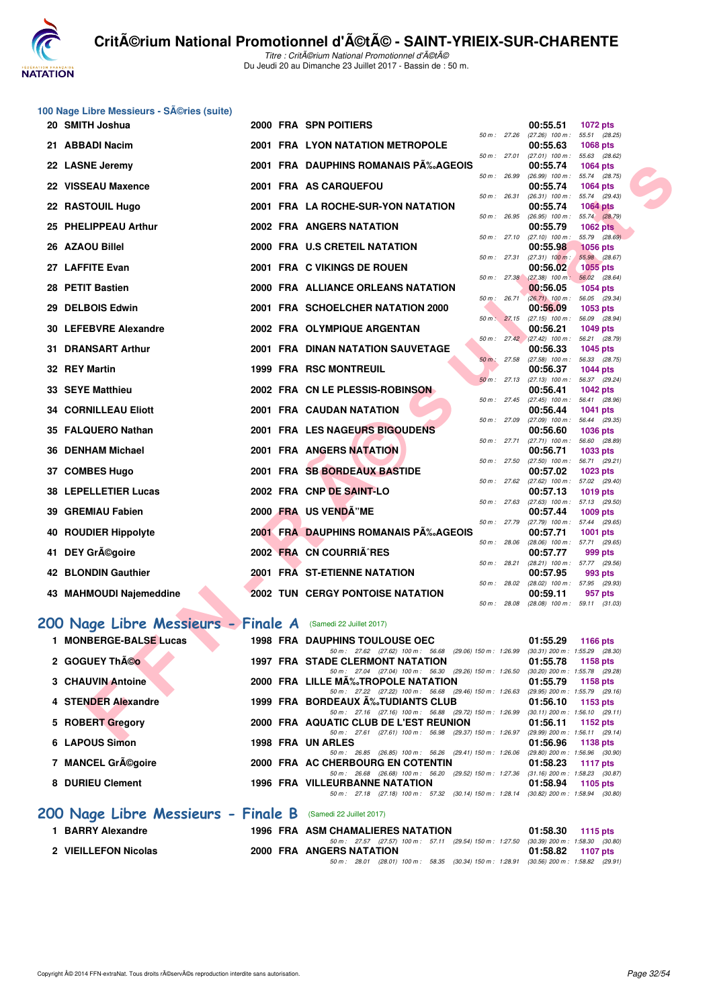

Titre : Critérium National Promotionnel d'été Du Jeudi 20 au Dimanche 23 Juillet 2017 - Bassin de : 50 m.

# **100 Nage Libre Messieurs - Séries (suite)**<br>20 **SMITH Joshua**

| 20 SMITH Joshua                    |  | 2000 FRA SPN POITIERS                                                                                                            |                | 00:55.51<br>1072 pts                                                         |
|------------------------------------|--|----------------------------------------------------------------------------------------------------------------------------------|----------------|------------------------------------------------------------------------------|
| 21 ABBADI Nacim                    |  | 2001 FRA LYON NATATION METROPOLE                                                                                                 |                | 50 m: 27.26 (27.26) 100 m: 55.51 (28.25)<br>00:55.63<br><b>1068 pts</b>      |
|                                    |  |                                                                                                                                  | 50 m: 27.01    | $(27.01)$ 100 m : 55.63 $(28.62)$                                            |
| 22 LASNE Jeremy                    |  | 2001 FRA DAUPHINS ROMANAIS P‰AGEOIS                                                                                              | 50 m: 26.99    | 00:55.74<br><b>1064 pts</b><br>$(26.99)$ 100 m :<br>55.74 (28.75)            |
| 22 VISSEAU Maxence                 |  | 2001 FRA AS CARQUEFOU                                                                                                            |                | 00:55.74<br><b>1064 pts</b>                                                  |
| 22 RASTOUIL Hugo                   |  | 2001 FRA LA ROCHE-SUR-YON NATATION                                                                                               | 50 m: 26.31    | 55.74 (29.43)<br>$(26.31)$ 100 m :<br>00:55.74<br><b>1064 pts</b>            |
| 25 PHELIPPEAU Arthur               |  | 2002 FRA ANGERS NATATION                                                                                                         | 50 m : 26.95   | 55.74 (28.79)<br>$(26.95)$ 100 m :<br>00:55.79<br><b>1062 pts</b>            |
|                                    |  |                                                                                                                                  |                | 55.79 (28.69)<br>50 m: 27.10 (27.10) 100 m:                                  |
| 26 AZAOU Billel                    |  | 2000 FRA U.S CRETEIL NATATION                                                                                                    | 50 m: 27.31    | 00:55.98<br><b>1056 pts</b><br>$(27.31)$ 100 m :<br>55.98 (28.67)            |
| 27 LAFFITE Evan                    |  | 2001 FRA C VIKINGS DE ROUEN                                                                                                      |                | 00:56.02<br><b>1055 pts</b>                                                  |
| 28 PETIT Bastien                   |  | 2000 FRA ALLIANCE ORLEANS NATATION                                                                                               |                | 50 m : 27.38 (27.38) 100 m :<br>56.02 (28.64)<br>00:56.05<br><b>1054 pts</b> |
|                                    |  |                                                                                                                                  | 50 m: 26.71    | $(26.71)$ 100 m :<br>56.05 (29.34)                                           |
| 29 DELBOIS Edwin                   |  | 2001 FRA SCHOELCHER NATATION 2000                                                                                                | 50 m: 27.15    | 00:56.09<br>1053 pts<br>$(27.15)$ 100 m :<br>56.09 (28.94)                   |
| 30 LEFEBVRE Alexandre              |  | 2002 FRA OLYMPIQUE ARGENTAN                                                                                                      |                | 00:56.21<br><b>1049 pts</b>                                                  |
|                                    |  |                                                                                                                                  |                | $50 m$ : $27.42$ $(27.42)$ $100 m$ :<br>56.21 (28.79)                        |
| 31 DRANSART Arthur                 |  | <b>2001 FRA DINAN NATATION SAUVETAGE</b>                                                                                         | 50 m : 27.58   | 00:56.33<br><b>1045 pts</b><br>$(27.58)$ 100 m :<br>56.33 (28.75)            |
| 32 REY Martin                      |  | 1999 FRA RSC MONTREUIL                                                                                                           |                | 00:56.37<br><b>1044 pts</b>                                                  |
| <b>33 SEYE Matthieu</b>            |  | <b>2002 FRA CN LE PLESSIS-ROBINSON</b>                                                                                           |                | 50 m: 27.13 (27.13) 100 m: 56.37 (29.24)<br>00:56.41<br><b>1042 pts</b>      |
|                                    |  |                                                                                                                                  | 50 m: 27.45    | $(27.45)$ 100 m :<br>56.41 (28.96)                                           |
| <b>34 CORNILLEAU Eliott</b>        |  | 2001 FRA CAUDAN NATATION                                                                                                         | 50 m: 27.09    | 00:56.44<br>1041 pts<br>$(27.09)$ 100 m : 56.44 $(29.35)$                    |
| 35 FALQUERO Nathan                 |  | <b>2001 FRA LES NAGEURS BIGOUDENS</b>                                                                                            |                | 00:56.60<br><b>1036 pts</b>                                                  |
| 36 DENHAM Michael                  |  | 2001 FRA ANGERS NATATION                                                                                                         | 50 m : 27.71   | $(27.71)$ 100 m :<br>56.60 (28.89)<br>00:56.71<br>1033 pts                   |
|                                    |  |                                                                                                                                  | 50 m: 27.50    | $(27.50)$ 100 m : 56.71 $(29.21)$                                            |
| 37 COMBES Hugo                     |  | 2001 FRA SB BORDEAUX BASTIDE                                                                                                     | 50 m: 27.62    | 00:57.02<br>1023 pts<br>(27.62) 100 m: 57.02 (29.40)                         |
| <b>38 LEPELLETIER Lucas</b>        |  | 2002 FRA CNP DE SAINT-LO                                                                                                         |                | 00:57.13<br><b>1019 pts</b>                                                  |
| 39 GREMIAU Fabien                  |  | 2000 FRA US VENDA"ME                                                                                                             | 50 m : 27.63   | (27.63) 100 m: 57.13 (29.50)<br>00:57.44<br><b>1009 pts</b>                  |
|                                    |  |                                                                                                                                  | 50 m: 27.79    | (27.79) 100 m: 57.44 (29.65)                                                 |
| 40 ROUDIER Hippolyte               |  | 2001 FRA DAUPHINS ROMANAIS PA‰AGEOIS                                                                                             | $50 m$ : 28.06 | 00:57.71<br>1001 pts<br>(28.06) 100 m: 57.71 (29.65)                         |
| 41 DEY Grégoire                    |  | 2002 FRA CN COURRIÃ^RES                                                                                                          |                | 00:57.77<br>999 pts                                                          |
| 42 BLONDIN Gauthier                |  | 2001 FRA ST-ETIENNE NATATION                                                                                                     | 50 m: 28.21    | (28.21) 100 m: 57.77 (29.56)                                                 |
|                                    |  |                                                                                                                                  | 50 m: 28.02    | 00:57.95<br>993 pts<br>(28.02) 100 m: 57.95 (29.93)                          |
| 43 MAHMOUDI Najemeddine            |  | <b>2002 TUN CERGY PONTOISE NATATION</b>                                                                                          |                | 00:59.11<br>957 pts                                                          |
|                                    |  |                                                                                                                                  | 50 m : 28.08   | $(28.08)$ 100 m : 59.11 $(31.03)$                                            |
| 00 Nage Libre Messieurs - Finale A |  | (Samedi 22 Juillet 2017)                                                                                                         |                |                                                                              |
| 1 MONBERGE-BALSE Lucas             |  | <b>1998 FRA DAUPHINS TOULOUSE OEC</b>                                                                                            |                | 01:55.29<br>1166 pts                                                         |
| 2 GOGUEY ThÃOO                     |  | 50 m: 27.62 (27.62) 100 m: 56.68 (29.06) 150 m: 1:26.99<br><b>1997 FRA STADE CLERMONT NATATION</b>                               |                | $(30.31)$ 200 m : 1:55.29 $(28.30)$<br>01:55.78<br>1158 pts                  |
|                                    |  | 50 m: 27.04 (27.04) 100 m: 56.30 (29.26) 150 m: 1:26.50 (30.20) 200 m: 1:55.78 (29.28)                                           |                |                                                                              |
| 3 CHAUVIN Antoine                  |  | 2000 FRA LILLE MA% TROPOLE NATATION<br>50 m: 27.22 (27.22) 100 m: 56.68 (29.46) 150 m: 1:26.63                                   |                | 01:55.79<br>1158 pts                                                         |
| 4 STENDER Alexandre                |  | 1999 FRA BORDEAUX A%JUDIANTS CLUB                                                                                                |                | (29.95) 200 m : 1:55.79 (29.16)<br>01:56.10<br>1153 pts                      |
| 5 ROBERT Gregory                   |  | 50 m: 27.16 (27.16) 100 m: 56.88 (29.72) 150 m: 1:26.99 (30.11) 200 m: 1:56.10 (29.11)<br>2000 FRA AQUATIC CLUB DE L'EST REUNION |                | 01:56.11<br>1152 pts                                                         |
|                                    |  | 50 m: 27.61 (27.61) 100 m: 56.98 (29.37) 150 m: 1:26.97 (29.99) 200 m: 1:56.11 (29.14)                                           |                |                                                                              |
| $\overline{1}$ ADOUG CHAIRS        |  | $4000$ CDA IIN ADLCO                                                                                                             |                | 0.4.500<br>$\sim$ 400 $\sim$                                                 |

## [200 Nage Libre Messieurs - Finale A](http://www.ffnatation.fr/webffn/resultats.php?idact=nat&go=epr&idcpt=47489&idepr=53) (Samedi 22 Juillet 2017)

| 1 MONBERGE-BALSE Lucas              | <b>1998 FRA DAUPHINS TOULOUSE OEC</b>                                                                | 01:55.29<br>1166 $pts$              |  |
|-------------------------------------|------------------------------------------------------------------------------------------------------|-------------------------------------|--|
|                                     | 50 m: 27.62 (27.62) 100 m: 56.68 (29.06) 150 m: 1:26.99                                              | $(30.31)$ 200 m : 1:55.29 $(28.30)$ |  |
| 2 GOGUEY Théo                       | <b>1997 FRA STADE CLERMONT NATATION</b>                                                              | 01:55.78<br>1158 $pts$              |  |
|                                     | 50 m: 27.04 (27.04) 100 m: 56.30 (29.26) 150 m: 1:26.50                                              | (30.20) 200 m: 1:55.78 (29.28)      |  |
| 3 CHAUVIN Antoine                   | 2000 FRA LILLE MA%TROPOLE NATATION                                                                   | 01:55.79<br>1158 $pts$              |  |
|                                     | 50 m: 27.22 (27.22) 100 m: 56.68 (29.46) 150 m: 1:26.63                                              | (29.95) 200 m : 1:55.79 (29.16)     |  |
| 4 STENDER Alexandre                 | 1999 FRA BORDEAUX A%TUDIANTS CLUB                                                                    | 01:56.10<br>1153 $pts$              |  |
|                                     | 50 m: 27.16 (27.16) 100 m: 56.88 (29.72) 150 m: 1:26.99                                              | $(30.11)$ 200 m : 1:56.10 $(29.11)$ |  |
| 5 ROBERT Gregory                    | 2000 FRA AQUATIC CLUB DE L'EST REUNION                                                               | 01:56.11<br>1152 pts                |  |
|                                     | (27.61) 100 m : 56.98 (29.37) 150 m : 1:26.97<br>$50 m$ : 27.61                                      | (29.99) 200 m: 1:56.11 (29.14)      |  |
| 6 LAPOUS Simon                      | 1998 FRA UN ARLES                                                                                    | 01:56.96<br>1138 $pts$              |  |
|                                     | $(26.85)$ 100 m : 56.26 $(29.41)$ 150 m : 1:26.06<br>$50 m$ : 26.85                                  | $(29.80)$ 200 m : 1:56.96 $(30.90)$ |  |
| 7 MANCEL Grégoire                   | 2000 FRA AC CHERBOURG EN COTENTIN                                                                    | 01:58.23<br>1117 pts                |  |
|                                     | 50 m: 26.68 (26.68) 100 m: 56.20 (29.52) 150 m: 1:27.36                                              | $(31.16)$ 200 m : 1:58.23 $(30.87)$ |  |
| 8 DURIEU Clement                    | <b>1996 FRA VILLEURBANNE NATATION</b>                                                                | 01:58.94<br>1105 $pts$              |  |
|                                     | (27.18) 100 m: 57.32 (30.14) 150 m: 1:28.14 (30.82) 200 m: 1:58.94 (30.80)<br>$50 \text{ m}$ : 27.18 |                                     |  |
|                                     |                                                                                                      |                                     |  |
| 200 Nage Libre Messieurs - Finale B | (Samedi 22 Juillet 2017)                                                                             |                                     |  |
| 1 BARRY Alexandre                   | <b>1996 FRA ASM CHAMALIERES NATATION</b>                                                             | 01:58.30<br>1115 $pts$              |  |
|                                     |                                                                                                      |                                     |  |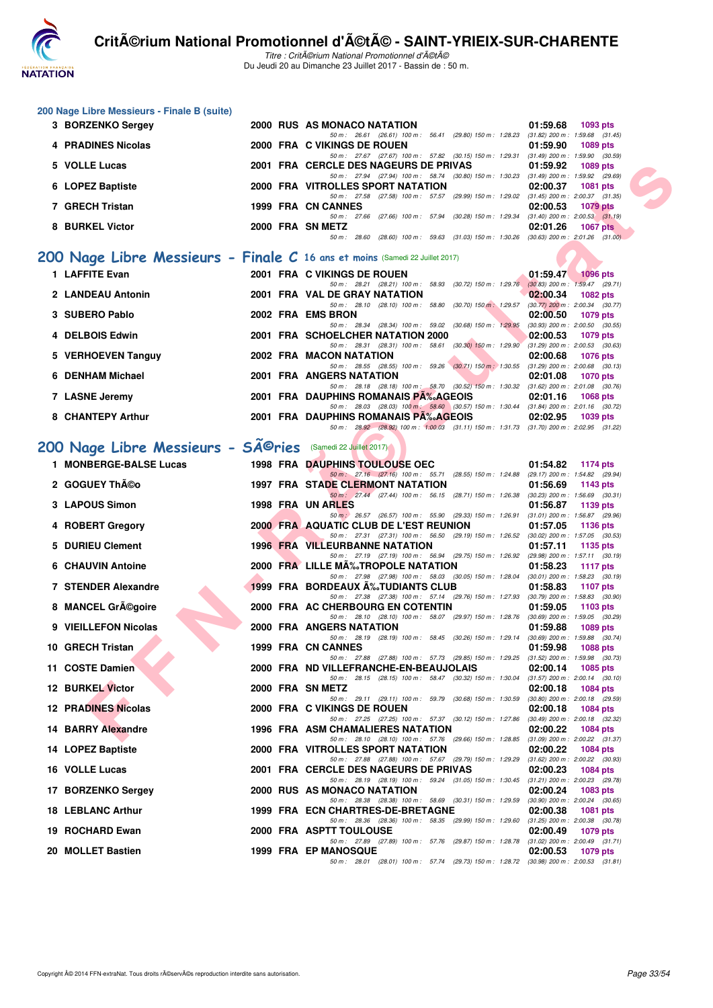

Titre : CritA©rium National Promotionnel d'A©tA© Du Jeudi 20 au Dimanche 23 Juillet 2017 - Bassin de : 50 m.

#### **200 Nage Libre Messieurs - Finale B (suite)**

| 3 BORZENKO Sergey  |  | 2000 RUS AS MONACO NATATION                                                                               | 01:59.68 | 1093 pts                            |
|--------------------|--|-----------------------------------------------------------------------------------------------------------|----------|-------------------------------------|
|                    |  | (29.80) 150 m : 1:28.23<br>50 m: 26.61 (26.61) 100 m: 56.41                                               |          | $(31.82)$ 200 m : 1:59.68 $(31.45)$ |
| 4 PRADINES Nicolas |  | 2000 FRA C VIKINGS DE ROUEN                                                                               | 01:59.90 | 1089 pts                            |
|                    |  | 50 m: 27.67 (27.67) 100 m: 57.82 (30.15) 150 m: 1:29.31                                                   |          | $(31.49)$ 200 m : 1:59.90 $(30.59)$ |
| 5 VOLLE Lucas      |  | 2001 FRA CERCLE DES NAGEURS DE PRIVAS                                                                     | 01:59.92 | 1089 pts                            |
|                    |  | 50 m: 27.94 (27.94) 100 m: 58.74 (30.80) 150 m: 1:30.23 (31.49) 200 m: 1:59.92 (29.69)                    |          |                                     |
| 6 LOPEZ Baptiste   |  | 2000 FRA VITROLLES SPORT NATATION                                                                         | 02:00.37 | <b>1081 pts</b>                     |
|                    |  | $(29.99)$ 150 m : 1:29.02<br>(27.58) 100 m : 57.57<br>50 m : 27.58                                        |          | $(31.45)$ 200 m : 2:00.37 $(31.35)$ |
| 7 GRECH Tristan    |  | 1999 FRA CN CANNES                                                                                        | 02:00.53 | $1079$ pts                          |
|                    |  | $(30.28)$ 150 m : 1:29.34<br>(27.66) 100 m : 57.94<br>50 m : 27.66                                        |          | $(31.40)$ 200 m : 2:00.53 $(31.19)$ |
| 8 BURKEL Victor    |  | 2000 FRA SN METZ                                                                                          | 02:01.26 | <b>1067 pts</b>                     |
|                    |  | $(31.03)$ 150 m : 1:30.26 $(30.63)$ 200 m : 2:01.26 $(31.00)$<br>59.63<br>(28.60) 100 m :<br>50 m : 28.60 |          |                                     |
|                    |  |                                                                                                           |          |                                     |

## **[200 Nage Libre Messieurs - Finale C](http://www.ffnatation.fr/webffn/resultats.php?idact=nat&go=epr&idcpt=47489&idepr=53) 16 ans et moins** (Samedi 22 Juillet 2017)

| 1 LAFFITE Evan     |  | 2001 FRA C VIKINGS DE ROUEN          |  |                                                            |  | 01:59.47                                                                                    |          | <b>1096 pts</b> |
|--------------------|--|--------------------------------------|--|------------------------------------------------------------|--|---------------------------------------------------------------------------------------------|----------|-----------------|
|                    |  | 50 m : 28.21                         |  | (28.21) 100 m : 58.93 (30.72) 150 m : 1:29.76              |  | $(30.83)$ 200 m : 1:59.47 (29.71)                                                           |          |                 |
| 2 LANDEAU Antonin  |  | 2001 FRA VAL DE GRAY NATATION        |  |                                                            |  | 02:00.34                                                                                    |          | 1082 pts        |
|                    |  |                                      |  | 50 m: 28.10 (28.10) 100 m: 58.80 (30.70) 150 m: 1:29.57    |  | $(30.77)$ 200 m : 2:00.34 $(30.77)$                                                         |          |                 |
| 3 SUBERO Pablo     |  | 2002 FRA EMS BRON                    |  |                                                            |  | 02:00.50                                                                                    |          | 1079 pts        |
|                    |  |                                      |  | 50 m: 28.34 (28.34) 100 m: 59.02 (30.68) 150 m: 1:29.95    |  | $(30.93)$ 200 m : 2:00.50 $(30.55)$                                                         |          |                 |
| 4 DELBOIS Edwin    |  | 2001 FRA SCHOELCHER NATATION 2000    |  |                                                            |  | 02:00.53                                                                                    |          | 1079 pts        |
|                    |  |                                      |  | 50 m: 28.31 (28.31) 100 m: 58.61 (30.30) 150 m: 1:29.90    |  | $(31.29)$ 200 m : 2:00.53 $(30.63)$                                                         |          |                 |
| 5 VERHOEVEN Tanguy |  | 2002 FRA MACON NATATION              |  |                                                            |  | 02:00.68                                                                                    |          | 1076 pts        |
|                    |  |                                      |  | 50 m: 28.55 (28.55) 100 m: 59.26 (30.71) 150 m: 1:30.55    |  | $(31.29)$ 200 m : 2:00.68 $(30.13)$                                                         |          |                 |
| 6 DENHAM Michael   |  | 2001 FRA ANGERS NATATION             |  |                                                            |  | 02:01.08                                                                                    | 1070 pts |                 |
|                    |  |                                      |  | 50 m : 28.18 (28.18) 100 m : 58.70 (30.52) 150 m : 1:30.32 |  | $(31.62)$ 200 m : 2:01.08 $(30.76)$                                                         |          |                 |
| 7 LASNE Jeremy     |  | 2001 FRA DAUPHINS ROMANAIS PA‰AGEOIS |  |                                                            |  | 02:01.16                                                                                    |          | 1068 pts        |
|                    |  |                                      |  |                                                            |  | 50 m: 28.03 (28.03) 100 m: 58.60 (30.57) 150 m: 1:30.44 (31.84) 200 m: 2:01.16 (30.72)      |          |                 |
| 8 CHANTEPY Arthur  |  | 2001 FRA DAUPHINS ROMANAIS PA‰AGEOIS |  |                                                            |  | 02:02.95                                                                                    |          | 1039 pts        |
|                    |  |                                      |  |                                                            |  | 50 m : 28.92 (28.92) 100 m : 1:00.03 (31.11) 150 m : 1:31.73 (31.70) 200 m : 2:02.95 (31.22 |          |                 |

# 200 Nage Libre Messieurs - SÃ<sup>©</sup>ries (Samedi 22 Juillet 2017)

| 5 VOLLE Lucas                                                               |  | 2001 FRA CERCLE DES NAGEURS DE PRIVAS                                                                                                       | 01:59.92 | 1089 pts          |
|-----------------------------------------------------------------------------|--|---------------------------------------------------------------------------------------------------------------------------------------------|----------|-------------------|
| 6 LOPEZ Baptiste                                                            |  | 50 m: 27.94 (27.94) 100 m: 58.74 (30.80) 150 m: 1:30.23 (31.49) 200 m: 1:59.92 (29.69)<br>2000 FRA VITROLLES SPORT NATATION                 | 02:00.37 | <b>1081 pts</b>   |
| 7 GRECH Tristan                                                             |  | 50 m: 27.58 (27.58) 100 m: 57.57 (29.99) 150 m: 1:29.02 (31.45) 200 m: 2:00.37 (31.35)<br>1999 FRA CN CANNES                                | 02:00.53 | <b>1079 pts</b>   |
| 8 BURKEL Victor                                                             |  | 50 m: 27.66 (27.66) 100 m: 57.94 (30.28) 150 m: 1:29.34 (31.40) 200 m: 2:00.53 (31.19)<br>2000 FRA SN METZ                                  | 02:01.26 | <b>1067 pts</b>   |
|                                                                             |  | 50 m: 28.60 (28.60) 100 m: 59.63 (31.03) 150 m: 1:30.26 (30.63) 200 m: 2:01.26 (31.00)                                                      |          |                   |
| 00 Nage Libre Messieurs - Finale C 16 ans et moins (Samedi 22 Juillet 2017) |  |                                                                                                                                             |          |                   |
| 1 LAFFITE Evan                                                              |  | 2001 FRA C VIKINGS DE ROUEN                                                                                                                 |          | 01:59.47 1096 pts |
| 2 LANDEAU Antonin                                                           |  | 50 m: 28.21 (28.21) 100 m: 58.93 (30.72) 150 m: 1:29.76 (30.83) 200 m: 1:59.47 (29.71)<br>2001 FRA VAL DE GRAY NATATION                     | 02:00.34 | 1082 pts          |
| 3 SUBERO Pablo                                                              |  | 50 m: 28.10 (28.10) 100 m: 58.80 (30.70) 150 m: 1:29.57 (30.77) 200 m: 2:00.34 (30.77)<br>2002 FRA EMS BRON                                 | 02:00.50 | 1079 pts          |
| 4 DELBOIS Edwin                                                             |  | 50 m: 28.34 (28.34) 100 m: 59.02 (30.68) 150 m: 1:29.95 (30.93) 200 m: 2:00.50 (30.55)<br>2001 FRA SCHOELCHER NATATION 2000                 | 02:00.53 | 1079 pts          |
|                                                                             |  | 50 m: 28.31 (28.31) 100 m: 58.61 (30.30) 150 m: 1:29.90 (31.29) 200 m: 2:00.53 (30.63)                                                      |          |                   |
| 5 VERHOEVEN Tanguy                                                          |  | 2002 FRA MACON NATATION<br>50 m: 28.55 (28.55) 100 m: 59.26 (30.71) 150 m: 1:30.55 (31.29) 200 m: 2:00.68 (30.13)                           | 02:00.68 | 1076 pts          |
| 6 DENHAM Michael                                                            |  | 2001 FRA ANGERS NATATION<br>50 m: 28.18 (28.18) 100 m: 58.70 (30.52) 150 m: 1:30.32 (31.62) 200 m: 2:01.08 (30.76)                          | 02:01.08 | 1070 pts          |
| 7 LASNE Jeremy                                                              |  | 2001 FRA DAUPHINS ROMANAIS PA‰AGEOIS<br>50 m : 28.03 (28.03) 100 m : 58.60 (30.57) 150 m : 1:30.44 (31.84) 200 m : 2:01.16 (30.72)          | 02:01.16 | 1068 pts          |
| 8 CHANTEPY Arthur                                                           |  | 2001 FRA DAUPHINS ROMANAIS P‰AGEOIS                                                                                                         | 02:02.95 | 1039 pts          |
|                                                                             |  | 50 m: 28.92 (28.92) 100 m: 1:00.03 (31.11) 150 m: 1:31.73 (31.70) 200 m: 2:02.95 (31.22)                                                    |          |                   |
| 00 Nage Libre Messieurs - Sîries (Samedi 22 Juillet 2017)                   |  |                                                                                                                                             |          |                   |
| 1 MONBERGE-BALSE Lucas                                                      |  | <b>1998 FRA DAUPHINS TOULOUSE OEC</b><br>50 m: 27.16 (27.16) 100 m: 55.71 (28.55) 150 m: 1:24.88 (29.17) 200 m: 1:54.82 (29.94)             | 01:54.82 | 1174 pts          |
| 2 GOGUEY Théo                                                               |  | <b>1997 FRA STADE CLERMONT NATATION</b>                                                                                                     | 01:56.69 | 1143 pts          |
| 3 LAPOUS Simon                                                              |  | 50 m: 27.44 (27.44) 100 m: 56.15 (28.71) 150 m: 1:26.38 (30.23) 200 m: 1:56.69 (30.31)<br>1998 FRA UN ARLES                                 | 01:56.87 | 1139 pts          |
| 4 ROBERT Gregory                                                            |  | 50 m : 26.57 (26.57) 100 m : 55.90 (29.33) 150 m : 1:26.91 (31.01) 200 m : 1:56.87 (29.96)<br><b>2000 FRA AQUATIC CLUB DE L'EST REUNION</b> | 01:57.05 | 1136 pts          |
|                                                                             |  | 50 m: 27.31 (27.31) 100 m: 56.50 (29.19) 150 m: 1:26.52 (30.02) 200 m: 1:57.05 (30.53)                                                      |          |                   |
| 5 DURIEU Clement                                                            |  | <b>1996 FRA VILLEURBANNE NATATION</b><br>50 m: 27.19 (27.19) 100 m: 56.94 (29.75) 150 m: 1:26.92 (29.98) 200 m: 1:57.11 (30.19)             | 01:57.11 | 1135 pts          |
| 6 CHAUVIN Antoine                                                           |  | 2000 FRA LILLE MA‰TROPOLE NATATION<br>50 m: 27.98 (27.98) 100 m: 58.03 (30.05) 150 m: 1:28.04 (30.01) 200 m: 1:58.23 (30.19)                | 01:58.23 | 1117 $pts$        |
| 7 STENDER Alexandre                                                         |  | 1999 FRA BORDEAUX A%TUDIANTS CLUB                                                                                                           | 01:58.83 | 1107 pts          |
| 8 MANCEL Grégoire                                                           |  | 50 m: 27.38 (27.38) 100 m: 57.14 (29.76) 150 m: 1:27.93 (30.79) 200 m: 1:58.83 (30.90)<br>2000 FRA AC CHERBOURG EN COTENTIN                 | 01:59.05 | 1103 pts          |
| 9 VIEILLEFON Nicolas                                                        |  | 50 m: 28.10 (28.10) 100 m: 58.07 (29.97) 150 m: 1:28.76 (30.69) 200 m: 1:59.05 (30.29)<br>2000 FRA ANGERS NATATION                          | 01:59.88 | 1089 pts          |
| 10 GRECH Tristan                                                            |  | 50 m: 28.19 (28.19) 100 m: 58.45 (30.26) 150 m: 1:29.14 (30.69) 200 m: 1:59.88 (30.74)<br>1999 FRA CN CANNES                                | 01:59.98 | 1088 pts          |
|                                                                             |  | 50 m: 27.88 (27.88) 100 m: 57.73 (29.85) 150 m: 1:29.25 (31.52) 200 m: 1:59.98 (30.73)                                                      |          |                   |
| 11 COSTE Damien                                                             |  | 2000 FRA ND VILLEFRANCHE-EN-BEAUJOLAIS<br>50 m: 28.15 (28.15) 100 m: 58.47 (30.32) 150 m: 1:30.04 (31.57) 200 m: 2:00.14 (30.10)            | 02:00.14 | 1085 pts          |
| <b>12 BURKEL Victor</b>                                                     |  | 2000 FRA SN METZ<br>50 m: 29.11 (29.11) 100 m: 59.79 (30.68) 150 m: 1:30.59 (30.80) 200 m: 2:00.18 (29.59)                                  | 02:00.18 | 1084 pts          |
| <b>12 PRADINES Nicolas</b>                                                  |  | 2000 FRA C VIKINGS DE ROUEN                                                                                                                 |          | 02:00.18 1084 pts |
| 14 BARRY Alexandre                                                          |  | 50 m: 27.25 (27.25) 100 m: 57.37 (30.12) 150 m: 1:27.86 (30.49) 200 m: 2:00.18 (32.32)<br>1996 FRA ASM CHAMALIERES NATATION                 |          | 02:00.22 1084 pts |
| 14 LOPEZ Baptiste                                                           |  | 50 m: 28.10 (28.10) 100 m: 57.76 (29.66) 150 m: 1:28.85 (31.09) 200 m: 2:00.22 (31.37)<br>2000 FRA VITROLLES SPORT NATATION                 | 02:00.22 | 1084 pts          |
|                                                                             |  | 50 m: 27.88 (27.88) 100 m: 57.67 (29.79) 150 m: 1:29.29 (31.62) 200 m: 2:00.22 (30.93)                                                      |          |                   |
| 16 VOLLE Lucas                                                              |  | 2001 FRA  CERCLE DES NAGEURS DE PRIVAS<br>50 m: 28.19 (28.19) 100 m: 59.24 (31.05) 150 m: 1:30.45 (31.21) 200 m: 2:00.23 (29.78)            | 02:00.23 | 1084 pts          |
| 17 BORZENKO Sergey                                                          |  | 2000 RUS AS MONACO NATATION<br>50 m: 28.38 (28.38) 100 m: 58.69 (30.31) 150 m: 1:29.59 (30.90) 200 m: 2:00.24 (30.65)                       | 02:00.24 | 1083 pts          |
| 18 LEBLANC Arthur                                                           |  | 1999 FRA ECN CHARTRES-DE-BRETAGNE<br>50 m: 28.36 (28.36) 100 m: 58.35 (29.99) 150 m: 1.29.60 (31.25) 200 m: 2:00.38 (30.78)                 | 02:00.38 | 1081 pts          |
| 19 ROCHARD Ewan                                                             |  | 2000 FRA ASPTT TOULOUSE                                                                                                                     | 02:00.49 | 1079 pts          |
| 20 MOLLET Bastien                                                           |  | 50 m: 27.89 (27.89) 100 m: 57.76 (29.87) 150 m: 1:28.78 (31.02) 200 m: 2:00.49 (31.71)<br><b>1999 FRA EP MANOSQUE</b>                       | 02:00.53 | 1079 pts          |
|                                                                             |  | 50 m: 28.01 (28.01) 100 m: 57.74 (29.73) 150 m: 1:28.72 (30.98) 200 m: 2:00.53 (31.81)                                                      |          |                   |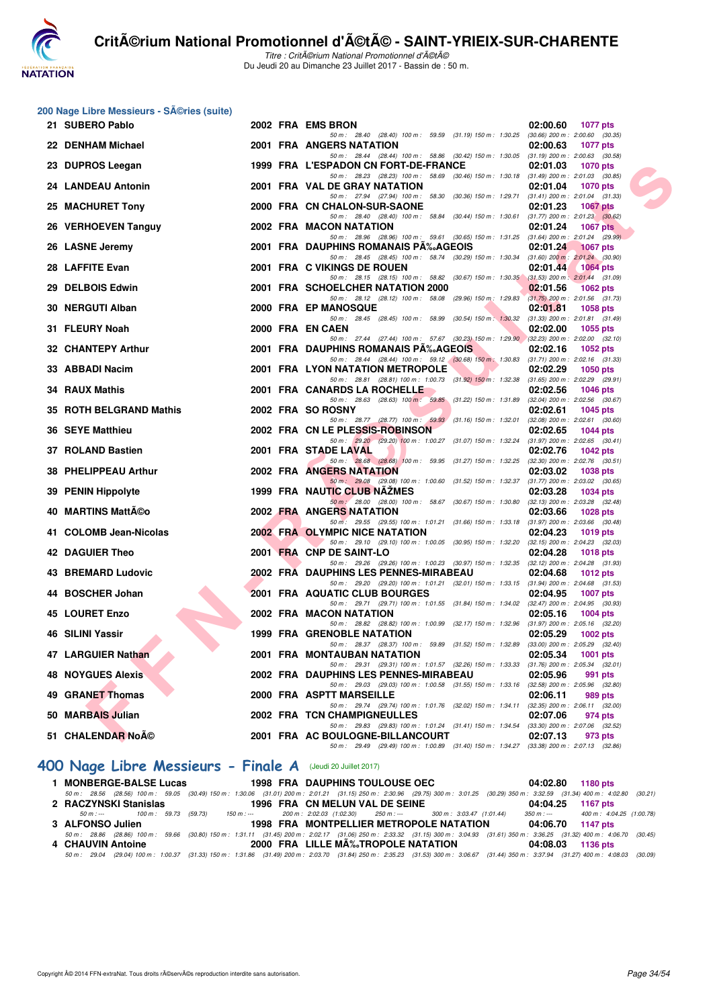

Titre : CritA©rium National Promotionnel d'A©tA© Du Jeudi 20 au Dimanche 23 Juillet 2017 - Bassin de : 50 m.

## 200 Nage Libre Messieurs - Séries (suite)

| $\sim$ may Library measically creditor (suite)<br>21 SUBERO Pablo |  | 2002 FRA EMS BRON                                                                                                                                                 | 02:00.60<br>1077 pts        |
|-------------------------------------------------------------------|--|-------------------------------------------------------------------------------------------------------------------------------------------------------------------|-----------------------------|
| 22 DENHAM Michael                                                 |  | 50 m: 28.40 (28.40) 100 m: 59.59 (31.19) 150 m: 1:30.25 (30.66) 200 m: 2:00.60 (30.35)<br>2001 FRA ANGERS NATATION                                                | 02:00.63<br>1077 pts        |
|                                                                   |  | 50 m: 28.44 (28.44) 100 m: 58.86 (30.42) 150 m: 1:30.05 (31.19) 200 m: 2:00.63 (30.58)                                                                            |                             |
| 23 DUPROS Leegan                                                  |  | 1999 FRA L'ESPADON CN FORT-DE-FRANCE<br>50 m: 28.23 (28.23) 100 m: 58.69 (30.46) 150 m: 1:30.18 (31.49) 200 m: 2:01.03 (30.85)                                    | 02:01.03<br>1070 pts        |
| 24 LANDEAU Antonin                                                |  | 2001 FRA VAL DE GRAY NATATION                                                                                                                                     | 02:01.04<br><b>1070 pts</b> |
| 25 MACHURET Tony                                                  |  | 50 m: 27.94 (27.94) 100 m: 58.30 (30.36) 150 m: 1:29.71 (31.41) 200 m: 2:01.04 (31.33)<br>2000 FRA CN CHALON-SUR-SAONE                                            | 02:01.23<br>1067 pts        |
|                                                                   |  | 50 m: 28.40 (28.40) 100 m: 58.84 (30.44) 150 m: 1:30.61 (31.77) 200 m: 2:01.23 (30.62)                                                                            |                             |
| 26 VERHOEVEN Tanguy                                               |  | 2002 FRA MACON NATATION<br>50 m: 28.96 (28.96) 100 m: 59.61 (30.65) 150 m: 1:31.25 (31.64) 200 m: 2:01.24 (29.99)                                                 | 02:01.24<br>1067 pts        |
| 26 LASNE Jeremy                                                   |  | 2001 FRA DAUPHINS ROMANAIS PA‰AGEOIS                                                                                                                              | 02:01.24<br>1067 pts        |
| 28 LAFFITE Evan                                                   |  | 50 m: 28.45 (28.45) 100 m: 58.74 (30.29) 150 m: 1:30.34 (31.60) 200 m: 2:01.24 (30.90)<br>2001 FRA C VIKINGS DE ROUEN                                             | 02:01.44<br>$1064$ pts      |
|                                                                   |  | 50 m: 28.15 (28.15) 100 m: 58.82 (30.67) 150 m: 1:30.35 (31.53) 200 m: 2:01.44 (31.09)                                                                            |                             |
| 29 DELBOIS Edwin                                                  |  | 2001 FRA SCHOELCHER NATATION 2000<br>50 m: 28.12 (28.12) 100 m: 58.08 (29.96) 150 m: 1:29.83 (31.75) 200 m: 2:01.56 (31.73)                                       | 02:01.56<br>1062 pts        |
| 30 NERGUTI Alban                                                  |  | 2000 FRA EP MANOSQUE                                                                                                                                              | 02:01.81<br>1058 pts        |
| 31 FLEURY Noah                                                    |  | 50 m: 28.45 (28.45) 100 m: 58.99 (30.54) 150 m: 1:30.32 (31.33) 200 m: 2:01.81 (31.49)<br>2000 FRA EN CAEN                                                        | 02:02.00<br>1055 pts        |
|                                                                   |  | 50 m: 27.44 (27.44) 100 m: 57.67 (30.23) 150 m: 1:29.90 (32.23) 200 m: 2:02.00 (32.10)                                                                            |                             |
| 32 CHANTEPY Arthur                                                |  | 2001 FRA DAUPHINS ROMANAIS PA‰AGEOIS<br>50 m: 28.44 (28.44) 100 m: 59.12 (30.68) 150 m: 1:30.83 (31.71) 200 m: 2:02.16 (31.33)                                    | 02:02.16<br>1052 pts        |
| 33 ABBADI Nacim                                                   |  | 2001 FRA LYON NATATION METROPOLE<br>l v Z                                                                                                                         | $02:02.29$ 1050 pts         |
| 34 RAUX Mathis                                                    |  | 50 m: 28.81 (28.81) 100 m: 1:00.73 (31.92) 150 m: 1:32.38 (31.65) 200 m: 2:02.29 (29.91)<br>2001 FRA CANARDS LA ROCHELLE                                          | 02:02.56<br>1046 pts        |
|                                                                   |  | 50 m: 28.63 (28.63) 100 m: 59.85 (31.22) 150 m: 1:31.89 (32.04) 200 m: 2:02.56 (30.67)                                                                            |                             |
| 35 ROTH BELGRAND Mathis                                           |  | 2002 FRA SO ROSNY<br>50 m: 28.77 (28.77) 100 m: 59.93 (31.16) 150 m: 1:32.01 (32.08) 200 m: 2:02.61 (30.60)                                                       | 02:02.61<br><b>1045 pts</b> |
| 36 SEYE Matthieu                                                  |  | 2002 FRA CN LE PLESSIS-ROBINSON                                                                                                                                   | 02:02.65<br>1044 pts        |
| 37 ROLAND Bastien                                                 |  | 50 m: 29.20 (29.20) 100 m: 1:00.27 (31.07) 150 m: 1:32.24 (31.97) 200 m: 2:02.65 (30.41)<br>2001 FRA STADE LAVAL                                                  | 02:02.76<br>1042 pts        |
|                                                                   |  | 50 m: $\begin{array}{ l l l l l } \hline 28.68 & (28.68) & 100 m: & 59.95 & (31.27) & 150 m: & 1.32.25 & (32.30) & 200 m: & 2.02.76 & (30.51) \hline \end{array}$ |                             |
| 38 PHELIPPEAU Arthur                                              |  | 2002 FRA ANGERS NATATION<br>50 m: 29.08 (29.08) 100 m: 1:00.60 (31.52) 150 m: 1:32.37 (31.77) 200 m: 2:03.02 (30.65)                                              | 02:03.02<br>1038 pts        |
| 39 PENIN Hippolyte                                                |  | 1999 FRA NAUTIC CLUB NAZMES                                                                                                                                       | 02:03.28<br>1034 pts        |
| 40 MARTINS Mattéo                                                 |  | 50 m : 28.00 (28.00) 100 m : 58.67 (30.67) 150 m : 1:30.80 (32.13) 200 m : 2:03.28 (32.48)<br>2002 FRA ANGERS NATATION                                            | 02:03.66<br>1028 pts        |
|                                                                   |  | 50 m: 29.55 (29.55) 100 m: 1:01.21 (31.66) 150 m: 1:33.18 (31.97) 200 m: 2:03.66 (30.48)                                                                          |                             |
| 41 COLOMB Jean-Nicolas                                            |  | 2002 FRA OLYMPIC NICE NATATION<br>50 m: 29.10 (29.10) 100 m: 1:00.05 (30.95) 150 m: 1:32.20 (32.15) 200 m: 2:04.23 (32.03)                                        | 02:04.23<br>1019 pts        |
| 42 DAGUIER Theo                                                   |  | 2001 FRA CNP DE SAINT-LO                                                                                                                                          | 02:04.28<br>1018 pts        |
| 43 BREMARD Ludovic                                                |  | 50 m: 29.26 (29.26) 100 m: 1:00.23 (30.97) 150 m: 1:32.35 (32.12) 200 m: 2:04.28 (31.93)<br>2002 FRA DAUPHINS LES PENNES-MIRABEAU                                 | 02:04.68<br>1012 pts        |
|                                                                   |  | 50 m: 29.20 (29.20) 100 m: 1:01.21 (32.01) 150 m: 1:33.15 (31.94) 200 m: 2:04.68 (31.53)                                                                          |                             |
| 44 BOSCHER Johan                                                  |  | 2001 FRA AQUATIC CLUB BOURGES<br>50 m: 29.71 (29.71) 100 m: 1:01.55 (31.84) 150 m: 1:34.02 (32.47) 200 m: 2:04.95 (30.93)                                         | 02:04.95<br>1007 pts        |
| 45 LOURET Enzo                                                    |  | 2002 FRA MACON NATATION                                                                                                                                           | 02:05.16<br>1004 pts        |
| 46 SILINI Yassir                                                  |  | 50 m: 28.82 (28.82) 100 m: 1:00.99 (32.17) 150 m: 1:32.96 (31.97) 200 m: 2:05.16 (32.20)                                                                          |                             |
|                                                                   |  | <b>1999 FRA GRENOBLE NATATION</b><br>50 m: 28.37 (28.37) 100 m: 59.89 (31.52) 150 m: 1:32.89 (33.00) 200 m: 2:05.29 (32.40)                                       | 02:05.29<br>1002 pts        |
| 47 LARGUIER Nathan                                                |  | 2001 FRA MONTAUBAN NATATION                                                                                                                                       | 1001 pts<br>02:05.34        |
| <b>48 NOYGUES Alexis</b>                                          |  | 50 m: 29.31 (29.31) 100 m: 1:01.57 (32.26) 150 m: 1:33.33 (31.76) 200 m: 2:05.34 (32.01)<br>2002 FRA DAUPHINS LES PENNES-MIRABEAU                                 | 02:05.96<br>991 pts         |
|                                                                   |  | 50 m: 29.03 (29.03) 100 m: 1:00.58 (31.55) 150 m: 1:33.16 (32.58) 200 m: 2:05.96 (32.80)                                                                          |                             |
| 49 GRANET Thomas                                                  |  | 2000 FRA ASPTT MARSEILLE<br>50 m: 29.74 (29.74) 100 m: 1:01.76 (32.02) 150 m: 1:34.11 (32.35) 200 m: 2:06.11 (32.00)                                              | 02:06.11<br>989 pts         |
| 50 MARBAIS Julian                                                 |  | 2002 FRA TCN CHAMPIGNEULLES                                                                                                                                       | 02:07.06<br>974 pts         |
| 51 CHALENDAR Noé                                                  |  | 50 m: 29.83 (29.83) 100 m: 1:01.24 (31.41) 150 m: 1:34.54 (33.30) 200 m: 2:07.06 (32.52)<br>2001 FRA AC BOULOGNE-BILLANCOURT                                      | 02:07.13<br>973 pts         |
|                                                                   |  | 50 m: 29.49 (29.49) 100 m: 1:00.89 (31.40) 150 m: 1:34.27 (33.38) 200 m: 2:07.13 (32.86)                                                                          |                             |

#### **[400 Nage Libre Messieurs - Finale A](http://www.ffnatation.fr/webffn/resultats.php?idact=nat&go=epr&idcpt=47489&idepr=54)** (Jeudi 20 Juillet 2017)

| 1 MONBERGE-BALSE Lucas | <b>1998 FRA DAUPHINS TOULOUSE OEC</b>                                                                        | 04:02.80 1180 pts                                                                                                                                                                          |
|------------------------|--------------------------------------------------------------------------------------------------------------|--------------------------------------------------------------------------------------------------------------------------------------------------------------------------------------------|
|                        |                                                                                                              | 50 m : 28.56 (28.56) 100 m : 59.05 (30.49) 150 m : 1:30.06 (31.01) 200 m : 2:01.21 (31.15) 250 m : 2:30.96 (29.75) 300 m : 3:01.25 (30.29) 350 m : 3:32.59 (31.34) 400 m : 4:02.80 (30.21) |
| 2 RACZYNSKI Stanislas  | 1996 FRA CN MELUN VAL DE SEINE                                                                               | 04:04.25 1167 pts                                                                                                                                                                          |
|                        | 50 m : --- 500 m : 59.73 (59.73) 150 m : --- 200 m : 2:02.03 (1:02.30) 250 m : --- 300 m : 3:03.47 (1:01.44) | 350 m :--- 400 m : 4:04.25 (1:00.78)                                                                                                                                                       |
| 3 ALFONSO Julien       | 1998 FRA MONTPELLIER METROPOLE NATATION 04:06.70 1147 pts                                                    |                                                                                                                                                                                            |
|                        |                                                                                                              | 50 m: 28.86 (28.86) 100 m: 59.66 (30.80) 150 m: 1:31.11 (31.45) 200 m: 2:02.17 (31.06) 250 m: 2:33.32 (31.15) 300 m: 3:04.93 (31.61) 350 m: 3:36.25 (31.32) 400 m: 4:06.70 (30.45)         |
| 4 CHAUVIN Antoine      | 2000 FRA LILLE MÉTROPOLE NATATION                                                                            | 04:08.03 1136 pts                                                                                                                                                                          |
|                        |                                                                                                              | 50 m: 29.04 (29.04) 100 m: 1:00.37 (31.33) 150 m: 1:31.86 (31.49) 200 m: 2:03.70 (31.84) 250 m: 2:35.23 (31.53) 300 m: 3:06.67 (31.44) 350 m: 3:37.94 (31.27) 400 m: 4:08.03 (30.09)       |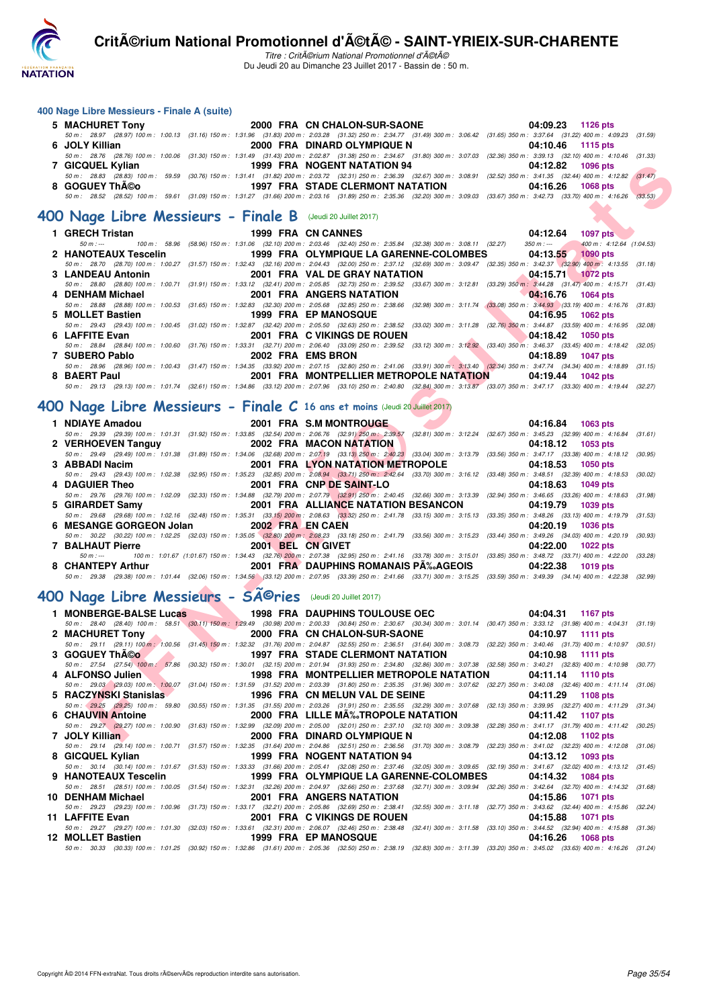

Titre : Critérium National Promotionnel d'été Du Jeudi 20 au Dimanche 23 Juillet 2017 - Bassin de : 50 m.

#### **400 Nage Libre Messieurs - Finale A (suite)**

| 5 MACHURET Tony  | 2000 FRA CN CHALON-SUR-SAONE                                                                                                                                                                 | 04:09.23 1126 pts |
|------------------|----------------------------------------------------------------------------------------------------------------------------------------------------------------------------------------------|-------------------|
|                  | 50 m: 28.97 (28.97) 100 m: 1:00.13 (31.16) 150 m: 1:31.96 (31.83) 200 m: 2:03.28 (31.32) 250 m: 2:34.77 (31.49) 300 m: 3:06.42 (31.65) 350 m: 3:37.64 (31.22) 400 m: 4:09.23 (31.59)         |                   |
| 6 JOLY Killian   | 2000 FRA DINARD OLYMPIQUE N                                                                                                                                                                  | 04:10.46 1115 pts |
|                  | 50 m : 28.76 (28.76) 100 m : 1:00.06 (31.30) 150 m : 1:31.49 (31.43) 200 m : 2:02.87 (31.38) 250 m : 2:34.67 (31.80) 300 m : 3:07.03 (32.36) 350 m : 3:39.13 (32.10) 400 m : 4:10.46 (31.33) |                   |
| 7 GICQUEL Kylian | 1999 FRA NOGENT NATATION 94                                                                                                                                                                  | 04:12.82 1096 pts |
|                  | 50 m: 28.83 (28.83) 100 m: 59.59 (30.76) 150 m: 1:31.41 (31.82) 200 m: 2:03.72 (32.31) 250 m: 2:36.39 (32.67) 300 m: 3:08.91 (32.52) 350 m: 3:41.35 (32.44) 400 m: 4:12.82 (31.47)           |                   |
| 8 GOGUEY Théo    | 1997 FRA STADE CLERMONT NATATION                                                                                                                                                             | 04:16.26 1068 pts |
|                  | 50 m: 28.52 (28.52) 100 m: 59.61 (31.09) 150 m: 1:31.27 (31.66) 200 m: 2:03.16 (31.89) 250 m: 2:35.36 (32.20) 300 m: 3:09.03 (33.67) 350 m: 3:42.73 (33.70) 400 m: 4:16.26 (33.53)           |                   |

#### **[400 Nage Libre Messieurs - Finale B](http://www.ffnatation.fr/webffn/resultats.php?idact=nat&go=epr&idcpt=47489&idepr=54)** (Jeudi 20 Juillet 2017)

| 7 GICQUEL Kylian                                         |                                                                                                                                                     | 1999 FRA NOGENT NATATION 94             |                                                                                                                                                                                                                                                          | 04:12.82 1096 pts                                                                                                                                                                                                                                                                                                                                                                                   |                                                                                                                                                                                                                                                                                                                                                                                                                                                                                                                                                                                                                                                                                                                                                                                                                                                                                                                                                                                                                                                                                                                                                                                                                                                                                                                                                                                                                                                                                                                                                                                                                                                                                                                                                                                                                                                                                                                                                                                                                                                                                                                                                                                                                                                                                                                                                                                                                                                                                                                                                                                                                           |
|----------------------------------------------------------|-----------------------------------------------------------------------------------------------------------------------------------------------------|-----------------------------------------|----------------------------------------------------------------------------------------------------------------------------------------------------------------------------------------------------------------------------------------------------------|-----------------------------------------------------------------------------------------------------------------------------------------------------------------------------------------------------------------------------------------------------------------------------------------------------------------------------------------------------------------------------------------------------|---------------------------------------------------------------------------------------------------------------------------------------------------------------------------------------------------------------------------------------------------------------------------------------------------------------------------------------------------------------------------------------------------------------------------------------------------------------------------------------------------------------------------------------------------------------------------------------------------------------------------------------------------------------------------------------------------------------------------------------------------------------------------------------------------------------------------------------------------------------------------------------------------------------------------------------------------------------------------------------------------------------------------------------------------------------------------------------------------------------------------------------------------------------------------------------------------------------------------------------------------------------------------------------------------------------------------------------------------------------------------------------------------------------------------------------------------------------------------------------------------------------------------------------------------------------------------------------------------------------------------------------------------------------------------------------------------------------------------------------------------------------------------------------------------------------------------------------------------------------------------------------------------------------------------------------------------------------------------------------------------------------------------------------------------------------------------------------------------------------------------------------------------------------------------------------------------------------------------------------------------------------------------------------------------------------------------------------------------------------------------------------------------------------------------------------------------------------------------------------------------------------------------------------------------------------------------------------------------------------------------|
|                                                          |                                                                                                                                                     |                                         | 50 m: 28.83 (28.83) 100 m: 59.59 (30.76) 150 m: 1:31.41 (31.82) 200 m: 2:03.72 (32.31) 250 m: 2:36.39 (32.67) 300 m: 3:08.91 (32.52) 350 m: 3:41.35 (32.44) 400 m: 4:12.82 (31.47)                                                                       |                                                                                                                                                                                                                                                                                                                                                                                                     |                                                                                                                                                                                                                                                                                                                                                                                                                                                                                                                                                                                                                                                                                                                                                                                                                                                                                                                                                                                                                                                                                                                                                                                                                                                                                                                                                                                                                                                                                                                                                                                                                                                                                                                                                                                                                                                                                                                                                                                                                                                                                                                                                                                                                                                                                                                                                                                                                                                                                                                                                                                                                           |
| 8 GOGUEY ThA©o                                           |                                                                                                                                                     | 1997 FRA STADE CLERMONT NATATION        |                                                                                                                                                                                                                                                          | 04:16.26<br>1068 pts                                                                                                                                                                                                                                                                                                                                                                                |                                                                                                                                                                                                                                                                                                                                                                                                                                                                                                                                                                                                                                                                                                                                                                                                                                                                                                                                                                                                                                                                                                                                                                                                                                                                                                                                                                                                                                                                                                                                                                                                                                                                                                                                                                                                                                                                                                                                                                                                                                                                                                                                                                                                                                                                                                                                                                                                                                                                                                                                                                                                                           |
|                                                          |                                                                                                                                                     |                                         |                                                                                                                                                                                                                                                          |                                                                                                                                                                                                                                                                                                                                                                                                     |                                                                                                                                                                                                                                                                                                                                                                                                                                                                                                                                                                                                                                                                                                                                                                                                                                                                                                                                                                                                                                                                                                                                                                                                                                                                                                                                                                                                                                                                                                                                                                                                                                                                                                                                                                                                                                                                                                                                                                                                                                                                                                                                                                                                                                                                                                                                                                                                                                                                                                                                                                                                                           |
|                                                          |                                                                                                                                                     |                                         |                                                                                                                                                                                                                                                          |                                                                                                                                                                                                                                                                                                                                                                                                     |                                                                                                                                                                                                                                                                                                                                                                                                                                                                                                                                                                                                                                                                                                                                                                                                                                                                                                                                                                                                                                                                                                                                                                                                                                                                                                                                                                                                                                                                                                                                                                                                                                                                                                                                                                                                                                                                                                                                                                                                                                                                                                                                                                                                                                                                                                                                                                                                                                                                                                                                                                                                                           |
|                                                          |                                                                                                                                                     |                                         |                                                                                                                                                                                                                                                          |                                                                                                                                                                                                                                                                                                                                                                                                     |                                                                                                                                                                                                                                                                                                                                                                                                                                                                                                                                                                                                                                                                                                                                                                                                                                                                                                                                                                                                                                                                                                                                                                                                                                                                                                                                                                                                                                                                                                                                                                                                                                                                                                                                                                                                                                                                                                                                                                                                                                                                                                                                                                                                                                                                                                                                                                                                                                                                                                                                                                                                                           |
| 1 GRECH Tristan                                          |                                                                                                                                                     |                                         |                                                                                                                                                                                                                                                          |                                                                                                                                                                                                                                                                                                                                                                                                     |                                                                                                                                                                                                                                                                                                                                                                                                                                                                                                                                                                                                                                                                                                                                                                                                                                                                                                                                                                                                                                                                                                                                                                                                                                                                                                                                                                                                                                                                                                                                                                                                                                                                                                                                                                                                                                                                                                                                                                                                                                                                                                                                                                                                                                                                                                                                                                                                                                                                                                                                                                                                                           |
|                                                          |                                                                                                                                                     |                                         |                                                                                                                                                                                                                                                          |                                                                                                                                                                                                                                                                                                                                                                                                     |                                                                                                                                                                                                                                                                                                                                                                                                                                                                                                                                                                                                                                                                                                                                                                                                                                                                                                                                                                                                                                                                                                                                                                                                                                                                                                                                                                                                                                                                                                                                                                                                                                                                                                                                                                                                                                                                                                                                                                                                                                                                                                                                                                                                                                                                                                                                                                                                                                                                                                                                                                                                                           |
|                                                          |                                                                                                                                                     |                                         |                                                                                                                                                                                                                                                          |                                                                                                                                                                                                                                                                                                                                                                                                     |                                                                                                                                                                                                                                                                                                                                                                                                                                                                                                                                                                                                                                                                                                                                                                                                                                                                                                                                                                                                                                                                                                                                                                                                                                                                                                                                                                                                                                                                                                                                                                                                                                                                                                                                                                                                                                                                                                                                                                                                                                                                                                                                                                                                                                                                                                                                                                                                                                                                                                                                                                                                                           |
|                                                          |                                                                                                                                                     |                                         |                                                                                                                                                                                                                                                          |                                                                                                                                                                                                                                                                                                                                                                                                     |                                                                                                                                                                                                                                                                                                                                                                                                                                                                                                                                                                                                                                                                                                                                                                                                                                                                                                                                                                                                                                                                                                                                                                                                                                                                                                                                                                                                                                                                                                                                                                                                                                                                                                                                                                                                                                                                                                                                                                                                                                                                                                                                                                                                                                                                                                                                                                                                                                                                                                                                                                                                                           |
|                                                          |                                                                                                                                                     |                                         |                                                                                                                                                                                                                                                          |                                                                                                                                                                                                                                                                                                                                                                                                     |                                                                                                                                                                                                                                                                                                                                                                                                                                                                                                                                                                                                                                                                                                                                                                                                                                                                                                                                                                                                                                                                                                                                                                                                                                                                                                                                                                                                                                                                                                                                                                                                                                                                                                                                                                                                                                                                                                                                                                                                                                                                                                                                                                                                                                                                                                                                                                                                                                                                                                                                                                                                                           |
| 4 DENHAM Michael                                         |                                                                                                                                                     |                                         |                                                                                                                                                                                                                                                          | <b>1064 pts</b>                                                                                                                                                                                                                                                                                                                                                                                     |                                                                                                                                                                                                                                                                                                                                                                                                                                                                                                                                                                                                                                                                                                                                                                                                                                                                                                                                                                                                                                                                                                                                                                                                                                                                                                                                                                                                                                                                                                                                                                                                                                                                                                                                                                                                                                                                                                                                                                                                                                                                                                                                                                                                                                                                                                                                                                                                                                                                                                                                                                                                                           |
|                                                          |                                                                                                                                                     |                                         |                                                                                                                                                                                                                                                          |                                                                                                                                                                                                                                                                                                                                                                                                     |                                                                                                                                                                                                                                                                                                                                                                                                                                                                                                                                                                                                                                                                                                                                                                                                                                                                                                                                                                                                                                                                                                                                                                                                                                                                                                                                                                                                                                                                                                                                                                                                                                                                                                                                                                                                                                                                                                                                                                                                                                                                                                                                                                                                                                                                                                                                                                                                                                                                                                                                                                                                                           |
| 5 MOLLET Bastien                                         |                                                                                                                                                     |                                         |                                                                                                                                                                                                                                                          | 1062 pts                                                                                                                                                                                                                                                                                                                                                                                            |                                                                                                                                                                                                                                                                                                                                                                                                                                                                                                                                                                                                                                                                                                                                                                                                                                                                                                                                                                                                                                                                                                                                                                                                                                                                                                                                                                                                                                                                                                                                                                                                                                                                                                                                                                                                                                                                                                                                                                                                                                                                                                                                                                                                                                                                                                                                                                                                                                                                                                                                                                                                                           |
|                                                          |                                                                                                                                                     |                                         |                                                                                                                                                                                                                                                          |                                                                                                                                                                                                                                                                                                                                                                                                     |                                                                                                                                                                                                                                                                                                                                                                                                                                                                                                                                                                                                                                                                                                                                                                                                                                                                                                                                                                                                                                                                                                                                                                                                                                                                                                                                                                                                                                                                                                                                                                                                                                                                                                                                                                                                                                                                                                                                                                                                                                                                                                                                                                                                                                                                                                                                                                                                                                                                                                                                                                                                                           |
|                                                          |                                                                                                                                                     |                                         |                                                                                                                                                                                                                                                          |                                                                                                                                                                                                                                                                                                                                                                                                     |                                                                                                                                                                                                                                                                                                                                                                                                                                                                                                                                                                                                                                                                                                                                                                                                                                                                                                                                                                                                                                                                                                                                                                                                                                                                                                                                                                                                                                                                                                                                                                                                                                                                                                                                                                                                                                                                                                                                                                                                                                                                                                                                                                                                                                                                                                                                                                                                                                                                                                                                                                                                                           |
|                                                          |                                                                                                                                                     |                                         |                                                                                                                                                                                                                                                          |                                                                                                                                                                                                                                                                                                                                                                                                     |                                                                                                                                                                                                                                                                                                                                                                                                                                                                                                                                                                                                                                                                                                                                                                                                                                                                                                                                                                                                                                                                                                                                                                                                                                                                                                                                                                                                                                                                                                                                                                                                                                                                                                                                                                                                                                                                                                                                                                                                                                                                                                                                                                                                                                                                                                                                                                                                                                                                                                                                                                                                                           |
|                                                          |                                                                                                                                                     |                                         |                                                                                                                                                                                                                                                          |                                                                                                                                                                                                                                                                                                                                                                                                     |                                                                                                                                                                                                                                                                                                                                                                                                                                                                                                                                                                                                                                                                                                                                                                                                                                                                                                                                                                                                                                                                                                                                                                                                                                                                                                                                                                                                                                                                                                                                                                                                                                                                                                                                                                                                                                                                                                                                                                                                                                                                                                                                                                                                                                                                                                                                                                                                                                                                                                                                                                                                                           |
|                                                          |                                                                                                                                                     |                                         |                                                                                                                                                                                                                                                          |                                                                                                                                                                                                                                                                                                                                                                                                     |                                                                                                                                                                                                                                                                                                                                                                                                                                                                                                                                                                                                                                                                                                                                                                                                                                                                                                                                                                                                                                                                                                                                                                                                                                                                                                                                                                                                                                                                                                                                                                                                                                                                                                                                                                                                                                                                                                                                                                                                                                                                                                                                                                                                                                                                                                                                                                                                                                                                                                                                                                                                                           |
|                                                          |                                                                                                                                                     |                                         |                                                                                                                                                                                                                                                          |                                                                                                                                                                                                                                                                                                                                                                                                     |                                                                                                                                                                                                                                                                                                                                                                                                                                                                                                                                                                                                                                                                                                                                                                                                                                                                                                                                                                                                                                                                                                                                                                                                                                                                                                                                                                                                                                                                                                                                                                                                                                                                                                                                                                                                                                                                                                                                                                                                                                                                                                                                                                                                                                                                                                                                                                                                                                                                                                                                                                                                                           |
|                                                          |                                                                                                                                                     |                                         |                                                                                                                                                                                                                                                          |                                                                                                                                                                                                                                                                                                                                                                                                     |                                                                                                                                                                                                                                                                                                                                                                                                                                                                                                                                                                                                                                                                                                                                                                                                                                                                                                                                                                                                                                                                                                                                                                                                                                                                                                                                                                                                                                                                                                                                                                                                                                                                                                                                                                                                                                                                                                                                                                                                                                                                                                                                                                                                                                                                                                                                                                                                                                                                                                                                                                                                                           |
|                                                          |                                                                                                                                                     |                                         |                                                                                                                                                                                                                                                          |                                                                                                                                                                                                                                                                                                                                                                                                     |                                                                                                                                                                                                                                                                                                                                                                                                                                                                                                                                                                                                                                                                                                                                                                                                                                                                                                                                                                                                                                                                                                                                                                                                                                                                                                                                                                                                                                                                                                                                                                                                                                                                                                                                                                                                                                                                                                                                                                                                                                                                                                                                                                                                                                                                                                                                                                                                                                                                                                                                                                                                                           |
|                                                          |                                                                                                                                                     |                                         |                                                                                                                                                                                                                                                          |                                                                                                                                                                                                                                                                                                                                                                                                     |                                                                                                                                                                                                                                                                                                                                                                                                                                                                                                                                                                                                                                                                                                                                                                                                                                                                                                                                                                                                                                                                                                                                                                                                                                                                                                                                                                                                                                                                                                                                                                                                                                                                                                                                                                                                                                                                                                                                                                                                                                                                                                                                                                                                                                                                                                                                                                                                                                                                                                                                                                                                                           |
|                                                          |                                                                                                                                                     |                                         |                                                                                                                                                                                                                                                          |                                                                                                                                                                                                                                                                                                                                                                                                     |                                                                                                                                                                                                                                                                                                                                                                                                                                                                                                                                                                                                                                                                                                                                                                                                                                                                                                                                                                                                                                                                                                                                                                                                                                                                                                                                                                                                                                                                                                                                                                                                                                                                                                                                                                                                                                                                                                                                                                                                                                                                                                                                                                                                                                                                                                                                                                                                                                                                                                                                                                                                                           |
|                                                          |                                                                                                                                                     |                                         |                                                                                                                                                                                                                                                          |                                                                                                                                                                                                                                                                                                                                                                                                     |                                                                                                                                                                                                                                                                                                                                                                                                                                                                                                                                                                                                                                                                                                                                                                                                                                                                                                                                                                                                                                                                                                                                                                                                                                                                                                                                                                                                                                                                                                                                                                                                                                                                                                                                                                                                                                                                                                                                                                                                                                                                                                                                                                                                                                                                                                                                                                                                                                                                                                                                                                                                                           |
|                                                          |                                                                                                                                                     |                                         |                                                                                                                                                                                                                                                          |                                                                                                                                                                                                                                                                                                                                                                                                     |                                                                                                                                                                                                                                                                                                                                                                                                                                                                                                                                                                                                                                                                                                                                                                                                                                                                                                                                                                                                                                                                                                                                                                                                                                                                                                                                                                                                                                                                                                                                                                                                                                                                                                                                                                                                                                                                                                                                                                                                                                                                                                                                                                                                                                                                                                                                                                                                                                                                                                                                                                                                                           |
| 3 ABBADI Nacim                                           |                                                                                                                                                     |                                         |                                                                                                                                                                                                                                                          | <b>1050 pts</b>                                                                                                                                                                                                                                                                                                                                                                                     |                                                                                                                                                                                                                                                                                                                                                                                                                                                                                                                                                                                                                                                                                                                                                                                                                                                                                                                                                                                                                                                                                                                                                                                                                                                                                                                                                                                                                                                                                                                                                                                                                                                                                                                                                                                                                                                                                                                                                                                                                                                                                                                                                                                                                                                                                                                                                                                                                                                                                                                                                                                                                           |
|                                                          |                                                                                                                                                     |                                         |                                                                                                                                                                                                                                                          |                                                                                                                                                                                                                                                                                                                                                                                                     |                                                                                                                                                                                                                                                                                                                                                                                                                                                                                                                                                                                                                                                                                                                                                                                                                                                                                                                                                                                                                                                                                                                                                                                                                                                                                                                                                                                                                                                                                                                                                                                                                                                                                                                                                                                                                                                                                                                                                                                                                                                                                                                                                                                                                                                                                                                                                                                                                                                                                                                                                                                                                           |
| 4 DAGUIER Theo                                           |                                                                                                                                                     |                                         |                                                                                                                                                                                                                                                          | 1049 pts                                                                                                                                                                                                                                                                                                                                                                                            |                                                                                                                                                                                                                                                                                                                                                                                                                                                                                                                                                                                                                                                                                                                                                                                                                                                                                                                                                                                                                                                                                                                                                                                                                                                                                                                                                                                                                                                                                                                                                                                                                                                                                                                                                                                                                                                                                                                                                                                                                                                                                                                                                                                                                                                                                                                                                                                                                                                                                                                                                                                                                           |
|                                                          |                                                                                                                                                     |                                         |                                                                                                                                                                                                                                                          |                                                                                                                                                                                                                                                                                                                                                                                                     |                                                                                                                                                                                                                                                                                                                                                                                                                                                                                                                                                                                                                                                                                                                                                                                                                                                                                                                                                                                                                                                                                                                                                                                                                                                                                                                                                                                                                                                                                                                                                                                                                                                                                                                                                                                                                                                                                                                                                                                                                                                                                                                                                                                                                                                                                                                                                                                                                                                                                                                                                                                                                           |
| 5 GIRARDET Samy                                          |                                                                                                                                                     | 2001 FRA ALLIANCE NATATION BESANCON     |                                                                                                                                                                                                                                                          | 04:19.79<br>1039 pts                                                                                                                                                                                                                                                                                                                                                                                |                                                                                                                                                                                                                                                                                                                                                                                                                                                                                                                                                                                                                                                                                                                                                                                                                                                                                                                                                                                                                                                                                                                                                                                                                                                                                                                                                                                                                                                                                                                                                                                                                                                                                                                                                                                                                                                                                                                                                                                                                                                                                                                                                                                                                                                                                                                                                                                                                                                                                                                                                                                                                           |
|                                                          |                                                                                                                                                     |                                         | 50 m: 29.68 (29.68) 100 m: 1:02.16 (32.48) 150 m: 1:35.31 (33.15) 200 m: 2:08.63 (33.32) 250 m: 2:41.78 (33.15) 300 m: 3:15.13 (33.35) 350 m: 3:48.26 (33.13) 400 m: 4:19.79 (31.53)                                                                     |                                                                                                                                                                                                                                                                                                                                                                                                     |                                                                                                                                                                                                                                                                                                                                                                                                                                                                                                                                                                                                                                                                                                                                                                                                                                                                                                                                                                                                                                                                                                                                                                                                                                                                                                                                                                                                                                                                                                                                                                                                                                                                                                                                                                                                                                                                                                                                                                                                                                                                                                                                                                                                                                                                                                                                                                                                                                                                                                                                                                                                                           |
|                                                          |                                                                                                                                                     |                                         |                                                                                                                                                                                                                                                          |                                                                                                                                                                                                                                                                                                                                                                                                     |                                                                                                                                                                                                                                                                                                                                                                                                                                                                                                                                                                                                                                                                                                                                                                                                                                                                                                                                                                                                                                                                                                                                                                                                                                                                                                                                                                                                                                                                                                                                                                                                                                                                                                                                                                                                                                                                                                                                                                                                                                                                                                                                                                                                                                                                                                                                                                                                                                                                                                                                                                                                                           |
| 6 MESANGE GORGEON Jolan                                  |                                                                                                                                                     | 2002 FRA EN CAEN                        |                                                                                                                                                                                                                                                          | 04:20.19<br>1036 pts                                                                                                                                                                                                                                                                                                                                                                                |                                                                                                                                                                                                                                                                                                                                                                                                                                                                                                                                                                                                                                                                                                                                                                                                                                                                                                                                                                                                                                                                                                                                                                                                                                                                                                                                                                                                                                                                                                                                                                                                                                                                                                                                                                                                                                                                                                                                                                                                                                                                                                                                                                                                                                                                                                                                                                                                                                                                                                                                                                                                                           |
|                                                          |                                                                                                                                                     |                                         | 50 m : 30.22 (30.22) 100 m : 1:02.25 (32.03) 150 m : 1:35.05 (32.80) 200 m : 2:08.23 (33.18) 250 m : 2:41.79 (33.56) 300 m : 3:15.23 (33.44) 350 m : 3:49.26 (34.03) 400 m : 4:20.19 (30.93)                                                             |                                                                                                                                                                                                                                                                                                                                                                                                     |                                                                                                                                                                                                                                                                                                                                                                                                                                                                                                                                                                                                                                                                                                                                                                                                                                                                                                                                                                                                                                                                                                                                                                                                                                                                                                                                                                                                                                                                                                                                                                                                                                                                                                                                                                                                                                                                                                                                                                                                                                                                                                                                                                                                                                                                                                                                                                                                                                                                                                                                                                                                                           |
| <b>7 BALHAUT Pierre</b><br>$50 m : -$                    |                                                                                                                                                     | 2001 BEL CN GIVET                       |                                                                                                                                                                                                                                                          | 04:22.00<br><b>1022 pts</b>                                                                                                                                                                                                                                                                                                                                                                         |                                                                                                                                                                                                                                                                                                                                                                                                                                                                                                                                                                                                                                                                                                                                                                                                                                                                                                                                                                                                                                                                                                                                                                                                                                                                                                                                                                                                                                                                                                                                                                                                                                                                                                                                                                                                                                                                                                                                                                                                                                                                                                                                                                                                                                                                                                                                                                                                                                                                                                                                                                                                                           |
| 8 CHANTEPY Arthur                                        |                                                                                                                                                     |                                         | 100 m : 1:01.67 (1:01.67) 150 m : 1:34.43 (32.76) 200 m : 2:07.38 (32.95) 250 m : 2:41.16 (33.78) 300 m : 3:15.01 (33.85) 350 m : 3:48.72 (33.71) 400 m : 4:22.00 (33.28)                                                                                | 04:22.38<br><b>1019 pts</b>                                                                                                                                                                                                                                                                                                                                                                         |                                                                                                                                                                                                                                                                                                                                                                                                                                                                                                                                                                                                                                                                                                                                                                                                                                                                                                                                                                                                                                                                                                                                                                                                                                                                                                                                                                                                                                                                                                                                                                                                                                                                                                                                                                                                                                                                                                                                                                                                                                                                                                                                                                                                                                                                                                                                                                                                                                                                                                                                                                                                                           |
|                                                          |                                                                                                                                                     | 2001 FRA DAUPHINS ROMANAIS PA‰AGEOIS    | 50 m: 29.38 (29.38) 100 m: 1:01.44 (32.06) 150 m: 1:34.56 (33.12) 200 m: 2:07.95 (33.39) 250 m: 2:41.66 (33.71) 300 m: 3:15.25 (33.59) 350 m: 3:49.39 (34.14) 400 m: 4:22.38 (32.99)                                                                     |                                                                                                                                                                                                                                                                                                                                                                                                     |                                                                                                                                                                                                                                                                                                                                                                                                                                                                                                                                                                                                                                                                                                                                                                                                                                                                                                                                                                                                                                                                                                                                                                                                                                                                                                                                                                                                                                                                                                                                                                                                                                                                                                                                                                                                                                                                                                                                                                                                                                                                                                                                                                                                                                                                                                                                                                                                                                                                                                                                                                                                                           |
|                                                          |                                                                                                                                                     |                                         |                                                                                                                                                                                                                                                          |                                                                                                                                                                                                                                                                                                                                                                                                     |                                                                                                                                                                                                                                                                                                                                                                                                                                                                                                                                                                                                                                                                                                                                                                                                                                                                                                                                                                                                                                                                                                                                                                                                                                                                                                                                                                                                                                                                                                                                                                                                                                                                                                                                                                                                                                                                                                                                                                                                                                                                                                                                                                                                                                                                                                                                                                                                                                                                                                                                                                                                                           |
|                                                          |                                                                                                                                                     |                                         |                                                                                                                                                                                                                                                          |                                                                                                                                                                                                                                                                                                                                                                                                     |                                                                                                                                                                                                                                                                                                                                                                                                                                                                                                                                                                                                                                                                                                                                                                                                                                                                                                                                                                                                                                                                                                                                                                                                                                                                                                                                                                                                                                                                                                                                                                                                                                                                                                                                                                                                                                                                                                                                                                                                                                                                                                                                                                                                                                                                                                                                                                                                                                                                                                                                                                                                                           |
| 00 Nage Libre Messieurs - Sîries (Jeudi 20 Juillet 2017) |                                                                                                                                                     |                                         |                                                                                                                                                                                                                                                          |                                                                                                                                                                                                                                                                                                                                                                                                     |                                                                                                                                                                                                                                                                                                                                                                                                                                                                                                                                                                                                                                                                                                                                                                                                                                                                                                                                                                                                                                                                                                                                                                                                                                                                                                                                                                                                                                                                                                                                                                                                                                                                                                                                                                                                                                                                                                                                                                                                                                                                                                                                                                                                                                                                                                                                                                                                                                                                                                                                                                                                                           |
| 1 MONBERGE-BALSE Lucas                                   |                                                                                                                                                     | <b>1998 FRA DAUPHINS TOULOUSE OEC</b>   | 50 m: 28.40 (28.40) 100 m: 58.51 (30.11) 150 m: 1:29.49 (30.98) 200 m: 2:00.33 (30.84) 250 m: 2:30.67 (30.34) 300 m: 3:01.14 (30.47) 350 m: 3:33.12 (31.98) 400 m: 4:04.31 (31.19)                                                                       | 04:04.31<br>1167 pts                                                                                                                                                                                                                                                                                                                                                                                |                                                                                                                                                                                                                                                                                                                                                                                                                                                                                                                                                                                                                                                                                                                                                                                                                                                                                                                                                                                                                                                                                                                                                                                                                                                                                                                                                                                                                                                                                                                                                                                                                                                                                                                                                                                                                                                                                                                                                                                                                                                                                                                                                                                                                                                                                                                                                                                                                                                                                                                                                                                                                           |
| 2 MACHURET Tony                                          |                                                                                                                                                     |                                         |                                                                                                                                                                                                                                                          | 04:10.97<br>1111 pts                                                                                                                                                                                                                                                                                                                                                                                |                                                                                                                                                                                                                                                                                                                                                                                                                                                                                                                                                                                                                                                                                                                                                                                                                                                                                                                                                                                                                                                                                                                                                                                                                                                                                                                                                                                                                                                                                                                                                                                                                                                                                                                                                                                                                                                                                                                                                                                                                                                                                                                                                                                                                                                                                                                                                                                                                                                                                                                                                                                                                           |
|                                                          |                                                                                                                                                     | 2000 FRA CN CHALON-SUR-SAONE            | 50 m: 29.11 (29.11) 100 m: 1:00.56 (31.45) 150 m: 1:32.32 (31.76) 200 m: 2:04.87 (32.55) 250 m: 2:36.51 (31.64) 300 m: 3:08.73 (32.22) 350 m: 3:40.46 (31.73) 400 m: 4:10.97 (30.51)                                                                     |                                                                                                                                                                                                                                                                                                                                                                                                     |                                                                                                                                                                                                                                                                                                                                                                                                                                                                                                                                                                                                                                                                                                                                                                                                                                                                                                                                                                                                                                                                                                                                                                                                                                                                                                                                                                                                                                                                                                                                                                                                                                                                                                                                                                                                                                                                                                                                                                                                                                                                                                                                                                                                                                                                                                                                                                                                                                                                                                                                                                                                                           |
| 3 GOGUEY ThA©o                                           |                                                                                                                                                     | <b>1997 FRA STADE CLERMONT NATATION</b> |                                                                                                                                                                                                                                                          | 04:10.98<br><b>1111 pts</b>                                                                                                                                                                                                                                                                                                                                                                         |                                                                                                                                                                                                                                                                                                                                                                                                                                                                                                                                                                                                                                                                                                                                                                                                                                                                                                                                                                                                                                                                                                                                                                                                                                                                                                                                                                                                                                                                                                                                                                                                                                                                                                                                                                                                                                                                                                                                                                                                                                                                                                                                                                                                                                                                                                                                                                                                                                                                                                                                                                                                                           |
|                                                          |                                                                                                                                                     |                                         | 50 m: 27.54 (27.54) 100 m: 57.86 (30.32) 150 m: 1:30.01 (32.15) 200 m: 2:01.94 (31.93) 250 m: 2:34.80 (32.86) 300 m: 3:07.38 (32.58) 350 m: 3:40.21 (32.83) 400 m: 4:10.98 (30.77)                                                                       |                                                                                                                                                                                                                                                                                                                                                                                                     |                                                                                                                                                                                                                                                                                                                                                                                                                                                                                                                                                                                                                                                                                                                                                                                                                                                                                                                                                                                                                                                                                                                                                                                                                                                                                                                                                                                                                                                                                                                                                                                                                                                                                                                                                                                                                                                                                                                                                                                                                                                                                                                                                                                                                                                                                                                                                                                                                                                                                                                                                                                                                           |
| 4 ALFONSO Julien                                         |                                                                                                                                                     | 1998 FRA MONTPELLIER METROPOLE NATATION |                                                                                                                                                                                                                                                          | 04:11.14<br><b>1110 pts</b>                                                                                                                                                                                                                                                                                                                                                                         |                                                                                                                                                                                                                                                                                                                                                                                                                                                                                                                                                                                                                                                                                                                                                                                                                                                                                                                                                                                                                                                                                                                                                                                                                                                                                                                                                                                                                                                                                                                                                                                                                                                                                                                                                                                                                                                                                                                                                                                                                                                                                                                                                                                                                                                                                                                                                                                                                                                                                                                                                                                                                           |
|                                                          |                                                                                                                                                     |                                         | 50 m: 29.03 (29.03) 100 m: 1:00.07 (31.04) 150 m: 1:31.59 (31.52) 200 m: 2:03.39 (31.60) 250 m: 2:35.35 (31.96) 300 m: 3:07.62 (32.27) 350 m: 3:40.08 (32.46) 400 m: 4:11.14 (31.06)                                                                     |                                                                                                                                                                                                                                                                                                                                                                                                     |                                                                                                                                                                                                                                                                                                                                                                                                                                                                                                                                                                                                                                                                                                                                                                                                                                                                                                                                                                                                                                                                                                                                                                                                                                                                                                                                                                                                                                                                                                                                                                                                                                                                                                                                                                                                                                                                                                                                                                                                                                                                                                                                                                                                                                                                                                                                                                                                                                                                                                                                                                                                                           |
| 5 RACZYNSKI Stanislas                                    |                                                                                                                                                     | 1996 FRA CN MELUN VAL DE SEINE          |                                                                                                                                                                                                                                                          | 04:11.29<br>1108 pts                                                                                                                                                                                                                                                                                                                                                                                |                                                                                                                                                                                                                                                                                                                                                                                                                                                                                                                                                                                                                                                                                                                                                                                                                                                                                                                                                                                                                                                                                                                                                                                                                                                                                                                                                                                                                                                                                                                                                                                                                                                                                                                                                                                                                                                                                                                                                                                                                                                                                                                                                                                                                                                                                                                                                                                                                                                                                                                                                                                                                           |
|                                                          |                                                                                                                                                     |                                         | 50 m: 29.25 (29.25) 100 m: 59.80 (30.55) 150 m: 1:31.35 (31.55) 200 m: 2:03.26 (31.91) 250 m: 2:35.55 (32.29) 300 m: 3:07.68 (32.13) 350 m: 3:39.95 (32.27) 400 m: 4:11.29 (31.34)                                                                       | 1107 pts                                                                                                                                                                                                                                                                                                                                                                                            |                                                                                                                                                                                                                                                                                                                                                                                                                                                                                                                                                                                                                                                                                                                                                                                                                                                                                                                                                                                                                                                                                                                                                                                                                                                                                                                                                                                                                                                                                                                                                                                                                                                                                                                                                                                                                                                                                                                                                                                                                                                                                                                                                                                                                                                                                                                                                                                                                                                                                                                                                                                                                           |
| <b>6 CHAUVIN Antoine</b>                                 |                                                                                                                                                     | 2000 FRA LILLE MĉTROPOLE NATATION       | 50 m: 29.27 (29.27) 100 m: 1:00.90 (31.63) 150 m: 1:32.99 (32.09) 200 m: 2:05.00 (32.01) 250 m: 2:37.10 (32.10) 300 m: 3:09.38 (32.28) 350 m: 3:41.17 (31.79) 400 m: 4:11.42 (30.25)                                                                     | 04:11.42                                                                                                                                                                                                                                                                                                                                                                                            |                                                                                                                                                                                                                                                                                                                                                                                                                                                                                                                                                                                                                                                                                                                                                                                                                                                                                                                                                                                                                                                                                                                                                                                                                                                                                                                                                                                                                                                                                                                                                                                                                                                                                                                                                                                                                                                                                                                                                                                                                                                                                                                                                                                                                                                                                                                                                                                                                                                                                                                                                                                                                           |
|                                                          | $50 m: -$<br>2 HANOTEAUX Tescelin<br>3 LANDEAU Antonin<br>6 LAFFITE Evan<br>7 SUBERO Pablo<br>8 BAERT Paul<br>1 NDIAYE Amadou<br>2 VERHOEVEN Tanguy |                                         | <b>JO Nage Libre Messieurs - Finale B</b> (Jeudi 20 Juillet 2017)<br>1999 FRA CN CANNES<br>2001 FRA ANGERS NATATION<br><b>1999 FRA EP MANOSQUE</b><br>2002 FRA EMS BRON<br>2001 FRA S.M MONTROUGE<br>2002 FRA MACON NATATION<br>2001 FRA CNP DE SAINT-LO | 100 m : 58.96 (58.96) 150 m : 1:31.06 (32.10) 200 m : 2:03.46 (32.40) 250 m : 2:35.84 (32.38) 300 m : 3:08.11 (32.27)<br>1999 FRA OLYMPIQUE LA GARENNE-COLOMBES<br>2001 FRA VAL DE GRAY NATATION<br>2001 FRA C VIKINGS DE ROUEN<br>2001 FRA MONTPELLIER METROPOLE NATATION<br><b>00 Nage Libre Messieurs - Finale C</b> 16 ans et moins (Jeudi 20 Juillet 2017)<br>2001 FRA LYON NATATION METROPOLE | 50 m: 28.52 (28.52) 100 m: 59.61 (31.09) 150 m: 1:31.27 (31.66) 200 m: 2:03.16 (31.89) 250 m: 2:35.36 (32.20) 300 m: 3:09.03 (33.67) 350 m: 3:42.73 (33.70) 400 m: 4:16.26 (33.53)<br>04:12.64<br><b>1097 pts</b><br>400 m: 4:12.64 (1:04.53)<br>$350 m : -$<br>04:13.55<br>1090 pts<br>50 m: 28.70 (28.70) 100 m: 1:00.27 (31.57) 150 m: 1:32.43 (32.16) 200 m: 2:04.43 (32.00) 250 m: 2:37.12 (32.69) 300 m: 3:09.47 (32.35) 350 m: 3:42.37 (32.90) 400 m: 4:13.55 (31.18)<br>04:15.71<br><b>1072 pts</b><br>50 m: 28.80 (28.80) 100 m: 1:00.71 (31.91) 150 m: 1:33.12 (32.41) 200 m: 2:05.85 (32.73) 250 m: 2:39.52 (33.67) 300 m: 3:12.81 (33.29) 350 m: 3:44.28 (31.47) 400 m: 4:15.71 (31.43)<br>04:16.76<br>50 m: 28.88 (28.88) 100 m: 1:00.53 (31.65) 150 m: 1:32.83 (32.30) 200 m: 2:05.68 (32.85) 250 m: 2:38.66 (32.98) 300 m: 3:11.74 (33.08) 350 m: 3:44.93 (33.19) 400 m: 4:16.76 (31.83)<br>04:16.95<br>50 m : 29.43 (29.43) 100 m : 1:00.45 (31.02) 150 m : 1:32.87 (32.42) 200 m : 2:05.50 (32.63) 250 m : 2:38.52 (33.02) 300 m : 3:11.28 (32.76) 350 m : 3:44.87 (33.59) 400 m : 4:16.95 (32.08)<br>04:18.42<br><b>1050 pts</b><br>50 m: 28.84 (28.84) 100 m: 1:00.60 (31.76) 150 m: 1:33.31 (32.71) 200 m: 2:06.40 (33.09) 250 m: 2:39.52 (33.12) 300 m: 3:12.92 (33.40) 350 m: 3:46.37 (33.45) 400 m: 4:18.42 (32.05)<br>04:18.89<br><b>1047 pts</b><br>50 m: 28.96 (28.96) 100 m: 1:00.43 (31.47) 150 m: 1:34.35 (33.92) 200 m: 2:07.15 (32.80) 250 m: 2:41.06 (33.91) 300 m: 3:13.40 (32.34) 350 m: 3:47.74 (34.34) 400 m: 4:18.89 (31.15)<br>04:19.44<br>1042 pts<br>50 m: 29.13 (29.13) 100 m: 1:01.74 (32.61) 150 m: 1:34.86 (33.12) 200 m: 2:07.96 (33.10) 250 m: 2:40.80 (32.84) 300 m: 3:13.87 (33.07) 350 m: 3:47.17 (33.30) 400 m: 4:19.44 (32.27)<br>04:16.84<br>1063 pts<br>50 m: 29.39 (29.39) 100 m: 1:01.31 (31.92) 150 m: 1:33.85 (32.54) 200 m: 2:06.76 (32.91) 250 m: 2:39.57 (32.81) 300 m: 3:12.24 (32.67) 350 m: 3:45.23 (32.99) 400 m: 4:16.84 (31.61)<br>04:18.12<br>1053 pts<br>50 m: 29.49 (29.49) 100 m: 1:01.38 (31.89) 150 m: 1:34.06 (32.68) 200 m: 2:07.19 (33.13) 250 m: 2:40.23 (33.04) 300 m: 3:13.79 (33.56) 350 m: 3:47.17 (33.38) 400 m: 4:18.12 (30.95)<br>04:18.53<br>50 m: 29.43 (29.43) 100 m: 1:02.38 (32.95) 150 m: 1:35.23 (32.85) 200 m: 2:08.94 (33.71) 250 m: 2:42.64 (33.70) 300 m: 3:16.12 (33.48) 350 m: 3:48.51 (32.39) 400 m: 4:18.53 (30.02)<br>04:18.63<br>50 m: 29.76 (29.76) 100 m: 1:02.09 (32.33) 150 m: 1:34.88 (32.79) 200 m: 2:07.79 (32.91) 250 m: 2:40.45 (32.66) 300 m: 3:13.39 (32.94) 350 m: 3:46.65 (33.26) 400 m: 4:18.63 (31.98) |

# **[400 Nage Libre Messieurs - Finale C](http://www.ffnatation.fr/webffn/resultats.php?idact=nat&go=epr&idcpt=47489&idepr=54) 16 ans et moins** (Jeudi 20 Juillet 2017)

| 1 NDIAYE Amadou                          | <b>2001 FRA S.M MONTROUGE AND STATE</b> |                           | 04:16.84 1063 pts                                                                                                                                                                            |  |
|------------------------------------------|-----------------------------------------|---------------------------|----------------------------------------------------------------------------------------------------------------------------------------------------------------------------------------------|--|
|                                          |                                         |                           | 50 m: 29.39 (29.39) 100 m: 1:01.31 (31.92) 150 m: 1:33.85 (32.54) 200 m: 2:06.76 (32.91) 250 m: 2:39.57 (32.81) 300 m: 3:12.24 (32.67) 350 m: 3:45.23 (32.99) 400 m: 4:16.84 (31.61)         |  |
| 2 VERHOEVEN Tanguy                       |                                         | 2002 FRA MACON NATATION N | 04:18.12 1053 pts                                                                                                                                                                            |  |
|                                          |                                         |                           | 50 m: 29.49 (29.49) 100 m: 1:01.38 (31.89) 150 m: 1:34.06 (32.68) 200 m: 2:07.19 (33.13) 250 m: 2:40.23 (33.04) 300 m: 3:13.79 (33.56) 350 m: 3:47.17 (33.38) 400 m: 4:18.12 (30.95)         |  |
| 3 ABBADI Nacim                           |                                         |                           | 2001 FRA LYON NATATION METROPOLE 04:18.53 1050 pts                                                                                                                                           |  |
|                                          |                                         |                           | 50 m: 29.43 (29.43) 100 m: 1:02.38 (32.95) 150 m: 1:35.23 (32.85) 200 m: 2:08.94 (33.71) 250 m: 2:42.64 (33.70) 300 m: 3:16.12 (33.48) 350 m: 3:48.51 (32.39) 400 m: 4:18.53 (30.02)         |  |
| 4 DAGUIER Theo                           |                                         | 2001 FRA CNP DE SAINT-LO  | 04:18.63 1049 pts                                                                                                                                                                            |  |
|                                          |                                         |                           | 50 m : 29.76 (29.76) 100 m : 1:02.09 (32.33) 150 m : 1:34.88 (32.79) 200 m : 2:07.79 (32.91) 250 m : 2:40.45 (32.66) 300 m : 3:13.39 (32.94) 350 m : 3:46.65 (33.26) 400 m : 4:18.63 (31.98) |  |
|                                          |                                         |                           | 5 GIRARDET Samy <b>2001 FRA ALLIANCE NATATION BESANCON</b> 04:19.79 1039 pts                                                                                                                 |  |
|                                          |                                         |                           | 50 m: 29.68 (29.68) 100 m: 1:02.16 (32.48) 150 m: 1:35.31 (33.15) 200 m: 2:08.63 (33.32) 250 m: 2:41.78 (33.15) 300 m: 3:15.13 (33.35) 350 m: 3:48.26 (33.13) 400 m: 4:19.79 (31.53)         |  |
| 6 MESANGE GORGEON Jolan 2002 FRA EN CAEN |                                         |                           | 04:20.19 1036 pts                                                                                                                                                                            |  |
|                                          |                                         |                           | 50 m : 30.22 (30.22) 100 m : 1:02.25 (32.03) 150 m : 1:35.05 (32.80) 200 m : 2:08.23 (33.18) 250 m : 2:41.79 (33.56) 300 m : 3:15.23 (33.44) 350 m : 3:49.26 (34.03) 400 m : 4:20.19 (30.93) |  |
| 7 BALHAUT Pierre                         | <b>Example 1001 BEL CN GIVET</b>        |                           | 04:22.00 1022 pts                                                                                                                                                                            |  |
|                                          |                                         |                           | 50 m :--- 100 m : 1:01.67 (1:01.67) 150 m : 1:34.43 (32.76) 200 m : 2:07.38 (32.95) 250 m : 2:41.16 (33.78) 300 m : 3:15.01 (33.85) 350 m : 3:48.72 (33.71) 400 m : 4:22.00 (33.28)          |  |
| 8 CHANTEPY Arthur                        | 2001 FRA DAUPHINS ROMANAIS P‰AGEOIS     |                           | 04:22.38<br>1019 pts                                                                                                                                                                         |  |
|                                          |                                         |                           | 50 m : 29.38 (29.38) 100 m : 1:01.44 (32.06) 150 m : 1:34.56 (33.12) 200 m : 2:07.95 (33.39) 250 m : 2:41.66 (33.71) 300 m : 3:15.25 (33.59) 350 m : 3:49.39 (34.14) 400 m : 4:22.38 (32.99) |  |

## **400 Nage Libre Messieurs - Séries** (Jeudi 20 Juillet 2017)

| 1 MONBERGE-BALSE Lucas 1998 FRA DAUPHINS TOULOUSE OEC                                                                                                                                |                             |  |                                         |          | 04:04.31 1167 pts |  |
|--------------------------------------------------------------------------------------------------------------------------------------------------------------------------------------|-----------------------------|--|-----------------------------------------|----------|-------------------|--|
| 50 m: 28.40 (28.40) 100 m: 58.51 (30.11) 150 m: 1;29.49 (30.98) 200 m: 2:00.33 (30.84) 250 m: 2:30.67 (30.34) 300 m: 3:01.14 (30.47) 350 m: 3:33.12 (31.98) 400 m: 4:04.31 (31.19)   |                             |  |                                         |          |                   |  |
| 2 MACHURET Tony                                                                                                                                                                      |                             |  | 2000 FRA CN CHALON-SUR-SAONE            | 04:10.97 | $1111$ pts        |  |
| 50 m: 29.11 (29.11) 100 m: 1:00.56 (31.45) 150 m: 1:32.32 (31.76) 200 m: 2:04.87 (32.55) 250 m: 2:36.51 (31.64) 300 m: 3:08.73 (32.22) 350 m: 3:40.46 (31.73) 400 m: 4:10.97 (30.51) |                             |  |                                         |          |                   |  |
| 3 GOGUEY ThA©o                                                                                                                                                                       |                             |  | 1997 FRA STADE CLERMONT NATATION        | 04:10.98 | $1111$ pts        |  |
| 50 m: 27.54 (27.54) 100 m: 57.86 (30.32) 150 m: 1:30.01 (32.15) 200 m: 2:01.94 (31.93) 250 m: 2:34.80 (32.86) 300 m: 3:07.38 (32.58) 350 m: 3:40.21 (32.83) 400 m: 4:10.98 (30.77)   |                             |  |                                         |          |                   |  |
| 4 ALFONSO Julien                                                                                                                                                                     |                             |  | 1998 FRA MONTPELLIER METROPOLE NATATION | 04:11.14 | 1110 pts          |  |
| 50 m: 29.03 (29.03) 100 m: 1:00.07 (31.04) 150 m: 1:31.59 (31.52) 200 m: 2:03.39 (31.80) 250 m: 2:35.35 (31.96) 300 m: 3:07.62 (32.27) 350 m: 3:40.08 (32.46) 400 m: 4:11.14 (31.06) |                             |  |                                         |          |                   |  |
| 5 RACZYNSKI Stanislas                                                                                                                                                                |                             |  | 1996 FRA CN MELUN VAL DE SEINE          | 04:11.29 | 1108 pts          |  |
| 50 m: 29.25 (29.25) 100 m: 59.80 (30.55) 150 m: 1:31.35 (31.55) 200 m: 2:03.26 (31.91) 250 m: 2:35.55 (32.29) 300 m: 3:07.68 (32.13) 350 m: 3:39.95 (32.27) 400 m: 4:11.29 (31.34)   |                             |  |                                         |          |                   |  |
| 6 CHAUVIN Antoine                                                                                                                                                                    |                             |  | 2000 FRA LILLE MA‰TROPOLE NATATION      |          | 04:11.42 1107 pts |  |
| 50 m: 29.27 (29.27) 100 m: 1:00.90 (31.63) 150 m: 1:32.99 (32.09) 200 m: 2:05.00 (32.01) 250 m: 2:37.10 (32.10) 300 m: 3:09.38 (32.28) 350 m: 3:41.17 (31.79) 400 m: 4:11.42 (30.25) |                             |  |                                         |          |                   |  |
| 7 JOLY Killian                                                                                                                                                                       |                             |  | 2000 FRA DINARD OLYMPIQUE N             |          | 04:12.08 1102 pts |  |
| 50 m: 29.14 (29.14) 100 m: 1:00.71 (31.57) 150 m: 1:32.35 (31.64) 200 m: 2:04.86 (32.51) 250 m: 2:36.56 (31.70) 300 m: 3:08.79 (32.23) 350 m: 3:41.02 (32.23) 400 m: 4:12.08 (31.06) |                             |  |                                         |          |                   |  |
| 8 GICQUEL Kylian                                                                                                                                                                     |                             |  | 1999 FRA NOGENT NATATION 94             | 04:13.12 | 1093 pts          |  |
| 50 m: 30.14 (30.14) 100 m: 1:01.67 (31.53) 150 m: 1:33.33 (31.66) 200 m: 2:05.41 (32.08) 250 m: 2:37.46 (32.05) 300 m: 3:09.65 (32.19) 350 m: 3:41.67 (32.02) 400 m: 4:13.12 (31.45) |                             |  |                                         |          |                   |  |
|                                                                                                                                                                                      |                             |  |                                         | 04:14.32 | 1084 pts          |  |
| 50 m: 28.51 (28.51) 100 m: 1:00.05 (31.54) 150 m: 1:32.31 (32.26) 200 m: 2:04.97 (32.66) 250 m: 2:37.68 (32.71) 300 m: 3:09.94 (32.26) 350 m: 3:42.64 (32.70) 400 m: 4:14.32 (31.68) |                             |  |                                         |          |                   |  |
| 10 DENHAM Michael                                                                                                                                                                    |                             |  | <b>2001 FRA ANGERS NATATION</b>         | 04:15.86 | <b>1071 pts</b>   |  |
| 50 m: 29.23 (29.23) 100 m: 1:00.96 (31.73) 150 m: 1:33.17 (32.21) 200 m: 2:05.86 (32.69) 250 m: 2:38.41 (32.55) 300 m: 3:11.18 (32.77) 350 m: 3:43.62 (32.44) 400 m: 4:15.86 (32.24) |                             |  |                                         |          |                   |  |
| 11 LAFFITE Evan                                                                                                                                                                      |                             |  | 2001 FRA C VIKINGS DE ROUEN             | 04:15.88 | 1071 pts          |  |
| 50 m: 29.27 (29.27) 100 m: 1:01.30 (32.03) 150 m: 1:33.61 (32.31) 200 m: 2:06.07 (32.46) 250 m: 2:38.48 (32.41) 300 m: 3:11.58 (33.10) 350 m: 3:44.52 (32.94) 400 m: 4:15.88 (31.36) |                             |  |                                         |          |                   |  |
| 12 MOLLET Bastien                                                                                                                                                                    | <b>1999 FRA EP MANOSQUE</b> |  |                                         | 04:16.26 | 1068 pts          |  |
| 50 m: 30.33 (30.33) 100 m: 1:01.25 (30.92) 150 m: 1:32.86 (31.61) 200 m: 2:05.36 (32.50) 250 m: 2:38.19 (32.83) 300 m: 3:11.39 (33.20) 350 m: 3:45.02 (33.63) 400 m: 4:16.26 (31.24) |                             |  |                                         |          |                   |  |
|                                                                                                                                                                                      |                             |  |                                         |          |                   |  |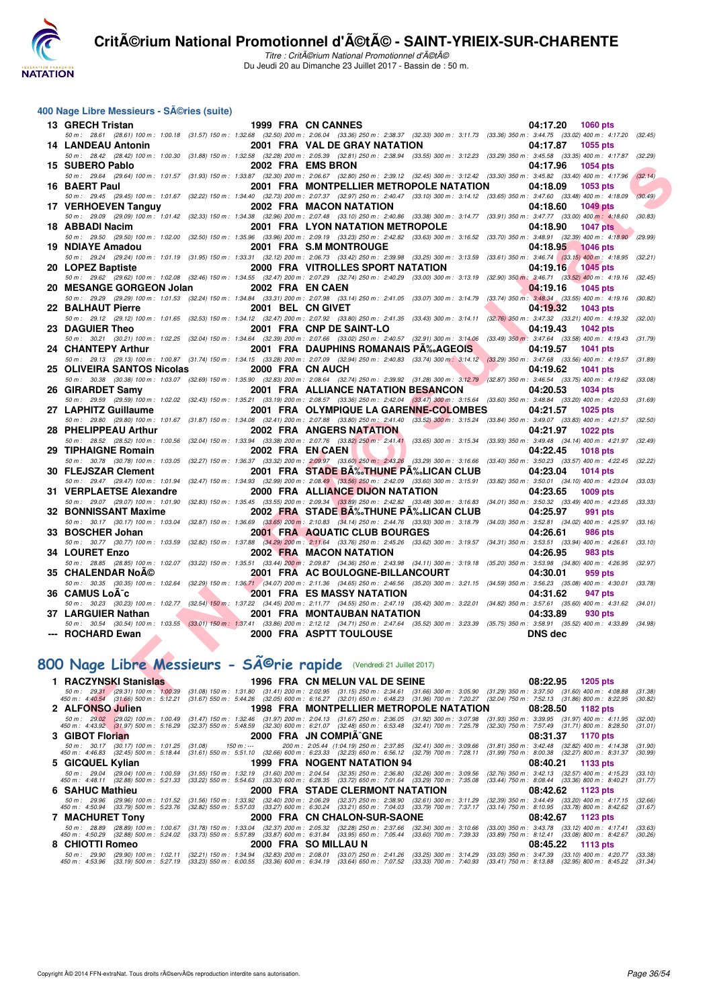

Titre : CritA©rium National Promotionnel d'A©tA© Du Jeudi 20 au Dimanche 23 Juillet 2017 - Bassin de : 50 m.

#### **400 Nage Libre Messieurs - Séries (suite)**

|     | 13 GRECH Tristan                                                              | 1999 FRA CN CANNES                                                                                                                                                                                                                                                                                                              | 04:17.20<br><b>1060 pts</b>                                                            |                    |
|-----|-------------------------------------------------------------------------------|---------------------------------------------------------------------------------------------------------------------------------------------------------------------------------------------------------------------------------------------------------------------------------------------------------------------------------|----------------------------------------------------------------------------------------|--------------------|
|     |                                                                               | 50 m: 28.61 (28.61) 100 m: 1:00.18 (31.57) 150 m: 1:32.68 (32.50) 200 m: 2:06.04 (33.36) 250 m: 2:38.37 (32.33) 300 m: 3:11.73 (33.36) 350 m: 3:44.75 (33.02) 400 m: 4:17.20                                                                                                                                                    |                                                                                        | (32.45)            |
|     | <b>14 LANDEAU Antonin</b>                                                     | 2001 FRA VAL DE GRAY NATATION                                                                                                                                                                                                                                                                                                   | 04:17.87<br><b>1055 pts</b>                                                            |                    |
|     | 15 SUBERO Pablo                                                               | 50 m : 28.42 (28.42) 100 m : 1:00.30 (31.88) 150 m : 1:32.58 (32.28) 200 m : 2:05.39 (32.81) 250 m : 2:38.94 (33.55) 300 m : 3:12.23 (33.29) 350 m : 3:45.58 (33.35) 400 m : 4:17.87<br>2002 FRA EMS BRON                                                                                                                       | 04:17.96<br>1054 pts                                                                   | (32.29)            |
|     | 50 m: 29.64 (29.64) 100 m: 1:01.57                                            | (31.93) 150 m: 1:33.87 (32.30) 200 m: 2:06.67 (32.80) 250 m: 2:39.12 (32.45) 300 m: 3:12.42 (33.30) 350 m: 3:45.82 (33.40) 400 m: 4:17.96                                                                                                                                                                                       |                                                                                        | (32.14)            |
|     | 16 BAERT Paul                                                                 | 2001 FRA MONTPELLIER METROPOLE NATATION                                                                                                                                                                                                                                                                                         | 04:18.09<br>1053 pts                                                                   |                    |
|     |                                                                               | 50 m: 29.45 (29.45) 100 m: 1:01.67 (32.22) 150 m: 1:34.40 (32.73) 200 m: 2:07.37 (32.97) 250 m: 2:40.47 (33.10) 300 m: 3:14.12 (33.65) 350 m: 3:47.60 (33.48) 400 m: 4:18.09                                                                                                                                                    |                                                                                        | (30.49)            |
|     | 17 VERHOEVEN Tanguy                                                           | <b>2002 FRA MACON NATATION</b>                                                                                                                                                                                                                                                                                                  | 04:18.60<br><b>1049 pts</b>                                                            |                    |
|     |                                                                               | 50 m : 29.09 (29.09) 100 m : 1:01.42 (32.33) 150 m : 1:34.38 (32.96) 200 m : 2:07.48 (33.10) 250 m : 2:40.86 (33.38) 300 m : 3:14.77 (33.91) 350 m : 3:47.77 (33.00) 400 m : 4:18.60                                                                                                                                            |                                                                                        | (30.83)            |
| 18. | ABBADI Nacim<br>50 m : 29.50 (29.50) 100 m : 1:02.00                          | <b>2001 FRA LYON NATATION METROPOLE</b><br>(32.50) 150 m : 1:35.96 (33.96) 200 m : 2:09.19 (33.23) 250 m : 2:42.82 (33.63) 300 m : 3:16.52 (33.70) 350 m : 3:48.91 (32.39) 400 m : 4:18.90                                                                                                                                      | <b>1047 pts</b><br>04:18.90                                                            | (29.99)            |
|     | 19 NDIAYE Amadou                                                              | 2001 FRA S.M MONTROUGE                                                                                                                                                                                                                                                                                                          | 04:18.95<br><b>1046 pts</b>                                                            |                    |
|     |                                                                               | 50 m: 29.24 (29.24) 100 m: 1:01.19 (31.95) 150 m: 1:33.31 (32.12) 200 m: 2:06.73 (33.42) 250 m: 2:39.98 (33.25) 300 m: 3:13.59 (33.61) 350 m: 3:46.74 (33.15) 400 m: 4:18.95 (32.21)                                                                                                                                            |                                                                                        |                    |
|     | 20 LOPEZ Baptiste                                                             | 2000 FRA VITROLLES SPORT NATATION                                                                                                                                                                                                                                                                                               | 04:19.16<br><b>1045 pts</b>                                                            |                    |
|     | 50 m : 29.62 (29.62) 100 m : 1:02.08                                          | (32.46) 150 m: 1:34.55 (32.47) 200 m: 2:07.29 (32.74) 250 m: 2:40.29 (33.00) 300 m: 3:13.19                                                                                                                                                                                                                                     | $(32.90)$ 350 m : 3:46.71 $(33.52)$ 400 m : 4:19.16 $(32.45)$                          |                    |
|     | 20 MESANGE GORGEON Jolan                                                      | 2002 FRA EN CAEN                                                                                                                                                                                                                                                                                                                | 04:19.16<br>1045 pts                                                                   |                    |
|     |                                                                               | 50 m : 29.29 (29.29) 100 m : 1:01.53 (32.24) 150 m : 1:34.84 (33.31) 200 m : 2:07.98 (33.14) 250 m : 2:41.05 (33.07) 300 m : 3:14.79                                                                                                                                                                                            | $(33.74)$ 350 m : $3.48.34$ $(33.55)$ 400 m : 4:19.16 $(30.82)$                        |                    |
|     | 22 BALHAUT Pierre                                                             | 2001 BEL CN GIVET<br>50 m: 29.12 (29.12) 100 m: 1:01.65 (32.53) 150 m: 1:34.12 (32.47) 200 m: 2:07.92 (33.80) 250 m: 2:41.35 (33.43) 300 m: 3:14.11                                                                                                                                                                             | 04:19.32<br>1043 pts<br>$(32.76)$ 350 m : 3:47.32 $(33.21)$ 400 m : 4:19.32            | (32.00)            |
|     | 23 DAGUIER Theo                                                               | 2001 FRA CNP DE SAINT-LO                                                                                                                                                                                                                                                                                                        | 04:19.43<br><b>1042 pts</b>                                                            |                    |
|     |                                                                               | 50 m: 30.21 (30.21) 100 m: 1:02.25 (32.04) 150 m: 1:34.64 (32.39) 200 m: 2:07.66 (33.02) 250 m: 2:40.57 (32.91) 300 m: 3:14.06                                                                                                                                                                                                  | $(33.49)$ 350 m $: 3.47.64$ $(33.58)$ 400 m $: 4.19.43$ $(31.79)$                      |                    |
|     | 24 CHANTEPY Arthur                                                            | 2001 FRA DAUPHINS ROMANAIS PA‰AGEOIS                                                                                                                                                                                                                                                                                            | 04:19.57<br>1041 pts                                                                   |                    |
|     |                                                                               | 50 m: 29.13 (29.13) 100 m: 1:00.87 (31.74) 150 m: 1:34.15 (33.28) 200 m: 2:07.09 (32.34) 250 m: 2:40.83 (33.74) 300 m: 3:14.12 (33.29) 350 m: 3:47.68 (33.56) 400 m: 4:19.57                                                                                                                                                    |                                                                                        | (31.89)            |
|     | 25 OLIVEIRA SANTOS Nicolas                                                    | 2000 FRA CN AUCH                                                                                                                                                                                                                                                                                                                | 04:19.62<br>1041 pts                                                                   |                    |
|     | 26 GIRARDET Samy                                                              | 50 m: 30.38 (30.38) 100 m: 1:03.07 (32.69) 150 m: 1:35.90 (32.83) 200 m: 2:08.64 (32.74) 250 m: 2:39.92 (31.28) 300 m: 3:12.79 (32.87) 350 m: 3:46.54 (33.75) 400 m: 4:19.62 (33.08)<br><b>2001 FRA ALLIANCE NATATION BESANCON</b>                                                                                              | 04:20.53<br>1034 pts                                                                   |                    |
|     | 50 m: 29.59 (29.59) 100 m: 1:02.02                                            | (32.43) 150 m: 1:35.21 (33.19) 200 m: 2:08.57 (33.36) 250 m: 2:42.04 (33.47) 300 m: 3:15.64 (33.60) 350 m: 3:48.84 (33.20) 400 m: 4:20.53                                                                                                                                                                                       |                                                                                        | (31.69)            |
|     | 27 LAPHITZ Guillaume                                                          | 2001 FRA OLYMPIQUE LA GARENNE-COLOMBES                                                                                                                                                                                                                                                                                          | 04:21.57<br>1025 pts                                                                   |                    |
|     | 50 m: 29.80 (29.80) 100 m: 1:01.67                                            | $(31.87)$ 150 m : 1:34.08 $(32.41)$ 200 m : 2:07.88 $(33.80)$ 250 m : 2:41.40 $(33.52)$ 300 m : 3:15.24 $(33.84)$ 350 m : 3:49.07 $(33.83)$ 400 m : 4:21.57                                                                                                                                                                     |                                                                                        | (32.50)            |
|     | 28 PHELIPPEAU Arthur                                                          | <b>2002 FRA ANGERS NATATION</b>                                                                                                                                                                                                                                                                                                 | 04:21.97<br><b>1022 pts</b>                                                            |                    |
|     | 50 m: 28.52 (28.52) 100 m: 1:00.56                                            | (32.04) 150 m : 1:33.94 (33.38) 200 m : 2:07.76 (33.82) 250 m : 2:41.41 (33.65) 300 m : 3:15.34 (33.93) 350 m : 3:49.48 (34.14) 400 m : 4:21.97 (32.49)                                                                                                                                                                         |                                                                                        |                    |
|     | 29 TIPHAIGNE Romain<br>50 m: 30.78 (30.78) 100 m: 1:03.05                     | 2002 FRA EN CAEN<br>$(32.27)$ 150 m : 1:36.37 $(33.32)$ 200 m : 2:09.97 $(33.60)$ 250 m : 2:43.26 $(33.29)$ 300 m : 3:16.66                                                                                                                                                                                                     | 04:22.45<br><b>1018 pts</b><br>(33.40) 350 m : 3:50.23 (33.57) 400 m : 4:22.45 (32.22) |                    |
|     | 30 FLEJSZAR Clement                                                           | 2001 FRA STADE BĉTHUNE PĉLICAN CLUB                                                                                                                                                                                                                                                                                             | 04:23.04<br><b>1014 pts</b>                                                            |                    |
|     | 50 m: 29.47 (29.47) 100 m: 1:01.94                                            | (32.47) 150 m : 1:34.93 (32.99) 200 m : 2:08.49 (33.56) 250 m : 2:42.09 (33.60) 300 m : 3:15.91 (33.82) 350 m : 3:50.01 (34.10) 400 m : 4:23.04                                                                                                                                                                                 |                                                                                        | (33.03)            |
|     | 31 VERPLAETSE Alexandre                                                       | 2000 FRA ALLIANCE DIJON NATATION                                                                                                                                                                                                                                                                                                | 04:23.65<br>1009 pts                                                                   |                    |
|     | 50 m: 29.07 (29.07) 100 m: 1:01.90                                            | $(32.83)$ 150 m : 1:35.45 $(33.55)$ 200 m : 2:09.34 $(33.89)$ 250 m : 2:42.82 $(33.48)$ 300 m : 3:16.83                                                                                                                                                                                                                         | $(34.01)$ 350 m : 3:50.32 $(33.49)$ 400 m : 4:23.65                                    | (33.33)            |
|     | 32 BONNISSANT Maxime                                                          | 2002 FRA STADE BA‰THUNE PA‰LICAN CLUB                                                                                                                                                                                                                                                                                           | 04:25.97<br>991 pts                                                                    |                    |
|     | 50 m: 30.17 (30.17) 100 m: 1:03.04                                            | (32.87) 150 m : 1:36.69 (33.65) 200 m : 2:10.83 (34.14) 250 m : 2:44.76 (33.93) 300 m : 3:18.79                                                                                                                                                                                                                                 | $(34.03)$ 350 m : 3:52.81 $(34.02)$ 400 m : 4:25.97                                    | (33.16)            |
|     | 33 BOSCHER Johan<br>50 m: 30.77 (30.77) 100 m: 1:03.59                        | 2001 FRA AQUATIC CLUB BOURGES<br>(32.82) 150 m: 1:37.88 (34.29) 200 m: 2:11.64 (33.76) 250 m: 2:45.26 (33.62) 300 m: 3:19.57<br>$(34.31)$ 350 m : 3:53.51                                                                                                                                                                       | 04:26.61<br><b>986 pts</b><br>$(33.94)$ 400 m : 4:26.61                                | (33.10)            |
|     | 34 LOURET Enzo                                                                | <b>2002 FRA MACON NATATION</b>                                                                                                                                                                                                                                                                                                  | 04:26.95<br>983 pts                                                                    |                    |
|     | 50 m: 28.85 (28.85) 100 m: 1:02.07                                            | (33.22) 150 m: 1:35.51 (33.44) 200 m: 2:09.87 (34.36) 250 m: 2:43.98 (34.11) 300 m: 3:19.18 (35.20) 350 m: 3:53.98 (34.80) 400 m: 4:26.95                                                                                                                                                                                       |                                                                                        | (32.97)            |
|     | <b>35 CHALENDAR NoA©</b>                                                      | 2001 FRA AC BOULOGNE-BILLANCOURT                                                                                                                                                                                                                                                                                                | 04:30.01<br>959 pts                                                                    |                    |
|     | 50 m: 30.35 (30.35) 100 m: 1:02.64                                            | (32.29) 150 m: 1:36.71 (34.07) 200 m: 2:11.36 (34.65) 250 m: 2:46.56 (35.20) 300 m: 3:21.15 (34.59) 350 m: 3:56.23 (35.08) 400 m: 4:30.01                                                                                                                                                                                       |                                                                                        | (33.78)            |
|     | 36 CAMUS LoA <sup>-</sup> c<br>50 m: 30.23 (30.23) 100 m: 1:02.77             | <b>2001 FRA ES MASSY NATATION</b>                                                                                                                                                                                                                                                                                               | 04:31.62<br>947 pts                                                                    | (34.01)            |
|     | 37 LARGUIER Nathan                                                            | (32.54) 150 m : 1:37.22 (34.45) 200 m : 2:11.77 (34.55) 250 m : 2:47.19 (35.42) 300 m : 3:22.01 (34.82) 350 m : 3:57.61 (35.60) 400 m : 4:31.62<br>2001 FRA MONTAUBAN NATATION                                                                                                                                                  | 04:33.89<br>930 pts                                                                    |                    |
|     |                                                                               | 50 m: 30.54 (30.54) 100 m: 1:03.55 (33.01) 150 m: 1:37.41 (33.86) 200 m: 2:12.12 (34.71) 250 m: 2:47.64 (35.52) 300 m: 3:23.39 (35.75) 350 m: 3:58.91 (35.52) 400 m: 4:33.89 (34.98)                                                                                                                                            |                                                                                        |                    |
|     | --- ROCHARD Ewan                                                              | <b>2000 FRA ASPTT TOULOUSE</b>                                                                                                                                                                                                                                                                                                  | <b>DNS</b> dec                                                                         |                    |
|     |                                                                               |                                                                                                                                                                                                                                                                                                                                 |                                                                                        |                    |
|     |                                                                               |                                                                                                                                                                                                                                                                                                                                 |                                                                                        |                    |
|     |                                                                               | 100 Nage Libre Messieurs - Sîrie rapide (Vendredi 21 Juillet 2017)                                                                                                                                                                                                                                                              |                                                                                        |                    |
|     | 1 RACZYNSKI Stanislas                                                         | 1996 FRA CN MELUN VAL DE SEINE                                                                                                                                                                                                                                                                                                  | 08:22.95<br><b>1205 pts</b>                                                            |                    |
|     | 50 m: 29.31 (29.31) 100 m: 1:00.39<br>450 m : 4:40.54 (31.66) 500 m : 5:12.21 | $(31.41)$ 200 m : 2:02.95 $(31.15)$ 250 m : 2:34.61 $(31.66)$ 300 m : 3:05.90 $(31.29)$ 350 m : 3:37.50 $(31.60)$ 400 m : 4:08.88<br>$(32.05)$ 600 m : 6:16.27 $(32.01)$ 650 m : 6:48.23 $(31.96)$ 700 m : 7:20.27 $(32.04)$ 750<br>$(31.08)$ 150 m : 1:31.80<br>$(31.67)$ 550 m : 5:44.26                                      | $(31.60)$ 400 m : 4:08.88                                                              | (31.38)<br>(30.82) |
|     | <b>ALFONSO Julien</b>                                                         | 1998 FRA MONTPELLIER METROPOLE NATATION                                                                                                                                                                                                                                                                                         | 08:28.50<br>1182 pts                                                                   |                    |
|     | 50 m : 29.02 (29.02) 100 m : 1:00.49                                          | $(31.97) \; 200 \; m: \; \; 2.04.13 \quad \; (31.67) \; 250 \; m: \; \; 2.36.05 \quad \; (31.92) \; 300 \; m: \; \; 3.07.98 \quad \; (31.93) \; 350 \; m: \; \; 3.39.95 \quad \; (31.97) \; 400 \; m: \; \; 4.11.95 \; 5.21.07 \quad \; (32.30) \; 500 \; m: \; \; 6.21.07 \quad \; (32.49) \; 65$<br>$(31.47)$ 150 m : 1:32.46 |                                                                                        | (32.00)            |
|     | 450 m : 4:43.92 (31.97) 500 m : 5:16.29                                       | (32.37) 550 m : 5:48.59                                                                                                                                                                                                                                                                                                         |                                                                                        | (31.01)            |
|     | 3 GIBOT Florian                                                               | 2000 FRA JN COMPIA^GNE                                                                                                                                                                                                                                                                                                          | 08:31.37<br>1170 pts                                                                   |                    |

#### **800 Nage Libre Messieurs - SA©rie rapide** (Vendredi 21 Juillet 2017)

| 1 RACZYNSKI Stanislas           |                             | 1996 FRA CN MELUN VAL DE SEINE                                                                                                          | 08:22.95<br>1205 pts                                                                                                                                                                                                                                                                                                                                                                  |
|---------------------------------|-----------------------------|-----------------------------------------------------------------------------------------------------------------------------------------|---------------------------------------------------------------------------------------------------------------------------------------------------------------------------------------------------------------------------------------------------------------------------------------------------------------------------------------------------------------------------------------|
| 450 m : 4:40.54                 |                             |                                                                                                                                         | 50 m: 29.31 (29.31) 100 m: 1:00.39 (31.08) 150 m: 1:31.80 (31.41) 200 m: 2:02.95 (31.15) 250 m: 2:34.61 (31.66) 300 m: 3:05.90 (31.29) 350 m: 3:37.50 (31.60) 400 m: 4:08.88<br>(31.38)<br>(31.66) 500 m : 5:12.21 (31.67) 550 m : 5:44.26 (32.05) 600 m : 6:16.27 (32.01) 650 m : 6:48.23 (31.96) 700 m : 7:20.27 (32.04) 750 m : 7:52.13 (31.86) 800 m : 8:22.95<br>(30.82)         |
| 2 ALFONSO Julien                |                             | 1998 FRA MONTPELLIER METROPOLE NATATION                                                                                                 | 08:28.50 1182 pts                                                                                                                                                                                                                                                                                                                                                                     |
| $450 \text{ m}$ : $4:43.92$     |                             |                                                                                                                                         | 50 m : 29.02 (29.02) 100 m : 1:00.49 (31.47) 150 m : 1:32.46 (31.97) 200 m : 2:04.13 (31.67) 250 m : 2:36.05 (31.92) 300 m : 3:07.98 (31.93) 350 m : 3:39.95 (31.97) 400 m : 4:11.95<br>(32.00)<br>(31.97) 500 m : 5:16.29 (32.37) 550 m : 5:48.59 (32.30) 600 m : 6:21.07 (32.48) 650 m : 6:53.48 (32.41) 700 m : 7:25.78 (32.30) 750 m : 7:57.49 (31.71) 800 m : 8:28.50<br>(31.01) |
| 3 GIBOT Florian                 | 2000 FRA JN COMPIA^GNE      |                                                                                                                                         | 08:31.37 1170 pts                                                                                                                                                                                                                                                                                                                                                                     |
| 450 m : 4:46.83                 |                             |                                                                                                                                         | 50 m : 30.17 (30.17) 100 m : 1:01.25 (31.08) 150 m :--- 200 m : 2:05.44 (1:04.19) 250 m : 2:37.85 (32.41) 300 m : 3:09.66 (31.81) 350 m : 3:42.48 (32.82) 400 m : 4:14.38<br>(31.90)<br>(32.45) 500 m: 5:18.44 (31.61) 550 m: 5:51.10 (32.66) 600 m: 6:23.33 (32.23) 650 m: 6:56.12 (32.79) 700 m: 7:28.11 (31.99) 750 m: 8:00.38 (32.27) 800 m: 8:31.37<br>(30.99)                   |
| 5 GICQUEL Kylian                |                             | 1999 FRA NOGENT NATATION 94                                                                                                             | 08:40.21 1133 pts                                                                                                                                                                                                                                                                                                                                                                     |
|                                 |                             | 450 m : 4:48.11 (32.88) 500 m : 5:21.33 (33.22) 550 m : 5:54.63 (33.30) 600 m : 6:28.35 (33.72) 650 m : 7:01.64 (33.29) 700 m : 7:35.08 | 50 m: 29.04 (29.04) 100 m: 1:00.59 (31.55) 150 m: 1:32.19 (31.60) 200 m: 2:04.54 (32.35) 250 m: 2:36.80 (32.26) 300 m: 3:09.56 (32.76) 350 m: 3:42.13 (32.57) 400 m: 4:15.23 (33.10)<br>$(33.44)$ 750 m : 8:08.44 $(33.36)$ 800 m : 8:40.21<br>(31.77)                                                                                                                                |
| 6 SAHUC Mathieu                 |                             | 2000 FRA STADE CLERMONT NATATION 08:42.62 1123 pts                                                                                      |                                                                                                                                                                                                                                                                                                                                                                                       |
| 450 m : 4:50.94                 |                             | (33.79) 500 m : 5:23.76 (32.82) 550 m : 5:57.03 (33.27) 600 m : 6:30.24 (33.21) 650 m : 7:04.03 (33.79) 700 m : 7:37.17                 | 50 m : 29.96 (29.96) 100 m : 1:01.52 (31.56) 150 m : 1:33.92 (32.40) 200 m : 2:06.29 (32.37) 250 m : 2:38.90 (32.61) 300 m : 3:11.29 (32.39) 350 m : 3:44.49 (33.20) 400 m : 4:17.15<br>(32.66)<br>(33.14) 750 m : 8:10.95 (33.78) 800 m : 8:42.62<br>(31.67)                                                                                                                         |
|                                 |                             |                                                                                                                                         | 08:42.67 1123 pts                                                                                                                                                                                                                                                                                                                                                                     |
| 450 m : 4:50.29                 |                             | (32.88) 500 m : 5:24.02 (33.73) 550 m : 5:57.89 (33.87) 600 m : 6:31.84 (33.95) 650 m : 7:05.44 (33.60) 700 m : 7:39.33                 | 50 m : 28.89 (28.89) 100 m : 1:00.67 (31.78) 150 m : 1:33.04 (32.37) 200 m : 2:05.32 (32.28) 250 m : 2:37.66 (32.34) 300 m : 3:10.66 (33.00) 350 m : 3:43.78 (33.12) 400 m : 4:17.41<br>(33.63)<br>(33.89) 750 m : 8:12.41 (33.08) 800 m : 8:42.67<br>(30.26)                                                                                                                         |
| 8 CHIOTTI Romeo                 | <b>2000 FRA SO MILLAU N</b> |                                                                                                                                         | $08:45.22$ 1113 pts                                                                                                                                                                                                                                                                                                                                                                   |
| 50 m : 29.90<br>450 m : 4:53.96 |                             |                                                                                                                                         | (29.90) 100 m : 1:02.11 (32.21) 150 m : 1:34.94 (32.83) 200 m : 2:08.01 (33.07) 250 m : 2:41.26 (33.25) 300 m : 3:14.29 (33.03) 350 m : 3:47.39 (33.10) 400 m : 4:20.77 (33.38)<br>(33.19) 500 m : 5:27.19 (33.23) 550 m : 6:00.55 (33.36) 600 m : 6:34.19 (33.64) 650 m : 7:07.52 (33.33) 700 m : 7:40.93 (33.41) 750 m : 8:13.88 (32.95) 800 m : 8:45.22 (31.34)                    |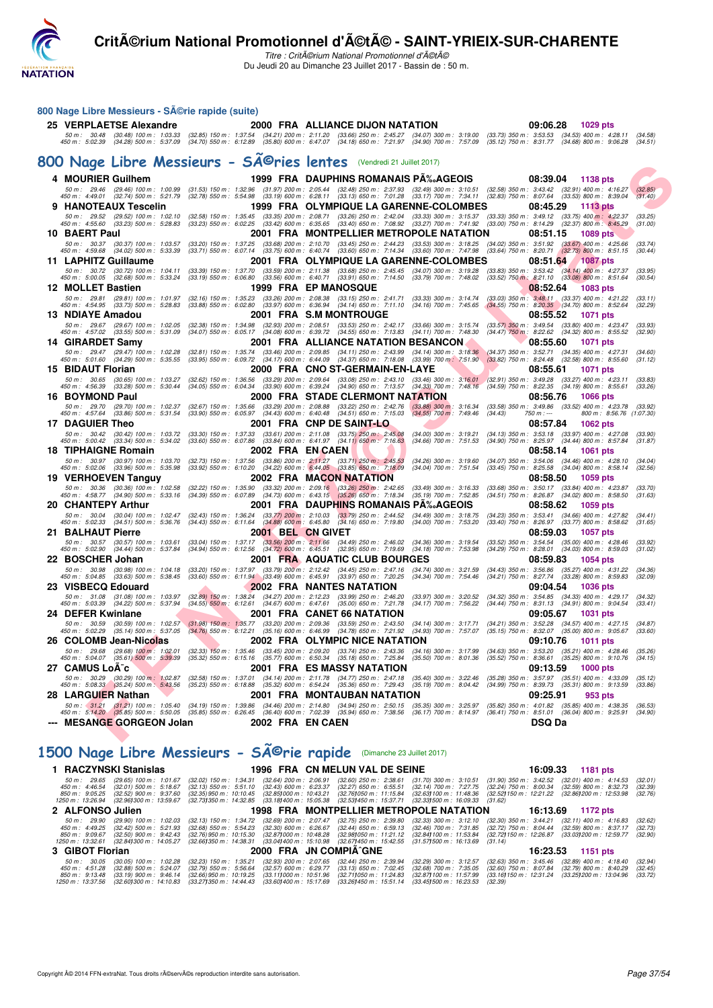

Titre : Critérium National Promotionnel d'été Du Jeudi 20 au Dimanche 23 Juillet 2017 - Bassin de : 50 m.

#### **F F N - R é s u l t a t s 800 Nage Libre Messieurs - Série rapide (suite) 25 VERPLAETSE Alexandre 2000 FRA ALLIANCE DIJON NATATION 09:06.28 1029 pts** 50 m: 30.48 (30.48) 100 m: 1:03.33 (32.85) 150 m: 1:37.54 (34.21) 200 m: 2:11.20 (33.66) 250 m: 2:45.27 (34.07) 300 m: 3:19.00 (33.73) 350 m: 3:53.53 (34.53) 400 m: 4:28.11 (34.58)<br>450 m: 5:02.39 (34.28) 500 m: 5:37.09 (34 800 Nage Libre Messieurs - SÄ<sup>©</sup>ries lentes (Vendredi 21 Juillet 2017) **4 MOURIER Guilhem 1999 FRA DAUPHINS ROMANAIS PÉAGEOIS 08:39.04 1138 pts** 50 m : 29.46 (29.46) 100 m : 1:00.99 (31.53) 150 m : 1:32.96 (31.97) 200 m 2:05.44 (32.48) 250 m (32.49) 300 m : 3:10.51 (32.58) 350 m : 3:43.42 (32.91) 400 m : 4:16.27 (32.85)<br>450 m : 4: **9 HANOTEAUX Tescelin 1999 FRA OLYMPIQUE LA GARENNE-COLOMBES 08:45.29 1113 pts** .50 m; 29.52 (29.52) 100 m; 1:02.10 (32.58) 150 m; 1:35.45 (33.45) 200 m; 2:09.71 (33.26) m; 2:42.04 (33.33) 300 m; 3:15.37 (33.33) 350 m; 3:49.12 (33.75) 400 m; 4:55.60 (33.23) 500 m; 4:42.9 (32.37) 800 m; 4:42.9 (32.37) **10 BAERT Paul 2001 FRA MONTPELLIER METROPOLE NATATION 08:51.15 1089 pts**<br>54 50 m : 30.37 (30.37) 100 m : 1:03.57 (33.20) 150 m : 1:37.25 (33.68) 200 m : 2:10.70 (33.45) 250 m : 2:44.23 (33.53) 300 m : 3:16.25 (34.02) 50 m : 30.37 (30.37) 100 m : 1.03.57 (33.20) 150 m : 1.37.25 (33.68) 200 m 2.10.70 (33.45) 250 m : 2.44.23 (33.53) 300 m : 3.18.25 (34.02) 350 m : 3.51.92 (33.64) 400 m : 4.25.66 (33.74)<br>450 m : 4 **11 LAPHITZ Guillaume 2001 FRA OLYMPIQUE LA GARENNE-COLOMBES 08:51.64 1087 pts** 50 m; 30.72 (30.72) 100 m; 1:04.11 (33.39) 150 m; 1:37.70 (33.59) 200 m; 2:11.38 (33.69) 250 m; 3:10 m; 3:19.28 (33.89) 350 m; 3:53.42 (33.69) 360 m; 3:53.42 (33.69) 360 m; 4:57.70 (3.59) 360 m; 4:57.10 (3.59) 360 m; 4:57. **12 MOLLET Bastien 1999 FRA EP MANOSQUE 1999 FRA EP MANOSQUE** 50 m: 29.81 (29.81) 100 m: 1:01.97 (32.16) 150 m: 1:35.23 (33.26) 200 m: 2:08.38 (33.15) 250 m: 2:41.71 (33.33) 300 m: 3:14.74 (33.03) 350 m: 3:48.11 (33.37) 400 m: 4:21.22 (33.11)<br>450 m: 4:54.95 (33.73) 500 m: 5:28.83 (33 **13 NDIAYE Amadou 2001 FRA S.M MONTROUGE 08:55.52 1071 pts** 50 m; 29.67 (29.67) 100 m; 1:02.05 (32.38) 150 m; 1:34.98 (32.93) 200 m; 2:08.51 (30.63) 250 m; 3:15.74 (33.57) 350 m; 3:49.54 (33.60) 400 m; 4:57.02 (33.69) 400 m; 4:57.02 (34.32) 800 m; 4:57.02 (34.32) 800 m; 4:57.02 (34 **14 GIRARDET Samy** 2001 FRA ALLIANCE NATATION BESANCON 68:55.60 1071 pts<br>
50 m : 29.47 (29.47) 100 m : 1:02.28 (32.81) 150 m : 1:35.74 (33.46) 200 m : 2:09.85 (34.11) 250 m : 2:43.99 (34.14) 300 m : 3:18.36 (34.37) 350 m : 50 m : 29.47 (29.47) 100 m : 1.02.28 (32.81) 150 m : 1.35.74 (33.46) 200 m : 2.09.85 (34.11) 250 m 2.43.99 (34.14) 300 m : 3:15.36 (34.37) 350 m : 3:52.71 (34.35) 400 m : 4:27.31 (34.60)<br>450 m : **15 BIDAUT Florian 2000 FRA CNO ST-GERMAIN-EN-LAYE 08:55.61 1071 pts**<br> **15 BIDAUT Florian** 20.65 (30.65) 100 m: 1:03.27 (32.62) 150 m: 1:36.56 (33.29) 200 m: 2:09.64 (33.08) 250 m: 2:43.10 (33.46) 300 m: 3:16.01 (32.91) .50 m; 30.65 (30.65) 100 m; 1.03.27 (32.62) 150 m; 1.38.56 (33.29) 200 m; 2.09.64 (33.09) 250 m; 2.43.09 m; 3.16.01 (32.81) 350 m; 3.49.28 (33.27) 400 m; 4:56.39 (33.28) 500 m; 4:23.15 (34.19) 800 m; 4:25.61 (33.26) 36.79 **16 BOYMOND Paul 2000 FRA STADE CLERMONT NATATION 08:56.76 1066 pts**<br>50 m : 29.70 (29.70) 100 m : 1:02.37 (32.67) 150 m : 1:35.66 (33.29) 200 m : 2:08.88 (33.22) 250 m : 2:42.76 (33.88) 300 m : 3:16.34 (33.58) 350 m : 3: 50 m : 29.70 (29.70) 100 m : 1:02.37 (32.67) 150 m : 1:35.66 (33.29) 200 m : 2:08.88 (33.22) 250 m : 2:42.76 (33.88) 300 m : 3:16.34 (33.58) 350 m : 3:49.86 (33.52) 400 m : 4:23.78 (33.88) 500 m : **17 DAGUIER Theo** 2001 FRA CNP DE SAINT-LO 2001 8:57.84 1062 pts<br>
50 m : 30.42 (30.42) 100 m : 1:03.72 (33.30) 150 m : 1:37.33 (33.61) 200 m : 2:11.08 (33.75) 250 m : 2:45.08 (34.00) 300 m : 3:19.21 (34.13) 350 m : 3:53.18 50 m; 30.42 (30.42) 100 m; 1.03.72 (33.30) 150 m; 1.37.33 (33.64) 200 m; 2.11.08 (33.75) 250 m; 2.4508 (34.66) 300 m; 3:19.21 (34.41) 350 m; 3:50.42 (33.34) 500 m; 4:57.84 (33.80) 550 m; 3.50 m; 3.50 m; 3.50 m; 3.50 m; 3.5 **18 TIPHAIGNE Romain 2002 FRA EN CAEN 08:58.14 1061 pts** 50 m : 30.97 (30.97) 100 m : 1.03.70 (32.73) 150 m : 1.37.56 (33.86) 200 m : 2:11.27 (33.71) 250 m 2:4.553 (34.26) 300 m : 3:19.60 (34.07) 350 m : 3:54.06 (34.46) 400 m : 4:28.10 (34.04)<br>45 **19 VERHOEVEN Tanguy 2002 FRA MACON NATATION** 08:58.50 1059 pts<br>
50 m : 30.36 (30.36) 100 m : 1:02.58 (32.22) 150 m : 1:35.90 (33.32) 200 m : 2:09.16 (33.26) 250 m : 2:42.65 (33.49) 300 m : 3:16.33 (33.68) 350 m : 3:50.17 50 m; 30.36 (30.36) 100 m; 1:02.58 (32.22) 150 m; 1:35.90 (33.32) 200 m; 2:09.16 (33.26) 500 m; 3:04.39 300 m; 3:6.33 (33.68) 350 m; 3:50.77 (33.69) 450 m; 4:58.57 (34.02) 500 m; 4:58.57 (34.02) 500 m; 4:58.50 m; 4:58.50 m **20 CHANTEPY Arthur 2001 FRA DAUPHINS ROMANAIS PÉAGEOIS 08:58.62 1059 pts** 50 m: 30.04 (30.04) 100 m: 1:02.47 (32.43) 150 m: 1:36.24 (33.77) 200 m: 2:10.03 (33.79) 250 m: 2:44.52 (34.49) 300 m: 3:15.75 (34.23) 350 m: 3:53.41 (34.66) 400 m: 4:27.82 (34.41)<br>450 m: 5:02.33 (34.51) 500 m: 5:36.76 (34 **21 BALHAUT Pierre 2001 BEL CN GIVET**<br>
50 m : 30.57 (30.59) 100 m : 1:03.61 (33.04) 150 m : 1:37.17 (33.56) 200 m : 2:11.66 (34.49) 250 m : 2:46.02 (34.36) 300 m : 3:19.54 (33.52) 350 m : 3:54.54 (35.00) 400 m : 4:28.46<br> 50 m; 30.57 (30.57) 100 m; 1:03.61 (33.04) 150 m; 1:37.17 (33.56) 200 m; 2:11.66 (34.40) 250 m; 3:0602 (34.28) 350 m; 3:19.54 (35.62) 350 m; 3:54.54 (35.09) 400 m; 4:54.64 (34.03) 800 m; 4:54.63 (34.03) 800 m; 4:54.03 (34. **22 BOSCHER Johan 2001 FRA AQUATIC CLUB BOURGES** 08:59.83 1054 pts<br>
50 m: 30.98 (30.98) 100 m: 1:04.18 (33.20) 150 m: 1:37.97 (33.79) 200 m: 2:12.42 (34.45) 250 m: 2:47.16 (34.74) 300 m: 3:21.59 (34.43) 350 m: 3:56.86 (35. 50 m: 30.98 (30.98) 100 m: 1:04.18 (33.20) 150 m: 1:37.97 (33.79) 200 m: 2:12.42 (34.45) 250 m: 2:47.16 (34.74) 300 m: 3:21.59 (34.43) 350 m: 3:56.86 (35.27) 400 m: 4:31.22 (34.36)<br>450 m: 5:04.85 (33.63) 500 m: 5:38.45 (33 **23 VISBECQ Edouard 1036 pts**<br>**23 VISBECQ Edouard 1036 pts**<br>29.17 *5.00.39* (34.09) 100 m: 1:03.97 (32.89) 150 m: 1:38.24 (34.27) 200 m: 2:12.23 (33.99) 250 m: 2:46.20 (33.97) 300 m: 3:20.52 (34.32) 350 m: 3:54.85 (34.32) 50 m; 31.08 (31.08) 100 m; 1.03.97 (32.89) 150,m; 1.38.24 (34.27) 200 m; 2.12.23 (33.99) 250,m; 32.09 (34.97) 300 m; 32.0.52 (34.32) 300 m; 30.4.22) 500 m; 4:229.17 (34.35) 400 m; 4:29.173 (34.31) 400 m; 4:04.54 (33.41)<br>45 **24 DEFER Kwinlane 2001 FRA CANET 66 NATATION 09:05.67 1031 pts** 50 m : 30.59 (30.59) 100 m : 1:02.57 <mark>(31.98) 150 m : 1:3</mark>5.77 (33.20) 200 m : 2:09.36 (33.59) 250 m : 2:43.50 (34.14) 300 m : 3:17.71 (34.21) 350 m : 3:52.28 (34.57) 400 m : 4:27.15 (34.87)<br>450 m : 5:02.29 (35.14) 500 m : (34.21) 350 m : 3:52.28 (34.57) 400 m : 4:27.15<br>(35.15) 750 m : 8:32.07 (35.00) 800 m : 9:05.67 **26 COLOMB Jean-Nicolas 2002 FRA OLYMPIC NICE NATATION 09:10.76 1011 pts**<br>
50 m: 29.68 (29.68) 100 m: 1:02.01 (32.33) 150 m: 1:35.46 (33.45) 200 m: 2:09.20 (33.74) 250 m: 2:43.36 (34.16) 300 m: 3:17.99 (34.63) 350 m: 50 m; 29.68 (29.68) 100 m; 1:02.01 (32.33) 150 m; 1:35.46 (33.45) 200 m; 2:09.20 (33.74) 250 m; 2:43.36 (34.63) 100 m; 3:17.99 (34.63) 350 m; 3:32.0 (35.21) 400 m; 4:28.46 (35.25) 800 m; 4:28.46 (35.25) 400 m; 4:10.76 (34. **27 CAMUS LOÃ<sup>-</sup>C 2001 FRA ES MASSY NATATION** 09:13.59 1000 pts<br>
50 m : 30.29 (30.29) 100 m : 1:02.87 (32.58) 150 m : 1:37.01 (34.14) 200 m : 2:11.78 (34.77) 250 m : 2:47.18 (35.40) 300 m : 3:22.46 (35.28) 350 m : 3:57.97 50 m : 30.29 (30.29) 100 m : 1.02.87 (32.58) 150 m : 1.37.01 (34.14) 200 m 2.11.78 (34.77) 250 m 2.47.18 (35.40) 300 m : 3:2.46 (35.28) 350 m : 3:57.97 (35.51) 400 m : 4:33.09 (35.12) 500 m : **28 LARGUIER Nathan** 2001 FRA MONTAUBAN NATATION 09:25.91 953 pts<br>
50 m: 31.21 (31.21) 100 m: 1:05.40 (34.19) 150 m: 1:39.86 (34.46) 200 m: 2:14.80 (34.94) 250 m: 2:50.15 (35.35) 300 m: 3:25.97 (35.82) 350 m: 4:01.82 (35.8 – 50 m; 31.21 (31.21) 100 m; 1:05.40 (34.19) 150.06 (34.46) 200 m; 2:14.80 (34.94 250.15 (35.39) 300 m; 3:5.97 (35.82) 350 m; 4:01.82 (35.85) 400 m; 4:38.35 (36.84) 300 m; 4:5.01 (35.04) 300 m; 4:38.55 **--- MESANGE GORGEON Jolan 2002 FRA EN CAEN DSQ Da**

## 1500 Nage Libre Messieurs - SÃ<sup>©</sup>rie rapide (Dimanche 23 Juillet 2017)

| 1 RACZYNSKI Stanislas                     |                                                        |                                                         |                                                        | 1996 FRA CN MELUN VAL DE SEINE                         |                                                        | 16:09.33                                                 | 1181 $pts$                                             |                    |
|-------------------------------------------|--------------------------------------------------------|---------------------------------------------------------|--------------------------------------------------------|--------------------------------------------------------|--------------------------------------------------------|----------------------------------------------------------|--------------------------------------------------------|--------------------|
| $50 \text{ m}$ : 29.65<br>450 m : 4:46.54 | (29.65) 100 m : 1:01.67<br>$(32.01)$ 500 m : 5:18.67   | $(32.02)$ 150 m : 1:34.31<br>$(32.13)$ 550 m : 5:51.10  | $(32.64)$ 200 m : 2:06.91<br>$(32.43)$ 600 m : 6:23.37 | $(32.60)$ 250 m : 2:38.61<br>$(32.27)$ 650 m : 6:55.51 | $(31.70)$ 300 m : 3:10.51<br>$(32.14)$ 700 m : 7:27.75 | $(31.90)$ 350 m : $3.42.52$<br>$(32.24)$ 750 m : 8:00.34 | $(32.01)$ 400 m : 4:14.53<br>$(32.59)$ 800 m : 8:32.73 | (32.01)<br>(32.39) |
| 850 m : 9:05.25                           | (32.52) 900 m : 9:37.60                                | $(32.35)$ 950 m : 10:10.45                              | (32.851000 m : 10:43.21                                | (32.761050 m : 11:15.84                                | (32.631100 m: 11:48.36)                                | (32.521150 m : 12:21.22                                  | (32.861200 m : 12:53.98                                | (32.76)            |
| 1250 m : 13:26.94                         | (32.961300 m : 13:59.67                                | (32.731350 m : 14:32.85                                 | (33.181400 m : 15:05.38                                | (32.531450 m : 15:37.71                                | (32.331500 m : 16:09.33                                | (31.62)                                                  |                                                        |                    |
| 2 ALFONSO Julien                          |                                                        |                                                         |                                                        | <b>1998 FRA MONTPELLIER METROPOLE NATATION</b>         |                                                        | 16:13.69                                                 | 1172 pts                                               |                    |
| 50 m : 29.90                              | (29.90) 100 m : 1:02.03                                | $(32.13)$ 150 m : 1:34.72                               | $(32.69)$ 200 m : $2.07.47$                            | $(32.75)$ 250 m : 2:39.80                              | $(32.33)$ 300 m : $3:12.10$                            | $(32.30)$ 350 m : 3:44.21                                | $(32.11)$ 400 m : 4:16.83                              | (32.62)            |
| 450 m : 4:49.25<br>850 m : 9:09.67        | $(32.42)$ 500 m : 5:21.93<br>$(32.50)$ 900 m : 9:42.43 | $(32.68)$ 550 m : 5:54.23<br>$(32.76)$ 950 m : 10:15.30 | $(32.30)$ 600 m : 6:26.67<br>(32.871000 m : 10:48.28)  | $(32.44)$ 650 m : 6:59.13<br>(32.981050 m : 11:21.12   | $(32.46)$ 700 m : 7:31.85<br>(32.84) 100 m : 11:53.84  | $(32.72)$ 750 m : 8:04.44<br>(32.721150 m : 12:26.87)    | $(32.59)$ 800 m : 8:37.17<br>(33.031200 m : 12:59.77   | (32.73)<br>(32.90) |
| 1250 m : 13:32.61                         | (32.841300 m : 14:05.27)                               | (32.661350 m : 14:38.31                                 | (33.041400 m : 15:10.98                                | (32.671450 m : 15:42.55)                               | (31.571500 m : 16:13.69                                | (31.14)                                                  |                                                        |                    |
| 3 GIBOT Florian                           |                                                        |                                                         | 2000 FRA JN COMPIA^GNE                                 |                                                        |                                                        | 16:23.53                                                 | 1151 $pts$                                             |                    |
| 50 m: 30.05                               | (30.05) 100 m : 1:02.28                                | (32.23) 150 m : 1:35.21                                 | $(32.93)$ 200 m : $2.07.65$                            | $(32.44)$ 250 m : 2:39.94                              | $(32.29)$ 300 m : 3:12.57                              | $(32.63)$ 350 m : 3:45.46                                | $(32.89)$ 400 m : 4:18.40                              | (32.94)            |
| 450 m : 4:51.28                           | $(32.88)$ 500 m : 5:24.07                              | $(32.79)$ 550 m : 5:56.64                               | $(32.57)$ 600 m : 6:29.77                              | $(33.13)$ 650 m : 7:02.45                              | $(32.68)$ 700 m : 7:35.05                              | $(32.60)$ 750 m : $8.07.84$                              | $(32.79)$ 800 m : 8:40.29                              | (32.45)            |
| 850 m : 9:13.48<br>1250 m : 13:37.56      | $(33.19)$ 900 m : 9:46.14<br>(32.601300 m : 14:10.83   | $(32.66)$ 950 m : 10:19.25<br>(33.271350 m : 14.44.43)  | (33.111000 m : 10:51.96<br>(33.601400 m : 15:17.69     | (32.711050 m : 11:24.83)<br>(33.261450 m : 15:51.14)   | (32.871100 m: 11:57.99)<br>(33.451500 m: 16:23.53)     | (33.161150 m : 12:31.24<br>(32.39)                       | (33.251200 m : 13:04.96)                               | (33.72)            |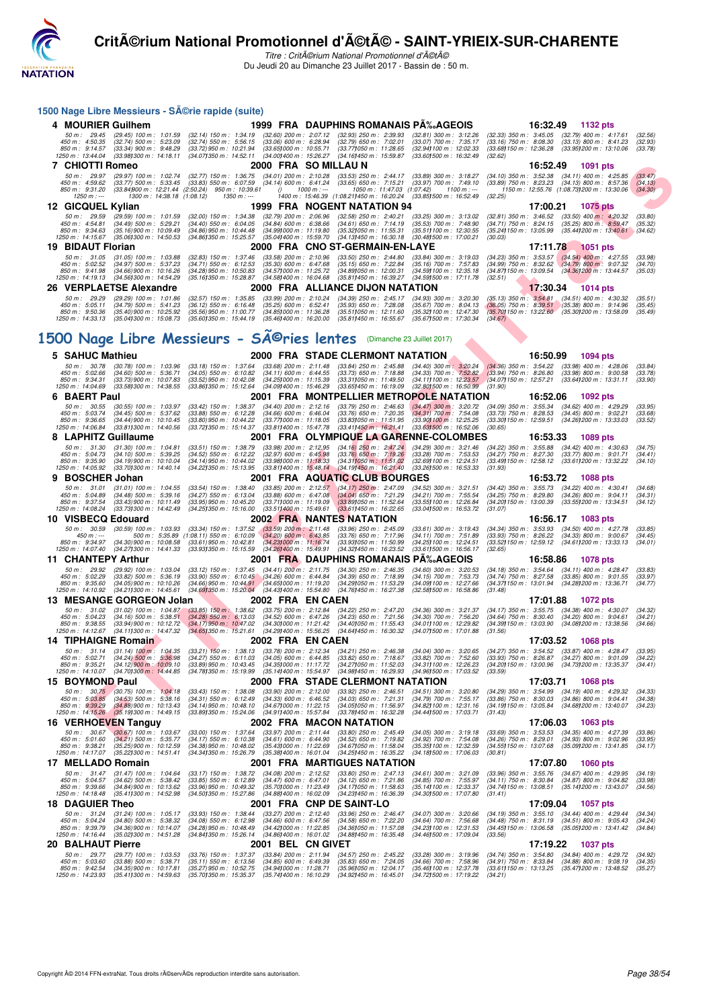

Titre : CritA©rium National Promotionnel d'A©tA© Du Jeudi 20 au Dimanche 23 Juillet 2017 - Bassin de : 50 m.

|    |                                                                      |                                                                                                                 | 1500 Nage Libre Messieurs - Série rapide (suite)                                                                                     |                                                                                   |              |                                                                                                                |                                                                                                               |              |                                                                                               |          |                                                                                                                                                     |                               |
|----|----------------------------------------------------------------------|-----------------------------------------------------------------------------------------------------------------|--------------------------------------------------------------------------------------------------------------------------------------|-----------------------------------------------------------------------------------|--------------|----------------------------------------------------------------------------------------------------------------|---------------------------------------------------------------------------------------------------------------|--------------|-----------------------------------------------------------------------------------------------|----------|-----------------------------------------------------------------------------------------------------------------------------------------------------|-------------------------------|
|    | 4 MOURIER Guilhem                                                    |                                                                                                                 |                                                                                                                                      |                                                                                   |              | 1999 FRA DAUPHINS ROMANAIS P‰AGEOIS                                                                            |                                                                                                               |              |                                                                                               |          | 16:32.49 1132 pts                                                                                                                                   |                               |
|    | 50 m: 29.45<br>450 m : 4:50.35<br>850 m: 9:14.57<br>1250 m: 13:44.04 | $(29.45)$ 100 m : 1:01.59<br>$(32.74)$ 500 m : 5:23.09<br>$(33.34)$ 900 m : 9:48.29<br>(33.98) 300 m : 14:18.11 | (32.14) 150 m : 1:34.19 (32.60) 200 m : 2:07.12<br>$(32.74)$ 550 m : 5:56.15<br>(33.72) 950 m : 10:21.94<br>(34.07) 350 m : 14:52.11 | $(33.06)$ 600 m : 6:28.94<br>(33.65) 000 m : 10:55.71<br>(34.00) 400 m : 15:26.27 |              | $(32.93)$ 250 m : 2:39.93<br>$(32.79)$ 650 m : 7:02.01<br>(33.77) 050 m : 11:28.65<br>(34.16) 450 m : 15:59.87 | $(32.81)$ 300 m : 3:12.26<br>$(33.07)$ 700 m : 7:35.17<br>(32.94) 100 m : 12:02.33<br>(33.601500 m : 16:32.49 |              | $(32.33)$ 350 m : 3:45.05<br>$(33.16)$ 750 m : 8:08.30<br>(33.68) 150 m : 12:36.28<br>(32.62) |          | $(32.79)$ 400 m : 4:17.61<br>$(33.13)$ 800 m : 8:41.23<br>(33.95 <b>)</b> 200 m : 13:10.06                                                          | (32.56)<br>(32.93)<br>(33.78) |
|    | <b>7 CHIOTTI Romeo</b>                                               |                                                                                                                 |                                                                                                                                      | 2000 FRA SOMILLAUN                                                                |              |                                                                                                                |                                                                                                               |              |                                                                                               | 16:52.49 | 1091 pts                                                                                                                                            |                               |
|    | 50 m: 29.97<br>450 m : 4:59.62<br>850 m : 9:31.20                    | (29.97) 100 m : 1:02.74<br>$(33.77)$ 500 m : 5:33.45                                                            | $(32.77)$ 150 m : 1:36.75<br>$(33.83)$ 550 m : 6:07.59<br>$(33.84)900 \text{ m}: 12.21.44 \ (2.50.24) \ 950 \text{ m}: 10.39.61$     | $(34.01)$ 200 m : 2:10.28<br>$(34.14)$ 600 m : 6:41.24<br>0                       | 1000 m : --- | $(33.53)$ 250 m : 2:44.17<br>$(33.65)$ 650 m : 7:15.21<br>1050 m: 11:47.03 (1:07.42)                           | $(33.89)$ 300 m : 3:18.27<br>$(33.97)$ 700 m : 7:49.10                                                        | 1100 m : --- |                                                                                               |          | $(34.10)$ 350 m : 3:52.38 $(34.11)$ 400 m : 4:25.85<br>(33.89) 750 m : 8:23.23 (34.13) 800 m : 8:57.36<br>1150 m: 12:55.76 (1:08.731200 m: 13:30.06 | (33.47)<br>(34.13)<br>(34.30) |
|    | $1250 m : -$<br>12 GICQUEL Kylian                                    | 1300 m: 14:38.18 (1:08.12)                                                                                      | 1350 m : ---                                                                                                                         |                                                                                   |              | 1400 m: 15:46.39 (1:08.211450 m: 16:20.24<br>1999 FRA NOGENT NATATION 94                                       | (33.851500 m : 16:52.49                                                                                       |              | (32.25)                                                                                       | 17:00.21 | <b>1075 pts</b>                                                                                                                                     |                               |
|    | 50 m: 29.59                                                          | $(29.59)$ 100 m : 1:01.59                                                                                       | $(32.00)$ 150 m : 1:34.38                                                                                                            | $(32.79)$ 200 m : 2:06.96                                                         |              | $(32.58)$ 250 m : 2:40.21                                                                                      | $(33.25)$ 300 m : 3:13.02                                                                                     |              | $(32.81)$ 350 m : 3:46.52                                                                     |          | $(33.50)$ 400 m : 4:20.32                                                                                                                           | (33.80)                       |
|    | 450 m : 4:54.81<br>850 m: 9:34.63                                    | $(34.49)$ 500 m : 5:29.21<br>$(35.16)$ 900 m : 10:09.49                                                         | $(34.40)$ 550 m : 6:04.05<br>$(34.86)$ 950 m : 10:44.48                                                                              | $(34.84)$ 600 m : 6:38.66<br>(34.991000 m: 11:19.80                               |              | $(34.61)$ 650 m : 7:14.19<br>(35.32) 050 m: 11:55.31                                                           | $(35.53)$ 700 m : 7:48.90<br>(35.51) 100 m : 12:30.55                                                         |              | $(34.71)$ 750 m : 8:24.15<br>(35.24) 150 m : 13:05.99                                         |          | $(35.25)$ 800 m : 8:59.47<br>$(35.44)200 \text{ m}$ : 13:40.61                                                                                      | (35.32)<br>(34.62)            |
|    | 1250 m: 14:15.67                                                     | $(35.061300 \text{ m} : 14.50.53)$                                                                              | (34.86) 350 m : 15:25.57                                                                                                             | (35.04) 400 m : 15:59.70                                                          |              | $(34.131450 \text{ m} : 16.30.18)$                                                                             | (30.481500 m: 17:00.21                                                                                        |              | (30.03)                                                                                       |          |                                                                                                                                                     |                               |
|    | 19 BIDAUT Florian<br>50 m: 31.05                                     | $(31.05)$ 100 m : 1:03.88                                                                                       | $(32.83)$ 150 m : 1:37.46                                                                                                            | $(33.58)$ 200 m : 2:10.96                                                         |              | 2000 FRA  CNO ST-GERMAIN-EN-LAYE<br>$(33.50)$ 250 m : 2:44.80                                                  | $(33.84)$ 300 m : 3:19.03                                                                                     |              | $(34.23)$ 350 m : 3:53.57                                                                     | 17:11.78 | 1051 pts<br>$(34.54)$ 400 m : 4:27.55                                                                                                               | (33.98)                       |
|    | 450 m : 5:02.52<br>850 m: 9:41.98                                    | $(34.97)$ 500 m : 5:37.23<br>$(34.66)$ 900 m : 10:16.26                                                         | $(34.71)$ 550 m : 6:12.53<br>$(34.28)$ 950 m : 10:50.83                                                                              | $(35.30)$ 600 m : 6:47.68<br>(34.57) 000 m: 11:25.72                              |              | $(35.15)$ 650 m : 7:22.84<br>(34.89) 050 m : 12:00.31                                                          | $(35.16)$ 700 m : 7:57.83<br>(34.59) 100 m : 12:35.18                                                         |              | $(34.99)$ 750 m : 8:32.62<br>(34.87) 150 m : 13:09.54                                         |          | $(34.79)$ 800 m : 9:07.32<br>(34.36) 200 m : 13:44.57                                                                                               | (34.70)<br>(35.03)            |
|    | 1250 m : 14:19.13                                                    | (34.561300 m: 14:54.29)                                                                                         | (35.16) 350 m : 15:28.87                                                                                                             | (34.581400 m : 16:04.68)                                                          |              | (35.811450 m: 16:39.27)                                                                                        | (34.59) 500 m : 17:11.78                                                                                      |              | (32.51)                                                                                       |          |                                                                                                                                                     |                               |
| 26 |                                                                      | <b>VERPLAETSE Alexandre</b>                                                                                     |                                                                                                                                      |                                                                                   |              | 2000 FRA ALLIANCE DIJON NATATION                                                                               |                                                                                                               |              |                                                                                               | 17:30.34 | <b>1014 pts</b>                                                                                                                                     |                               |
|    | 50 m: 29.29<br>450 m : 5:05.11                                       | $(29.29)$ 100 m : 1:01.86<br>$(34.79)$ 500 m : 5:41.23                                                          | $(32.57)$ 150 m : 1:35.85<br>$(36.12)$ 550 m : 6:16.48                                                                               | $(33.99)$ 200 m : 2:10.24<br>$(35.25)$ 600 m : 6:52.41                            |              | $(34.39)$ 250 m : 2:45.17<br>$(35.93)$ 650 m : 7:28.08                                                         | $(34.93)$ 300 m : 3:20.30<br>$(35.67)$ 700 m : 8:04.13                                                        |              | $(35.13)$ 350 m : 3:54.81<br>$(36.05)$ 750 m : $8:39.51$                                      |          | $(34.51)$ 400 m : 4:30.32<br>(35.38) 800 m : 9:14.96                                                                                                | (35.51)<br>(35.45)            |
|    | 850 m : 9:50.36<br>1250 m : 14:33.13                                 | (35.40) 900 m : 10:25.92<br>(35.04) 300 m : 15:08.73                                                            | (35.56) 950 m : 11:00.77<br>$(35.601350 \text{ m} : 15.44.19)$                                                                       | (34.85) 000 m: 11:36.28<br>(35.46) 400 m : 16:20.00                               |              | $(35.51)050 \text{ m}$ : 12:11.60<br>(35.81)450 m : 16.55.67                                                   | (35.32) 100 m : 12:47.30<br>(35.671500 m : 17:30.34                                                           |              | (35.70) 150 m : 13:22.60<br>(34.67)                                                           |          | (35.30) 200 m : 13:58.09                                                                                                                            | (35.49)                       |
|    |                                                                      |                                                                                                                 |                                                                                                                                      |                                                                                   |              |                                                                                                                |                                                                                                               |              |                                                                                               |          |                                                                                                                                                     |                               |
|    |                                                                      |                                                                                                                 | 1500 Nage Libre Messieurs - Sîries lentes                                                                                            |                                                                                   |              |                                                                                                                | (Dimanche 23 Juillet 2017)                                                                                    |              |                                                                                               |          |                                                                                                                                                     |                               |
|    | 5 SAHUC Mathieu                                                      |                                                                                                                 |                                                                                                                                      |                                                                                   |              | 2000 FRA STADE CLERMONT NATATION                                                                               |                                                                                                               |              |                                                                                               | 16:50.99 | <b>1094 pts</b>                                                                                                                                     |                               |
|    | 50 m: 30.78<br>450 m : 5:02.66                                       | $(30.78)$ 100 m : 1:03.96<br>$(34.60)$ 500 m : 5:36.71                                                          | $(33.18)$ 150 m : 1:37.64<br>$(34.05)$ 550 m : 6:10.82                                                                               | $(33.68)$ 200 m : 2:11.48<br>$(34.11)$ 600 m : 6:44.55                            |              | $(33.84)$ 250 m : 2:45.88<br>$(33.73)$ 650 m : 7:18.88                                                         | $(34.40)$ 300 m : 3:20.24<br>$(34.33)$ 700 m : 7:52.82                                                        |              | $(34.36)$ 350 m : 3:54.22<br>$(33.94)$ 750 m : 8:26.80                                        |          | $(33.98)$ 400 m : 4:28.06<br>$(33.98)$ 800 m : 9:00.58                                                                                              | (33.84)<br>(33.78)            |
|    | 850 m : 9:34.31                                                      | (33.73) 900 m : 10:07.83<br>(33.581300 m: 14:38.55                                                              | $(33.52)$ 950 m : 10:42.08<br>(33.861350 m : 15:12.64                                                                                | (34.25) 000 m: 11:15.39<br>(34.091400 m : 15:46.29)                               |              | (33.311050 m: 11:49.50                                                                                         | (34.111100 m: 12:23.57<br>(32.801500 m : 16:50.99                                                             |              | (34.07)150 m : 12.57.21                                                                       |          | (33.64) 200 m : 13:31.11                                                                                                                            | (33.90)                       |
| 6  | 1250 m : 14:04.69<br><b>BAERT Paul</b>                               |                                                                                                                 |                                                                                                                                      |                                                                                   |              | (33.65) 450 m : 16:19.09<br>2001 FRA MONTPELLIER METROPOLE NATATION                                            |                                                                                                               |              | (31.90)                                                                                       | 16:52.06 | 1092 pts                                                                                                                                            |                               |
|    | 50 m : 30.55                                                         | $(30.55)$ 100 m : 1:03.97                                                                                       | $(33.42)$ 150 m : 1:38.37                                                                                                            |                                                                                   |              | $(34.40)$ 200 m : 2:12.16 $(33.79)$ 250 m : 2:46.63                                                            | $(34.47)$ 300 m : 3:20.72                                                                                     |              |                                                                                               |          | (34.09) 350 m : 3:55.34 (34.62) 400 m : 4:29.29                                                                                                     | (33.95)                       |
|    | 450 m : 5:03.74<br>850 m : 9:36.65                                   | $(34.45)$ 500 m : 5:37.62<br>(34.44) 900 m : 10:10.45                                                           | $(33.88)$ 550 m : 6:12.28<br>$(33.80)$ 950 m : 10:44.22                                                                              | $(34.66)$ 600 m : 6:46.04<br>$(33.77)000 \text{ m}$ : 11:18.05                    |              | $(33.76)$ 650 m : 7:20.35<br>(33.83) 050 m: 11:51.95                                                           | $(34.31)$ 700 m : 7:54.08<br>(33.90) 100 m : 12:25.25                                                         |              | $(33.73)$ 750 m : 8:28.53<br>(33.30) 150 m : 12:59.51                                         |          | $(34.45)$ 800 m : 9:02.21<br>(34.26) 200 m : 13:33.03                                                                                               | (33.68)<br>(33.52)            |
|    | 1250 m: 14:06.84                                                     | (33.81) 300 m : 14:40.56                                                                                        | (33.72) 350 m : 15:14.37                                                                                                             | (33.811400 m : 15:47.78                                                           |              | $(33.41)450 \text{ m}$ : 16:21.41                                                                              | $(33.63)500$ m : 16:52.06                                                                                     |              | (30.65)                                                                                       |          |                                                                                                                                                     |                               |
|    | <b>LAPHITZ Guillaume</b><br>50 m: 31.30                              | $(31.30)$ 100 m : 1:04.81                                                                                       | $(33.51)$ 150 m : 1:38.79                                                                                                            | $(33.98)$ 200 m : 2:12.95                                                         |              | 2001 FRA OLYMPIQUE LA GARENNE-COLOMBES<br>$(34.16)$ 250 m : 2:47.24                                            | $(34.29)$ 300 m : 3:21.46                                                                                     |              | $(34.22)$ 350 m : 3:55.88                                                                     | 16:53.33 | 1089 pts<br>$(34.42)$ 400 m : 4:30.63                                                                                                               | (34.75)                       |
|    | 450 m : 5:04.73<br>850 m : 9:35.90                                   | $(34.10)$ 500 m : 5:39.25<br>$(34.19)$ 900 m : 10:10.04                                                         | $(34.52)$ 550 m : 6:12.22<br>(34.14) 950 m : 10:44.02                                                                                | $(32.97)$ 600 m : 6:45.98<br>$(33.98)000 \text{ m}$ : 11:18.33                    |              | $(33.76)$ 650 m : 7:19.26<br>$(34.31)050 \text{ m}$ : 11:51.02                                                 | $(33.28)$ 700 m : 7:53.53<br>(32.69) 100 m : 12:24.51                                                         |              | $(34.27)$ 750 m : 8:27.30<br>(33.49) 150 m : 12:58.12                                         |          | $(33.77)$ 800 m : 9:01.71<br>(33.611200 m: 13:32.22)                                                                                                | (34.41)<br>(34.10)            |
|    | 1250 m : 14:05.92                                                    | (33.701300 m : 14:40.14                                                                                         | (34.22) 350 m : 15:13.95                                                                                                             |                                                                                   |              | (33.811400 m: 15:48.14 (34.191450 m: 16:21.40)                                                                 | (33.26) 500 m : 16:53.33                                                                                      |              | (31.93)                                                                                       |          |                                                                                                                                                     |                               |
| 9  | <b>BOSCHER Johan</b>                                                 |                                                                                                                 |                                                                                                                                      |                                                                                   |              | 2001 FRA AQUATIC CLUB BOURGES                                                                                  |                                                                                                               |              |                                                                                               | 16:53.72 | <b>1088 pts</b>                                                                                                                                     |                               |
|    | 50 m: 31.01<br>450 m : 5:04.89                                       | $(31.01)$ 100 m : 1:04.55<br>$(34.48)$ 500 m : 5:39.16                                                          | $(33.54)$ 150 m : 1:38.40<br>$(34.27)$ 550 m : 6:13.04                                                                               | $(33.85)$ 200 m : 2:12.57<br>$(33.88)$ 600 m : 6:47.08                            |              | $(34.17)$ 250 m : 2:47.09<br>$(34.04)$ 650 m : 7:21.29                                                         | (34.52) 300 m: 3:21.51<br>(34.21) 700 m : 7:55.54                                                             |              | $(34.42)$ 350 m : 3:55.73<br>$(34.25)$ 750 m : 8:29.80                                        |          | $(34.22)$ 400 m : 4:30.41<br>$(34.26)$ 800 m : 9:04.11                                                                                              | (34.68)<br>(34.31)            |
|    | 850 m : 9:37.54<br>1250 m : 14:08.24                                 | $(33.43)$ 900 m : 10:11.49<br>(33.73) 300 m : 14:42.49                                                          | $(33.95)$ 950 m : 10:45.20<br>(34.25)350 m : 15:16.00                                                                                | (33.711000 m: 11:19.09<br>(33.511400 m : 15:49.61                                 |              | (33.89)050 m : 11.52.64<br>(33.61)450 m : 16.22.65                                                             | (33.55) 100 m : 12:26.84<br>(33.041500 m : 16:53.72                                                           |              | (34.20) 150 m : 13:00.39<br>(31.07)                                                           |          | (33.55 <b>1</b> 200 m : 13:34.51                                                                                                                    | (34.12)                       |
|    | 10 VISBECQ Edouard                                                   |                                                                                                                 |                                                                                                                                      |                                                                                   |              | <b>2002 FRA NANTES NATATION</b>                                                                                |                                                                                                               |              |                                                                                               | 16:56.17 | 1083 pts                                                                                                                                            |                               |
|    | 50 m : 30.59<br>450 m : ---                                          | $(30.59)$ 100 m : 1:03.93                                                                                       | (33.34) 150 m : 1:37.52<br>500 m : 5:35.89 (1:08.11) 550 m : 6:10.09                                                                 | $(33.59)$ 200 m : 2:11.48<br>$(34.20)$ 600 m : 6:43.85                            |              | $(33.96)$ 250 m : 2:45.09<br>$(33.76)$ 650 m : 7:17.96                                                         | $(33.61)$ 300 m : 3:19.43<br>$(34.11)$ 700 m : 7:51.89                                                        |              | $(34.34)$ 350 m : 3:53.93<br>$(33.93)$ 750 m : 8:26.22                                        |          | $(34.50)$ 400 m : 4:27.78<br>$(34.33)$ 800 m : 9:00.67                                                                                              | (33.85)<br>(34.45)            |
|    | 850 m: 9:34.97<br>1250 m: 14:07.40                                   | $(34.30)$ 900 m : 10:08.58<br>$(34.27)300 \text{ m}$ : 14:41.33                                                 | $(33.61)$ 950 m : 10:42.81<br>(33.931350 m : 15:15.59                                                                                | (34.23) 000 m: 11:16.74<br>(34.26) 400 m : 15:49.91                               |              | (33.93) 050 m: 11:50.99<br>(34.32) 450 m : 16:23.52                                                            | (34.25) 100 m : 12:24.51<br>(33.611500 m: 16:56.17                                                            |              | (33.52) 150 m : 12:59.12<br>(32.65)                                                           |          | (34.61) 200 m : 13:33.13                                                                                                                            | (34.01)                       |
|    | 11 CHANTEPY Arthur                                                   |                                                                                                                 |                                                                                                                                      |                                                                                   |              | 2001 FRA DAUPHINS ROMANAIS PA‰AGEOIS                                                                           |                                                                                                               |              |                                                                                               | 16:58.86 | <b>1078 pts</b>                                                                                                                                     |                               |
|    | 50 m: 29.92                                                          | $(29.92)$ 100 m : 1:03.04                                                                                       | $(33.12)$ 150 m : 1:37.45                                                                                                            | $(34.41)$ 200 m : 2:11.75                                                         |              | $(34.30)$ 250 m : 2:46.35                                                                                      | $(34.60)$ 300 m : 3:20.53                                                                                     |              | $(34.18)$ 350 m : 3:54.64                                                                     |          | $(34.11)$ 400 m : 4:28.47                                                                                                                           | (33.83)                       |
|    | 450 m : 5:02.29<br>850 m: 9:35.60                                    | $(33.82)$ 500 m : 5:36.19<br>(34.05) 900 m : 10:10.26                                                           | $(33.90)$ 550 m : 6:10.45<br>$(34.66)$ 950 m : 10:44.91                                                                              | $(34.26)$ 600 m : 6:44.84<br>$(34.65)000 \text{ m}$ : 11:19.20                    |              | $(34.39)$ 650 m : 7:18.99<br>(34.291050 m: 11:53.29)                                                           | $(34.15)$ 700 m : 7:53.73<br>(34.09) 100 m : 12:27.66                                                         |              | (34.74) 750 m : 8:27.58<br>(34.37) 150 m : 13:01.94                                           |          | $(33.85)$ 800 m : 9:01.55<br>(34.28) 200 m : 13:36.71                                                                                               | (33.97)<br>(34.77)            |
|    | 1250 m : 14:10.92                                                    | $(34.211300 \text{ m} : 14.45.61)$<br>13 MESANGE GORGEON Jolan                                                  | (34.691350 m : 15.20.04)                                                                                                             | (34.43) 400 m : 15:54.80<br>2002 FRA EN CAEN                                      |              | (34.76)450 m : 16:27.38                                                                                        | (32.581500 m: 16:58.86                                                                                        |              | (31.48)                                                                                       | 17:01.88 | <b>1072 pts</b>                                                                                                                                     |                               |
|    | 50 m: 31.02                                                          | $(31.02)$ 100 m : 1:04.87                                                                                       | $(33.85)$ 150 m : 1:38.62                                                                                                            | $(33.75)$ 200 m : 2:12.84                                                         |              | $(34.22)$ 250 m : 2:47.20                                                                                      | $(34.36)$ 300 m : 3:21.37                                                                                     |              | $(34.17)$ 350 m : 3:55.75                                                                     |          | $(34.38)$ 400 m : 4:30.07                                                                                                                           | (34.32)                       |
|    | 450 m : 5:04.23<br>850 m : 9:38.55                                   | $(34.16)$ 500 m : 5:38.51<br>(33.94) 900 m : 10:12.72                                                           | $(34.28)$ 550 m : 6:13.03<br>(34.17) 950 m : 10:47.02                                                                                | $(34.52)$ 600 m : 6:47.26<br>$(34.30)000 \text{ m}$ : 11:21.42                    |              | $(34.23)$ 650 m : 7:21.56<br>$(34.40)050 \text{ m}$ : 11:55.43                                                 | $(34.30)$ 700 m : 7:56.20<br>(34.01) 100 m : 12:29.82                                                         |              | $(34.64)$ 750 m : 8:30.40                                                                     |          | $(34.20)$ 800 m : 9:04.61<br>(34.39) 150 m : 13:03.90 (34.08) 200 m : 13:38.56                                                                      | (34.21)<br>(34.66)            |
|    | 1250 m : 14:12.67<br><b>14 TIPHAIGNE Romain</b>                      | (34.111300 m : 14:47.32                                                                                         | (34.651350 m : 15:21.61 (34.291400 m : 15:56.25                                                                                      | 2002 FRA EN CAEN                                                                  |              | (34.641450 m : 16:30.32                                                                                        | (34.071500 m : 17:01.88                                                                                       |              | (31.56)                                                                                       |          | 17:03.52 1068 pts                                                                                                                                   |                               |
|    |                                                                      | 50 m: 31.14 (31.14) 100 m: 1:04.35                                                                              | $(33.21)$ 150 m : 1:38.13                                                                                                            | $(33.78)$ 200 m : 2:12.34                                                         |              | $(34.21)$ 250 m : 2:46.38                                                                                      | $(34.04)$ 300 m : 3:20.65                                                                                     |              | $(34.27)$ 350 m : 3:54.52                                                                     |          | $(33.87)$ 400 m : 4:28.47                                                                                                                           | (33.95)                       |
|    | 450 m : 5:02.71<br>850 m : 9:35.21                                   | $(34.24)$ 500 m : 5:36.98<br>$(34.12)$ 900 m : 10:09.10                                                         | $(34.27)$ 550 m : 6:11.03<br>$(33.89)$ 950 m : 10:43.45                                                                              | $(34.05)$ 600 m : 6:44.85<br>(34.35) 000 m : 11:17.72                             |              | $(33.82)$ 650 m : 7:18.67<br>(34.271050 m: 11.52.03)                                                           | $(33.82)$ 700 m : 7:52.60<br>(34.311100 m: 12:26.23)                                                          |              | $(33.93)$ 750 m : 8:26.87                                                                     |          | $(34.27)$ 800 m : 9:01.09<br>(34.20) 150 m : 13:00.96 (34.73) 200 m : 13:35.37                                                                      | (34.22)<br>(34.41)            |
|    | 1250 m: 14:10.07                                                     | (34.70) 300 m : 14:44.85                                                                                        | (34.781350 m : 15:19.99                                                                                                              | (35.14) 400 m : 15:54.97                                                          |              | (34.98) 450 m : 16:29.93                                                                                       | (34.96) 500 m : 17:03.52                                                                                      |              | (33.59)                                                                                       |          |                                                                                                                                                     |                               |
|    | 15 BOYMOND Paul<br>50 m: 30.75                                       | $(30.75)$ 100 m : 1:04.18                                                                                       | $(33.43)$ 150 m : 1:38.08                                                                                                            | $(33.90)$ 200 m : 2:12.00                                                         |              | 2000 FRA STADE CLERMONT NATATION<br>(33.92) 250 m : 2:46.51                                                    | $(34.51)$ 300 m : 3:20.80                                                                                     |              | $(34.29)$ 350 m : 3:54.99                                                                     | 17:03.71 | 1068 pts<br>$(34.19)$ 400 m : 4:29.32                                                                                                               | (34.33)                       |
|    | 450 m : 5:03.85<br>850 m : 9:39.29                                   | $(34.53)$ 500 m : 5:38.16<br>$(34.88)$ 900 m : 10:13.43                                                         | $(34.31)$ 550 m : 6:12.49<br>(34.14) 950 m : 10:48.10                                                                                | $(34.33)$ 600 m : 6:46.52<br>(34.671000 m: 11:22.15)                              |              | $(34.03)$ 650 m : 7:21.31<br>(34.05) 050 m: 11:56.97                                                           | $(34.79)$ 700 m : 7:55.17<br>(34.82) 100 m : 12:31.16                                                         |              | $(33.86)$ 750 m : 8:30.03<br>(34.19) 150 m : 13:05.84                                         |          | $(34.86)$ 800 m : 9:04.41<br>(34.68) 200 m : 13:40.07                                                                                               | (34.38)<br>(34.23)            |
|    | 1250 m : 14:15.26                                                    | (35.191300 m : 14:49.15)                                                                                        | (33.891350 m: 15:24.06)                                                                                                              | (34.911400 m : 15:57.84                                                           |              | (33.781450 m : 16:32.28                                                                                        | (34.441500 m : 17:03.71                                                                                       |              | (31.43)                                                                                       |          |                                                                                                                                                     |                               |
|    |                                                                      | 16 VERHOEVEN Tanguy                                                                                             |                                                                                                                                      |                                                                                   |              | 2002 FRA MACON NATATION                                                                                        |                                                                                                               |              |                                                                                               | 17:06.03 | <b>1063 pts</b>                                                                                                                                     |                               |
|    | 50 m: 30.67<br>450 m: 5:01.60                                        | $(30.67)$ 100 m : 1:03.67<br>$(34.21)$ 500 m : 5:35.77                                                          | $(33.00)$ 150 m : 1:37.64<br>$(34.17)$ 550 m : 6:10.38                                                                               | $(33.97)$ 200 m : 2:11.44<br>$(34.61)$ 600 m : 6:44.90                            |              | $(33.80)$ 250 m : 2:45.49<br>$(34.52)$ 650 m : 7:19.82                                                         | $(34.05)$ 300 m : 3:19.18<br>$(34.92)$ 700 m : 7:54.08                                                        |              | (33.69) 350 m : 3:53.53<br>$(34.26)$ 750 m : 8:29.01                                          |          | $(34.35)$ 400 m : 4:27.39<br>$(34.93)$ 800 m : 9:02.96                                                                                              | (33.86)<br>(33.95)            |
|    | 850 m : 9:38.21<br>1250 m : 14:17.07                                 | $(35.25)$ 900 m : 10:12.59<br>$(35.22)300 \text{ m}$ : 14:51.41                                                 | $(34.38)$ 950 m : 10:48.02<br>(34.34) 350 m : 15:26.79                                                                               | (35.431000 m: 11:22.69)<br>$(35.38)400 \text{ m}$ : 16:01.04                      |              | (34.671050 m: 11:58.04)<br>(34.25) 450 m : 16:35.22                                                            | (35.35) 100 m : 12:32.59<br>$(34.18)500 \text{ m}$ : 17:06.03                                                 |              | (34.55) 150 m : 13:07.68<br>(30.81)                                                           |          | (35.09) 200 m : 13:41.85                                                                                                                            | (34.17)                       |
|    | 17 MELLADO Romain                                                    |                                                                                                                 |                                                                                                                                      |                                                                                   |              | 2001 FRA MARTIGUES NATATION                                                                                    |                                                                                                               |              |                                                                                               | 17:07.80 | <b>1060 pts</b>                                                                                                                                     |                               |
|    | 50 m: 31.47<br>450 m : 5:04.57                                       | $(31.47)$ 100 m : 1:04.64<br>$(34.62)$ 500 m : 5:38.42                                                          | $(33.17)$ 150 m : 1:38.72<br>$(33.85)$ 550 m : 6:12.89                                                                               | $(34.08)$ 200 m : 2:12.52<br>$(34.47)$ 600 m : 6:47.01                            |              | $(33.80)$ 250 m : 2:47.13<br>$(34.12)$ 650 m : 7:21.86                                                         | $(34.61)$ 300 m : 3:21.09<br>$(34.85)$ 700 m : 7:55.97                                                        |              | $(33.96)$ 350 m : 3:55.76<br>$(34.11)$ 750 m : 8:30.84                                        |          | $(34.67)$ 400 m : 4:29.95<br>$(34.87)$ 800 m : 9:04.82                                                                                              | (34.19)<br>(33.98)            |
|    | 850 m : 9:39.66                                                      | $(34.84)$ 900 m : 10:13.62                                                                                      | (33.96) 950 m : 10:49.32                                                                                                             | (35.70) 000 m : 11:23.49                                                          |              | $(34.17)050 \text{ m}$ : 11:58.63                                                                              | (35.14) 100 m : 12:33.37                                                                                      |              | (34.74) 150 m : 13:08.51                                                                      |          | (35.141200 m: 13.43.07)                                                                                                                             | (34.56)                       |
|    | 1250 m: 14:18.48<br><b>18 DAGUIER Theo</b>                           | (35.41) 300 m : 14:52.98                                                                                        | (34.501350 m: 15:27.86)                                                                                                              | (34.881400 m : 16:02.09                                                           |              | (34.23) 450 m : 16:36.39<br>2001 FRA CNP DE SAINT-LO                                                           | (34.301500 m: 17:07.80                                                                                        |              | (31.41)                                                                                       | 17:09.04 | 1057 pts                                                                                                                                            |                               |
|    | 50 m: 31.24                                                          | $(31.24)$ 100 m : 1:05.17                                                                                       | $(33.93)$ 150 m : 1:38.44                                                                                                            | $(33.27)$ 200 m : 2:12.40                                                         |              | $(33.96)$ 250 m : 2:46.47                                                                                      | $(34.07)$ 300 m : 3:20.66                                                                                     |              | $(34.19)$ 350 m : 3:55.10                                                                     |          | $(34.44)$ 400 m : 4:29.44                                                                                                                           | (34.34)                       |
|    | 450 m : 5:04.24<br>850 m : 9:39.79                                   | (34.80) 500 m : 5:38.32<br>(34.36) 900 m : 10:14.07                                                             | $(34.08)$ 550 m : 6:12.98<br>(34.28) 950 m : 10:48.49                                                                                | $(34.66)$ 600 m : 6:47.56<br>(34.42) 000 m: 11:22.85                              |              | $(34.58)$ 650 m : 7:22.20<br>(34.36) 050 m: 11:57.08                                                           | $(34.64)$ 700 m : 7:56.68<br>(34.23) 100 m : 12:31.53                                                         |              | $(34.48)$ 750 m : $8:31.19$<br>(34.45) 150 m : 13:06.58                                       |          | $(34.51)$ 800 m : 9:05.43<br>(35.05) 200 m : 13:41.42                                                                                               | (34.24)<br>(34.84)            |
|    | 1250 m : 14:16.44                                                    | (35.02) 300 m : 14:51.28                                                                                        | (34.84) 350 m : 15:26.14                                                                                                             | $(34.86)400 \text{ m}$ : 16:01.02                                                 |              | (34.88) 450 m : 16:35.48                                                                                       | (34.46) 500 m : 17:09.04                                                                                      |              | (33.56)                                                                                       |          |                                                                                                                                                     |                               |
|    | 20 BALHAUT Pierre<br>50 m: 29.77                                     | (29.77) 100 m : 1:03.53                                                                                         | $(33.76)$ 150 m : 1:37.37                                                                                                            | 2001 BEL CN GIVET<br>$(33.84)$ 200 m : 2:11.94                                    |              | (34.57) 250 m : 2:45.22                                                                                        | $(33.28)$ 300 m : 3:19.96                                                                                     |              | $(34.74)$ 350 m : 3:54.80                                                                     | 17:19.22 | <b>1037 pts</b><br>$(34.84)$ 400 m : 4:29.72                                                                                                        | (34.92)                       |
|    | 450 m : 5:03.60<br>850 m : 9:42.54<br>1250 m : 14:23.93              | $(33.88)$ 500 m : 5:38.71<br>(34.35) 900 m : 10:17.81<br>(35.41) 300 m : 14:59.63                               | $(35.11)$ 550 m : 6:13.56<br>(35.27) 950 m : 10:52.75<br>(35.70) 350 m : 15:35.37                                                    | $(34.85)$ 600 m : 6:49.39<br>(34.941000 m: 11:28.71<br>(35.74) 400 m : 16:10.29   |              | $(35.83)$ 650 m : 7:24.05<br>(35.961050 m: 12:04.17<br>(34.92)450 m : 16:45.01                                 | $(34.66)$ 700 m : 7:58.96<br>(35.46) 100 m : 12:37.78<br>(34.72) 500 m : 17:19.22                             |              | $(34.91)$ 750 m : 8:33.84<br>(33.611150 m: 13:13.25<br>(34.21)                                |          | $(34.88)$ 800 m : 9:08.19<br>(35.471200 m : 13:48.52)                                                                                               | (34.35)<br>(35.27)            |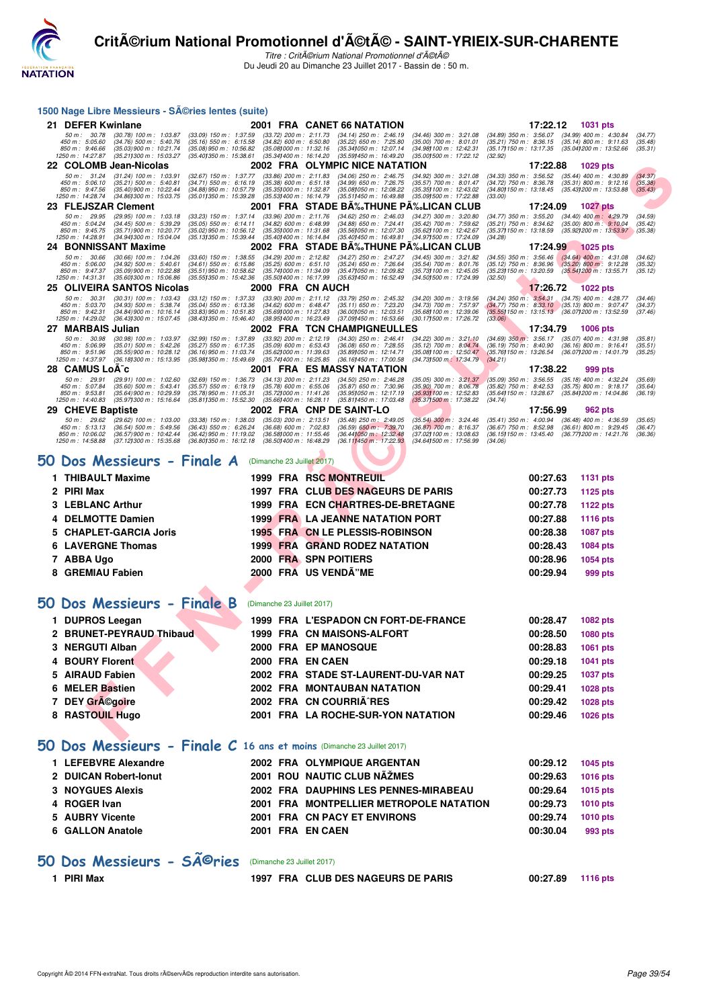

Titre : CritA©rium National Promotionnel d'A©tA© Du Jeudi 20 au Dimanche 23 Juillet 2017 - Bassin de : 50 m.

| 1500 Nage Libre Messieurs - Séries lentes (suite)                                                                                                                                                                                  |                                                                                    |                                                                                                                                                                                                                                                                            |                                                                                                                                  |
|------------------------------------------------------------------------------------------------------------------------------------------------------------------------------------------------------------------------------------|------------------------------------------------------------------------------------|----------------------------------------------------------------------------------------------------------------------------------------------------------------------------------------------------------------------------------------------------------------------------|----------------------------------------------------------------------------------------------------------------------------------|
| 21 DEFER Kwinlane                                                                                                                                                                                                                  |                                                                                    | 2001 FRA CANET 66 NATATION                                                                                                                                                                                                                                                 | 17:22.12 1031 pts                                                                                                                |
| 50 m : 30.78<br>$(30.78)$ 100 m : 1:03.87<br>$(33.09)$ 150 m : 1:37.59<br>$(34.76)$ 500 m : 5:40.76<br>$(35.16)$ 550 m : 6:15.58<br>450 m : 5:05.60                                                                                | $(33.72)$ 200 m : 2:11.73<br>$(34.82)$ 600 m : 6:50.80                             | $(34.14)$ 250 m : 2:46.19<br>$(34.46)$ 300 m : 3:21.08<br>$(34.89)$ 350 m : 3:56.07<br>$(35.22)$ 650 m : 7:25.80<br>$(35.00)$ 700 m : 8:01.01<br>$(35.21)$ 750 m : 8:36.15                                                                                                 | $(34.99)$ 400 m : 4:30.84<br>(34.77)<br>$(35.14)$ 800 m : 9:11.63<br>(35.48)                                                     |
| 850 m : 9:46.66<br>(35.03) 900 m : 10:21.74<br>(35.08) 950 m : 10:56.82<br>1250 m: 14:27.87<br>(35.211300 m: 15:03.27<br>(35.40) 350 m : 15:38.61                                                                                  | (35.08) 000 m: 11:32.16<br>(35.34) 400 m : 16:14.20                                | (35.17) 150 m : 13:17.35<br>(35.341050 m: 12:07.14<br>(34.98) 100 m : 12:42.31<br>(35.001500 m: 17:22.12)<br>(35.59) 450 m : 16:49.20<br>(32.92)                                                                                                                           | (35.04) 200 m : 13:52.66<br>(35.31)                                                                                              |
| 22 COLOMB Jean-Nicolas<br>50 m: 31.24<br>$(31.24)$ 100 m : 1:03.91<br>(32.67) 150 m : 1:37.77                                                                                                                                      | $(33.86)$ 200 m : 2:11.83                                                          | 2002 FRA OLYMPIC NICE NATATION<br>$(34.06)$ 250 m : 2:46.75<br>(34.92) 300 m : 3:21.08<br>$(34.33)$ 350 m : 3:56.52                                                                                                                                                        | 17:22.88<br>1029 pts<br>$(35.44)$ 400 m : 4:30.89<br>(34.37)                                                                     |
| 450 m : 5:06.10<br>$(35.21)$ 500 m : 5:40.81<br>$(34.71)$ 550 m : 6:16.19<br>850 m : 9:47.56<br>(35.40) 900 m : 10:22.44<br>$(34.88)$ 950 m : 10:57.79                                                                             | (35.38) 600 m : 6.51.18<br>(35.35) 000 m: 11:32.87                                 | $(34.99)$ 650 m : 7:26.75<br>$(35.57)$ 700 m : 8:01.47<br>(34.72) 750 m : 8:36.78<br>(34.80) 150 m : 13:18.45<br>(35.08) 050 m : 12:08.22<br>(35.35) 100 m : 12:43.02                                                                                                      | $(35.31)$ 800 m : 9:12.16<br>(35.38)<br>(35.43) 200 m : 13:53.88<br>(35.43)                                                      |
| 1250 m : 14:28.74<br>(34.86) 300 m : 15:03.75<br>(35.011350 m: 15:39.28                                                                                                                                                            | (35.53) 400 m : 16:14.79                                                           | (35.09) 500 m : 17:22.88<br>(35.511450 m: 16:49.88<br>(33.00)                                                                                                                                                                                                              |                                                                                                                                  |
| 23 FLEJSZAR Clement<br>50 m: 29.95<br>$(29.95)$ 100 m : 1:03.18<br>$(33.23)$ 150 m : 1:37.14                                                                                                                                       | $(33.96)$ 200 m : 2:11.76                                                          | 2001 FRA STADE BA‰THUNE PA‰LICAN CLUB<br>$(34.62)$ 250 m : 2:46.03<br>(34.27) 300 m : 3:20.80<br>$(34.77)$ 350 m : 3:55.20                                                                                                                                                 | 17:24.09<br>1027 pts<br>$(34.40)$ 400 m : 4:29.79<br>(34.59)                                                                     |
| 450 m : 5:04.24<br>$(34.45)$ 500 m : 5:39.29<br>$(35.05)$ 550 m : 6:14.11<br>(35.71) 900 m : 10:20.77<br>850 m : 9:45.75<br>(35.02) 950 m : 10:56.12                                                                               | $(34.82)$ 600 m : 6:48.99<br>(35.35) 000 m: 11:31.68                               | (34.88) 650 m : 7:24.41<br>(35.42) 700 m : 7:59.62<br>(35.21) 750 m : 8:34.62<br>(35.62) 100 m : 12:42.67<br>(35.56) 050 m : 12:07.30<br>(35.37) 150 m : 13:18.59                                                                                                          | $(35.00)$ 800 m : 9:10.04<br>(35.42)<br>(35.92) 200 m : 13:53.97<br>(35.38)                                                      |
| 1250 m: 14:28.91<br>(34.941300 m: 15:04.04<br>(35.131350 m : 15:39.44<br>24 BONNISSANT Maxime                                                                                                                                      | (35.40) 400 m : 16:14.84                                                           | (35.40) 450 m : 16:49.81<br>(34.971500 m: 17:24.09<br>(34.28)<br>2002 FRA STADE BĉTHUNE PĉLICAN CLUB                                                                                                                                                                       | 17:24.99<br><b>1025 pts</b>                                                                                                      |
| 50 m : 30.66<br>$(30.66)$ 100 m : 1:04.26<br>$(33.60)$ 150 m : 1:38.55<br>$(34.61)$ 550 m : 6:15.86<br>450 m : 5:06.00<br>$(34.92)$ 500 m : 5:40.61                                                                                | $(34.29)$ 200 m : 2:12.82<br>$(35.25)$ 600 m : 6.51.10                             | (34.27) 250 m : 2:47.27<br>$(34.45)$ 300 m : 3:21.82<br>$(34.55)$ 350 m : 3:56.46<br>$(35.24)$ 650 m : 7:26.64<br>(35.54) 700 m : 8:01.76<br>$(35.12)$ 750 m : 8:36.96                                                                                                     | $(34.64)$ 400 m : 4:31.08<br>(34.62)<br>$(35.20)$ 800 m : 9:12.28<br>(35.32)                                                     |
| 850 m : 9:47.37<br>$(35.09)$ 900 m : 10:22.88<br>(35.51) 950 m : 10:58.62<br>1250 m: 14:31.31<br>(35.601300 m: 15:06.86)<br>(35.55) 350 m : 15:42.36                                                                               | (35.741000 m: 11:34.09<br>(35.50) 400 m : 16:17.99                                 | (35.47) 050 m : 12:09.82<br>(35.73) 100 m : 12:45.05<br>(35.23) 150 m : 13:20.59<br>(35.63) 450 m : 16:52.49<br>(34.50) 500 m: 17:24.99<br>(32.50)                                                                                                                         | (35.54) 200 m : 13:55.71<br>(35.12)                                                                                              |
| <b>25 OLIVEIRA SANTOS Nicolas</b>                                                                                                                                                                                                  | 2000 FRA CN AUCH                                                                   |                                                                                                                                                                                                                                                                            | 17:26.72<br>1022 pts                                                                                                             |
| 50 m: 30.31<br>$(30.31)$ 100 m : 1:03.43<br>$(33.12)$ 150 m : 1:37.33<br>450 m : 5:03.70<br>$(34.93)$ 500 m : 5:38.74<br>$(35.04)$ 550 m : 6:13.36                                                                                 | $(33.90)$ 200 m : 2:11.12<br>$(34.62)$ 600 m : 6:48.47                             | $(33.79)$ 250 m : 2:45.32<br>$(34.20)$ 300 m : 3:19.56<br>$(35.11)$ 650 m : 7:23.20<br>(34.73) 700 m : 7:57.97                                                                                                                                                             | $(34.24)$ 350 m : 3:54.31 $(34.75)$ 400 m : 4:28.77<br>(34.46)<br>$(34.77)$ 750 m : 8:33.10 $(35.13)$ 800 m : 9:07.47<br>(34.37) |
| 850 m: 9:42.31<br>(33.83) 950 m : 10:51.83<br>$(34.84)$ 900 m : 10:16.14<br>1250 m : 14:29.02<br>(36.43) 300 m : 15:07.45<br>(38.43) 350 m : 15:46.40                                                                              | (35.69) 000 m: 11:27.83<br>(38.95) 400 m : 16:23.49                                | (35.68) 100 m : 12:39.06<br>(36.00) 050 m : 12:03.51<br>(37.09) 450 m : 16:53.66<br>(30.171500 m: 17:26.72)<br>(33.06)                                                                                                                                                     | (35.55) 150 m : 13:15.13 (36.07) 200 m : 13:52.59<br>(37.46)                                                                     |
| 27 MARBAIS Julian                                                                                                                                                                                                                  |                                                                                    | 2002 FRA TCN CHAMPIGNEULLES                                                                                                                                                                                                                                                | 17:34.79<br><b>1006 pts</b>                                                                                                      |
| 50 m: 30.98<br>$(30.98)$ 100 m : 1:03.97<br>$(32.99)$ 150 m : 1:37.89<br>450 m : 5:06.99<br>$(35.01)$ 500 m : 5:42.26<br>$(35.27)$ 550 m : 6:17.35<br>850 m : 9:51.96<br>$(35.55)$ 900 m : 10:28.12<br>(36.16) 950 m : 11:03.74    | $(33.92)$ 200 m : 2:12.19<br>$(35.09)$ 600 m : 6:53.43<br>(35.62) 000 m : 11:39.63 | $(34.30)$ 250 m : 2:46.41<br>$(34.22)$ 300 m : 3:21.10<br>$(34.69)$ $350 \text{ m}$ : $3.56.17$<br>$(36.08)$ 650 m : 7:28.55<br>(35.12) 700 m : 8:04.74<br>$(36.19)$ 750 m : $8:40.90$<br>(35.76) 150 m : 13:26.54<br>(35.89) 050 m : 12:14.71<br>(35.08) 100 m : 12:50.47 | $(35.07)$ 400 m : 4:31.98<br>(35.81)<br>$(36.16)$ 800 m : 9:16.41<br>(35.51)<br>(36.071200 m: 14.01.79)<br>(35.25)               |
| 1250 m : 14:37.97<br>(36.181300 m : 15:13.95)<br>(35.98) 350 m : 15:49.69                                                                                                                                                          | (35.74) 400 m : 16:25.85                                                           | (36.16) 450 m : 17:00.58<br>(34.73) 500 m . 17:34.79<br>(34.21)                                                                                                                                                                                                            |                                                                                                                                  |
| 28 CAMUS LoA <sup>-</sup> c<br>50 m : 29.91<br>$(29.91)$ 100 m : 1:02.60<br>$(32.69)$ 150 m : 1:36.73                                                                                                                              | $(34.13)$ 200 m : 2:11.23                                                          | 2001 FRA ES MASSY NATATION<br>$(34.50)$ 250 m : 2:46.28<br>$(35.05)$ 300 m : 3:21.37<br>$(35.09)$ 350 m : 3:56.55                                                                                                                                                          | 17:38.22<br>999 pts<br>$(35.18)$ 400 m : 4:32.24<br>(35.69)                                                                      |
| 450 m: 5:07.84<br>$(35.60)$ 500 m : 5:43.41<br>$(35.57)$ 550 m : 6:19.19<br>850 m : 9:53.81<br>(35.64) 900 m : 10:29.59<br>(35.78) 950 m : 11:05.31                                                                                | $(35.78)$ 600 m : 6:55.06<br>(35.72) 000 m: 11:41.26                               | $(35.87)$ 650 m : 7:30.96<br>$(35.90)$ 700 m : 8:06.78<br>$(35.82)$ 750 m : 8:42.53<br>(35.95) 050 m: 12:17.19<br>(35.931100 m: 12:52.83<br>(35.64) 150 m : 13:28.67                                                                                                       | $(35.75)$ 800 m : 9:18.17<br>(35.64)<br>(35.84) 200 m : 14:04.86<br>(36.19)                                                      |
| 1250 m: 14:40.83<br>(35.97) 300 m : 15:16.64<br>(35.811350 m : 15:52.30<br>29 CHEVE Baptiste                                                                                                                                       | $(35.66)400 \text{ m}$ : 16:28.11                                                  | (35.371500 m: 17:38.22)<br>(34.74)<br>(35.811450 m: 17:03.48)<br>2002 FRA CNP DE SAINT-LO                                                                                                                                                                                  | 17:56.99<br>962 pts                                                                                                              |
| 50 m: 29.62<br>$(29.62)$ 100 m : 1:03.00<br>$(33.38)$ 150 m : 1:38.03                                                                                                                                                              | $(35.03)$ 200 m : 2:13.51                                                          | $(35.48)$ 250 m : 2:49.05<br>$(35.41)$ 350 m : 4:00.94<br>$(35.54)$ 300 m : 3:24.46                                                                                                                                                                                        | $(36.48)$ 400 m : 4:36.59<br>(35.65)                                                                                             |
| 450 m : 5:13.13<br>$(36.54)$ 500 m : 5:49.56<br>$(36.43)$ 550 m : 6:26.24<br>850 m : 10:06.02<br>(36.57) 900 m : 10:42.44<br>$(36.42)$ 950 m : 11:19.02<br>1250 m : 14:58.88<br>(37.121300 m : 15:35.68<br>(36.801350 m : 16:12.18 | $(36.68)$ 600 m : 7:02.83<br>(36.58) 000 m: 11:55.46<br>(36.50) 400 m : 16:48.29   | (36.59) 650 m : 7:39.70<br>$(36.87)$ 700 m : 8:16.37<br>$(36.67)$ 750 m : 8:52.98<br>(36.441050 m : 12:32.48)<br>(37.02) 100 m : 13:08.63<br>(36.15) 150 m : 13:45.40<br>$(36.111450 \text{ m} : 17.22.93)$<br>(34.641500 m : 17:56.99)<br>(34.06)                         | $(36.61)$ 800 m : 9:29.45<br>(36.47)<br>(36.77) 200 m : 14:21.76<br>(36.36)                                                      |
|                                                                                                                                                                                                                                    |                                                                                    |                                                                                                                                                                                                                                                                            |                                                                                                                                  |
| 50 Dos Messieurs - Finale A                                                                                                                                                                                                        | (Dimanche 23 Juillet 2017)                                                         |                                                                                                                                                                                                                                                                            |                                                                                                                                  |
| 1 THIBAULT Maxime                                                                                                                                                                                                                  |                                                                                    | <b>1999 FRA RSC MONTREUIL</b>                                                                                                                                                                                                                                              | 00:27.63<br><b>1131 pts</b>                                                                                                      |
| <b>PIRI Max</b><br>2                                                                                                                                                                                                               |                                                                                    | 1997 FRA CLUB DES NAGEURS DE PARIS                                                                                                                                                                                                                                         | 00:27.73<br>1125 pts                                                                                                             |
| 3 LEBLANC Arthur                                                                                                                                                                                                                   |                                                                                    | 1999 FRA ECN CHARTRES-DE-BRETAGNE                                                                                                                                                                                                                                          | 00:27.78<br>1122 pts                                                                                                             |
| <b>DELMOTTE Damien</b><br>4                                                                                                                                                                                                        |                                                                                    | <b>1999 FRA LA JEANNE NATATION PORT</b>                                                                                                                                                                                                                                    | 00:27.88<br><b>1116 pts</b>                                                                                                      |
| <b>CHAPLET-GARCIA Joris</b>                                                                                                                                                                                                        |                                                                                    | 1995 FRA CN LE PLESSIS-ROBINSON                                                                                                                                                                                                                                            | 00:28.38<br><b>1087 pts</b>                                                                                                      |
| <b>LAVERGNE Thomas</b><br>6                                                                                                                                                                                                        |                                                                                    | 1999 FRA GRAND RODEZ NATATION                                                                                                                                                                                                                                              | 00:28.43<br><b>1084 pts</b>                                                                                                      |
| 7 ABBA Ugo<br>8 GREMIAU Fabien                                                                                                                                                                                                     |                                                                                    | 2000 FRA SPN POITIERS<br>2000 FRA US VENDA"ME                                                                                                                                                                                                                              | 00:28.96<br><b>1054 pts</b><br>00:29.94                                                                                          |
|                                                                                                                                                                                                                                    |                                                                                    |                                                                                                                                                                                                                                                                            | 999 pts                                                                                                                          |
| 50 Dos Messieurs - Finale B                                                                                                                                                                                                        |                                                                                    |                                                                                                                                                                                                                                                                            |                                                                                                                                  |
|                                                                                                                                                                                                                                    |                                                                                    |                                                                                                                                                                                                                                                                            |                                                                                                                                  |
|                                                                                                                                                                                                                                    | (Dimanche 23 Juillet 2017)                                                         |                                                                                                                                                                                                                                                                            |                                                                                                                                  |
| 1 DUPROS Leegan                                                                                                                                                                                                                    |                                                                                    | 1999 FRA L'ESPADON CN FORT-DE-FRANCE                                                                                                                                                                                                                                       | 00:28.47<br><b>1082 pts</b>                                                                                                      |
| 2 BRUNET-PEYRAUD Thibaud                                                                                                                                                                                                           |                                                                                    | 1999 FRA CN MAISONS-ALFORT                                                                                                                                                                                                                                                 | 00:28.50<br><b>1080 pts</b>                                                                                                      |
| 3 NERGUTI Alban                                                                                                                                                                                                                    |                                                                                    | 2000 FRA EP MANOSQUE                                                                                                                                                                                                                                                       | 00:28.83<br>1061 pts                                                                                                             |
| <b>BOURY Florent</b>                                                                                                                                                                                                               | 2000 FRA EN CAEN                                                                   |                                                                                                                                                                                                                                                                            | 00:29.18<br>1041 pts                                                                                                             |
| 5 AIRAUD Fabien                                                                                                                                                                                                                    |                                                                                    | 2002 FRA STADE ST-LAURENT-DU-VAR NAT                                                                                                                                                                                                                                       | 00:29.25<br><b>1037 pts</b>                                                                                                      |
| 6 MELER Bastien<br>7 DEY GrA©goire                                                                                                                                                                                                 |                                                                                    | 2002 FRA MONTAUBAN NATATION<br>2002 FRA CN COURRIA^RES                                                                                                                                                                                                                     | 00:29.41<br>1028 pts<br>00:29.42<br>1028 pts                                                                                     |
| 8 RASTOUIL Hugo                                                                                                                                                                                                                    |                                                                                    | 2001 FRA LA ROCHE-SUR-YON NATATION                                                                                                                                                                                                                                         | 00:29.46<br>1026 pts                                                                                                             |
|                                                                                                                                                                                                                                    |                                                                                    |                                                                                                                                                                                                                                                                            |                                                                                                                                  |
|                                                                                                                                                                                                                                    |                                                                                    |                                                                                                                                                                                                                                                                            |                                                                                                                                  |
| 50 Dos Messieurs - Finale C 16 ans et moins (Dimanche 23 Juillet 2017)                                                                                                                                                             |                                                                                    |                                                                                                                                                                                                                                                                            |                                                                                                                                  |
| 1 LEFEBVRE Alexandre<br>2 DUICAN Robert-Ionut                                                                                                                                                                                      |                                                                                    | 2002 FRA OLYMPIQUE ARGENTAN<br>2001 ROU NAUTIC CLUB NAŽMES                                                                                                                                                                                                                 | 00:29.12<br><b>1045 pts</b><br>00:29.63<br><b>1016 pts</b>                                                                       |
| <b>3 NOYGUES Alexis</b>                                                                                                                                                                                                            |                                                                                    | 2002 FRA DAUPHINS LES PENNES-MIRABEAU                                                                                                                                                                                                                                      | 00:29.64<br><b>1015 pts</b>                                                                                                      |
| 4 ROGER Ivan                                                                                                                                                                                                                       |                                                                                    | 2001 FRA MONTPELLIER METROPOLE NATATION                                                                                                                                                                                                                                    | 00:29.73<br><b>1010 pts</b>                                                                                                      |
| 5 AUBRY Vicente                                                                                                                                                                                                                    |                                                                                    | 2001 FRA CN PACY ET ENVIRONS                                                                                                                                                                                                                                               | 00:29.74<br>1010 pts                                                                                                             |
| 6 GALLON Anatole                                                                                                                                                                                                                   | 2001 FRA EN CAEN                                                                   |                                                                                                                                                                                                                                                                            | 00:30.04<br>993 pts                                                                                                              |
|                                                                                                                                                                                                                                    |                                                                                    |                                                                                                                                                                                                                                                                            |                                                                                                                                  |
| 50 Dos Messieurs - SÃ <sup>©</sup> ries                                                                                                                                                                                            | (Dimanche 23 Juillet 2017)                                                         |                                                                                                                                                                                                                                                                            |                                                                                                                                  |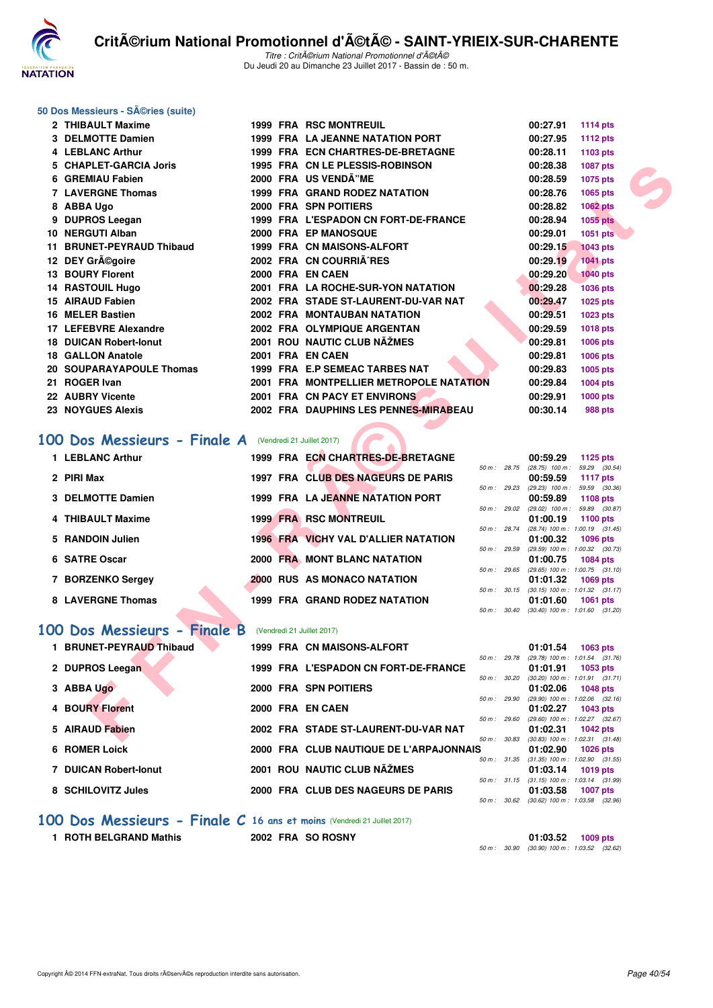

#### **50 Dos Messieurs - Séries (suite)**

| 2 THIBAULT Maxime                                                                 |  | <b>1999 FRA RSC MONTREUIL</b>           |              | 00:27.91                                               | <b>1114 pts</b> |  |
|-----------------------------------------------------------------------------------|--|-----------------------------------------|--------------|--------------------------------------------------------|-----------------|--|
| 3 DELMOTTE Damien                                                                 |  | <b>1999 FRA LA JEANNE NATATION PORT</b> |              | 00:27.95                                               | 1112 pts        |  |
| 4 LEBLANC Arthur                                                                  |  | 1999 FRA ECN CHARTRES-DE-BRETAGNE       |              | 00:28.11                                               | 1103 pts        |  |
| 5 CHAPLET-GARCIA Joris                                                            |  | 1995 FRA CN LE PLESSIS-ROBINSON         |              | 00:28.38                                               | 1087 pts        |  |
| 6 GREMIAU Fabien                                                                  |  | 2000 FRA US VENDA"ME                    |              | 00:28.59                                               | 1075 pts        |  |
| <b>7 LAVERGNE Thomas</b>                                                          |  | <b>1999 FRA GRAND RODEZ NATATION</b>    |              | 00:28.76                                               | 1065 pts        |  |
| 8 ABBA Ugo                                                                        |  | 2000 FRA SPN POITIERS                   |              | 00:28.82                                               | <b>1062 pts</b> |  |
| 9 DUPROS Leegan                                                                   |  | 1999 FRA L'ESPADON CN FORT-DE-FRANCE    |              | 00:28.94                                               | 1055 pts        |  |
| 10 NERGUTI Alban                                                                  |  | 2000 FRA EP MANOSQUE                    |              | 00:29.01                                               | 1051 pts        |  |
| 11 BRUNET-PEYRAUD Thibaud                                                         |  | 1999 FRA CN MAISONS-ALFORT              |              | 00:29.15                                               | <b>1043 pts</b> |  |
| 12 DEY Grégoire                                                                   |  | 2002 FRA CN COURRIA^RES                 |              | 00:29.19                                               | <b>1041 pts</b> |  |
| <b>13 BOURY Florent</b>                                                           |  | 2000 FRA EN CAEN                        |              | 00:29.20                                               | <b>1040 pts</b> |  |
| 14 RASTOUIL Hugo                                                                  |  | 2001 FRA LA ROCHE-SUR-YON NATATION      |              | 00:29.28                                               | 1036 pts        |  |
| 15 AIRAUD Fabien                                                                  |  | 2002 FRA STADE ST-LAURENT-DU-VAR NAT    |              | 00:29.47                                               | 1025 pts        |  |
| 16 MELER Bastien                                                                  |  | <b>2002 FRA MONTAUBAN NATATION</b>      |              | 00:29.51                                               | 1023 pts        |  |
| 17 LEFEBVRE Alexandre                                                             |  | 2002 FRA OLYMPIQUE ARGENTAN             |              | 00:29.59                                               | <b>1018 pts</b> |  |
| <b>18 DUICAN Robert-Ionut</b>                                                     |  | 2001 ROU NAUTIC CLUB NAŽMES             |              | 00:29.81                                               | 1006 pts        |  |
| <b>18 GALLON Anatole</b>                                                          |  | 2001 FRA EN CAEN                        |              | 00:29.81                                               | 1006 pts        |  |
| 20 SOUPARAYAPOULE Thomas                                                          |  | 1999 FRA E.P SEMEAC TARBES NAT          |              | 00:29.83                                               | 1005 pts        |  |
| 21 ROGER Ivan                                                                     |  | 2001 FRA MONTPELLIER METROPOLE NATATION |              | 00:29.84                                               | 1004 pts        |  |
| 22 AUBRY Vicente                                                                  |  | 2001 FRA CN PACY ET ENVIRONS            |              | 00:29.91                                               | 1000 pts        |  |
| <b>23 NOYGUES Alexis</b>                                                          |  | 2002 FRA DAUPHINS LES PENNES-MIRABEAU   |              | 00:30.14                                               | <b>988 pts</b>  |  |
| <b>00 Dos Messieurs - Finale A</b> (Vendredi 21 Juillet 2017)<br>1 LEBLANC Arthur |  | 1999 FRA ECN CHARTRES-DE-BRETAGNE       |              | 00:59.29                                               | 1125 pts        |  |
|                                                                                   |  |                                         | 50 m : 28.75 | $(28.75)$ 100 m : 59.29 $(30.54)$                      |                 |  |
| 2 PIRI Max                                                                        |  | 1997 FRA CLUB DES NAGEURS DE PARIS      |              | 00:59.59<br>50 m: 29.23 (29.23) 100 m: 59.59 (30.36)   | <b>1117 pts</b> |  |
| 3 DELMOTTE Damien                                                                 |  | 1999 FRA LA JEANNE NATATION PORT        |              | 00:59.89                                               | 1108 pts        |  |
| 4 THIBAULT Maxime                                                                 |  | <b>1999 FRA RSC MONTREUIL</b>           |              | 50 m: 29.02 (29.02) 100 m: 59.89 (30.87)<br>01:00.19   |                 |  |
|                                                                                   |  |                                         |              | 50 m: 28.74 (28.74) 100 m: 1:00.19 (31.45)             | <b>1100 pts</b> |  |
| 5 RANDOIN Julien                                                                  |  | 1996 FRA VICHY VAL D'ALLIER NATATION    |              | 01:00.32                                               | <b>1096 pts</b> |  |
| 6 SATRE Oscar                                                                     |  | 2000 FRA MONT BLANC NATATION            | 50 m: 29.59  | (29.59) 100 m: 1:00.32 (30.73)<br>01:00.75             | 1084 pts        |  |
|                                                                                   |  |                                         | 50 m : 29.65 | $(29.65)$ 100 m : 1:00.75 $(31.10)$                    |                 |  |
| 7 BORZENKO Sergey                                                                 |  | 2000 RUS AS MONACO NATATION             |              | 01:01.32                                               | 1069 pts        |  |
| 8 LAVERGNE Thomas                                                                 |  | 1999 FRA GRAND RODEZ NATATION           |              | 50 m: 30.15 (30.15) 100 m: 1:01.32 (31.17)<br>01:01.60 | <b>1061 pts</b> |  |
|                                                                                   |  |                                         |              | 50 m: 30.40 (30.40) 100 m: 1:01.60 (31.20)             |                 |  |
| 00 Dos Messieurs - Finale B                                                       |  | (Vendredi 21 Juillet 2017)              |              |                                                        |                 |  |
| 1 BRUNET-PEYRAUD Thibaud                                                          |  | 1999 FRA CN MAISONS-ALFORT              |              | 01:01.54                                               | 1063 pts        |  |
| 2 DUPROS Leegan                                                                   |  | 1999 FRA L'ESPADON CN FORT-DE-FRANCE    |              | 50 m: 29.78 (29.78) 100 m: 1:01.54 (31.76)<br>01:01.91 | <b>1053 pts</b> |  |
|                                                                                   |  |                                         | 50 m: 30.20  | $(30.20)$ 100 m : 1:01.91 $(31.71)$                    |                 |  |
| 3 ABBA Ugo                                                                        |  | 2000 FRA SPN POITIERS                   |              | 01:02.06                                               | <b>1048 pts</b> |  |
| <b>4 BOURY Florent</b>                                                            |  | 2000 FRA EN CAEN                        | 50 m: 29.90  | (29.90) 100 m: 1:02.06 (32.16)<br>01:02.27             | 1043 pts        |  |
|                                                                                   |  |                                         | 50 m: 29.60  | (29.60) 100 m : 1:02.27 (32.67)                        |                 |  |
| 5 AIRAUD Fabien                                                                   |  | 2002 FRA STADE ST-LAURENT-DU-VAR NAT    |              | 01:02.31<br>50 m: 30.83 (30.83) 100 m: 1:02.31 (31.48) | <b>1042 pts</b> |  |
|                                                                                   |  |                                         |              |                                                        |                 |  |

# **[100 Dos Messieurs - Finale A](http://www.ffnatation.fr/webffn/resultats.php?idact=nat&go=epr&idcpt=47489&idepr=62)** (Vendredi 21 Juillet 2017)

| 1 LEBLANC Arthur  |  | 1999 FRA ECN CHARTRES-DE-BRETAGNE    |                  |                        | 00:59.29                      | 1125 pts                                        |
|-------------------|--|--------------------------------------|------------------|------------------------|-------------------------------|-------------------------------------------------|
| 2 PIRI Max        |  | 1997 FRA CLUB DES NAGEURS DE PARIS   | $50 m$ : 28.75   |                        | $(28.75)$ 100 m :<br>00:59.59 | 59.29 (30.54)<br>1117 $pts$                     |
|                   |  |                                      | 50 m: 29.23      |                        | $(29.23)$ 100 m :             | 59.59 (30.36)                                   |
| 3 DELMOTTE Damien |  | 1999 FRA LA JEANNE NATATION PORT     |                  |                        | 00:59.89                      | 1108 pts                                        |
| 4 THIBAULT Maxime |  | <b>1999 FRA RSC MONTREUIL</b>        |                  | $50 \text{ m}$ : 29.02 | $(29.02)$ 100 m :<br>01:00.19 | 59.89 (30.87)<br>1100 $pts$                     |
|                   |  |                                      | 50 m: 28.74      |                        |                               | $(28.74)$ 100 m : 1:00.19 $(31.45)$             |
| 5 RANDOIN Julien  |  | 1996 FRA VICHY VAL D'ALLIER NATATION |                  |                        | 01:00.32                      | 1096 pts                                        |
| 6 SATRE Oscar     |  | 2000 FRA MONT BLANC NATATION         | 50 m: 29.59      |                        | 01:00.75                      | $(29.59)$ 100 m : 1:00.32 $(30.73)$<br>1084 pts |
|                   |  |                                      | 50 m: 29.65      |                        |                               | $(29.65)$ 100 m : 1:00.75 $(31.10)$             |
| 7 BORZENKO Sergey |  | <b>2000 RUS AS MONACO NATATION</b>   |                  |                        | 01:01.32                      | 1069 pts                                        |
|                   |  |                                      | $50 m$ : $30.15$ |                        |                               | $(30.15)$ 100 m : 1:01.32 $(31.17)$             |
| 8 LAVERGNE Thomas |  | <b>1999 FRA GRAND RODEZ NATATION</b> |                  |                        | 01:01.60                      | 1061 pts                                        |
|                   |  |                                      | 50 m :           | 30.40                  |                               | $(30.40)$ 100 m : 1:01.60 $(31.20)$             |

## **[100 Dos Messieurs - Finale B](http://www.ffnatation.fr/webffn/resultats.php?idact=nat&go=epr&idcpt=47489&idepr=62)** (Vendredi 21 Juillet 2017)

| <b>BRUNET-PEYRAUD Thibaud</b> |                  | 1999 FRA CN MAISONS-ALFORT              |                          | 01:01.54 | 1063 pts                            |
|-------------------------------|------------------|-----------------------------------------|--------------------------|----------|-------------------------------------|
|                               |                  |                                         | $50 \text{ m}$ : 29.78   |          | $(29.78)$ 100 m : 1:01.54 $(31.76)$ |
| 2 DUPROS Leegan               |                  | 1999 FRA L'ESPADON CN FORT-DE-FRANCE    |                          | 01:01.91 | 1053 pts                            |
|                               |                  |                                         | 50 m: 30.20              |          | $(30.20)$ 100 m : 1:01.91 $(31.71)$ |
| 3 ABBA Ugo                    |                  | 2000 FRA SPN POITIERS                   |                          | 01:02.06 | 1048 pts                            |
|                               |                  |                                         | $50 \text{ m}$ : 29.90   |          | $(29.90)$ 100 m : 1:02.06 $(32.16)$ |
| 4 BOURY Florent               | 2000 FRA EN CAEN |                                         |                          | 01:02.27 | 1043 pts                            |
|                               |                  |                                         | 50 m: 29.60              |          | $(29.60)$ 100 m : 1:02.27 $(32.67)$ |
| 5 AIRAUD Fabien               |                  | 2002 FRA STADE ST-LAURENT-DU-VAR NAT    |                          | 01:02.31 | 1042 pts                            |
|                               |                  |                                         | $50 \text{ m}$ : $30.83$ |          | $(30.83)$ 100 m : 1:02.31 $(31.48)$ |
| 6 ROMER Loick                 |                  | 2000 FRA CLUB NAUTIQUE DE L'ARPAJONNAIS |                          | 01:02.90 | 1026 pts                            |
|                               |                  |                                         | $50 \text{ m}$ : 31.35   |          | $(31.35)$ 100 m : 1:02.90 $(31.55)$ |
| 7 DUICAN Robert-Ionut         |                  | 2001 ROU NAUTIC CLUB NAŽMES             |                          | 01:03.14 | <b>1019 pts</b>                     |
|                               |                  |                                         | $50 m$ : $31.15$         |          | $(31.15)$ 100 m : 1:03.14 $(31.99)$ |
| 8 SCHILOVITZ Jules            |                  | 2000 FRA CLUB DES NAGEURS DE PARIS      |                          | 01:03.58 | <b>1007 pts</b>                     |
|                               |                  |                                         | 50 m: 30.62              |          | $(30.62)$ 100 m : 1:03.58 $(32.96)$ |

#### **[100 Dos Messieurs - Finale C](http://www.ffnatation.fr/webffn/resultats.php?idact=nat&go=epr&idcpt=47489&idepr=62) 16 ans et moins** (Vendredi 21 Juillet 2017)

**1 ROTH BELGRAND Mathis 2002 FRA SO ROSNY 01:03.52 1009 pts** 50 m : 30.90 (30.90) 100 m : 1:03.52 (32.62)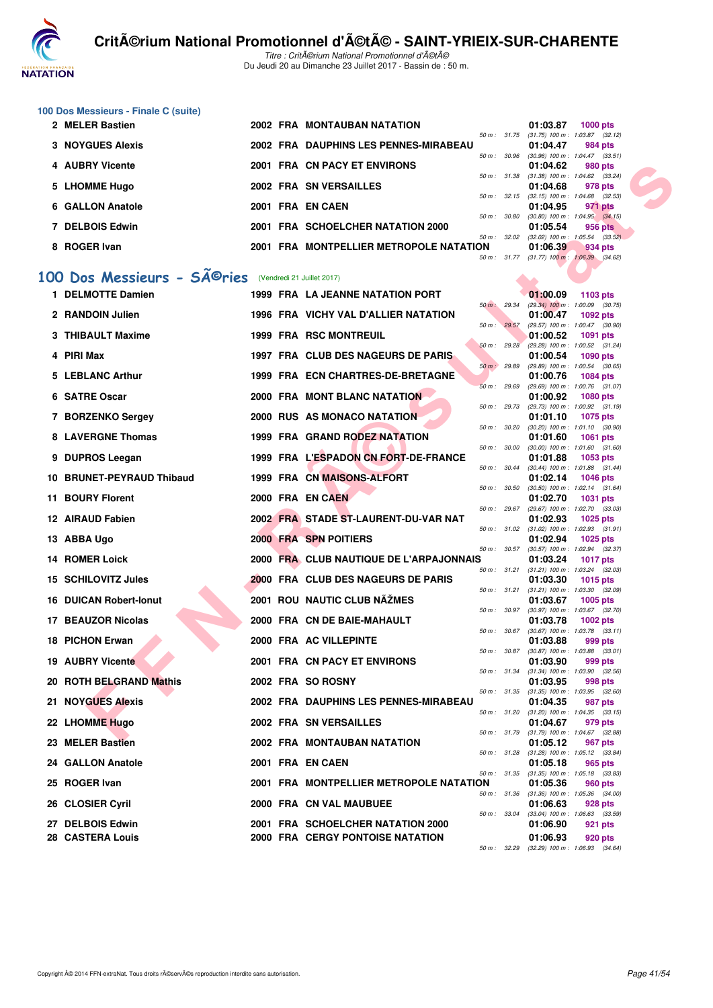

Titre : CritA©rium National Promotionnel d'A©tA© Du Jeudi 20 au Dimanche 23 Juillet 2017 - Bassin de : 50 m.

|   | 100 Dos Messieurs - Finale C (suite)        |  |                                                                              |              |              |                                                                           |
|---|---------------------------------------------|--|------------------------------------------------------------------------------|--------------|--------------|---------------------------------------------------------------------------|
|   | 2 MELER Bastien                             |  | 2002 FRA MONTAUBAN NATATION                                                  |              |              | 01:03.87<br><b>1000 pts</b><br>50 m: 31.75 (31.75) 100 m: 1:03.87 (32.12) |
|   | <b>3 NOYGUES Alexis</b>                     |  | 2002 FRA DAUPHINS LES PENNES-MIRABEAU                                        | 50 m : 30.96 |              | 01:04.47<br>984 pts<br>$(30.96)$ 100 m : 1:04.47 $(33.51)$                |
|   | 4 AUBRY Vicente                             |  | 2001 FRA CN PACY ET ENVIRONS                                                 |              |              | 01:04.62<br>980 pts                                                       |
|   | 5 LHOMME Hugo                               |  | 2002 FRA SN VERSAILLES                                                       | 50 m : 31.38 |              | $(31.38)$ 100 m : 1:04.62 $(33.24)$<br>01:04.68<br>978 pts                |
|   | 6 GALLON Anatole                            |  | 2001 FRA EN CAEN                                                             | 50 m: 32.15  |              | $(32.15)$ 100 m : 1:04.68 $(32.53)$<br>01:04.95<br>971 pts                |
|   | 7 DELBOIS Edwin                             |  | 2001 FRA SCHOELCHER NATATION 2000                                            | 50 m : 30.80 |              | $(30.80)$ 100 m : 1:04.95 $(34.15)$<br>01:05.54<br>956 pts                |
| 8 | <b>ROGER Ivan</b>                           |  | 2001 FRA MONTPELLIER METROPOLE NATATION                                      | 50 m: 32.02  |              | $(32.02)$ 100 m : 1:05.54 $(33.52)$<br>01:06.39<br>934 pts                |
|   |                                             |  |                                                                              |              |              | 50 m: 31.77 (31.77) 100 m: 1:06.39 (34.62)                                |
|   | 100 Dos Messieurs - SÃ <sup>©</sup> ries    |  | (Vendredi 21 Juillet 2017)                                                   |              |              |                                                                           |
|   | 1 DELMOTTE Damien                           |  | <b>1999 FRA LA JEANNE NATATION PORT</b>                                      | 50 m: 29.34  |              | 01:00.09<br>1103 pts<br>$(29.34)$ 100 m : 1:00.09 $(30.75)$               |
|   | 2 RANDOIN Julien                            |  | 1996 FRA VICHY VAL D'ALLIER NATATION                                         | 50 m: 29.57  |              | 01:00.47<br>1092 pts<br>(29.57) 100 m: 1:00.47 (30.90)                    |
|   | 3 THIBAULT Maxime                           |  | <b>1999 FRA RSC MONTREUIL</b>                                                | 50 m: 29.28  |              | 01:00.52<br><b>1091 pts</b><br>(29.28) 100 m: 1:00.52 (31.24)             |
|   | 4 PIRI Max                                  |  | 1997 FRA CLUB DES NAGEURS DE PARIS                                           |              |              | 01:00.54<br>1090 pts                                                      |
| 5 | <b>LEBLANC Arthur</b>                       |  | 1999 FRA ECN CHARTRES-DE-BRETAGNE                                            | 50 m: 29.89  |              | (29.89) 100 m: 1:00.54 (30.65)<br>01:00.76<br><b>1084 pts</b>             |
|   | 6 SATRE Oscar                               |  | 2000 FRA MONT BLANC NATATION                                                 | 50 m: 29.69  |              | (29.69) 100 m: 1:00.76 (31.07)<br>01:00.92<br><b>1080 pts</b>             |
|   | 7 BORZENKO Sergey                           |  | 2000 RUS AS MONACO NATATION                                                  | 50 m : 29.73 |              | (29.73) 100 m: 1:00.92 (31.19)<br>01:01.10<br>1075 pts                    |
|   | 8 LAVERGNE Thomas                           |  | 1999 FRA GRAND RODEZ NATATION                                                | 50 m : 30.20 |              | $(30.20)$ 100 m : 1:01.10 $(30.90)$<br>01:01.60<br><b>1061 pts</b>        |
|   | 9 DUPROS Leegan                             |  | 1999 FRA L'ESPADON CN FORT-DE-FRANCE                                         | 50 m: 30.00  |              | $(30.00)$ 100 m : 1:01.60 $(31.60)$<br>01:01.88<br>1053 pts               |
|   | <b>BRUNET-PEYRAUD Thibaud</b>               |  | 1999 FRA CN MAISONS-ALFORT                                                   | 50 m: 30.44  |              | $(30.44)$ 100 m : 1:01.88 $(31.44)$<br>01:02.14<br>1046 pts               |
|   | 11 BOURY Florent                            |  | 2000 FRA EN CAEN                                                             | 50 m : 30.50 |              | $(30.50)$ 100 m : 1:02.14 $(31.64)$<br>01:02.70<br>1031 pts               |
|   |                                             |  | 2002 FRA STADE ST-LAURENT-DU-VAR NAT                                         | 50 m: 29.67  |              | $(29.67)$ 100 m : 1:02.70 $(33.03)$                                       |
|   | 12 AIRAUD Fabien                            |  |                                                                              |              |              | 01:02.93<br><b>1025 pts</b><br>50 m: 31.02 (31.02) 100 m: 1:02.93 (31.91) |
|   | 13 ABBA Ugo                                 |  | 2000 FRA SPN POITIERS                                                        | 50 m: 30.57  |              | 01:02.94<br><b>1025 pts</b><br>(30.57) 100 m: 1:02.94 (32.37)             |
|   | <b>14 ROMER Loick</b>                       |  | 2000 FRA CLUB NAUTIQUE DE L'ARPAJONNAIS                                      | 50 m: 31.21  |              | 01:03.24<br><b>1017 pts</b><br>$(31.21)$ 100 m : 1:03.24 $(32.03)$        |
|   | 15 SCHILOVITZ Jules                         |  | 2000 FRA CLUB DES NAGEURS DE PARIS                                           | 50 m : 31.21 |              | 01:03.30<br><b>1015 pts</b><br>$(31.21)$ 100 m : 1:03.30<br>(32.09)       |
|   | <b>16 DUICAN Robert-Ionut</b>               |  | 2001 ROU NAUTIC CLUB NÄŽMES                                                  |              | 50 m : 30.97 | 01:03.67<br>1005 pts<br>$(30.97)$ 100 m : 1:03.67 $(32.70)$               |
|   | 17 BEAUZOR Nicolas                          |  | 2000 FRA CN DE BAIE-MAHAULT                                                  | 50 m: 30.67  |              | 01:03.78<br>1002 pts<br>$(30.67)$ 100 m : 1:03.78 $(33.11)$               |
|   | 18 PICHON Erwan                             |  | 2000 FRA AC VILLEPINTE                                                       |              |              | 01:03.88<br>999 pts                                                       |
|   | <b>19 AUBRY Vicente</b>                     |  | 2001 FRA CN PACY ET ENVIRONS                                                 |              |              | 50 m: 30.87 (30.87) 100 m: 1:03.88 (33.01)<br>01:03.90<br>999 pts         |
|   | 20 ROTH BELGRAND Mathis                     |  | 2002 FRA SO ROSNY                                                            |              | 50 m : 31.34 | $(31.34)$ 100 m : 1:03.90 $(32.56)$<br>01:03.95<br>998 pts                |
|   | 21 NOYGUES Alexis                           |  | 2002 FRA DAUPHINS LES PENNES-MIRABEAU                                        |              | 50 m : 31.35 | $(31.35)$ 100 m : 1:03.95 $(32.60)$<br>01:04.35<br>987 pts                |
|   | 22 LHOMME Hugo                              |  | 2002 FRA SN VERSAILLES                                                       |              | 50 m : 31.20 | $(31.20)$ 100 m : 1:04.35 $(33.15)$<br>01:04.67<br>979 pts                |
|   | 23 MELER Bastien                            |  | 2002 FRA MONTAUBAN NATATION                                                  |              |              | 50 m: 31.79 (31.79) 100 m: 1:04.67 (32.88)<br>01:05.12<br>967 pts         |
|   | 24 GALLON Anatole                           |  | 2001 FRA EN CAEN                                                             |              |              | 50 m: 31.28 (31.28) 100 m: 1:05.12 (33.84)<br>01:05.18<br>965 pts         |
|   | 25 ROGER Ivan                               |  | 2001 FRA MONTPELLIER METROPOLE NATATION                                      |              |              | 50 m: 31.35 (31.35) 100 m: 1:05.18 (33.83)<br>01:05.36<br>960 pts         |
|   | 26 CLOSIER Cyril                            |  | 2000 FRA CN VAL MAUBUEE                                                      |              |              | 50 m: 31.36 (31.36) 100 m: 1:05.36 (34.00)<br>01:06.63<br>928 pts         |
|   |                                             |  |                                                                              |              | 50 m : 33.04 | (33.04) 100 m: 1:06.63 (33.59)                                            |
|   | 27 DELBOIS Edwin<br><b>28 CASTERA Louis</b> |  | 2001 FRA SCHOELCHER NATATION 2000<br><b>2000 FRA CERGY PONTOISE NATATION</b> |              |              | 01:06.90<br>921 pts<br>01:06.93<br>920 pts                                |
|   |                                             |  |                                                                              |              |              | 50 m: 32.29 (32.29) 100 m: 1:06.93 (34.64)                                |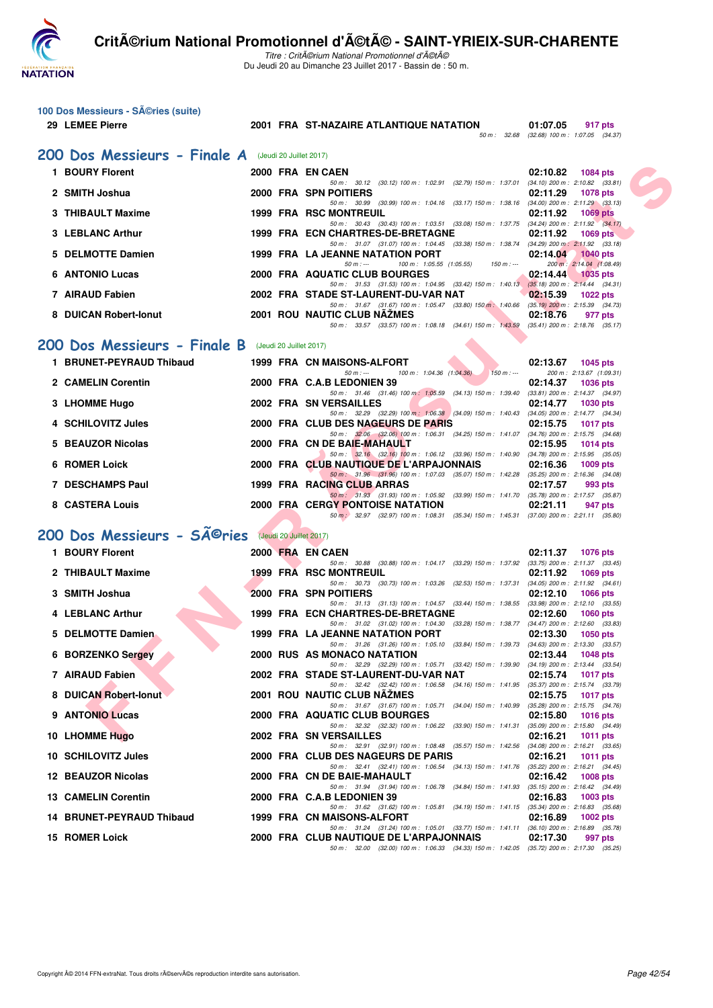

100 Dos Messieurs - Séries (suite)

Titre : CritA©rium National Promotionnel d'A©tA© Du Jeudi 20 au Dimanche 23 Juillet 2017 - Bassin de : 50 m.

**N 01:07.05** 917 pts<br> $50 m$ : 32.68 (32.68) 100 m: 1:07.05 (34.37)

**29 LEMEE Pierre 2001 FRA ST-NAZAIRE ATLANTIQUE NATATION** 

|   | 200 Dos Messieurs - Finale A (Jeudi 20 Juillet 2017) |  |                                                                                                                                         |                                                                    |
|---|------------------------------------------------------|--|-----------------------------------------------------------------------------------------------------------------------------------------|--------------------------------------------------------------------|
|   | 1 BOURY Florent                                      |  | 2000 FRA EN CAEN                                                                                                                        | 02:10.82<br>1084 pts                                               |
|   | 2 SMITH Joshua                                       |  | 50 m: 30.12 (30.12) 100 m: 1:02.91 (32.79) 150 m: 1:37.01 (34.10) 200 m: 2:10.82 (33.81)<br>2000 FRA SPN POITIERS                       | 02:11.29<br><b>1078 pts</b>                                        |
|   | 3 THIBAULT Maxime                                    |  | 50 m: 30.99 (30.99) 100 m: 1:04.16 (33.17) 150 m: 1:38.16 (34.00) 200 m: 2:11.29 (33.13)<br>1999 FRA RSC MONTREUIL                      | 02:11.92<br><b>1069 pts</b>                                        |
|   | 3 LEBLANC Arthur                                     |  | 50 m: 30.43 (30.43) 100 m: 1:03.51 (33.08) 150 m: 1:37.75 (34.24) 200 m: 2:11.92 (34.17)<br>1999 FRA ECN CHARTRES-DE-BRETAGNE           | 02:11.92<br>1069 $pts$                                             |
|   | 5 DELMOTTE Damien                                    |  | 50 m: 31.07 (31.07) 100 m: 1:04.45 (33.38) 150 m: 1:38.74 (34.29) 200 m: 2:11.92 (33.18)<br>1999 FRA LA JEANNE NATATION PORT            | 02:14.04<br><b>1040 pts</b>                                        |
|   | <b>6 ANTONIO Lucas</b>                               |  | $50 m: -$<br>100 m: 1:05.55 (1:05.55)<br>$150 m : -$<br>2000 FRA AQUATIC CLUB BOURGES                                                   | 200 m: 2:14.04 (1:08.49)<br>02:14.44<br><b>1035 pts</b>            |
|   | 7 AIRAUD Fabien                                      |  | 50 m: 31.53 (31.53) 100 m: 1:04.95 (33.42) 150 m: 1:40.13 (35.18) 200 m: 2:14.44 (34.31)                                                |                                                                    |
|   |                                                      |  | 2002 FRA STADE ST-LAURENT-DU-VAR NAT<br>50 m: 31.67 (31.67) 100 m: 1:05.47 (33.80) 150 m: 1:40.66 (35.19) 200 m: 2:15.39 (34.73)        | 02:15.39<br><b>1022 pts</b>                                        |
|   | 8 DUICAN Robert-Ionut                                |  | <b>2001 ROU NAUTIC CLUB NAZMES</b><br>50 m: 33.57 (33.57) 100 m: 1:08.18 (34.61) 150 m: 1:43.59 (35.41) 200 m: 2:18.76 (35.17)          | 02:18.76<br>977 pts                                                |
|   | 200 Dos Messieurs - Finale B (Jeudi 20 Juillet 2017) |  |                                                                                                                                         |                                                                    |
|   | 1 BRUNET-PEYRAUD Thibaud                             |  | 1999 FRA CN MAISONS-ALFORT                                                                                                              | 02:13.67<br>1045 pts                                               |
|   | 2 CAMELIN Corentin                                   |  | $50 m: -$<br>100 m: 1:04.36 (1:04.36)<br>$150 m : -$<br>2000 FRA C.A.B LEDONIEN 39                                                      | 200 m: 2:13.67 (1:09.31)<br>02:14.37<br><b>1036 pts</b>            |
|   | 3 LHOMME Hugo                                        |  | 50 m: 31.46 (31.46) 100 m: 1:05.59 (34.13) 150 m: 1:39.40 (33.81) 200 m: 2:14.37 (34.97)<br>2002 FRA SN VERSAILLES                      | 02:14.77<br><b>1030 pts</b>                                        |
|   | 4 SCHILOVITZ Jules                                   |  | 50 m: 32.29 (32.29) 100 m: 1:06.38 (34.09) 150 m: 1:40.43 (34.05) 200 m: 2:14.77 (34.34)<br>2000 FRA CLUB DES NAGEURS DE PARIS          | 02:15.75<br><b>1017 pts</b>                                        |
|   | <b>BEAUZOR Nicolas</b>                               |  | 50 m: 32.06 (32.06) 100 m: 1:06.31 (34.25) 150 m: 1:41.07 (34.76) 200 m: 2:15.75 (34.68)<br>2000 FRA CN DE BAIE-MAHAULT                 | 02:15.95<br>1014 pts                                               |
|   |                                                      |  | 50 m: 32.16 (32.16) 100 m: 1:06.12 (33.96) 150 m: 1:40.90 (34.78) 200 m: 2:15.95 (35.05)                                                |                                                                    |
|   | <b>6 ROMER Loick</b>                                 |  | 2000 FRA CLUB NAUTIQUE DE L'ARPAJONNAIS<br>50 m : 31.96 (31.96) 100 m : 1:07.03 (35.07) 150 m : 1:42.28 (35.25) 200 m : 2:16.36 (34.08) | 02:16.36<br>$1009$ pts                                             |
|   | <b>7 DESCHAMPS Paul</b>                              |  | 1999 FRA RACING CLUB ARRAS<br>50 m: 31.93 (31.93) 100 m: 1:05.92 (33.99) 150 m: 1:41.70 (35.78) 200 m: 2:17.57 (35.87)                  | 02:17.57<br>993 pts                                                |
|   | 8 CASTERA Louis                                      |  | <b>2000 FRA CERGY PONTOISE NATATION</b><br>50 m : 32.97 (32.97) 100 m : 1:08.31 (35.34) 150 m : 1:45.31 (37.00) 200 m : 2:21.11 (35.80) | 02:21.11<br>947 pts                                                |
|   | 200 Dos Messieurs - SÃ <sup>©</sup> ries             |  | (Jeudi 20 Juillet 2017)                                                                                                                 |                                                                    |
|   | 1 BOURY Florent                                      |  | 2000 FRA EN CAEN                                                                                                                        | 02:11.37 1076 pts                                                  |
| 2 | <b>THIBAULT Maxime</b>                               |  | 50 m: 30.88 (30.88) 100 m: 1:04.17 (33.29) 150 m: 1:37.92 (33.75) 200 m: 2:11.37 (33.45)<br><b>1999 FRA RSC MONTREUIL</b>               | 02:11.92<br><b>1069 pts</b>                                        |
|   |                                                      |  | 50 m: 30.73 (30.73) 100 m: 1:03.26 (32.53) 150 m: 1:37.31 (34.05) 200 m: 2:11.92 (34.61)                                                |                                                                    |
|   | 3 SMITH Joshua                                       |  | 2000 FRA SPN POITIERS<br>50 m: 31.13 (31.13) 100 m: 1:04.57 (33.44) 150 m: 1:38.55                                                      | 02:12.10<br><b>1066 pts</b><br>$(33.98)$ 200 m : 2:12.10 $(33.55)$ |
|   | <b>LEBLANC Arthur</b>                                |  | 1999 FRA ECN CHARTRES-DE-BRETAGNE<br>50 m: 31.02 (31.02) 100 m: 1:04.30 (33.28) 150 m: 1:38.77 (34.47) 200 m: 2:12.60 (33.83)           | 02:12.60<br><b>1060 pts</b>                                        |
|   | <b>DELMOTTE Damien</b>                               |  | <b>1999 FRA LA JEANNE NATATION PORT</b><br>50 m: 31.26 (31.26) 100 m: 1:05.10 (33.84) 150 m: 1:39.73 (34.63) 200 m: 2:13.30 (33.57)     | 02:13.30<br>1050 $pts$                                             |
|   | <b>6 BORZENKO Sergey</b>                             |  | 2000 RUS AS MONACO NATATION<br>50 m: 32.29 (32.29) 100 m: 1:05.71 (33.42) 150 m: 1:39.90 (34.19) 200 m: 2:13.44 (33.54)                 | 02:13.44<br><b>1048 pts</b>                                        |
|   | 7 AIRAUD Fabien                                      |  | 2002 FRA STADE ST-LAURENT-DU-VAR NAT                                                                                                    | 02:15.74<br><b>1017 pts</b>                                        |
|   | 8 DUICAN Robert-Ionut                                |  | 50 m: 32.42 (32.42) 100 m: 1:06.58 (34.16) 150 m: 1:41.95 (35.37) 200 m: 2:15.74 (33.79)<br>2001 ROU NAUTIC CLUB NAZMES                 | 02:15.75 1017 pts                                                  |
|   | 9 ANTONIO Lucas                                      |  | 50 m: 31.67 (31.67) 100 m: 1:05.71 (34.04) 150 m: 1:40.99 (35.28) 200 m: 2:15.75 (34.76)<br>2000 FRA AQUATIC CLUB BOURGES               | 02:15.80<br><b>1016 pts</b>                                        |
|   | 10 LHOMME Hugo                                       |  | 50 m : 32.32 (32.32) 100 m : 1:06.22 (33.90) 150 m : 1:41.31<br>2002 FRA SN VERSAILLES                                                  | $(35.09)$ 200 m : 2:15.80 $(34.49)$<br>02:16.21<br><b>1011 pts</b> |
|   | 10 SCHILOVITZ Jules                                  |  | 50 m: 32.91 (32.91) 100 m: 1:08.48 (35.57) 150 m: 1:42.56 (34.08) 200 m: 2:16.21 (33.65)<br>2000 FRA CLUB DES NAGEURS DE PARIS          | 02:16.21<br>1011 pts                                               |
|   | 12 BEAUZOR Nicolas                                   |  | 50 m: 32.41 (32.41) 100 m: 1:06.54 (34.13) 150 m: 1:41.76 (35.22) 200 m: 2:16.21 (34.45)<br>2000 FRA CN DE BAIE-MAHAULT                 | 02:16.42<br>1008 pts                                               |
|   |                                                      |  | 50 m: 31.94 (31.94) 100 m: 1:06.78 (34.84) 150 m: 1:41.93 (35.15) 200 m: 2:16.42 (34.49)                                                |                                                                    |
|   | <b>13 CAMELIN Corentin</b>                           |  | 2000 FRA C.A.B LEDONIEN 39<br>50 m: 31.62 (31.62) 100 m: 1:05.81 (34.19) 150 m: 1:41.15 (35.34) 200 m: 2:16.83 (35.68)                  | 02:16.83<br>$1003$ pts                                             |
|   | 14 BRUNET-PEYRAUD Thibaud                            |  | 1999 FRA CN MAISONS-ALFORT<br>50 m: 31.24 (31.24) 100 m: 1:05.01 (33.77) 150 m: 1:41.11 (36.10) 200 m: 2:16.89 (35.78)                  | 02:16.89<br>1002 pts                                               |
|   | <b>15 ROMER Loick</b>                                |  | 2000 FRA CLUB NAUTIQUE DE L'ARPAJONNAIS<br>50 m: 32.00 (32.00) 100 m: 1:06.33 (34.33) 150 m: 1:42.05 (35.72) 200 m: 2:17.30 (35.25)     | 02:17.30<br>997 pts                                                |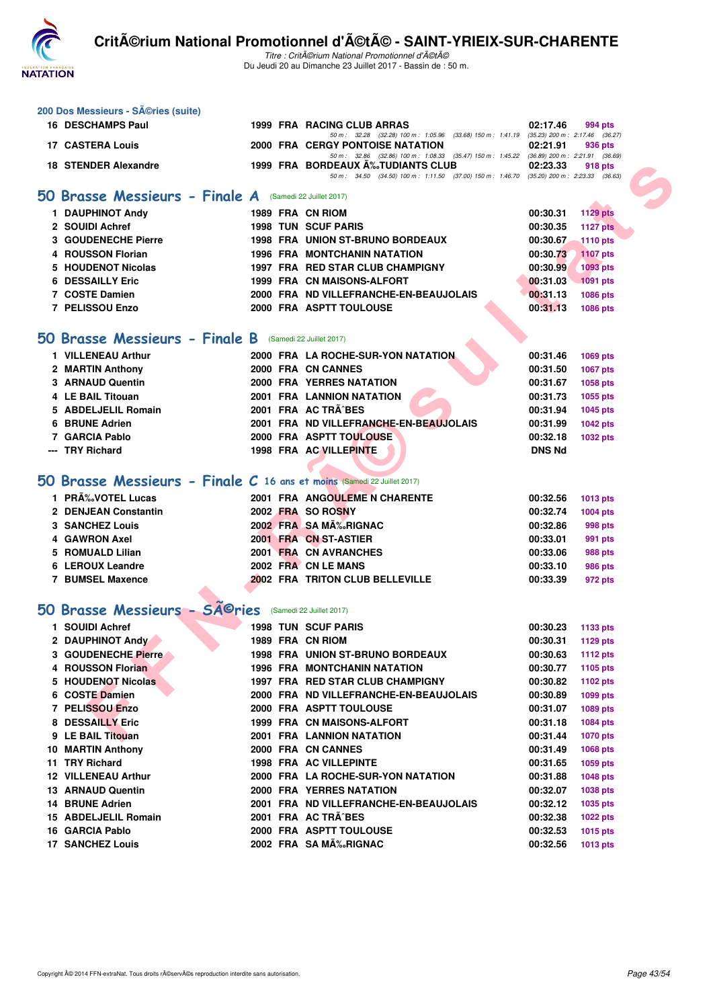

Titre : CritA©rium National Promotionnel d'A©tA© Du Jeudi 20 au Dimanche 23 Juillet 2017 - Bassin de : 50 m.

| 200 Dos Messieurs - SA©ries (suite)                                     |  |  |                                                                                                                                         |                      |                             |  |  |  |  |  |
|-------------------------------------------------------------------------|--|--|-----------------------------------------------------------------------------------------------------------------------------------------|----------------------|-----------------------------|--|--|--|--|--|
| <b>16 DESCHAMPS Paul</b>                                                |  |  | 1999 FRA RACING CLUB ARRAS                                                                                                              | 02:17.46             | 994 pts                     |  |  |  |  |  |
| <b>17 CASTERA Louis</b>                                                 |  |  | 50 m : 32.28 (32.28) 100 m : 1:05.96 (33.68) 150 m : 1:41.19 (35.23) 200 m : 2:17.46 (36.27)<br><b>2000 FRA CERGY PONTOISE NATATION</b> | 02:21.91             | 936 pts                     |  |  |  |  |  |
| <b>18 STENDER Alexandre</b>                                             |  |  | 50 m: 32.86 (32.86) 100 m: 1:08.33 (35.47) 150 m: 1:45.22 (36.89) 200 m: 2:21.91 (36.69)<br>1999 FRA BORDEAUX A%JUDIANTS CLUB           | 02:23.33             | 918 pts                     |  |  |  |  |  |
|                                                                         |  |  | 50 m: 34.50 (34.50) 100 m: 1:11.50 (37.00) 150 m: 1:46.70 (35.20) 200 m: 2:23.33 (36.63)                                                |                      |                             |  |  |  |  |  |
| 50 Brasse Messieurs - Finale A (Samedi 22 Juillet 2017)                 |  |  |                                                                                                                                         |                      |                             |  |  |  |  |  |
| 1 DAUPHINOT Andy                                                        |  |  | 1989 FRA CN RIOM                                                                                                                        | 00:30.31             | <b>1129 pts</b>             |  |  |  |  |  |
| 2 SOUIDI Achref                                                         |  |  | <b>1998 TUN SCUF PARIS</b>                                                                                                              | 00:30.35             | <b>1127 pts</b>             |  |  |  |  |  |
| 3 GOUDENECHE Pierre                                                     |  |  | <b>1998 FRA UNION ST-BRUNO BORDEAUX</b>                                                                                                 | 00:30.67             | <b>1110 pts</b>             |  |  |  |  |  |
| 4 ROUSSON Florian                                                       |  |  | <b>1996 FRA MONTCHANIN NATATION</b>                                                                                                     | 00:30.73             | <b>1107 pts</b>             |  |  |  |  |  |
| 5 HOUDENOT Nicolas                                                      |  |  | 1997 FRA RED STAR CLUB CHAMPIGNY                                                                                                        | 00:30.99             | 1093 pts                    |  |  |  |  |  |
| <b>6 DESSAILLY Eric</b>                                                 |  |  | 1999 FRA CN MAISONS-ALFORT                                                                                                              | 00:31.03             | $-1091$ pts                 |  |  |  |  |  |
| 7 COSTE Damien                                                          |  |  | 2000 FRA ND VILLEFRANCHE-EN-BEAUJOLAIS                                                                                                  | 00:31.13             | 1086 pts                    |  |  |  |  |  |
| 7 PELISSOU Enzo                                                         |  |  | 2000 FRA ASPTT TOULOUSE                                                                                                                 | 00:31.13             | <b>1086 pts</b>             |  |  |  |  |  |
|                                                                         |  |  |                                                                                                                                         |                      |                             |  |  |  |  |  |
| 50 Brasse Messieurs - Finale B (Samedi 22 Juillet 2017)                 |  |  |                                                                                                                                         |                      |                             |  |  |  |  |  |
| 1 VILLENEAU Arthur                                                      |  |  | 2000 FRA LA ROCHE-SUR-YON NATATION                                                                                                      | 00:31.46             | <b>1069 pts</b>             |  |  |  |  |  |
| 2 MARTIN Anthony                                                        |  |  | 2000 FRA CN CANNES                                                                                                                      | 00:31.50             | <b>1067 pts</b>             |  |  |  |  |  |
| 3 ARNAUD Quentin                                                        |  |  | <b>2000 FRA YERRES NATATION</b>                                                                                                         | 00:31.67             | <b>1058 pts</b>             |  |  |  |  |  |
| 4 LE BAIL Titouan                                                       |  |  | <b>2001 FRA LANNION NATATION</b>                                                                                                        | 00:31.73             | <b>1055 pts</b>             |  |  |  |  |  |
| 5 ABDELJELIL Romain                                                     |  |  | 2001 FRA AC TRA^BES                                                                                                                     | 00:31.94             | <b>1045 pts</b>             |  |  |  |  |  |
| 6 BRUNE Adrien                                                          |  |  | 2001 FRA ND VILLEFRANCHE-EN-BEAUJOLAIS                                                                                                  | 00:31.99             | <b>1042 pts</b>             |  |  |  |  |  |
| 7 GARCIA Pablo                                                          |  |  | 2000 FRA ASPTT TOULOUSE                                                                                                                 | 00:32.18             | <b>1032 pts</b>             |  |  |  |  |  |
| <b>TRY Richard</b>                                                      |  |  | 1998 FRA AC VILLEPINTE                                                                                                                  | <b>DNS Nd</b>        |                             |  |  |  |  |  |
|                                                                         |  |  |                                                                                                                                         |                      |                             |  |  |  |  |  |
| 50 Brasse Messieurs - Finale C 16 ans et moins (Samedi 22 Juillet 2017) |  |  |                                                                                                                                         |                      |                             |  |  |  |  |  |
| 1 PRÉVOTEL Lucas                                                        |  |  | 2001 FRA ANGOULEME N CHARENTE                                                                                                           | 00:32.56             | <b>1013 pts</b>             |  |  |  |  |  |
| 2 DENJEAN Constantin                                                    |  |  | 2002 FRA SO ROSNY                                                                                                                       | 00:32.74             | <b>1004 pts</b>             |  |  |  |  |  |
| <b>3 SANCHEZ Louis</b>                                                  |  |  | 2002 FRA SA MA%RIGNAC                                                                                                                   | 00:32.86             | 998 pts                     |  |  |  |  |  |
| 4 GAWRON Axel                                                           |  |  | 2001 FRA CN ST-ASTIER                                                                                                                   | 00:33.01             | 991 pts                     |  |  |  |  |  |
| 5 ROMUALD Lilian                                                        |  |  | 2001 FRA CN AVRANCHES                                                                                                                   | 00:33.06             | 988 pts                     |  |  |  |  |  |
| 6 LEROUX Leandre                                                        |  |  | 2002 FRA CN LE MANS                                                                                                                     | 00:33.10             | 986 pts                     |  |  |  |  |  |
| <b>7 BUMSEL Maxence</b>                                                 |  |  | 2002 FRA TRITON CLUB BELLEVILLE                                                                                                         | 00:33.39             | 972 pts                     |  |  |  |  |  |
| 50 Brasse Messieurs - SA©ries                                           |  |  | (Samedi 22 Juillet 2017)                                                                                                                |                      |                             |  |  |  |  |  |
|                                                                         |  |  |                                                                                                                                         |                      |                             |  |  |  |  |  |
| 1 SOUIDI Achref                                                         |  |  | <b>1998 TUN SCUF PARIS</b>                                                                                                              | 00:30.23             | 1133 pts                    |  |  |  |  |  |
| 2 DAUPHINOT Andy                                                        |  |  | 1989 FRA CN RIOM                                                                                                                        | 00:30.31             | 1129 pts                    |  |  |  |  |  |
| 3 GOUDENECHE Pierre                                                     |  |  | 1998 FRA UNION ST-BRUNO BORDEAUX                                                                                                        | 00:30.63             | 1112 pts                    |  |  |  |  |  |
| 4 ROUSSON Florian<br>5 HOUDENOT Nicolas                                 |  |  | <b>1996 FRA MONTCHANIN NATATION</b><br>1997 FRA RED STAR CLUB CHAMPIGNY                                                                 | 00:30.77<br>00:30.82 | 1105 pts                    |  |  |  |  |  |
| 6 COSTE Damien                                                          |  |  | 2000 FRA ND VILLEFRANCHE-EN-BEAUJOLAIS                                                                                                  | 00:30.89             | <b>1102 pts</b>             |  |  |  |  |  |
| 7 PELISSOU Enzo                                                         |  |  | 2000 FRA ASPTT TOULOUSE                                                                                                                 | 00:31.07             | 1099 pts<br><b>1089 pts</b> |  |  |  |  |  |
| 8 DESSAILLY Eric                                                        |  |  | 1999 FRA CN MAISONS-ALFORT                                                                                                              | 00:31.18             | <b>1084 pts</b>             |  |  |  |  |  |
| 9 LE BAIL Titouan                                                       |  |  | 2001 FRA LANNION NATATION                                                                                                               | 00:31.44             | <b>1070 pts</b>             |  |  |  |  |  |
| <b>10 MARTIN Anthony</b>                                                |  |  | 2000 FRA CN CANNES                                                                                                                      | 00:31.49             | <b>1068 pts</b>             |  |  |  |  |  |
| 11 TRY Richard                                                          |  |  | <b>1998 FRA AC VILLEPINTE</b>                                                                                                           | 00:31.65             | <b>1059 pts</b>             |  |  |  |  |  |
| <b>12 VILLENEAU Arthur</b>                                              |  |  | 2000 FRA LA ROCHE-SUR-YON NATATION                                                                                                      | 00:31.88             | <b>1048 pts</b>             |  |  |  |  |  |
| 13 ARNAUD Quentin                                                       |  |  | <b>2000 FRA YERRES NATATION</b>                                                                                                         | 00:32.07             | 1038 pts                    |  |  |  |  |  |
| <b>14 BRUNE Adrien</b>                                                  |  |  | 2001 FRA ND VILLEFRANCHE-EN-BEAUJOLAIS                                                                                                  | 00:32.12             | 1035 pts                    |  |  |  |  |  |
| 15 ABDELJELIL Romain                                                    |  |  | 2001 FRA AC TRA^BES                                                                                                                     | 00:32.38             | <b>1022 pts</b>             |  |  |  |  |  |
| 16 GARCIA Pablo                                                         |  |  | 2000 FRA ASPTT TOULOUSE                                                                                                                 | 00:32.53             | <b>1015 pts</b>             |  |  |  |  |  |
| <b>17 SANCHEZ Louis</b>                                                 |  |  | 2002 FRA SA MÉRIGNAC                                                                                                                    | 00:32.56             | <b>1013 pts</b>             |  |  |  |  |  |
|                                                                         |  |  |                                                                                                                                         |                      |                             |  |  |  |  |  |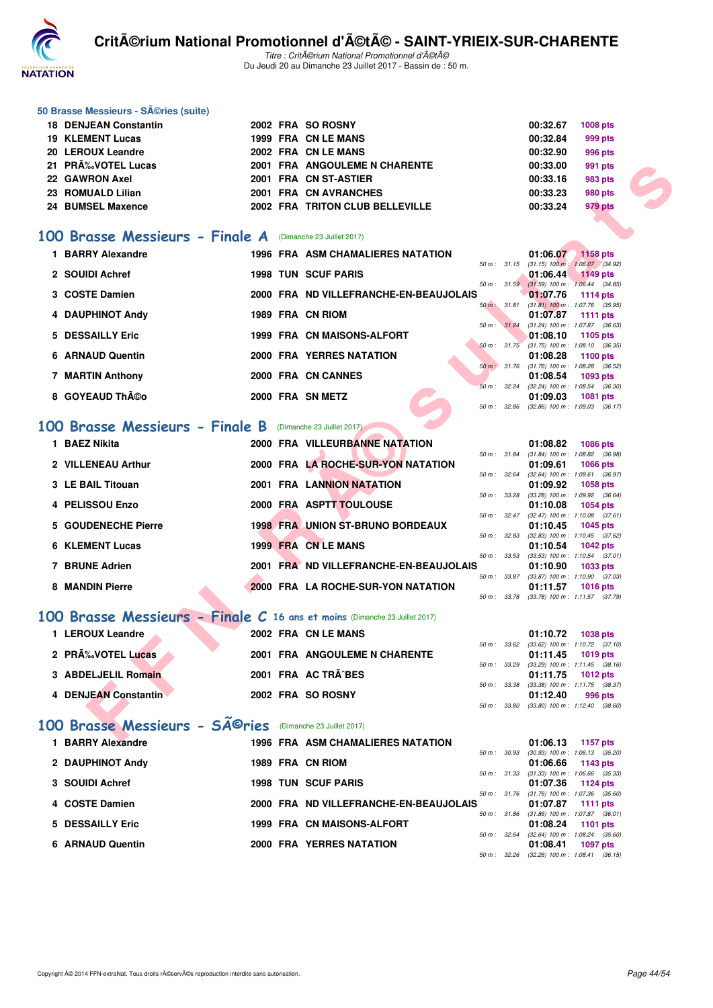

Titre : Critérium National Promotionnel d'été Du Jeudi 20 au Dimanche 23 Juillet 2017 - Bassin de : 50 m.

#### **50 Brasse Messieurs - Séries (suite)**

| 18 DENJEAN Constantin |  | 2002 FRA SO ROSNY               | 00:32.67 | <b>1008 pts</b> |
|-----------------------|--|---------------------------------|----------|-----------------|
| 19 KLEMENT Lucas      |  | 1999 FRA CN LE MANS             | 00:32.84 | 999 pts         |
| 20 LEROUX Leandre     |  | 2002 FRA CN LE MANS             | 00:32.90 | 996 pts         |
| 21 PRÉVOTEL Lucas     |  | 2001 FRA ANGOULEME N CHARENTE   | 00:33.00 | 991 pts         |
| 22 GAWRON Axel        |  | 2001 FRA CN ST-ASTIER           | 00:33.16 | 983 pts         |
| 23 ROMUALD Lilian     |  | 2001 FRA CN AVRANCHES           | 00:33.23 | 980 pts         |
| 24 BUMSEL Maxence     |  | 2002 FRA TRITON CLUB BELLEVILLE | 00:33.24 | 979 pts         |
|                       |  |                                 |          |                 |

#### **[100 Brasse Messieurs - Finale A](http://www.ffnatation.fr/webffn/resultats.php?idact=nat&go=epr&idcpt=47489&idepr=72)** (Dimanche 23 Juillet 2017)

| 21 PRA% VOTEL Lucas                                                       |  | <b>2001 FRA ANGOULEME N CHARENTE</b>     |              | 00:33.00                                                 | 991 pts                             |  |
|---------------------------------------------------------------------------|--|------------------------------------------|--------------|----------------------------------------------------------|-------------------------------------|--|
| 22 GAWRON Axel                                                            |  | 2001 FRA CN ST-ASTIER                    |              | 00:33.16                                                 | 983 pts                             |  |
| 23 ROMUALD Lilian                                                         |  | 2001 FRA CN AVRANCHES                    |              | 00:33.23                                                 | <b>980 pts</b>                      |  |
| <b>24 BUMSEL Maxence</b>                                                  |  | 2002 FRA TRITON CLUB BELLEVILLE          |              | 00:33.24                                                 | 979 pts                             |  |
|                                                                           |  |                                          |              |                                                          |                                     |  |
| 00 Brasse Messieurs - Finale A (Dimanche 23 Juillet 2017)                 |  |                                          |              |                                                          |                                     |  |
|                                                                           |  |                                          |              |                                                          |                                     |  |
| 1 BARRY Alexandre                                                         |  | 1996 FRA ASM CHAMALIERES NATATION        |              |                                                          | 01:06.07 1158 pts                   |  |
| 2 SOUIDI Achref                                                           |  | <b>1998 TUN SCUF PARIS</b>               |              | 50 m: 31.15 (31.15) 100 m: 1:06.07 (34.92)<br>01:06.44   | <b>1149 pts</b>                     |  |
|                                                                           |  |                                          |              | 50 m: 31.59 (31.59) 100 m: 1:06.44 (34.85)               |                                     |  |
| 3 COSTE Damien                                                            |  | 2000 FRA ND VILLEFRANCHE-EN-BEAUJOLAIS   |              | 01:07.76                                                 | 1114 pts                            |  |
|                                                                           |  |                                          | 50 m: 31.81  |                                                          | $(31.81)$ 100 m : 1:07.76 $(35.95)$ |  |
| 4 DAUPHINOT Andy                                                          |  | 1989 FRA CN RIOM                         |              | 01:07.87<br>50 m : 31.24 (31.24) 100 m : 1:07.87 (36.63) | <b>1111 pts</b>                     |  |
| 5 DESSAILLY Eric                                                          |  | 1999 FRA CN MAISONS-ALFORT               |              | 01:08.10                                                 | 1105 pts                            |  |
|                                                                           |  |                                          |              | $50 m$ : $31.75$ (31.75) 100 m : 1:08.10 (36.35)         |                                     |  |
| 6 ARNAUD Quentin                                                          |  | 2000 FRA YERRES NATATION                 |              | 01:08.28                                                 | 1100 pts                            |  |
| 7 MARTIN Anthony                                                          |  | 2000 FRA CN CANNES                       |              | 50 m : 31.76 (31.76) 100 m : 1:08.28 (36.52)<br>01:08.54 | 1093 pts                            |  |
|                                                                           |  |                                          |              | 50 m: 32.24 (32.24) 100 m: 1:08.54 (36.30)               |                                     |  |
| 8 GOYEAUD Th©o                                                            |  | 2000 FRA SN METZ                         |              | 01:09.03                                                 | 1081 pts                            |  |
|                                                                           |  |                                          |              | 50 m: 32.86 (32.86) 100 m: 1:09.03 (36.17)               |                                     |  |
| 00 Brasse Messieurs - Finale B (Dimanche 23 Juillet 2017)                 |  |                                          |              |                                                          |                                     |  |
| 1 BAEZ Nikita                                                             |  | 2000 FRA VILLEURBANNE NATATION           |              | 01:08.82                                                 | 1086 pts                            |  |
|                                                                           |  |                                          |              | 50 m: 31.84 (31.84) 100 m: 1:08.82 (36.98)               |                                     |  |
| 2 VILLENEAU Arthur                                                        |  | 2000 FRA LA ROCHE-SUR-YON NATATION       |              | 01:09.61                                                 | <b>1066 pts</b>                     |  |
| 3 LE BAIL Titouan                                                         |  | 2001 FRA LANNION NATATION                |              | 50 m: 32.64 (32.64) 100 m: 1:09.61 (36.97)<br>01:09.92   | <b>1058 pts</b>                     |  |
|                                                                           |  |                                          | 50 m: 33.28  |                                                          | $(33.28)$ 100 m : 1:09.92 $(36.64)$ |  |
| 4 PELISSOU Enzo                                                           |  | 2000 FRA ASPTT TOULOUSE                  |              | 01:10.08                                                 | 1054 pts                            |  |
| 5 GOUDENECHE Pierre                                                       |  | <b>1998 FRA UNION ST-BRUNO BORDEAUX</b>  |              | 50 m: 32.47 (32.47) 100 m: 1:10.08 (37.61)               |                                     |  |
|                                                                           |  |                                          |              | 01:10.45<br>50 m: 32.83 (32.83) 100 m: 1:10.45 (37.62)   | 1045 pts                            |  |
| <b>6 KLEMENT Lucas</b>                                                    |  | 1999 FRA CN LE MANS                      |              | 01:10.54                                                 | 1042 pts                            |  |
|                                                                           |  |                                          | 50 m: 33.53  |                                                          | $(33.53)$ 100 m : 1:10.54 $(37.01)$ |  |
| 7 BRUNE Adrien                                                            |  | 2001 FRA ND VILLEFRANCHE-EN-BEAUJOLAIS   |              | 01:10.90<br>50 m: 33.87 (33.87) 100 m: 1:10.90 (37.03)   | 1033 pts                            |  |
| <b>8 MANDIN Pierre</b>                                                    |  | 2000 FRA LA ROCHE-SUR-YON NATATION       |              | 01:11.57                                                 | 1016 pts                            |  |
|                                                                           |  |                                          |              | 50 m: 33.78 (33.78) 100 m: 1:11.57 (37.79)               |                                     |  |
| 00 Brasse Messieurs - Finale C 16 ans et moins (Dimanche 23 Juillet 2017) |  |                                          |              |                                                          |                                     |  |
|                                                                           |  |                                          |              |                                                          |                                     |  |
| 1 LEROUX Leandre                                                          |  | 2002 FRA CN LE MANS                      |              | 01:10.72                                                 | 1038 pts                            |  |
| 2 PRÉVOTEL Lucas                                                          |  | 2001 FRA ANGOULEME N CHARENTE            |              | 50 m: 33.62 (33.62) 100 m: 1:10.72 (37.10)<br>01:11.45   | 1019 pts                            |  |
|                                                                           |  |                                          | 50 m : 33.29 |                                                          | $(33.29)$ 100 m : 1:11.45 $(38.16)$ |  |
| 3 ABDELJELIL Romain                                                       |  | 2001 FRA AC TRA^BES                      |              | 01:11.75                                                 | <b>1012 pts</b>                     |  |
| <b>4 DENJEAN Constantin</b>                                               |  | 2002 FRA SO ROSNY                        |              | 50 m: 33.38 (33.38) 100 m: 1:11.75 (38.37)<br>01:12.40   | 996 pts                             |  |
|                                                                           |  |                                          |              | 50 m: 33.80 (33.80) 100 m: 1:12.40 (38.60)               |                                     |  |
|                                                                           |  |                                          |              |                                                          |                                     |  |
| 00 Brasse Messieurs - SÃ <sup>©</sup> ries (Dimanche 23 Juillet 2017)     |  |                                          |              |                                                          |                                     |  |
| <b>4 DADDV Alangedua</b>                                                  |  | <b>1000 FDA ACM OUAMALIFDEC MATATION</b> |              |                                                          | $0.4 - 0.0 - 4.0 - 4.477 - 4.4$     |  |

## **[100 Brasse Messieurs - Finale B](http://www.ffnatation.fr/webffn/resultats.php?idact=nat&go=epr&idcpt=47489&idepr=72)** (Dimanche 23 Juillet 2017)

| 1 BAEZ Nikita          | 2000 FRA VILLEURBANNE NATATION          |                          | 01:08.82                                        | <b>1086 pts</b> |  |
|------------------------|-----------------------------------------|--------------------------|-------------------------------------------------|-----------------|--|
| 2 VILLENEAU Arthur     | 2000 FRA LA ROCHE-SUR-YON NATATION      | 50 m: 31.84              | $(31.84)$ 100 m : 1:08.82 $(36.98)$<br>01:09.61 | 1066 pts        |  |
| 3 LE BAIL Titouan      | <b>2001 FRA LANNION NATATION</b>        | 50 m: 32.64              | $(32.64)$ 100 m : 1:09.61 $(36.97)$<br>01:09.92 | 1058 pts        |  |
| 4 PELISSOU Enzo        | 2000 FRA ASPTT TOULOUSE                 | 50 m: 33.28              | $(33.28)$ 100 m : 1:09.92 $(36.64)$<br>01:10.08 | 1054 pts        |  |
| 5 GOUDENECHE Pierre    | <b>1998 FRA UNION ST-BRUNO BORDEAUX</b> | $50 \text{ m}$ : $32.47$ | $(32.47)$ 100 m : 1:10.08 $(37.61)$<br>01:10.45 |                 |  |
|                        |                                         | 50 m: 32.83              | $(32.83)$ 100 m : 1:10.45 $(37.62)$             | 1045 pts        |  |
| <b>6 KLEMENT Lucas</b> | 1999 FRA CN LE MANS                     | 50 m: 33.53              | 01:10.54<br>$(33.53)$ 100 m : 1:10.54 $(37.01)$ | $1042$ pts      |  |
| <b>BRUNE Adrien</b>    | 2001 FRA ND VILLEFRANCHE-EN-BEAUJOLAIS  | 50 m: 33.87              | 01:10.90<br>$(33.87)$ 100 m : 1:10.90 $(37.03)$ | 1033 pts        |  |
| 8 MANDIN Pierre        | 2000 FRA LA ROCHE-SUR-YON NATATION      | 50 m : 33.78             | 01:11.57<br>$(33.78)$ 100 m : 1:11.57 $(37.79)$ | <b>1016 pts</b> |  |

#### **[100 Brasse Messieurs - Finale C](http://www.ffnatation.fr/webffn/resultats.php?idact=nat&go=epr&idcpt=47489&idepr=72) 16 ans et moins** (Dimanche 23 Juillet 2017)

| 1 LEROUX Leandre     | 2002 FRA CN LE MANS           |                                                        | 01:10.72 1038 pts   |
|----------------------|-------------------------------|--------------------------------------------------------|---------------------|
| 2 PRÉVOTEL Lucas     | 2001 FRA ANGOULEME N CHARENTE | 50 m: 33.62 (33.62) 100 m: 1:10.72 (37.10)             | $01:11.45$ 1019 pts |
| 3 ABDELJELIL Romain  | 2001 FRA AC TRÃ^BES           | 50 m: 33.29 (33.29) 100 m: 1:11.45 (38.16)             | $01:11.75$ 1012 pts |
| 4 DENJEAN Constantin | 2002 FRA SO ROSNY             | 50 m: 33.38 (33.38) 100 m: 1:11.75 (38.37)<br>01:12.40 | 996 pts             |
|                      |                               | 50 m : 33.80 (33.80) 100 m : 1:12.40 (38.60)           |                     |

# 100 Brasse Messieurs - SÃ<sup>@</sup>ries (Dimanche 23 Juillet 2017)

| 1 BARRY Alexandre |                  | <b>1996 FRA ASM CHAMALIERES NATATION</b> |                        | 01:06.13                                                        | 1157 $pts$ |
|-------------------|------------------|------------------------------------------|------------------------|-----------------------------------------------------------------|------------|
| 2 DAUPHINOT Andy  | 1989 FRA CN RIOM |                                          | 50 m: 30.93            | (30.93) 100 m: 1:06.13 (35.20)<br>$01:06.66$ 1143 pts           |            |
| 3 SOUIDI Achref   |                  | <b>1998 TUN SCUF PARIS</b>               | 50 m: 31.33            | $(31.33)$ 100 m : 1:06.66 $(35.33)$<br>01:07.36 1124 pts        |            |
| 4 COSTE Damien    |                  | 2000 FRA ND VILLEFRANCHE-EN-BEAUJOLAIS   |                        | 50 m: 31.76 (31.76) 100 m: 1:07.36 (35.60)<br>01:07.87 1111 pts |            |
| 5 DESSAILLY Eric  |                  | 1999 FRA CN MAISONS-ALFORT               | 50 m: 31.86            | $(31.86)$ 100 m : 1:07.87 $(36.01)$<br>01:08.24                 | 1101 $pts$ |
| 6 ARNAUD Quentin  |                  | 2000 FRA YERRES NATATION                 | $50 \text{ m}$ : 32.64 | $(32.64)$ 100 m : 1.08.24 $(35.60)$<br>01:08.41                 | 1097 pts   |
|                   |                  |                                          | 50 m : 32.26           | $(32.26)$ 100 m : 1.08.41 $(36.15)$                             |            |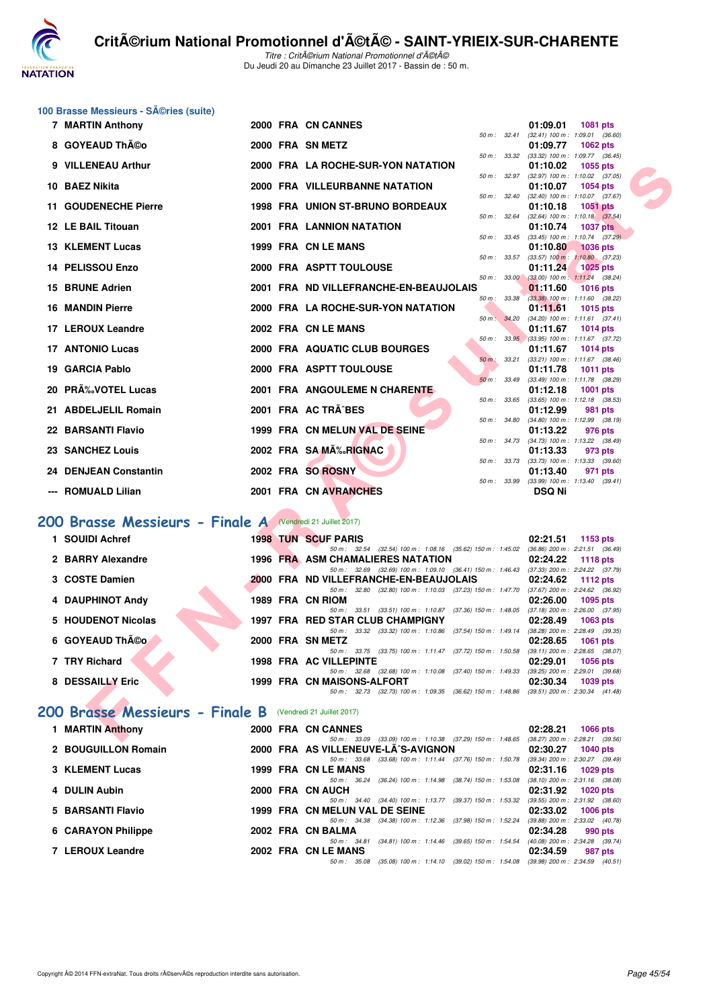

Titre : Critérium National Promotionnel d'été Du Jeudi 20 au Dimanche 23 Juillet 2017 - Bassin de : 50 m.

## **100 Brasse Messieurs - Séries (suite)**<br>**7 MAPTIN Anthony**

| 7 MARTIN Anthony                                                  |  | 2000 FRA CN CANNES                                                                                                           | 01:09.01<br>1081 pts                                                        |
|-------------------------------------------------------------------|--|------------------------------------------------------------------------------------------------------------------------------|-----------------------------------------------------------------------------|
| 8 GOYEAUD Th©o                                                    |  | 2000 FRA SN METZ                                                                                                             | 50 m: 32.41 (32.41) 100 m: 1:09.01 (36.60)<br>01:09.77<br><b>1062 pts</b>   |
| 9 VILLENEAU Arthur                                                |  | 50 m: 33.32<br>2000 FRA LA ROCHE-SUR-YON NATATION                                                                            | (33.32) 100 m: 1:09.77 (36.45)<br>01:10.02<br>1055 pts                      |
|                                                                   |  | 50 m: 32.97                                                                                                                  | $(32.97)$ 100 m : 1:10.02 $(37.05)$                                         |
| 10 BAEZ Nikita                                                    |  | 2000 FRA VILLEURBANNE NATATION<br>50 m: 32.40                                                                                | 01:10.07<br><b>1054 pts</b><br>$(32.40)$ 100 m : 1:10.07 $(37.67)$          |
| 11 GOUDENECHE Pierre                                              |  | <b>1998 FRA UNION ST-BRUNO BORDEAUX</b>                                                                                      | 01:10.18<br><b>1051 pts</b>                                                 |
| 12 LE BAIL Titouan                                                |  | 50 m: 32.64<br>2001 FRA LANNION NATATION                                                                                     | $(32.64)$ 100 m : 1:10.18 $(37.54)$<br>01:10.74<br><b>1037 pts</b>          |
| <b>13 KLEMENT Lucas</b>                                           |  | 50 m : 33.45<br>1999 FRA CN LE MANS                                                                                          | $(33.45)$ 100 m : 1:10.74 $(37.29)$<br>01:10.80<br><b>1036 pts</b>          |
|                                                                   |  | $50 m$ : $33.57$                                                                                                             | $(33.57)$ 100 m : 1:10.80 $(37.23)$                                         |
| 14 PELISSOU Enzo                                                  |  | 2000 FRA ASPTT TOULOUSE                                                                                                      | 01:11.24<br><b>1025 pts</b><br>50 m : 33.00 (33.00) 100 m : 1:11.24 (38.24) |
| 15 BRUNE Adrien                                                   |  | 2001 FRA ND VILLEFRANCHE-EN-BEAUJOLAIS                                                                                       | 01:11.60<br><b>1016 pts</b>                                                 |
| <b>16 MANDIN Pierre</b>                                           |  | 50 m : 33.38<br>2000 FRA LA ROCHE-SUR-YON NATATION                                                                           | (33.38) 100 m : 1:11.60 (38.22)<br>01:11.61<br><b>1015 pts</b>              |
|                                                                   |  |                                                                                                                              | 50 m: 34.20 (34.20) 100 m: 1:11.61 (37.41)                                  |
| 17 LEROUX Leandre                                                 |  | 2002 FRA CN LE MANS                                                                                                          | 01:11.67<br><b>1014 pts</b><br>50 m: 33.95 (33.95) 100 m: 1:11.67 (37.72)   |
| <b>17 ANTONIO Lucas</b>                                           |  | 2000 FRA AQUATIC CLUB BOURGES                                                                                                | 01:11.67<br>1014 $pts$                                                      |
|                                                                   |  | 50 m : 33.21                                                                                                                 | (33.21) 100 m: 1:11.67 (38.46)                                              |
| 19 GARCIA Pablo                                                   |  | 2000 FRA ASPTT TOULOUSE<br>50 m: 33.49                                                                                       | 01:11.78<br>1011 pts<br>(33.49) 100 m: 1:11.78 (38.29)                      |
| 20 PR‰VOTEL Lucas                                                 |  | 2001 FRA ANGOULEME N CHARENTE                                                                                                | 01:12.18<br><b>1001 pts</b>                                                 |
|                                                                   |  | 50 m : 33.65                                                                                                                 | $(33.65)$ 100 m : 1:12.18 $(38.53)$                                         |
| 21 ABDELJELIL Romain                                              |  | 2001 FRA AC TRA^BES<br>50 m : 34.80                                                                                          | 01:12.99<br>981 pts<br>$(34.80)$ 100 m : 1:12.99 $(38.19)$                  |
| 22 BARSANTI Flavio                                                |  | 1999 FRA CN MELUN VAL DE SEINE                                                                                               | 01:13.22<br>976 pts                                                         |
|                                                                   |  | $50 m$ : $34.73$                                                                                                             | (34.73) 100 m: 1:13.22 (38.49)                                              |
| 23 SANCHEZ Louis                                                  |  | 2002 FRA SAMA‰RIGNAC                                                                                                         | 01:13.33<br>973 pts<br>50 m: 33.73 (33.73) 100 m: 1:13.33 (39.60)           |
| 24 DENJEAN Constantin                                             |  | 2002 FRA SO ROSNY                                                                                                            | 01:13.40<br>971 pts                                                         |
| --- ROMUALD Lilian                                                |  | 50 m : 33.99                                                                                                                 | $(33.99)$ 100 m : 1:13.40 $(39.41)$                                         |
|                                                                   |  | 2001 FRA CN AVRANCHES                                                                                                        | <b>DSQ Ni</b>                                                               |
| <b>100 Brasse Messieurs - Finale A</b> (Vendredi 21 Juillet 2017) |  |                                                                                                                              |                                                                             |
|                                                                   |  |                                                                                                                              |                                                                             |
| 1 SOUIDI Achref                                                   |  | <b>1998 TUN SCUF PARIS</b><br>50 m: 32.54 (32.54) 100 m: 1:08.16 (35.62) 150 m: 1:45.02 (36.86) 200 m: 2:21.51 (36.49)       | 02:21.51<br>1153 pts                                                        |
| 2 BARRY Alexandre                                                 |  | <b>1996 FRA ASM CHAMALIERES NATATION</b>                                                                                     | 02:24.22<br><b>1118 pts</b>                                                 |
|                                                                   |  | 50 m: 32.69 (32.69) 100 m: 1:09.10 (36.41) 150 m: 1:46.43 (37.33) 200 m: 2:24.22 (37.79)                                     |                                                                             |
| 3 COSTE Damien                                                    |  | 2000 FRA ND VILLEFRANCHE-EN-BEAUJOLAIS<br>50 m: 32.80 (32.80) 100 m: 1:10.03 (37.23) 150 m: 1:47.70                          | 02:24.62<br><b>1112 pts</b><br>(37.67) 200 m : 2:24.62 (36.92)              |
| 4 DAUPHINOT Andy                                                  |  | 1989 FRA CN RIOM                                                                                                             | 02:26.00<br>1095 pts                                                        |
|                                                                   |  | 50 m: 33.51 (33.51) 100 m: 1:10.87 (37.36) 150 m: 1:48.05                                                                    | (37.18) 200 m : 2:26.00 (37.95)                                             |
| 5 HOUDENOT Nicolas                                                |  | 1997 FRA RED STAR CLUB CHAMPIGNY<br>50 m: 33.32 (33.32) 100 m: 1:10.86 (37.54) 150 m: 1:49.14 (38.28) 200 m: 2:28.49 (39.35) | 02:28.49<br>1063 pts                                                        |
| 6 GOYEAUD Théo                                                    |  | 2000 FRA SN METZ                                                                                                             | 02:28.65<br><b>1061 pts</b>                                                 |
|                                                                   |  | 50 m: 33.75 (33.75) 100 m: 1:11.47 (37.72) 150 m: 1:50.58                                                                    | $(39.11)$ 200 m : 2:28.65 $(38.07)$                                         |
| 7 TRY Richard                                                     |  | 1998 FRA AC VILLEPINTE<br>50 m: 32.68 (32.68) 100 m: 1:10.08 (37.40) 150 m: 1:49.33 (39.25) 200 m: 2:29.01 (39.68)           | 02:29.01<br><b>1056 pts</b>                                                 |
| 8 DESSAILLY Eric                                                  |  | 1999 FRA CN MAISONS-ALFORT                                                                                                   | 02:30.34<br>1039 pts                                                        |
|                                                                   |  | 50 m: 32.73 (32.73) 100 m: 1:09.35 (36.62) 150 m: 1:48.86 (39.51) 200 m: 2:30.34 (41.48)                                     |                                                                             |
| 200 Brasse Messieurs - Finale B (Vendredi 21 Juillet 2017)        |  |                                                                                                                              |                                                                             |
|                                                                   |  |                                                                                                                              |                                                                             |
| 1 MARTIN Anthony                                                  |  | 2000 FRA CN CANNES<br>50 m : 33.09 (33.09) 100 m : 1:10.38 (37.29) 150 m : 1:48.65 (38.27) 200 m : 2:28.21 (39.56)           | 02:28.21<br><b>1066 pts</b>                                                 |

## **[200 Brasse Messieurs - Finale A](http://www.ffnatation.fr/webffn/resultats.php?idact=nat&go=epr&idcpt=47489&idepr=73)** (Vendredi 21 Juillet 2017)

| 1 SOUIDI Achref    | <b>1998 TUN SCUF PARIS</b>                                | 02:21.51<br>1153 $pts$              |
|--------------------|-----------------------------------------------------------|-------------------------------------|
|                    | 50 m: 32.54 (32.54) 100 m: 1:08.16 (35.62) 150 m: 1:45.02 | $(36.86)$ 200 m : 2:21.51 $(36.49)$ |
| 2 BARRY Alexandre  | <b>1996 FRA ASM CHAMALIERES NATATION</b>                  | 02:24.22<br>1118 $pts$              |
|                    | 50 m: 32.69 (32.69) 100 m: 1:09.10 (36.41) 150 m: 1:46.43 | (37.33) 200 m : 2:24.22 (37.79      |
| 3 COSTE Damien     | 2000 FRA ND VILLEFRANCHE-EN-BEAUJOLAIS                    | 02:24.62<br>1112 $pts$              |
|                    | 50 m: 32.80 (32.80) 100 m: 1:10.03 (37.23) 150 m: 1:47.70 | (37.67) 200 m : 2:24.62 (36.92)     |
| 4 DAUPHINOT Andy   | 1989 FRA CN RIOM                                          | 02:26.00<br>1095 pts                |
|                    | 50 m: 33.51 (33.51) 100 m: 1:10.87 (37.36) 150 m: 1:48.05 | $(37.18)$ 200 m : 2:26.00 $(37.95)$ |
| 5 HOUDENOT Nicolas | 1997 FRA RED STAR CLUB CHAMPIGNY                          | 02:28.49<br>$1063$ pts              |
|                    | 50 m: 33.32 (33.32) 100 m: 1:10.86 (37.54) 150 m: 1:49.14 | $(38.28)$ 200 m : 2:28.49 $(39.35)$ |
| 6 GOYEAUD Théo     | 2000 FRA SN METZ                                          | 02:28.65<br>1061 pts                |
|                    | 50 m: 33.75 (33.75) 100 m: 1:11.47 (37.72) 150 m: 1:50.58 | (39.11) 200 m : 2:28.65 (38.07)     |
| 7 TRY Richard      | 1998 FRA AC VILLEPINTE                                    | 02:29.01<br>1056 pts                |
|                    | 50 m: 32.68 (32.68) 100 m: 1:10.08 (37.40) 150 m: 1:49.33 | $(39.25)$ 200 m : 2:29.01 $(39.68)$ |
| 8 DESSAILLY Eric   | 1999 FRA CN MAISONS-ALFORT                                | 02:30.34<br>1039 pts                |
|                    | 50 m: 32.73 (32.73) 100 m: 1:09.35 (36.62) 150 m: 1:48.86 | $(39.51)$ 200 m : 2:30.34 $(41.48)$ |

#### **[200 Brasse Messieurs - Finale B](http://www.ffnatation.fr/webffn/resultats.php?idact=nat&go=epr&idcpt=47489&idepr=73)** (Vendredi 21 Juillet 2017)

| 1 MARTIN Anthony       |  | 2000 FRA CN CANNES             |                                     |                                                           | 02:28.21 | <b>1066 pts</b>                     |
|------------------------|--|--------------------------------|-------------------------------------|-----------------------------------------------------------|----------|-------------------------------------|
|                        |  |                                |                                     | 50 m: 33.09 (33.09) 100 m: 1:10.38 (37.29) 150 m: 1:48.65 |          | $(38.27)$ 200 m : 2:28.21 $(39.56)$ |
| 2 BOUGUILLON Romain    |  |                                | 2000 FRA AS VILLENEUVE-LA^S-AVIGNON |                                                           | 02:30.27 | 1040 pts                            |
|                        |  | 50 m: 33.68                    |                                     | (33.68) 100 m: 1:11.44 (37.76) 150 m: 1:50.78             |          | (39.34) 200 m : 2:30.27 (39.49      |
| <b>3 KLEMENT Lucas</b> |  | 1999 FRA CN LE MANS            |                                     |                                                           | 02:31.16 | 1029 pts                            |
|                        |  | 50 m : 36.24                   | $(36.24)$ 100 m : 1:14.98           | (38.74) 150 m : 1:53.08                                   |          | $(38.10)$ 200 m : 2:31.16 $(38.08)$ |
| 4 DULIN Aubin          |  | 2000 FRA CN AUCH               |                                     |                                                           | 02:31.92 | 1020 pts                            |
|                        |  |                                |                                     | 50 m: 34.40 (34.40) 100 m: 1:13.77 (39.37) 150 m: 1:53.32 |          | $(39.55)$ 200 m : 2:31.92 $(38.60)$ |
| 5 BARSANTI Flavio      |  | 1999 FRA CN MELUN VAL DE SEINE |                                     |                                                           | 02:33.02 | $1006$ pts                          |
|                        |  |                                |                                     | 50 m: 34.38 (34.38) 100 m: 1:12.36 (37.98) 150 m: 1:52.24 |          | $(39.88)$ 200 m : 2:33.02 $(40.78)$ |
| 6 CARAYON Philippe     |  | 2002 FRA CN BALMA              |                                     |                                                           | 02:34.28 | 990 pts                             |
|                        |  | $50 m$ : $34.81$               | $(34.81)$ 100 m : 1:14.46           | (39.65) 150 m : 1:54.54                                   |          | (40.08) 200 m : 2:34.28 (39.74)     |
| 7 LEROUX Leandre       |  | 2002 FRA CN LE MANS            |                                     |                                                           | 02:34.59 | 987 pts                             |
|                        |  | 50 m : 35.08                   |                                     | $(35.08)$ 100 m : 1:14.10 $(39.02)$ 150 m : 1:54.08       |          | (39.98) 200 m : 2:34.59 (40.51      |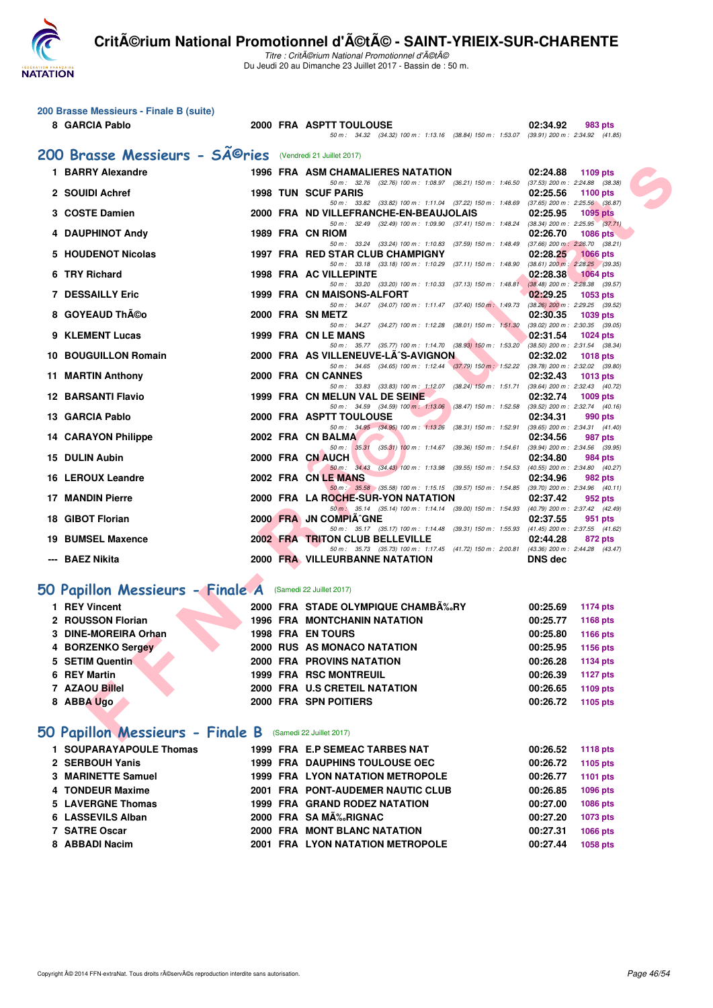

Titre : Critérium National Promotionnel d'été Du Jeudi 20 au Dimanche 23 Juillet 2017 - Bassin de : 50 m.

| 200 Brasse Messieurs - Finale B (suite) |  |  |  |
|-----------------------------------------|--|--|--|
|-----------------------------------------|--|--|--|

#### **8 GARCIA Pablo 2000 FRA ASPTT TOULOUSE 02:34.92 983 pts** 50 m : 34.32 (34.32) 100 m : 1:13.16 (38.84) 150 m : 1:53.07 (39.91) 200 m : 2:34.92 (41.85) **200 Brasse Messieurs - Séries** (Vendredi 21 Juillet 2017)<br>1 BARRY Alexandre 1996 FRA ASM CHAMA **1996 FRA ASM CHAMALIERES NATATION 02:24.88 1109 pts**

| 1 BARRY Alexandre                                                |  | 1996 FRA ASM CHAMALIERES NATATION                                                                                      | 02:24.88 | 1109 pts                                               |  |
|------------------------------------------------------------------|--|------------------------------------------------------------------------------------------------------------------------|----------|--------------------------------------------------------|--|
| 2 SOUIDI Achref                                                  |  | 50 m: 32.76 (32.76) 100 m: 1:08.97 (36.21) 150 m: 1:46.50 (37.53) 200 m: 2:24.88 (38.38)<br><b>1998 TUN SCUF PARIS</b> | 02:25.56 | 1100 pts                                               |  |
|                                                                  |  | 50 m: 33.82 (33.82) 100 m: 1:11.04 (37.22) 150 m: 1:48.69 (37.65) 200 m: 2:25.56 (36.87)                               |          |                                                        |  |
| 3 COSTE Damien                                                   |  | 2000 FRA ND VILLEFRANCHE-EN-BEAUJOLAIS                                                                                 | 02:25.95 | <b>1095 pts</b>                                        |  |
| 4 DAUPHINOT Andy                                                 |  | 50 m: 32.49 (32.49) 100 m: 1:09.90 (37.41) 150 m: 1:48.24<br>1989 FRA CN RIOM                                          | 02:26.70 | $(38.34)$ 200 m : 2:25.95 $(37.71)$<br><b>1086 pts</b> |  |
|                                                                  |  | 50 m: 33.24 (33.24) 100 m: 1:10.83 (37.59) 150 m: 1:48.49                                                              |          | $(37.66)$ 200 m : 2:26.70 $(38.21)$                    |  |
| 5 HOUDENOT Nicolas                                               |  | 1997 FRA RED STAR CLUB CHAMPIGNY                                                                                       | 02:28.25 | 1066 pts                                               |  |
| 6 TRY Richard                                                    |  | 50 m: 33.18 (33.18) 100 m: 1:10.29 (37.11) 150 m: 1:48.90<br>1998 FRA AC VILLEPINTE                                    | 02:28.38 | $(38.61)$ 200 m : 2:28.25 $(39.35)$<br><b>1064 pts</b> |  |
|                                                                  |  | 50 m: 33.20 (33.20) 100 m: 1:10.33 (37.13) 150 m: 1:48.81                                                              |          | $(38.48)$ 200 m : 2:28.38 $(39.57)$                    |  |
| <b>7 DESSAILLY Eric</b>                                          |  | 1999 FRA CN MAISONS-ALFORT                                                                                             | 02:29.25 | 1053 pts                                               |  |
| 8 GOYEAUD Théo                                                   |  | 50 m: 34.07 (34.07) 100 m: 1:11.47 (37.40) 150 m: 1:49.73<br>2000 FRA SN METZ                                          | 02:30.35 | $(38.26)$ 200 m : 2:29.25 $(39.52)$<br>1039 pts        |  |
|                                                                  |  | 50 m: 34.27 (34.27) 100 m: 1:12.28 (38.01) 150 m: 1:51.30                                                              |          | $(39.02)$ 200 m : 2:30.35 $(39.05)$                    |  |
| 9 KLEMENT Lucas                                                  |  | 1999 FRA CN LE MANS                                                                                                    | 02:31.54 | <b>1024 pts</b>                                        |  |
| 10 BOUGUILLON Romain                                             |  | 50 m: 35.77 (35.77) 100 m: 1:14.70 (38.93) 150 m: 1:53.20<br>2000 FRA AS VILLENEUVE-LA^S-AVIGNON                       | 02:32.02 | $(38.50)$ 200 m : 2:31.54 $(38.34)$<br><b>1018 pts</b> |  |
|                                                                  |  | 50 m: 34.65 (34.65) 100 m: 1:12.44 (37.79) 150 m: 1:52.22 (39.78) 200 m: 2:32.02 (39.80)                               |          |                                                        |  |
| 11 MARTIN Anthony                                                |  | 2000 FRA CN CANNES                                                                                                     | 02:32.43 | <b>1013 pts</b>                                        |  |
| <b>12 BARSANTI Flavio</b>                                        |  | 50 m: 33.83 (33.83) 100 m: 1:12.07 (38.24) 150 m: 1:51.71<br>1999 FRA CN MELUN VAL DE SEINE                            | 02:32.74 | (39.64) 200 m : 2:32.43 (40.72)<br><b>1009 pts</b>     |  |
|                                                                  |  | 50 m: 34.59 (34.59) 100 m: 1:13.06 (38.47) 150 m: 1:52.58                                                              |          | (39.52) 200 m : 2:32.74 (40.16)                        |  |
| 13 GARCIA Pablo                                                  |  | 2000 FRA ASPTT TOULOUSE                                                                                                | 02:34.31 | 990 pts                                                |  |
|                                                                  |  | 50 m: 34.95 (34.95) 100 m: 1:13.26 (38.31) 150 m: 1:52.91<br>2002 FRA CN BALMA                                         | 02:34.56 | $(39.65)$ 200 m : 2:34.31 $(41.40)$<br>987 pts         |  |
| 14 CARAYON Philippe                                              |  | 50 m: 35.31<br>(35.31) 100 m: 1:14.67 (39.36) 150 m: 1:54.61                                                           |          | (39.94) 200 m : 2:34.56 (39.95)                        |  |
| 15 DULIN Aubin                                                   |  | 2000 FRA CN AUCH                                                                                                       | 02:34.80 | 984 pts                                                |  |
| 16 LEROUX Leandre                                                |  | 50 m: 34.43 (34.43) 100 m: 1:13.98 (39.55) 150 m: 1:54.53 (40.55) 200 m: 2:34.80 (40.27)                               |          |                                                        |  |
|                                                                  |  | 2002 FRA CN LE MANS<br>50 m : 35.58 (35.58) 100 m : 1:15.15 (39.57) 150 m : 1:54.85 (39.70) 200 m : 2:34.96 (40.11)    | 02:34.96 | 982 pts                                                |  |
| <b>17 MANDIN Pierre</b>                                          |  | 2000 FRA LA ROCHE-SUR-YON NATATION                                                                                     | 02:37.42 | 952 pts                                                |  |
|                                                                  |  | 50 m: 35.14 (35.14) 100 m: 1:14.14 (39.00) 150 m: 1:54.93                                                              |          | (40.79) 200 m : 2:37.42 (42.49)                        |  |
| 18 GIBOT Florian                                                 |  | 2000 FRA JN COMPIA^GNE<br>50 m: 35.17 (35.17) 100 m: 1:14.48 (39.31) 150 m: 1:55.93 (41.45) 200 m: 2:37.55 (41.62)     | 02:37.55 | 951 pts                                                |  |
| <b>19 BUMSEL Maxence</b>                                         |  | 2002 FRA TRITON CLUB BELLEVILLE                                                                                        | 02:44.28 | 872 pts                                                |  |
|                                                                  |  | 50 m: 35.73 (35.73) 100 m: 1:17.45 (41.72) 150 m: 2:00.81 (43.36) 200 m: 2:44.28 (43.47)                               |          |                                                        |  |
| --- BAEZ Nikita                                                  |  | 2000 FRA VILLEURBANNE NATATION                                                                                         | DNS dec  |                                                        |  |
|                                                                  |  |                                                                                                                        |          |                                                        |  |
| <b>iO Papillon Messieurs - Finale A</b> (Samedi 22 Juillet 2017) |  |                                                                                                                        |          |                                                        |  |
| 1 REY Vincent                                                    |  | 2000 FRA STADE OLYMPIQUE CHAMBĉRY                                                                                      | 00:25.69 | 1174 pts                                               |  |
| 2 ROUSSON Florian                                                |  | 1996 FRA MONTCHANIN NATATION                                                                                           | 00:25.77 | 1168 pts                                               |  |
| 3 DINE-MOREIRA Orhan                                             |  | <b>1998 FRA EN TOURS</b>                                                                                               | 00:25.80 | 1166 pts                                               |  |
| 4 BORZENKO Sergey                                                |  | 2000 RUS AS MONACO NATATION                                                                                            | 00:25.95 | 1156 pts                                               |  |
| 5 SETIM Quentin                                                  |  | <b>2000 FRA PROVINS NATATION</b>                                                                                       | 00:26.28 | <b>1134 pts</b>                                        |  |
| 6 REY Martin                                                     |  | <b>1999 FRA RSC MONTREUIL</b>                                                                                          | 00:26.39 | <b>1127 pts</b>                                        |  |
| 7 AZAOU Billel                                                   |  | 2000 FRA U.S CRETEIL NATATION                                                                                          | 00:26.65 | 1109 pts                                               |  |
| 8 ABBA Ugo                                                       |  | 2000 FRA SPN POITIERS                                                                                                  | 00:26.72 | 1105 pts                                               |  |
|                                                                  |  |                                                                                                                        |          |                                                        |  |
| iO Papillon Messieurs - Finale B (Samedi 22 Juillet 2017)        |  |                                                                                                                        |          |                                                        |  |

## **50 Papillon Messieurs - Finale A** (Samedi 22 Juillet 2017)

| 1 REY Vincent        |  |  | 2000 FRA STADE OLYMPIQUE CHAMBÉRY   | 00:25.69 | 1174 pts |
|----------------------|--|--|-------------------------------------|----------|----------|
| 2 ROUSSON Florian    |  |  | <b>1996 FRA MONTCHANIN NATATION</b> | 00:25.77 | 1168 pts |
| 3 DINE-MOREIRA Orhan |  |  | <b>1998 FRA EN TOURS</b>            | 00:25.80 | 1166 pts |
| 4 BORZENKO Sergey    |  |  | 2000 RUS AS MONACO NATATION         | 00:25.95 | 1156 pts |
| 5 SETIM Quentin      |  |  | <b>2000 FRA PROVINS NATATION</b>    | 00:26.28 | 1134 pts |
| 6 REY Martin         |  |  | <b>1999 FRA RSC MONTREUIL</b>       | 00:26.39 | 1127 pts |
| 7 AZAOU Billel       |  |  | 2000 FRA U.S CRETEIL NATATION       | 00:26.65 | 1109 pts |
| 8 ABBA Ugo           |  |  | 2000 FRA SPN POITIERS               | 00:26.72 | 1105 pts |
|                      |  |  |                                     |          |          |

# **[50 Papillon Messieurs - Finale B](http://www.ffnatation.fr/webffn/resultats.php?idact=nat&go=epr&idcpt=47489&idepr=81)** (Samedi 22 Juillet 2017)

| 1 SOUPARAYAPOULE Thomas |  | 1999 FRA E.P SEMEAC TARBES NAT          | 00:26.52 | <b>1118 pts</b> |
|-------------------------|--|-----------------------------------------|----------|-----------------|
| 2 SERBOUH Yanis         |  | <b>1999 FRA DAUPHINS TOULOUSE OEC</b>   | 00:26.72 | 1105 pts        |
| 3 MARINETTE Samuel      |  | <b>1999 FRA LYON NATATION METROPOLE</b> | 00:26.77 | 1101 pts        |
| 4 TONDEUR Maxime        |  | 2001 FRA PONT-AUDEMER NAUTIC CLUB       | 00:26.85 | 1096 pts        |
| 5 LAVERGNE Thomas       |  | <b>1999 FRA GRAND RODEZ NATATION</b>    | 00:27.00 | 1086 pts        |
| 6 LASSEVILS Alban       |  | 2000 FRA SAMÉRIGNAC                     | 00:27.20 | 1073 pts        |
| 7 SATRE Oscar           |  | 2000 FRA MONT BLANC NATATION            | 00:27.31 | 1066 pts        |
| 8 ABBADI Nacim          |  | 2001 FRA LYON NATATION METROPOLE        | 00:27.44 | 1058 pts        |
|                         |  |                                         |          |                 |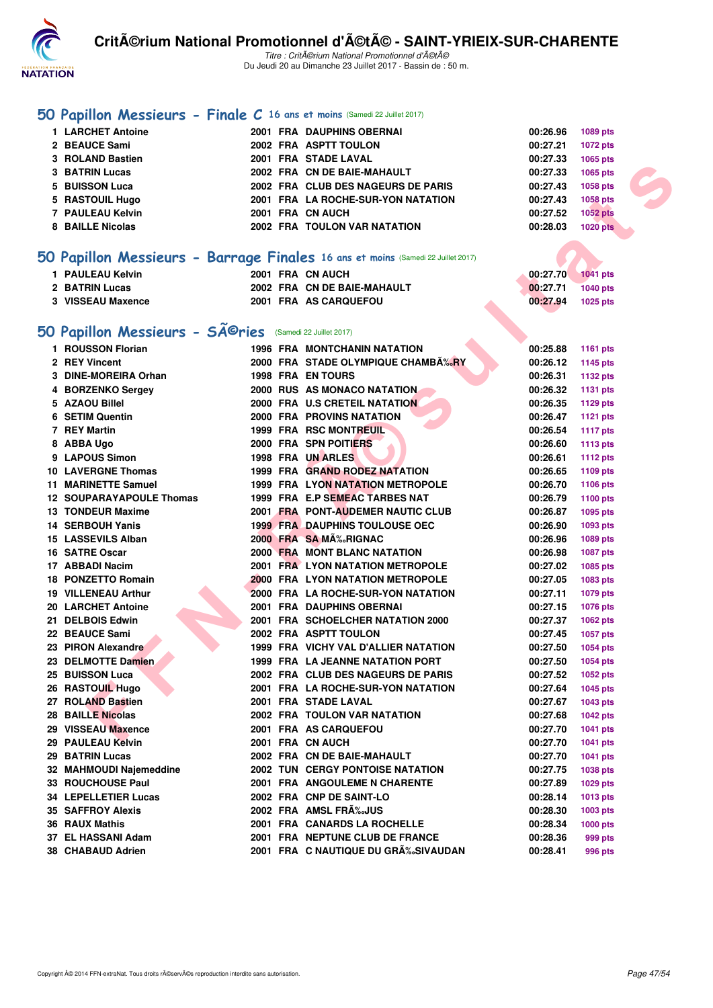

#### **[50 Papillon Messieurs - Finale C](http://www.ffnatation.fr/webffn/resultats.php?idact=nat&go=epr&idcpt=47489&idepr=81) 16 ans et moins** (Samedi 22 Juillet 2017)

| 1 LARCHET Antoine |  | 2001 FRA DAUPHINS OBERNAI          | 00:26.96 | 1089 pts        |
|-------------------|--|------------------------------------|----------|-----------------|
| 2 BEAUCE Sami     |  | 2002 FRA ASPTT TOULON              | 00:27.21 | 1072 pts        |
| 3 ROLAND Bastien  |  | 2001 FRA STADE LAVAL               | 00:27.33 | 1065 pts        |
| 3 BATRIN Lucas    |  | 2002 FRA CN DE BAIE-MAHAULT        | 00:27.33 | 1065 pts        |
| 5 BUISSON Luca    |  | 2002 FRA CLUB DES NAGEURS DE PARIS | 00:27.43 | 1058 pts        |
| 5 RASTOUIL Hugo   |  | 2001 FRA LA ROCHE-SUR-YON NATATION | 00:27.43 | 1058 pts        |
| 7 PAULEAU Kelvin  |  | 2001 FRA CN AUCH                   | 00:27.52 | <b>1052 pts</b> |
| 8 BAILLE Nicolas  |  | 2002 FRA TOULON VAR NATATION       | 00:28.03 | <b>1020 pts</b> |
|                   |  |                                    |          |                 |

## **[50 Papillon Messieurs - Barrage Finales](http://www.ffnatation.fr/webffn/resultats.php?idact=nat&go=epr&idcpt=47489&idepr=81) 16 ans et moins** (Samedi 22 Juillet 2017)

| 1 PAULEAU Kelvin         | 2001 FRA CN AUCH            | 00:27.70          | $\blacksquare$ 1041 pts |
|--------------------------|-----------------------------|-------------------|-------------------------|
| 2 BATRIN Lucas           | 2002 FRA CN DE BAIE-MAHAULT | 00:27.71 1040 pts |                         |
| <b>3 VISSEAU Maxence</b> | 2001 FRA AS CARQUEFOU       | 00:27.94          | 1025 pts                |

# 50 Papillon Messieurs - SÃ<sup>@</sup>ries (Samedi 22 Juillet 2017)

| 3 BATRIN Lucas                                                                   |  | 2002 FRA CN DE BAIE-MAHAULT             | 00:27.33 | 1065 pts        |
|----------------------------------------------------------------------------------|--|-----------------------------------------|----------|-----------------|
| 5 BUISSON Luca                                                                   |  | 2002 FRA CLUB DES NAGEURS DE PARIS      | 00:27.43 | 1058 pts        |
| 5 RASTOUIL Hugo                                                                  |  | 2001 FRA LA ROCHE-SUR-YON NATATION      | 00:27.43 | 1058 pts        |
| 7 PAULEAU Kelvin                                                                 |  | 2001 FRA CN AUCH                        | 00:27.52 | 1052 pts        |
| 8 BAILLE Nicolas                                                                 |  | 2002 FRA TOULON VAR NATATION            | 00:28.03 | <b>1020 pts</b> |
|                                                                                  |  |                                         |          |                 |
| 50 Papillon Messieurs - Barrage Finales 16 ans et moins (Samedi 22 Juillet 2017) |  |                                         |          |                 |
|                                                                                  |  |                                         |          |                 |
| 1 PAULEAU Kelvin                                                                 |  | 2001 FRA CN AUCH                        | 00:27.70 | <b>1041 pts</b> |
| 2 BATRIN Lucas                                                                   |  | 2002 FRA CN DE BAIE-MAHAULT             | 00:27.71 | <b>1040 pts</b> |
| 3 VISSEAU Maxence                                                                |  | 2001 FRA AS CARQUEFOU                   | 00:27.94 | <b>1025 pts</b> |
|                                                                                  |  |                                         |          |                 |
| 50 Papillon Messieurs - Sîries $(\textsf{Same}32 \textsf{Juilllet}2017)$         |  |                                         |          |                 |
| 1 ROUSSON Florian                                                                |  | <b>1996 FRA MONTCHANIN NATATION</b>     | 00:25.88 | 1161 pts        |
| 2 REY Vincent                                                                    |  | 2000 FRA STADE OLYMPIQUE CHAMBA‰RY      | 00:26.12 | 1145 pts        |
| 3 DINE-MOREIRA Orhan                                                             |  | <b>1998 FRA EN TOURS</b>                | 00:26.31 | 1132 pts        |
| 4 BORZENKO Sergey                                                                |  | 2000 RUS AS MONACO NATATION             | 00:26.32 | 1131 pts        |
| 5 AZAOU Billel                                                                   |  | 2000 FRA U.S CRETEIL NATATION           | 00:26.35 | 1129 pts        |
| 6 SETIM Quentin                                                                  |  | <b>2000 FRA PROVINS NATATION</b>        | 00:26.47 | <b>1121 pts</b> |
| 7 REY Martin                                                                     |  | 1999 FRA RSC MONTREUIL                  | 00:26.54 | <b>1117 pts</b> |
| 8 ABBA Ugo                                                                       |  | <b>2000 FRA SPN POITIERS</b>            | 00:26.60 | <b>1113 pts</b> |
| 9 LAPOUS Simon                                                                   |  | 1998 FRA UN ARLES                       | 00:26.61 | <b>1112 pts</b> |
| <b>10 LAVERGNE Thomas</b>                                                        |  | 1999 FRA GRAND RODEZ NATATION           | 00:26.65 | 1109 pts        |
| 11 MARINETTE Samuel                                                              |  | 1999 FRA LYON NATATION METROPOLE        | 00:26.70 | 1106 pts        |
| <b>12 SOUPARAYAPOULE Thomas</b>                                                  |  | 1999 FRA E.P SEMEAC TARBES NAT          | 00:26.79 | <b>1100 pts</b> |
| 13 TONDEUR Maxime                                                                |  | 2001 FRA PONT-AUDEMER NAUTIC CLUB       | 00:26.87 | <b>1095 pts</b> |
| 14 SERBOUH Yanis                                                                 |  | <b>1999 FRA DAUPHINS TOULOUSE OEC</b>   | 00:26.90 | 1093 pts        |
| 15 LASSEVILS Alban                                                               |  | 2000 FRA SA MA‰RIGNAC                   | 00:26.96 | 1089 pts        |
| 16 SATRE Oscar                                                                   |  | <b>2000 FRA MONT BLANC NATATION</b>     | 00:26.98 | <b>1087 pts</b> |
| 17 ABBADI Nacim                                                                  |  | <b>2001 FRA LYON NATATION METROPOLE</b> | 00:27.02 | 1085 pts        |
| 18 PONZETTO Romain                                                               |  | 2000 FRA LYON NATATION METROPOLE        | 00:27.05 | 1083 pts        |
| <b>19 VILLENEAU Arthur</b>                                                       |  | 2000 FRA LA ROCHE-SUR-YON NATATION      | 00:27.11 | 1079 pts        |
| 20 LARCHET Antoine                                                               |  | 2001 FRA DAUPHINS OBERNAI               | 00:27.15 | <b>1076 pts</b> |
| 21 DELBOIS Edwin                                                                 |  | 2001 FRA SCHOELCHER NATATION 2000       | 00:27.37 | <b>1062 pts</b> |
| 22 BEAUCE Sami                                                                   |  | 2002 FRA ASPTT TOULON                   | 00:27.45 | <b>1057 pts</b> |
| 23 PIRON Alexandre                                                               |  | 1999 FRA VICHY VAL D'ALLIER NATATION    | 00:27.50 | <b>1054 pts</b> |
| 23 DELMOTTE Damien                                                               |  | 1999 FRA LA JEANNE NATATION PORT        | 00:27.50 | <b>1054 pts</b> |
| 25 BUISSON Luca                                                                  |  | 2002 FRA CLUB DES NAGEURS DE PARIS      | 00:27.52 | 1052 pts        |
| 26 RASTOUIL Hugo                                                                 |  | 2001 FRA LA ROCHE-SUR-YON NATATION      | 00:27.64 | 1045 pts        |
| 27 ROLAND Bastien                                                                |  | 2001 FRA STADE LAVAL                    | 00:27.67 | <b>1043 pts</b> |
| <b>28 BAILLE Nicolas</b>                                                         |  | 2002 FRA TOULON VAR NATATION            | 00:27.68 | <b>1042 pts</b> |
| 29 VISSEAU Maxence                                                               |  | 2001 FRA AS CARQUEFOU                   | 00:27.70 | <b>1041 pts</b> |
| 29 PAULEAU Kelvin                                                                |  | 2001 FRA CN AUCH                        | 00:27.70 | <b>1041 pts</b> |
| <b>29 BATRIN Lucas</b>                                                           |  | 2002 FRA CN DE BAIE-MAHAULT             | 00:27.70 | 1041 pts        |
| 32 MAHMOUDI Najemeddine                                                          |  | <b>2002 TUN CERGY PONTOISE NATATION</b> | 00:27.75 | 1038 pts        |
| 33 ROUCHOUSE Paul                                                                |  | 2001 FRA ANGOULEME N CHARENTE           | 00:27.89 | 1029 pts        |
| <b>34 LEPELLETIER Lucas</b>                                                      |  | 2002 FRA CNP DE SAINT-LO                | 00:28.14 | <b>1013 pts</b> |
| <b>35 SAFFROY Alexis</b>                                                         |  | 2002 FRA AMSL FRA‰JUS                   | 00:28.30 | 1003 pts        |
| 36 RAUX Mathis                                                                   |  | 2001 FRA CANARDS LA ROCHELLE            | 00:28.34 | 1000 $pts$      |
| 37 EL HASSANI Adam                                                               |  | 2001 FRA NEPTUNE CLUB DE FRANCE         | 00:28.36 | 999 pts         |
| 38 CHABAUD Adrien                                                                |  | 2001 FRA C NAUTIQUE DU GRÉSIVAUDAN      | 00:28.41 | 996 pts         |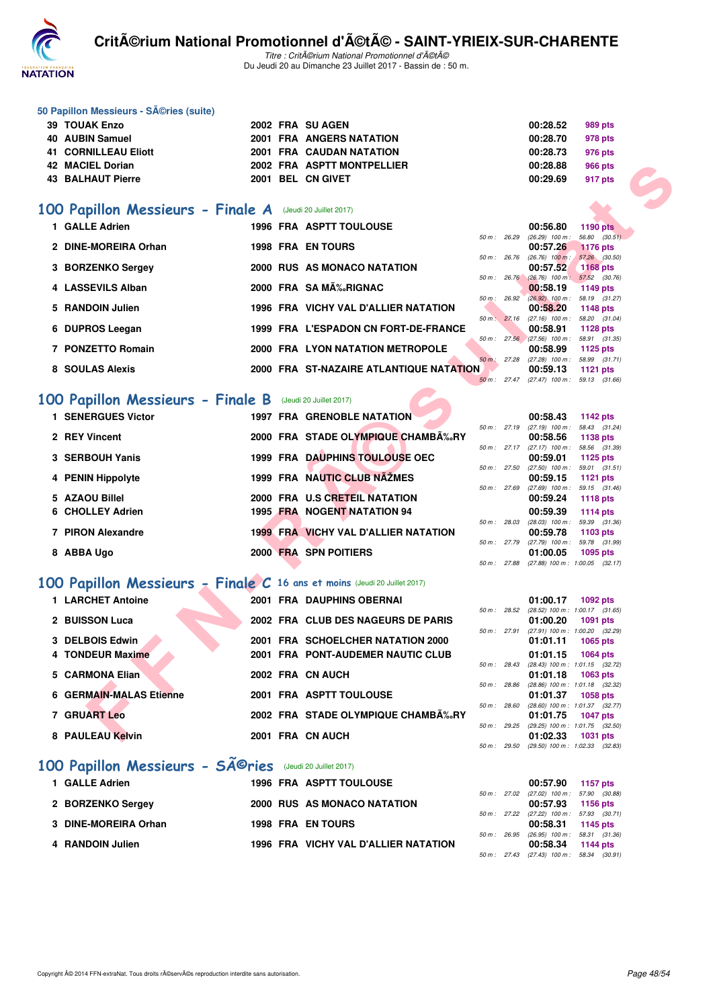

#### **50 Papillon Messieurs - Séries (suite)**

| <b>39 TOUAK Enzo</b> |  | 2002 FRA SU AGEN                | 00:28.52 | 989 pts |
|----------------------|--|---------------------------------|----------|---------|
| 40 AUBIN Samuel      |  | <b>2001 FRA ANGERS NATATION</b> | 00:28.70 | 978 pts |
| 41 CORNILLEAU Eliott |  | <b>2001 FRA CAUDAN NATATION</b> | 00:28.73 | 976 pts |
| 42 MACIEL Dorian     |  | 2002 FRA ASPTT MONTPELLIER      | 00:28.88 | 966 pts |
| 43 BALHAUT Pierre    |  | 2001 BEL CN GIVET               | 00:29.69 | 917 pts |

#### **[100 Papillon Messieurs - Finale A](http://www.ffnatation.fr/webffn/resultats.php?idact=nat&go=epr&idcpt=47489&idepr=82)** (Jeudi 20 Juillet 2017)

| 42 MACIEL Dorian                                                         |  | 2002 FRA ASPTT MONTPELLIER              |                | 00:28.88                                             | <b>966 pts</b>                   |  |
|--------------------------------------------------------------------------|--|-----------------------------------------|----------------|------------------------------------------------------|----------------------------------|--|
| <b>43 BALHAUT Pierre</b>                                                 |  | 2001 BEL CN GIVET                       |                | 00:29.69                                             | 917 pts                          |  |
|                                                                          |  |                                         |                |                                                      |                                  |  |
| <b>00 Papillon Messieurs - Finale A</b> (Jeudi 20 Juillet 2017)          |  |                                         |                |                                                      |                                  |  |
| 1 GALLE Adrien                                                           |  | <b>1996 FRA ASPTT TOULOUSE</b>          | $50 m$ : 26.29 | 00:56.80<br>$(26.29)$ 100 m :                        | <b>1190 pts</b><br>56.80 (30.51) |  |
| 2 DINE-MOREIRA Orhan                                                     |  | <b>1998 FRA EN TOURS</b>                |                | 00:57.26                                             | <b>1176 pts</b>                  |  |
| 3 BORZENKO Sergey                                                        |  | 2000 RUS AS MONACO NATATION             | 50 m: 26.76    | $(26.76)$ 100 m :<br>00:57.52                        | 57.26 (30.50)<br><b>1168 pts</b> |  |
| 4 LASSEVILS Alban                                                        |  | 2000 FRA SAMA‰RIGNAC                    | 50 m : 26.76   | $(26.76)$ 100 m : 57.52 $(30.76)$<br>00:58.19        | 1149 pts                         |  |
|                                                                          |  |                                         | 50 m: 26.92    | (26.92) 100 m: 58.19 (31.27)                         |                                  |  |
| 5 RANDOIN Julien                                                         |  | 1996 FRA VICHY VAL D'ALLIER NATATION    |                | 00:58.20<br>50 m: 27.16 (27.16) 100 m: 58.20 (31.04) | 1148 pts                         |  |
| 6 DUPROS Leegan                                                          |  | 1999 FRA L'ESPADON CN FORT-DE-FRANCE    |                | 00:58.91                                             | <b>1128 pts</b>                  |  |
| 7 PONZETTO Romain                                                        |  | 2000 FRA LYON NATATION METROPOLE        |                | 50 m: 27.56 (27.56) 100 m: 58.91 (31.35)<br>00:58.99 |                                  |  |
|                                                                          |  |                                         |                | 50 m: 27.28 (27.28) 100 m: 58.99 (31.71)             | 1125 pts                         |  |
| 8 SOULAS Alexis                                                          |  | 2000 FRA ST-NAZAIRE ATLANTIQUE NATATION |                | 00:59.13                                             | 1121 pts                         |  |
|                                                                          |  |                                         |                | 50 m: 27.47 (27.47) 100 m: 59.13 (31.66)             |                                  |  |
| <b>00 Papillon Messieurs - Finale B</b> (Jeudi 20 Juillet 2017)          |  |                                         |                |                                                      |                                  |  |
| <b>1 SENERGUES Victor</b>                                                |  | <b>1997 FRA GRENOBLE NATATION</b>       |                | 00:58.43                                             | 1142 pts                         |  |
| 2 REY Vincent                                                            |  | 2000 FRA STADE OLYMPIQUE CHAMBÉRY       |                | 50 m: 27.19 (27.19) 100 m: 58.43 (31.24)             |                                  |  |
|                                                                          |  |                                         | 50 m: 27.17    | 00:58.56<br>$(27.17)$ 100 m : 58.56 $(31.39)$        | 1138 pts                         |  |
| 3 SERBOUH Yanis                                                          |  | 1999 FRA DAUPHINS TOULOUSE OEC          |                | 00:59.01                                             | 1125 pts                         |  |
| 4 PENIN Hippolyte                                                        |  | 1999 FRA NAUTIC CLUB NAZMES             | 50 m : 27.50   | $(27.50)$ 100 m : 59.01 $(31.51)$<br>00:59.15        | <b>1121 pts</b>                  |  |
|                                                                          |  |                                         | 50 m: 27.69    | $(27.69)$ 100 m : 59.15 $(31.46)$                    |                                  |  |
| 5 AZAOU Billel                                                           |  | 2000 FRA U.S CRETEIL NATATION           |                | 00:59.24                                             | <b>1118 pts</b>                  |  |
| 6 CHOLLEY Adrien                                                         |  | 1995 FRA NOGENT NATATION 94             |                | 00:59.39<br>50 m: 28.03 (28.03) 100 m: 59.39 (31.36) | <b>1114 pts</b>                  |  |
| 7 PIRON Alexandre                                                        |  | 1999 FRA VICHY VAL D'ALLIER NATATION    |                | 00:59.78                                             | 1103 pts                         |  |
| 8 ABBA Ugo                                                               |  | 2000 FRA SPN POITIERS                   | 50 m : 27.79   | (27.79) 100 m: 59.78 (31.99)<br>01:00.05             | 1095 pts                         |  |
|                                                                          |  |                                         | 50 m: 27.88    | $(27.88)$ 100 m : 1:00.05 $(32.17)$                  |                                  |  |
| 00 Papillon Messieurs - Finale C 16 ans et moins (Jeudi 20 Juillet 2017) |  |                                         |                |                                                      |                                  |  |
| 1 LARCHET Antoine                                                        |  | 2001 FRA DAUPHINS OBERNAI               |                | 01:00.17                                             | 1092 pts                         |  |
|                                                                          |  |                                         | 50 m: 28.52    | (28.52) 100 m: 1:00.17 (31.65)                       |                                  |  |
| 2 BUISSON Luca                                                           |  | 2002 FRA CLUB DES NAGEURS DE PARIS      | 50 m : 27.91   | 01:00.20<br>(27.91) 100 m : 1:00.20 (32.29)          | 1091 pts                         |  |
| 3 DELBOIS Edwin                                                          |  | 2001 FRA SCHOELCHER NATATION 2000       |                | 01:01.11                                             | 1065 pts                         |  |
| 4 TONDEUR Maxime                                                         |  | 2001 FRA PONT-AUDEMER NAUTIC CLUB       |                | 01:01.15                                             | <b>1064 pts</b>                  |  |
| 5 CARMONA Elian                                                          |  | 2002 FRA CN AUCH                        | 50 m: 28.43    | (28.43) 100 m: 1:01.15 (32.72)<br>01:01.18           | 1063 pts                         |  |
|                                                                          |  |                                         | 50 m: 28.86    | (28.86) 100 m: 1:01.18 (32.32)                       |                                  |  |
| <b>6 GERMAIN-MALAS Etienne</b>                                           |  | 2001 FRA ASPTT TOULOUSE                 | 50 m : 28.60   | 01:01.37<br>(28.60) 100 m: 1:01.37 (32.77)           | <b>1058 pts</b>                  |  |
| 7 GRUART Leo                                                             |  | 2002 FRA STADE OLYMPIQUE CHAMB‰RY       |                | 01:01.75                                             | <b>1047 pts</b>                  |  |
| 8 PAULEAU Kelvin                                                         |  | 2001 FRA CN AUCH                        | 50 m: 29.25    | (29.25) 100 m: 1:01.75 (32.50)<br>01:02.33           | 1031 pts                         |  |
|                                                                          |  |                                         |                |                                                      |                                  |  |

## **[100 Papillon Messieurs - Finale B](http://www.ffnatation.fr/webffn/resultats.php?idact=nat&go=epr&idcpt=47489&idepr=82)** (Jeudi 20 Juillet 2017)

| <b>1 SENERGUES Victor</b> |  | <b>1997 FRA GRENOBLE NATATION</b>           |                        |                | 00:58.43                                 | 1142 pts                      |  |
|---------------------------|--|---------------------------------------------|------------------------|----------------|------------------------------------------|-------------------------------|--|
|                           |  |                                             |                        | 50 m: 27.19    | $(27.19)$ 100 m : 58.43 (31.             |                               |  |
| 2 REY Vincent             |  | 2000 FRA STADE OLYMPIQUE CHAMB‰RY           |                        | $50 m$ : 27.17 | 00:58.56<br>$(27.17)$ 100 m : 58.56 (31. | 1138 pts                      |  |
| 3 SERBOUH Yanis           |  | <b>1999 FRA DAUPHINS TOULOUSE OEC</b>       |                        |                | 00:59.01                                 | 1125 pts                      |  |
|                           |  |                                             |                        | 50 m: 27.50    | $(27.50)$ 100 m :                        | 59.01 (31.                    |  |
| 4 PENIN Hippolyte         |  | 1999 FRA NAUTIC CLUB NAZMES                 |                        |                | 00:59.15                                 | 1121 pts                      |  |
| 5 AZAOU Billel            |  | 2000 FRA U.S CRETEIL NATATION               | $50 \text{ m}$ : 27.69 |                | $(27.69)$ 100 m :<br>00:59.24            | 59.15 (31.<br><b>1118 pts</b> |  |
| 6 CHOLLEY Adrien          |  | 1995 FRA NOGENT NATATION 94                 |                        |                | 00:59.39                                 | 1114 pts                      |  |
|                           |  |                                             |                        | 50 m: 28.03    | $(28.03)$ 100 m : 59.39 (31.             |                               |  |
| 7 PIRON Alexandre         |  | <b>1999 FRA VICHY VAL D'ALLIER NATATION</b> |                        |                | 00:59.78                                 | 1103 pts                      |  |
| 8 ABBA Ugo                |  | 2000 FRA SPN POITIERS                       |                        | 50 m: 27.79    | $(27.79)$ 100 m :<br>01:00.05            | 59.78 (31.<br>1095 pts        |  |
|                           |  |                                             |                        |                |                                          |                               |  |

# **[100 Papillon Messieurs - Finale C](http://www.ffnatation.fr/webffn/resultats.php?idact=nat&go=epr&idcpt=47489&idepr=82) 16 ans et moins** (Jeudi 20 Juillet 2017)

|                                                                                                                                                              |  |                                                                                                                                                                                                                                                   |       | 01:00.17                                   | 1092 pts                                       |                                                                                                                                                                                                          |
|--------------------------------------------------------------------------------------------------------------------------------------------------------------|--|---------------------------------------------------------------------------------------------------------------------------------------------------------------------------------------------------------------------------------------------------|-------|--------------------------------------------|------------------------------------------------|----------------------------------------------------------------------------------------------------------------------------------------------------------------------------------------------------------|
|                                                                                                                                                              |  |                                                                                                                                                                                                                                                   |       | 01:00.20                                   | 1091 pts                                       |                                                                                                                                                                                                          |
|                                                                                                                                                              |  |                                                                                                                                                                                                                                                   |       | 01:01.11                                   | 1065 pts                                       |                                                                                                                                                                                                          |
|                                                                                                                                                              |  |                                                                                                                                                                                                                                                   |       | 01:01.15                                   | 1064 pts                                       |                                                                                                                                                                                                          |
|                                                                                                                                                              |  |                                                                                                                                                                                                                                                   |       | 01:01.18                                   | 1063 pts                                       |                                                                                                                                                                                                          |
|                                                                                                                                                              |  |                                                                                                                                                                                                                                                   | 28.86 | 01:01.37                                   | 1058 pts                                       |                                                                                                                                                                                                          |
|                                                                                                                                                              |  |                                                                                                                                                                                                                                                   | 28.60 | 01:01.75                                   | <b>1047 pts</b>                                |                                                                                                                                                                                                          |
|                                                                                                                                                              |  |                                                                                                                                                                                                                                                   |       | 01:02.33                                   | 1031 pts                                       |                                                                                                                                                                                                          |
| 1 LARCHET Antoine<br>2 BUISSON Luca<br>3 DELBOIS Edwin<br>4 TONDEUR Maxime<br>5 CARMONA Elian<br>6 GERMAIN-MALAS Etienne<br>7 GRUART Leo<br>8 PAULEAU Kelvin |  | 2001 FRA DAUPHINS OBERNAI<br>2002 FRA CLUB DES NAGEURS DE PARIS<br>2001 FRA SCHOELCHER NATATION 2000<br>2001 FRA PONT-AUDEMER NAUTIC CLUB<br>2002 FRA CN AUCH<br>2001 FRA ASPTT TOULOUSE<br>2002 FRA STADE OLYMPIQUE CHAMB‰RY<br>2001 FRA CN AUCH |       | 50 m :<br>50 m :<br>$50 \text{ m}$ : 29.25 | 50 m : 28.52<br>$50 m$ : 27.91<br>50 m : 28.43 | $(28.52)$ 100 m : 1:00.17 (31.<br>(27.91) 100 m : 1:00.20 (32.<br>$(28.43)$ 100 m : 1:01.15 (32.<br>$(28.86)$ 100 m : 1:01.18 $(32.$<br>$(28.60)$ 100 m : 1:01.37 (32.<br>$(29.25)$ 100 m : 1:01.75 (32. |

## 100 Papillon Messieurs - SÃ<sup>©</sup>ries (Jeudi 20 Juillet 2017)

| 1 GALLE Adrien       | <b>1996 FRA ASPTT TOULOUSE</b>       |  | 00:57.90 1157 pts                                          |  |
|----------------------|--------------------------------------|--|------------------------------------------------------------|--|
| 2 BORZENKO Sergey    | 2000 RUS AS MONACO NATATION          |  | 50 m: 27.02 (27.02) 100 m: 57.90 (30.<br>00:57.93 1156 pts |  |
| 3 DINE-MOREIRA Orhan | <b>1998 FRA EN TOURS</b>             |  | 50 m: 27.22 (27.22) 100 m: 57.93 (30.<br>00:58.31 1145 pts |  |
| 4 RANDOIN Julien     | 1996 FRA VICHY VAL D'ALLIER NATATION |  | 50 m: 26.95 (26.95) 100 m: 58.31 (31.<br>00:58.34 1144 pts |  |
|                      |                                      |  |                                                            |  |

|                |              | 00:58.43                     | 1142 $pts$          |
|----------------|--------------|------------------------------|---------------------|
| 50 m: 27.19    |              | $(27.19)$ 100 m :            | 58.43 (31.24)       |
|                |              | 00:58.56                     | 1138 pts            |
| $50 m$ : 27.17 |              | $(27.17)$ 100 m :            | 58.56 (31.39)       |
|                |              | 00:59.01                     | 1125 pts            |
| 50 m: 27.50    |              | $(27.50)$ 100 m :            | 59.01 (31.51)       |
|                |              | 00:59.15                     | $1121$ pts          |
| 50 m: 27.69    |              | $(27.69)$ 100 m :            | 59.15 (31.46)       |
|                |              | 00:59.24                     | 1118 $pts$          |
|                |              | 00:59.39                     | 1114 $pts$          |
|                | 50 m : 28.03 | $(28.03)$ 100 m :            | 59.39 (31.36)       |
|                |              | 00:59.78                     | 1103 pts            |
| 50 m: 27.79    |              | $(27.79)$ 100 m :            | 59.78 (31.99)       |
|                |              | 01:00.05                     | 1095 pts            |
|                |              | 50 m : 27.88 (27.88) 100 m : | $1:00.05$ $(32.17)$ |

|                |       | 01:00.17          | 1092 pts            |  |
|----------------|-------|-------------------|---------------------|--|
| $50 m$ :       | 28.52 | $(28.52)$ 100 m : | $1:00.17$ $(31.65)$ |  |
|                |       | 01:00.20          | 1091 pts            |  |
| $50 m$ :       | 27.91 | $(27.91)$ 100 m : | 1:00.20 (32.29)     |  |
|                |       | 01:01.11          | 1065 pts            |  |
|                |       | 01:01.15          | 1064 pts            |  |
| 50 m:          | 28.43 | $(28.43)$ 100 m : | $1:01.15$ $(32.72)$ |  |
|                |       | 01:01.18          | 1063 pts            |  |
| $50 m$ :       | 28.86 | $(28.86)$ 100 m : | $1:01.18$ $(32.32)$ |  |
|                |       | 01:01.37          | <b>1058 pts</b>     |  |
| $50 m$ :       | 28.60 | $(28.60)$ 100 m : | $1:01.37$ $(32.77)$ |  |
|                |       | 01:01.75          | 1047 pts            |  |
| $50 m$ : 29.25 |       | $(29.25)$ 100 m : | $1:01.75$ $(32.50)$ |  |
|                |       | 01:02.33          | 1031 pts            |  |
| $50 m$ :       | 29.50 | (29.50) 100 m :   | $1:02.33$ $(32.83)$ |  |

|              | 00:57.90                       | 1157 pts      |
|--------------|--------------------------------|---------------|
|              | 50 m: 27.02 (27.02) 100 m:     | 57.90 (30.88) |
|              | 00:57.93                       | 1156 pts      |
|              | 50 m: 27.22 (27.22) 100 m:     | 57.93 (30.71) |
|              | 00:58.31                       | 1145 pts      |
| 50 m : 26.95 | $(26.95)$ 100 m :              | 58.31 (31.36) |
|              | 00:58.34                       | 1144 $pts$    |
|              | $50 m$ : 27.43 (27.43) 100 m : | 58.34 (30.91) |
|              |                                |               |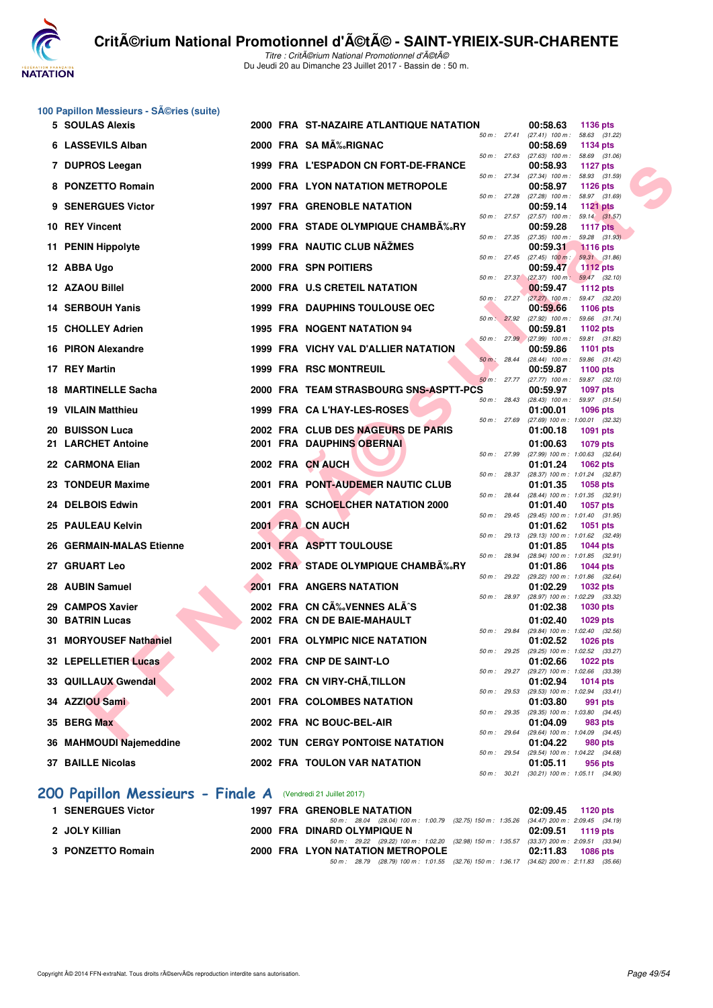

Titre : CritA©rium National Promotionnel d'A©tA© Du Jeudi 20 au Dimanche 23 Juillet 2017 - Bassin de : 50 m.

| 100 Papillon Messieurs - SA©ries (suite) |  |  |  |
|------------------------------------------|--|--|--|
|------------------------------------------|--|--|--|

|     | <b>5 SOULAS Alexis</b>                                       |  | 2000 FRA ST-NAZAIRE ATLANTIQUE NATATION                                |              |                | 00:58.63                                             | <b>1136 pts</b>                  |  |
|-----|--------------------------------------------------------------|--|------------------------------------------------------------------------|--------------|----------------|------------------------------------------------------|----------------------------------|--|
|     | 6 LASSEVILS Alban                                            |  | 2000 FRA SAMA‰RIGNAC                                                   | 50 m: 27.41  |                | $(27.41)$ 100 m : 58.63 $(31.22)$<br>00:58.69        | 1134 pts                         |  |
|     | 7 DUPROS Leegan                                              |  | 1999 FRA L'ESPADON CN FORT-DE-FRANCE                                   | 50 m: 27.63  |                | $(27.63)$ 100 m : 58.69 $(31.06)$<br>00:58.93        | 1127 pts                         |  |
|     |                                                              |  |                                                                        | 50 m : 27.34 |                | (27.34) 100 m: 58.93 (31.59)                         |                                  |  |
|     | 8 PONZETTO Romain                                            |  | 2000 FRA LYON NATATION METROPOLE                                       |              | 50 m : 27.28   | 00:58.97<br>$(27.28)$ 100 m : 58.97 $(31.69)$        | 1126 $pts$                       |  |
|     | 9 SENERGUES Victor                                           |  | <b>1997 FRA GRENOBLE NATATION</b>                                      |              |                | 00:59.14                                             | <b>1121 pts</b>                  |  |
|     | 10 REY Vincent                                               |  | 2000 FRA STADE OLYMPIQUE CHAMB‰RY                                      |              | 50 m : 27.57   | $(27.57)$ 100 m : 59.14 $(31.57)$<br>00:59.28        | 1117 $pts$                       |  |
|     | 11 PENIN Hippolyte                                           |  | 1999 FRA NAUTIC CLUB NAŽMES                                            | 50 m : 27.35 |                | (27.35) 100 m :<br>00:59.31                          | 59.28 (31.93)<br><b>1116 pts</b> |  |
|     |                                                              |  |                                                                        | 50 m: 27.45  |                | $(27.45)$ 100 m :                                    | 59.31 (31.86)                    |  |
|     | 12 ABBA Ugo                                                  |  | 2000 FRA SPN POITIERS                                                  |              | $50 m$ : 27.37 | 00:59.47<br>$(27.37)$ 100 m:                         | 1112 $pts$<br>59.47 (32.10)      |  |
|     | 12 AZAOU Billel                                              |  | 2000 FRA U.S CRETEIL NATATION                                          |              | 50 m : 27.27   | 00:59.47<br>$(27.27)$ 100 m : 59.47 $(32.20)$        | 1112 pts                         |  |
|     | 14 SERBOUH Yanis                                             |  | <b>1999 FRA DAUPHINS TOULOUSE OEC</b>                                  |              |                | 00:59.66                                             | 1106 pts                         |  |
|     | 15 CHOLLEY Adrien                                            |  | <b>1995 FRA NOGENT NATATION 94</b>                                     |              |                | 50 m: 27.92 (27.92) 100 m: 59.66 (31.74)<br>00:59.81 | <b>1102 pts</b>                  |  |
|     |                                                              |  |                                                                        |              |                | 50 m : 27.99 (27.99) 100 m : 59.81 (31.82)           |                                  |  |
| 16. | <b>PIRON Alexandre</b>                                       |  | 1999 FRA VICHY VAL D'ALLIER NATATION                                   | 50 m : 28.44 |                | 00:59.86<br>$(28.44)$ 100 m : 59.86 $(31.42)$        | <b>1101 pts</b>                  |  |
|     | 17 REY Martin                                                |  | <b>1999 FRA RSC MONTREUIL</b>                                          | 50 m: 27.77  |                | 00:59.87                                             | 1100 pts                         |  |
| 18. | <b>MARTINELLE Sacha</b>                                      |  | 2000 FRA TEAM STRASBOURG SNS-ASPTT-PCS                                 |              |                | $(27.77)$ 100 m : 59.87 $(32.10)$<br>00:59.97        | 1097 pts                         |  |
| 19  | <b>VILAIN Matthieu</b>                                       |  | 1999 FRA CA L'HAY-LES-ROSES                                            | 50 m : 28.43 |                | (28.43) 100 m: 59.97 (31.54)<br>01:00.01             | <b>1096 pts</b>                  |  |
|     |                                                              |  |                                                                        | 50 m : 27.69 |                | (27.69) 100 m: 1:00.01 (32.32)                       |                                  |  |
|     | <b>20 BUISSON Luca</b><br>21 LARCHET Antoine                 |  | 2002 FRA CLUB DES NAGEURS DE PARIS<br><b>2001 FRA DAUPHINS OBERNAI</b> |              |                | 01:00.18<br>01:00.63                                 | <b>1091 pts</b><br>1079 pts      |  |
|     |                                                              |  |                                                                        | 50 m : 27.99 |                | $(27.99)$ 100 m : 1:00.63 $(32.64)$                  |                                  |  |
|     | 22 CARMONA Elian                                             |  | 2002 FRA CN AUCH                                                       |              | 50 m : 28.37   | 01:01.24<br>(28.37) 100 m : 1:01.24 (32.87)          | <b>1062 pts</b>                  |  |
|     | 23 TONDEUR Maxime                                            |  | 2001 FRA PONT-AUDEMER NAUTIC CLUB                                      |              |                | 01:01.35                                             | <b>1058 pts</b>                  |  |
|     | 24 DELBOIS Edwin                                             |  | 2001 FRA SCHOELCHER NATATION 2000                                      | 50 m : 28.44 |                | (28.44) 100 m: 1:01.35 (32.91)<br>01:01.40           | <b>1057 pts</b>                  |  |
| 25. | <b>PAULEAU Kelvin</b>                                        |  | 2001 FRA CN AUCH                                                       | 50 m : 29.45 |                | (29.45) 100 m: 1:01.40 (31.95)<br>01:01.62           | 1051 pts                         |  |
|     |                                                              |  |                                                                        | 50 m: 29.13  |                | (29.13) 100 m: 1:01.62 (32.49)                       |                                  |  |
| 26. | <b>GERMAIN-MALAS Etienne</b>                                 |  | <b>2001 FRA ASPTT TOULOUSE</b>                                         | 50 m : 28.94 |                | 01:01.85<br>(28.94) 100 m: 1:01.85 (32.91)           | <b>1044 pts</b>                  |  |
| 27  | <b>GRUART Leo</b>                                            |  | 2002 FRA STADE OLYMPIQUE CHAMB‰RY                                      |              |                | 01:01.86                                             | 1044 pts                         |  |
| 28  | <b>AUBIN Samuel</b>                                          |  | <b>2001 FRA ANGERS NATATION</b>                                        |              | 50 m : 29.22   | (29.22) 100 m: 1:01.86 (32.64)<br>01:02.29           | <b>1032 pts</b>                  |  |
|     | 29 CAMPOS Xavier                                             |  | 2002 FRA CN C‰VENNES ALÃ^S                                             |              | 50 m : 28.97   | (28.97) 100 m : 1:02.29 (33.32)<br>01:02.38          | 1030 pts                         |  |
|     | <b>30 BATRIN Lucas</b>                                       |  | 2002 FRA CN DE BAIE-MAHAULT                                            |              |                | 01:02.40                                             | 1029 pts                         |  |
|     | 31 MORYOUSEF Nathaniel                                       |  | 2001 FRA OLYMPIC NICE NATATION                                         | 50 m : 29.84 |                | $(29.84)$ 100 m : 1:02.40 $(32.56)$<br>01:02.52      | <b>1026 pts</b>                  |  |
|     |                                                              |  |                                                                        |              |                | 50 m: 29.25 (29.25) 100 m: 1:02.52 (33.27)           |                                  |  |
|     | 32 LEPELLETIER Lucas                                         |  | 2002 FRA CNP DE SAINT-LO                                               |              | 50 m : 29.27   | 01:02.66<br>(29.27) 100 m : 1:02.66 (33.39)          | <b>1022 pts</b>                  |  |
|     | 33 QUILLAUX Gwendal                                          |  | 2002 FRA CN VIRY-CHÂ, TILLON                                           |              |                | 01:02.94                                             | 1014 pts                         |  |
| 34  | <b>AZZIOU Sami</b>                                           |  | <b>2001 FRA COLOMBES NATATION</b>                                      |              | 50 m : 29.53   | $(29.53)$ 100 m : 1:02.94 $(33.41)$<br>01:03.80      | 991 pts                          |  |
| 35  | <b>BERG Max</b>                                              |  | 2002 FRA NC BOUC-BEL-AIR                                               |              | 50 m : 29.35   | (29.35) 100 m: 1:03.80 (34.45)<br>01:04.09           | 983 pts                          |  |
|     |                                                              |  |                                                                        | 50 m : 29.64 |                | $(29.64)$ 100 m : 1:04.09 $(34.45)$                  |                                  |  |
| 36  | <b>MAHMOUDI Najemeddine</b>                                  |  | <b>2002 TUN CERGY PONTOISE NATATION</b>                                |              | 50 m : 29.54   | 01:04.22<br>(29.54) 100 m: 1:04.22 (34.68)           | 980 pts                          |  |
|     | <b>37 BAILLE Nicolas</b>                                     |  | 2002 FRA TOULON VAR NATATION                                           |              |                | 01:05.11                                             | 956 pts                          |  |
|     | 200 Papillon Messieurs - Finale A (Vendredi 21 Juillet 2017) |  |                                                                        |              | 50 m : 30.21   | $(30.21)$ 100 m : 1:05.11 $(34.90)$                  |                                  |  |

| 1 SENERGUES Victor |  | <b>1997 FRA GRENOBLE NATATION</b>                                                           | 02:09.45 1120 pts |                   |
|--------------------|--|---------------------------------------------------------------------------------------------|-------------------|-------------------|
|                    |  | 50 m : 28.04 (28.04) 100 m : 1:00.79 (32.75) 150 m : 1:35.26 (34.47) 200 m : 2:09.45 (34.19 |                   |                   |
| 2 JOLY Killian     |  | 2000 FRA DINARD OLYMPIQUE N                                                                 |                   | 02:09.51 1119 pts |
|                    |  | 50 m : 29.22 (29.22) 100 m : 1:02.20 (32.98) 150 m : 1:35.57 (33.37) 200 m : 2:09.51 (33.94 |                   |                   |
| 3 PONZETTO Romain  |  | 2000 FRA LYON NATATION METROPOLE                                                            | 02:11.83 1086 pts |                   |
|                    |  | 50 m : 28.79 (28.79) 100 m : 1:01.55 (32.76) 150 m : 1:36.17 (34.62) 200 m : 2:11.83 (35.66 |                   |                   |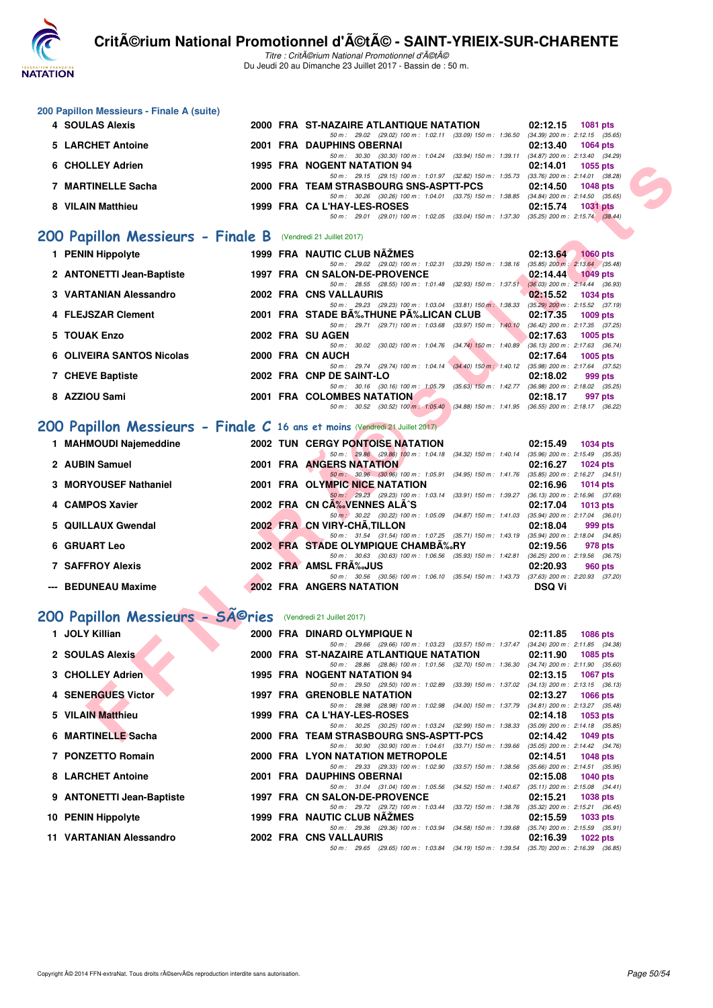

Titre : CritA©rium National Promotionnel d'A©tA© Du Jeudi 20 au Dimanche 23 Juillet 2017 - Bassin de : 50 m.

| 200 Papillon Messieurs - Finale A (suite) |        |                                                                     |                           |                                     |
|-------------------------------------------|--------|---------------------------------------------------------------------|---------------------------|-------------------------------------|
| 4 SOULAS Alexis                           |        | 2000 FRA ST-NAZAIRE ATLANTIQUE NATATION                             | 02:12.15                  | 1081 pts                            |
|                                           |        | 50 m: 29.02 (29.02) 100 m: 1:02.11 (33.09) 150 m: 1:36.50           |                           | $(34.39)$ 200 m : 2:12.15 $(35.65)$ |
| 5 LARCHET Antoine                         |        | 2001 FRA DAUPHINS OBERNAI                                           | 02:13.40                  | 1064 pts                            |
|                                           |        | 50 m: 30.30 (30.30) 100 m: 1:04.24<br>$(33.94)$ 150 m : 1:39.11     |                           | $(34.87)$ 200 m : 2:13.40 $(34.29)$ |
| 6 CHOLLEY Adrien                          |        | 1995 FRA NOGENT NATATION 94                                         | 02:14.01                  | 1055 pts                            |
|                                           |        | 50 m: 29.15 (29.15) 100 m: 1:01.97 (32.82) 150 m: 1:35.73           |                           | $(33.76)$ 200 m : 2:14.01 $(38.28)$ |
| <b>MARTINELLE Sacha</b>                   |        | 2000 FRA TEAM STRASBOURG SNS-ASPTT-PCS                              | 02:14.50                  | <b>1048 pts</b>                     |
|                                           |        | (33.75) 150 m : 1:38.85<br>(30.26) 100 m : 1:04.01<br>50 m : 30.26  |                           | $(34.84)$ 200 m : 2:14.50 $(35.65)$ |
| 8 VILAIN Matthieu                         |        | 1999 FRA CA L'HAY-LES-ROSES                                         | 02:15.74                  | <b>1031 pts</b>                     |
|                                           |        | $(29.01)$ 100 m : 1:02.05<br>(33.04) 150 m : 1:37.30<br>50 m: 29.01 | $(35.25)$ 200 m : 2:15.74 | (38.44)                             |
| <br>$\bullet$<br>                         | $\sim$ |                                                                     |                           |                                     |

#### **[200 Papillon Messieurs - Finale B](http://www.ffnatation.fr/webffn/resultats.php?idact=nat&go=epr&idcpt=47489&idepr=83)** (Vendredi 21 Juillet 2017)

| 6 CHOLLEY Adrien                                                            |  | 1995 FRA NOGENT NATATION 94                                                                                                         | 02:14.01      | 1055 pts          |  |
|-----------------------------------------------------------------------------|--|-------------------------------------------------------------------------------------------------------------------------------------|---------------|-------------------|--|
| 7 MARTINELLE Sacha                                                          |  | 50 m: 29.15 (29.15) 100 m: 1:01.97 (32.82) 150 m: 1:35.73 (33.76) 200 m: 2:14.01 (38.28)<br>2000 FRA TEAM STRASBOURG SNS-ASPTT-PCS  | 02:14.50      | <b>1048 pts</b>   |  |
|                                                                             |  | 50 m: 30.26 (30.26) 100 m: 1:04.01 (33.75) 150 m: 1:38.85 (34.84) 200 m: 2:14.50 (35.65)                                            |               |                   |  |
| 8 VILAIN Matthieu                                                           |  | 1999 FRA CA L'HAY-LES-ROSES                                                                                                         | 02:15.74      | <b>1031 pts</b>   |  |
|                                                                             |  | 50 m: 29.01 (29.01) 100 m: 1.02.05 (33.04) 150 m: 1.37.30 (35.25) 200 m: 2:15.74 (38.44)                                            |               |                   |  |
| OO Papillon Messieurs - Finale B (Vendredi 21 Juillet 2017)                 |  |                                                                                                                                     |               |                   |  |
| 1 PENIN Hippolyte                                                           |  | 1999 FRA NAUTIC CLUB NAZMES                                                                                                         |               | 02:13.64 1060 pts |  |
| 2 ANTONETTI Jean-Baptiste                                                   |  | 50 m: 29.02 (29.02) 100 m: 1:02.31 (33.29) 150 m: 1:38.16 (35.85) 200 m: 2:13.64 (35.48)<br>1997 FRA CN SALON-DE-PROVENCE           | 02:14.44      | <b>1049 pts</b>   |  |
|                                                                             |  | 50 m: 28.55 (28.55) 100 m: 1:01.48 (32.93) 150 m: 1:37.51 (36.03) 200 m: 2:14.44 (36.93)                                            |               |                   |  |
| 3 VARTANIAN Alessandro                                                      |  | 2002 FRA CNS VALLAURIS<br>50 m: 29.23 (29.23) 100 m: 1:03.04 (33.81) 150 m: 1:38.33 (35.29) 200 m: 2:15.52 (37.19)                  | 02:15.52      | 1034 pts          |  |
| 4 FLEJSZAR Clement                                                          |  | 2001 FRA STADE BĉTHUNE PĉLICAN CLUB                                                                                                 | 02:17.35      | $1009$ pts        |  |
|                                                                             |  | 50 m: 29.71 (29.71) 100 m: 1:03.68 (33.97) 150 m: 1:40.10 (36.42) 200 m: 2:17.35 (37.25)                                            |               |                   |  |
| 5 TOUAK Enzo                                                                |  | 2002 FRA SU AGEN                                                                                                                    | 02:17.63      | $1005$ pts        |  |
| 6 OLIVEIRA SANTOS Nicolas                                                   |  | 50 m: 30.02 (30.02) 100 m: 1:04.76 (34.74) 150 m: 1:40.89 (36.13) 200 m: 2:17.63 (36.74)<br>2000 FRA CN AUCH                        | 02:17.64      |                   |  |
|                                                                             |  | 50 m: 29.74 (29.74) 100 m: 1:04.14 (34.40) 150 m: 1:40.12 (35.98) 200 m: 2:17.64 (37.52)                                            |               | <b>1005 pts</b>   |  |
| 7 CHEVE Baptiste                                                            |  | 2002 FRA CNP DE SAINT-LO                                                                                                            | 02:18.02      | 999 pts           |  |
|                                                                             |  | 50 m: 30.16 (30.16) 100 m: 1:05.79 (35.63) 150 m: 1:42.77 (36.98) 200 m: 2:18.02 (35.25)                                            |               |                   |  |
| 8 AZZIOU Sami                                                               |  | <b>2001 FRA COLOMBES NATATION</b>                                                                                                   | 02:18.17      | 997 pts           |  |
|                                                                             |  | 50 m: 30.52 (30.52) 100 m: 1:05.40 (34.88) 150 m: 1:41.95 (36.55) 200 m: 2:18.17 (36.22)                                            |               |                   |  |
| 00 Papillon Messieurs - Finale C 16 ans et moins (Vendredi 21 Juillet 2017) |  |                                                                                                                                     |               |                   |  |
| 1 MAHMOUDI Najemeddine                                                      |  | <b>2002 TUN CERGY PONTOISE NATATION</b>                                                                                             | 02:15.49      | <b>1034 pts</b>   |  |
|                                                                             |  | 50 m: 29.86 (29.86) 100 m: 1:04.18 (34.32) 150 m: 1:40.14 (35.96) 200 m: 2:15.49 (35.35)                                            |               |                   |  |
| 2 AUBIN Samuel                                                              |  | <b>2001 FRA ANGERS NATATION</b>                                                                                                     | 02:16.27      | <b>1024 pts</b>   |  |
|                                                                             |  | 50 m : 30.96 (30.96) 100 m : 1:05.91 (34.95) 150 m : 1:41.76 (35.85) 200 m : 2:16.27 (34.51)                                        |               |                   |  |
| 3 MORYOUSEF Nathaniel                                                       |  | 2001 FRA OLYMPIC NICE NATATION<br>50 m: 29.23 (29.23) 100 m: 1:03.14 (33.91) 150 m: 1:39.27 (36.13) 200 m: 2:16.96 (37.69)          | 02:16.96      | <b>1014 pts</b>   |  |
| 4 CAMPOS Xavier                                                             |  | 2002 FRA CN CA‰VENNES ALA^S                                                                                                         | 02:17.04      | $1013$ pts        |  |
|                                                                             |  | 50 m: 30.22 (30.22) 100 m: 1:05.09 (34.87) 150 m: 1:41.03 (35.94) 200 m: 2:17.04 (36.01)                                            |               |                   |  |
| 5 QUILLAUX Gwendal                                                          |  | 2002 FRA CN VIRY-CHA, TILLON                                                                                                        | 02:18.04      | 999 pts           |  |
|                                                                             |  | 50 m: 31.54 (31.54) 100 m: 1:07.25 (35.71) 150 m: 1:43.19 (35.94) 200 m: 2:18.04 (34.85)                                            |               |                   |  |
| 6 GRUART Leo                                                                |  | 2002 FRA STADE OLYMPIQUE CHAMBA%RY<br>50 m: 30.63 (30.63) 100 m: 1:06.56 (35.93) 150 m: 1:42.81 (36.25) 200 m: 2:19.56 (36.75)      | 02:19.56      | 978 pts           |  |
| <b>7 SAFFROY Alexis</b>                                                     |  | 2002 FRA AMSL FRA‰JUS                                                                                                               | 02:20.93      | 960 pts           |  |
|                                                                             |  | 50 m: 30.56 (30.56) 100 m: 1:06.10 (35.54) 150 m: 1:43.73 (37.63) 200 m: 2:20.93 (37.20)                                            |               |                   |  |
| --- BEDUNEAU Maxime                                                         |  | <b>2002 FRA ANGERS NATATION</b>                                                                                                     | <b>DSQ Vi</b> |                   |  |
|                                                                             |  |                                                                                                                                     |               |                   |  |
| 00 Papillon Messieurs - Séries                                              |  | (Vendredi 21 Juillet 2017)                                                                                                          |               |                   |  |
| 1 JOLY Killian                                                              |  | 2000 FRA DINARD OLYMPIQUE N                                                                                                         | 02:11.85      | <b>1086 pts</b>   |  |
|                                                                             |  | 50 m: 29.66 (29.66) 100 m: 1:03.23 (33.57) 150 m: 1:37.47 (34.24) 200 m: 2:11.85 (34.38)                                            |               |                   |  |
| 2 SOULAS Alexis                                                             |  | 2000 FRA ST-NAZAIRE ATLANTIQUE NATATION<br>50 m: 28.86 (28.86) 100 m: 1:01.56 (32.70) 150 m: 1:36.30 (34.74) 200 m: 2:11.90 (35.60) | 02:11.90      | <b>1085 pts</b>   |  |
| 3 CHOLLEY Adrien                                                            |  | 1995 FRA NOGENT NATATION 94                                                                                                         | 02:13.15      | <b>1067 pts</b>   |  |
|                                                                             |  | 50 m: 29.50 (29.50) 100 m: 1:02.89 (33.39) 150 m: 1:37.02 (34.13) 200 m: 2:13.15 (36.13)                                            |               |                   |  |
| 4 SENERGUES Victor                                                          |  | 1997 FRA GRENOBLE NATATION                                                                                                          | 02:13.27      | <b>1066 pts</b>   |  |
|                                                                             |  | 50 m: 28.98 (28.98) 100 m: 1:02.98 (34.00) 150 m: 1:37.79 (34.81) 200 m: 2:13.27 (35.48)                                            |               |                   |  |
| 5 VILAIN Matthieu                                                           |  | 1999 FRA CA L'HAY-LES-ROSES                                                                                                         | 02:14.18      | 1053 pts          |  |
| 6 MARTINELLE Sacha                                                          |  | 50 m: 30.25 (30.25) 100 m: 1:03.24 (32.99) 150 m: 1:38.33 (35.09) 200 m: 2:14.18 (35.85)<br>2000 FRA TEAM STRASBOURG SNS-ASPTT-PCS  | 02:14.42      | 1049 pts          |  |
|                                                                             |  |                                                                                                                                     |               |                   |  |

## **[200 Papillon Messieurs - Finale C](http://www.ffnatation.fr/webffn/resultats.php?idact=nat&go=epr&idcpt=47489&idepr=83) 16 ans et moins** (Vendredi 21 Juillet 2017)

| 1 MAHMOUDI Najemeddine  |  | <b>2002 TUN CERGY PONTOISE NATATION</b>                      | 02:15.49                            | 1034 pts        |
|-------------------------|--|--------------------------------------------------------------|-------------------------------------|-----------------|
|                         |  | 50 m: 29.86 (29.86) 100 m: 1:04.18 (34.32) 150 m: 1:40.14    | $(35.96)$ 200 m : 2:15.49 $(35.35)$ |                 |
| 2 AUBIN Samuel          |  | 2001 FRA ANGERS NATATION                                     | 02:16.27                            | <b>1024 pts</b> |
|                         |  | 50 m: 30.96 (30.96) 100 m: 1:05.91 (34.95) 150 m: 1:41.76    | $(35.85)$ 200 m : 2:16.27 $(34.51)$ |                 |
| 3 MORYOUSEF Nathaniel   |  | 2001 FRA OLYMPIC NICE NATATION                               | 02:16.96                            | 1014 $pts$      |
|                         |  | 50 m: 29.23 (29.23) 100 m: 1:03.14 (33.91) 150 m: 1:39.27    | $(36.13)$ 200 m : 2:16.96 $(37.69)$ |                 |
| 4 CAMPOS Xavier         |  | 2002 FRA CN CA  VENNES ALA S                                 | 02:17.04                            | 1013 $pts$      |
|                         |  | 50 m : 30.22 (30.22) 100 m : 1:05.09 (34.87) 150 m : 1:41.03 | (35.94) 200 m : 2:17.04 (36.01)     |                 |
| 5 QUILLAUX Gwendal      |  | 2002 FRA CN VIRY-CHA.TILLON                                  | 02:18.04                            | 999 pts         |
|                         |  | 50 m: 31.54 (31.54) 100 m: 1:07.25 (35.71) 150 m: 1:43.19    | (35.94) 200 m : 2:18.04 (34.85      |                 |
| <b>6 GRUART Leo</b>     |  | 2002 FRA STADE OLYMPIQUE CHAMBA‰RY                           | 02:19.56                            | 978 pts         |
|                         |  | 50 m: 30.63 (30.63) 100 m: 1:06.56 (35.93) 150 m: 1:42.81    | $(36.25)$ 200 m : 2:19.56 $(36.75)$ |                 |
| <b>7 SAFFROY Alexis</b> |  | 2002 FRA AMSL FRA%JUS                                        | 02:20.93                            | 960 pts         |
|                         |  | 50 m: 30.56 (30.56) 100 m: 1:06.10 (35.54) 150 m: 1:43.73    | $(37.63)$ 200 m : 2:20.93 $(37.20)$ |                 |
| --- BEDUNEAU Maxime     |  | <b>2002 FRA ANGERS NATATION</b>                              | <b>DSQ Vi</b>                       |                 |

## 200 Papillon Messieurs - SÃ<sup>©</sup>ries (Vendredi 21 Juillet 2017)

| 1 JOLY Killian            |  | 2000 FRA DINARD OLYMPIQUE N                                                                 | 02:11.85                       | <b>1086 pts</b>                     |
|---------------------------|--|---------------------------------------------------------------------------------------------|--------------------------------|-------------------------------------|
|                           |  | 50 m: 29.66 (29.66) 100 m: 1:03.23 (33.57) 150 m: 1:37.47 (34.24) 200 m: 2:11.85 (34.38     |                                |                                     |
| 2 SOULAS Alexis           |  | 2000 FRA ST-NAZAIRE ATLANTIQUE NATATION 02:11.90                                            |                                | 1085 pts                            |
|                           |  | 50 m: 28.86 (28.86) 100 m: 1:01.56 (32.70) 150 m: 1:36.30 (34.74) 200 m: 2:11.90 (35.60     |                                |                                     |
| 3 CHOLLEY Adrien          |  | 1995 FRA NOGENT NATATION 94                                                                 | 02:13.15                       | <b>1067 pts</b>                     |
|                           |  | 50 m: 29.50 (29.50) 100 m: 1:02.89 (33.39) 150 m: 1:37.02                                   |                                | $(34.13)$ 200 m : 2:13.15 $(36.13)$ |
| 4 SENERGUES Victor        |  | <b>1997 FRA GRENOBLE NATATION</b>                                                           | 02:13.27                       | <b>1066 pts</b>                     |
|                           |  | 50 m: 28.98 (28.98) 100 m: 1:02.98 (34.00) 150 m: 1:37.79                                   | (34.81) 200 m : 2:13.27 (35.48 |                                     |
| 5 VILAIN Matthieu         |  | 1999 FRA CA L'HAY-LES-ROSES                                                                 | 02:14.18                       | 1053 pts                            |
|                           |  | 50 m: 30.25 (30.25) 100 m: 1:03.24 (32.99) 150 m: 1:38.33 (35.09) 200 m: 2:14.18 (35.85     |                                |                                     |
| 6 MARTINELLE Sacha        |  | 2000 FRA TEAM STRASBOURG SNS-ASPTT-PCS 02:14.42                                             |                                | 1049 pts                            |
|                           |  | 50 m: 30.90 (30.90) 100 m: 1:04.61 (33.71) 150 m: 1:39.66 (35.05) 200 m: 2:14.42 (34.76     |                                |                                     |
| 7 PONZETTO Romain         |  | 2000 FRA LYON NATATION METROPOLE                                                            | 02:14.51                       | 1048 pts                            |
|                           |  | 50 m: 29.33 (29.33) 100 m: 1:02.90 (33.57) 150 m: 1:38.56 (35.66) 200 m: 2:14.51 (35.95     |                                |                                     |
| 8 LARCHET Antoine         |  | 2001 FRA DAUPHINS OBERNAI                                                                   | 02:15.08                       | 1040 pts                            |
|                           |  | 50 m: 31.04 (31.04) 100 m: 1:05.56 (34.52) 150 m: 1:40.67                                   |                                | $(35.11)$ 200 m : 2:15.08 $(34.41)$ |
| 9 ANTONETTI Jean-Baptiste |  | 1997 FRA CN SALON-DE-PROVENCE                                                               | 02:15.21                       | 1038 pts                            |
|                           |  | 50 m: 29.72 (29.72) 100 m: 1:03.44 (33.72) 150 m: 1:38.76 (35.32) 200 m: 2:15.21 (36.45     |                                |                                     |
| 10 PENIN Hippolyte        |  | <b>1999 FRA NAUTIC CLUB NAZMES</b>                                                          | 02:15.59                       | 1033 pts                            |
|                           |  | 50 m: 29.36 (29.36) 100 m: 1:03.94 (34.58) 150 m: 1:39.68 (35.74) 200 m: 2:15.59 (35.91     |                                |                                     |
| 11 VARTANIAN Alessandro   |  | 2002 FRA CNS VALLAURIS                                                                      | 02:16.39                       | 1022 pts                            |
|                           |  | 50 m : 29.65 (29.65) 100 m : 1:03.84 (34.19) 150 m : 1:39.54 (35.70) 200 m : 2:16.39 (36.85 |                                |                                     |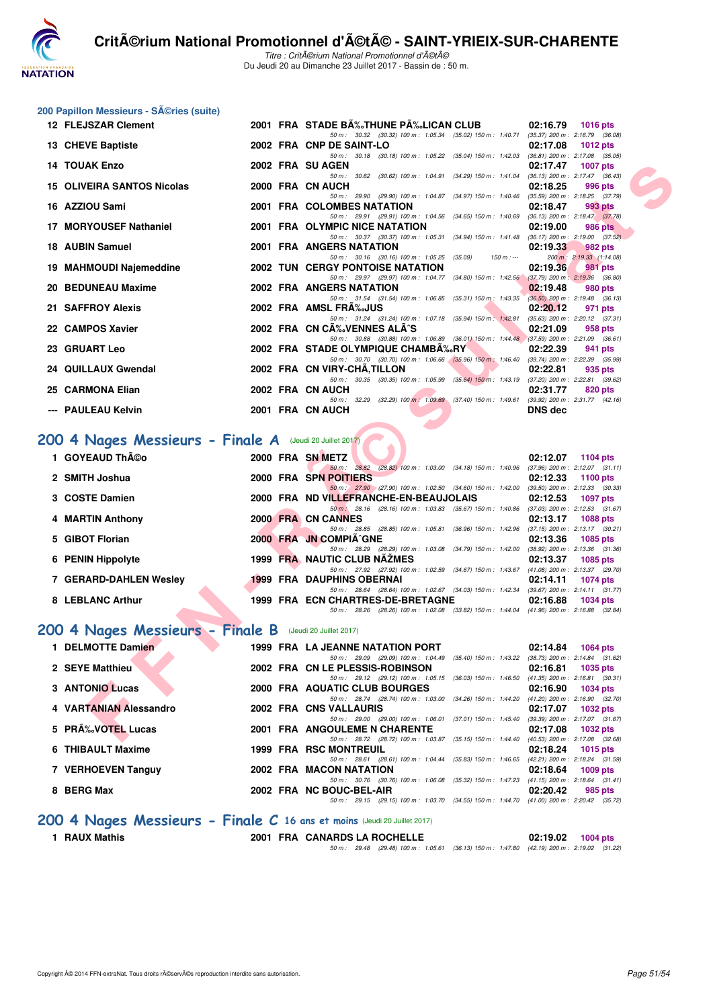

Titre : Critérium National Promotionnel d'été Du Jeudi 20 au Dimanche 23 Juillet 2017 - Bassin de : 50 m.

## **200 Papillon Messieurs - Séries (suite)**

| 12 FLEJSZAR Clement                                                          |  | 2001 FRA STADE B‰THUNE P‰LICAN CLUB                                                                                                 | 02:16.79<br><b>1016 pts</b> |
|------------------------------------------------------------------------------|--|-------------------------------------------------------------------------------------------------------------------------------------|-----------------------------|
| 13 CHEVE Baptiste                                                            |  | 50 m: 30.32 (30.32) 100 m: 1:05.34 (35.02) 150 m: 1:40.71 (35.37) 200 m: 2:16.79 (36.08)<br>2002 FRA CNP DE SAINT-LO                | 02:17.08<br>1012 pts        |
| <b>14 TOUAK Enzo</b>                                                         |  | 50 m: 30.18 (30.18) 100 m: 1:05.22 (35.04) 150 m: 1:42.03 (36.81) 200 m: 2:17.08 (35.05)<br>2002 FRA SU AGEN                        | 02:17.47<br><b>1007 pts</b> |
|                                                                              |  | 50 m: 30.62 (30.62) 100 m: 1:04.91 (34.29) 150 m: 1:41.04 (36.13) 200 m: 2:17.47 (36.43)                                            |                             |
| <b>15 OLIVEIRA SANTOS Nicolas</b>                                            |  | 2000 FRA CN AUCH<br>50 m: 29.90 (29.90) 100 m: 1:04.87 (34.97) 150 m: 1:40.46 (35.59) 200 m: 2:18.25 (37.79)                        | 02:18.25<br>996 pts         |
| 16 AZZIOU Sami                                                               |  | 2001 FRA COLOMBES NATATION                                                                                                          | 02:18.47<br>993 pts         |
| 17 MORYOUSEF Nathaniel                                                       |  | 50 m: 29.91 (29.91) 100 m: 1:04.56 (34.65) 150 m: 1:40.69 (36.13) 200 m: 2:18.47 (37.78)<br>2001 FRA OLYMPIC NICE NATATION          | 02:19.00<br><b>986 pts</b>  |
| 18 AUBIN Samuel                                                              |  | 50 m: 30.37 (30.37) 100 m: 1:05.31 (34.94) 150 m: 1:41.48 (36.17) 200 m: 2:19.00 (37.52)<br>2001 FRA ANGERS NATATION                | 02:19.33<br>982 pts         |
|                                                                              |  | 50 m: 30.16 (30.16) 100 m: 1:05.25 (35.09)<br>$150 m: -$                                                                            | 200 m: 2:19.33 (1:14.08)    |
| 19 MAHMOUDI Najemeddine                                                      |  | <b>2002 TUN CERGY PONTOISE NATATION</b><br>50 m: 29.97 (29.97) 100 m: 1:04.77 (34.80) 150 m: 1:42.56 (37.79) 200 m: 2:19.36 (36.80) | 02:19.36<br><b>981 pts</b>  |
| 20 BEDUNEAU Maxime                                                           |  | 2002 FRA ANGERS NATATION                                                                                                            | 02:19.48<br>980 pts         |
| 21 SAFFROY Alexis                                                            |  | 50 m: 31.54 (31.54) 100 m: 1:06.85 (35.31) 150 m: 1:43.35 (36.50) 200 m: 2:19.48 (36.13)<br>2002 FRA AMSL FRA%JUS                   | 02:20.12<br>971 pts         |
| 22 CAMPOS Xavier                                                             |  | 50 m: 31.24 (31.24) 100 m: 1:07.18 (35.94) 150 m: 1:42.81 (35.63) 200 m: 2:20.12 (37.31)<br>2002 FRA CN CA‰VENNES ALA^S             | 958 pts                     |
|                                                                              |  | 50 m : 30.88 (30.88) 100 m : 1:06.89 (36.01) 150 m : 1:44.48 (37.59) 200 m : 2:21.09 (36.61)                                        | 02:21.09                    |
| 23 GRUART Leo                                                                |  | 2002 FRA STADE OLYMPIQUE CHAMBA‰RY                                                                                                  | 02:22.39<br>941 pts         |
| 24 QUILLAUX Gwendal                                                          |  | 50 m: 30.70 (30.70) 100 m: 1:06.66 (35.96) 150 m: 1:46.40 (39.74) 200 m: 2:22.39 (35.99)<br>2002 FRA CN VIRY-CHA, TILLON            | 02:22.81<br>935 pts         |
|                                                                              |  | 50 m: 30.35 (30.35) 100 m: 1:05.99 (35.64) 150 m: 1:43.19 (37.20) 200 m: 2:22.81 (39.62)                                            |                             |
| 25 CARMONA Elian                                                             |  | 2002 FRA CN AUCH                                                                                                                    | 02:31.77<br>820 pts         |
| --- PAULEAU Kelvin                                                           |  | 50 m: 32.29 (32.29) 100 m: 1:09.69 (37.40) 150 m: 1:49.61 (39.92) 200 m: 2:31.77 (42.16)<br>2001 FRA CN AUCH                        | DNS dec                     |
|                                                                              |  |                                                                                                                                     |                             |
| $100$ 4 Nages Messieurs - Finale A (Jeudi 20 Juillet 2017)<br>1 GOYEAUD Théo |  | 2000 FRA SN METZ                                                                                                                    | 02:12.07<br>1104 pts        |
|                                                                              |  | 50 m: 28.82 (28.82) 100 m: 1:03.00 (34.18) 150 m: 1:40.96 (37.96) 200 m: 2:12.07 (31.11)                                            |                             |
| 2 SMITH Joshua                                                               |  | 2000 FRA SPN POITIERS<br>50 m : 27.90 (27.90) 100 m : 1:02.50 (34.60) 150 m : 1:42.00 (39.50) 200 m : 2:12.33 (30.33)               | 02:12.33<br>1100 pts        |
| 3 COSTE Damien                                                               |  | 2000 FRA ND VILLEFRANCHE-EN-BEAUJOLAIS                                                                                              | 02:12.53<br><b>1097 pts</b> |
| 4 MARTIN Anthony                                                             |  | 50 m 28.16 (28.16) 100 m : 1:03.83 (35.67) 150 m : 1:40.86 (37.03) 200 m : 2:12.53 (31.67)<br>2000 FRA CN CANNES                    | 02:13.17<br><b>1088 pts</b> |
|                                                                              |  | 50 m: 28.85 (28.85) 100 m: 1:05.81 (36.96) 150 m: 1:42.96 (37.15) 200 m: 2:13.17 (30.21)                                            |                             |
| 5 GIBOT Florian                                                              |  | 2000 FRA JN COMPIA^GNE<br>50 m: 28.29 (28.29) 100 m: 1:03.08 (34.79) 150 m: 1:42.00 (38.92) 200 m: 2:13.36 (31.36)                  | 02:13.36<br><b>1085 pts</b> |
| 6 PENIN Hippolyte                                                            |  | 1999 FRA NAUTIC CLUB NAZMES                                                                                                         | 02:13.37<br><b>1085 pts</b> |
|                                                                              |  | 50 m: 27.92 (27.92) 100 m: 1:02.59 (34.67) 150 m: 1:43.67 (41.08) 200 m: 2:13.37 (29.70)                                            |                             |
| 7 GERARD-DAHLEN Wesley                                                       |  | <b>1999 FRA DAUPHINS OBERNAI</b><br>50 m: 28.64 (28.64) 100 m: 1:02.67 (34.03) 150 m: 1:42.34 (39.67) 200 m: 2:14.11 (31.77)        | 02:14.11<br><b>1074 pts</b> |
| 8 LEBLANC Arthur                                                             |  | 1999 FRA ECN CHARTRES-DE-BRETAGNE                                                                                                   | 02:16.88<br><b>1034 pts</b> |
| 100 4 Nages Messieurs - Finale B (Jeudi 20 Juillet 2017)                     |  | 50 m: 28.26 (28.26) 100 m: 1:02.08 (33.82) 150 m: 1:44.04 (41.96) 200 m: 2:16.88 (32.84)                                            |                             |
| 1 DELMOTTE Damien                                                            |  | 1999 FRA LA JEANNE NATATION PORT                                                                                                    | 02:14.84<br><b>1064 pts</b> |
| 2 SEYE Matthieu                                                              |  | 50 m: 29.09 (29.09) 100 m: 1:04.49 (35.40) 150 m: 1:43.22 (38.73) 200 m: 2:14.84 (31.62)<br>2002 FRA CN LE PLESSIS-ROBINSON         | 1035 pts                    |
|                                                                              |  | 50 m: 29.12 (29.12) 100 m: 1:05.15 (36.03) 150 m: 1:46.50 (41.35) 200 m: 2:16.81 (30.31)                                            | 02:16.81                    |
| 3 ANTONIO Lucas                                                              |  | 2000 FRA AQUATIC CLUB BOURGES                                                                                                       | 02:16.90<br><b>1034 pts</b> |
| 4 VARTANIAN Alessandro                                                       |  | 50 m: 28.74 (28.74) 100 m: 1:03.00 (34.26) 150 m: 1:44.20 (41.20) 200 m: 2:16.90 (32.70)<br>2002 FRA CNS VALLAURIS                  | 02:17.07<br><b>1032 pts</b> |
| 5 PRA% VOTEL Lucas                                                           |  | 50 m: 29.00 (29.00) 100 m: 1:06.01 (37.01) 150 m: 1:45.40 (39.39) 200 m: 2:17.07 (31.67)<br>2001 FRA ANGOULEME N CHARENTE           | 02:17.08<br>1032 pts        |

#### **[200 4 Nages Messieurs - Finale A](http://www.ffnatation.fr/webffn/resultats.php?idact=nat&go=epr&idcpt=47489&idepr=91)** (Jeudi 20 Juillet 2017)

| 1 GOYEAUD ThA©o        |  | 2000 FRA SN METZ                 |                                                                                          |                           | 02:12.07 | $1104$ pts                          |
|------------------------|--|----------------------------------|------------------------------------------------------------------------------------------|---------------------------|----------|-------------------------------------|
|                        |  |                                  | 50 m: 28.82 (28.82) 100 m: 1:03.00 (34.18) 150 m: 1:40.96 (37.96) 200 m: 2:12.07 (31.11) |                           |          |                                     |
| 2 SMITH Joshua         |  | 2000 FRA SPN POITIERS            |                                                                                          |                           | 02:12.33 | 1100 pts                            |
|                        |  |                                  | 50 m : 27.90 (27.90) 100 m : 1:02.50 (34.60) 150 m : 1:42.00                             |                           |          | $(39.50)$ 200 m : 2:12.33 $(30.33)$ |
| 3 COSTE Damien         |  |                                  | 2000 FRA ND VILLEFRANCHE-EN-BEAUJOLAIS                                                   |                           | 02:12.53 | 1097 pts                            |
|                        |  |                                  | 50 m : 28.16 (28.16) 100 m : 1:03.83 (35.67) 150 m : 1:40.86                             |                           |          | $(37.03)$ 200 m : 2:12.53 $(31.67)$ |
| 4 MARTIN Anthony       |  | 2000 FRA CN CANNES               |                                                                                          |                           | 02:13.17 | 1088 pts                            |
|                        |  |                                  | 50 m: 28.85 (28.85) 100 m: 1:05.81 (36.96) 150 m: 1:42.96                                |                           |          | $(37.15)$ 200 m : 2:13.17 $(30.21)$ |
| 5 GIBOT Florian        |  | 2000 FRA JN COMPIÄ GNE           |                                                                                          |                           | 02:13.36 | 1085 pts                            |
|                        |  |                                  | 50 m: 28.29 (28.29) 100 m: 1:03.08 (34.79) 150 m: 1:42.00                                |                           |          | $(38.92)$ 200 m : 2:13.36 $(31.36)$ |
| 6 PENIN Hippolyte      |  | 1999 FRA NAUTIC CLUB NAZMES      |                                                                                          |                           | 02:13.37 | 1085 pts                            |
|                        |  |                                  | 50 m: 27.92 (27.92) 100 m: 1:02.59                                                       | $(34.67)$ 150 m : 1:43.67 |          | (41.08) 200 m : 2:13.37 (29.70)     |
| 7 GERARD-DAHLEN Wesley |  | <b>1999 FRA DAUPHINS OBERNAI</b> |                                                                                          |                           | 02:14.11 | 1074 pts                            |
|                        |  |                                  | 50 m : 28.64 (28.64) 100 m : 1:02.67 (34.03) 150 m : 1:42.34                             |                           |          | $(39.67)$ 200 m : 2:14.11 $(31.77)$ |
| 8 LEBLANC Arthur       |  |                                  | 1999 FRA ECN CHARTRES-DE-BRETAGNE                                                        |                           | 02:16.88 | 1034 pts                            |
|                        |  |                                  | 50 m : 28.26 (28.26) 100 m : 1:02.08 (33.82) 150 m : 1:44.04                             |                           |          | $(41.96)$ 200 m : 2:16.88 $(32.84)$ |

## **[200 4 Nages Messieurs - Finale B](http://www.ffnatation.fr/webffn/resultats.php?idact=nat&go=epr&idcpt=47489&idepr=91)** (Jeudi 20 Juillet 2017)

| 1 DELMOTTE Damien      |  | 1999 FRA LA JEANNE NATATION PORT                                                                                            |                           | 02:14.84 | 1064 pts                                                                           |
|------------------------|--|-----------------------------------------------------------------------------------------------------------------------------|---------------------------|----------|------------------------------------------------------------------------------------|
| 2 SEYE Matthieu        |  | 50 m : 29.09 (29.09) 100 m : 1:04.49<br>2002 FRA CN LE PLESSIS-ROBINSON                                                     | (35.40) 150 m : 1:43.22   | 02:16.81 | $(38.73)$ 200 m : 2:14.84 $(31.62)$<br>1035 pts                                    |
| 3 ANTONIO Lucas        |  | 50 m: 29.12 (29.12) 100 m: 1:05.15<br>2000 FRA AQUATIC CLUB BOURGES                                                         | $(36.03)$ 150 m : 1:46.50 | 02:16.90 | $(41.35)$ 200 m : 2:16.81 (30.31)<br>1034 pts                                      |
| 4 VARTANIAN Alessandro |  | 50 m : 28.74 (28.74) 100 m : 1:03.00<br>2002 FRA CNS VALLAURIS<br>50 m: 29.00 (29.00) 100 m: 1:06.01 (37.01) 150 m: 1:45.40 | (34.26) 150 m : 1:44.20   | 02:17.07 | $(41.20)$ 200 m : 2:16.90 $(32.70)$<br>1032 pts<br>(39.39) 200 m : 2:17.07 (31.67) |
| 5 PR‰VOTEL Lucas       |  | 2001 FRA ANGOULEME N CHARENTE<br>50 m : 28.72 (28.72) 100 m : 1:03.87 (35.15) 150 m : 1:44.40                               |                           | 02:17.08 | 1032 pts<br>(40.53) 200 m : 2:17.08 (32.68)                                        |
| 6 THIBAULT Maxime      |  | <b>1999 FRA RSC MONTREUIL</b><br>50 m : 28.61 (28.61) 100 m : 1:04.44                                                       | (35.83) 150 m : 1:46.65   | 02:18.24 | $1015$ pts<br>(42.21) 200 m : 2:18.24 (31.59)                                      |
| 7 VERHOEVEN Tanguy     |  | 2002 FRA MACON NATATION<br>50 m : 30.76 (30.76) 100 m : 1:06.08 (35.32) 150 m : 1:47.23                                     |                           | 02:18.64 | $1009$ pts<br>$(41.15)$ 200 m : 2:18.64 $(31.41)$                                  |
| 8 BERG Max             |  | 2002 FRA NC BOUC-BEL-AIR                                                                                                    |                           | 02:20.42 | 985 pts                                                                            |
|                        |  | 50 m: 29.15 (29.15) 100 m: 1:03.70 (34.55) 150 m: 1:44.70 (41.00) 200 m: 2:20.42 (35.72                                     |                           |          |                                                                                    |

# **200 4 Nages Messieurs - Finale C** 16 ans et moins (Jeudi 20 Juillet 2017)<br>**1 RAUX Mathis 2001 FRA CANARDS LA ROCHELLE**

50 m : 29.48 (29.48) 100 m : 1:05.61 (36.13) 150 m : 1:47.80 (42.19) 200 m : 2:19.02 (31.22)

**1 RAUX Mathis 2001 FRA CANARDS LA ROCHELLE 02:19.02 1004 pts**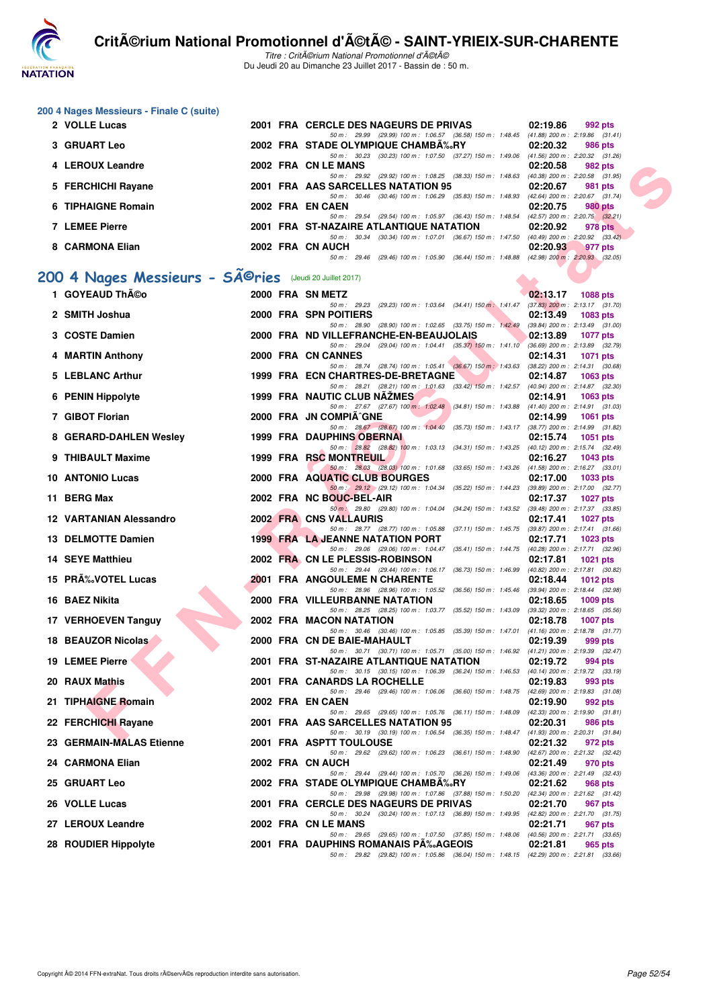

| 200 4 Nages Messieurs - Finale C (suite) |  |  |
|------------------------------------------|--|--|
|------------------------------------------|--|--|

| 2 VOLLE Lucas         |  | 2001 FRA CERCLE DES NAGEURS DE PRIVAS                                                                |                                                     | 02:19.86                                   | 992 pts |
|-----------------------|--|------------------------------------------------------------------------------------------------------|-----------------------------------------------------|--------------------------------------------|---------|
|                       |  | 50 m: 29.99 (29.99) 100 m: 1:06.57 (36.58) 150 m: 1:48.45                                            |                                                     | $(41.88)$ 200 m : 2:19.86 $(31.41)$        |         |
| <b>3 GRUART Leo</b>   |  | 2002 FRA STADE OLYMPIQUE CHAMBA%RY                                                                   |                                                     | 02:20.32                                   | 986 pts |
|                       |  | (30.23) 100 m : 1:07.50 (37.27) 150 m : 1:49.06<br>50 m : 30.23                                      |                                                     | (41.56) 200 m : 2:20.32 (31.26             |         |
| 4 LEROUX Leandre      |  | 2002 FRA CN LE MANS                                                                                  |                                                     | 02:20.58                                   | 982 pts |
|                       |  | 50 m: 29.92 (29.92) 100 m: 1:08.25 (38.33) 150 m: 1:48.63                                            |                                                     | (40.38) 200 m : 2:20.58 (31.95)            |         |
| 5 FERCHICHI Rayane    |  | 2001 FRA AAS SARCELLES NATATION 95                                                                   |                                                     | 02:20.67                                   | 981 pts |
|                       |  | 50 m : 30.46                                                                                         | $(30.46)$ 100 m : 1:06.29 $(35.83)$ 150 m : 1:48.93 | (42.64) 200 m : 2:20.67 (31.74             |         |
| 6 TIPHAIGNE Romain    |  | 2002 FRA EN CAEN                                                                                     |                                                     | 02:20.75                                   | 980 pts |
| <b>7 LEMEE Pierre</b> |  | 50 m: 29.54 (29.54) 100 m: 1:05.97 (36.43) 150 m: 1:48.54<br>2001 FRA ST-NAZAIRE ATLANTIQUE NATATION |                                                     | (42.57) 200 m : 2:20.75 (32.21<br>02:20.92 | 978 pts |
|                       |  | 50 m : 30.34                                                                                         | $(30.34)$ 100 m : 1:07.01 $(36.67)$ 150 m : 1:47.50 | (40.49) 200 m : 2:20.92 (33.42)            |         |
| 8 CARMONA Elian       |  | 2002 FRA CN AUCH                                                                                     |                                                     | 02:20.93                                   | 977 pts |
|                       |  | 50 m : 29.46                                                                                         | (29.46) 100 m : 1:05.90 (36.44) 150 m : 1:48.88     | $(42.98)$ 200 m : $2:20.93$ $(32.05)$      |         |
|                       |  |                                                                                                      |                                                     |                                            |         |

# 200 4 Nages Messieurs - SÃ<sup>@</sup>ries (Jeudi 20 Juillet 2017)

| 4 LEROUX Leandre                                                    |  | 2002 FRA CN LE MANS                                                                                                                     | 02:20.58 | 982 pts                                    |
|---------------------------------------------------------------------|--|-----------------------------------------------------------------------------------------------------------------------------------------|----------|--------------------------------------------|
| 5 FERCHICHI Rayane                                                  |  | 50 m: 29.92 (29.92) 100 m: 1:08.25 (38.33) 150 m: 1:48.63 (40.38) 200 m: 2:20.58 (31.95)<br>2001 FRA AAS SARCELLES NATATION 95          | 02:20.67 | 981 pts                                    |
| 6 TIPHAIGNE Romain                                                  |  | 50 m: 30.46 (30.46) 100 m: 1:06.29 (35.83) 150 m: 1:48.93 (42.64) 200 m: 2:20.67 (31.74)<br>2002 FRA EN CAEN                            | 02:20.75 | <b>980 pts</b>                             |
| <b>7 LEMEE Pierre</b>                                               |  | 50 m : 29.54 (29.54) 100 m : 1:05.97 (36.43) 150 m : 1:48.54 (42.57) 200 m : 2:20.75 (32.21)<br>2001 FRA ST-NAZAIRE ATLANTIQUE NATATION | 02:20.92 | 978 pts                                    |
|                                                                     |  | 50 m: 30.34 (30.34) 100 m: 1:07.01 (36.67) 150 m: 1:47.50 (40.49) 200 m: 2:20.92 (33.42)                                                |          |                                            |
| 8 CARMONA Elian                                                     |  | 2002 FRA CN AUCH<br>50 m: 29.46 (29.46) 100 m: 1:05.90 (36.44) 150 m: 1:48.88 (42.98) 200 m: 2:20.93 (32.05)                            | 02:20.93 | 977 pts                                    |
| 00 4 Nages Messieurs - SÃ <sup>©</sup> ries (Jeudi 20 Juillet 2017) |  |                                                                                                                                         |          |                                            |
| 1 GOYEAUD Théo                                                      |  | 2000 FRA SN METZ                                                                                                                        | 02:13.17 | <b>1088 pts</b>                            |
|                                                                     |  | 50 m: 29.23 (29.23) 100 m: 1:03.64 (34.41) 150 m: 1:41.47 (37.83) 200 m: 2:13.17 (31.70)                                                |          |                                            |
| 2 SMITH Joshua                                                      |  | 2000 FRA SPN POITIERS<br>50 m : 28.90 (28.90) 100 m : 1:02.65 (33.75) 150 m : 1:42.49 (39.84) 200 m : 2:13.49 (31.00)                   | 02:13.49 | 1083 pts                                   |
| 3 COSTE Damien                                                      |  | 2000 FRA ND VILLEFRANCHE-EN-BEAUJOLAIS<br>50 m : 29.04 (29.04) 100 m : 1:04.41 (35.37) 150 m : 1:41.10 (36.69) 200 m : 2:13.89 (32.79)  | 02:13.89 | <b>1077 pts</b>                            |
| 4 MARTIN Anthony                                                    |  | 2000 FRA CN CANNES<br>50 m: 28.74 (28.74) 100 m: 1:05.41 (36.67) 150 m: 1:43.63 (38.22) 200 m: 2:14.31 (30.68)                          | 02:14.31 | 1071 pts                                   |
| 5 LEBLANC Arthur                                                    |  | 1999 FRA ECN CHARTRES-DE-BRETAGNE                                                                                                       | 02:14.87 | 1063 pts                                   |
| 6 PENIN Hippolyte                                                   |  | 50 m: 28.21 (28.21) 100 m: 1:01.63 (33.42) 150 m: 1:42.57 (40.94) 200 m: 2:14.87 (32.30)<br>1999 FRA NAUTIC CLUB NAZMES                 | 02:14.91 | 1063 pts                                   |
| 7 GIBOT Florian                                                     |  | 50 m: 27.67 (27.67) 100 m: 1:02.48 (34.81) 150 m: 1:43.88 (41.40) 200 m: 2:14.91 (31.03)<br>2000 FRA JN COMPIA^GNE                      | 02:14.99 | <b>1061 pts</b>                            |
|                                                                     |  | 50 m: 28.67 (28.67) 100 m: 1:04.40 (35.73) 150 m: 1:43.17 (38.77) 200 m: 2:14.99 (31.82)                                                |          |                                            |
| 8 GERARD-DAHLEN Wesley                                              |  | <b>1999 FRA DAUPHINS OBERNAL</b>                                                                                                        | 02:15.74 | 1051 pts                                   |
| 9 THIBAULT Maxime                                                   |  | 50 m: 28.82 (28.82) 100 m: 1:03.13 (34.31) 150 m: 1:43.25 (40.12) 200 m: 2:15.74 (32.49)<br>1999 FRA RSC MONTREUIL                      | 02:16.27 | 1043 pts                                   |
| 10 ANTONIO Lucas                                                    |  | 50 m: 28.03 (28.03) 100 m: 1:01.68 (33.65) 150 m: 1:43.26 (41.58) 200 m: 2:16.27 (33.01)<br>2000 FRA AQUATIC CLUB BOURGES               | 02:17.00 | 1033 pts                                   |
| 11 BERG Max                                                         |  | 50 m : 29.12 (29.12) 100 m : 1:04.34 (35.22) 150 m : 1:44.23 (39.89) 200 m : 2:17.00 (32.77)<br>2002 FRA NC BOUC-BEL-AIR                | 02:17.37 | <b>1027 pts</b>                            |
| 12 VARTANIAN Alessandro                                             |  | 50 m · 29.80 (29.80) 100 m · 1:04.04 (34.24) 150 m · 1:43.52 (39.48) 200 m · 2:17.37 (33.85)<br>2002 FRA CNS VALLAURIS                  |          |                                            |
|                                                                     |  | 50 m: 28.77 (28.77) 100 m: 1:05.88 (37.11) 150 m: 1:45.75 (39.87) 200 m: 2:17.41 (31.66)                                                | 02:17.41 | 1027 $p$ ts                                |
| 13 DELMOTTE Damien                                                  |  | <b>1999 FRA LA JEANNE NATATION PORT</b><br>50 m: 29.06 (29.06) 100 m: 1:04.47 (35.41) 150 m: 1:44.75 (40.28) 200 m: 2:17.71 (32.96)     | 02:17.71 | 1023 pts                                   |
| <b>14 SEYE Matthieu</b>                                             |  | 2002 FRA CN LE PLESSIS-ROBINSON<br>50 m : 29.44 (29.44) 100 m : 1:06.17 (36.73) 150 m : 1:46.99 (40.82) 200 m : 2:17.81 (30.82)         | 02:17.81 | 1021 pts                                   |
| 15 PR‰VOTEL Lucas                                                   |  | 2001 FRA ANGOULEME N CHARENTE                                                                                                           | 02:18.44 | 1012 $pts$                                 |
| 16 BAEZ Nikita                                                      |  | 50 m : 28.96 (28.96) 100 m : 1:05.52 (36.56) 150 m : 1:45.46 (39.94) 200 m : 2:18.44 (32.98)<br>2000 FRA VILLEURBANNE NATATION          | 02:18.65 | 1009 pts                                   |
| 17 VERHOEVEN Tanguy                                                 |  | 50 m : 28.25 (28.25) 100 m : 1:03.77 (35.52) 150 m : 1:43.09 (39.32) 200 m : 2:18.65 (35.56)<br>2002 FRA MACON NATATION                 | 02:18.78 | <b>1007 pts</b>                            |
|                                                                     |  | 50 m: 30.46 (30.46) 100 m: 1:05.85 (35.39) 150 m: 1:47.01 (41.16) 200 m: 2:18.78 (31.77)                                                |          |                                            |
| 18 BEAUZOR Nicolas                                                  |  | 2000 FRA CN DE BAIE-MAHAULT<br>50 m : 30.71 (30.71) 100 m : 1:05.71 (35.00) 150 m : 1:46.92 (41.21) 200 m : 2:19.39 (32.47)             | 02:19.39 | 999 pts                                    |
| <b>19 LEMEE Pierre</b>                                              |  | 2001 FRA ST-NAZAIRE ATLANTIQUE NATATION<br>50 m : 30.15 (30.15) 100 m : 1:06.39 (36.24) 150 m : 1:46.53 (40.14) 200 m : 2:19.72 (33.19) | 02:19.72 | 994 pts                                    |
| 20 RAUX Mathis                                                      |  | 2001 FRA CANARDS LA ROCHELLE                                                                                                            | 02:19.83 | 993 pts                                    |
| 21 TIPHAIGNE Romain                                                 |  | 50 m: 29.46 (29.46) 100 m: 1:06.06 (36.60) 150 m: 1:48.75 (42.69) 200 m: 2:19.83 (31.08)<br>2002 FRA ENCAEN                             | 02:19.90 | 992 pts                                    |
| 22 FERCHICHI Rayane                                                 |  | 50 m : 29.65 (29.65) 100 m : 1:05.76 (36.11) 150 m : 1:48.09<br>2001 FRA AAS SARCELLES NATATION 95                                      | 02:20.31 | (42.33) 200 m : 2:19.90 (31.81)<br>986 pts |
| 23 GERMAIN-MALAS Etienne                                            |  | 50 m : 30.19 (30.19) 100 m : 1:06.54 (36.35) 150 m : 1:48.47 (41.93) 200 m : 2:20.31 (31.84)<br>2001 FRA ASPTT TOULOUSE                 | 02:21.32 | 972 pts                                    |
| 24 CARMONA Elian                                                    |  | 50 m : 29.62 (29.62) 100 m : 1:06.23 (36.61) 150 m : 1:48.90<br>2002 FRA CN AUCH                                                        | 02:21.49 | (42.67) 200 m : 2:21.32 (32.42)<br>970 pts |
|                                                                     |  | 50 m : 29.44 (29.44) 100 m : 1:05.70 (36.26) 150 m : 1:49.06 (43.36) 200 m : 2:21.49 (32.43)                                            |          |                                            |
| <b>25 GRUART Leo</b>                                                |  | 2002 FRA STADE OLYMPIQUE CHAMBA‰RY<br>50 m: 29.98 (29.98) 100 m: 1:07.86 (37.88) 150 m: 1:50.20                                         | 02:21.62 | 968 pts<br>(42.34) 200 m : 2:21.62 (31.42) |
| 26 VOLLE Lucas                                                      |  | 2001 FRA CERCLE DES NAGEURS DE PRIVAS<br>50 m : 30.24 (30.24) 100 m : 1:07.13 (36.89) 150 m : 1:49.95                                   | 02:21.70 | 967 pts<br>(42.82) 200 m : 2:21.70 (31.75) |
| 27 LEROUX Leandre                                                   |  | 2002 FRA CN LE MANS                                                                                                                     | 02:21.71 | 967 pts                                    |
| 28 ROUDIER Hippolyte                                                |  | 50 m : 29.65 (29.65) 100 m : 1:07.50 (37.85) 150 m : 1:48.06 (40.56) 200 m : 2:21.71 (33.65)<br>2001 FRA DAUPHINS ROMANAIS PA‰AGEOIS    | 02:21.81 | 965 pts                                    |
|                                                                     |  | 50 m: 29.82 (29.82) 100 m: 1:05.86 (36.04) 150 m: 1:48.15 (42.29) 200 m: 2:21.81 (33.66)                                                |          |                                            |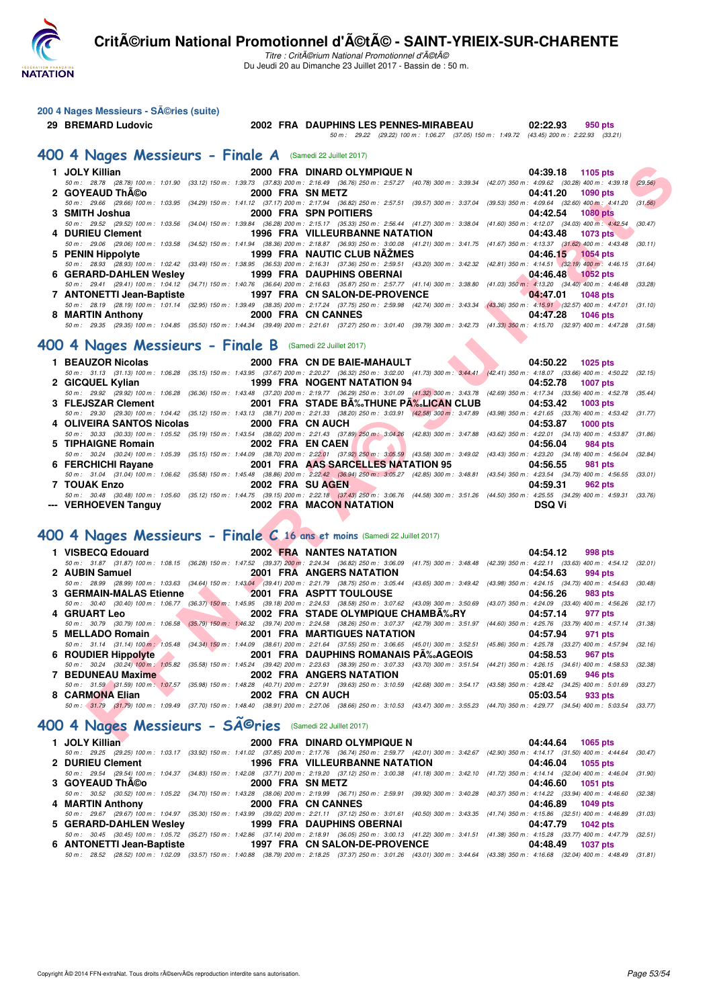

|  | 200 4 Nages Messieurs - SA©ries (suite) |  |
|--|-----------------------------------------|--|
|--|-----------------------------------------|--|

## **29 BREMARD Ludovic 2002 FRA DAUPHINS LES PENNES-MIRABEAU 02:22.93 950 pts** 50 m : 29.22 (29.22) 100 m : 1:06.27 (37.05) 150 m : 1:49.72 (43.45) 200 m : 2:22.93 (33.21)

#### **[400 4 Nages Messieurs - Finale A](http://www.ffnatation.fr/webffn/resultats.php?idact=nat&go=epr&idcpt=47489&idepr=92)** (Samedi 22 Juillet 2017)

| 1 JOLY Killian                                                                                               |                  | 2000 FRA DINARD OLYMPIQUE N                                                                                                                                                                                                        | 04:39.18<br>1105 pts        |         |
|--------------------------------------------------------------------------------------------------------------|------------------|------------------------------------------------------------------------------------------------------------------------------------------------------------------------------------------------------------------------------------|-----------------------------|---------|
|                                                                                                              |                  | 50 m : 28.78 (28.78) 100 m : 1:01.90 (33.12) 150 m : 1:39.73 (37.83) 200 m : 2:16.49 (36.76) 250 m : 2:57.27 (40.78) 300 m : 3:39.34 (42.07) 350 m : 4:09.62 (30.28) 400 m : 4:39.18                                               |                             | (29.56) |
| 2 GOYEAUD ThA©o                                                                                              | 2000 FRA SN METZ |                                                                                                                                                                                                                                    | 04:41.20<br>1090 pts        |         |
| 3 SMITH Joshua                                                                                               |                  | 50 m: 29.66 (29.66) 100 m: 1:03.95 (34.29) 150 m: 1:41.12 (37.17) 200 m: 2:17.94 (36.82) 250 m: 2:57.51 (39.57) 300 m: 3:37.04 (39.53) 350 m: 4:09.64 (32.60) 400 m: 4:41.20<br>2000 FRA SPN POITIERS                              | 04:42.54<br><b>1080 pts</b> | (31.56) |
|                                                                                                              |                  | 50 m: 29.52 (29.52) 100 m: 1:03.56 (34.04) 150 m: 1:39.84 (36.28) 200 m: 2:15.17 (35.33) 250 m: 2:56.44 (41.27) 300 m: 3:38.04 (41.60) 350 m: 4:12.07 (34.03) 400 m: 4:42.54                                                       |                             | (30.47) |
| 4 DURIEU Clement                                                                                             |                  | 1996 FRA VILLEURBANNE NATATION                                                                                                                                                                                                     | 04:43.48<br><b>1073 pts</b> |         |
|                                                                                                              |                  | 50 m: 29.06 (29.06) 100 m: 1:03.58 (34.52) 150 m: 1:41.94 (38.36) 200 m: 2:18.87 (36.93) 250 m: 3:00.08 (41.21) 300 m: 3:41.75 (41.67) 350 m: 4:13.37 (31.62) 400 m: 4:43.48 (30.11)                                               |                             |         |
| 5 PENIN Hippolyte                                                                                            |                  | 1999 FRA NAUTIC CLUB NAZMES                                                                                                                                                                                                        | 04:46.15 1054 pts           |         |
|                                                                                                              |                  | 50 m: 28.93 (28.93) 100 m: 1:02.42 (33.49) 150 m: 1:38.95 (36.53) 200 m: 2:16.31 (37.36) 250 m: 2:59.51 (43.20) 300 m: 3:42.32 (42.81) 350 m: 4:14.51 (32.19) 400 m: 4:46.15 (31.64)                                               |                             |         |
| <b>6 GERARD-DAHLEN Wesley</b>                                                                                |                  | 1999 FRA DAUPHINS OBERNAI<br>50 m: 29.41 (29.41) 100 m: 1:04.12 (34.71) 150 m: 1:40.76 (36.64) 200 m: 2:16.63 (35.87) 250 m: 2:57.77 (41.14) 300 m: 3:38.80 (41.03) 350 m: 4:13.20 (34.40) 400 m: 4:46.48 (33.28)                  | 04:46.48<br>1052 pts        |         |
| 7 ANTONETTI Jean-Baptiste                                                                                    |                  | 1997 FRA CN SALON-DE-PROVENCE                                                                                                                                                                                                      | 04:47.01<br><b>1048 pts</b> |         |
|                                                                                                              |                  | 50 m: 28.19 (28.19) 100 m: 1:01.14 (32.95) 150 m: 1:39.49 (38.35) 200 m: 2:17.24 (37.75) 250 m: 2:59.98 (42.74) 300 m: 3:43.34 (43.36) 350 m: 4:15.91 (32.57) 400 m: 4:47.01 (31.10)                                               |                             |         |
| 8 MARTIN Anthony                                                                                             |                  | 2000 FRA CN CANNES                                                                                                                                                                                                                 | 04:47.28<br>1046 pts        |         |
|                                                                                                              |                  | 50 m: 29.35 (29.35) 100 m: 1:04.85 (35.50) 150 m: 1:44.34 (39.49) 200 m: 2:21.61 (37.27) 250 m: 3:01.40 (39.79) 300 m: 3:42.73 (41.33) 350 m: 4:15.70 (32.97) 400 m: 4:47.28 (31.58)                                               |                             |         |
| 00 4 Nages Messieurs - Finale B (Samedi 22 Juillet 2017)                                                     |                  |                                                                                                                                                                                                                                    |                             |         |
|                                                                                                              |                  |                                                                                                                                                                                                                                    |                             |         |
| 1 BEAUZOR Nicolas                                                                                            |                  | 2000 FRA CN DE BAIE-MAHAULT                                                                                                                                                                                                        | 04:50.22<br>1025 pts        |         |
|                                                                                                              |                  | 50 m : 31.13 (31.13) 100 m : 1:06.28 (35.15) 150 m : 1:43.95 (37.67) 200 m : 2:20.27 (36.32) 250 m : 3:02.00 (41.73) 300 m : 3:44.41 (42.41) 350 m : 4:18.07 (33.66) 400 m : 4:50.22 (32.15)<br>1999 FRA NOGENT NATATION 94        | 04:52.78                    |         |
| 2 GICQUEL Kylian                                                                                             |                  | 50 m : 29.92 (29.92) 100 m : 1:06.28 (36.36) 150 m : 1:43.48 (37.20) 200 m : 2:19.77 (36.29) 250 m : 3:01.09 (41.32) 300 m : 3:43.78 (42.69) 350 m : 4:17.34 (33.56) 400 m : 4:52.78 (35.44)                                       | <b>1007 pts</b>             |         |
| 3 FLEJSZAR Clement                                                                                           |                  | 2001 FRA STADE BA‰THUNE PA‰LICAN CLUB                                                                                                                                                                                              | 04:53.42<br><b>1003 pts</b> |         |
|                                                                                                              |                  | 50 m: 29.30 (29.30) 100 m: 1:04.42 (35.12) 150 m: 1:43.13 (38.71) 200 m: 2:21.33 (38.20) 250 m: 3:03.91 (42.58) 300 m: 3:47.89 (43.98) 350 m: 4:21.65 (33.76) 400 m: 4:53.42 (31.77)                                               |                             |         |
| 4 OLIVEIRA SANTOS Nicolas                                                                                    | 2000 FRA CN AUCH |                                                                                                                                                                                                                                    | 04:53.87<br><b>1000 pts</b> |         |
|                                                                                                              |                  | 50 m: 30.33 (30.33) 100 m: 1:05.52 (35.19) 150 m: 1:43.54 (38.02) 200 m: 2:21.43 (37.89) 250 m: 3:04.26 (42.83) 300 m: 3:47.88 (43.62) 350 m: 4:22.01 (34.13) 400 m: 4:53.87 (31.86)                                               |                             |         |
| 5 TIPHAIGNE Romain                                                                                           | 2002 FRA EN CAEN |                                                                                                                                                                                                                                    | 04:56.04<br>984 pts         |         |
| 6 FERCHICHI Rayane                                                                                           |                  | 50 m: 30.24 (30.24) 100 m: 1:05.39 (35.15) 150 m: 1:44.09 (38.70) 200 m: 2:22.01 (37.92) 250 m: 3:05.59 (43.58) 300 m: 3:49.02 (43.43) 350 m: 4:23.20 (34.18) 400 m: 4:56.04 (32.84)<br>2001 FRA AAS SARCELLES NATATION 95         | 04:56.55<br>981 pts         |         |
|                                                                                                              |                  | 50 m: 31.04 (31.04) 100 m: 1:06.62 (35.58) 150 m: 1:45.48 (38.86) 200 m: 2:22.42 (36.94) 250 m: 3:05.27 (42.85) 300 m: 3:48.81 (43.54) 350 m: 4:23.54 (34.73) 400 m: 4:56.55 (33.01)                                               |                             |         |
| 7 TOUAK Enzo                                                                                                 | 2002 FRA SU AGEN |                                                                                                                                                                                                                                    | 04:59.31<br><b>962 pts</b>  |         |
|                                                                                                              |                  | 50 m: 30.48 (30.48) 100 m: 1:05.60 (35.12) 150 m: 1:44.75 (39.15) 200 m: 2:22.18 (37.43) 250 m: 3:06.76 (44.58) 300 m: 3:51.26 (44.50) 350 m: 4:25.55 (34.29) 400 m: 4:59.31 (33.76)                                               |                             |         |
| --- VERHOEVEN Tanguy                                                                                         |                  | 2002 FRA MACON NATATION                                                                                                                                                                                                            | <b>DSQ Vi</b>               |         |
|                                                                                                              |                  |                                                                                                                                                                                                                                    |                             |         |
|                                                                                                              |                  | 00 4 Nages Messieurs - Finale C 16 ans et moins (Samedi 22 Juillet 2017)                                                                                                                                                           |                             |         |
| 1 VISBECQ Edouard                                                                                            |                  | <b>2002 FRA NANTES NATATION</b>                                                                                                                                                                                                    | 04:54.12<br>998 pts         |         |
|                                                                                                              |                  | 50 m: 31.87 (31.87) 100 m: 1:08.15 (36.28) 150 m: 1:47.52 (39.37) 200 m: 2:24.34 (36.82) 250 m: 3:06.09 (41.75) 300 m: 3:48.48 (42.39) 350 m: 4:22.11 (33.63) 400 m: 4:54.12 (32.01)                                               |                             |         |
| 2 AUBIN Samuel                                                                                               |                  | <b>2001 FRA ANGERS NATATION</b>                                                                                                                                                                                                    | 04:54.63<br>994 pts         |         |
|                                                                                                              |                  | 50 m : 28.99 (28.99) 100 m : 1:03.63 (34.64) 150 m : 1:43.04 (39.41) 200 m : 2:21.79 (38.75) 250 m : 3:05.44 (43.65) 300 m : 3:49.42 (43.98) 350 m : 4:24.15 (34.73) 400 m : 4:54.63 (30.48)                                       |                             |         |
| 3 GERMAIN-MALAS Etienne                                                                                      |                  | 2001 FRA ASPTT TOULOUSE                                                                                                                                                                                                            | 04:56.26<br>983 pts         |         |
|                                                                                                              |                  | 50 m : 30.40 (30.40) 100 m : 1:06.77 (36.37) 150 m : 1:45.95 (39.18) 200 m : 2:24.53 (38.58) 250 m : 3:07.62 (43.09) 300 m : 3:50.69 (43.07) 350 m : 4:24.09 (33.40) 400 m : 4:56.26 (32.17)                                       |                             |         |
| <b>4 GRUART Leo</b>                                                                                          |                  | 2002 FRA STADE OLYMPIQUE CHAMBA‰RY<br>50 m : 30.79 (30.79) 100 m : 1:06.58 (35.79) 150 m : 1:46.32 (39.74) 200 m : 2:24.58 (38.26) 250 m : 3:07.37 (42.79) 300 m : 3:51.97 (44.60) 350 m : 4:25.76 (33.79) 400 m : 4:57.14 (31.38) | 04:57.14<br>977 pts         |         |
| 5 MELLADO Romain                                                                                             |                  | <b>2001 FRA MARTIGUES NATATION</b>                                                                                                                                                                                                 | 04:57.94<br>971 pts         |         |
|                                                                                                              |                  | 50 m: 31.14 (31.14) 100 m: 1:05.48 (34.34) 150 m: 1:44.09 (38.61) 200 m: 2:21.64 (37.55) 250 m: 3:06.65 (45.01) 300 m: 3:52.51 (45.86) 350 m: 4:25.78 (33.27) 400 m: 4:57.94 (32.16)                                               |                             |         |
| <b>6 ROUDIER Hippolyte</b>                                                                                   |                  | 2001 FRA DAUPHINS ROMANAIS PA‰AGEOIS                                                                                                                                                                                               | 04:58.53<br><b>967 pts</b>  |         |
|                                                                                                              |                  | 50 m: 30.24 (30.24) 100 m: 1:05.82 (35.58) 150 m: 1:45.24 (39.42) 200 m: 2:23.63 (38.39) 250 m: 3:07.33 (43.70) 300 m: 3:51.54 (44.21) 350 m: 4:26.15 (34.61) 400 m: 4:58.53 (32.38)                                               |                             |         |
| 7 BEDUNEAU Maxime                                                                                            |                  | 2002 FRA ANGERS NATATION                                                                                                                                                                                                           | 05:01.69<br>946 pts         |         |
| 8 CARMONA Elian                                                                                              | 2002 FRA CN AUCH | 50 m: 31.59 (31.59) 100 m: 1:07.57 (35.98) 150 m: 1:48.28 (40.71) 200 m: 2:27.91 (39.63) 250 m: 3:10.59 (42.68) 300 m: 3:54.17 (43.58) 350 m: 4:28.42 (34.25) 400 m: 5:01.69 (33.27)                                               | 05:03.54<br>933 pts         |         |
|                                                                                                              |                  | 50 m: 31.79 (31.79) 100 m: 1:09.49 (37.70) 150 m: 1:48.40 (38.91) 200 m: 2:27.06 (38.66) 250 m: 3:10.53 (43.47) 300 m: 3:55.23 (44.70) 350 m: 4:29.77 (34.54) 400 m: 5:03.54 (33.77)                                               |                             |         |
|                                                                                                              |                  |                                                                                                                                                                                                                                    |                             |         |
| 00 4 Nages Messieurs - SÃ <sup>©</sup> ries (Samedi 22 Juillet 2017)                                         |                  |                                                                                                                                                                                                                                    |                             |         |
| $\mathbf{A} = \mathbf{A} \mathbf{A} + \mathbf{A} \mathbf{A} + \mathbf{A} \mathbf{A} + \mathbf{A} \mathbf{A}$ |                  | 0000 FBA BILLARD OLIVIADIQUE N                                                                                                                                                                                                     | $0.4.4404$ $0.005$ $0.14$   |         |

#### **[400 4 Nages Messieurs - Finale B](http://www.ffnatation.fr/webffn/resultats.php?idact=nat&go=epr&idcpt=47489&idepr=92)** (Samedi 22 Juillet 2017)

|                                     |                 |                                              | 1 BEAUZOR Nicolas 2000 FRA CN DE BAIE-MAHAULT 04:50.22 1025 pts                                                                                                                              |
|-------------------------------------|-----------------|----------------------------------------------|----------------------------------------------------------------------------------------------------------------------------------------------------------------------------------------------|
|                                     |                 |                                              | 50 m: 31.13 (31.13) 100 m: 1:06.28 (35.15) 150 m: 1:43.95 (37.67) 200 m: 2:20.27 (36.32) 250 m: 3:02.00 (41.73) 300 m: 3:44.41 (42.41) 350 m: 4:18.07 (33.66) 400 m: 4:50.22 (32.15)         |
|                                     |                 |                                              | 2 GICQUEL Kylian 1999 FRA NOGENT NATATION 94 04:52.78 1007 pts                                                                                                                               |
|                                     |                 |                                              | 50 m : 29.92 (29.92) 100 m : 1:06.28 (36.36) 150 m : 1:43.48 (37.20) 200 m : 2:19.77 (36.29) 250 m : 3:01.09 (41.32) 300 m : 3:43.78 (42.69) 350 m : 4:17.34 (33.56) 400 m : 4:52.78 (35.44) |
|                                     |                 |                                              | 3 FLEJSZAR Clement 2001 FRA STADE BĉTHUNE PĉLICAN CLUB 04:53.42 1003 pts                                                                                                                     |
|                                     |                 |                                              | 50 m: 29.30 (29.30) 100 m: 1:04.42 (35.12) 150 m: 1:43.13 (38.71) 200 m: 2:21.33 (38.20) 250 m: 3:03.91 (42.58) 300 m: 3:47.89 (43.98) 350 m: 4:21.65 (33.76) 400 m: 4:53.42 (31.77)         |
|                                     |                 | 4 OLIVEIRA SANTOS Nicolas 2000 FRA CN AUCH   | 04:53.87 1000 pts                                                                                                                                                                            |
|                                     |                 |                                              | 50 m : 30.33 (30.33) 100 m : 1:05.52 (35.19) 150 m : 1:43.54 (38.02) 200 m : 2:21.43 (37.89) 250 m : 3:04.26 (42.83) 300 m : 3:47.88 (43.62) 350 m : 4:22.01 (34.13) 400 m : 4:53.87 (31.86) |
| 5 TIPHAIGNE Romain 2002 FRA EN CAEN |                 | $\blacksquare$                               | 04:56.04 984 pts                                                                                                                                                                             |
|                                     |                 |                                              | 50 m : 30.24 (30.24) 100 m : 1:05.39 (35.15) 150 m : 1:44.09 (38.70) 200 m : 2:22.01 (37.92) 250 m : 3:05.59 (43.58) 300 m : 3:49.02 (43.43) 350 m : 4:23.20 (34.18) 400 m : 4:56.04 (32.84) |
|                                     |                 |                                              | 6 FERCHICHI Rayane 2001 FRA AAS SARCELLES NATATION 95 04:56.55<br>981 pts                                                                                                                    |
|                                     |                 |                                              | 50 m: 31.04 (31.04) 100 m: 1:06.62 (35.58) 150 m: 1:45.48 (38.86) 200 m: 2:22.42 (36.94) 250 m: 3:05.27 (42.85) 300 m: 3:48.81 (43.54) 350 m: 4:23.54 (34.73) 400 m: 4:56.55 (33.01)         |
| 7 TOUAK Enzo                        | 2002 FRA SUAGEN | the company of the company of the company of | 04:59.31 962 pts                                                                                                                                                                             |
|                                     |                 |                                              | 50 m : 30.48 (30.48) 100 m : 1:05.60 (35.12) 150 m : 1:44.75 (39.15) 200 m : 2:22.18 (37.43) 250 m : 3:06.76 (44.58) 300 m : 3:51.26 (44.50) 350 m : 4:25.55 (34.29) 400 m : 4:59.31 (33.76) |
|                                     |                 |                                              | <b>DSQ Vi</b>                                                                                                                                                                                |

## **[400 4 Nages Messieurs - Finale C](http://www.ffnatation.fr/webffn/resultats.php?idact=nat&go=epr&idcpt=47489&idepr=92) 16 ans et moins** (Samedi 22 Juillet 2017)

|                   |                                                                                                                                                                                              | 04:54.12 998 pts    |
|-------------------|----------------------------------------------------------------------------------------------------------------------------------------------------------------------------------------------|---------------------|
|                   | 50 m: 31.87 (31.87) 100 m: 1:08.15 (36.28) 150 m: 1:47.52 (39.37) 200 m: 2:24.34 (36.82) 250 m: 3:06.09 (41.75) 300 m: 3:48.48 (42.39) 350 m: 4:22.11 (33.63) 400 m: 4:54.12 (32.01)         |                     |
|                   |                                                                                                                                                                                              | 04:54.63 994 pts    |
|                   | 50 m : 28.99 (28.99) 100 m : 1:03.63 (34.64) 150 m : 1:43.04 (39.41) 200 m : 2:21.79 (38.75) 250 m : 3:05.44 (43.65) 300 m : 3:49.42 (43.98) 350 m : 4:24.15 (34.73) 400 m : 4:54.63 (30.48) |                     |
|                   | 3 GERMAIN-MALAS Etienne <b>1996 1997 2001 FRA ASPTT TOULOUSE</b>                                                                                                                             | 04:56.26 983 pts    |
|                   | 50 m: 30.40 (30.40) 100 m: 1:06.77 (36.37) 150 m: 1:45.95 (39.18) 200 m: 2:24.53 (38.58) 250 m: 3:07.62 (43.09) 300 m: 3:50.69 (43.07) 350 m: 4:24.09 (33.40) 400 m: 4:56.26 (32.17)         |                     |
| 4 GRUART Leo      | <b>2002 FRA STADE OLYMPIQUE CHAMBA‰RY</b>                                                                                                                                                    | 04:57.14<br>977 pts |
|                   | 50 m: 30.79 (30.79) 100 m: 1:06.58 (35.79) 150 m: 1:46.32 (39.74) 200 m: 2:24.58 (38.26) 250 m: 3:07.37 (42.79) 300 m: 3:51.97 (44.60) 350 m: 4:25.76 (33.79) 400 m: 4:57.14 (31.38)         |                     |
| 5 MELLADO Romain  | <b>EXAMPLE 2001 FRA MARTIGUES NATATION</b>                                                                                                                                                   | 04:57.94 971 pts    |
|                   | 50 m: 31.14 (31.14) 100 m: 1:05.48 (34.34) 150 m: 1:44.09 (38.61) 200 m: 2:21.64 (37.55) 250 m: 3:06.65 (45.01) 300 m: 3:52.51 (45.86) 350 m: 4:25.78 (33.27) 400 m: 4:57.94 (32.16)         |                     |
|                   | 6 ROUDIER Hippolyte 2001 FRA DAUPHINS ROMANAIS PA‰AGEOIS                                                                                                                                     | 04:58.53<br>967 pts |
|                   | 50 m: 30.24 (30.24) 100 m; 1:05.82 (35.58) 150 m: 1:45.24 (39.42) 200 m: 2:23.63 (38.39) 250 m: 3:07.33 (43.70) 300 m: 3:51.54 (44.21) 350 m: 4:26.15 (34.61) 400 m: 4:58.53 (32.38)         |                     |
| 7 BEDUNEAU Maxime | 2002 FRA ANGERS NATATION                                                                                                                                                                     | 05:01.69<br>946 pts |
|                   | 50 m: 31.59 (31.59) 100 m: 1:07.57 (35.98) 150 m: 1:48.28 (40.71) 200 m: 2:27.91 (39.63) 250 m: 3:10.59 (42.68) 300 m: 3:54.17 (43.58) 350 m: 4:28.42 (34.25) 400 m: 5:01.69 (33.27)         |                     |
| 8 CARMONA Elian   | 2002 FRA CN AUCH                                                                                                                                                                             | 05:03.54<br>933 pts |
|                   |                                                                                                                                                                                              |                     |

## 400 4 Nages Messieurs - SÃ<sup>@</sup>ries (Samedi 22 Juillet 2017)

| 1 JOLY Killian   | 2000 FRA DINARD OLYMPIQUE N                                                                                                                                                                  | 04:44.64 1065 pts |  |
|------------------|----------------------------------------------------------------------------------------------------------------------------------------------------------------------------------------------|-------------------|--|
|                  | 50 m: 29.25 (29.25) 100 m: 1:03.17 (33.92) 150 m: 1:41.02 (37.85) 200 m: 2:17.76 (36.74) 250 m: 2:59.77 (42.01) 300 m: 3:42.67 (42.90) 350 m: 4:14.17 (31.50) 400 m: 4:44.64 (30.47)         |                   |  |
| 2 DURIEU Clement | 1996 FRA VILLEURBANNE NATATION                                                                                                                                                               | 04:46.04 1055 pts |  |
|                  | 50 m: 29.54 (29.54) 100 m: 1:04.37 (34.83) 150 m: 1:42.08 (37.71) 200 m: 2:19.20 (37.12) 250 m: 3:00.38 (41.18) 300 m: 3:42.10 (41.72) 350 m: 4:14.14 (32.04) 400 m: 4:46.04 (31.90)         |                   |  |
|                  |                                                                                                                                                                                              | 04:46.60 1051 pts |  |
|                  | 50 m : 30.52 (30.52) 100 m : 1:05.22 (34.70) 150 m : 1:43.28 (38.06) 200 m : 2:19.99 (36.71) 250 m : 2:59.91 (39.92) 300 m : 3:40.28 (40.37) 350 m : 4:14.22 (33.94) 400 m : 4:46.60 (32.38) |                   |  |
|                  |                                                                                                                                                                                              | 04:46.89 1049 pts |  |
|                  | 50 m: 29.67 (29.67) 100 m: 1:04.97 (35.30) 150 m: 1:43.99 (39.02) 200 m: 2:21.11 (37.12) 250 m: 3:01.61 (40.50) 300 m: 3:43.35 (41.74) 350 m: 4:15.86 (32.51) 400 m: 4:46.89 (31.03)         |                   |  |
|                  |                                                                                                                                                                                              | 04:47.79 1042 pts |  |
|                  | 50 m : 30.45 (30.45) 100 m : 1:05.72 (35.27) 150 m : 1:42.86 (37.14) 200 m : 2:18.91 (36.05) 250 m : 3:00.13 (41.22) 300 m : 3:41.51 (41.38) 350 m : 4:15.28 (33.77) 400 m : 4:47.79 (32.51) |                   |  |
|                  | 6 ANTONETTI Jean-Baptiste 1997 FRA CN SALON-DE-PROVENCE                                                                                                                                      | 04:48.49 1037 pts |  |
|                  | 50 m: 28.52 (28.52) 100 m: 1:02.09 (33.57) 150 m: 1:40.88 (38.79) 200 m: 2:18.25 (37.37) 250 m: 3:01.26 (43.01) 300 m: 3:44.64 (43.38) 350 m: 4:16.68 (32.04) 400 m: 4:48.49 (31.81)         |                   |  |